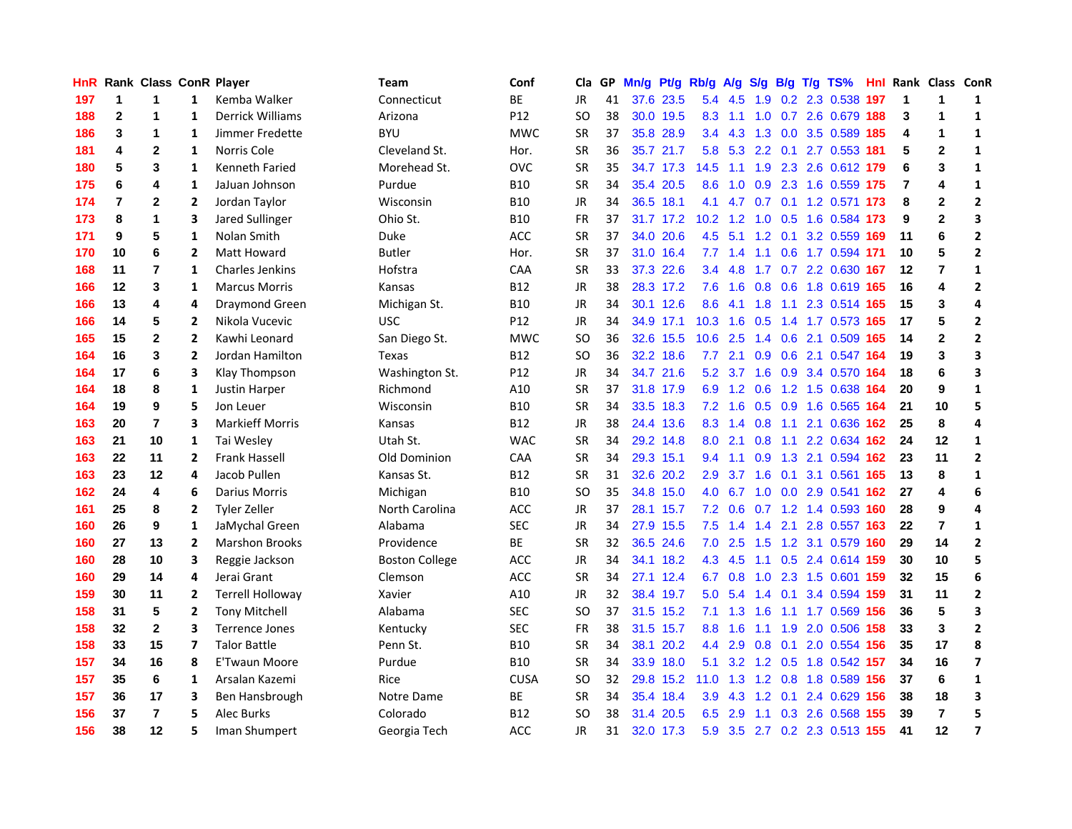| <b>HnR</b> |                | Rank Class ConR Player |                |                         | Team                  | Conf        | Cla       |    | GP Mn/g |           | Pt/g Rb/g A/g    |                 | <b>S/g</b>  |     | B/g T/g TS%                    |     |                | Hnl Rank Class ConR     |                |
|------------|----------------|------------------------|----------------|-------------------------|-----------------------|-------------|-----------|----|---------|-----------|------------------|-----------------|-------------|-----|--------------------------------|-----|----------------|-------------------------|----------------|
| 197        | 1              | 1                      | $\mathbf{1}$   | Kemba Walker            | Connecticut           | ВE          | JR.       | 41 |         | 37.6 23.5 | 5.4              | 4.5             | 1.9         | 0.2 | 2.3 0.538                      | 197 | $\mathbf 1$    | $\mathbf 1$             | 1              |
| 188        | $\overline{2}$ | 1                      | 1              | <b>Derrick Williams</b> | Arizona               | P12         | <b>SO</b> | 38 |         | 30.0 19.5 | 8.3              | 1.1             | 1.0         |     | 0.7 2.6 0.679                  | 188 | 3              | 1                       | $\mathbf{1}$   |
| 186        | 3              | 1                      | 1              | Jimmer Fredette         | <b>BYU</b>            | <b>MWC</b>  | <b>SR</b> | 37 |         | 35.8 28.9 | 3.4              | 4.3             | 1.3         | 0.0 | 3.5 0.589                      | 185 | 4              | 1                       | 1              |
| 181        | 4              | $\overline{2}$         | 1              | Norris Cole             | Cleveland St.         | Hor.        | SR        | 36 |         | 35.7 21.7 | 5.8              |                 |             |     | 5.3 2.2 0.1 2.7 0.553 181      |     | 5              | $\overline{2}$          | $\mathbf{1}$   |
| 180        | 5              | 3                      | $\mathbf{1}$   | <b>Kenneth Faried</b>   | Morehead St.          | OVC         | <b>SR</b> | 35 |         | 34.7 17.3 | 14.5             | 1.1             |             |     | 1.9 2.3 2.6 0.612 179          |     | 6              | 3                       | $\mathbf{1}$   |
| 175        | 6              | 4                      | $\mathbf{1}$   | JaJuan Johnson          | Purdue                | B10         | <b>SR</b> | 34 |         | 35.4 20.5 | 8.6              |                 |             |     | 1.0 0.9 2.3 1.6 0.559 175      |     | $\overline{7}$ | 4                       | $\mathbf{1}$   |
| 174        | $\overline{7}$ | 2                      | 2              | Jordan Taylor           | Wisconsin             | <b>B10</b>  | JR        | 34 |         | 36.5 18.1 | 4.1              |                 |             |     | 4.7 0.7 0.1 1.2 0.571 173      |     | 8              | $\mathbf{2}$            | $\mathbf{2}$   |
| 173        | 8              | 1                      | 3              | <b>Jared Sullinger</b>  | Ohio St.              | B10         | <b>FR</b> | 37 |         | 31.7 17.2 |                  |                 |             |     | 10.2 1.2 1.0 0.5 1.6 0.584 173 |     | 9              | $\overline{2}$          | 3              |
| 171        | 9              | 5                      | $\mathbf{1}$   | Nolan Smith             | Duke                  | ACC         | <b>SR</b> | 37 |         | 34.0 20.6 | 4.5              | 5.1             |             |     | 1.2 0.1 3.2 0.559 169          |     | 11             | 6                       | $\overline{2}$ |
| 170        | 10             | 6                      | $\overline{2}$ | Matt Howard             | <b>Butler</b>         | Hor.        | <b>SR</b> | 37 |         | 31.0 16.4 | 7.7              | 1.4             | 1.1         |     | 0.6 1.7 0.594 171              |     | 10             | 5                       | $\mathbf{2}$   |
| 168        | 11             | 7                      | $\mathbf{1}$   | <b>Charles Jenkins</b>  | Hofstra               | CAA         | SR        | 33 |         | 37.3 22.6 | 3.4              | 4.8             |             |     | 1.7 0.7 2.2 0.630              | 167 | 12             | $\overline{7}$          | $\mathbf{1}$   |
| 166        | 12             | 3                      | $\mathbf{1}$   | <b>Marcus Morris</b>    | Kansas                | <b>B12</b>  | <b>JR</b> | 38 |         | 28.3 17.2 | 7.6              | 1.6             | 0.8         |     | 0.6 1.8 0.619 165              |     | 16             | $\overline{\mathbf{4}}$ | $\mathbf{2}$   |
| 166        | 13             | 4                      | 4              | Draymond Green          | Michigan St.          | B10         | JR        | 34 |         | 30.1 12.6 | 8.6              | 4.1             | 1.8         | 1.1 | 2.3 0.514                      | 165 | 15             | 3                       | 4              |
| 166        | 14             | 5                      | $\mathbf{2}$   | Nikola Vucevic          | <b>USC</b>            | P12         | JR.       | 34 |         | 34.9 17.1 | 10.3             | 1.6             | 0.5         |     | 1.4 1.7 0.573 165              |     | 17             | 5                       | $\overline{2}$ |
| 165        | 15             | $\overline{2}$         | $\mathbf{2}$   | Kawhi Leonard           | San Diego St.         | <b>MWC</b>  | SO        | 36 |         | 32.6 15.5 | 10.6             | 2.5             | 1.4         | 0.6 | 2.1 0.509                      | 165 | 14             | $\mathbf{2}$            | $\overline{2}$ |
| 164        | 16             | 3                      | $\mathbf{2}$   | Jordan Hamilton         | Texas                 | <b>B12</b>  | SO        | 36 |         | 32.2 18.6 | 7.7              | 2.1             | 0.9         | 0.6 | 2.1 0.547 164                  |     | 19             | 3                       | 3              |
| 164        | 17             | 6                      | 3              | Klay Thompson           | Washington St.        | P12         | JR.       | 34 |         | 34.7 21.6 |                  |                 | 5.2 3.7 1.6 |     | 0.9 3.4 0.570 164              |     | 18             | 6                       | 3              |
| 164        | 18             | 8                      | 1              | Justin Harper           | Richmond              | A10         | <b>SR</b> | 37 |         | 31.8 17.9 |                  |                 |             |     | 6.9 1.2 0.6 1.2 1.5 0.638 164  |     | 20             | 9                       | $\mathbf{1}$   |
| 164        | 19             | 9                      | 5              | Jon Leuer               | Wisconsin             | <b>B10</b>  | <b>SR</b> | 34 |         | 33.5 18.3 |                  | $7.2 \quad 1.6$ |             |     | 0.5 0.9 1.6 0.565 164          |     | 21             | 10                      | 5              |
| 163        | 20             | $\overline{7}$         | 3              | <b>Markieff Morris</b>  | Kansas                | B12         | JR        | 38 |         | 24.4 13.6 |                  |                 |             |     | 8.3 1.4 0.8 1.1 2.1 0.636 162  |     | 25             | 8                       | 4              |
| 163        | 21             | 10                     | 1              | Tai Wesley              | Utah St.              | <b>WAC</b>  | <b>SR</b> | 34 |         | 29.2 14.8 | 8.0              | 2.1             | 0.8         |     | 1.1 2.2 0.634 162              |     | 24             | 12                      | $\mathbf{1}$   |
| 163        | 22             | 11                     | $\overline{2}$ | Frank Hassell           | Old Dominion          | CAA         | <b>SR</b> | 34 |         | 29.3 15.1 | 9.4              | 1.1             | 0.9         |     | 1.3 2.1 0.594 162              |     | 23             | 11                      | $\overline{2}$ |
| 163        | 23             | 12                     | 4              | Jacob Pullen            | Kansas St.            | B12         | <b>SR</b> | 31 |         | 32.6 20.2 | 2.9 <sup>°</sup> | 3.7             | 1.6         | 0.1 | 3.1 0.561                      | 165 | 13             | 8                       | $\mathbf{1}$   |
| 162        | 24             | 4                      | 6              | Darius Morris           | Michigan              | B10         | <b>SO</b> | 35 |         | 34.8 15.0 | 4.0              | 6.7             |             |     | 1.0 0.0 2.9 0.541              | 162 | 27             | 4                       | 6              |
| 161        | 25             | 8                      | 2              | <b>Tyler Zeller</b>     | North Carolina        | <b>ACC</b>  | JR        | 37 |         | 28.1 15.7 |                  | $7.2 \quad 0.6$ | 0.7         |     | 1.2 1.4 0.593 160              |     | 28             | 9                       | 4              |
| 160        | 26             | 9                      | $\mathbf{1}$   | JaMychal Green          | Alabama               | <b>SEC</b>  | JR        | 34 |         | 27.9 15.5 | 7.5              | 1.4             | 1.4         | 2.1 | 2.8 0.557 163                  |     | 22             | $\overline{7}$          | $\mathbf{1}$   |
| 160        | 27             | 13                     | $\mathbf{2}$   | <b>Marshon Brooks</b>   | Providence            | ВE          | SR        | 32 |         | 36.5 24.6 | 7.0              | 2.5             | 1.5         | 1.2 | 3.1 0.579                      | 160 | 29             | 14                      | $\mathbf{2}$   |
| 160        | 28             | 10                     | 3              | Reggie Jackson          | <b>Boston College</b> | ACC         | <b>JR</b> | 34 |         | 34.1 18.2 | 4.3              | 4.5             | 1.1         | 0.5 | 2.4 0.614 159                  |     | 30             | 10                      | 5              |
| 160        | 29             | 14                     | 4              | Jerai Grant             | Clemson               | <b>ACC</b>  | <b>SR</b> | 34 |         | 27.1 12.4 | 6.7              | 0.8             | 1.0         |     | 2.3 1.5 0.601 159              |     | 32             | 15                      | 6              |
| 159        | 30             | 11                     | 2              | <b>Terrell Holloway</b> | Xavier                | A10         | JR.       | 32 |         | 38.4 19.7 | 5.0              | 5.4             | 1.4         | 0.1 | 3.4 0.594 159                  |     | 31             | 11                      | $\mathbf{2}$   |
| 158        | 31             | 5                      | 2              | <b>Tony Mitchell</b>    | Alabama               | <b>SEC</b>  | SO        | 37 |         | 31.5 15.2 |                  | $7.1 \quad 1.3$ | 1.6         |     | 1.1 1.7 0.569 156              |     | 36             | 5                       | 3              |
| 158        | 32             | $\mathbf{2}$           | 3              | <b>Terrence Jones</b>   | Kentucky              | <b>SEC</b>  | <b>FR</b> | 38 |         | 31.5 15.7 | 8.8 <sub>1</sub> | 1.6             | 1.1         |     | 1.9 2.0 0.506 158              |     | 33             | 3                       | $\mathbf{2}$   |
| 158        | 33             | 15                     | 7              | <b>Talor Battle</b>     | Penn St.              | <b>B10</b>  | <b>SR</b> | 34 |         | 38.1 20.2 | 4.4              | 2.9             | 0.8         |     | 0.1 2.0 0.554 156              |     | 35             | 17                      | 8              |
| 157        | 34             | 16                     | 8              | E'Twaun Moore           | Purdue                | B10         | <b>SR</b> | 34 |         | 33.9 18.0 | 5.1              |                 |             |     | 3.2 1.2 0.5 1.8 0.542 157      |     | 34             | 16                      | $\overline{ }$ |
| 157        | 35             | 6                      | 1              | Arsalan Kazemi          | Rice                  | <b>CUSA</b> | SO        | 32 |         | 29.8 15.2 | 11.0             | 1.3             |             |     | 1.2 0.8 1.8 0.589 156          |     | 37             | 6                       | $\mathbf{1}$   |
| 157        | 36             | 17                     | 3              | Ben Hansbrough          | Notre Dame            | BE          | <b>SR</b> | 34 |         | 35.4 18.4 | 3.9              | 4.3             | 1.2         | 0.1 | 2.4 0.629                      | 156 | 38             | 18                      | 3              |
| 156        | 37             | $\overline{7}$         | 5              | Alec Burks              | Colorado              | B12         | <b>SO</b> | 38 | 31.4    | 20.5      | 6.5              | 2.9             | 1.1         | 0.3 | 2.6 0.568                      | 155 | 39             | $\overline{7}$          | 5              |
| 156        | 38             | 12                     | 5              | Iman Shumpert           | Georgia Tech          | ACC         | <b>JR</b> | 31 |         | 32.0 17.3 |                  |                 |             |     | 5.9 3.5 2.7 0.2 2.3 0.513 155  |     | 41             | 12                      | $\overline{7}$ |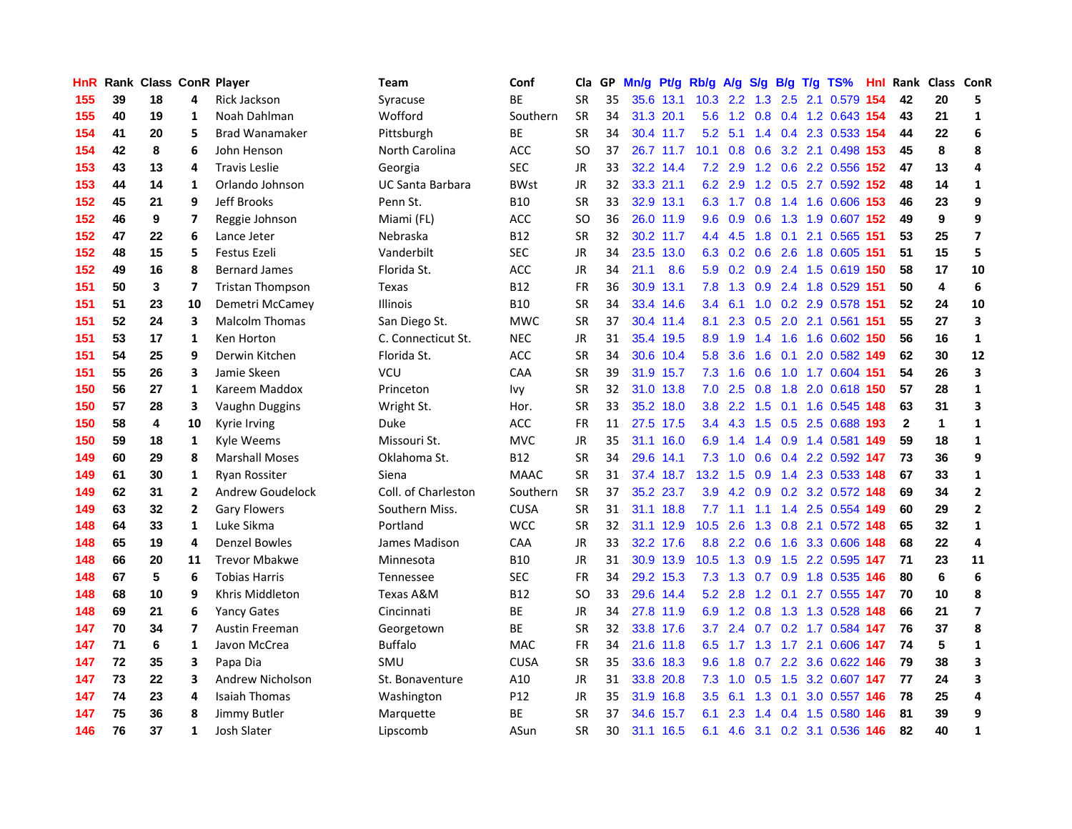| HnR |    | <b>Rank Class ConR Player</b> |                         |                         | Team                | Conf        | Cla       |    | GP Mn/g Pt/g Rb/g A/g |           |               |                 |               |     | S/g B/g T/g TS%               | Hnl  | Rank Class ConR |                         |                         |
|-----|----|-------------------------------|-------------------------|-------------------------|---------------------|-------------|-----------|----|-----------------------|-----------|---------------|-----------------|---------------|-----|-------------------------------|------|-----------------|-------------------------|-------------------------|
| 155 | 39 | 18                            | 4                       | Rick Jackson            | Syracuse            | <b>BE</b>   | <b>SR</b> | 35 |                       | 35.6 13.1 | 10.3          | $2.2^{\circ}$   | 1.3           | 2.5 | 2.1 0.579                     | 154  | 42              | 20                      | 5                       |
| 155 | 40 | 19                            | 1                       | Noah Dahlman            | Wofford             | Southern    | <b>SR</b> | 34 |                       | 31.3 20.1 | 5.6           | 1.2             | 0.8           | 0.4 | 1.2 0.643 154                 |      | 43              | 21                      | 1                       |
| 154 | 41 | 20                            | 5                       | <b>Brad Wanamaker</b>   | Pittsburgh          | ВE          | <b>SR</b> | 34 |                       | 30.4 11.7 | 5.2           | 5.1             |               |     | 1.4 0.4 2.3 0.533 154         |      | 44              | 22                      | 6                       |
| 154 | 42 | 8                             | 6                       | John Henson             | North Carolina      | ACC         | SO        | 37 |                       | 26.7 11.7 | 10.1          |                 |               |     | 0.8 0.6 3.2 2.1 0.498 153     |      | 45              | 8                       | 8                       |
| 153 | 43 | 13                            | 4                       | <b>Travis Leslie</b>    | Georgia             | <b>SEC</b>  | JR        | 33 |                       | 32.2 14.4 |               | $7.2$ 2.9       |               |     | 1.2 0.6 2.2 0.556 152         |      | 47              | 13                      | 4                       |
| 153 | 44 | 14                            | 1                       | Orlando Johnson         | UC Santa Barbara    | <b>BWst</b> | <b>JR</b> | 32 |                       | 33.3 21.1 |               | 6.2 2.9         |               |     | 1.2 0.5 2.7 0.592 152         |      | 48              | 14                      | $\mathbf{1}$            |
| 152 | 45 | 21                            | 9                       | Jeff Brooks             | Penn St.            | <b>B10</b>  | <b>SR</b> | 33 |                       | 32.9 13.1 |               |                 |               |     | 6.3 1.7 0.8 1.4 1.6 0.606 153 |      | 46              | 23                      | 9                       |
| 152 | 46 | 9                             | 7                       | Reggie Johnson          | Miami (FL)          | ACC         | <b>SO</b> | 36 |                       | 26.0 11.9 | 9.6           | 0.9             | 0.6           |     | 1.3 1.9 0.607 152             |      | 49              | 9                       | 9                       |
| 152 | 47 | 22                            | 6                       | Lance Jeter             | Nebraska            | <b>B12</b>  | <b>SR</b> | 32 |                       | 30.2 11.7 |               | 4.4 4.5         | 1.8           | 0.1 | 2.1 0.565                     | 151  | 53              | 25                      | $\overline{\mathbf{z}}$ |
| 152 | 48 | 15                            | 5                       | <b>Festus Ezeli</b>     | Vanderbilt          | <b>SEC</b>  | <b>JR</b> | 34 |                       | 23.5 13.0 |               | 6.3 0.2 0.6 2.6 |               |     | 1.8 0.605                     | 151  | 51              | 15                      | 5                       |
| 152 | 49 | 16                            | 8                       | <b>Bernard James</b>    | Florida St.         | ACC         | JR        | 34 | 21.1                  | 8.6       |               |                 |               |     | 5.9 0.2 0.9 2.4 1.5 0.619 150 |      | 58              | 17                      | 10                      |
| 151 | 50 | 3                             | $\overline{\mathbf{z}}$ | <b>Tristan Thompson</b> | <b>Texas</b>        | <b>B12</b>  | <b>FR</b> | 36 |                       | 30.9 13.1 | 7.8           | 1.3             | 0.9           |     | 2.4 1.8 0.529                 | -151 | 50              | $\overline{\mathbf{4}}$ | 6                       |
| 151 | 51 | 23                            | 10                      | Demetri McCamey         | <b>Illinois</b>     | <b>B10</b>  | <b>SR</b> | 34 |                       | 33.4 14.6 | $3.4^{\circ}$ | 6.1             | 1.0           |     | 0.2 2.9 0.578                 | 151  | 52              | 24                      | 10                      |
| 151 | 52 | 24                            | 3                       | <b>Malcolm Thomas</b>   | San Diego St.       | <b>MWC</b>  | <b>SR</b> | 37 |                       | 30.4 11.4 | 8.1           | 2.3             | 0.5           | 2.0 | 2.1 0.561                     | -151 | 55              | 27                      | 3                       |
| 151 | 53 | 17                            | 1                       | Ken Horton              | C. Connecticut St.  | <b>NEC</b>  | <b>JR</b> | 31 |                       | 35.4 19.5 | 8.9           | 1.9             | 1.4           | 1.6 | 1.6 0.602 150                 |      | 56              | 16                      | $\mathbf{1}$            |
| 151 | 54 | 25                            | 9                       | Derwin Kitchen          | Florida St.         | <b>ACC</b>  | <b>SR</b> | 34 |                       | 30.6 10.4 | 5.8           | 3.6             | 1.6           | 0.1 | 2.0 0.582 149                 |      | 62              | 30                      | 12                      |
| 151 | 55 | 26                            | 3                       | Jamie Skeen             | VCU                 | CAA         | <b>SR</b> | 39 |                       | 31.9 15.7 |               | $7.3$ 1.6       | 0.6           |     | 1.0 1.7 0.604 151             |      | 54              | 26                      | 3                       |
| 150 | 56 | 27                            | 1                       | Kareem Maddox           | Princeton           | Ivy         | <b>SR</b> | 32 |                       | 31.0 13.8 |               | $7.0$ 2.5       |               |     | 0.8 1.8 2.0 0.618 150         |      | 57              | 28                      | $\mathbf{1}$            |
| 150 | 57 | 28                            | 3                       | Vaughn Duggins          | Wright St.          | Hor.        | <b>SR</b> | 33 |                       | 35.2 18.0 |               |                 |               |     | 3.8 2.2 1.5 0.1 1.6 0.545 148 |      | 63              | 31                      | 3                       |
| 150 | 58 | 4                             | 10                      | Kyrie Irving            | Duke                | ACC         | <b>FR</b> | 11 |                       | 27.5 17.5 |               |                 |               |     | 3.4 4.3 1.5 0.5 2.5 0.688 193 |      | $\mathbf{2}$    | $\mathbf{1}$            | $\mathbf{1}$            |
| 150 | 59 | 18                            | 1                       | Kyle Weems              | Missouri St.        | <b>MVC</b>  | <b>JR</b> | 35 |                       | 31.1 16.0 | 6.9           | 1.4             |               |     | 1.4 0.9 1.4 0.581 149         |      | 59              | 18                      | $\mathbf{1}$            |
| 149 | 60 | 29                            | 8                       | <b>Marshall Moses</b>   | Oklahoma St.        | <b>B12</b>  | <b>SR</b> | 34 |                       | 29.6 14.1 | 7.3           | 1.0             | 0.6           |     | 0.4 2.2 0.592 147             |      | 73              | 36                      | 9                       |
| 149 | 61 | 30                            | 1                       | <b>Ryan Rossiter</b>    | Siena               | <b>MAAC</b> | <b>SR</b> | 31 |                       | 37.4 18.7 | 13.2          | 1.5             | 0.9           |     | 1.4 2.3 0.533 148             |      | 67              | 33                      | $\mathbf{1}$            |
| 149 | 62 | 31                            | $\overline{2}$          | Andrew Goudelock        | Coll. of Charleston | Southern    | <b>SR</b> | 37 |                       | 35.2 23.7 | 3.9           | 4.2             |               |     | 0.9 0.2 3.2 0.572 148         |      | 69              | 34                      | $\mathbf{2}$            |
| 149 | 63 | 32                            | $\mathbf{2}$            | <b>Gary Flowers</b>     | Southern Miss.      | <b>CUSA</b> | <b>SR</b> | 31 |                       | 31.1 18.8 | 7.7           | 1.1             | 1.1           |     | 1.4 2.5 0.554                 | 149  | 60              | 29                      | $\mathbf{2}$            |
| 148 | 64 | 33                            | $\mathbf{1}$            | Luke Sikma              | Portland            | <b>WCC</b>  | <b>SR</b> | 32 |                       | 31.1 12.9 | 10.5          | 2.6             | 1.3           | 0.8 | 2.1 0.572 148                 |      | 65              | 32                      | $\mathbf{1}$            |
| 148 | 65 | 19                            | 4                       | <b>Denzel Bowles</b>    | James Madison       | CAA         | JR        | 33 |                       | 32.2 17.6 | 8.8           | 2.2             | 0.6           | 1.6 | 3.3 0.606 148                 |      | 68              | 22                      | 4                       |
| 148 | 66 | 20                            | 11                      | <b>Trevor Mbakwe</b>    | Minnesota           | <b>B10</b>  | <b>JR</b> | 31 |                       | 30.9 13.9 | 10.5          | 1.3             | 0.9           | 1.5 | 2.2 0.595 147                 |      | 71              | 23                      | 11                      |
| 148 | 67 | 5                             | 6                       | <b>Tobias Harris</b>    | Tennessee           | <b>SEC</b>  | <b>FR</b> | 34 |                       | 29.2 15.3 | 7.3           |                 | $1.3$ 0.7 0.9 |     | 1.8 0.535 146                 |      | 80              | 6                       | 6                       |
| 148 | 68 | 10                            | 9                       | Khris Middleton         | Texas A&M           | <b>B12</b>  | <b>SO</b> | 33 |                       | 29.6 14.4 |               | $5.2$ 2.8       |               |     | 1.2 0.1 2.7 0.555 147         |      | 70              | 10                      | 8                       |
| 148 | 69 | 21                            | 6                       | <b>Yancy Gates</b>      | Cincinnati          | BE          | <b>JR</b> | 34 |                       | 27.8 11.9 |               | 6.9 1.2 0.8     |               |     | 1.3 1.3 0.528 148             |      | 66              | 21                      | $\overline{\mathbf{z}}$ |
| 147 | 70 | 34                            | 7                       | Austin Freeman          | Georgetown          | <b>BE</b>   | <b>SR</b> | 32 |                       | 33.8 17.6 | 3.7           | 2.4             |               |     | 0.7 0.2 1.7 0.584 147         |      | 76              | 37                      | 8                       |
| 147 | 71 | 6                             | $\mathbf{1}$            | Javon McCrea            | <b>Buffalo</b>      | <b>MAC</b>  | <b>FR</b> | 34 |                       | 21.6 11.8 | 6.5           |                 |               |     | 1.7 1.3 1.7 2.1 0.606 147     |      | 74              | 5                       | 1                       |
| 147 | 72 | 35                            | 3                       | Papa Dia                | SMU                 | <b>CUSA</b> | <b>SR</b> | 35 |                       | 33.6 18.3 | 9.6           | 1.8             |               |     | 0.7 2.2 3.6 0.622 146         |      | 79              | 38                      | 3                       |
| 147 | 73 | 22                            | 3                       | <b>Andrew Nicholson</b> | St. Bonaventure     | A10         | <b>JR</b> | 31 |                       | 33.8 20.8 |               | $7.3 \quad 1.0$ | 0.5           |     | 1.5 3.2 0.607 147             |      | 77              | 24                      | 3                       |
| 147 | 74 | 23                            | 4                       | <b>Isaiah Thomas</b>    | Washington          | P12         | JR        | 35 |                       | 31.9 16.8 | $3.5^{\circ}$ | 6.1             | 1.3           | 0.1 | 3.0 0.557 146                 |      | 78              | 25                      | 4                       |
| 147 | 75 | 36                            | 8                       | Jimmy Butler            | Marquette           | ВE          | <b>SR</b> | 37 |                       | 34.6 15.7 | 6.1           | 2.3             | $1.4^{\circ}$ | 0.4 | 1.5 0.580                     | 146  | 81              | 39                      | 9                       |
| 146 | 76 | 37                            | $\mathbf{1}$            | Josh Slater             | Lipscomb            | ASun        | <b>SR</b> | 30 |                       | 31.1 16.5 |               |                 |               |     | 6.1 4.6 3.1 0.2 3.1 0.536 146 |      | 82              | 40                      | $\mathbf{1}$            |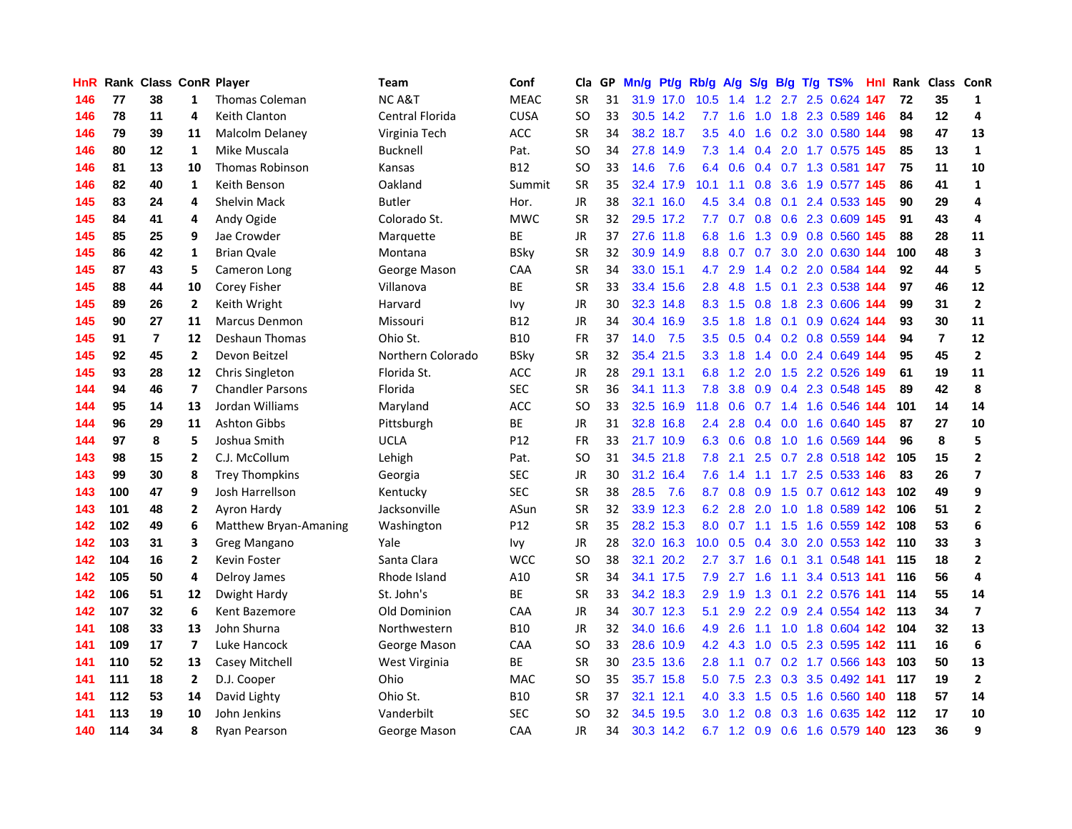| HnR. |     | Rank Class ConR Player |                |                         | Team              | Conf        | Cla           | GP. | Mn/g Pt/g |           | Rb/g A/g         |                 |           |     | S/g B/g T/g TS%               | Hnl  |     | Rank Class ConR |                         |
|------|-----|------------------------|----------------|-------------------------|-------------------|-------------|---------------|-----|-----------|-----------|------------------|-----------------|-----------|-----|-------------------------------|------|-----|-----------------|-------------------------|
| 146  | 77  | 38                     | 1              | <b>Thomas Coleman</b>   | <b>NCA&amp;T</b>  | <b>MEAC</b> | <b>SR</b>     | 31  |           | 31.9 17.0 | 10.5             | 1.4             | 1.2       | 2.7 | 2.5 0.624                     | 147  | 72  | 35              | 1                       |
| 146  | 78  | 11                     | 4              | Keith Clanton           | Central Florida   | <b>CUSA</b> | SO            | 33  |           | 30.5 14.2 | 7.7              | 1.6             | 1.0       | 1.8 | 2.3 0.589 146                 |      | 84  | 12              | 4                       |
| 146  | 79  | 39                     | 11             | Malcolm Delaney         | Virginia Tech     | ACC         | <b>SR</b>     | 34  |           | 38.2 18.7 | 3.5              | 4.0             | 1.6       | 0.2 | 3.0 0.580 144                 |      | 98  | 47              | 13                      |
| 146  | 80  | 12                     | $\mathbf{1}$   | Mike Muscala            | <b>Bucknell</b>   | Pat.        | SO            | 34  |           | 27.8 14.9 | 7.3              | 1.4             |           |     | 0.4 2.0 1.7 0.575 145         |      | 85  | 13              | $\mathbf{1}$            |
| 146  | 81  | 13                     | 10             | <b>Thomas Robinson</b>  | Kansas            | <b>B12</b>  | SO            | 33  | 14.6      | 7.6       |                  | 6.4 0.6         |           |     | 0.4 0.7 1.3 0.581 147         |      | 75  | 11              | 10                      |
| 146  | 82  | 40                     | 1              | Keith Benson            | Oakland           | Summit      | <b>SR</b>     | 35  |           | 32.4 17.9 | 10.1             | 1.1             |           |     | 0.8 3.6 1.9 0.577 145         |      | 86  | 41              | $\mathbf{1}$            |
| 145  | 83  | 24                     | 4              | <b>Shelvin Mack</b>     | <b>Butler</b>     | Hor.        | JR            | 38  |           | 32.1 16.0 | 4.5              | 3.4             |           |     | 0.8 0.1 2.4 0.533 145         |      | 90  | 29              | 4                       |
| 145  | 84  | 41                     | 4              | Andy Ogide              | Colorado St.      | <b>MWC</b>  | <b>SR</b>     | 32  |           | 29.5 17.2 | 7.7              | 0.7             |           |     | 0.8 0.6 2.3 0.609 145         |      | 91  | 43              | 4                       |
| 145  | 85  | 25                     | 9              | Jae Crowder             | Marquette         | BE          | <b>JR</b>     | 37  |           | 27.6 11.8 | 6.8              | 1.6             | 1.3       |     | 0.9 0.8 0.560 145             |      | 88  | 28              | 11                      |
| 145  | 86  | 42                     | 1              | <b>Brian Qvale</b>      | Montana           | <b>BSky</b> | <b>SR</b>     | 32  |           | 30.9 14.9 | 8.8              | 0.7             | 0.7       |     | 3.0 2.0 0.630 144             |      | 100 | 48              | 3                       |
| 145  | 87  | 43                     | 5              | Cameron Long            | George Mason      | CAA         | <b>SR</b>     | 34  |           | 33.0 15.1 | 4.7              | 2.9             |           |     | 1.4 0.2 2.0 0.584             | -144 | 92  | 44              | 5                       |
| 145  | 88  | 44                     | 10             | Corey Fisher            | Villanova         | BE          | <b>SR</b>     | 33  |           | 33.4 15.6 | 2.8              | 4.8             | 1.5       | 0.1 | 2.3 0.538 144                 |      | 97  | 46              | 12                      |
| 145  | 89  | 26                     | $\mathbf{2}$   | Keith Wright            | Harvard           | <b>Ivy</b>  | JR            | 30  |           | 32.3 14.8 | 8.3              | 1.5             | 0.8       | 1.8 | 2.3 0.606                     | 144  | 99  | 31              | $\mathbf{2}$            |
| 145  | 90  | 27                     | 11             | <b>Marcus Denmon</b>    | Missouri          | <b>B12</b>  | <b>JR</b>     | 34  |           | 30.4 16.9 | 3.5              | 1.8             | 1.8       | 0.1 | $0.9$ $0.624$                 | 144  | 93  | 30              | 11                      |
| 145  | 91  | $\overline{7}$         | 12             | Deshaun Thomas          | Ohio St.          | <b>B10</b>  | <b>FR</b>     | 37  | 14.0      | 7.5       | 3.5              | 0.5             | 0.4       | 0.2 | 0.8 0.559 144                 |      | 94  | $\overline{7}$  | 12                      |
| 145  | 92  | 45                     | $\mathbf{2}$   | Devon Beitzel           | Northern Colorado | <b>BSky</b> | <b>SR</b>     | 32  |           | 35.4 21.5 | 3.3 <sub>2</sub> | 1.8             | 1.4       |     | 0.0 2.4 0.649 144             |      | 95  | 45              | $\overline{\mathbf{c}}$ |
| 145  | 93  | 28                     | 12             | Chris Singleton         | Florida St.       | ACC         | JR            | 28  |           | 29.1 13.1 | 6.8              |                 | $1.2$ 2.0 |     | 1.5 2.2 0.526 149             |      | 61  | 19              | 11                      |
| 144  | 94  | 46                     | $\overline{ }$ | <b>Chandler Parsons</b> | Florida           | <b>SEC</b>  | <b>SR</b>     | 36  |           | 34.1 11.3 | 7.8              |                 |           |     | 3.8 0.9 0.4 2.3 0.548 145     |      | 89  | 42              | 8                       |
| 144  | 95  | 14                     | 13             | Jordan Williams         | Maryland          | <b>ACC</b>  | <sub>SO</sub> | 33  |           | 32.5 16.9 | 11.8             | 0.6             |           |     | 0.7 1.4 1.6 0.546 144         |      | 101 | 14              | 14                      |
| 144  | 96  | 29                     | 11             | <b>Ashton Gibbs</b>     | Pittsburgh        | ВE          | JR            | 31  |           | 32.8 16.8 | 2.4              | 2.8             |           |     | 0.4 0.0 1.6 0.640 145         |      | 87  | 27              | 10                      |
| 144  | 97  | 8                      | 5              | Joshua Smith            | <b>UCLA</b>       | P12         | <b>FR</b>     | 33  |           | 21.7 10.9 |                  | $6.3 \quad 0.6$ | 0.8       |     | 1.0 1.6 0.569 144             |      | 96  | 8               | 5                       |
| 143  | 98  | 15                     | $\overline{2}$ | C.J. McCollum           | Lehigh            | Pat.        | <sub>SO</sub> | 31  |           | 34.5 21.8 | 7.8              | 2.1             |           |     | 2.5 0.7 2.8 0.518 142         |      | 105 | 15              | $\mathbf{2}$            |
| 143  | 99  | 30                     | 8              | <b>Trey Thompkins</b>   | Georgia           | <b>SEC</b>  | JR            | 30  |           | 31.2 16.4 | 7.6              | 1.4             | 1.1       |     | 1.7 2.5 0.533 146             |      | 83  | 26              | $\overline{\mathbf{z}}$ |
| 143  | 100 | 47                     | 9              | Josh Harrellson         | Kentucky          | <b>SEC</b>  | <b>SR</b>     | 38  | 28.5      | 7.6       | 8.7              | 0.8             | 0.9       | 1.5 | 0.7 0.612 143                 |      | 102 | 49              | 9                       |
| 143  | 101 | 48                     | $\overline{2}$ | Ayron Hardy             | Jacksonville      | ASun        | <b>SR</b>     | 32  |           | 33.9 12.3 | 6.2              | 2.8             | 2.0       |     | 1.0 1.8 0.589 142             |      | 106 | 51              | $\mathbf{2}$            |
| 142  | 102 | 49                     | 6              | Matthew Bryan-Amaning   | Washington        | P12         | <b>SR</b>     | 35  |           | 28.2 15.3 | 8.0              | 0.7             | 1.1       | 1.5 | 1.6 0.559 142                 |      | 108 | 53              | 6                       |
| 142  | 103 | 31                     | 3              | Greg Mangano            | Yale              | Ivy         | <b>JR</b>     | 28  |           | 32.0 16.3 | 10.0             | 0.5             | 0.4       | 3.0 | 2.0 0.553 142                 |      | 110 | 33              | 3                       |
| 142  | 104 | 16                     | $\mathbf{2}$   | Kevin Foster            | Santa Clara       | <b>WCC</b>  | SO            | 38  | 32.1      | 20.2      | 2.7              | 3.7             | 1.6       | 0.1 | 3.1 0.548 141                 |      | 115 | 18              | $\mathbf{2}$            |
| 142  | 105 | 50                     | 4              | Delroy James            | Rhode Island      | A10         | <b>SR</b>     | 34  |           | 34.1 17.5 | 7.9              | 2.7             | 1.6       | 1.1 | 3.4 0.513 141                 |      | 116 | 56              | 4                       |
| 142  | 106 | 51                     | 12             | Dwight Hardy            | St. John's        | <b>BE</b>   | <b>SR</b>     | 33  |           | 34.2 18.3 | 2.9              | 1.9             | 1.3       |     | 0.1 2.2 0.576 141             |      | 114 | 55              | 14                      |
| 142  | 107 | 32                     | 6              | Kent Bazemore           | Old Dominion      | CAA         | <b>JR</b>     | 34  |           | 30.7 12.3 | 5.1              |                 |           |     | 2.9 2.2 0.9 2.4 0.554 142 113 |      |     | 34              | $\overline{\mathbf{z}}$ |
| 141  | 108 | 33                     | 13             | John Shurna             | Northwestern      | <b>B10</b>  | JR            | 32  |           | 34.0 16.6 | 4.9              | 2.6             | 1.1       |     | 1.0 1.8 0.604 142 104         |      |     | 32              | 13                      |
| 141  | 109 | 17                     | $\overline{ }$ | Luke Hancock            | George Mason      | CAA         | <sub>SO</sub> | 33  |           | 28.6 10.9 |                  | $4.2 \quad 4.3$ | 1.0       |     | 0.5 2.3 0.595 142             |      | 111 | 16              | 6                       |
| 141  | 110 | 52                     | 13             | Casey Mitchell          | West Virginia     | <b>BE</b>   | SR            | 30  |           | 23.5 13.6 | 2.8              | 1.1             | 0.7       |     | 0.2 1.7 0.566 143             |      | 103 | 50              | 13                      |
| 141  | 111 | 18                     | $\mathbf{2}$   | D.J. Cooper             | Ohio              | <b>MAC</b>  | <b>SO</b>     | 35  |           | 35.7 15.8 | 5.0              | 7.5             | 2.3       |     | 0.3 3.5 0.492 141             |      | 117 | 19              | $\overline{2}$          |
| 141  | 112 | 53                     | 14             | David Lighty            | Ohio St.          | <b>B10</b>  | <b>SR</b>     | 37  |           | 32.1 12.1 | 4.0              | 3.3             | 1.5       | 0.5 | 1.6 0.560                     | 140  | 118 | 57              | 14                      |
| 141  | 113 | 19                     | 10             | John Jenkins            | Vanderbilt        | <b>SEC</b>  | SO            | 32  | 34.5      | 19.5      | 3.0              | 1.2             | 0.8       | 0.3 | 1.6 0.635                     | 42   | 112 | 17              | 10                      |
| 140  | 114 | 34                     | 8              | <b>Ryan Pearson</b>     | George Mason      | CAA         | <b>JR</b>     | 34  |           | 30.3 14.2 |                  |                 |           |     | 6.7 1.2 0.9 0.6 1.6 0.579 140 |      | 123 | 36              | 9                       |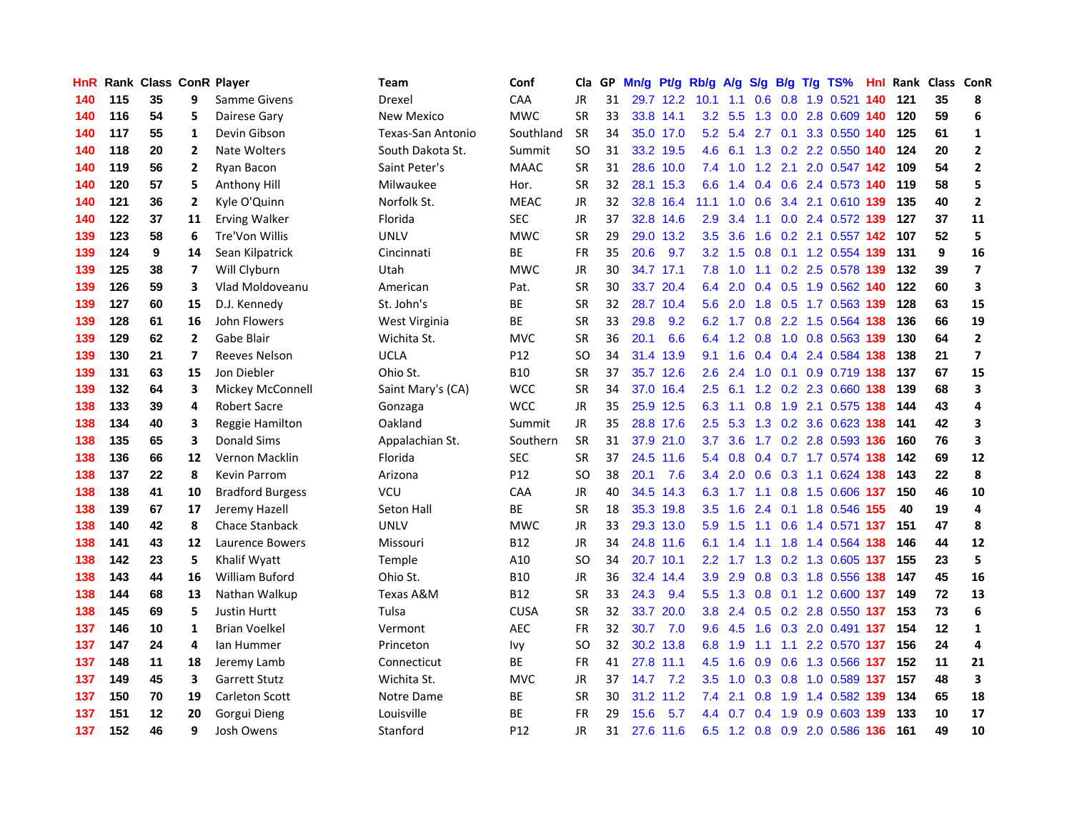| HnR. |     | Rank Class ConR Player |                          |                         | Team              | Conf            | Cla           |    | GP Mn/g Pt/g |           | Rb/g A/g         |                 |                 |                 | S/g B/g T/g TS%                   | Hnl |     | Rank Class ConR |                         |
|------|-----|------------------------|--------------------------|-------------------------|-------------------|-----------------|---------------|----|--------------|-----------|------------------|-----------------|-----------------|-----------------|-----------------------------------|-----|-----|-----------------|-------------------------|
| 140  | 115 | 35                     | 9                        | Samme Givens            | Drexel            | CAA             | <b>JR</b>     | 31 |              | 29.7 12.2 | 10.1             | 1.1             | 0.6             | 0.8             | 1.9 0.521                         | 140 | 121 | 35              | 8                       |
| 140  | 116 | 54                     | 5                        | Dairese Gary            | New Mexico        | <b>MWC</b>      | <b>SR</b>     | 33 |              | 33.8 14.1 | 3.2 <sub>2</sub> | 5.5             | 1.3             | 0.0             | 2.8 0.609 140                     |     | 120 | 59              | 6                       |
| 140  | 117 | 55                     | 1                        | Devin Gibson            | Texas-San Antonio | Southland       | <b>SR</b>     | 34 |              | 35.0 17.0 | 5.2              | 5.4             | 2.7             | 0.1             | 3.3 0.550 140                     |     | 125 | 61              | $\mathbf{1}$            |
| 140  | 118 | 20                     | $\mathbf{2}$             | Nate Wolters            | South Dakota St.  | Summit          | <b>SO</b>     | 31 |              | 33.2 19.5 | 4.6              | 6.1             |                 |                 | 1.3 0.2 2.2 0.550 140             |     | 124 | 20              | $\mathbf{2}$            |
| 140  | 119 | 56                     | 2                        | Ryan Bacon              | Saint Peter's     | <b>MAAC</b>     | <b>SR</b>     | 31 |              | 28.6 10.0 |                  |                 |                 |                 | 7.4 1.0 1.2 2.1 2.0 0.547 142     |     | 109 | 54              | $\mathbf{2}$            |
| 140  | 120 | 57                     | 5                        | Anthony Hill            | Milwaukee         | Hor.            | <b>SR</b>     | 32 |              | 28.1 15.3 |                  | $6.6$ 1.4       |                 |                 | 0.4 0.6 2.4 0.573 140             |     | 119 | 58              | 5                       |
| 140  | 121 | 36                     | $\mathbf{2}$             | Kyle O'Quinn            | Norfolk St.       | <b>MEAC</b>     | JR            | 32 |              | 32.8 16.4 | 11.1             |                 | $1.0 \quad 0.6$ |                 | 3.4 2.1 0.610 139                 |     | 135 | 40              | $\mathbf{2}$            |
| 140  | 122 | 37                     | 11                       | <b>Erving Walker</b>    | Florida           | <b>SEC</b>      | <b>JR</b>     | 37 |              | 32.8 14.6 | 2.9              | 3.4             | 1.1             |                 | 0.0 2.4 0.572 139                 |     | 127 | 37              | 11                      |
| 139  | 123 | 58                     | 6                        | Tre'Von Willis          | <b>UNLV</b>       | <b>MWC</b>      | <b>SR</b>     | 29 |              | 29.0 13.2 | 3.5              | 3.6             | 1.6             |                 | 0.2 2.1 0.557 142                 |     | 107 | 52              | 5                       |
| 139  | 124 | 9                      | 14                       | Sean Kilpatrick         | Cincinnati        | <b>BE</b>       | <b>FR</b>     | 35 | 20.6         | 9.7       | 3.2              | 1.5             | 0.8             |                 | 0.1 1.2 0.554 139                 |     | 131 | 9               | 16                      |
| 139  | 125 | 38                     | 7                        | Will Clyburn            | Utah              | <b>MWC</b>      | JR            | 30 |              | 34.7 17.1 | 7.8              | 1.0             | 1.1             |                 | 0.2 2.5 0.578 139                 |     | 132 | 39              | $\overline{\mathbf{z}}$ |
| 139  | 126 | 59                     | 3                        | Vlad Moldoveanu         | American          | Pat.            | <b>SR</b>     | 30 |              | 33.7 20.4 | 6.4              | 2.0             |                 |                 | 0.4 0.5 1.9 0.562 140             |     | 122 | 60              | 3                       |
| 139  | 127 | 60                     | 15                       | D.J. Kennedy            | St. John's        | ВE              | <b>SR</b>     | 32 |              | 28.7 10.4 | 5.6              | 2.0             | 1.8             | 0.5             | 1.7 0.563 139                     |     | 128 | 63              | 15                      |
| 139  | 128 | 61                     | 16                       | John Flowers            | West Virginia     | BE              | <b>SR</b>     | 33 | 29.8         | 9.2       |                  | 6.2 1.7         | 0.8             |                 | 2.2 1.5 0.564 138                 |     | 136 | 66              | 19                      |
| 139  | 129 | 62                     | $\overline{2}$           | Gabe Blair              | Wichita St.       | <b>MVC</b>      | <b>SR</b>     | 36 | 20.1         | 6.6       | 6.4              | 1.2             | 0.8             | 1.0             | 0.8 0.563 139                     |     | 130 | 64              | $\mathbf{2}$            |
| 139  | 130 | 21                     | $\overline{\phantom{a}}$ | <b>Reeves Nelson</b>    | <b>UCLA</b>       | P <sub>12</sub> | SO            | 34 | 31.4         | 13.9      | 9.1              | 1.6             |                 |                 | 0.4 0.4 2.4 0.584 138             |     | 138 | 21              | $\overline{7}$          |
| 139  | 131 | 63                     | 15                       | Jon Diebler             | Ohio St.          | <b>B10</b>      | <b>SR</b>     | 37 |              | 35.7 12.6 | 2.6 <sup>°</sup> | 2.4             |                 |                 | 1.0 0.1 0.9 0.719 138             |     | 137 | 67              | 15                      |
| 139  | 132 | 64                     | 3                        | Mickey McConnell        | Saint Mary's (CA) | <b>WCC</b>      | <b>SR</b>     | 34 |              | 37.0 16.4 |                  | $2.5$ 6.1       |                 |                 | 1.2 0.2 2.3 0.660 138             |     | 139 | 68              | 3                       |
| 138  | 133 | 39                     | 4                        | <b>Robert Sacre</b>     | Gonzaga           | <b>WCC</b>      | <b>JR</b>     | 35 |              | 25.9 12.5 | 6.3              | 1.1             |                 |                 | 0.8 1.9 2.1 0.575 138             |     | 144 | 43              | 4                       |
| 138  | 134 | 40                     | 3                        | Reggie Hamilton         | Oakland           | Summit          | JR.           | 35 |              | 28.8 17.6 |                  | $2.5$ 5.3       |                 |                 | 1.3 0.2 3.6 0.623 138             |     | 141 | 42              | 3                       |
| 138  | 135 | 65                     | 3                        | <b>Donald Sims</b>      | Appalachian St.   | Southern        | <b>SR</b>     | 31 |              | 37.9 21.0 | 3.7              | 3.6             |                 |                 | 1.7 0.2 2.8 0.593 136             |     | 160 | 76              | 3                       |
| 138  | 136 | 66                     | 12                       | Vernon Macklin          | Florida           | <b>SEC</b>      | <b>SR</b>     | 37 |              | 24.5 11.6 | 5.4              | 0.8             |                 |                 | 0.4 0.7 1.7 0.574 138             |     | 142 | 69              | 12                      |
| 138  | 137 | 22                     | 8                        | <b>Kevin Parrom</b>     | Arizona           | P <sub>12</sub> | <b>SO</b>     | 38 | 20.1         | 7.6       | $3.4^{\circ}$    | 2.0             | 0.6             |                 | 0.3 1.1 0.624 138                 |     | 143 | 22              | 8                       |
| 138  | 138 | 41                     | 10                       | <b>Bradford Burgess</b> | <b>VCU</b>        | CAA             | <b>JR</b>     | 40 |              | 34.5 14.3 | 6.3              | 1.7             |                 |                 | 1.1 0.8 1.5 0.606 137             |     | 150 | 46              | 10                      |
| 138  | 139 | 67                     | 17                       | Jeremy Hazell           | <b>Seton Hall</b> | <b>BE</b>       | <b>SR</b>     | 18 |              | 35.3 19.8 | 3.5              | 1.6             |                 |                 | 2.4 0.1 1.8 0.546 155             |     | 40  | 19              | 4                       |
| 138  | 140 | 42                     | 8                        | <b>Chace Stanback</b>   | <b>UNLV</b>       | <b>MWC</b>      | JR            | 33 |              | 29.3 13.0 | 5.9              | 1.5             | 1.1             | 0.6             | 1.4 0.571 137                     |     | 151 | 47              | 8                       |
| 138  | 141 | 43                     | 12                       | Laurence Bowers         | Missouri          | <b>B12</b>      | JR.           | 34 |              | 24.8 11.6 |                  | $6.1 \quad 1.4$ | 1.1             | 1.8             | 1.4 0.564                         | 138 | 146 | 44              | 12                      |
| 138  | 142 | 23                     | 5                        | Khalif Wyatt            | Temple            | A10             | SO            | 34 |              | 20.7 10.1 | 2.2 <sub>2</sub> | 1.7             | 1.3             |                 | 0.2 1.3 0.605 137                 |     | 155 | 23              | 5                       |
| 138  | 143 | 44                     | 16                       | <b>William Buford</b>   | Ohio St.          | <b>B10</b>      | <b>JR</b>     | 36 |              | 32.4 14.4 | 3.9              | 2.9             | 0.8             |                 | 0.3 1.8 0.556 138                 |     | 147 | 45              | 16                      |
| 138  | 144 | 68                     | 13                       | Nathan Walkup           | Texas A&M         | <b>B12</b>      | <b>SR</b>     | 33 | 24.3         | 9.4       | 5.5              |                 |                 |                 | 1.3 0.8 0.1 1.2 0.600 137         |     | 149 | 72              | 13                      |
| 138  | 145 | 69                     | 5                        | <b>Justin Hurtt</b>     | Tulsa             | <b>CUSA</b>     | <b>SR</b>     | 32 |              | 33.7 20.0 |                  |                 |                 |                 | 3.8 2.4 0.5 0.2 2.8 0.550 137 153 |     |     | 73              | 6                       |
| 137  | 146 | 10                     | 1                        | <b>Brian Voelkel</b>    | Vermont           | <b>AEC</b>      | <b>FR</b>     | 32 | 30.7         | 7.0       |                  | 9.6 4.5         |                 |                 | 1.6 0.3 2.0 0.491 137 154         |     |     | 12              | $\mathbf{1}$            |
| 137  | 147 | 24                     | 4                        | lan Hummer              | Princeton         | Ivy             | <sub>SO</sub> | 32 |              | 30.2 13.8 | 6.8              | 1.9             | 1.1             |                 | 1.1 2.2 0.570 137                 |     | 156 | 24              | 4                       |
| 137  | 148 | 11                     | 18                       | Jeremy Lamb             | Connecticut       | <b>BE</b>       | <b>FR</b>     | 41 |              | 27.8 11.1 | 4.5              | 1.6             | 0.9             |                 | 0.6 1.3 0.566 137                 |     | 152 | 11              | 21                      |
| 137  | 149 | 45                     | 3                        | <b>Garrett Stutz</b>    | Wichita St.       | <b>MVC</b>      | <b>JR</b>     | 37 | 14.7         | 7.2       | $3.5^{\circ}$    | 1.0             |                 | $0.3 \quad 0.8$ | 1.0 0.589 137                     |     | 157 | 48              | 3                       |
| 137  | 150 | 70                     | 19                       | <b>Carleton Scott</b>   | Notre Dame        | BE              | <b>SR</b>     | 30 | 31.2         | 11.2      | 7.4              | 2.1             | 0.8             | 1.9             | 1.4 0.582 139                     |     | 134 | 65              | 18                      |
| 137  | 151 | 12                     | 20                       | Gorgui Dieng            | Louisville        | ВE              | <b>FR</b>     | 29 | 15.6         | 5.7       | $4.4^{\circ}$    | 0.7             | 0.4             | 1.9             | 0.9 0.603                         | 139 | 133 | 10              | 17                      |
| 137  | 152 | 46                     | 9                        | Josh Owens              | Stanford          | P12             | <b>JR</b>     | 31 |              | 27.6 11.6 |                  |                 |                 |                 | 6.5 1.2 0.8 0.9 2.0 0.586 136     |     | 161 | 49              | 10                      |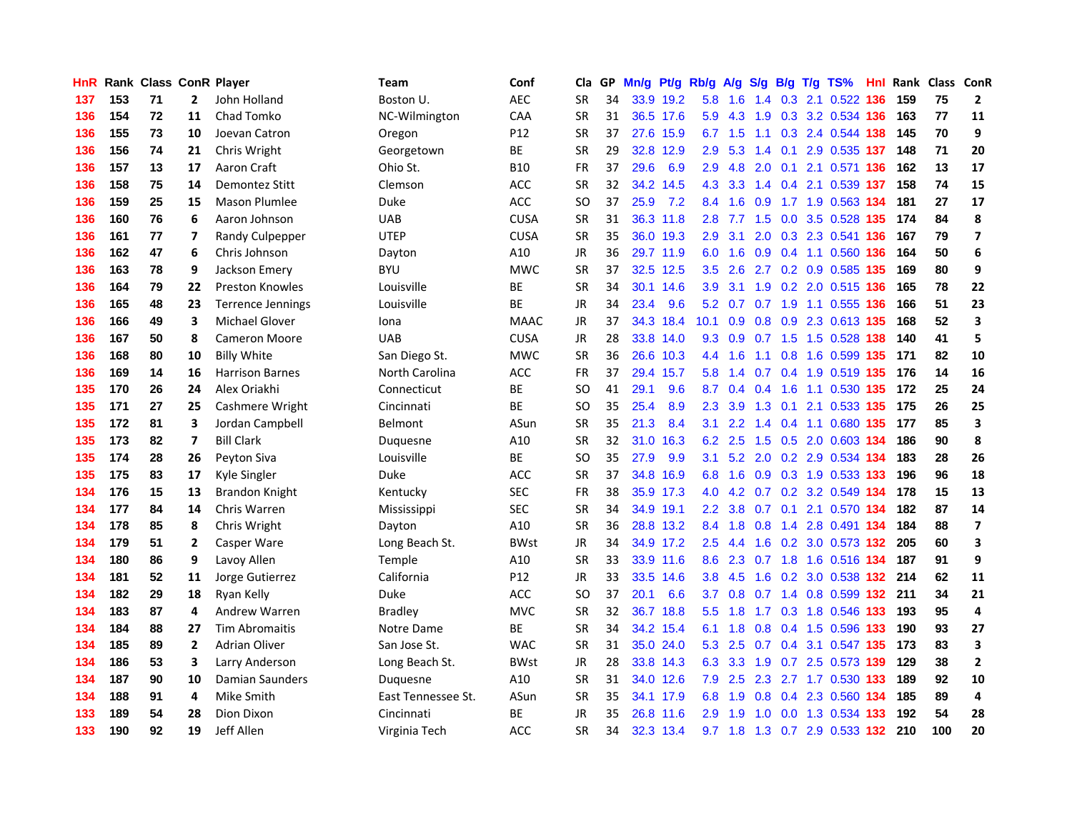| HnR |     | Rank Class ConR Player |                         |                        | Team               | Conf        | Cla       |    | GP Mn/g | Pt/g Rb/g |                  | <b>A/g</b>      | <b>S/g</b>      |     | B/g T/g TS%               | Hnl  |     | Rank Class ConR |                          |
|-----|-----|------------------------|-------------------------|------------------------|--------------------|-------------|-----------|----|---------|-----------|------------------|-----------------|-----------------|-----|---------------------------|------|-----|-----------------|--------------------------|
| 137 | 153 | 71                     | $\mathbf{2}$            | John Holland           | Boston U.          | <b>AEC</b>  | <b>SR</b> | 34 |         | 33.9 19.2 | 5.8              | 1.6             | 1.4             | 0.3 | 2.1 0.522                 | 136  | 159 | 75              | $\overline{2}$           |
| 136 | 154 | 72                     | 11                      | Chad Tomko             | NC-Wilmington      | CAA         | <b>SR</b> | 31 |         | 36.5 17.6 | 5.9              | 4.3             | 1.9             | 0.3 | 3.2 0.534 136             |      | 163 | 77              | 11                       |
| 136 | 155 | 73                     | 10                      | Joevan Catron          | Oregon             | P12         | <b>SR</b> | 37 |         | 27.6 15.9 | 6.7              | 1.5             | 1.1             |     | 0.3 2.4 0.544 138         |      | 145 | 70              | 9                        |
| 136 | 156 | 74                     | 21                      | Chris Wright           | Georgetown         | ВE          | <b>SR</b> | 29 |         | 32.8 12.9 | 2.9 <sup>°</sup> | 5.3             |                 |     | 1.4 0.1 2.9 0.535 137     |      | 148 | 71              | 20                       |
| 136 | 157 | 13                     | 17                      | Aaron Craft            | Ohio St.           | <b>B10</b>  | FR        | 37 | 29.6    | 6.9       | 2.9              |                 | 4.8 2.0         |     | 0.1 2.1 0.571 136         |      | 162 | 13              | 17                       |
| 136 | 158 | 75                     | 14                      | Demontez Stitt         | Clemson            | <b>ACC</b>  | <b>SR</b> | 32 |         | 34.2 14.5 | 4.3              | 3.3             |                 |     | 1.4 0.4 2.1 0.539 137     |      | 158 | 74              | 15                       |
| 136 | 159 | 25                     | 15                      | <b>Mason Plumlee</b>   | Duke               | ACC         | SO        | 37 | 25.9    | 7.2       | 8.4              | 1.6             | 0.9             |     | 1.7 1.9 0.563 134         |      | 181 | 27              | 17                       |
| 136 | 160 | 76                     | 6                       | Aaron Johnson          | <b>UAB</b>         | <b>CUSA</b> | <b>SR</b> | 31 |         | 36.3 11.8 | 2.8 <sup>°</sup> | 7.7             | 1.5             |     | 0.0 3.5 0.528 135         |      | 174 | 84              | 8                        |
| 136 | 161 | 77                     | 7                       | Randy Culpepper        | <b>UTEP</b>        | <b>CUSA</b> | <b>SR</b> | 35 |         | 36.0 19.3 | 2.9              | 3.1             | 2.0             |     | 0.3 2.3 0.541 136         |      | 167 | 79              | $\overline{\mathbf{z}}$  |
| 136 | 162 | 47                     | 6                       | Chris Johnson          | Dayton             | A10         | JR        | 36 |         | 29.7 11.9 | 6.0              | 1.6             | 0.9             |     | 0.4 1.1 0.560 136         |      | 164 | 50              | 6                        |
| 136 | 163 | 78                     | 9                       | Jackson Emery          | <b>BYU</b>         | <b>MWC</b>  | <b>SR</b> | 37 |         | 32.5 12.5 | 3.5              | 2.6             |                 |     | 2.7 0.2 0.9 0.585 135     |      | 169 | 80              | 9                        |
| 136 | 164 | 79                     | 22                      | <b>Preston Knowles</b> | Louisville         | BE          | <b>SR</b> | 34 |         | 30.1 14.6 | 3.9              | 3.1             | 1.9             |     | 0.2 2.0 0.515 136         |      | 165 | 78              | 22                       |
| 136 | 165 | 48                     | 23                      | Terrence Jennings      | Louisville         | <b>BE</b>   | JR        | 34 | 23.4    | 9.6       | 5.2              | 0.7             | 0.7             | 1.9 | 1.1 0.555                 | -136 | 166 | 51              | 23                       |
| 136 | 166 | 49                     | 3                       | <b>Michael Glover</b>  | Iona               | <b>MAAC</b> | JR        | 37 |         | 34.3 18.4 | 10.1             | 0.9             | 0.8             | 0.9 | 2.3 0.613 135             |      | 168 | 52              | 3                        |
| 136 | 167 | 50                     | 8                       | <b>Cameron Moore</b>   | <b>UAB</b>         | <b>CUSA</b> | JR        | 28 |         | 33.8 14.0 | 9.3              | 0.9             | 0.7             | 1.5 | 1.5 0.528                 | 138  | 140 | 41              | 5                        |
| 136 | 168 | 80                     | 10                      | <b>Billy White</b>     | San Diego St.      | <b>MWC</b>  | <b>SR</b> | 36 | 26.6    | 10.3      | 4.4              | 1.6             | 1.1             | 0.8 | 1.6 0.599 135             |      | 171 | 82              | 10                       |
| 136 | 169 | 14                     | 16                      | <b>Harrison Barnes</b> | North Carolina     | <b>ACC</b>  | <b>FR</b> | 37 |         | 29.4 15.7 | 5.8              | 1.4             |                 |     | 0.7 0.4 1.9 0.519 135     |      | 176 | 14              | 16                       |
| 135 | 170 | 26                     | 24                      | Alex Oriakhi           | Connecticut        | ВE          | <b>SO</b> | 41 | 29.1    | 9.6       | 8.7              |                 | $0.4 \quad 0.4$ |     | 1.6 1.1 0.530 135         |      | 172 | 25              | 24                       |
| 135 | 171 | 27                     | 25                      | Cashmere Wright        | Cincinnati         | <b>BE</b>   | SO        | 35 | 25.4    | 8.9       | $2.3^{\circ}$    | 3.9             |                 |     | 1.3 0.1 2.1 0.533 135     |      | 175 | 26              | 25                       |
| 135 | 172 | 81                     | 3                       | Jordan Campbell        | <b>Belmont</b>     | ASun        | <b>SR</b> | 35 | 21.3    | 8.4       | 3.1              | 2.2             |                 |     | 1.4 0.4 1.1 0.680 135     |      | 177 | 85              | 3                        |
| 135 | 173 | 82                     | $\overline{\mathbf{z}}$ | <b>Bill Clark</b>      | Duquesne           | A10         | SR        | 32 | 31.0    | 16.3      | 6.2              | 2.5             |                 |     | 1.5 0.5 2.0 0.603 134     |      | 186 | 90              | 8                        |
| 135 | 174 | 28                     | 26                      | Peyton Siva            | Louisville         | BE          | SO        | 35 | 27.9    | 9.9       | 3.1              |                 |                 |     | 5.2 2.0 0.2 2.9 0.534 134 |      | 183 | 28              | 26                       |
| 135 | 175 | 83                     | 17                      | Kyle Singler           | Duke               | <b>ACC</b>  | <b>SR</b> | 37 | 34.8    | 16.9      | 6.8              | 1.6             | 0.9             |     | 0.3 1.9 0.533 133         |      | 196 | 96              | 18                       |
| 134 | 176 | 15                     | 13                      | Brandon Knight         | Kentucky           | <b>SEC</b>  | FR        | 38 |         | 35.9 17.3 | 4.0              | 4.2             |                 |     | 0.7 0.2 3.2 0.549 134     |      | 178 | 15              | 13                       |
| 134 | 177 | 84                     | 14                      | Chris Warren           | Mississippi        | <b>SEC</b>  | <b>SR</b> | 34 |         | 34.9 19.1 | 2.2 <sub>2</sub> | 3.8             |                 |     | 0.7 0.1 2.1 0.570 134     |      | 182 | 87              | 14                       |
| 134 | 178 | 85                     | 8                       | Chris Wright           | Dayton             | A10         | <b>SR</b> | 36 |         | 28.8 13.2 | 8.4              | 1.8             | 0.8             |     | 1.4 2.8 0.491 134         |      | 184 | 88              | $\overline{\phantom{a}}$ |
| 134 | 179 | 51                     | $\mathbf{2}$            | Casper Ware            | Long Beach St.     | <b>BWst</b> | JR.       | 34 |         | 34.9 17.2 | 2.5              | 4.4             | 1.6             | 0.2 | 3.0 0.573 132             |      | 205 | 60              | 3                        |
| 134 | 180 | 86                     | 9                       | Lavoy Allen            | <b>Temple</b>      | A10         | <b>SR</b> | 33 |         | 33.9 11.6 | 8.6              | 2.3             | 0.7             | 1.8 | 1.6 0.516 134             |      | 187 | 91              | 9                        |
| 134 | 181 | 52                     | 11                      | Jorge Gutierrez        | California         | P12         | JR        | 33 |         | 33.5 14.6 | 3.8              | 4.5             | 1.6             | 0.2 | 3.0 0.538 132             |      | 214 | 62              | 11                       |
| 134 | 182 | 29                     | 18                      | Ryan Kelly             | Duke               | ACC         | <b>SO</b> | 37 | 20.1    | 6.6       | 3.7              | 0.8             |                 |     | 0.7 1.4 0.8 0.599 132     |      | 211 | 34              | 21                       |
| 134 | 183 | 87                     | 4                       | <b>Andrew Warren</b>   | <b>Bradley</b>     | <b>MVC</b>  | <b>SR</b> | 32 |         | 36.7 18.8 | $5.5^{\circ}$    | 1.8             |                 |     | 1.7 0.3 1.8 0.546 133     |      | 193 | 95              | 4                        |
| 134 | 184 | 88                     | 27                      | <b>Tim Abromaitis</b>  | Notre Dame         | ВE          | <b>SR</b> | 34 |         | 34.2 15.4 |                  | $6.1 \quad 1.8$ |                 |     | 0.8 0.4 1.5 0.596 133     |      | 190 | 93              | 27                       |
| 134 | 185 | 89                     | $\overline{2}$          | <b>Adrian Oliver</b>   | San Jose St.       | <b>WAC</b>  | <b>SR</b> | 31 |         | 35.0 24.0 | 5.3              | 2.5             |                 |     | 0.7 0.4 3.1 0.547 135     |      | 173 | 83              | 3                        |
| 134 | 186 | 53                     | 3                       | Larry Anderson         | Long Beach St.     | <b>BWst</b> | JR        | 28 |         | 33.8 14.3 | 6.3              | 3.3             | 1.9             |     | 0.7 2.5 0.573 139         |      | 129 | 38              | $\mathbf{2}$             |
| 134 | 187 | 90                     | 10                      | Damian Saunders        | Duquesne           | A10         | <b>SR</b> | 31 |         | 34.0 12.6 | 7.9              | 2.5             | 2.3             |     | 2.7 1.7 0.530 133         |      | 189 | 92              | 10                       |
| 134 | 188 | 91                     | 4                       | Mike Smith             | East Tennessee St. | ASun        | <b>SR</b> | 35 |         | 34.1 17.9 | 6.8              | 1.9             | 0.8             |     | 0.4 2.3 0.560             | 134  | 185 | 89              | 4                        |
| 133 | 189 | 54                     | 28                      | Dion Dixon             | Cincinnati         | ВE          | JR.       | 35 |         | 26.8 11.6 | 2.9              | 1.9             | 1.0             | 0.0 | 1.3 0.534                 | 133  | 192 | 54              | 28                       |
| 133 | 190 | 92                     | 19                      | Jeff Allen             | Virginia Tech      | ACC         | <b>SR</b> | 34 |         | 32.3 13.4 |                  | $9.7$ 1.8       |                 |     | 1.3 0.7 2.9 0.533 132     |      | 210 | 100             | 20                       |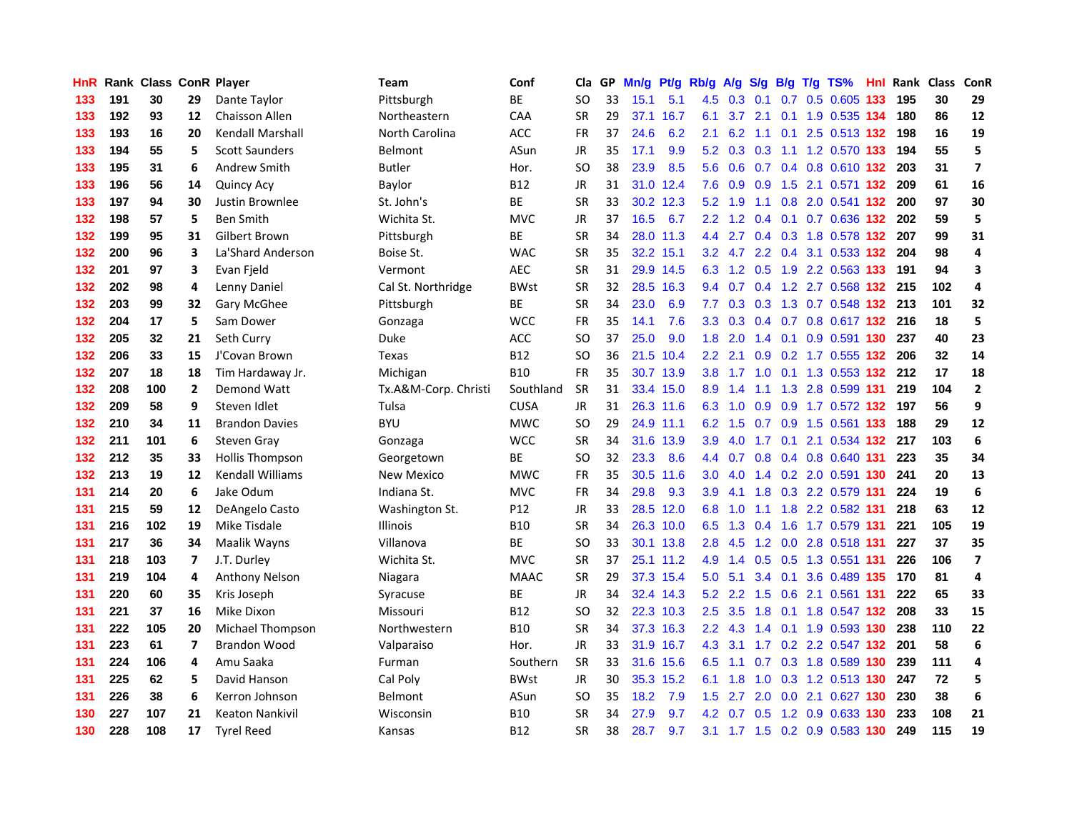| HnR |     | <b>Rank Class ConR Player</b> |                |                         | Team                 | Conf        | Cla           |    | GP Mn/g | Pt/g      | Rb/g             | <b>A/g</b>      |                  |                 | S/g B/g T/g TS%                   | Hnl | Rank Class |     | ConR                    |
|-----|-----|-------------------------------|----------------|-------------------------|----------------------|-------------|---------------|----|---------|-----------|------------------|-----------------|------------------|-----------------|-----------------------------------|-----|------------|-----|-------------------------|
| 133 | 191 | 30                            | 29             | Dante Taylor            | Pittsburgh           | BE          | SO            | 33 | 15.1    | 5.1       | 4.5              | 0.3             | 0.1              | 0.7             | 0.5 0.605                         | 133 | 195        | 30  | 29                      |
| 133 | 192 | 93                            | 12             | <b>Chaisson Allen</b>   | Northeastern         | CAA         | <b>SR</b>     | 29 |         | 37.1 16.7 | 6.1              | 3.7             | 2.1              | 0.1             | 1.9 0.535 134                     |     | 180        | 86  | 12                      |
| 133 | 193 | 16                            | 20             | <b>Kendall Marshall</b> | North Carolina       | ACC         | <b>FR</b>     | 37 | 24.6    | 6.2       | 2.1              | 6.2             | 1.1              | 0.1             | 2.5 0.513 132                     |     | 198        | 16  | 19                      |
| 133 | 194 | 55                            | 5              | <b>Scott Saunders</b>   | Belmont              | ASun        | JR            | 35 | 17.1    | 9.9       |                  | $5.2$ 0.3 0.3   |                  |                 | 1.1 1.2 0.570 133                 |     | 194        | 55  | 5                       |
| 133 | 195 | 31                            | 6              | <b>Andrew Smith</b>     | <b>Butler</b>        | Hor.        | <sub>SO</sub> | 38 | 23.9    | 8.5       |                  |                 |                  |                 | 5.6 0.6 0.7 0.4 0.8 0.610 132 203 |     |            | 31  | 7                       |
| 133 | 196 | 56                            | 14             | <b>Quincy Acy</b>       | Baylor               | <b>B12</b>  | JR            | 31 |         | 31.0 12.4 | 7.6              | 0.9             |                  |                 | 0.9 1.5 2.1 0.571 132             |     | 209        | 61  | 16                      |
| 133 | 197 | 94                            | 30             | Justin Brownlee         | St. John's           | <b>BE</b>   | <b>SR</b>     | 33 |         | 30.2 12.3 |                  | $5.2$ 1.9       |                  |                 | 1.1 0.8 2.0 0.541 132             |     | 200        | 97  | 30                      |
| 132 | 198 | 57                            | 5              | <b>Ben Smith</b>        | Wichita St.          | <b>MVC</b>  | <b>JR</b>     | 37 | 16.5    | 6.7       | $2.2^{\circ}$    | 1.2             |                  |                 | 0.4 0.1 0.7 0.636 132             |     | 202        | 59  | 5                       |
| 132 | 199 | 95                            | 31             | Gilbert Brown           | Pittsburgh           | BE          | <b>SR</b>     | 34 | 28.0    | 11.3      | 4.4              | 2.7             |                  |                 | 0.4 0.3 1.8 0.578 132             |     | 207        | 99  | 31                      |
| 132 | 200 | 96                            | 3              | La'Shard Anderson       | Boise St.            | <b>WAC</b>  | <b>SR</b>     | 35 |         | 32.2 15.1 |                  |                 |                  |                 | 3.2 4.7 2.2 0.4 3.1 0.533 132     |     | 204        | 98  | 4                       |
| 132 | 201 | 97                            | 3              | Evan Field              | Vermont              | AEC         | <b>SR</b>     | 31 |         | 29.9 14.5 | 6.3              |                 | $1.2 \quad 0.5$  |                 | 1.9 2.2 0.563 133                 |     | 191        | 94  | 3                       |
| 132 | 202 | 98                            | 4              | Lenny Daniel            | Cal St. Northridge   | <b>BWst</b> | <b>SR</b>     | 32 |         | 28.5 16.3 |                  | 9.4 0.7         | 0.4              |                 | 1.2 2.7 0.568 132                 |     | 215        | 102 | 4                       |
| 132 | 203 | 99                            | 32             | <b>Gary McGhee</b>      | Pittsburgh           | <b>BE</b>   | <b>SR</b>     | 34 | 23.0    | 6.9       | 7.7              | 0.3             | 0.3              |                 | 1.3 0.7 0.548 132                 |     | 213        | 101 | 32                      |
| 132 | 204 | 17                            | 5              | Sam Dower               | Gonzaga              | <b>WCC</b>  | FR            | 35 | 14.1    | 7.6       | 3.3 <sub>2</sub> | 0.3             |                  |                 | 0.4 0.7 0.8 0.617 132             |     | 216        | 18  | 5                       |
| 132 | 205 | 32                            | 21             | Seth Curry              | Duke                 | <b>ACC</b>  | SO            | 37 | 25.0    | 9.0       | 1.8              | 2.0             | 1.4              | 0.1             | 0.9 0.591 130                     |     | 237        | 40  | 23                      |
| 132 | 206 | 33                            | 15             | J'Covan Brown           | Texas                | <b>B12</b>  | <sub>SO</sub> | 36 |         | 21.5 10.4 | $2.2^{\circ}$    | 2.1             | 0.9 <sup>°</sup> |                 | 0.2 1.7 0.555 132                 |     | 206        | 32  | 14                      |
| 132 | 207 | 18                            | 18             | Tim Hardaway Jr.        | Michigan             | <b>B10</b>  | <b>FR</b>     | 35 |         | 30.7 13.9 | 3.8 <sub>1</sub> | 1.7             |                  |                 | 1.0 0.1 1.3 0.553 132 212         |     |            | 17  | 18                      |
| 132 | 208 | 100                           | $\mathbf{2}$   | Demond Watt             | Tx.A&M-Corp. Christi | Southland   | <b>SR</b>     | 31 |         | 33.4 15.0 |                  | 8.9 1.4         | $-1.1$           |                 | 1.3 2.8 0.599 131                 |     | 219        | 104 | $\mathbf{2}$            |
| 132 | 209 | 58                            | 9              | Steven Idlet            | Tulsa                | <b>CUSA</b> | JR            | 31 |         | 26.3 11.6 |                  | $6.3 \quad 1.0$ |                  |                 | 0.9 0.9 1.7 0.572 132 197         |     |            | 56  | 9                       |
| 132 | 210 | 34                            | 11             | <b>Brandon Davies</b>   | <b>BYU</b>           | <b>MWC</b>  | <b>SO</b>     | 29 |         | 24.9 11.1 |                  | $6.2 \quad 1.5$ |                  |                 | 0.7 0.9 1.5 0.561 133             |     | 188        | 29  | ${\bf 12}$              |
| 132 | 211 | 101                           | 6              | <b>Steven Gray</b>      | Gonzaga              | <b>WCC</b>  | <b>SR</b>     | 34 |         | 31.6 13.9 | 3.9              | 4.0             |                  |                 | 1.7 0.1 2.1 0.534 132             |     | 217        | 103 | 6                       |
| 132 | 212 | 35                            | 33             | <b>Hollis Thompson</b>  | Georgetown           | <b>BE</b>   | <b>SO</b>     | 32 | 23.3    | 8.6       |                  | 4.4 0.7         |                  |                 | 0.8 0.4 0.8 0.640 131             |     | 223        | 35  | 34                      |
| 132 | 213 | 19                            | 12             | <b>Kendall Williams</b> | New Mexico           | <b>MWC</b>  | <b>FR</b>     | 35 | 30.5    | 11.6      | 3.0 <sub>1</sub> | 4.0             |                  |                 | 1.4 0.2 2.0 0.591 130             |     | 241        | 20  | 13                      |
| 131 | 214 | 20                            | 6              | Jake Odum               | Indiana St.          | <b>MVC</b>  | <b>FR</b>     | 34 | 29.8    | 9.3       | 3.9              | 4.1             |                  |                 | 1.8 0.3 2.2 0.579 131             |     | 224        | 19  | 6                       |
| 131 | 215 | 59                            | 12             | DeAngelo Casto          | Washington St.       | P12         | JR            | 33 |         | 28.5 12.0 | 6.8              | 1.0             | 1.1              |                 | 1.8 2.2 0.582 131                 |     | 218        | 63  | ${\bf 12}$              |
| 131 | 216 | 102                           | 19             | Mike Tisdale            | <b>Illinois</b>      | <b>B10</b>  | <b>SR</b>     | 34 |         | 26.3 10.0 | 6.5              | 1.3             | 0.4              | 1.6             | 1.7 0.579 131                     |     | 221        | 105 | 19                      |
| 131 | 217 | 36                            | 34             | Maalik Wayns            | Villanova            | <b>BE</b>   | <b>SO</b>     | 33 |         | 30.1 13.8 | 2.8              | 4.5             |                  | $1.2 \quad 0.0$ | 2.8 0.518 131                     |     | 227        | 37  | 35                      |
| 131 | 218 | 103                           | $\overline{ }$ | J.T. Durley             | Wichita St.          | <b>MVC</b>  | <b>SR</b>     | 37 |         | 25.1 11.2 | 4.9              | 1.4             | 0.5              |                 | 0.5 1.3 0.551 131                 |     | 226        | 106 | $\overline{\mathbf{z}}$ |
| 131 | 219 | 104                           | 4              | <b>Anthony Nelson</b>   | Niagara              | <b>MAAC</b> | SR            | 29 |         | 37.3 15.4 | 5.0              | 5.1             |                  | $3.4$ 0.1       | 3.6 0.489 135                     |     | 170        | 81  | 4                       |
| 131 | 220 | 60                            | 35             | Kris Joseph             | Syracuse             | ВE          | JR            | 34 |         | 32.4 14.3 | 5.2              | $2.2^{\circ}$   | 1.5              | 0.6             | 2.1 0.561 131                     |     | 222        | 65  | 33                      |
| 131 | 221 | 37                            | 16             | Mike Dixon              | Missouri             | <b>B12</b>  | <b>SO</b>     | 32 |         | 22.3 10.3 | 2.5              | 3.5             |                  | $1.8$ 0.1       | 1.8 0.547 132                     |     | 208        | 33  | 15                      |
| 131 | 222 | 105                           | 20             | Michael Thompson        | Northwestern         | <b>B10</b>  | <b>SR</b>     | 34 |         | 37.3 16.3 |                  | $2.2 \quad 4.3$ |                  |                 | 1.4 0.1 1.9 0.593 130             |     | 238        | 110 | 22                      |
| 131 | 223 | 61                            | 7              | <b>Brandon Wood</b>     | Valparaiso           | Hor.        | <b>JR</b>     | 33 |         | 31.9 16.7 | 4.3              | 3.1             |                  |                 | 1.7 0.2 2.2 0.547 132             |     | 201        | 58  | 6                       |
| 131 | 224 | 106                           | 4              | Amu Saaka               | Furman               | Southern    | <b>SR</b>     | 33 |         | 31.6 15.6 | 6.5              | 1.1             | 0.7              |                 | 0.3 1.8 0.589 130                 |     | 239        | 111 | 4                       |
| 131 | 225 | 62                            | 5              | David Hanson            | Cal Poly             | <b>BWst</b> | <b>JR</b>     | 30 |         | 35.3 15.2 | 6.1              | 1.8             | 1.0              |                 | 0.3 1.2 0.513 130                 |     | 247        | 72  | 5                       |
| 131 | 226 | 38                            | 6              | Kerron Johnson          | Belmont              | ASun        | <b>SO</b>     | 35 | 18.2    | 7.9       | 1.5              | 2.7             | 2.0              | 0.0             | 2.1 0.627 130                     |     | 230        | 38  | 6                       |
| 130 | 227 | 107                           | 21             | <b>Keaton Nankivil</b>  | Wisconsin            | <b>B10</b>  | <b>SR</b>     | 34 | 27.9    | 9.7       | 4.2 <sub>1</sub> | 0.7             | 0.5              | 1.2             | 0.9 0.633                         | 130 | 233        | 108 | 21                      |
| 130 | 228 | 108                           | 17             | <b>Tyrel Reed</b>       | Kansas               | <b>B12</b>  | <b>SR</b>     | 38 | 28.7    | 9.7       |                  |                 |                  |                 | 3.1 1.7 1.5 0.2 0.9 0.583 130     |     | 249        | 115 | 19                      |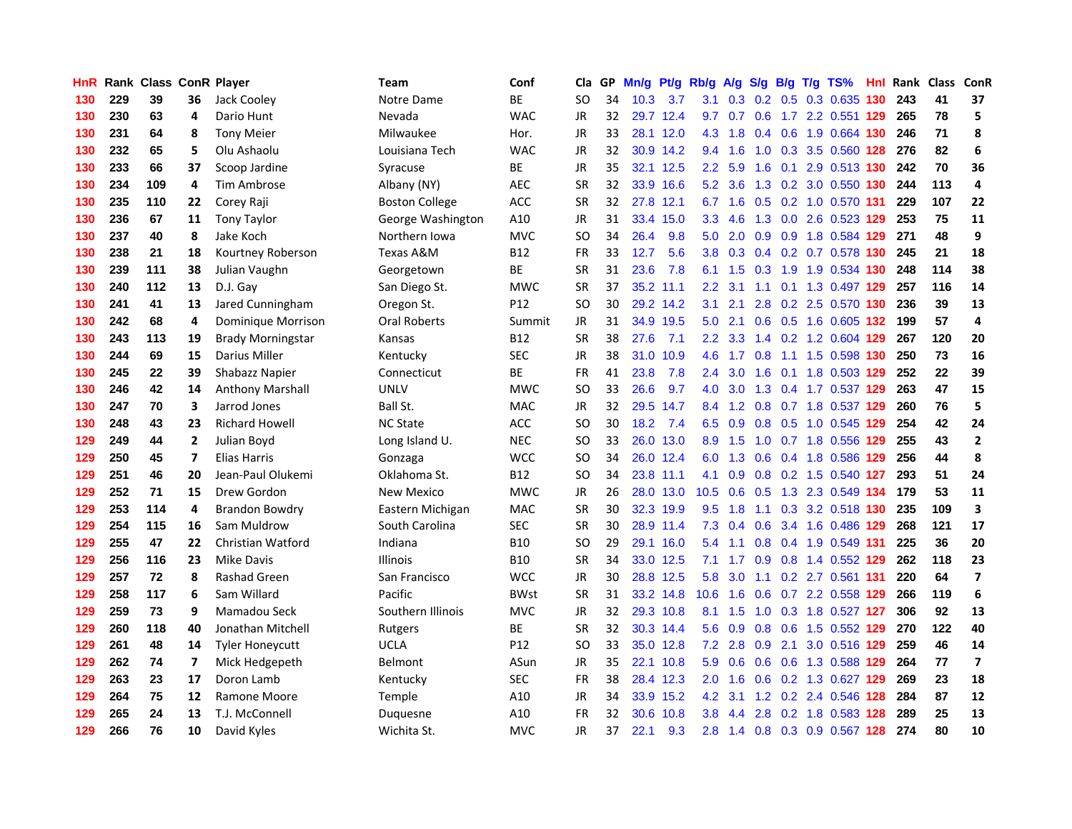| <b>HnR</b> |     | Rank Class ConR Player |                |                          | Team                  | Conf        | Cla       |    | GP Mn/g | Pt/g Rb/g |                  | A/g       | <b>S/g</b> |                | B/g T/g TS%               | Hnl  |     | Rank Class ConR |                          |
|------------|-----|------------------------|----------------|--------------------------|-----------------------|-------------|-----------|----|---------|-----------|------------------|-----------|------------|----------------|---------------------------|------|-----|-----------------|--------------------------|
| 130        | 229 | 39                     | 36             | Jack Cooley              | Notre Dame            | BE          | SO        | 34 | 10.3    | 3.7       | 3.1              | 0.3       | 0.2        | 0.5            | 0.3 0.635                 | 130  | 243 | 41              | 37                       |
| 130        | 230 | 63                     | 4              | Dario Hunt               | Nevada                | <b>WAC</b>  | JR        | 32 |         | 29.7 12.4 | 9.7              | 0.7       | 0.6        |                | 1.7 2.2 0.551 129         |      | 265 | 78              | 5                        |
| 130        | 231 | 64                     | 8              | <b>Tony Meier</b>        | Milwaukee             | Hor.        | JR        | 33 |         | 28.1 12.0 | 4.3              | 1.8       | 0.4        | 0.6            | 1.9 0.664 130             |      | 246 | 71              | 8                        |
| 130        | 232 | 65                     | 5              | Olu Ashaolu              | Louisiana Tech        | <b>WAC</b>  | JR        | 32 |         | 30.9 14.2 | 9.4              | 1.6       |            |                | 1.0 0.3 3.5 0.560 128     |      | 276 | 82              | 6                        |
| 130        | 233 | 66                     | 37             | Scoop Jardine            | Syracuse              | ВE          | JR        | 35 |         | 32.1 12.5 |                  | $2.2$ 5.9 | 1.6        |                | 0.1 2.9 0.513 130         |      | 242 | 70              | 36                       |
| 130        | 234 | 109                    | 4              | Tim Ambrose              | Albany (NY)           | <b>AEC</b>  | <b>SR</b> | 32 |         | 33.9 16.6 |                  | $5.2$ 3.6 |            |                | 1.3 0.2 3.0 0.550 130     |      | 244 | 113             | 4                        |
| 130        | 235 | 110                    | 22             | Corey Raji               | <b>Boston College</b> | <b>ACC</b>  | SR        | 32 |         | 27.8 12.1 | 6.7              | 1.6       |            |                | 0.5 0.2 1.0 0.570 131     |      | 229 | 107             | 22                       |
| 130        | 236 | 67                     | 11             | <b>Tony Taylor</b>       | George Washington     | A10         | JR        | 31 |         | 33.4 15.0 | 3.3 <sub>1</sub> | 4.6       | 1.3        |                | 0.0 2.6 0.523 129         |      | 253 | 75              | 11                       |
| 130        | 237 | 40                     | 8              | Jake Koch                | Northern Iowa         | <b>MVC</b>  | <b>SO</b> | 34 | 26.4    | 9.8       | 5.0              | 2.0       | 0.9        |                | 0.9 1.8 0.584 129         |      | 271 | 48              | 9                        |
| 130        | 238 | 21                     | 18             | Kourtney Roberson        | Texas A&M             | <b>B12</b>  | <b>FR</b> | 33 | 12.7    | 5.6       | 3.8 <sub>1</sub> | 0.3       | 0.4        |                | 0.2 0.7 0.578 130         |      | 245 | 21              | 18                       |
| 130        | 239 | 111                    | 38             | Julian Vaughn            | Georgetown            | BE          | <b>SR</b> | 31 | 23.6    | 7.8       | 6.1              | 1.5       | 0.3        |                | 1.9 1.9 0.534 130         |      | 248 | 114             | 38                       |
| 130        | 240 | 112                    | 13             | D.J. Gay                 | San Diego St.         | <b>MWC</b>  | <b>SR</b> | 37 |         | 35.2 11.1 | $2.2^{\circ}$    | 3.1       | 1.1        | 0.1            | 1.3 0.497 129             |      | 257 | 116             | 14                       |
| 130        | 241 | 41                     | 13             | Jared Cunningham         | Oregon St.            | P12         | <b>SO</b> | 30 |         | 29.2 14.2 | 3.1              | 2.1       | 2.8        |                | 0.2 2.5 0.570 130         |      | 236 | 39              | 13                       |
| 130        | 242 | 68                     | 4              | Dominique Morrison       | Oral Roberts          | Summit      | <b>JR</b> | 31 |         | 34.9 19.5 | 5.0              | 2.1       | 0.6        | 0.5            | 1.6 0.605 132             |      | 199 | 57              | 4                        |
| 130        | 243 | 113                    | 19             | <b>Brady Morningstar</b> | Kansas                | <b>B12</b>  | <b>SR</b> | 38 | 27.6    | 7.1       | 2.2 <sub>2</sub> | 3.3       | 1.4        | 0.2            | 1.2 0.604 129             |      | 267 | 120             | 20                       |
| 130        | 244 | 69                     | 15             | Darius Miller            | Kentucky              | <b>SEC</b>  | JR.       | 38 | 31.0    | 10.9      | 4.6              | 1.7       | 0.8        | 1.1            | 1.5 0.598 130             |      | 250 | 73              | 16                       |
| 130        | 245 | 22                     | 39             | Shabazz Napier           | Connecticut           | ВE          | FR        | 41 | 23.8    | 7.8       | $2.4^{\circ}$    | 3.0       | 1.6        |                | 0.1 1.8 0.503 129         |      | 252 | 22              | 39                       |
| 130        | 246 | 42                     | 14             | <b>Anthony Marshall</b>  | <b>UNLV</b>           | <b>MWC</b>  | <b>SO</b> | 33 | 26.6    | 9.7       | 4.0              | 3.0       |            |                | 1.3 0.4 1.7 0.537 129     |      | 263 | 47              | 15                       |
| 130        | 247 | 70                     | 3              | Jarrod Jones             | Ball St.              | <b>MAC</b>  | JR.       | 32 |         | 29.5 14.7 | 8.4              |           |            |                | 1.2 0.8 0.7 1.8 0.537 129 |      | 260 | 76              | 5                        |
| 130        | 248 | 43                     | 23             | <b>Richard Howell</b>    | <b>NC State</b>       | <b>ACC</b>  | SO        | 30 | 18.2    | 7.4       |                  | 6.5 0.9   |            |                | 0.8 0.5 1.0 0.545 129     |      | 254 | 42              | 24                       |
| 129        | 249 | 44                     | $\overline{2}$ | Julian Boyd              | Long Island U.        | <b>NEC</b>  | SO        | 33 |         | 26.0 13.0 | 8.9              | 1.5       | 1.0        |                | 0.7 1.8 0.556 129         |      | 255 | 43              | $\mathbf{2}$             |
| 129        | 250 | 45                     | 7              | Elias Harris             | Gonzaga               | <b>WCC</b>  | SO        | 34 |         | 26.0 12.4 | 6.0              | 1.3       | 0.6        |                | 0.4 1.8 0.586 129         |      | 256 | 44              | 8                        |
| 129        | 251 | 46                     | 20             | Jean-Paul Olukemi        | Oklahoma St.          | B12         | SO        | 34 |         | 23.8 11.1 | 4.1              | 0.9       |            |                | 0.8 0.2 1.5 0.540 127     |      | 293 | 51              | 24                       |
| 129        | 252 | 71                     | 15             | Drew Gordon              | <b>New Mexico</b>     | <b>MWC</b>  | JR.       | 26 |         | 28.0 13.0 | 10.5             | 0.6       | 0.5        |                | 1.3 2.3 0.549 134         |      | 179 | 53              | 11                       |
| 129        | 253 | 114                    | 4              | <b>Brandon Bowdry</b>    | Eastern Michigan      | MAC         | <b>SR</b> | 30 |         | 32.3 19.9 | 9.5              | 1.8       |            | $1.1 \t 0.3$   | 3.2 0.518 130             |      | 235 | 109             | $\overline{\mathbf{3}}$  |
| 129        | 254 | 115                    | 16             | Sam Muldrow              | South Carolina        | <b>SEC</b>  | <b>SR</b> | 30 |         | 28.9 11.4 | 7.3              | 0.4       | 0.6        |                | 3.4 1.6 0.486             | 129  | 268 | 121             | 17                       |
| 129        | 255 | 47                     | 22             | Christian Watford        | Indiana               | <b>B10</b>  | SO        | 29 |         | 29.1 16.0 | 5.4              | 1.1       | 0.8        |                | 0.4 1.9 0.549 131         |      | 225 | 36              | 20                       |
| 129        | 256 | 116                    | 23             | <b>Mike Davis</b>        | <b>Illinois</b>       | <b>B10</b>  | SR        | 34 |         | 33.0 12.5 | 7.1              | 1.7       | 0.9        |                | 0.8 1.4 0.552 129         |      | 262 | 118             | 23                       |
| 129        | 257 | 72                     | 8              | <b>Rashad Green</b>      | San Francisco         | <b>WCC</b>  | JR.       | 30 |         | 28.8 12.5 | 5.8              | 3.0       | 1.1        |                | $0.2$ 2.7 $0.561$         | -131 | 220 | 64              | $\overline{\phantom{a}}$ |
| 129        | 258 | 117                    | 6              | Sam Willard              | Pacific               | <b>BWst</b> | SR        | 31 |         | 33.2 14.8 | 10.6             | 1.6       | 0.6        |                | 0.7 2.2 0.558 129         |      | 266 | 119             | 6                        |
| 129        | 259 | 73                     | 9              | Mamadou Seck             | Southern Illinois     | <b>MVC</b>  | JR        | 32 |         | 29.3 10.8 | 8.1              | 1.5       |            |                | 1.0 0.3 1.8 0.527 127     |      | 306 | 92              | 13                       |
| 129        | 260 | 118                    | 40             | Jonathan Mitchell        | Rutgers               | <b>BE</b>   | <b>SR</b> | 32 |         | 30.3 14.4 |                  | 5.6 0.9   |            | $0.8\quad 0.6$ | 1.5 0.552 129             |      | 270 | 122             | 40                       |
| 129        | 261 | 48                     | 14             | <b>Tyler Honeycutt</b>   | <b>UCLA</b>           | P12         | SO        | 33 |         | 35.0 12.8 | 7.2              | 2.8       | 0.9        |                | 2.1 3.0 0.516 129         |      | 259 | 46              | 14                       |
| 129        | 262 | 74                     | 7              | Mick Hedgepeth           | <b>Belmont</b>        | ASun        | JR        | 35 |         | 22.1 10.8 | 5.9              | 0.6       | 0.6        |                | 0.6 1.3 0.588 129         |      | 264 | 77              | $\overline{\mathbf{z}}$  |
| 129        | 263 | 23                     | 17             | Doron Lamb               | Kentucky              | <b>SEC</b>  | <b>FR</b> | 38 |         | 28.4 12.3 | 2.0 <sub>1</sub> | 1.6       | 0.6        |                | 0.2 1.3 0.627 129         |      | 269 | 23              | 18                       |
| 129        | 264 | 75                     | 12             | Ramone Moore             | Temple                | A10         | JR        | 34 | 33.9    | 15.2      | 4.2              | 3.1       | 1.2        |                | 0.2 2.4 0.546             | 128  | 284 | 87              | 12                       |
| 129        | 265 | 24                     | 13             | T.J. McConnell           | Duquesne              | A10         | FR        | 32 | 30.6    | 10.8      | 3.8              | 4.4       | 2.8        | 0.2            | 1.8 0.583                 | 128  | 289 | 25              | 13                       |
| 129        | 266 | 76                     | 10             | David Kyles              | Wichita St.           | <b>MVC</b>  | <b>JR</b> | 37 | 22.1    | 9.3       | 2.8              |           |            |                | 1.4 0.8 0.3 0.9 0.567 128 |      | 274 | 80              | 10                       |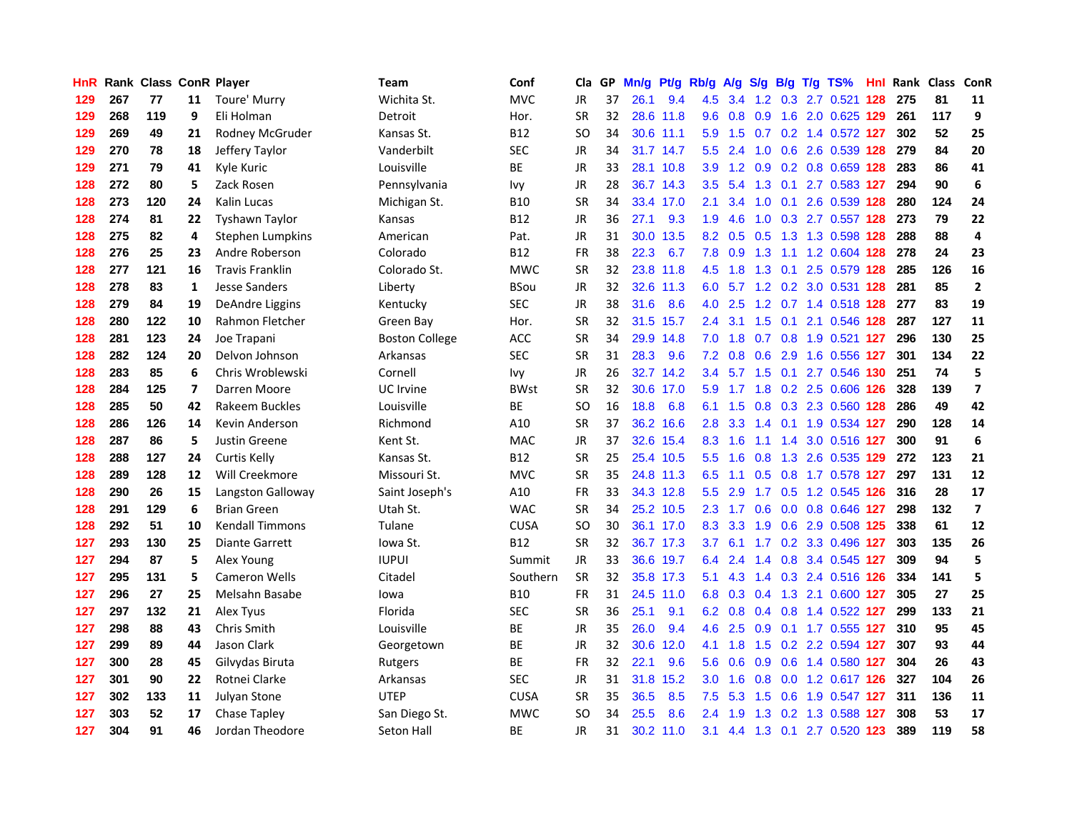| HnR |     | Rank Class ConR Player |                |                         | Team                  | Conf        | Cla       |    | GP Mn/g | Pt/g      | Rb/g             | A/g             |               |                 | S/g B/g T/g TS%               | Hnl  | Rank Class ConR |     |                          |
|-----|-----|------------------------|----------------|-------------------------|-----------------------|-------------|-----------|----|---------|-----------|------------------|-----------------|---------------|-----------------|-------------------------------|------|-----------------|-----|--------------------------|
| 129 | 267 | 77                     | 11             | Toure' Murry            | Wichita St.           | <b>MVC</b>  | <b>JR</b> | 37 | 26.1    | 9.4       | 4.5              | 3.4             | $1.2^{\circ}$ | 0.3             | 2.7 0.521                     | 128  | 275             | 81  | 11                       |
| 129 | 268 | 119                    | 9              | Eli Holman              | Detroit               | Hor.        | <b>SR</b> | 32 |         | 28.6 11.8 | 9.6              | 0.8             | 0.9           | 1.6             | 2.0 0.625 129                 |      | 261             | 117 | 9                        |
| 129 | 269 | 49                     | 21             | Rodney McGruder         | Kansas St.            | <b>B12</b>  | <b>SO</b> | 34 |         | 30.6 11.1 | 5.9              | 1.5             | 0.7           |                 | 0.2 1.4 0.572 127             |      | 302             | 52  | 25                       |
| 129 | 270 | 78                     | 18             | Jeffery Taylor          | Vanderbilt            | <b>SEC</b>  | <b>JR</b> | 34 |         | 31.7 14.7 | 5.5              | 2.4             | 1.0           |                 | 0.6 2.6 0.539 128             |      | 279             | 84  | 20                       |
| 129 | 271 | 79                     | 41             | Kyle Kuric              | Louisville            | ВE          | <b>JR</b> | 33 |         | 28.1 10.8 | 3.9              |                 |               |                 | 1.2 0.9 0.2 0.8 0.659 128     |      | 283             | 86  | 41                       |
| 128 | 272 | 80                     | 5              | Zack Rosen              | Pennsylvania          | Ivy         | <b>JR</b> | 28 |         | 36.7 14.3 | 3.5              | 5.4             |               |                 | 1.3 0.1 2.7 0.583 127         |      | 294             | 90  | 6                        |
| 128 | 273 | 120                    | 24             | Kalin Lucas             | Michigan St.          | <b>B10</b>  | <b>SR</b> | 34 |         | 33.4 17.0 | 2.1              | 3.4             | 1.0           |                 | 0.1 2.6 0.539 128             |      | 280             | 124 | 24                       |
| 128 | 274 | 81                     | 22             | <b>Tyshawn Taylor</b>   | Kansas                | <b>B12</b>  | <b>JR</b> | 36 | 27.1    | 9.3       | 1.9              | 4.6             | 1.0           |                 | 0.3 2.7 0.557 128             |      | 273             | 79  | 22                       |
| 128 | 275 | 82                     | 4              | <b>Stephen Lumpkins</b> | American              | Pat.        | <b>JR</b> | 31 | 30.0    | 13.5      | 8.2              | 0.5             | 0.5           |                 | 1.3 1.3 0.598 128             |      | 288             | 88  | 4                        |
| 128 | 276 | 25                     | 23             | Andre Roberson          | Colorado              | <b>B12</b>  | <b>FR</b> | 38 | 22.3    | 6.7       | 7.8              | 0.9             | 1.3           | 1.1             | 1.2 0.604 128                 |      | 278             | 24  | 23                       |
| 128 | 277 | 121                    | 16             | <b>Travis Franklin</b>  | Colorado St.          | <b>MWC</b>  | <b>SR</b> | 32 |         | 23.8 11.8 | 4.5              | 1.8             |               | $1.3 \quad 0.1$ | 2.5 0.579 128                 |      | 285             | 126 | 16                       |
| 128 | 278 | 83                     | $\mathbf{1}$   | Jesse Sanders           | Liberty               | <b>BSou</b> | <b>JR</b> | 32 |         | 32.6 11.3 | 6.0              | 5.7             | 1.2           | 0.2             | 3.0 0.531 128                 |      | 281             | 85  | $\overline{2}$           |
| 128 | 279 | 84                     | 19             | DeAndre Liggins         | Kentucky              | <b>SEC</b>  | JR        | 38 | 31.6    | 8.6       | 4.0              | 2.5             | 1.2           |                 | 0.7 1.4 0.518 128             |      | 277             | 83  | 19                       |
| 128 | 280 | 122                    | 10             | Rahmon Fletcher         | Green Bay             | Hor.        | SR        | 32 |         | 31.5 15.7 | $2.4^{\circ}$    | 3.1             | 1.5           | 0.1             | 2.1 0.546 128                 |      | 287             | 127 | 11                       |
| 128 | 281 | 123                    | 24             | Joe Trapani             | <b>Boston College</b> | ACC         | <b>SR</b> | 34 |         | 29.9 14.8 | 7.0              | 1.8             | 0.7           | 0.8             | 1.9 0.521 127                 |      | 296             | 130 | 25                       |
| 128 | 282 | 124                    | 20             | Delvon Johnson          | Arkansas              | <b>SEC</b>  | <b>SR</b> | 31 | 28.3    | 9.6       |                  | $7.2 \quad 0.8$ | 0.6           | 2.9             | 1.6 0.556 127                 |      | 301             | 134 | 22                       |
| 128 | 283 | 85                     | 6              | Chris Wroblewski        | Cornell               | Ivy         | JR        | 26 |         | 32.7 14.2 |                  | $3.4\quad 5.7$  |               |                 | 1.5 0.1 2.7 0.546 130         |      | 251             | 74  | 5                        |
| 128 | 284 | 125                    | $\overline{ }$ | Darren Moore            | UC Irvine             | <b>BWst</b> | <b>SR</b> | 32 |         | 30.6 17.0 | 5.9              | $-1.7$          |               |                 | 1.8 0.2 2.5 0.606 126         |      | 328             | 139 | $\overline{\phantom{a}}$ |
| 128 | 285 | 50                     | 42             | Rakeem Buckles          | Louisville            | <b>BE</b>   | <b>SO</b> | 16 | 18.8    | 6.8       |                  | 6.1 1.5         |               |                 | 0.8 0.3 2.3 0.560 128         |      | 286             | 49  | 42                       |
| 128 | 286 | 126                    | 14             | Kevin Anderson          | Richmond              | A10         | <b>SR</b> | 37 |         | 36.2 16.6 | 2.8 <sub>1</sub> | 3.3             |               |                 | 1.4 0.1 1.9 0.534 127         |      | 290             | 128 | 14                       |
| 128 | 287 | 86                     | 5              | Justin Greene           | Kent St.              | <b>MAC</b>  | <b>JR</b> | 37 |         | 32.6 15.4 | 8.3              | 1.6             | 1.1           |                 | 1.4 3.0 0.516 127             |      | 300             | 91  | 6                        |
| 128 | 288 | 127                    | 24             | <b>Curtis Kelly</b>     | Kansas St.            | <b>B12</b>  | <b>SR</b> | 25 |         | 25.4 10.5 | 5.5 <sub>1</sub> | 1.6             | 0.8           |                 | 1.3 2.6 0.535 129             |      | 272             | 123 | 21                       |
| 128 | 289 | 128                    | 12             | Will Creekmore          | Missouri St.          | <b>MVC</b>  | <b>SR</b> | 35 |         | 24.8 11.3 | 6.5              | 1.1             | 0.5           |                 | 0.8 1.7 0.578 127             |      | 297             | 131 | 12                       |
| 128 | 290 | 26                     | 15             | Langston Galloway       | Saint Joseph's        | A10         | <b>FR</b> | 33 |         | 34.3 12.8 | 5.5 <sub>1</sub> | 2.9             |               |                 | 1.7 0.5 1.2 0.545 126         |      | 316             | 28  | 17                       |
| 128 | 291 | 129                    | 6              | <b>Brian Green</b>      | Utah St.              | <b>WAC</b>  | <b>SR</b> | 34 |         | 25.2 10.5 | 2.3              | $-1.7$          | 0.6           |                 | 0.0 0.8 0.646 127             |      | 298             | 132 | $\overline{\mathbf{z}}$  |
| 128 | 292 | 51                     | 10             | <b>Kendall Timmons</b>  | Tulane                | <b>CUSA</b> | <b>SO</b> | 30 |         | 36.1 17.0 | 8.3              | 3.3             | 1.9           | 0.6             | 2.9 0.508                     | -125 | 338             | 61  | 12                       |
| 127 | 293 | 130                    | 25             | <b>Diante Garrett</b>   | lowa St.              | <b>B12</b>  | <b>SR</b> | 32 |         | 36.7 17.3 | 3.7              | 6.1             | 1.7           | 0.2             | 3.3 0.496 127                 |      | 303             | 135 | 26                       |
| 127 | 294 | 87                     | 5              | Alex Young              | <b>IUPUI</b>          | Summit      | <b>JR</b> | 33 |         | 36.6 19.7 | 6.4              | 2.4             | 1.4           |                 | 0.8 3.4 0.545 127             |      | 309             | 94  | 5                        |
| 127 | 295 | 131                    | 5              | <b>Cameron Wells</b>    | Citadel               | Southern    | <b>SR</b> | 32 |         | 35.8 17.3 | 5.1              | 4.3             | 1.4           |                 | 0.3 2.4 0.516 126             |      | 334             | 141 | 5                        |
| 127 | 296 | 27                     | 25             | Melsahn Basabe          | lowa                  | <b>B10</b>  | <b>FR</b> | 31 |         | 24.5 11.0 | 6.8              |                 |               |                 | 0.3 0.4 1.3 2.1 0.600 127     |      | 305             | 27  | 25                       |
| 127 | 297 | 132                    | 21             | Alex Tyus               | Florida               | <b>SEC</b>  | <b>SR</b> | 36 | 25.1    | 9.1       |                  |                 |               |                 | 6.2 0.8 0.4 0.8 1.4 0.522 127 |      | 299             | 133 | 21                       |
| 127 | 298 | 88                     | 43             | Chris Smith             | Louisville            | BE          | <b>JR</b> | 35 | 26.0    | 9.4       |                  | $4.6$ 2.5       |               |                 | 0.9 0.1 1.7 0.555 127         |      | 310             | 95  | 45                       |
| 127 | 299 | 89                     | 44             | Jason Clark             | Georgetown            | ВE          | <b>JR</b> | 32 |         | 30.6 12.0 | 4.1              | 1.8             |               |                 | 1.5 0.2 2.2 0.594 127         |      | 307             | 93  | 44                       |
| 127 | 300 | 28                     | 45             | Gilvydas Biruta         | Rutgers               | ВE          | <b>FR</b> | 32 | 22.1    | 9.6       | 5.6              | 0.6             | 0.9           |                 | 0.6 1.4 0.580 127             |      | 304             | 26  | 43                       |
| 127 | 301 | 90                     | 22             | Rotnei Clarke           | Arkansas              | <b>SEC</b>  | <b>JR</b> | 31 | 31.8    | 15.2      | 3.0              | 1.6             | 0.8           |                 | 0.0 1.2 0.617 126             |      | 327             | 104 | 26                       |
| 127 | 302 | 133                    | 11             | Julyan Stone            | <b>UTEP</b>           | <b>CUSA</b> | <b>SR</b> | 35 | 36.5    | 8.5       | 7.5              | 5.3             | 1.5           | 0.6             | 1.9 0.547 127                 |      | 311             | 136 | 11                       |
| 127 | 303 | 52                     | 17             | Chase Tapley            | San Diego St.         | <b>MWC</b>  | SO        | 34 | 25.5    | 8.6       | $2.4^{\circ}$    | 1.9             | 1.3           | 0.2             | 1.3 0.588                     | 127  | 308             | 53  | 17                       |
| 127 | 304 | 91                     | 46             | Jordan Theodore         | Seton Hall            | <b>BE</b>   | <b>JR</b> | 31 |         | 30.2 11.0 | 3.1              | 4.4             |               |                 | 1.3 0.1 2.7 0.520 123         |      | 389             | 119 | 58                       |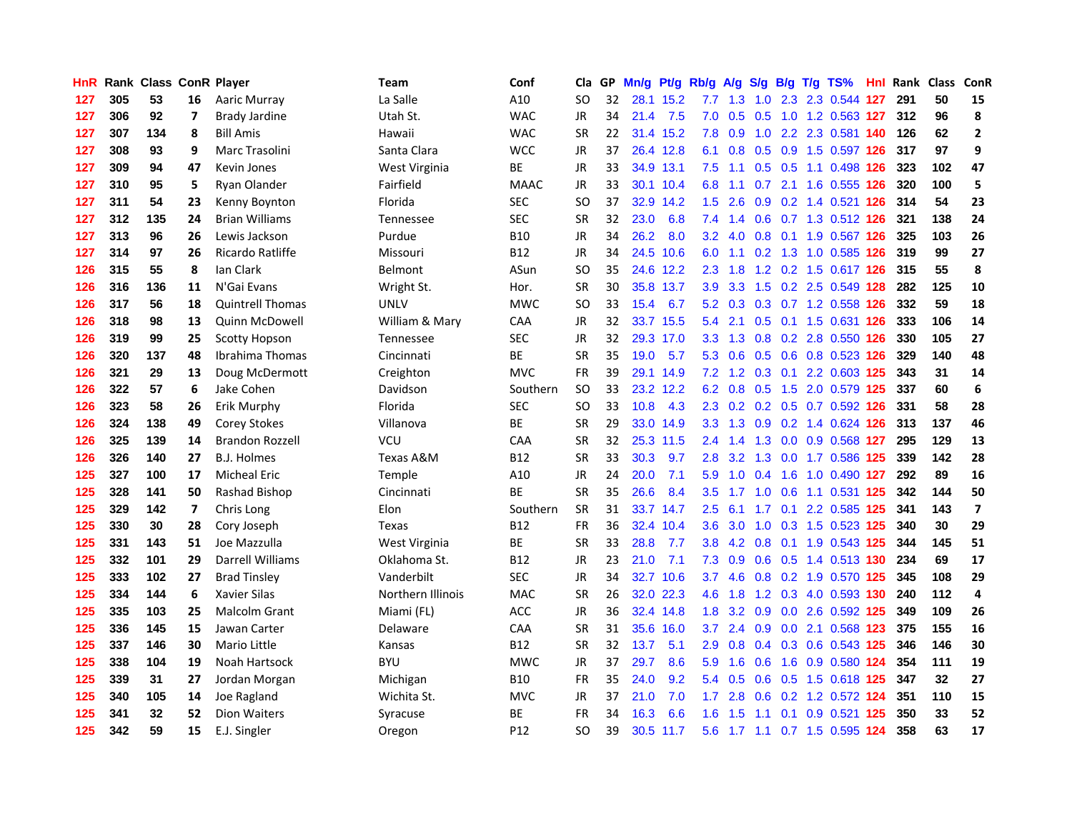| HnR. |     | Rank Class ConR Player |                          |                         | Team              | Conf        | Cla           |    | GP Mn/g Pt/g Rb/g |           |                  | A/g     |                  |     | S/g B/g T/g TS%               | Hnl | <b>Rank Class</b> |     | ConR                    |
|------|-----|------------------------|--------------------------|-------------------------|-------------------|-------------|---------------|----|-------------------|-----------|------------------|---------|------------------|-----|-------------------------------|-----|-------------------|-----|-------------------------|
| 127  | 305 | 53                     | 16                       | Aaric Murray            | La Salle          | A10         | SO            | 32 |                   | 28.1 15.2 | 7.7              | 1.3     | 1.0              | 2.3 | 2.3 0.544                     | 127 | 291               | 50  | 15                      |
| 127  | 306 | 92                     | $\overline{\phantom{a}}$ | <b>Brady Jardine</b>    | Utah St.          | <b>WAC</b>  | <b>JR</b>     | 34 | 21.4              | 7.5       | 7.0              | 0.5     | 0.5              | 1.0 | 1.2 0.563 127                 |     | 312               | 96  | 8                       |
| 127  | 307 | 134                    | 8                        | <b>Bill Amis</b>        | Hawaii            | <b>WAC</b>  | <b>SR</b>     | 22 |                   | 31.4 15.2 | 7.8              | 0.9     | 1.0              |     | 2.2 2.3 0.581 140             |     | 126               | 62  | $\mathbf{2}$            |
| 127  | 308 | 93                     | 9                        | Marc Trasolini          | Santa Clara       | <b>WCC</b>  | <b>JR</b>     | 37 |                   | 26.4 12.8 |                  |         |                  |     | 6.1 0.8 0.5 0.9 1.5 0.597 126 |     | 317               | 97  | 9                       |
| 127  | 309 | 94                     | 47                       | Kevin Jones             | West Virginia     | ВE          | JR            | 33 |                   | 34.9 13.1 | 7.5              | 1.1     |                  |     | 0.5 0.5 1.1 0.498 126         |     | 323               | 102 | 47                      |
| 127  | 310 | 95                     | 5                        | Ryan Olander            | Fairfield         | <b>MAAC</b> | <b>JR</b>     | 33 |                   | 30.1 10.4 | 6.8              | 1.1     |                  |     | 0.7 2.1 1.6 0.555 126         |     | 320               | 100 | 5                       |
| 127  | 311 | 54                     | 23                       | Kenny Boynton           | Florida           | <b>SEC</b>  | <b>SO</b>     | 37 |                   | 32.9 14.2 | $1.5^{\circ}$    | 2.6     |                  |     | 0.9 0.2 1.4 0.521 126         |     | 314               | 54  | 23                      |
| 127  | 312 | 135                    | 24                       | <b>Brian Williams</b>   | Tennessee         | <b>SEC</b>  | <b>SR</b>     | 32 | 23.0              | 6.8       | 7.4              | 1.4     |                  |     | 0.6 0.7 1.3 0.512 126         |     | 321               | 138 | 24                      |
| 127  | 313 | 96                     | 26                       | Lewis Jackson           | Purdue            | <b>B10</b>  | <b>JR</b>     | 34 | 26.2              | 8.0       | 3.2              | 4.0     | 0.8              | 0.1 | 1.9 0.567 126                 |     | 325               | 103 | 26                      |
| 127  | 314 | 97                     | 26                       | Ricardo Ratliffe        | Missouri          | <b>B12</b>  | JR            | 34 |                   | 24.5 10.6 | 6.0              | 1.1     |                  |     | 0.2 1.3 1.0 0.585 126         |     | 319               | 99  | 27                      |
| 126  | 315 | 55                     | 8                        | lan Clark               | Belmont           | ASun        | SO            | 35 |                   | 24.6 12.2 | 2.3              | 1.8     |                  |     | 1.2 0.2 1.5 0.617 126         |     | 315               | 55  | 8                       |
| 126  | 316 | 136                    | 11                       | N'Gai Evans             | Wright St.        | Hor.        | <b>SR</b>     | 30 |                   | 35.8 13.7 | 3.9              | 3.3     |                  |     | 1.5 0.2 2.5 0.549 128         |     | 282               | 125 | 10                      |
| 126  | 317 | 56                     | 18                       | <b>Quintrell Thomas</b> | <b>UNLV</b>       | <b>MWC</b>  | <b>SO</b>     | 33 | 15.4              | 6.7       | 5.2              | 0.3     |                  |     | $0.3$ $0.7$ 1.2 $0.558$       | 126 | 332               | 59  | 18                      |
| 126  | 318 | 98                     | 13                       | Quinn McDowell          | William & Mary    | CAA         | <b>JR</b>     | 32 |                   | 33.7 15.5 | 5.4              | 2.1     | 0.5              |     | 0.1 1.5 0.631 126             |     | 333               | 106 | 14                      |
| 126  | 319 | 99                     | 25                       | <b>Scotty Hopson</b>    | Tennessee         | <b>SEC</b>  | <b>JR</b>     | 32 |                   | 29.3 17.0 | 3.3 <sub>2</sub> | 1.3     | 0.8              |     | 0.2 2.8 0.550 126             |     | 330               | 105 | 27                      |
| 126  | 320 | 137                    | 48                       | Ibrahima Thomas         | Cincinnati        | ВE          | <b>SR</b>     | 35 | 19.0              | 5.7       |                  | 5.3 0.6 |                  |     | 0.5 0.6 0.8 0.523 126         |     | 329               | 140 | 48                      |
| 126  | 321 | 29                     | 13                       | Doug McDermott          | Creighton         | <b>MVC</b>  | <b>FR</b>     | 39 |                   | 29.1 14.9 |                  |         |                  |     | 7.2 1.2 0.3 0.1 2.2 0.603 125 |     | 343               | 31  | ${\bf 14}$              |
| 126  | 322 | 57                     | 6                        | Jake Cohen              | Davidson          | Southern    | <b>SO</b>     | 33 |                   | 23.2 12.2 |                  |         |                  |     | 6.2 0.8 0.5 1.5 2.0 0.579 125 |     | 337               | 60  | 6                       |
| 126  | 323 | 58                     | 26                       | Erik Murphy             | Florida           | <b>SEC</b>  | <sub>SO</sub> | 33 | 10.8              | 4.3       |                  |         |                  |     | 2.3 0.2 0.2 0.5 0.7 0.592 126 |     | 331               | 58  | 28                      |
| 126  | 324 | 138                    | 49                       | Corey Stokes            | Villanova         | ВE          | <b>SR</b>     | 29 |                   | 33.0 14.9 |                  |         |                  |     | 3.3 1.3 0.9 0.2 1.4 0.624 126 |     | 313               | 137 | 46                      |
| 126  | 325 | 139                    | 14                       | <b>Brandon Rozzell</b>  | VCU               | CAA         | <b>SR</b>     | 32 |                   | 25.3 11.5 | 2.4              | 1.4     | 1.3              |     | 0.0 0.9 0.568 127             |     | 295               | 129 | 13                      |
| 126  | 326 | 140                    | 27                       | <b>B.J. Holmes</b>      | Texas A&M         | <b>B12</b>  | <b>SR</b>     | 33 | 30.3              | 9.7       | 2.8              | 3.2     | 1.3              |     | 0.0 1.7 0.586 125             |     | 339               | 142 | 28                      |
| 125  | 327 | 100                    | 17                       | <b>Micheal Eric</b>     | Temple            | A10         | JR            | 24 | 20.0              | 7.1       | 5.9              | 1.0     | 0.4              | 1.6 | 1.0 0.490 127                 |     | 292               | 89  | 16                      |
| 125  | 328 | 141                    | 50                       | Rashad Bishop           | Cincinnati        | <b>BE</b>   | <b>SR</b>     | 35 | 26.6              | 8.4       | 3.5              | 1.7     |                  |     | 1.0 0.6 1.1 0.531 125         |     | 342               | 144 | 50                      |
| 125  | 329 | 142                    | $\overline{ }$           | Chris Long              | Elon              | Southern    | <b>SR</b>     | 31 |                   | 33.7 14.7 | $2.5^{\circ}$    | 6.1     | 1.7 <sub>z</sub> | 0.1 | 2.2 0.585 125                 |     | 341               | 143 | $\overline{\mathbf{z}}$ |
| 125  | 330 | 30                     | 28                       | Cory Joseph             | Texas             | <b>B12</b>  | <b>FR</b>     | 36 |                   | 32.4 10.4 | 3.6              | 3.0     | 1.0              |     | 0.3 1.5 0.523 125             |     | 340               | 30  | 29                      |
| 125  | 331 | 143                    | 51                       | Joe Mazzulla            | West Virginia     | ВE          | <b>SR</b>     | 33 | 28.8              | 7.7       | 3.8              | 4.2     | 0.8              |     | 0.1 1.9 0.543 125             |     | 344               | 145 | 51                      |
| 125  | 332 | 101                    | 29                       | Darrell Williams        | Oklahoma St.      | <b>B12</b>  | <b>JR</b>     | 23 | 21.0              | 7.1       | 7.3              | 0.9     | 0.6              |     | 0.5 1.4 0.513 130             |     | 234               | 69  | 17                      |
| 125  | 333 | 102                    | 27                       | <b>Brad Tinsley</b>     | Vanderbilt        | <b>SEC</b>  | <b>JR</b>     | 34 |                   | 32.7 10.6 | 3.7              | 4.6     |                  |     | 0.8 0.2 1.9 0.570 125         |     | 345               | 108 | 29                      |
| 125  | 334 | 144                    | 6                        | <b>Xavier Silas</b>     | Northern Illinois | <b>MAC</b>  | <b>SR</b>     | 26 |                   | 32.0 22.3 | 4.6              | 1.8     |                  |     | 1.2 0.3 4.0 0.593 130         |     | 240               | 112 | 4                       |
| 125  | 335 | 103                    | 25                       | Malcolm Grant           | Miami (FL)        | ACC         | <b>JR</b>     | 36 |                   | 32.4 14.8 |                  |         |                  |     | 1.8 3.2 0.9 0.0 2.6 0.592 125 |     | 349               | 109 | 26                      |
| 125  | 336 | 145                    | 15                       | Jawan Carter            | Delaware          | CAA         | <b>SR</b>     | 31 |                   | 35.6 16.0 | 3.7              | 2.4     |                  |     | 0.9 0.0 2.1 0.568 123         |     | 375               | 155 | 16                      |
| 125  | 337 | 146                    | 30                       | Mario Little            | Kansas            | <b>B12</b>  | <b>SR</b>     | 32 | 13.7              | 5.1       | 2.9              | 0.8     |                  |     | 0.4 0.3 0.6 0.543 125         |     | 346               | 146 | 30                      |
| 125  | 338 | 104                    | 19                       | Noah Hartsock           | <b>BYU</b>        | <b>MWC</b>  | JR            | 37 | 29.7              | 8.6       | 5.9              | 1.6     | 0.6              |     | 1.6 0.9 0.580 124             |     | 354               | 111 | 19                      |
| 125  | 339 | 31                     | 27                       | Jordan Morgan           | Michigan          | <b>B10</b>  | <b>FR</b>     | 35 | 24.0              | 9.2       |                  | 5.4 0.5 |                  |     | 0.6 0.5 1.5 0.618 125         |     | 347               | 32  | 27                      |
| 125  | 340 | 105                    | 14                       | Joe Ragland             | Wichita St.       | <b>MVC</b>  | JR            | 37 | 21.0              | 7.0       | 1.7 <sup>2</sup> | 2.8     | 0.6              |     | 0.2 1.2 0.572 124             |     | 351               | 110 | 15                      |
| 125  | 341 | 32                     | 52                       | <b>Dion Waiters</b>     | Syracuse          | ВE          | FR            | 34 | 16.3              | 6.6       | 1.6              | 1.5     | 1.1              | 0.1 | 0.9 0.521                     | 125 | 350               | 33  | 52                      |
| 125  | 342 | 59                     | 15                       | E.J. Singler            | Oregon            | P12         | <b>SO</b>     | 39 |                   | 30.5 11.7 | 5.6              |         |                  |     | 1.7 1.1 0.7 1.5 0.595 124     |     | 358               | 63  | 17                      |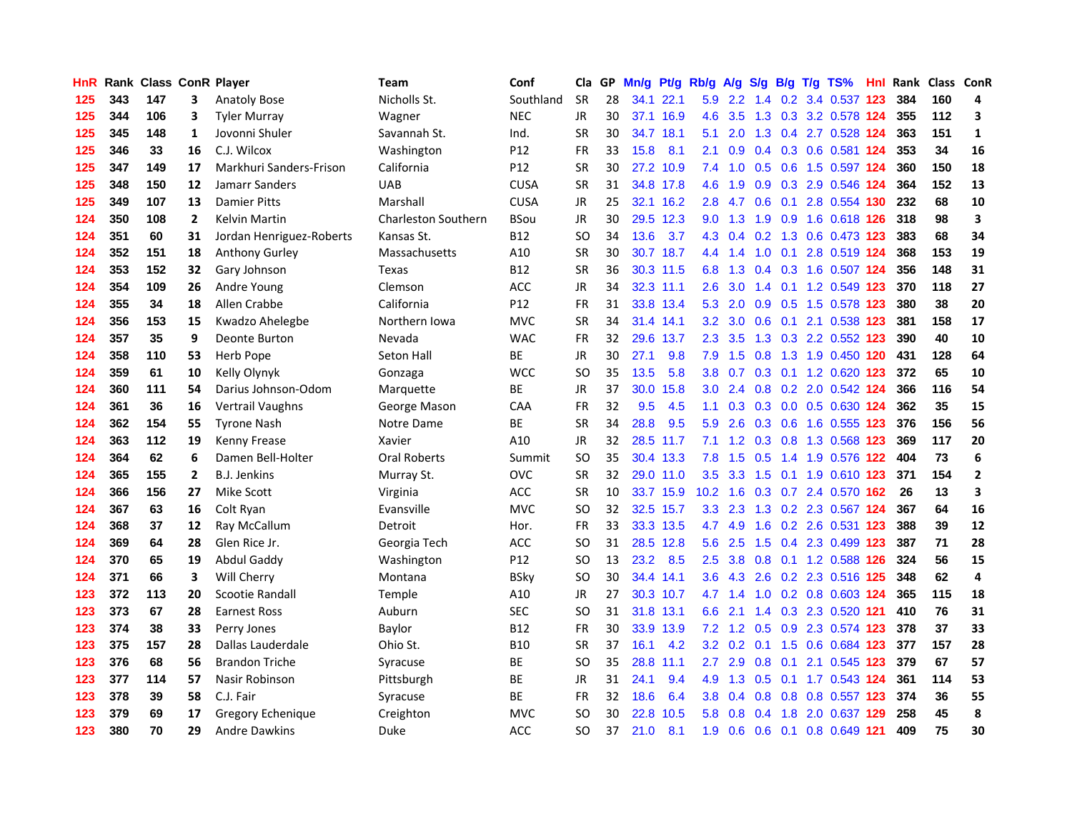| HnR. |     | Rank Class ConR Player |                |                          | Team                       | Conf            | Cla           | GP. | Mn/g Pt/g |           | Rb/g A/g          |               | <b>S/g</b>    |                 | B/g T/g TS%                   | Hnl |     | Rank Class ConR |              |
|------|-----|------------------------|----------------|--------------------------|----------------------------|-----------------|---------------|-----|-----------|-----------|-------------------|---------------|---------------|-----------------|-------------------------------|-----|-----|-----------------|--------------|
| 125  | 343 | 147                    | 3              | <b>Anatoly Bose</b>      | Nicholls St.               | Southland       | <b>SR</b>     | 28  | 34.1      | 22.1      | 5.9               | $2.2^{\circ}$ | $1.4^{\circ}$ | 0.2             | 3.4 0.537                     | 123 | 384 | 160             | 4            |
| 125  | 344 | 106                    | 3              | <b>Tyler Murray</b>      | Wagner                     | <b>NEC</b>      | <b>JR</b>     | 30  |           | 37.1 16.9 | 4.6               | 3.5           | 1.3           |                 | 0.3 3.2 0.578 124             |     | 355 | 112             | 3            |
| 125  | 345 | 148                    | 1              | Jovonni Shuler           | Savannah St.               | Ind.            | <b>SR</b>     | 30  |           | 34.7 18.1 | 5.1               | 2.0           | 1.3           | $0.4^{\circ}$   | 2.7 0.528 124                 |     | 363 | 151             | $\mathbf{1}$ |
| 125  | 346 | 33                     | 16             | C.J. Wilcox              | Washington                 | P <sub>12</sub> | <b>FR</b>     | 33  | 15.8      | 8.1       | 2.1               | 0.9           |               |                 | 0.4 0.3 0.6 0.581 124         |     | 353 | 34              | 16           |
| 125  | 347 | 149                    | 17             | Markhuri Sanders-Frison  | California                 | P12             | <b>SR</b>     | 30  |           | 27.2 10.9 |                   |               |               |                 | 7.4 1.0 0.5 0.6 1.5 0.597 124 |     | 360 | 150             | 18           |
| 125  | 348 | 150                    | 12             | Jamarr Sanders           | <b>UAB</b>                 | <b>CUSA</b>     | <b>SR</b>     | 31  |           | 34.8 17.8 | 4.6               | 1.9           |               |                 | 0.9 0.3 2.9 0.546 124         |     | 364 | 152             | 13           |
| 125  | 349 | 107                    | 13             | <b>Damier Pitts</b>      | Marshall                   | <b>CUSA</b>     | JR            | 25  |           | 32.1 16.2 | 2.8               | 4.7           | 0.6           |                 | 0.1 2.8 0.554 130             |     | 232 | 68              | 10           |
| 124  | 350 | 108                    | $\mathbf{2}$   | Kelvin Martin            | <b>Charleston Southern</b> | <b>BSou</b>     | JR            | 30  |           | 29.5 12.3 | 9.0               | 1.3           |               |                 | 1.9 0.9 1.6 0.618 126         |     | 318 | 98              | 3            |
| 124  | 351 | 60                     | 31             | Jordan Henriguez-Roberts | Kansas St.                 | <b>B12</b>      | <sub>SO</sub> | 34  | 13.6      | 3.7       |                   | 4.3 0.4       |               |                 | 0.2 1.3 0.6 0.473 123         |     | 383 | 68              | 34           |
| 124  | 352 | 151                    | 18             | Anthony Gurley           | Massachusetts              | A10             | <b>SR</b>     | 30  |           | 30.7 18.7 | 4.4               | 1.4           | 1.0           | 0.1             | 2.8 0.519 124                 |     | 368 | 153             | 19           |
| 124  | 353 | 152                    | 32             | Gary Johnson             | Texas                      | <b>B12</b>      | <b>SR</b>     | 36  |           | 30.3 11.5 | 6.8               | 1.3           |               |                 | 0.4 0.3 1.6 0.507 124         |     | 356 | 148             | 31           |
| 124  | 354 | 109                    | 26             | Andre Young              | Clemson                    | ACC             | <b>JR</b>     | 34  |           | 32.3 11.1 | 2.6               | 3.0           |               | $1.4 \quad 0.1$ | 1.2 0.549 123                 |     | 370 | 118             | 27           |
| 124  | 355 | 34                     | 18             | Allen Crabbe             | California                 | P12             | <b>FR</b>     | 31  |           | 33.8 13.4 | 5.3               | 2.0           | 0.9           |                 | 0.5 1.5 0.578 123             |     | 380 | 38              | 20           |
| 124  | 356 | 153                    | 15             | Kwadzo Ahelegbe          | Northern Iowa              | <b>MVC</b>      | <b>SR</b>     | 34  |           | 31.4 14.1 | 3.2               | 3.0           | 0.6           | 0.1             | 2.1 0.538                     | 123 | 381 | 158             | 17           |
| 124  | 357 | 35                     | 9              | Deonte Burton            | Nevada                     | <b>WAC</b>      | FR            | 32  |           | 29.6 13.7 | 2.3               | 3.5           | 1.3           | 0.3             | 2.2 0.552 123                 |     | 390 | 40              | ${\bf 10}$   |
| 124  | 358 | 110                    | 53             | Herb Pope                | Seton Hall                 | <b>BE</b>       | <b>JR</b>     | 30  | 27.1      | 9.8       | 7.9               | 1.5           | 0.8           | 1.3             | 1.9 0.450 120                 |     | 431 | 128             | 64           |
| 124  | 359 | 61                     | 10             | Kelly Olynyk             | Gonzaga                    | <b>WCC</b>      | <b>SO</b>     | 35  | 13.5      | 5.8       | 3.8               | 0.7           |               |                 | 0.3 0.1 1.2 0.620 123         |     | 372 | 65              | 10           |
| 124  | 360 | 111                    | 54             | Darius Johnson-Odom      | Marquette                  | ВE              | JR            | 37  | 30.0      | 15.8      | 3.0 <sub>1</sub>  |               |               |                 | 2.4 0.8 0.2 2.0 0.542 124     |     | 366 | 116             | 54           |
| 124  | 361 | 36                     | 16             | Vertrail Vaughns         | George Mason               | CAA             | FR            | 32  | 9.5       | 4.5       |                   |               |               |                 | 1.1 0.3 0.3 0.0 0.5 0.630 124 |     | 362 | 35              | 15           |
| 124  | 362 | 154                    | 55             | <b>Tyrone Nash</b>       | Notre Dame                 | ВE              | <b>SR</b>     | 34  | 28.8      | 9.5       | 5.9               | 2.6           |               |                 | 0.3 0.6 1.6 0.555 123         |     | 376 | 156             | 56           |
| 124  | 363 | 112                    | 19             | Kenny Frease             | Xavier                     | A10             | <b>JR</b>     | 32  |           | 28.5 11.7 |                   |               |               |                 | 7.1 1.2 0.3 0.8 1.3 0.568 123 |     | 369 | 117             | 20           |
| 124  | 364 | 62                     | 6              | Damen Bell-Holter        | Oral Roberts               | Summit          | SO            | 35  |           | 30.4 13.3 | 7.8               | 1.5           | 0.5           |                 | 1.4 1.9 0.576 122             |     | 404 | 73              | 6            |
| 124  | 365 | 155                    | $\overline{2}$ | <b>B.J. Jenkins</b>      | Murray St.                 | <b>OVC</b>      | <b>SR</b>     | 32  |           | 29.0 11.0 | 3.5               | 3.3           | 1.5           |                 | 0.1 1.9 0.610 123             |     | 371 | 154             | $\mathbf{2}$ |
| 124  | 366 | 156                    | 27             | Mike Scott               | Virginia                   | <b>ACC</b>      | <b>SR</b>     | 10  |           | 33.7 15.9 | 10.2 <sub>1</sub> | 1.6           |               |                 | 0.3 0.7 2.4 0.570 162         |     | 26  | 13              | 3            |
| 124  | 367 | 63                     | 16             | Colt Ryan                | Evansville                 | <b>MVC</b>      | SO            | 32  |           | 32.5 15.7 | 3.3               | 2.3           |               |                 | 1.3 0.2 2.3 0.567 124         |     | 367 | 64              | 16           |
| 124  | 368 | 37                     | 12             | Ray McCallum             | Detroit                    | Hor.            | <b>FR</b>     | 33  |           | 33.3 13.5 | 4.7               | 4.9           | 1.6           |                 | 0.2 2.6 0.531 123             |     | 388 | 39              | ${\bf 12}$   |
| 124  | 369 | 64                     | 28             | Glen Rice Jr.            | Georgia Tech               | ACC             | SO            | 31  |           | 28.5 12.8 | 5.6               | 2.5           | 1.5           | 0.4             | 2.3 0.499 123                 |     | 387 | 71              | 28           |
| 124  | 370 | 65                     | 19             | Abdul Gaddy              | Washington                 | P12             | <b>SO</b>     | 13  | 23.2      | 8.5       | 2.5               | 3.8           | 0.8           |                 | $0.1$ 1.2 0.588               | 126 | 324 | 56              | 15           |
| 124  | 371 | 66                     | 3              | Will Cherry              | Montana                    | <b>BSky</b>     | <sub>SO</sub> | 30  |           | 34.4 14.1 | 3.6 <sup>°</sup>  | 4.3           | 2.6           |                 | 0.2 2.3 0.516 125             |     | 348 | 62              | 4            |
| 123  | 372 | 113                    | 20             | Scootie Randall          | Temple                     | A10             | JR            | 27  |           | 30.3 10.7 | 4.7               | 1.4           | 1.0           |                 | 0.2 0.8 0.603 124             |     | 365 | 115             | 18           |
| 123  | 373 | 67                     | 28             | <b>Earnest Ross</b>      | Auburn                     | <b>SEC</b>      | <b>SO</b>     | 31  |           | 31.8 13.1 | 6.6               | 2.1           | 1.4           |                 | 0.3 2.3 0.520 121             |     | 410 | 76              | 31           |
| 123  | 374 | 38                     | 33             | Perry Jones              | Baylor                     | <b>B12</b>      | <b>FR</b>     | 30  |           | 33.9 13.9 |                   |               |               |                 | 7.2 1.2 0.5 0.9 2.3 0.574 123 |     | 378 | 37              | 33           |
| 123  | 375 | 157                    | 28             | Dallas Lauderdale        | Ohio St.                   | <b>B10</b>      | <b>SR</b>     | 37  | 16.1      | 4.2       |                   |               |               |                 | 3.2 0.2 0.1 1.5 0.6 0.684 123 |     | 377 | 157             | 28           |
| 123  | 376 | 68                     | 56             | <b>Brandon Triche</b>    | Syracuse                   | BE              | <b>SO</b>     | 35  | 28.8      | 11.1      | 2.7               | 2.9           | 0.8           | 0.1             | 2.1 0.545 123                 |     | 379 | 67              | 57           |
| 123  | 377 | 114                    | 57             | Nasir Robinson           | Pittsburgh                 | ВE              | JR            | 31  | 24.1      | 9.4       | 4.9               | 1.3           | 0.5           |                 | 0.1 1.7 0.543 124             |     | 361 | 114             | 53           |
| 123  | 378 | 39                     | 58             | C.J. Fair                | Syracuse                   | <b>BE</b>       | <b>FR</b>     | 32  | 18.6      | 6.4       | 3.8               | 0.4           | 0.8           | 0.8             | 0.8 0.557 123                 |     | 374 | 36              | 55           |
| 123  | 379 | 69                     | 17             | Gregory Echenique        | Creighton                  | <b>MVC</b>      | <sub>SO</sub> | 30  | 22.8      | 10.5      | 5.8               | 0.8           | 0.4           | 1.8             | 2.0 0.637                     | 129 | 258 | 45              | 8            |
| 123  | 380 | 70                     | 29             | <b>Andre Dawkins</b>     | Duke                       | ACC             | SO            | 37  | 21.0      | 8.1       | 1.9               |               |               |                 | 0.6 0.6 0.1 0.8 0.649 121     |     | 409 | 75              | 30           |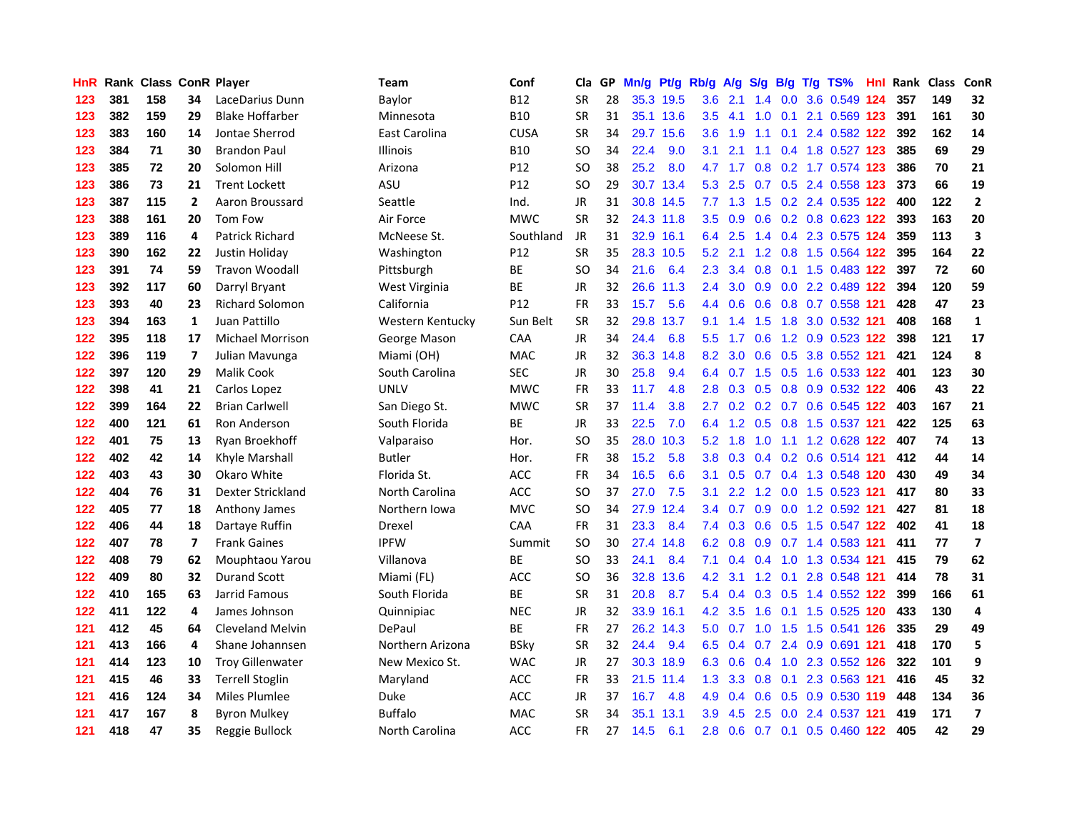| HnR. |     | Rank Class ConR Player |                |                         | Team             | Conf            | Cla           | GP. | Mn/g Pt/g |           | Rb/g A/g         |                 |             |                 | S/g B/g T/g TS%               | Hnl  | Rank Class |     | ConR                     |
|------|-----|------------------------|----------------|-------------------------|------------------|-----------------|---------------|-----|-----------|-----------|------------------|-----------------|-------------|-----------------|-------------------------------|------|------------|-----|--------------------------|
| 123  | 381 | 158                    | 34             | LaceDarius Dunn         | Baylor           | <b>B12</b>      | <b>SR</b>     | 28  |           | 35.3 19.5 | 3.6              | 2.1             | 1.4         | 0.0             | 3.6 0.549                     | 124  | 357        | 149 | 32                       |
| 123  | 382 | 159                    | 29             | <b>Blake Hoffarber</b>  | Minnesota        | <b>B10</b>      | <b>SR</b>     | 31  |           | 35.1 13.6 | 3.5              | 4.1             | 1.0         | 0.1             | 2.1 0.569 123                 |      | 391        | 161 | 30                       |
| 123  | 383 | 160                    | 14             | Jontae Sherrod          | East Carolina    | <b>CUSA</b>     | <b>SR</b>     | 34  |           | 29.7 15.6 | 3.6              | 1.9             | 1.1         | 0.1             | 2.4 0.582 122                 |      | 392        | 162 | 14                       |
| 123  | 384 | 71                     | 30             | <b>Brandon Paul</b>     | <b>Illinois</b>  | <b>B10</b>      | <sub>SO</sub> | 34  | 22.4      | 9.0       | 3.1              | 2.1             | 1.1         |                 | 0.4 1.8 0.527 123             |      | 385        | 69  | 29                       |
| 123  | 385 | 72                     | 20             | Solomon Hill            | Arizona          | P12             | SO            | 38  | 25.2      | 8.0       |                  | $4.7$ 1.7       |             |                 | 0.8 0.2 1.7 0.574 123         |      | 386        | 70  | 21                       |
| 123  | 386 | 73                     | 21             | <b>Trent Lockett</b>    | ASU              | P <sub>12</sub> | <b>SO</b>     | 29  |           | 30.7 13.4 |                  | $5.3$ 2.5       |             |                 | 0.7 0.5 2.4 0.558 123         |      | 373        | 66  | 19                       |
| 123  | 387 | 115                    | $\overline{2}$ | Aaron Broussard         | Seattle          | Ind.            | JR            | 31  |           | 30.8 14.5 |                  | $7.7$ 1.3       |             |                 | 1.5 0.2 2.4 0.535 122         |      | 400        | 122 | $\mathbf{2}$             |
| 123  | 388 | 161                    | 20             | Tom Fow                 | Air Force        | <b>MWC</b>      | <b>SR</b>     | 32  |           | 24.3 11.8 | 3.5              | 0.9             |             |                 | 0.6 0.2 0.8 0.623 122         |      | 393        | 163 | 20                       |
| 123  | 389 | 116                    | 4              | <b>Patrick Richard</b>  | McNeese St.      | Southland       | <b>JR</b>     | 31  |           | 32.9 16.1 | 6.4              | 2.5             |             |                 | 1.4 0.4 2.3 0.575 124         |      | 359        | 113 | 3                        |
| 123  | 390 | 162                    | 22             | Justin Holiday          | Washington       | P12             | <b>SR</b>     | 35  |           | 28.3 10.5 | 5.2              | 2.1             | 1.2         |                 | 0.8 1.5 0.564 122             |      | 395        | 164 | 22                       |
| 123  | 391 | 74                     | 59             | <b>Travon Woodall</b>   | Pittsburgh       | ВE              | <b>SO</b>     | 34  | 21.6      | 6.4       | $2.3^{\circ}$    | 3.4             | 0.8         | 0.1             | 1.5 0.483 122                 |      | 397        | 72  | 60                       |
| 123  | 392 | 117                    | 60             | Darryl Bryant           | West Virginia    | <b>BE</b>       | <b>JR</b>     | 32  |           | 26.6 11.3 | $2.4^{\circ}$    | 3.0             | 0.9         |                 | 0.0 2.2 0.489 122             |      | 394        | 120 | 59                       |
| 123  | 393 | 40                     | 23             | <b>Richard Solomon</b>  | California       | P12             | <b>FR</b>     | 33  | 15.7      | 5.6       | 4.4              | 0.6             | 0.6         |                 | 0.8 0.7 0.558 121             |      | 428        | 47  | 23                       |
| 123  | 394 | 163                    | $\mathbf{1}$   | Juan Pattillo           | Western Kentucky | Sun Belt        | <b>SR</b>     | 32  |           | 29.8 13.7 | 9.1              | 1.4             | 1.5         | 1.8             | 3.0 0.532 121                 |      | 408        | 168 | $\mathbf{1}$             |
| 122  | 395 | 118                    | 17             | <b>Michael Morrison</b> | George Mason     | CAA             | JR            | 34  | 24.4      | 6.8       | 5.5 <sub>1</sub> | 1.7             | 0.6         |                 | 1.2 0.9 0.523 122             |      | 398        | 121 | 17                       |
| 122  | 396 | 119                    | 7              | Julian Mavunga          | Miami (OH)       | <b>MAC</b>      | <b>JR</b>     | 32  | 36.3      | 14.8      | 8.2              | 3.0             | 0.6         | 0.5             | 3.8 0.552 121                 |      | 421        | 124 | 8                        |
| 122  | 397 | 120                    | 29             | <b>Malik Cook</b>       | South Carolina   | <b>SEC</b>      | JR            | 30  | 25.8      | 9.4       | 6.4              | 0.7             | 1.5         | 0.5             | 1.6 0.533 122                 |      | 401        | 123 | 30                       |
| 122  | 398 | 41                     | 21             | Carlos Lopez            | <b>UNLV</b>      | <b>MWC</b>      | <b>FR</b>     | 33  | 11.7      | 4.8       | 2.8 <sub>1</sub> |                 |             |                 | 0.3 0.5 0.8 0.9 0.532 122     |      | 406        | 43  | 22                       |
| 122  | 399 | 164                    | 22             | <b>Brian Carlwell</b>   | San Diego St.    | <b>MWC</b>      | <b>SR</b>     | 37  | 11.4      | 3.8       |                  |                 |             |                 | 2.7 0.2 0.2 0.7 0.6 0.545 122 |      | 403        | 167 | 21                       |
| 122  | 400 | 121                    | 61             | Ron Anderson            | South Florida    | ВE              | JR            | 33  | 22.5      | 7.0       |                  |                 |             |                 | 6.4 1.2 0.5 0.8 1.5 0.537 121 |      | 422        | 125 | 63                       |
| 122  | 401 | 75                     | 13             | Rvan Broekhoff          | Valparaiso       | Hor.            | <b>SO</b>     | 35  | 28.0      | 10.3      |                  | $5.2 \quad 1.8$ |             |                 | 1.0 1.1 1.2 0.628 122         |      | 407        | 74  | 13                       |
| 122  | 402 | 42                     | 14             | Khyle Marshall          | <b>Butler</b>    | Hor.            | <b>FR</b>     | 38  | 15.2      | 5.8       | 3.8 <sub>1</sub> | 0.3             |             |                 | 0.4 0.2 0.6 0.514 121         |      | 412        | 44  | 14                       |
| 122  | 403 | 43                     | 30             | Okaro White             | Florida St.      | ACC             | <b>FR</b>     | 34  | 16.5      | 6.6       | 3.1              | 0.5             |             |                 | 0.7 0.4 1.3 0.548 120         |      | 430        | 49  | 34                       |
| 122  | 404 | 76                     | 31             | Dexter Strickland       | North Carolina   | <b>ACC</b>      | <sub>SO</sub> | 37  | 27.0      | 7.5       | 3.1              | $2.2^{\circ}$   |             |                 | 1.2 0.0 1.5 0.523 121         |      | 417        | 80  | 33                       |
| 122  | 405 | 77                     | 18             | Anthony James           | Northern Iowa    | <b>MVC</b>      | SO            | 34  | 27.9      | 12.4      | 3.4              | 0.7             |             |                 | 0.9 0.0 1.2 0.592 121         |      | 427        | 81  | 18                       |
| 122  | 406 | 44                     | 18             | Dartaye Ruffin          | Drexel           | CAA             | <b>FR</b>     | 31  | 23.3      | 8.4       |                  | $7.4\quad 0.3$  |             |                 | 0.6 0.5 1.5 0.547 122         |      | 402        | 41  | 18                       |
| 122  | 407 | 78                     | 7              | <b>Frank Gaines</b>     | <b>IPFW</b>      | Summit          | <b>SO</b>     | 30  |           | 27.4 14.8 | 6.2              | 0.8             | 0.9         |                 | 0.7 1.4 0.583 121             |      | 411        | 77  | $\overline{\phantom{a}}$ |
| 122  | 408 | 79                     | 62             | Mouphtaou Yarou         | Villanova        | <b>BE</b>       | <b>SO</b>     | 33  | 24.1      | 8.4       | 7.1              | 0.4             |             | $0.4$ 1.0       | 1.3 0.534 121                 |      | 415        | 79  | 62                       |
| 122  | 409 | 80                     | 32             | <b>Durand Scott</b>     | Miami (FL)       | ACC             | <sub>SO</sub> | 36  |           | 32.8 13.6 | 4.2              | 3.1             | 1.2         | 0.1             | 2.8 0.548 121                 |      | 414        | 78  | 31                       |
| 122  | 410 | 165                    | 63             | Jarrid Famous           | South Florida    | BE              | <b>SR</b>     | 31  | 20.8      | 8.7       |                  | 5.4 0.4         |             | $0.3 \quad 0.5$ | 1.4 0.552 122                 |      | 399        | 166 | 61                       |
| 122  | 411 | 122                    | 4              | James Johnson           | Quinnipiac       | <b>NEC</b>      | <b>JR</b>     | 32  |           | 33.9 16.1 | 4.2              | 3.5             | 1.6         | 0.1             | 1.5 0.525 120                 |      | 433        | 130 | 4                        |
| 121  | 412 | 45                     | 64             | <b>Cleveland Melvin</b> | DePaul           | <b>BE</b>       | <b>FR</b>     | 27  |           | 26.2 14.3 | 5.0 <sub>1</sub> | 0.7             | 1.0         |                 | 1.5 1.5 0.541 126             |      | 335        | 29  | 49                       |
| 121  | 413 | 166                    | 4              | Shane Johannsen         | Northern Arizona | <b>BSky</b>     | <b>SR</b>     | 32  | 24.4      | 9.4       |                  |                 | 6.5 0.4 0.7 |                 | 2.4 0.9 0.691 121             |      | 418        | 170 | 5                        |
| 121  | 414 | 123                    | 10             | <b>Troy Gillenwater</b> | New Mexico St.   | <b>WAC</b>      | JR            | 27  |           | 30.3 18.9 | 6.3              | 0.6             | 0.4         |                 | 1.0 2.3 0.552 126             |      | 322        | 101 | 9                        |
| 121  | 415 | 46                     | 33             | <b>Terrell Stoglin</b>  | Maryland         | ACC             | FR            | 33  |           | 21.5 11.4 | 1.3              | 3.3             | 0.8         | 0.1             | 2.3 0.563 121                 |      | 416        | 45  | 32                       |
| 121  | 416 | 124                    | 34             | <b>Miles Plumlee</b>    | Duke             | ACC             | <b>JR</b>     | 37  | 16.7      | 4.8       | 4.9              | 0.4             | 0.6         | 0.5             | 0.9 0.530 119                 |      | 448        | 134 | 36                       |
| 121  | 417 | 167                    | 8              | <b>Byron Mulkey</b>     | <b>Buffalo</b>   | <b>MAC</b>      | <b>SR</b>     | 34  | 35.1      | 13.1      | 3.9              | 4.5             | 2.5         | 0.0             | 2.4 0.537                     | -121 | 419        | 171 | $\overline{\phantom{a}}$ |
| 121  | 418 | 47                     | 35             | Reggie Bullock          | North Carolina   | ACC             | FR            | 27  | 14.5      | 6.1       | 2.8              |                 |             |                 | 0.6 0.7 0.1 0.5 0.460 122     |      | 405        | 42  | 29                       |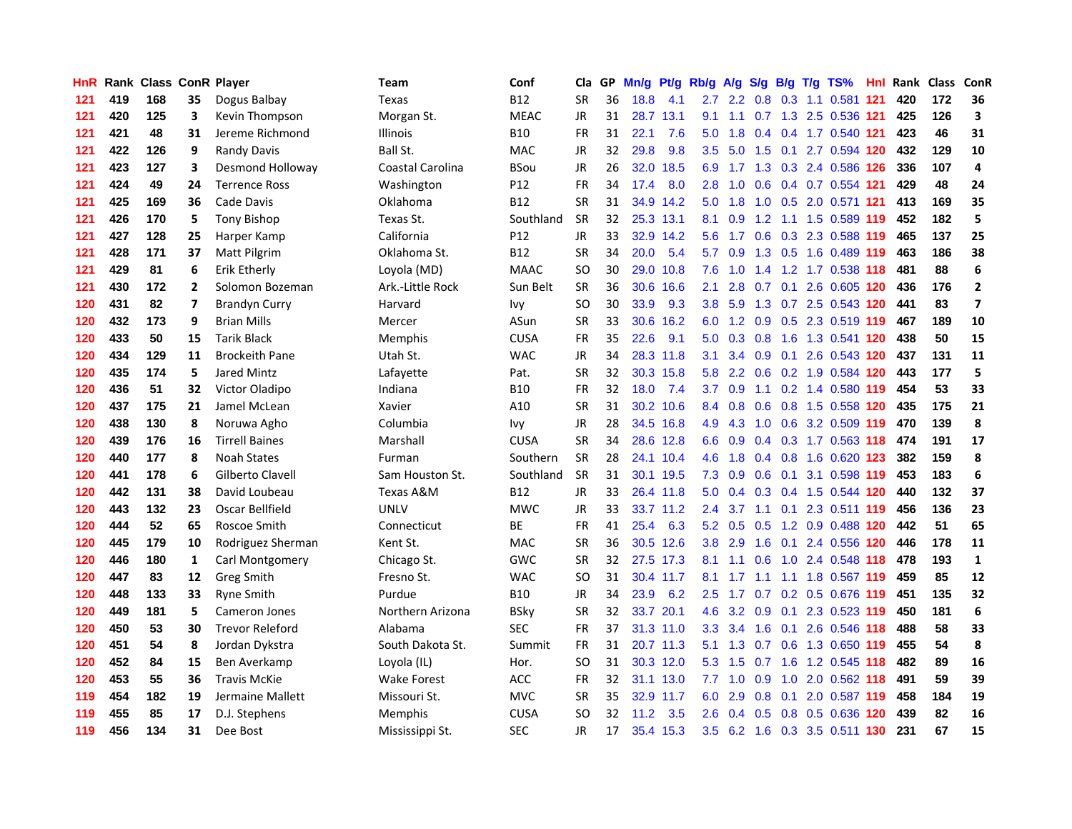| <b>HnR</b> |     | Rank Class ConR Player |                |                        | Team               | Conf            | Cla       |    | GP Mn/g Pt/g Rb/g A/g |           |                  |                 |                 |                 | S/g B/g T/g TS%               | Hnl  | Rank Class |     | ConR                    |
|------------|-----|------------------------|----------------|------------------------|--------------------|-----------------|-----------|----|-----------------------|-----------|------------------|-----------------|-----------------|-----------------|-------------------------------|------|------------|-----|-------------------------|
| 121        | 419 | 168                    | 35             | Dogus Balbay           | Texas              | <b>B12</b>      | <b>SR</b> | 36 | 18.8                  | 4.1       | 2.7              | 2.2             | 0.8             | 0.3             | 1.1 0.581                     | -121 | 420        | 172 | 36                      |
| 121        | 420 | 125                    | 3              | Kevin Thompson         | Morgan St.         | <b>MEAC</b>     | JR        | 31 |                       | 28.7 13.1 | 9.1              | 1.1             | 0.7             | 1.3             | 2.5 0.536 121                 |      | 425        | 126 | $\overline{\mathbf{3}}$ |
| 121        | 421 | 48                     | 31             | Jereme Richmond        | Illinois           | <b>B10</b>      | <b>FR</b> | 31 | 22.1                  | 7.6       | 5.0              | 1.8             |                 |                 | 0.4 0.4 1.7 0.540 121         |      | 423        | 46  | 31                      |
| 121        | 422 | 126                    | 9              | <b>Randy Davis</b>     | Ball St.           | <b>MAC</b>      | JR        | 32 | 29.8                  | 9.8       | 3.5              | 5.0             |                 |                 | 1.5 0.1 2.7 0.594 120         |      | 432        | 129 | 10                      |
| 121        | 423 | 127                    | 3              | Desmond Holloway       | Coastal Carolina   | <b>BSou</b>     | JR        | 26 | 32.0                  | 18.5      |                  | 6.9 1.7         |                 |                 | 1.3 0.3 2.4 0.586 126         |      | 336        | 107 | 4                       |
| 121        | 424 | 49                     | 24             | <b>Terrence Ross</b>   | Washington         | P <sub>12</sub> | <b>FR</b> | 34 | 17.4                  | 8.0       | 2.8              | 1.0             |                 |                 | 0.6 0.4 0.7 0.554 121         |      | 429        | 48  | 24                      |
| 121        | 425 | 169                    | 36             | Cade Davis             | Oklahoma           | <b>B12</b>      | <b>SR</b> | 31 |                       | 34.9 14.2 |                  | $5.0 \quad 1.8$ |                 |                 | 1.0 0.5 2.0 0.571 121         |      | 413        | 169 | 35                      |
| 121        | 426 | 170                    | 5              | <b>Tony Bishop</b>     | Texas St.          | Southland       | <b>SR</b> | 32 |                       | 25.3 13.1 | 8.1              | 0.9             | $1.2^{\circ}$   |                 | 1.1 1.5 0.589 119             |      | 452        | 182 | 5                       |
| 121        | 427 | 128                    | 25             | Harper Kamp            | California         | P12             | <b>JR</b> | 33 |                       | 32.9 14.2 | 5.6              | 1.7             |                 |                 | 0.6 0.3 2.3 0.588 119         |      | 465        | 137 | 25                      |
| 121        | 428 | 171                    | 37             | <b>Matt Pilgrim</b>    | Oklahoma St.       | <b>B12</b>      | <b>SR</b> | 34 | 20.0                  | 5.4       | 5.7              | 0.9             |                 | $1.3 \quad 0.5$ | 1.6 0.489 119                 |      | 463        | 186 | 38                      |
| 121        | 429 | 81                     | 6              | Erik Etherly           | Loyola (MD)        | <b>MAAC</b>     | <b>SO</b> | 30 |                       | 29.0 10.8 | 7.6              | 1.0             | 1.4             |                 | 1.2 1.7 0.538 118             |      | 481        | 88  | 6                       |
| 121        | 430 | 172                    | $\overline{2}$ | Solomon Bozeman        | Ark.-Little Rock   | Sun Belt        | <b>SR</b> | 36 |                       | 30.6 16.6 | 2.1              | 2.8             |                 | $0.7 \quad 0.1$ | 2.6 0.605 120                 |      | 436        | 176 | $\overline{\mathbf{2}}$ |
| 120        | 431 | 82                     | 7              | <b>Brandyn Curry</b>   | Harvard            | lvy.            | <b>SO</b> | 30 | 33.9                  | 9.3       | 3.8 <sup>°</sup> | 5.9             |                 | $1.3 \quad 0.7$ | 2.5 0.543 120                 |      | 441        | 83  | $\overline{\mathbf{z}}$ |
| 120        | 432 | 173                    | 9              | <b>Brian Mills</b>     | Mercer             | ASun            | <b>SR</b> | 33 |                       | 30.6 16.2 | 6.0              | 1.2             | 0.9             | 0.5             | 2.3 0.519 119                 |      | 467        | 189 | ${\bf 10}$              |
| 120        | 433 | 50                     | 15             | <b>Tarik Black</b>     | <b>Memphis</b>     | <b>CUSA</b>     | FR        | 35 | 22.6                  | 9.1       | 5.0              | 0.3             | 0.8             | 1.6             | 1.3 0.541 120                 |      | 438        | 50  | 15                      |
| 120        | 434 | 129                    | 11             | <b>Brockeith Pane</b>  | Utah St.           | <b>WAC</b>      | JR        | 34 |                       | 28.3 11.8 | 3.1              | 3.4             | 0.9             | 0.1             | 2.6 0.543 120                 |      | 437        | 131 | 11                      |
| 120        | 435 | 174                    | 5.             | Jared Mintz            | Lafayette          | Pat.            | <b>SR</b> | 32 |                       | 30.3 15.8 | 5.8              |                 | $2.2 \quad 0.6$ |                 | 0.2 1.9 0.584 120             |      | 443        | 177 | 5                       |
| 120        | 436 | 51                     | 32             | Victor Oladipo         | Indiana            | <b>B10</b>      | <b>FR</b> | 32 | 18.0                  | 7.4       | 3.7              | 0.9             |                 |                 | 1.1 0.2 1.4 0.580 119         |      | 454        | 53  | 33                      |
| 120        | 437 | 175                    | 21             | Jamel McLean           | Xavier             | A10             | <b>SR</b> | 31 |                       | 30.2 10.6 |                  |                 |                 |                 | 8.4 0.8 0.6 0.8 1.5 0.558 120 |      | 435        | 175 | 21                      |
| 120        | 438 | 130                    | 8              | Noruwa Agho            | Columbia           | Ivy             | JR        | 28 |                       | 34.5 16.8 |                  | 4.9 4.3         |                 |                 | 1.0 0.6 3.2 0.509 119         |      | 470        | 139 | 8                       |
| 120        | 439 | 176                    | 16             | <b>Tirrell Baines</b>  | Marshall           | <b>CUSA</b>     | <b>SR</b> | 34 |                       | 28.6 12.8 |                  | $6.6 \quad 0.9$ |                 |                 | 0.4 0.3 1.7 0.563 118         |      | 474        | 191 | 17                      |
| 120        | 440 | 177                    | 8              | <b>Noah States</b>     | Furman             | Southern        | <b>SR</b> | 28 |                       | 24.1 10.4 | 4.6              | 1.8             |                 |                 | 0.4 0.8 1.6 0.620 123         |      | 382        | 159 | 8                       |
| 120        | 441 | 178                    | 6              | Gilberto Clavell       | Sam Houston St.    | Southland       | <b>SR</b> | 31 |                       | 30.1 19.5 |                  | $7.3\quad0.9$   |                 |                 | 0.6 0.1 3.1 0.598 119         |      | 453        | 183 | 6                       |
| 120        | 442 | 131                    | 38             | David Loubeau          | Texas A&M          | <b>B12</b>      | <b>JR</b> | 33 |                       | 26.4 11.8 | 5.0              | 0.4             |                 |                 | 0.3 0.4 1.5 0.544 120         |      | 440        | 132 | 37                      |
| 120        | 443 | 132                    | 23             | Oscar Bellfield        | <b>UNLV</b>        | <b>MWC</b>      | JR        | 33 |                       | 33.7 11.2 | 2.4              | 3.7             |                 | $1.1 \quad 0.1$ | 2.3 0.511 119                 |      | 456        | 136 | 23                      |
| 120        | 444 | 52                     | 65             | Roscoe Smith           | Connecticut        | BE              | <b>FR</b> | 41 | 25.4                  | 6.3       | 5.2              | 0.5             | 0.5             |                 | 1.2 0.9 0.488 120             |      | 442        | 51  | 65                      |
| 120        | 445 | 179                    | 10             | Rodriguez Sherman      | Kent St.           | <b>MAC</b>      | <b>SR</b> | 36 |                       | 30.5 12.6 | 3.8              | 2.9             | 1.6             | 0.1             | 2.4 0.556                     | 120  | 446        | 178 | 11                      |
| 120        | 446 | 180                    | $\mathbf{1}$   | Carl Montgomery        | Chicago St.        | GWC             | <b>SR</b> | 32 |                       | 27.5 17.3 | 8.1              | 1.1             | 0.6             |                 | 1.0 2.4 0.548 118             |      | 478        | 193 | $\mathbf{1}$            |
| 120        | 447 | 83                     | 12             | <b>Greg Smith</b>      | Fresno St.         | <b>WAC</b>      | <b>SO</b> | 31 |                       | 30.4 11.7 | 8.1              | 1.7             | 1.1             | 1.1             | 1.8 0.567 119                 |      | 459        | 85  | 12                      |
| 120        | 448 | 133                    | 33             | <b>Ryne Smith</b>      | Purdue             | <b>B10</b>      | JR        | 34 | 23.9                  | 6.2       | 2.5              | 1.7             | 0.7             | 0.2             | 0.5 0.676 119                 |      | 451        | 135 | 32                      |
| 120        | 449 | 181                    | 5              | Cameron Jones          | Northern Arizona   | <b>BSky</b>     | <b>SR</b> | 32 |                       | 33.7 20.1 | 4.6              |                 | $3.2 \quad 0.9$ | 0.1             | 2.3 0.523 119                 |      | 450        | 181 | 6                       |
| 120        | 450 | 53                     | 30             | <b>Trevor Releford</b> | Alabama            | <b>SEC</b>      | FR        | 37 |                       | 31.3 11.0 |                  | $3.3 \quad 3.4$ |                 | $1.6 \quad 0.1$ | 2.6 0.546 118                 |      | 488        | 58  | 33                      |
| 120        | 451 | 54                     | 8              | Jordan Dykstra         | South Dakota St.   | Summit          | <b>FR</b> | 31 |                       | 20.7 11.3 |                  |                 |                 |                 | 5.1 1.3 0.7 0.6 1.3 0.650 119 |      | 455        | 54  | 8                       |
| 120        | 452 | 84                     | 15             | Ben Averkamp           | Loyola (IL)        | Hor.            | <b>SO</b> | 31 |                       | 30.3 12.0 |                  | $5.3$ 1.5       | 0.7             | 1.6             | 1.2 0.545 118                 |      | 482        | 89  | 16                      |
| 120        | 453 | 55                     | 36             | <b>Travis McKie</b>    | <b>Wake Forest</b> | <b>ACC</b>      | FR        | 32 |                       | 31.1 13.0 | 7.7              | 1.0             | 0.9             | 1.0             | 2.0 0.562 118                 |      | 491        | 59  | 39                      |
| 119        | 454 | 182                    | 19             | Jermaine Mallett       | Missouri St.       | <b>MVC</b>      | <b>SR</b> | 35 |                       | 32.9 11.7 | 6.0              | 2.9             | 0.8             | 0.1             | 2.0 0.587 119                 |      | 458        | 184 | 19                      |
| 119        | 455 | 85                     | 17             | D.J. Stephens          | Memphis            | <b>CUSA</b>     | SO.       | 32 | 11.2                  | 3.5       | 2.6              | 0.4             | 0.5             | 0.8             | 0.5 0.636                     | 120  | 439        | 82  | 16                      |
| 119        | 456 | 134                    | 31             | Dee Bost               | Mississippi St.    | <b>SEC</b>      | JR        | 17 |                       | 35.4 15.3 | 3.5              |                 |                 |                 | 6.2 1.6 0.3 3.5 0.511 130     |      | 231        | 67  | 15                      |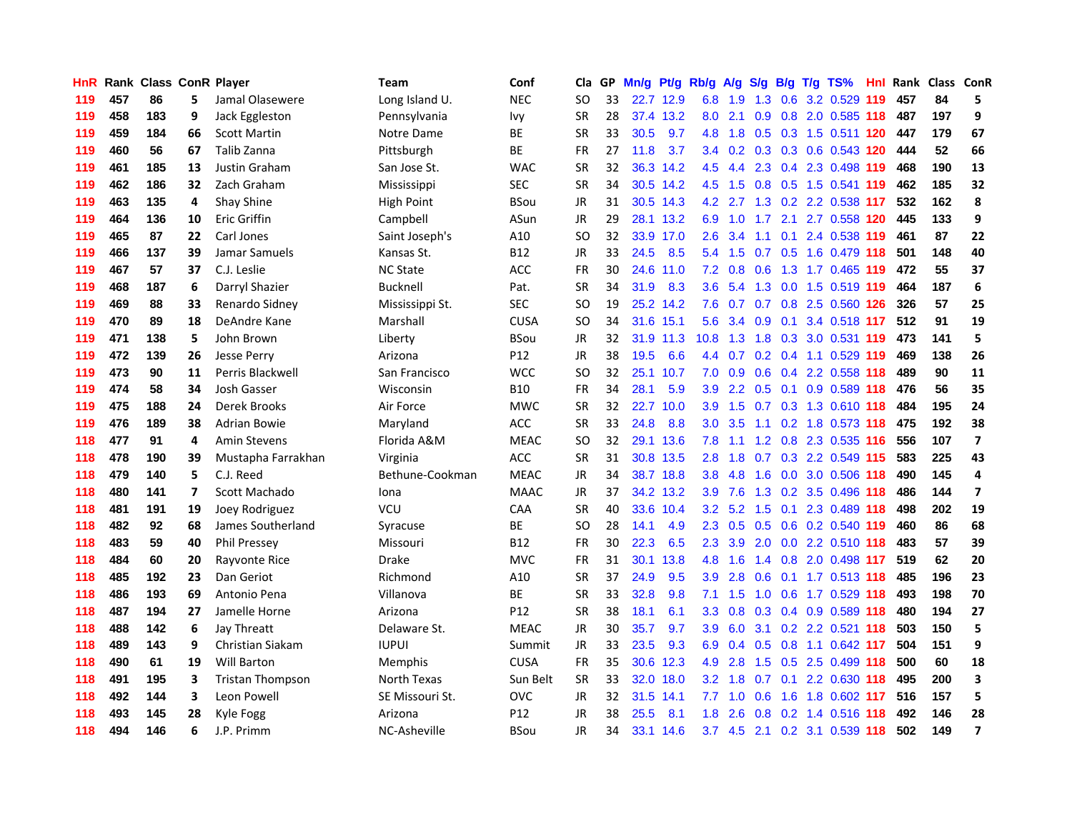| <b>HnR</b> |     | Rank Class ConR Player |                |                         | Team            | Conf           | Cla       |    | GP Mn/g | Pt/g      | Rb/g             | A/g             | <b>S/g</b> |                 | B/g T/g TS%                   | Hnl |     | Rank Class ConR |                          |
|------------|-----|------------------------|----------------|-------------------------|-----------------|----------------|-----------|----|---------|-----------|------------------|-----------------|------------|-----------------|-------------------------------|-----|-----|-----------------|--------------------------|
| 119        | 457 | 86                     | 5.             | Jamal Olasewere         | Long Island U.  | <b>NEC</b>     | SO        | 33 |         | 22.7 12.9 | 6.8              | 1.9             | 1.3        | 0.6             | 3.2 0.529                     | 119 | 457 | 84              | 5                        |
| 119        | 458 | 183                    | 9              | Jack Eggleston          | Pennsylvania    | Ivy            | <b>SR</b> | 28 |         | 37.4 13.2 | 8.0              | 2.1             | 0.9        | 0.8             | 2.0 0.585 118                 |     | 487 | 197             | 9                        |
| 119        | 459 | 184                    | 66             | <b>Scott Martin</b>     | Notre Dame      | ВE             | <b>SR</b> | 33 | 30.5    | 9.7       | 4.8              | 1.8             | 0.5        |                 | 0.3 1.5 0.511 120             |     | 447 | 179             | 67                       |
| 119        | 460 | 56                     | 67             | Talib Zanna             | Pittsburgh      | ВE             | <b>FR</b> | 27 | 11.8    | 3.7       |                  |                 |            |                 | 3.4 0.2 0.3 0.3 0.6 0.543 120 |     | 444 | 52              | 66                       |
| 119        | 461 | 185                    | 13             | Justin Graham           | San Jose St.    | <b>WAC</b>     | <b>SR</b> | 32 |         | 36.3 14.2 | 4.5              | 4.4             |            |                 | 2.3 0.4 2.3 0.498 119         |     | 468 | 190             | 13                       |
| 119        | 462 | 186                    | 32             | Zach Graham             | Mississippi     | <b>SEC</b>     | <b>SR</b> | 34 |         | 30.5 14.2 |                  | $4.5$ 1.5       |            |                 | 0.8 0.5 1.5 0.541 119         |     | 462 | 185             | 32                       |
| 119        | 463 | 135                    | 4              | Shay Shine              | High Point      | BSou           | JR        | 31 |         | 30.5 14.3 | 4.2              | 2.7             |            |                 | 1.3 0.2 2.2 0.538 117         |     | 532 | 162             | 8                        |
| 119        | 464 | 136                    | 10             | <b>Eric Griffin</b>     | Campbell        | ASun           | JR        | 29 |         | 28.1 13.2 | 6.9              | 1.0             | 1.7        |                 | 2.1 2.7 0.558 120             |     | 445 | 133             | 9                        |
| 119        | 465 | 87                     | 22             | Carl Jones              | Saint Joseph's  | A10            | SO        | 32 |         | 33.9 17.0 | $2.6^{\circ}$    | 3.4             | 1.1        | 0.1             | 2.4 0.538 119                 |     | 461 | 87              | 22                       |
| 119        | 466 | 137                    | 39             | Jamar Samuels           | Kansas St.      | <b>B12</b>     | JR.       | 33 | 24.5    | 8.5       | 5.4              | 1.5             |            |                 | 0.7 0.5 1.6 0.479 118         |     | 501 | 148             | 40                       |
| 119        | 467 | 57                     | 37             | C.J. Leslie             | <b>NC State</b> | ACC            | <b>FR</b> | 30 |         | 24.6 11.0 |                  | $7.2 \quad 0.8$ | 0.6        |                 | 1.3 1.7 0.465 119             |     | 472 | 55              | 37                       |
| 119        | 468 | 187                    | 6              | Darryl Shazier          | <b>Bucknell</b> | Pat.           | <b>SR</b> | 34 | 31.9    | 8.3       | 3.6 <sub>1</sub> | 5.4             |            | $1.3 \quad 0.0$ | 1.5 0.519 119                 |     | 464 | 187             | 6                        |
| 119        | 469 | 88                     | 33             | Renardo Sidney          | Mississippi St. | <b>SEC</b>     | <b>SO</b> | 19 |         | 25.2 14.2 | 7.6              | 0.7             | 0.7        | 0.8             | 2.5 0.560 126                 |     | 326 | 57              | 25                       |
| 119        | 470 | 89                     | 18             | DeAndre Kane            | Marshall        | <b>CUSA</b>    | SO        | 34 |         | 31.6 15.1 | 5.6              | 3.4             | 0.9        | 0.1             | 3.4 0.518 117                 |     | 512 | 91              | 19                       |
| 119        | 471 | 138                    | 5              | John Brown              | Liberty         | <b>BSou</b>    | <b>JR</b> | 32 | 31.9    | 11.3      | 10.8             | 1.3             | 1.8        | 0.3             | 3.0 0.531 119                 |     | 473 | 141             | 5                        |
| 119        | 472 | 139                    | 26             | <b>Jesse Perry</b>      | Arizona         | P12            | JR.       | 38 | 19.5    | 6.6       |                  | 4.4 0.7         |            |                 | 0.2 0.4 1.1 0.529 119         |     | 469 | 138             | 26                       |
| 119        | 473 | 90                     | 11             | Perris Blackwell        | San Francisco   | <b>WCC</b>     | SO        | 32 |         | 25.1 10.7 |                  |                 |            |                 | 7.0 0.9 0.6 0.4 2.2 0.558 118 |     | 489 | 90              | ${\bf 11}$               |
| 119        | 474 | 58                     | 34             | Josh Gasser             | Wisconsin       | <b>B10</b>     | <b>FR</b> | 34 | 28.1    | 5.9       | 3.9 <sub>2</sub> |                 |            |                 | 2.2 0.5 0.1 0.9 0.589 118     |     | 476 | 56              | 35                       |
| 119        | 475 | 188                    | 24             | Derek Brooks            | Air Force       | <b>MWC</b>     | SR        | 32 |         | 22.7 10.0 | 3.9 <sup>°</sup> |                 |            |                 | 1.5 0.7 0.3 1.3 0.610 118     |     | 484 | 195             | 24                       |
| 119        | 476 | 189                    | 38             | Adrian Bowie            | Maryland        | ACC            | SR        | 33 | 24.8    | 8.8       |                  | $3.0$ $3.5$     |            |                 | 1.1 0.2 1.8 0.573 118         |     | 475 | 192             | 38                       |
| 118        | 477 | 91                     | 4              | <b>Amin Stevens</b>     | Florida A&M     | <b>MEAC</b>    | <b>SO</b> | 32 |         | 29.1 13.6 | 7.8              | 1.1             |            |                 | 1.2 0.8 2.3 0.535 116         |     | 556 | 107             | $\overline{\mathbf{z}}$  |
| 118        | 478 | 190                    | 39             | Mustapha Farrakhan      | Virginia        | $\mathsf{ACC}$ | <b>SR</b> | 31 |         | 30.8 13.5 | 2.8              | 1.8             | 0.7        |                 | 0.3 2.2 0.549 115             |     | 583 | 225             | 43                       |
| 118        | 479 | 140                    | 5              | C.J. Reed               | Bethune-Cookman | <b>MEAC</b>    | JR.       | 34 |         | 38.7 18.8 | 3.8 <sup>°</sup> | 4.8             | 1.6        |                 | 0.0 3.0 0.506 118             |     | 490 | 145             | 4                        |
| 118        | 480 | 141                    | $\overline{ }$ | Scott Machado           | Iona            | <b>MAAC</b>    | JR.       | 37 |         | 34.2 13.2 | 3.9 <sup>°</sup> | 7.6             |            |                 | 1.3 0.2 3.5 0.496 118         |     | 486 | 144             | $\overline{\phantom{a}}$ |
| 118        | 481 | 191                    | 19             | Joey Rodriguez          | <b>VCU</b>      | CAA            | <b>SR</b> | 40 |         | 33.6 10.4 | 3.2 <sub>2</sub> | 5.2             | 1.5        |                 | 0.1 2.3 0.489 118             |     | 498 | 202             | 19                       |
| 118        | 482 | 92                     | 68             | James Southerland       | Syracuse        | BE             | <b>SO</b> | 28 | 14.1    | 4.9       | 2.3              | 0.5             | 0.5        |                 | 0.6 0.2 0.540 119             |     | 460 | 86              | 68                       |
| 118        | 483 | 59                     | 40             | <b>Phil Pressey</b>     | Missouri        | B12            | FR        | 30 | 22.3    | 6.5       | 2.3              | 3.9             | 2.0        |                 | 0.0 2.2 0.510 118             |     | 483 | 57              | 39                       |
| 118        | 484 | 60                     | 20             | Rayvonte Rice           | <b>Drake</b>    | <b>MVC</b>     | <b>FR</b> | 31 |         | 30.1 13.8 | 4.8              | 1.6             | 1.4        | 0.8             | 2.0 0.498 117                 |     | 519 | 62              | 20                       |
| 118        | 485 | 192                    | 23             | Dan Geriot              | Richmond        | A10            | <b>SR</b> | 37 | 24.9    | 9.5       | 3.9              | 2.8             | 0.6        |                 | 0.1 1.7 0.513 118             |     | 485 | 196             | 23                       |
| 118        | 486 | 193                    | 69             | Antonio Pena            | Villanova       | ВE             | <b>SR</b> | 33 | 32.8    | 9.8       | 7.1              | 1.5             |            |                 | 1.0 0.6 1.7 0.529 118         |     | 493 | 198             | 70                       |
| 118        | 487 | 194                    | 27             | Jamelle Horne           | Arizona         | P12            | <b>SR</b> | 38 | 18.1    | 6.1       | 3.3 <sub>2</sub> |                 |            |                 | 0.8 0.3 0.4 0.9 0.589 118     |     | 480 | 194             | 27                       |
| 118        | 488 | 142                    | 6              | Jay Threatt             | Delaware St.    | <b>MEAC</b>    | JR        | 30 | 35.7    | 9.7       | 3.9              | 6.0             |            |                 | 3.1 0.2 2.2 0.521 118         |     | 503 | 150             | 5                        |
| 118        | 489 | 143                    | 9              | Christian Siakam        | <b>IUPUI</b>    | Summit         | JR.       | 33 | 23.5    | 9.3       | 6.9              | 0.4             |            |                 | 0.5 0.8 1.1 0.642 117         |     | 504 | 151             | 9                        |
| 118        | 490 | 61                     | 19             | <b>Will Barton</b>      | Memphis         | <b>CUSA</b>    | <b>FR</b> | 35 |         | 30.6 12.3 | 4.9              | 2.8             | 1.5        |                 | 0.5 2.5 0.499 118             |     | 500 | 60              | 18                       |
| 118        | 491 | 195                    | 3              | <b>Tristan Thompson</b> | North Texas     | Sun Belt       | <b>SR</b> | 33 | 32.0    | 18.0      | 3.2              | 1.8             |            | $0.7 \quad 0.1$ | 2.2 0.630 118                 |     | 495 | 200             | 3                        |
| 118        | 492 | 144                    | 3              | Leon Powell             | SE Missouri St. | <b>OVC</b>     | <b>JR</b> | 32 | 31.5    | 14.1      | 7.7              | 1.0             | 0.6        | 1.6             | 1.8 0.602 117                 |     | 516 | 157             | 5                        |
| 118        | 493 | 145                    | 28             | Kyle Fogg               | Arizona         | P12            | JR        | 38 | 25.5    | 8.1       | 1.8              | 2.6             | 0.8        | 0.2             | 1.4 0.516                     | 118 | 492 | 146             | 28                       |
| 118        | 494 | 146                    | 6              | J.P. Primm              | NC-Asheville    | <b>BSou</b>    | <b>JR</b> | 34 |         | 33.1 14.6 | 3.7              |                 |            |                 | 4.5 2.1 0.2 3.1 0.539 118     |     | 502 | 149             | $\overline{\mathbf{z}}$  |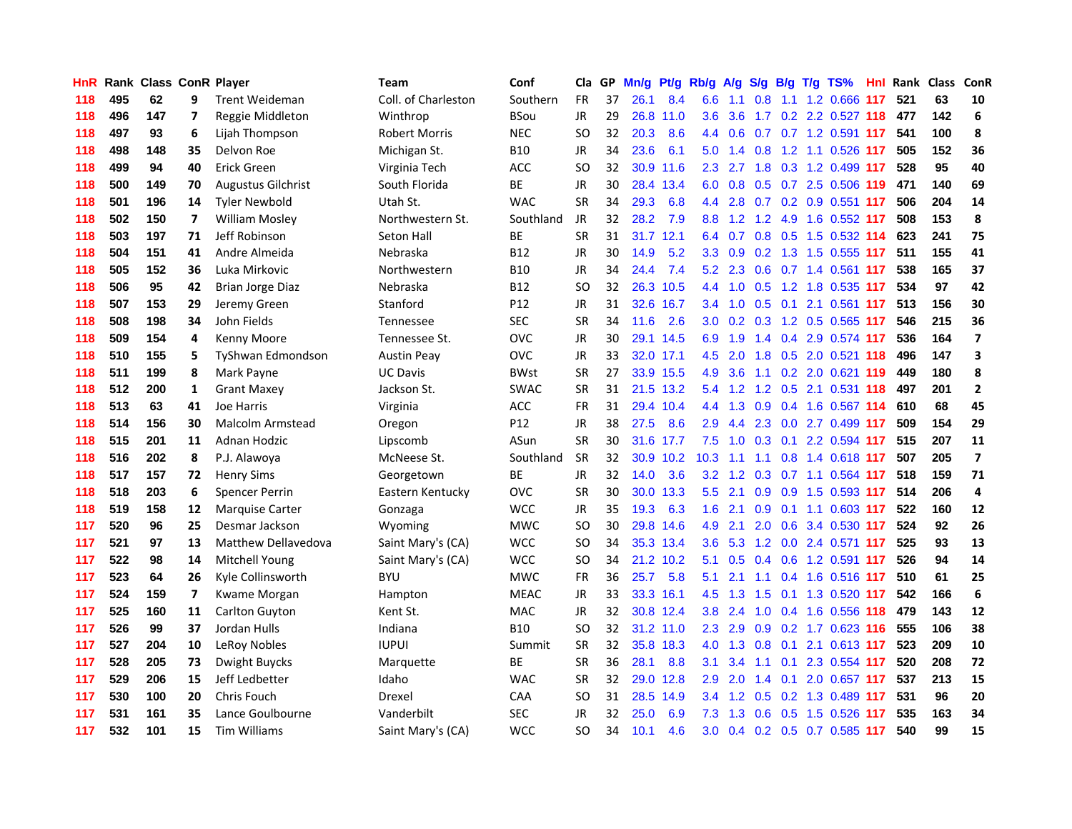| <b>HnR</b> |     | <b>Rank Class ConR Player</b> |                          |                           | Team                 | Conf            | Cla       |    | GP Mn/g |           | Pt/g Rb/g A/g    |         |             |     | S/g B/g T/g TS%                   |      |     | Hnl Rank Class ConR |                         |
|------------|-----|-------------------------------|--------------------------|---------------------------|----------------------|-----------------|-----------|----|---------|-----------|------------------|---------|-------------|-----|-----------------------------------|------|-----|---------------------|-------------------------|
| 118        | 495 | 62                            | 9                        | <b>Trent Weideman</b>     | Coll. of Charleston  | Southern        | <b>FR</b> | 37 | 26.1    | 8.4       | 6.6              | 1.1     | 0.8         | 1.1 | 1.2 0.666 117                     |      | 521 | 63                  | 10                      |
| 118        | 496 | 147                           | $\overline{ }$           | Reggie Middleton          | Winthrop             | BSou            | <b>JR</b> | 29 |         | 26.8 11.0 | 3.6              | 3.6     | 1.7         |     | 0.2 2.2 0.527 118                 |      | 477 | 142                 | 6                       |
| 118        | 497 | 93                            | 6                        | Lijah Thompson            | <b>Robert Morris</b> | <b>NEC</b>      | SΟ        | 32 | 20.3    | 8.6       | 4.4              | 0.6     | 0.7         |     | 0.7 1.2 0.591 117                 |      | 541 | 100                 | 8                       |
| 118        | 498 | 148                           | 35                       | Delvon Roe                | Michigan St.         | B10             | <b>JR</b> | 34 | 23.6    | 6.1       | 5.0              | 1.4     | 0.8         |     | 1.2 1.1 0.526 117                 |      | 505 | 152                 | 36                      |
| 118        | 499 | 94                            | 40                       | <b>Erick Green</b>        | Virginia Tech        | <b>ACC</b>      | <b>SO</b> | 32 | 30.9    | 11.6      | 2.3              | 2.7     |             |     | 1.8 0.3 1.2 0.499 117             |      | 528 | 95                  | 40                      |
| 118        | 500 | 149                           | 70                       | <b>Augustus Gilchrist</b> | South Florida        | BE              | JR        | 30 | 28.4    | 13.4      |                  |         |             |     | 6.0 0.8 0.5 0.7 2.5 0.506 119     |      | 471 | 140                 | 69                      |
| 118        | 501 | 196                           | 14                       | <b>Tyler Newbold</b>      | Utah St.             | <b>WAC</b>      | <b>SR</b> | 34 | 29.3    | 6.8       | 4.4              | 2.8     |             |     | 0.7 0.2 0.9 0.551 117             |      | 506 | 204                 | 14                      |
| 118        | 502 | 150                           | $\overline{ }$           | <b>William Mosley</b>     | Northwestern St.     | Southland       | JR        | 32 | 28.2    | 7.9       | 8.8              |         |             |     | 1.2 1.2 4.9 1.6 0.552 117         |      | 508 | 153                 | 8                       |
| 118        | 503 | 197                           | 71                       | Jeff Robinson             | Seton Hall           | BE              | <b>SR</b> | 31 |         | 31.7 12.1 | 6.4              | 0.7     |             |     | 0.8 0.5 1.5 0.532 114             |      | 623 | 241                 | 75                      |
| 118        | 504 | 151                           | 41                       | Andre Almeida             | Nebraska             | <b>B12</b>      | <b>JR</b> | 30 | 14.9    | 5.2       | 3.3 <sub>2</sub> | 0.9     |             |     | 0.2 1.3 1.5 0.555 117             |      | 511 | 155                 | 41                      |
| 118        | 505 | 152                           | 36                       | Luka Mirkovic             | Northwestern         | <b>B10</b>      | <b>JR</b> | 34 | 24.4    | 7.4       |                  |         | 5.2 2.3 0.6 |     | 0.7 1.4 0.561                     | -117 | 538 | 165                 | 37                      |
| 118        | 506 | 95                            | 42                       | <b>Brian Jorge Diaz</b>   | Nebraska             | B12             | SO        | 32 |         | 26.3 10.5 |                  | 4.4 1.0 | 0.5         |     | 1.2 1.8 0.535 117                 |      | 534 | 97                  | 42                      |
| 118        | 507 | 153                           | 29                       | Jeremy Green              | Stanford             | P <sub>12</sub> | <b>JR</b> | 31 | 32.6    | 16.7      | 3.4              | 1.0     | 0.5         | 0.1 | 2.1 0.561 117                     |      | 513 | 156                 | 30                      |
| 118        | 508 | 198                           | 34                       | John Fields               | Tennessee            | <b>SEC</b>      | <b>SR</b> | 34 | 11.6    | 2.6       | 3.0 <sub>2</sub> | 0.2     | 0.3         |     | 1.2 0.5 0.565 117                 |      | 546 | 215                 | 36                      |
| 118        | 509 | 154                           | 4                        | Kenny Moore               | Tennessee St.        | ovc             | JR        | 30 |         | 29.1 14.5 | 6.9              | 1.9     | 1.4         |     | 0.4 2.9 0.574 117                 |      | 536 | 164                 | $\overline{\mathbf{z}}$ |
| 118        | 510 | 155                           | 5                        | TyShwan Edmondson         | <b>Austin Peay</b>   | OVC             | <b>JR</b> | 33 | 32.0    | 17.1      | 4.5              | 2.0     | 1.8         |     | 0.5 2.0 0.521 118                 |      | 496 | 147                 | 3                       |
| 118        | 511 | 199                           | 8                        | Mark Payne                | <b>UC Davis</b>      | <b>BWst</b>     | <b>SR</b> | 27 |         | 33.9 15.5 | 4.9              | 3.6     | 1.1         |     | 0.2 2.0 0.621 119                 |      | 449 | 180                 | 8                       |
| 118        | 512 | 200                           | 1                        | <b>Grant Maxey</b>        | Jackson St.          | <b>SWAC</b>     | <b>SR</b> | 31 |         | 21.5 13.2 |                  |         |             |     | 5.4 1.2 1.2 0.5 2.1 0.531 118     |      | 497 | 201                 | $\mathbf{2}$            |
| 118        | 513 | 63                            | 41                       | Joe Harris                | Virginia             | <b>ACC</b>      | FR        | 31 |         | 29.4 10.4 |                  |         |             |     | 4.4 1.3 0.9 0.4 1.6 0.567 114 610 |      |     | 68                  | 45                      |
| 118        | 514 | 156                           | 30                       | <b>Malcolm Armstead</b>   | Oregon               | P <sub>12</sub> | <b>JR</b> | 38 | 27.5    | 8.6       | $2.9^{\circ}$    | 4.4     |             |     | 2.3 0.0 2.7 0.499 117             |      | 509 | 154                 | 29                      |
| 118        | 515 | 201                           | 11                       | Adnan Hodzic              | Lipscomb             | ASun            | <b>SR</b> | 30 |         | 31.6 17.7 |                  |         |             |     | 7.5 1.0 0.3 0.1 2.2 0.594 117     |      | 515 | 207                 | 11                      |
| 118        | 516 | 202                           | 8                        | P.J. Alawoya              | McNeese St.          | Southland       | <b>SR</b> | 32 |         | 30.9 10.2 | 10.3             | 1.1     | 1.1         |     | 0.8 1.4 0.618 117                 |      | 507 | 205                 | $\overline{\mathbf{z}}$ |
| 118        | 517 | 157                           | 72                       | <b>Henry Sims</b>         | Georgetown           | BE              | <b>JR</b> | 32 | 14.0    | 3.6       | 3.2              | 1.2     | 0.3         |     | 0.7 1.1 0.564 117                 |      | 518 | 159                 | 71                      |
| 118        | 518 | 203                           | 6                        | <b>Spencer Perrin</b>     | Eastern Kentucky     | <b>OVC</b>      | <b>SR</b> | 30 | 30.0    | 13.3      | 5.5              | 2.1     | 0.9         |     | 0.9 1.5 0.593 117                 |      | 514 | 206                 | 4                       |
| 118        | 519 | 158                           | 12                       | <b>Marquise Carter</b>    | Gonzaga              | <b>WCC</b>      | <b>JR</b> | 35 | 19.3    | 6.3       | 1.6 <sup>°</sup> | 2.1     | 0.9         |     | 0.1 1.1 0.603 117                 |      | 522 | 160                 | 12                      |
| 117        | 520 | 96                            | 25                       | Desmar Jackson            | Wyoming              | <b>MWC</b>      | <b>SO</b> | 30 | 29.8    | 14.6      | 4.9              | 2.1     | 2.0         |     | 0.6 3.4 0.530 117                 |      | 524 | 92                  | 26                      |
| 117        | 521 | 97                            | 13                       | Matthew Dellavedova       | Saint Mary's (CA)    | <b>WCC</b>      | <b>SO</b> | 34 | 35.3    | 13.4      | 3.6              |         |             |     | 5.3 1.2 0.0 2.4 0.571 117         |      | 525 | 93                  | 13                      |
| 117        | 522 | 98                            | 14                       | Mitchell Young            | Saint Mary's (CA)    | <b>WCC</b>      | <b>SO</b> | 34 |         | 21.2 10.2 | 5.1              | 0.5     | 0.4         |     | 0.6 1.2 0.591 117                 |      | 526 | 94                  | 14                      |
| 117        | 523 | 64                            | 26                       | Kyle Collinsworth         | <b>BYU</b>           | <b>MWC</b>      | FR        | 36 | 25.7    | 5.8       | 5.1              | 2.1     | 1.1         |     | 0.4 1.6 0.516 117                 |      | 510 | 61                  | 25                      |
| 117        | 524 | 159                           | $\overline{\phantom{a}}$ | Kwame Morgan              | Hampton              | <b>MEAC</b>     | <b>JR</b> | 33 | 33.3    | 16.1      | 4.5              | 1.3     | 1.5         | 0.1 | 1.3 0.520 117                     |      | 542 | 166                 | $\boldsymbol{6}$        |
| 117        | 525 | 160                           | 11                       | Carlton Guyton            | Kent St.             | <b>MAC</b>      | <b>JR</b> | 32 |         | 30.8 12.4 | 3.8              | 2.4     | 1.0         |     | 0.4 1.6 0.556 118                 |      | 479 | 143                 | 12                      |
| 117        | 526 | 99                            | 37                       | Jordan Hulls              | Indiana              | <b>B10</b>      | SO        | 32 |         | 31.2 11.0 | 2.3              |         |             |     | 2.9 0.9 0.2 1.7 0.623 116         |      | 555 | 106                 | 38                      |
| 117        | 527 | 204                           | 10                       | LeRoy Nobles              | <b>IUPUI</b>         | Summit          | <b>SR</b> | 32 |         | 35.8 18.3 |                  |         |             |     | 4.0 1.3 0.8 0.1 2.1 0.613 117     |      | 523 | 209                 | ${\bf 10}$              |
| 117        | 528 | 205                           | 73                       | Dwight Buycks             | Marquette            | BЕ              | <b>SR</b> | 36 | 28.1    | 8.8       | 3.1              | 3.4     | 1.1         |     | 0.1 2.3 0.554 117                 |      | 520 | 208                 | 72                      |
| 117        | 529 | 206                           | 15                       | Jeff Ledbetter            | Idaho                | <b>WAC</b>      | <b>SR</b> | 32 | 29.0    | 12.8      | 2.9              | 2.0     | 1.4         |     | $0.1$ 2.0 0.657 117               |      | 537 | 213                 | 15                      |
| 117        | 530 | 100                           | 20                       | Chris Fouch               | Drexel               | CAA             | <b>SO</b> | 31 | 28.5    | 14.9      | $3.4^{\circ}$    | 1.2     | 0.5         |     | 0.2 1.3 0.489 117                 |      | 531 | 96                  | 20                      |
| 117        | 531 | 161                           | 35                       | Lance Goulbourne          | Vanderbilt           | <b>SEC</b>      | <b>JR</b> | 32 | 25.0    | 6.9       | 7.3              | 1.3     | 0.6         | 0.5 | 1.5 0.526                         | 117  | 535 | 163                 | 34                      |
| 117        | 532 | 101                           | 15                       | <b>Tim Williams</b>       | Saint Mary's (CA)    | <b>WCC</b>      | SΟ        | 34 | 10.1    | 4.6       | 3.0 <sub>2</sub> |         |             |     | $0.4$ 0.2 0.5 0.7 0.585           | -117 | 540 | 99                  | 15                      |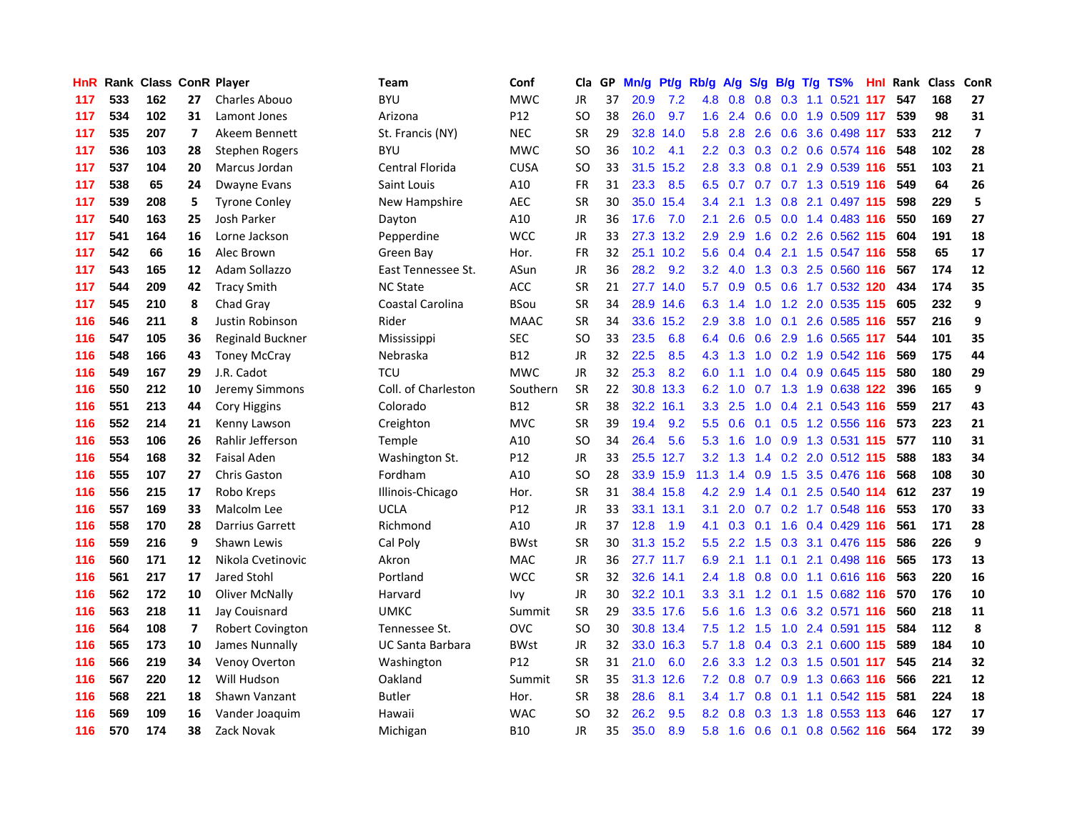| HnR |     | <b>Rank Class ConR Player</b> |                          |                         | Team                    | Conf            | Cla           |    | GP Mn/g | Pt/g      | Rb/g             | <b>A/g</b>  |               |                 | S/g B/g T/g TS%               | Hnl | Rank Class |     | ConR                    |
|-----|-----|-------------------------------|--------------------------|-------------------------|-------------------------|-----------------|---------------|----|---------|-----------|------------------|-------------|---------------|-----------------|-------------------------------|-----|------------|-----|-------------------------|
| 117 | 533 | 162                           | 27                       | Charles Abouo           | <b>BYU</b>              | <b>MWC</b>      | JR            | 37 | 20.9    | 7.2       | 4.8              | 0.8         | 0.8           | 0.3             | $1.1 \quad 0.521$             | 117 | 547        | 168 | 27                      |
| 117 | 534 | 102                           | 31                       | Lamont Jones            | Arizona                 | P <sub>12</sub> | <b>SO</b>     | 38 | 26.0    | 9.7       | 1.6              | 2.4         | 0.6           | 0.0             | 1.9 0.509 117                 |     | 539        | 98  | 31                      |
| 117 | 535 | 207                           | 7                        | Akeem Bennett           | St. Francis (NY)        | <b>NEC</b>      | <b>SR</b>     | 29 | 32.8    | 14.0      | 5.8              | 2.8         | 2.6           | 0.6             | 3.6 0.498 117                 |     | 533        | 212 | $\overline{\mathbf{z}}$ |
| 117 | 536 | 103                           | 28                       | <b>Stephen Rogers</b>   | <b>BYU</b>              | <b>MWC</b>      | SO            | 36 | 10.2    | 4.1       |                  |             |               |                 | 2.2 0.3 0.3 0.2 0.6 0.574 116 |     | 548        | 102 | 28                      |
| 117 | 537 | 104                           | 20                       | Marcus Jordan           | Central Florida         | <b>CUSA</b>     | SO            | 33 |         | 31.5 15.2 | 2.8 <sub>1</sub> |             |               |                 | 3.3 0.8 0.1 2.9 0.539 116     |     | 551        | 103 | 21                      |
| 117 | 538 | 65                            | 24                       | Dwayne Evans            | Saint Louis             | A10             | FR            | 31 | 23.3    | 8.5       | 6.5              |             |               |                 | 0.7 0.7 0.7 1.3 0.519 116     |     | 549        | 64  | 26                      |
| 117 | 539 | 208                           | 5                        | <b>Tyrone Conley</b>    | New Hampshire           | <b>AEC</b>      | <b>SR</b>     | 30 |         | 35.0 15.4 | $3.4^{\circ}$    | 2.1         |               |                 | 1.3 0.8 2.1 0.497 115         |     | 598        | 229 | 5                       |
| 117 | 540 | 163                           | 25                       | Josh Parker             | Dayton                  | A10             | JR            | 36 | 17.6    | 7.0       | 2.1              | 2.6         | 0.5           |                 | 0.0 1.4 0.483 116             |     | 550        | 169 | 27                      |
| 117 | 541 | 164                           | 16                       | Lorne Jackson           | Pepperdine              | <b>WCC</b>      | JR            | 33 | 27.3    | 13.2      | 2.9              | 2.9         | 1.6           |                 | 0.2 2.6 0.562 115             |     | 604        | 191 | 18                      |
| 117 | 542 | 66                            | 16                       | Alec Brown              | Green Bay               | Hor.            | <b>FR</b>     | 32 |         | 25.1 10.2 | 5.6              | 0.4         | $0.4^{\circ}$ | 2.1             | 1.5 0.547 116                 |     | 558        | 65  | 17                      |
| 117 | 543 | 165                           | 12                       | Adam Sollazzo           | East Tennessee St.      | ASun            | <b>JR</b>     | 36 | 28.2    | 9.2       | 3.2              | 4.0         |               |                 | 1.3 0.3 2.5 0.560 116         |     | 567        | 174 | 12                      |
| 117 | 544 | 209                           | 42                       | <b>Tracy Smith</b>      | <b>NC State</b>         | ACC             | <b>SR</b>     | 21 |         | 27.7 14.0 | 5.7              | 0.9         | 0.5           | 0.6             | 1.7 0.532 120                 |     | 434        | 174 | 35                      |
| 117 | 545 | 210                           | 8                        | Chad Gray               | Coastal Carolina        | <b>BSou</b>     | <b>SR</b>     | 34 |         | 28.9 14.6 | 6.3              | 1.4         | 1.0           | 1.2             | 2.0 0.535 115                 |     | 605        | 232 | 9                       |
| 116 | 546 | 211                           | 8                        | Justin Robinson         | Rider                   | <b>MAAC</b>     | <b>SR</b>     | 34 |         | 33.6 15.2 | 2.9              | 3.8         | 1.0           | 0.1             | 2.6 0.585 116                 |     | 557        | 216 | 9                       |
| 116 | 547 | 105                           | 36                       | Reginald Buckner        | Mississippi             | <b>SEC</b>      | SO            | 33 | 23.5    | 6.8       | 6.4              | 0.6         | 0.6           | 2.9             | 1.6 0.565 117                 |     | 544        | 101 | 35                      |
| 116 | 548 | 166                           | 43                       | <b>Toney McCray</b>     | Nebraska                | <b>B12</b>      | JR            | 32 | 22.5    | 8.5       | 4.3              | 1.3         | 1.0           | 0.2             | 1.9 0.542 116                 |     | 569        | 175 | 44                      |
| 116 | 549 | 167                           | 29                       | J.R. Cadot              | <b>TCU</b>              | <b>MWC</b>      | <b>JR</b>     | 32 | 25.3    | 8.2       | 6.0              | 1.1         | 1.0           |                 | 0.4 0.9 0.645 115             |     | 580        | 180 | 29                      |
| 116 | 550 | 212                           | 10                       | Jeremy Simmons          | Coll. of Charleston     | Southern        | <b>SR</b>     | 22 |         | 30.8 13.3 | 6.2              | 1.0         | 0.7           |                 | 1.3 1.9 0.638 122             |     | 396        | 165 | 9                       |
| 116 | 551 | 213                           | 44                       | <b>Cory Higgins</b>     | Colorado                | <b>B12</b>      | <b>SR</b>     | 38 |         | 32.2 16.1 |                  | $3.3$ $2.5$ |               |                 | 1.0 0.4 2.1 0.543 116         |     | 559        | 217 | 43                      |
| 116 | 552 | 214                           | 21                       | Kenny Lawson            | Creighton               | <b>MVC</b>      | <b>SR</b>     | 39 | 19.4    | 9.2       | $5.5^{\circ}$    | 0.6         |               |                 | 0.1 0.5 1.2 0.556 116         |     | 573        | 223 | 21                      |
| 116 | 553 | 106                           | 26                       | Rahlir Jefferson        | Temple                  | A10             | <sub>SO</sub> | 34 | 26.4    | 5.6       | 5.3              | 1.6         | 1.0           |                 | 0.9 1.3 0.531 115             |     | 577        | 110 | 31                      |
| 116 | 554 | 168                           | 32                       | <b>Faisal Aden</b>      | Washington St.          | P12             | JR            | 33 |         | 25.5 12.7 | 3.2 <sub>2</sub> | 1.3         |               |                 | 1.4 0.2 2.0 0.512 115         |     | 588        | 183 | 34                      |
| 116 | 555 | 107                           | 27                       | <b>Chris Gaston</b>     | Fordham                 | A10             | <sub>SO</sub> | 28 |         | 33.9 15.9 | 11.3             | 1.4         | 0.9           |                 | 1.5 3.5 0.476 116             |     | 568        | 108 | 30                      |
| 116 | 556 | 215                           | 17                       | Robo Kreps              | Illinois-Chicago        | Hor.            | <b>SR</b>     | 31 |         | 38.4 15.8 |                  | $4.2$ 2.9   | $1.4^{\circ}$ | 0.1             | 2.5 0.540 114                 |     | 612        | 237 | 19                      |
| 116 | 557 | 169                           | 33                       | Malcolm Lee             | <b>UCLA</b>             | P12             | <b>JR</b>     | 33 |         | 33.1 13.1 | 3.1              | 2.0         |               |                 | 0.7 0.2 1.7 0.548 116         |     | 553        | 170 | 33                      |
| 116 | 558 | 170                           | 28                       | Darrius Garrett         | Richmond                | A10             | <b>JR</b>     | 37 | 12.8    | 1.9       | 4.1              | 0.3         | 0.1           | 1.6             | 0.4 0.429 116                 |     | 561        | 171 | 28                      |
| 116 | 559 | 216                           | 9                        | Shawn Lewis             | Cal Poly                | <b>BWst</b>     | <b>SR</b>     | 30 |         | 31.3 15.2 | 5.5              | 2.2         | 1.5           | 0.3             | 3.1 0.476 115                 |     | 586        | 226 | 9                       |
| 116 | 560 | 171                           | 12                       | Nikola Cvetinovic       | Akron                   | <b>MAC</b>      | <b>JR</b>     | 36 |         | 27.7 11.7 | 6.9              | 2.1         | 1.1           | 0.1             | 2.1 0.498 116                 |     | 565        | 173 | 13                      |
| 116 | 561 | 217                           | 17                       | Jared Stohl             | Portland                | <b>WCC</b>      | <b>SR</b>     | 32 |         | 32.6 14.1 | 2.4              | 1.8         | 0.8           | 0.0             | 1.1 0.616 116                 |     | 563        | 220 | 16                      |
| 116 | 562 | 172                           | 10                       | <b>Oliver McNally</b>   | Harvard                 | Ivy             | JR            | 30 |         | 32.2 10.1 | 3.3 <sub>2</sub> | 3.1         |               | $1.2 \quad 0.1$ | 1.5 0.682 116                 |     | 570        | 176 | 10                      |
| 116 | 563 | 218                           | 11                       | Jay Couisnard           | <b>UMKC</b>             | Summit          | <b>SR</b>     | 29 |         | 33.5 17.6 | 5.6              | 1.6         | 1.3           | 0.6             | 3.2 0.571 116                 |     | 560        | 218 | 11                      |
| 116 | 564 | 108                           | $\overline{\phantom{a}}$ | <b>Robert Covington</b> | Tennessee St.           | <b>OVC</b>      | SO            | 30 |         | 30.8 13.4 | 7.5              | 1.2         | 1.5           |                 | 1.0 2.4 0.591 115             |     | 584        | 112 | 8                       |
| 116 | 565 | 173                           | 10                       | James Nunnally          | <b>UC Santa Barbara</b> | <b>BWst</b>     | <b>JR</b>     | 32 |         | 33.0 16.3 | 5.7              | 1.8         |               |                 | 0.4 0.3 2.1 0.600 115         |     | 589        | 184 | 10                      |
| 116 | 566 | 219                           | 34                       | Venoy Overton           | Washington              | P12             | <b>SR</b>     | 31 | 21.0    | 6.0       | $2.6^{\circ}$    | 3.3         |               |                 | 1.2 0.3 1.5 0.501 117         |     | 545        | 214 | 32                      |
| 116 | 567 | 220                           | 12                       | Will Hudson             | Oakland                 | Summit          | <b>SR</b>     | 35 |         | 31.3 12.6 | 7.2              | 0.8         | 0.7           | 0.9             | 1.3 0.663 116                 |     | 566        | 221 | 12                      |
| 116 | 568 | 221                           | 18                       | Shawn Vanzant           | <b>Butler</b>           | Hor.            | <b>SR</b>     | 38 | 28.6    | 8.1       | $3.4^{\circ}$    | 1.7         | 0.8           | 0.1             | 1.1 0.542 115                 |     | 581        | 224 | 18                      |
| 116 | 569 | 109                           | 16                       | Vander Joaquim          | Hawaii                  | <b>WAC</b>      | <sub>SO</sub> | 32 | 26.2    | 9.5       | 8.2              | 0.8         | 0.3           | 1.3             | 1.8 0.553                     | 113 | 646        | 127 | 17                      |
| 116 | 570 | 174                           | 38                       | Zack Novak              | Michigan                | <b>B10</b>      | JR            | 35 | 35.0    | 8.9       | 5.8              | 1.6         | $0.6$ 0.1     |                 | $0.8$ $0.562$ 116             |     | 564        | 172 | 39                      |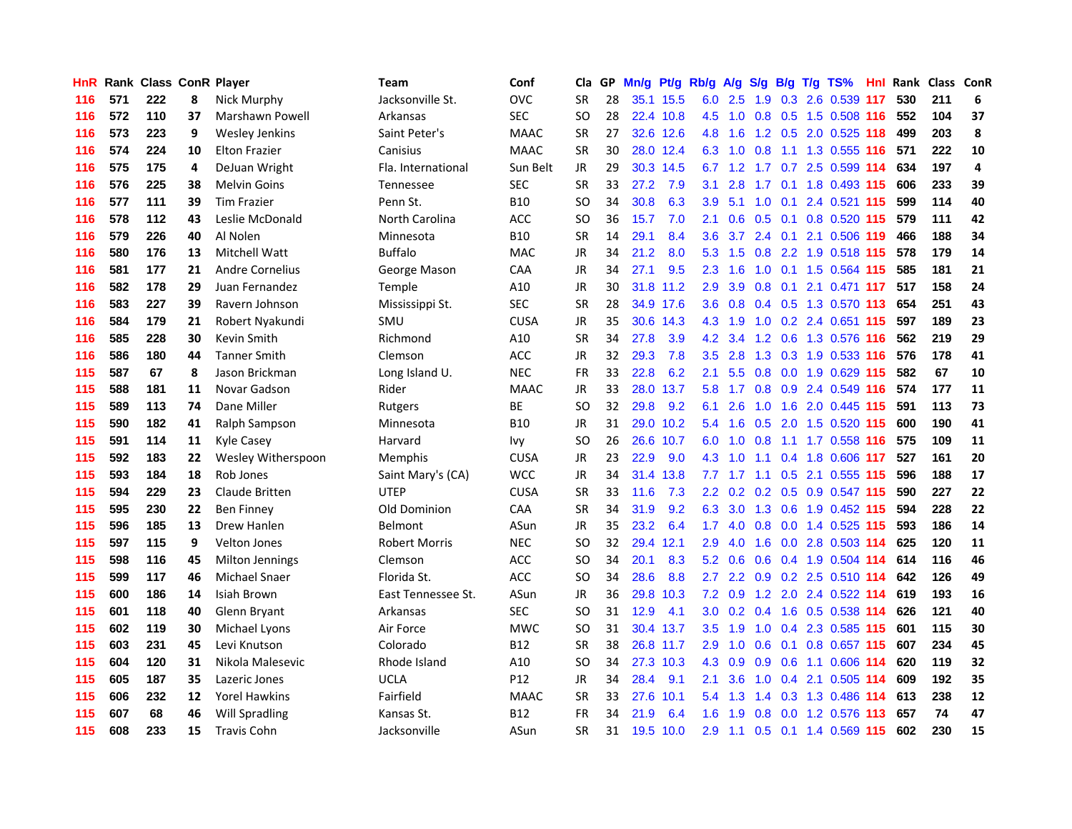| <b>HnR</b> |     | Rank Class ConR Player |    |                        | Team                 | Conf        | Cla       |    | GP Mn/g | Pt/g      | Rb/g A/g         |                 | <b>S/g</b>  |                | B/g T/g TS%                   | Hnl  |     | Rank Class ConR |    |
|------------|-----|------------------------|----|------------------------|----------------------|-------------|-----------|----|---------|-----------|------------------|-----------------|-------------|----------------|-------------------------------|------|-----|-----------------|----|
| 116        | 571 | 222                    | 8  | Nick Murphy            | Jacksonville St.     | <b>OVC</b>  | SR        | 28 |         | 35.1 15.5 | 6.0              | 2.5             | 1.9         | 0.3            | 2.6 0.539 117                 |      | 530 | 211             | 6  |
| 116        | 572 | 110                    | 37 | Marshawn Powell        | Arkansas             | <b>SEC</b>  | SO        | 28 |         | 22.4 10.8 | 4.5              | 1.0             | 0.8         |                | 0.5 1.5 0.508 116             |      | 552 | 104             | 37 |
| 116        | 573 | 223                    | 9  | <b>Wesley Jenkins</b>  | Saint Peter's        | <b>MAAC</b> | <b>SR</b> | 27 |         | 32.6 12.6 | 4.8              | 1.6             | 1.2         | 0.5            | 2.0 0.525 118                 |      | 499 | 203             | 8  |
| 116        | 574 | 224                    | 10 | <b>Elton Frazier</b>   | Canisius             | <b>MAAC</b> | SR        | 30 |         | 28.0 12.4 | 6.3              |                 | $1.0 \t0.8$ |                | 1.1 1.3 0.555 116             |      | 571 | 222             | 10 |
| 116        | 575 | 175                    | 4  | DeJuan Wright          | Fla. International   | Sun Belt    | JR        | 29 |         | 30.3 14.5 |                  |                 |             |                | 6.7 1.2 1.7 0.7 2.5 0.599 114 |      | 634 | 197             | 4  |
| 116        | 576 | 225                    | 38 | <b>Melvin Goins</b>    | <b>Tennessee</b>     | <b>SEC</b>  | <b>SR</b> | 33 | 27.2    | 7.9       | 3.1              | 2.8             |             |                | 1.7 0.1 1.8 0.493 115         |      | 606 | 233             | 39 |
| 116        | 577 | 111                    | 39 | <b>Tim Frazier</b>     | Penn St.             | <b>B10</b>  | SO        | 34 | 30.8    | 6.3       | 3.9              | 5.1             |             |                | 1.0 0.1 2.4 0.521 115         |      | 599 | 114             | 40 |
| 116        | 578 | 112                    | 43 | Leslie McDonald        | North Carolina       | <b>ACC</b>  | SO        | 36 | 15.7    | 7.0       | 2.1              | 0.6             |             |                | 0.5 0.1 0.8 0.520 115         |      | 579 | 111             | 42 |
| 116        | 579 | 226                    | 40 | Al Nolen               | Minnesota            | <b>B10</b>  | <b>SR</b> | 14 | 29.1    | 8.4       | 3.6              | 3.7             |             | $2.4\quad 0.1$ | 2.1 0.506 119                 |      | 466 | 188             | 34 |
| 116        | 580 | 176                    | 13 | Mitchell Watt          | <b>Buffalo</b>       | <b>MAC</b>  | JR        | 34 | 21.2    | 8.0       | 5.3              | 1.5             | 0.8         |                | 2.2 1.9 0.518 115             |      | 578 | 179             | 14 |
| 116        | 581 | 177                    | 21 | <b>Andre Cornelius</b> | George Mason         | CAA         | JR        | 34 | 27.1    | 9.5       | $2.3^{\circ}$    | 1.6             | 1.0         | 0.1            | 1.5 0.564 115                 |      | 585 | 181             | 21 |
| 116        | 582 | 178                    | 29 | Juan Fernandez         | Temple               | A10         | JR        | 30 |         | 31.8 11.2 | 2.9              | 3.9             | 0.8         | 0.1            | 2.1 0.471 117                 |      | 517 | 158             | 24 |
| 116        | 583 | 227                    | 39 | Ravern Johnson         | Mississippi St.      | <b>SEC</b>  | <b>SR</b> | 28 |         | 34.9 17.6 | 3.6              | 0.8             |             |                | 0.4 0.5 1.3 0.570 113         |      | 654 | 251             | 43 |
| 116        | 584 | 179                    | 21 | Robert Nyakundi        | SMU                  | <b>CUSA</b> | JR        | 35 |         | 30.6 14.3 | 4.3              | 1.9             | 1.0         |                | 0.2 2.4 0.651 115             |      | 597 | 189             | 23 |
| 116        | 585 | 228                    | 30 | Kevin Smith            | Richmond             | A10         | <b>SR</b> | 34 | 27.8    | 3.9       | 4.2              | 3.4             | 1.2         |                | 0.6 1.3 0.576 116             |      | 562 | 219             | 29 |
| 116        | 586 | 180                    | 44 | <b>Tanner Smith</b>    | Clemson              | <b>ACC</b>  | JR        | 32 | 29.3    | 7.8       | 3.5              | 2.8             |             |                | 1.3 0.3 1.9 0.533 116         |      | 576 | 178             | 41 |
| 115        | 587 | 67                     | 8  | Jason Brickman         | Long Island U.       | <b>NEC</b>  | <b>FR</b> | 33 | 22.8    | 6.2       | 2.1              |                 |             |                | 5.5 0.8 0.0 1.9 0.629 115     |      | 582 | 67              | 10 |
| 115        | 588 | 181                    | 11 | Novar Gadson           | Rider                | <b>MAAC</b> | JR        | 33 |         | 28.0 13.7 |                  |                 |             |                | 5.8 1.7 0.8 0.9 2.4 0.549 116 |      | 574 | 177             | 11 |
| 115        | 589 | 113                    | 74 | Dane Miller            | Rutgers              | ВE          | SO        | 32 | 29.8    | 9.2       | 6.1              | 2.6             | 1.0         |                | 1.6 2.0 0.445 115             |      | 591 | 113             | 73 |
| 115        | 590 | 182                    | 41 | Ralph Sampson          | Minnesota            | <b>B10</b>  | JR        | 31 |         | 29.0 10.2 | 5.4              |                 |             |                | 1.6 0.5 2.0 1.5 0.520 115     |      | 600 | 190             | 41 |
| 115        | 591 | 114                    | 11 | <b>Kyle Casey</b>      | Harvard              | lvy         | SO        | 26 |         | 26.6 10.7 | 6.0              |                 | $1.0 \t0.8$ |                | 1.1 1.7 0.558 116             |      | 575 | 109             | 11 |
| 115        | 592 | 183                    | 22 | Wesley Witherspoon     | Memphis              | <b>CUSA</b> | JR.       | 23 | 22.9    | 9.0       | 4.3              | 1.0             |             |                | 1.1 0.4 1.8 0.606 117         |      | 527 | 161             | 20 |
| 115        | 593 | 184                    | 18 | Rob Jones              | Saint Mary's (CA)    | <b>WCC</b>  | JR        | 34 | 31.4    | 13.8      | 7.7              | 1.7             | 1.1         | 0.5            | 2.1 0.555 115                 |      | 596 | 188             | 17 |
| 115        | 594 | 229                    | 23 | Claude Britten         | <b>UTEP</b>          | <b>CUSA</b> | <b>SR</b> | 33 | 11.6    | 7.3       |                  |                 |             |                | 2.2 0.2 0.2 0.5 0.9 0.547 115 |      | 590 | 227             | 22 |
| 115        | 595 | 230                    | 22 | <b>Ben Finney</b>      | Old Dominion         | CAA         | <b>SR</b> | 34 | 31.9    | 9.2       | 6.3              |                 |             |                | 3.0 1.3 0.6 1.9 0.452 115     |      | 594 | 228             | 22 |
| 115        | 596 | 185                    | 13 | Drew Hanlen            | Belmont              | ASun        | JR        | 35 | 23.2    | 6.4       | 1.7 <sub>2</sub> | 4.0             | 0.8         |                | 0.0 1.4 0.525 115             |      | 593 | 186             | 14 |
| 115        | 597 | 115                    | 9  | <b>Velton Jones</b>    | <b>Robert Morris</b> | <b>NEC</b>  | SO        | 32 |         | 29.4 12.1 | 2.9              | 4.0             | 1.6         | 0.0            | 2.8 0.503 114                 |      | 625 | 120             | 11 |
| 115        | 598 | 116                    | 45 | <b>Milton Jennings</b> | Clemson              | ACC         | SO        | 34 | 20.1    | 8.3       | 5.2              | 0.6             | 0.6         |                | 0.4 1.9 0.504 114             |      | 614 | 116             | 46 |
| 115        | 599 | 117                    | 46 | <b>Michael Snaer</b>   | Florida St.          | ACC         | SO        | 34 | 28.6    | 8.8       | $2.7^{\circ}$    |                 |             |                | 2.2 0.9 0.2 2.5 0.510 114     |      | 642 | 126             | 49 |
| 115        | 600 | 186                    | 14 | Isiah Brown            | East Tennessee St.   | ASun        | JR.       | 36 | 29.8    | 10.3      |                  | $7.2 \quad 0.9$ |             |                | 1.2 2.0 2.4 0.522 114         |      | 619 | 193             | 16 |
| 115        | 601 | 118                    | 40 | Glenn Bryant           | Arkansas             | <b>SEC</b>  | SO        | 31 | 12.9    | 4.1       |                  |                 |             |                | 3.0 0.2 0.4 1.6 0.5 0.538 114 |      | 626 | 121             | 40 |
| 115        | 602 | 119                    | 30 | Michael Lyons          | Air Force            | <b>MWC</b>  | SO        | 31 |         | 30.4 13.7 | 3.5              | 1.9             |             |                | 1.0 0.4 2.3 0.585 115         |      | 601 | 115             | 30 |
| 115        | 603 | 231                    | 45 | Levi Knutson           | Colorado             | B12         | <b>SR</b> | 38 |         | 26.8 11.7 | 2.9 <sup>°</sup> | 1.0             | 0.6         |                | 0.1 0.8 0.657 115             |      | 607 | 234             | 45 |
| 115        | 604 | 120                    | 31 | Nikola Malesevic       | Rhode Island         | A10         | SO        | 34 |         | 27.3 10.3 | 4.3              | 0.9             |             |                | 0.9 0.6 1.1 0.606 114         |      | 620 | 119             | 32 |
| 115        | 605 | 187                    | 35 | Lazeric Jones          | <b>UCLA</b>          | P12         | JR        | 34 | 28.4    | 9.1       | 2.1              | 3.6             | 1.0         |                | 0.4 2.1 0.505 114             |      | 609 | 192             | 35 |
| 115        | 606 | 232                    | 12 | <b>Yorel Hawkins</b>   | Fairfield            | <b>MAAC</b> | <b>SR</b> | 33 | 27.6    | 10.1      | 5.4              | 1.3             | 1.4         |                | 0.3 1.3 0.486                 | -114 | 613 | 238             | 12 |
| 115        | 607 | 68                     | 46 | <b>Will Spradling</b>  | Kansas St.           | B12         | FR        | 34 | 21.9    | 6.4       | 1.6              | 1.9             | 0.8         |                | 0.0 1.2 0.576                 | 113  | 657 | 74              | 47 |
| 115        | 608 | 233                    | 15 | <b>Travis Cohn</b>     | Jacksonville         | ASun        | <b>SR</b> | 31 |         | 19.5 10.0 | 2.9              | 1.1             |             |                | 0.5 0.1 1.4 0.569 115         |      | 602 | 230             | 15 |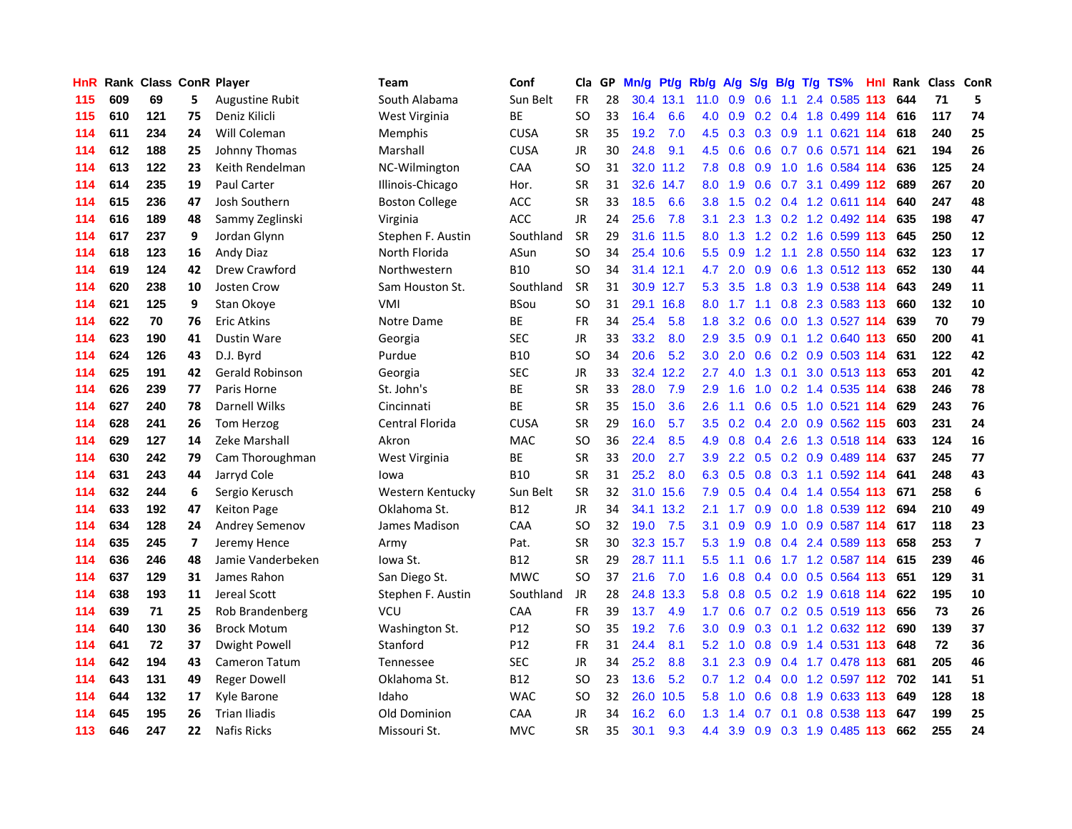| <b>HnR</b> |     | Rank Class ConR Player |                |                        | Team                  | Conf        | Cla       |    | GP Mn/g Pt/g Rb/g A/g |           |                  |     |                 |     | S/g B/g T/g TS%               | Hnl |     | Rank Class ConR |                         |
|------------|-----|------------------------|----------------|------------------------|-----------------------|-------------|-----------|----|-----------------------|-----------|------------------|-----|-----------------|-----|-------------------------------|-----|-----|-----------------|-------------------------|
| 115        | 609 | 69                     | 5              | <b>Augustine Rubit</b> | South Alabama         | Sun Belt    | FR.       | 28 |                       | 30.4 13.1 | 11.0             | 0.9 | 0.6             | 1.1 | 2.4 0.585                     | 113 | 644 | 71              | 5                       |
| 115        | 610 | 121                    | 75             | Deniz Kilicli          | West Virginia         | BE          | SO        | 33 | 16.4                  | 6.6       | 4.0              | 0.9 | 0.2             |     | 0.4 1.8 0.499 114             |     | 616 | 117             | 74                      |
| 114        | 611 | 234                    | 24             | Will Coleman           | Memphis               | <b>CUSA</b> | <b>SR</b> | 35 | 19.2                  | 7.0       | 4.5              | 0.3 | 0.3             | 0.9 | 1.1 0.621 114                 |     | 618 | 240             | 25                      |
| 114        | 612 | 188                    | 25             | Johnny Thomas          | Marshall              | <b>CUSA</b> | <b>JR</b> | 30 | 24.8                  | 9.1       | 4.5              | 0.6 | 0.6             |     | 0.7 0.6 0.571 114             |     | 621 | 194             | 26                      |
| 114        | 613 | 122                    | 23             | Keith Rendelman        | NC-Wilmington         | CAA         | SO        | 31 |                       | 32.0 11.2 | 7.8              |     | $0.8\ 0.9$      |     | 1.0 1.6 0.584 114             |     | 636 | 125             | 24                      |
| 114        | 614 | 235                    | 19             | Paul Carter            | Illinois-Chicago      | Hor.        | <b>SR</b> | 31 |                       | 32.6 14.7 | 8.0              | 1.9 |                 |     | 0.6 0.7 3.1 0.499 112         |     | 689 | 267             | 20                      |
| 114        | 615 | 236                    | 47             | Josh Southern          | <b>Boston College</b> | <b>ACC</b>  | <b>SR</b> | 33 | 18.5                  | 6.6       | 3.8 <sup>°</sup> | 1.5 |                 |     | 0.2 0.4 1.2 0.611 114         |     | 640 | 247             | 48                      |
| 114        | 616 | 189                    | 48             | Sammy Zeglinski        | Virginia              | <b>ACC</b>  | <b>JR</b> | 24 | 25.6                  | 7.8       | 3.1              | 2.3 |                 |     | 1.3 0.2 1.2 0.492 114         |     | 635 | 198             | 47                      |
| 114        | 617 | 237                    | 9              | Jordan Glynn           | Stephen F. Austin     | Southland   | SR        | 29 | 31.6                  | 11.5      | 8.0              | 1.3 |                 |     | 1.2 0.2 1.6 0.599 113         |     | 645 | 250             | 12                      |
| 114        | 618 | 123                    | 16             | Andy Diaz              | North Florida         | ASun        | <b>SO</b> | 34 |                       | 25.4 10.6 | 5.5              | 0.9 | 1.2             | 1.1 | 2.8 0.550 114                 |     | 632 | 123             | 17                      |
| 114        | 619 | 124                    | 42             | Drew Crawford          | Northwestern          | <b>B10</b>  | <b>SO</b> | 34 |                       | 31.4 12.1 | 4.7              | 2.0 | 0.9             |     | 0.6 1.3 0.512 113             |     | 652 | 130             | 44                      |
| 114        | 620 | 238                    | 10             | <b>Josten Crow</b>     | Sam Houston St.       | Southland   | <b>SR</b> | 31 |                       | 30.9 12.7 | 5.3              | 3.5 | 1.8             |     | 0.3 1.9 0.538 114             |     | 643 | 249             | 11                      |
| 114        | 621 | 125                    | 9              | Stan Okove             | VMI                   | <b>BSou</b> | SO        | 31 |                       | 29.1 16.8 | 8.0              | 1.7 | 1.1             | 0.8 | 2.3 0.583 113                 |     | 660 | 132             | 10                      |
| 114        | 622 | 70                     | 76             | <b>Eric Atkins</b>     | Notre Dame            | ВE          | <b>FR</b> | 34 | 25.4                  | 5.8       | 1.8              |     | $3.2 \quad 0.6$ |     | 0.0 1.3 0.527 114             |     | 639 | 70              | 79                      |
| 114        | 623 | 190                    | 41             | Dustin Ware            | Georgia               | <b>SEC</b>  | JR        | 33 | 33.2                  | 8.0       | 2.9              | 3.5 | 0.9             |     | 0.1 1.2 0.640 113             |     | 650 | 200             | 41                      |
| 114        | 624 | 126                    | 43             | D.J. Byrd              | Purdue                | <b>B10</b>  | <b>SO</b> | 34 | 20.6                  | 5.2       | 3.0 <sub>2</sub> | 2.0 | 0.6             | 0.2 | 0.9 0.503 114                 |     | 631 | 122             | 42                      |
| 114        | 625 | 191                    | 42             | <b>Gerald Robinson</b> | Georgia               | <b>SEC</b>  | <b>JR</b> | 33 | 32.4                  | 12.2      | 2.7              | 4.0 | 1.3             | 0.1 | 3.0 0.513 113                 |     | 653 | 201             | 42                      |
| 114        | 626 | 239                    | 77             | Paris Horne            | St. John's            | ВE          | <b>SR</b> | 33 | 28.0                  | 7.9       | 2.9 <sup>°</sup> | 1.6 | 1.0             |     | 0.2 1.4 0.535 114             |     | 638 | 246             | 78                      |
| 114        | 627 | 240                    | 78             | Darnell Wilks          | Cincinnati            | BE          | <b>SR</b> | 35 | 15.0                  | 3.6       | 2.6 <sup>°</sup> | 1.1 |                 |     | 0.6 0.5 1.0 0.521 114         |     | 629 | 243             | 76                      |
| 114        | 628 | 241                    | 26             | Tom Herzog             | Central Florida       | <b>CUSA</b> | <b>SR</b> | 29 | 16.0                  | 5.7       |                  |     |                 |     | 3.5 0.2 0.4 2.0 0.9 0.562 115 |     | 603 | 231             | 24                      |
| 114        | 629 | 127                    | 14             | Zeke Marshall          | Akron                 | <b>MAC</b>  | <b>SO</b> | 36 | 22.4                  | 8.5       | 4.9              | 0.8 |                 |     | 0.4 2.6 1.3 0.518 114         |     | 633 | 124             | 16                      |
| 114        | 630 | 242                    | 79             | Cam Thoroughman        | West Virginia         | BE          | <b>SR</b> | 33 | 20.0                  | 2.7       | 3.9 <sup>°</sup> |     |                 |     | 2.2 0.5 0.2 0.9 0.489 114     |     | 637 | 245             | 77                      |
| 114        | 631 | 243                    | 44             | Jarryd Cole            | Iowa                  | <b>B10</b>  | <b>SR</b> | 31 | 25.2                  | 8.0       | 6.3              | 0.5 |                 |     | 0.8 0.3 1.1 0.592 114         |     | 641 | 248             | 43                      |
| 114        | 632 | 244                    | 6              | Sergio Kerusch         | Western Kentucky      | Sun Belt    | <b>SR</b> | 32 | 31.0                  | 15.6      | 7.9              | 0.5 | 0.4             |     | 0.4 1.4 0.554 113             |     | 671 | 258             | 6                       |
| 114        | 633 | 192                    | 47             | <b>Keiton Page</b>     | Oklahoma St.          | B12         | JR        | 34 |                       | 34.1 13.2 | 2.1              | 1.7 | 0.9             |     | 0.0 1.8 0.539 112             |     | 694 | 210             | 49                      |
| 114        | 634 | 128                    | 24             | <b>Andrey Semenov</b>  | James Madison         | CAA         | <b>SO</b> | 32 | 19.0                  | 7.5       | 3.1              | 0.9 | 0.9             |     | 1.0 0.9 0.587 114             |     | 617 | 118             | 23                      |
| 114        | 635 | 245                    | $\overline{ }$ | Jeremy Hence           | Army                  | Pat.        | <b>SR</b> | 30 |                       | 32.3 15.7 | 5.3              | 1.9 | 0.8             |     | 0.4 2.4 0.589 113             |     | 658 | 253             | $\overline{\mathbf{z}}$ |
| 114        | 636 | 246                    | 48             | Jamie Vanderbeken      | lowa St.              | B12         | <b>SR</b> | 29 |                       | 28.7 11.1 | 5.5              | 1.1 | 0.6             |     | 1.7 1.2 0.587 114             |     | 615 | 239             | 46                      |
| 114        | 637 | 129                    | 31             | James Rahon            | San Diego St.         | <b>MWC</b>  | SO        | 37 | 21.6                  | 7.0       | 1.6              | 0.8 | 0.4             | 0.0 | 0.5 0.564 113                 |     | 651 | 129             | 31                      |
| 114        | 638 | 193                    | 11             | Jereal Scott           | Stephen F. Austin     | Southland   | JR        | 28 | 24.8                  | 13.3      | 5.8              | 0.8 |                 |     | 0.5 0.2 1.9 0.618 114         |     | 622 | 195             | 10                      |
| 114        | 639 | 71                     | 25             | Rob Brandenberg        | VCU                   | CAA         | <b>FR</b> | 39 | 13.7                  | 4.9       | 1.7              | 0.6 |                 |     | 0.7 0.2 0.5 0.519 113         |     | 656 | 73              | 26                      |
| 114        | 640 | 130                    | 36             | <b>Brock Motum</b>     | Washington St.        | P12         | SO        | 35 | 19.2                  | 7.6       | 3.0 <sub>1</sub> |     |                 |     | 0.9 0.3 0.1 1.2 0.632 112     |     | 690 | 139             | 37                      |
| 114        | 641 | 72                     | 37             | Dwight Powell          | Stanford              | P12         | <b>FR</b> | 31 | 24.4                  | 8.1       | 5.2              |     |                 |     | 1.0 0.8 0.9 1.4 0.531 113     |     | 648 | 72              | 36                      |
| 114        | 642 | 194                    | 43             | Cameron Tatum          | Tennessee             | <b>SEC</b>  | <b>JR</b> | 34 | 25.2                  | 8.8       | 3.1              | 2.3 | 0.9             |     | 0.4 1.7 0.478 113             |     | 681 | 205             | 46                      |
| 114        | 643 | 131                    | 49             | <b>Reger Dowell</b>    | Oklahoma St.          | B12         | SO        | 23 | 13.6                  | 5.2       | 0.7              |     | $1.2 \quad 0.4$ |     | 0.0 1.2 0.597 112 702         |     |     | 141             | 51                      |
| 114        | 644 | 132                    | 17             | Kyle Barone            | Idaho                 | <b>WAC</b>  | SO.       | 32 | 26.0                  | 10.5      | 5.8              | 1.0 | 0.6             | 0.8 | 1.9 0.633 113                 |     | 649 | 128             | 18                      |
| 114        | 645 | 195                    | 26             | <b>Trian Iliadis</b>   | Old Dominion          | CAA         | <b>JR</b> | 34 | 16.2                  | 6.0       | 1.3              | 1.4 | 0.7             | 0.1 | 0.8 0.538                     | 113 | 647 | 199             | 25                      |
| 113        | 646 | 247                    | 22             | <b>Nafis Ricks</b>     | Missouri St.          | <b>MVC</b>  | SR        | 35 | 30.1                  | 9.3       | 4.4              |     |                 |     | 3.9 0.9 0.3 1.9 0.485 113     |     | 662 | 255             | 24                      |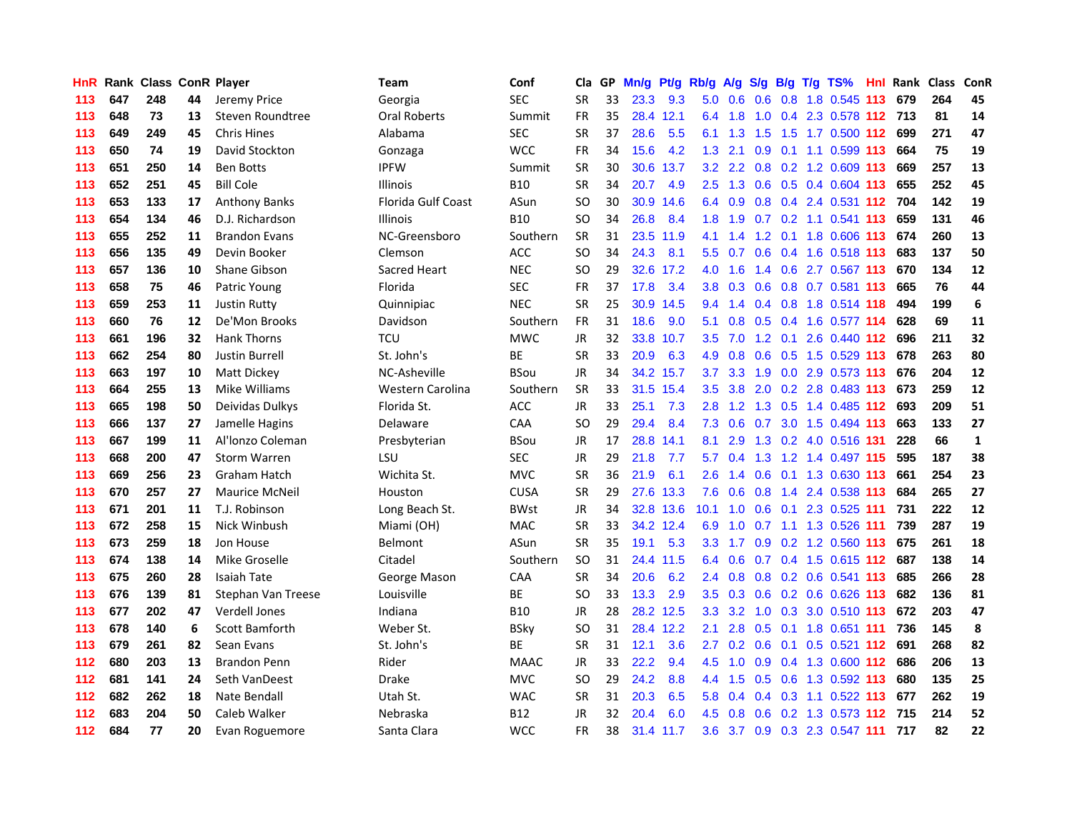| <b>HnR</b> |     | <b>Rank Class ConR Player</b> |    |                       | Team                      | Conf        | Cla       |    | GP Mn/g | Pt/g      | Rb/g             | A/g       | <b>S/g</b>      |                 | B/g T/g TS%                       | Hnl |     | Rank Class | ConR         |
|------------|-----|-------------------------------|----|-----------------------|---------------------------|-------------|-----------|----|---------|-----------|------------------|-----------|-----------------|-----------------|-----------------------------------|-----|-----|------------|--------------|
| 113        | 647 | 248                           | 44 | Jeremy Price          | Georgia                   | <b>SEC</b>  | <b>SR</b> | 33 | 23.3    | 9.3       | 5.0              | 0.6       | 0.6             | 0.8             | 1.8 0.545                         | 113 | 679 | 264        | 45           |
| 113        | 648 | 73                            | 13 | Steven Roundtree      | <b>Oral Roberts</b>       | Summit      | <b>FR</b> | 35 |         | 28.4 12.1 | 6.4              | 1.8       | 1.0             |                 | 0.4 2.3 0.578 112 713             |     |     | 81         | 14           |
| 113        | 649 | 249                           | 45 | <b>Chris Hines</b>    | Alabama                   | <b>SEC</b>  | <b>SR</b> | 37 | 28.6    | 5.5       | 6.1              | 1.3       | 1.5             | 1.5             | 1.7 0.500 112                     |     | 699 | 271        | 47           |
| 113        | 650 | 74                            | 19 | David Stockton        | Gonzaga                   | <b>WCC</b>  | <b>FR</b> | 34 | 15.6    | 4.2       |                  | $1.3$ 2.1 |                 |                 | 0.9 0.1 1.1 0.599 113             |     | 664 | 75         | 19           |
| 113        | 651 | 250                           | 14 | <b>Ben Botts</b>      | <b>IPFW</b>               | Summit      | <b>SR</b> | 30 |         | 30.6 13.7 |                  |           |                 |                 | 3.2 2.2 0.8 0.2 1.2 0.609 113     |     | 669 | 257        | 13           |
| 113        | 652 | 251                           | 45 | <b>Bill Cole</b>      | <b>Illinois</b>           | <b>B10</b>  | <b>SR</b> | 34 | 20.7    | 4.9       | $2.5^{\circ}$    |           |                 |                 | 1.3 0.6 0.5 0.4 0.604 113         |     | 655 | 252        | 45           |
| 113        | 653 | 133                           | 17 | Anthony Banks         | <b>Florida Gulf Coast</b> | ASun        | SO        | 30 | 30.9    | 14.6      |                  | 6.4 0.9   |                 |                 | 0.8 0.4 2.4 0.531 112 704         |     |     | 142        | 19           |
| 113        | 654 | 134                           | 46 | D.J. Richardson       | <b>Illinois</b>           | B10         | SO        | 34 | 26.8    | 8.4       | 1.8 <sup>°</sup> | 1.9       |                 |                 | 0.7 0.2 1.1 0.541 113             |     | 659 | 131        | 46           |
| 113        | 655 | 252                           | 11 | <b>Brandon Evans</b>  | NC-Greensboro             | Southern    | SR        | 31 | 23.5    | 11.9      | 4.1              | 1.4       |                 | $1.2 \quad 0.1$ | 1.8 0.606 113                     |     | 674 | 260        | 13           |
| 113        | 656 | 135                           | 49 | Devin Booker          | Clemson                   | <b>ACC</b>  | <b>SO</b> | 34 | 24.3    | 8.1       | 5.5 <sub>1</sub> | 0.7       | 0.6             |                 | 0.4 1.6 0.518 113                 |     | 683 | 137        | 50           |
| 113        | 657 | 136                           | 10 | <b>Shane Gibson</b>   | <b>Sacred Heart</b>       | <b>NEC</b>  | SO        | 29 |         | 32.6 17.2 | 4.0              | 1.6       | 1.4             |                 | 0.6 2.7 0.567 113                 |     | 670 | 134        | 12           |
| 113        | 658 | 75                            | 46 | Patric Young          | Florida                   | <b>SEC</b>  | <b>FR</b> | 37 | 17.8    | 3.4       | 3.8 <sub>1</sub> | 0.3       | 0.6             |                 | 0.8 0.7 0.581 113                 |     | 665 | 76         | 44           |
| 113        | 659 | 253                           | 11 | <b>Justin Rutty</b>   | Quinnipiac                | <b>NEC</b>  | <b>SR</b> | 25 |         | 30.9 14.5 | 9.4              | 1.4       | 0.4             | 0.8             | 1.8 0.514 118                     |     | 494 | 199        | 6            |
| 113        | 660 | 76                            | 12 | De'Mon Brooks         | Davidson                  | Southern    | FR        | 31 | 18.6    | 9.0       | 5.1              | 0.8       | 0.5             |                 | 0.4 1.6 0.577 114                 |     | 628 | 69         | 11           |
| 113        | 661 | 196                           | 32 | <b>Hank Thorns</b>    | <b>TCU</b>                | <b>MWC</b>  | <b>JR</b> | 32 | 33.8    | 10.7      | 3.5              | 7.0       | 1.2             | 0.1             | 2.6 0.440 112                     |     | 696 | 211        | 32           |
| 113        | 662 | 254                           | 80 | <b>Justin Burrell</b> | St. John's                | ВE          | <b>SR</b> | 33 | 20.9    | 6.3       | 4.9              | 0.8       | 0.6             |                 | 0.5 1.5 0.529 113                 |     | 678 | 263        | 80           |
| 113        | 663 | 197                           | 10 | Matt Dickey           | NC-Asheville              | <b>BSou</b> | JR        | 34 |         | 34.2 15.7 | 3.7              | 3.3       |                 |                 | 1.9 0.0 2.9 0.573 113             |     | 676 | 204        | ${\bf 12}$   |
| 113        | 664 | 255                           | 13 | Mike Williams         | Western Carolina          | Southern    | <b>SR</b> | 33 |         | 31.5 15.4 |                  |           |                 |                 | 3.5 3.8 2.0 0.2 2.8 0.483 113 673 |     |     | 259        | 12           |
| 113        | 665 | 198                           | 50 | Deividas Dulkys       | Florida St.               | <b>ACC</b>  | JR.       | 33 | 25.1    | 7.3       | 2.8              |           |                 |                 | 1.2 1.3 0.5 1.4 0.485 112         |     | 693 | 209        | 51           |
| 113        | 666 | 137                           | 27 | Jamelle Hagins        | Delaware                  | <b>CAA</b>  | SO        | 29 | 29.4    | 8.4       | 7.3              | 0.6       |                 |                 | 0.7 3.0 1.5 0.494 113             |     | 663 | 133        | 27           |
| 113        | 667 | 199                           | 11 | Al'Ionzo Coleman      | Presbyterian              | <b>BSou</b> | JR        | 17 | 28.8    | 14.1      | 8.1              | 2.9       |                 |                 | 1.3 0.2 4.0 0.516 131             |     | 228 | 66         | $\mathbf{1}$ |
| 113        | 668 | 200                           | 47 | <b>Storm Warren</b>   | LSU                       | <b>SEC</b>  | JR        | 29 | 21.8    | 7.7       | 5.7              | 0.4       | 1.3             |                 | 1.2 1.4 0.497 115                 |     | 595 | 187        | 38           |
| 113        | 669 | 256                           | 23 | Graham Hatch          | Wichita St.               | <b>MVC</b>  | <b>SR</b> | 36 | 21.9    | 6.1       | 2.6              | 1.4       | 0.6             |                 | 0.1 1.3 0.630 113                 |     | 661 | 254        | 23           |
| 113        | 670 | 257                           | 27 | <b>Maurice McNeil</b> | Houston                   | <b>CUSA</b> | <b>SR</b> | 29 | 27.6    | 13.3      | 7.6              | 0.6       | 0.8             |                 | 1.4 2.4 0.538 113                 |     | 684 | 265        | 27           |
| 113        | 671 | 201                           | 11 | T.J. Robinson         | Long Beach St.            | BWst        | JR.       | 34 |         | 32.8 13.6 | 10.1             | 1.0       |                 |                 | 0.6 0.1 2.3 0.525 111             |     | 731 | 222        | 12           |
| 113        | 672 | 258                           | 15 | Nick Winbush          | Miami (OH)                | <b>MAC</b>  | <b>SR</b> | 33 |         | 34.2 12.4 | 6.9              | 1.0       | 0.7             |                 | 1.1 1.3 0.526 111                 |     | 739 | 287        | 19           |
| 113        | 673 | 259                           | 18 | Jon House             | <b>Belmont</b>            | ASun        | <b>SR</b> | 35 | 19.1    | 5.3       | 3.3 <sub>2</sub> | 1.7       | 0.9             |                 | 0.2 1.2 0.560 113                 |     | 675 | 261        | 18           |
| 113        | 674 | 138                           | 14 | Mike Groselle         | Citadel                   | Southern    | SO        | 31 |         | 24.4 11.5 | 6.4              | 0.6       |                 |                 | 0.7 0.4 1.5 0.615 112             |     | 687 | 138        | 14           |
| 113        | 675 | 260                           | 28 | <b>Isaiah Tate</b>    | George Mason              | CAA         | <b>SR</b> | 34 | 20.6    | 6.2       | $2.4^{\circ}$    | 0.8       |                 |                 | 0.8 0.2 0.6 0.541 113             |     | 685 | 266        | 28           |
| 113        | 676 | 139                           | 81 | Stephan Van Treese    | Louisville                | ВE          | SO        | 33 | 13.3    | 2.9       |                  |           |                 |                 | 3.5 0.3 0.6 0.2 0.6 0.626 113     |     | 682 | 136        | 81           |
| 113        | 677 | 202                           | 47 | <b>Verdell Jones</b>  | Indiana                   | B10         | JR        | 28 |         | 28.2 12.5 |                  |           |                 |                 | 3.3 3.2 1.0 0.3 3.0 0.510 113     |     | 672 | 203        | 47           |
| 113        | 678 | 140                           | 6  | <b>Scott Bamforth</b> | Weber St.                 | <b>BSkv</b> | SO        | 31 |         | 28.4 12.2 | 2.1              | 2.8       |                 |                 | 0.5 0.1 1.8 0.651 111             |     | 736 | 145        | 8            |
| 113        | 679 | 261                           | 82 | Sean Evans            | St. John's                | ВE          | <b>SR</b> | 31 | 12.1    | 3.6       | $2.7^{\circ}$    |           | $0.2 \quad 0.6$ |                 | 0.1 0.5 0.521 112                 |     | 691 | 268        | 82           |
| 112        | 680 | 203                           | 13 | <b>Brandon Penn</b>   | Rider                     | <b>MAAC</b> | JR        | 33 | 22.2    | 9.4       | 4.5              | 1.0       |                 |                 | 0.9 0.4 1.3 0.600 112             |     | 686 | 206        | 13           |
| 112        | 681 | 141                           | 24 | Seth VanDeest         | <b>Drake</b>              | <b>MVC</b>  | SO        | 29 | 24.2    | 8.8       | 4.4              | 1.5       |                 |                 | 0.5 0.6 1.3 0.592 113             |     | 680 | 135        | 25           |
| 112        | 682 | 262                           | 18 | Nate Bendall          | Utah St.                  | <b>WAC</b>  | <b>SR</b> | 31 | 20.3    | 6.5       | 5.8              | 0.4       | 0.4             |                 | $0.3$ 1.1 $0.522$ 113             |     | 677 | 262        | 19           |
| 112        | 683 | 204                           | 50 | Caleb Walker          | Nebraska                  | B12         | <b>JR</b> | 32 | 20.4    | 6.0       | 4.5              | 0.8       | 0.6             |                 | 0.2 1.3 0.573 112                 |     | 715 | 214        | 52           |
| 112        | 684 | 77                            | 20 | Evan Roguemore        | Santa Clara               | <b>WCC</b>  | <b>FR</b> | 38 |         | 31.4 11.7 |                  |           |                 |                 | 3.6 3.7 0.9 0.3 2.3 0.547 111     |     | 717 | 82         | 22           |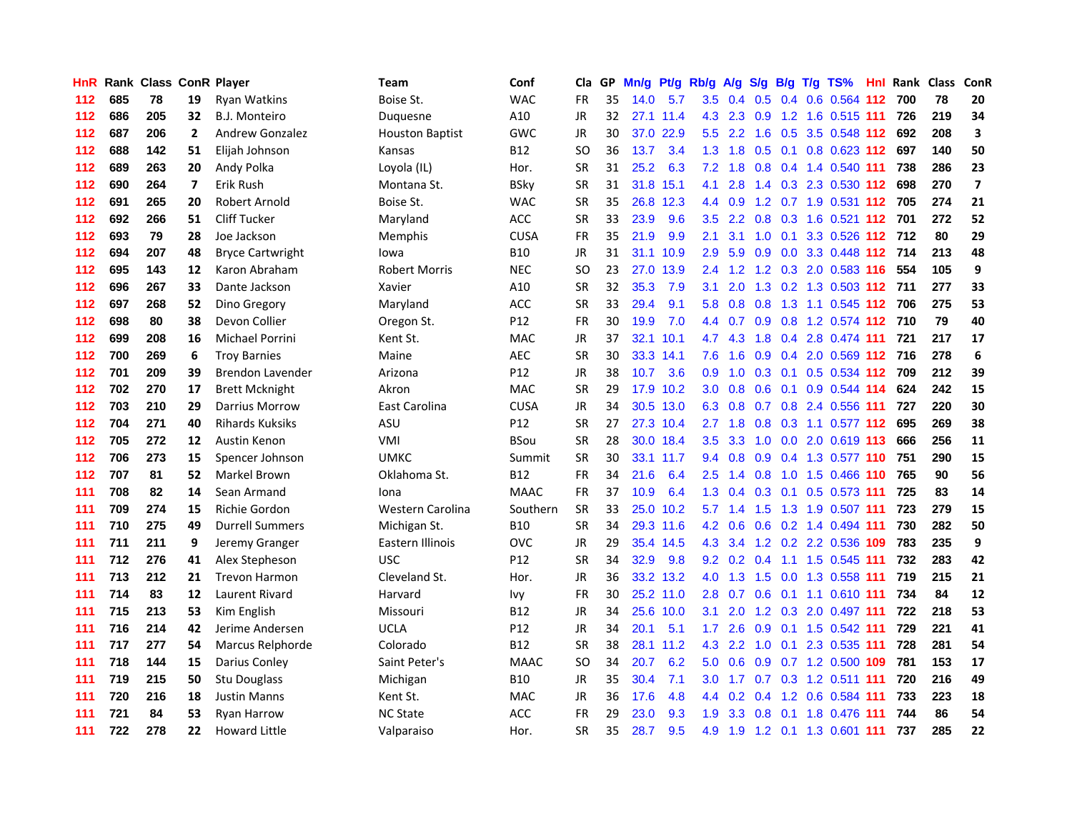| <b>HnR</b> |     | Rank Class ConR Player |              |                         | Team                   | Conf        | Cla       |    | GP Mn/g | Pt/g Rb/g |                  | <b>A/g</b>      | <b>S/g</b>      |               | B/g T/g TS%                   | Hnl | Rank Class |     | ConR                    |
|------------|-----|------------------------|--------------|-------------------------|------------------------|-------------|-----------|----|---------|-----------|------------------|-----------------|-----------------|---------------|-------------------------------|-----|------------|-----|-------------------------|
| 112        | 685 | 78                     | 19           | <b>Ryan Watkins</b>     | Boise St.              | <b>WAC</b>  | FR        | 35 | 14.0    | 5.7       | 3.5              | 0.4             | 0.5             | 0.4           | 0.6 0.564 112                 |     | 700        | 78  | 20                      |
| 112        | 686 | 205                    | 32           | B.J. Monteiro           | Duquesne               | A10         | JR        | 32 |         | 27.1 11.4 | 4.3              | 2.3             | 0.9             | 1.2           | 1.6 0.515 111                 |     | 726        | 219 | 34                      |
| 112        | 687 | 206                    | $\mathbf{2}$ | <b>Andrew Gonzalez</b>  | <b>Houston Baptist</b> | GWC         | JR        | 30 | 37.0    | 22.9      | 5.5              | $2.2^{\circ}$   | 1.6             | 0.5           | 3.5 0.548 112                 |     | 692        | 208 | $\overline{\mathbf{3}}$ |
| 112        | 688 | 142                    | 51           | Elijah Johnson          | Kansas                 | B12         | <b>SO</b> | 36 | 13.7    | 3.4       |                  |                 | 1.3 1.8 0.5 0.1 |               | 0.8 0.623 112 697             |     |            | 140 | 50                      |
| 112        | 689 | 263                    | 20           | Andy Polka              | Loyola (IL)            | Hor.        | <b>SR</b> | 31 | 25.2    | 6.3       |                  | $7.2 \quad 1.8$ |                 |               | 0.8 0.4 1.4 0.540 111         |     | 738        | 286 | 23                      |
| 112        | 690 | 264                    | 7            | Erik Rush               | Montana St.            | BSky        | <b>SR</b> | 31 |         | 31.8 15.1 | 4.1              | 2.8             |                 |               | 1.4 0.3 2.3 0.530 112         |     | 698        | 270 | $\overline{\mathbf{z}}$ |
| 112        | 691 | 265                    | 20           | Robert Arnold           | Boise St.              | WAC         | SR        | 35 |         | 26.8 12.3 | 4.4              | 0.9             |                 |               | 1.2 0.7 1.9 0.531 112 705     |     |            | 274 | 21                      |
| 112        | 692 | 266                    | 51           | <b>Cliff Tucker</b>     | Maryland               | ACC         | <b>SR</b> | 33 | 23.9    | 9.6       | $3.5^{\circ}$    | 2.2             |                 |               | 0.8 0.3 1.6 0.521 112 701     |     |            | 272 | 52                      |
| 112        | 693 | 79                     | 28           | Joe Jackson             | Memphis                | <b>CUSA</b> | <b>FR</b> | 35 | 21.9    | 9.9       | 2.1              | 3.1             | 1.0             | 0.1           | 3.3 0.526 112                 |     | 712        | 80  | 29                      |
| 112        | 694 | 207                    | 48           | <b>Bryce Cartwright</b> | lowa                   | <b>B10</b>  | <b>JR</b> | 31 |         | 31.1 10.9 | 2.9              | 5.9             | 0.9             |               | 0.0 3.3 0.448 112             |     | 714        | 213 | 48                      |
| 112        | 695 | 143                    | 12           | Karon Abraham           | <b>Robert Morris</b>   | <b>NEC</b>  | SO        | 23 |         | 27.0 13.9 | 2.4              | 1.2             |                 |               | 1.2 0.3 2.0 0.583 116         |     | 554        | 105 | 9                       |
| 112        | 696 | 267                    | 33           | Dante Jackson           | Xavier                 | A10         | <b>SR</b> | 32 | 35.3    | 7.9       | 3.1              | 2.0             | 1.3             |               | 0.2 1.3 0.503 112             |     | 711        | 277 | 33                      |
| 112        | 697 | 268                    | 52           | Dino Gregory            | Maryland               | <b>ACC</b>  | SR        | 33 | 29.4    | 9.1       | 5.8              | 0.8             | 0.8             | 1.3           | 1.1 0.545 112                 |     | 706        | 275 | 53                      |
| 112        | 698 | 80                     | 38           | Devon Collier           | Oregon St.             | P12         | FR        | 30 | 19.9    | 7.0       | 4.4              | 0.7             | 0.9             | 0.8           | 1.2 0.574 112 710             |     |            | 79  | 40                      |
| 112        | 699 | 208                    | 16           | <b>Michael Porrini</b>  | Kent St.               | <b>MAC</b>  | <b>JR</b> | 37 | 32.1    | 10.1      | 4.7              | 4.3             | 1.8             |               | 0.4 2.8 0.474 111             |     | 721        | 217 | 17                      |
| 112        | 700 | 269                    | 6            | <b>Troy Barnies</b>     | Maine                  | AEC         | <b>SR</b> | 30 |         | 33.3 14.1 | 7.6              | 1.6             | 0.9             |               | 0.4 2.0 0.569 112 716         |     |            | 278 | 6                       |
| 112        | 701 | 209                    | 39           | Brendon Lavender        | Arizona                | P12         | JR        | 38 | 10.7    | 3.6       | 0.9 <sup>°</sup> |                 |                 | $1.0$ 0.3 0.1 | 0.5 0.534 112 709             |     |            | 212 | 39                      |
| 112        | 702 | 270                    | 17           | <b>Brett Mcknight</b>   | Akron                  | <b>MAC</b>  | SR        | 29 |         | 17.9 10.2 |                  |                 |                 |               | 3.0 0.8 0.6 0.1 0.9 0.544 114 |     | 624        | 242 | 15                      |
| 112        | 703 | 210                    | 29           | <b>Darrius Morrow</b>   | East Carolina          | CUSA        | JR        | 34 |         | 30.5 13.0 |                  |                 |                 |               | 6.3 0.8 0.7 0.8 2.4 0.556 111 |     | 727        | 220 | 30                      |
| 112        | 704 | 271                    | 40           | <b>Rihards Kuksiks</b>  | ASU                    | P12         | SR        | 27 |         | 27.3 10.4 |                  | $2.7$ 1.8       |                 |               | 0.8 0.3 1.1 0.577 112         |     | 695        | 269 | 38                      |
| 112        | 705 | 272                    | 12           | Austin Kenon            | VMI                    | <b>BSou</b> | <b>SR</b> | 28 |         | 30.0 18.4 | 3.5              | 3.3             | 1.0             |               | 0.0 2.0 0.619 113             |     | 666        | 256 | 11                      |
| 112        | 706 | 273                    | 15           | Spencer Johnson         | <b>UMKC</b>            | Summit      | <b>SR</b> | 30 |         | 33.1 11.7 | $9.4^{\circ}$    | 0.8             | 0.9             |               | 0.4 1.3 0.577 110             |     | 751        | 290 | 15                      |
| 112        | 707 | 81                     | 52           | Markel Brown            | Oklahoma St.           | <b>B12</b>  | <b>FR</b> | 34 | 21.6    | 6.4       | $2.5^{\circ}$    | 1.4             | 0.8             |               | 1.0 1.5 0.466 110             |     | 765        | 90  | 56                      |
| 111        | 708 | 82                     | 14           | Sean Armand             | Iona                   | <b>MAAC</b> | <b>FR</b> | 37 | 10.9    | 6.4       |                  | $1.3 \quad 0.4$ |                 |               | 0.3 0.1 0.5 0.573 111         |     | 725        | 83  | 14                      |
| 111        | 709 | 274                    | 15           | Richie Gordon           | Western Carolina       | Southern    | <b>SR</b> | 33 |         | 25.0 10.2 | 5.7              | 1.4             | 1.5             |               | 1.3 1.9 0.507 111             |     | 723        | 279 | 15                      |
| 111        | 710 | 275                    | 49           | <b>Durrell Summers</b>  | Michigan St.           | <b>B10</b>  | <b>SR</b> | 34 |         | 29.3 11.6 | 4.2              | 0.6             | 0.6             |               | 0.2 1.4 0.494 111             |     | 730        | 282 | 50                      |
| 111        | 711 | 211                    | 9            | Jeremy Granger          | Eastern Illinois       | OVC         | <b>JR</b> | 29 |         | 35.4 14.5 | 4.3              | 3.4             |                 |               | 1.2 0.2 2.2 0.536 109         |     | 783        | 235 | 9                       |
| 111        | 712 | 276                    | 41           | Alex Stepheson          | <b>USC</b>             | P12         | SR        | 34 | 32.9    | 9.8       | 9.2              | 0.2             | 0.4             |               | 1.1 1.5 0.545 111             |     | 732        | 283 | 42                      |
| 111        | 713 | 212                    | 21           | <b>Trevon Harmon</b>    | Cleveland St.          | Hor.        | JR.       | 36 |         | 33.2 13.2 | 4.0              | 1.3             | 1.5             |               | 0.0 1.3 0.558 111             |     | 719        | 215 | 21                      |
| 111        | 714 | 83                     | 12           | Laurent Rivard          | Harvard                | lvy         | FR        | 30 |         | 25.2 11.0 |                  |                 |                 |               | 2.8 0.7 0.6 0.1 1.1 0.610 111 |     | 734        | 84  | 12                      |
| 111        | 715 | 213                    | 53           | Kim English             | Missouri               | B12         | JR        | 34 |         | 25.6 10.0 | 3.1              | 2.0             |                 |               | 1.2 0.3 2.0 0.497 111         |     | 722        | 218 | 53                      |
| 111        | 716 | 214                    | 42           | Jerime Andersen         | <b>UCLA</b>            | P12         | <b>JR</b> | 34 | 20.1    | 5.1       | 1.7 <sub>z</sub> | 2.6             |                 |               | 0.9 0.1 1.5 0.542 111         |     | 729        | 221 | 41                      |
| 111        | 717 | 277                    | 54           | Marcus Relphorde        | Colorado               | <b>B12</b>  | <b>SR</b> | 38 |         | 28.1 11.2 | 4.3              | 2.2             |                 |               | 1.0 0.1 2.3 0.535 111         |     | 728        | 281 | 54                      |
| 111        | 718 | 144                    | 15           | Darius Conley           | Saint Peter's          | <b>MAAC</b> | SO        | 34 | 20.7    | 6.2       | 5.0              | 0.6             |                 |               | 0.9 0.7 1.2 0.500 109         |     | 781        | 153 | 17                      |
| 111        | 719 | 215                    | 50           | Stu Douglass            | Michigan               | B10         | JR        | 35 | 30.4    | 7.1       | 3.0 <sub>1</sub> | 1.7             |                 |               | 0.7 0.3 1.2 0.511 111         |     | 720        | 216 | 49                      |
| 111        | 720 | 216                    | 18           | Justin Manns            | Kent St.               | <b>MAC</b>  | JR        | 36 | 17.6    | 4.8       | $4.4^{\circ}$    | 0.2             | 0.4             |               | 1.2 0.6 0.584 111             |     | 733        | 223 | 18                      |
| 111        | 721 | 84                     | 53           | <b>Ryan Harrow</b>      | <b>NC State</b>        | ACC         | FR        | 29 | 23.0    | 9.3       | 1.9              | 3.3             | 0.8             | 0.1           | 1.8 0.476                     | 111 | 744        | 86  | 54                      |
| 111        | 722 | 278                    | 22           | <b>Howard Little</b>    | Valparaiso             | Hor.        | <b>SR</b> | 35 | 28.7    | 9.5       | 4.9              | 1.9             |                 |               | 1.2 0.1 1.3 0.601 111         |     | 737        | 285 | 22                      |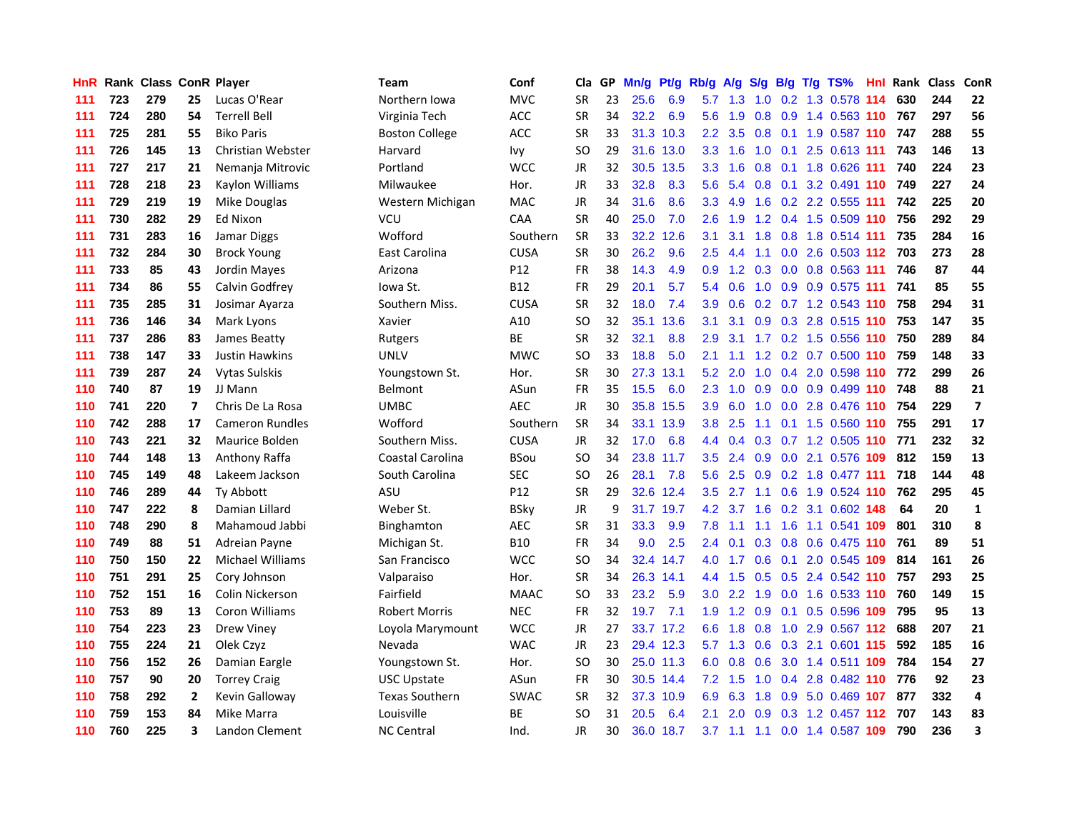| HnR. |     | Rank Class ConR Player |              |                         | Team                  | Conf        | Cla       |    | GP Mn/g |           | Pt/g Rb/g A/g    |                | <b>S/g</b>      |                 | B/g T/g TS%                   | Hnl |     | Rank Class | ConR                     |
|------|-----|------------------------|--------------|-------------------------|-----------------------|-------------|-----------|----|---------|-----------|------------------|----------------|-----------------|-----------------|-------------------------------|-----|-----|------------|--------------------------|
| 111  | 723 | 279                    | 25           | Lucas O'Rear            | Northern Iowa         | <b>MVC</b>  | SR        | 23 | 25.6    | 6.9       | 5.7              | 1.3            | 1.0             | 0.2             | 1.3 0.578                     | 114 | 630 | 244        | 22                       |
| 111  | 724 | 280                    | 54           | <b>Terrell Bell</b>     | Virginia Tech         | ACC         | <b>SR</b> | 34 | 32.2    | 6.9       | 5.6              | 1.9            | 0.8             | 0.9             | 1.4 0.563 110                 |     | 767 | 297        | 56                       |
| 111  | 725 | 281                    | 55           | <b>Biko Paris</b>       | <b>Boston College</b> | <b>ACC</b>  | <b>SR</b> | 33 | 31.3    | 10.3      | 2.2              | 3.5            | 0.8             | 0.1             | 1.9 0.587 110                 |     | 747 | 288        | 55                       |
| 111  | 726 | 145                    | 13           | Christian Webster       | Harvard               | lvy         | SO        | 29 |         | 31.6 13.0 | 3.3 <sub>2</sub> | 1.6            |                 |                 | 1.0 0.1 2.5 0.613 111         |     | 743 | 146        | 13                       |
| 111  | 727 | 217                    | 21           | Nemanja Mitrovic        | Portland              | <b>WCC</b>  | JR        | 32 |         | 30.5 13.5 | 3.3 <sub>2</sub> | 1.6            |                 |                 | 0.8 0.1 1.8 0.626 111         |     | 740 | 224        | 23                       |
| 111  | 728 | 218                    | 23           | Kaylon Williams         | Milwaukee             | Hor.        | JR        | 33 | 32.8    | 8.3       | 5.6              | 5.4            |                 |                 | 0.8 0.1 3.2 0.491 110         |     | 749 | 227        | 24                       |
| 111  | 729 | 219                    | 19           | Mike Douglas            | Western Michigan      | <b>MAC</b>  | JR        | 34 | 31.6    | 8.6       | 3.3 <sub>1</sub> | 4.9            | 1.6             |                 | 0.2 2.2 0.555 111             |     | 742 | 225        | 20                       |
| 111  | 730 | 282                    | 29           | Ed Nixon                | VCU                   | CAA         | <b>SR</b> | 40 | 25.0    | 7.0       | $2.6\,$          | 1.9            |                 |                 | 1.2 0.4 1.5 0.509 110         |     | 756 | 292        | 29                       |
| 111  | 731 | 283                    | 16           | Jamar Diggs             | Wofford               | Southern    | <b>SR</b> | 33 | 32.2    | 12.6      | 3.1              | 3.1            | 1.8             |                 | 0.8 1.8 0.514 111             |     | 735 | 284        | 16                       |
| 111  | 732 | 284                    | 30           | <b>Brock Young</b>      | East Carolina         | <b>CUSA</b> | <b>SR</b> | 30 | 26.2    | 9.6       | 2.5              | 4.4            | 1.1             |                 | $0.0$ 2.6 0.503 112           |     | 703 | 273        | 28                       |
| 111  | 733 | 85                     | 43           | Jordin Mayes            | Arizona               | P12         | FR        | 38 | 14.3    | 4.9       | 0.9              | 1.2            |                 |                 | 0.3 0.0 0.8 0.563 111         |     | 746 | 87         | 44                       |
| 111  | 734 | 86                     | 55           | Calvin Godfrey          | lowa St.              | <b>B12</b>  | <b>FR</b> | 29 | 20.1    | 5.7       |                  | 5.4 0.6        |                 |                 | 1.0 0.9 0.9 0.575 111         |     | 741 | 85         | 55                       |
| 111  | 735 | 285                    | 31           | Josimar Ayarza          | Southern Miss.        | <b>CUSA</b> | <b>SR</b> | 32 | 18.0    | 7.4       | 3.9              | 0.6            |                 |                 | 0.2 0.7 1.2 0.543 110         |     | 758 | 294        | 31                       |
| 111  | 736 | 146                    | 34           | Mark Lyons              | Xavier                | A10         | SO        | 32 |         | 35.1 13.6 | 3.1              | 3.1            | 0.9             | 0.3             | 2.8 0.515 110                 |     | 753 | 147        | 35                       |
| 111  | 737 | 286                    | 83           | James Beatty            | Rutgers               | ВE          | <b>SR</b> | 32 | 32.1    | 8.8       | 2.9              | 3.1            | 1.7             |                 | 0.2 1.5 0.556 110             |     | 750 | 289        | 84                       |
| 111  | 738 | 147                    | 33           | <b>Justin Hawkins</b>   | <b>UNLV</b>           | <b>MWC</b>  | SO        | 33 | 18.8    | 5.0       | 2.1              | 1.1            |                 |                 | 1.2 0.2 0.7 0.500 110         |     | 759 | 148        | 33                       |
| 111  | 739 | 287                    | 24           | <b>Vytas Sulskis</b>    | Youngstown St.        | Hor.        | <b>SR</b> | 30 |         | 27.3 13.1 | 5.2              | 2.0            | 1.0             |                 | 0.4 2.0 0.598 110             |     | 772 | 299        | 26                       |
| 110  | 740 | 87                     | 19           | JJ Mann                 | <b>Belmont</b>        | ASun        | FR        | 35 | 15.5    | 6.0       | 2.3              |                |                 |                 | 1.0 0.9 0.0 0.9 0.499 110     |     | 748 | 88         | 21                       |
| 110  | 741 | 220                    | 7            | Chris De La Rosa        | <b>UMBC</b>           | <b>AEC</b>  | JR        | 30 |         | 35.8 15.5 |                  | $3.9\quad 6.0$ |                 |                 | 1.0 0.0 2.8 0.476 110         |     | 754 | 229        | $\overline{\phantom{a}}$ |
| 110  | 742 | 288                    | 17           | <b>Cameron Rundles</b>  | Wofford               | Southern    | <b>SR</b> | 34 |         | 33.1 13.9 | 3.8 <sup>°</sup> | 2.5            | 1.1             |                 | 0.1 1.5 0.560 110             |     | 755 | 291        | 17                       |
| 110  | 743 | 221                    | 32           | Maurice Bolden          | Southern Miss.        | <b>CUSA</b> | JR.       | 32 | 17.0    | 6.8       |                  |                |                 |                 | 4.4 0.4 0.3 0.7 1.2 0.505 110 |     | 771 | 232        | 32                       |
| 110  | 744 | 148                    | 13           | Anthony Raffa           | Coastal Carolina      | BSou        | SO        | 34 | 23.8    | 11.7      | 3.5              | 2.4            |                 |                 | 0.9 0.0 2.1 0.576 109         |     | 812 | 159        | 13                       |
| 110  | 745 | 149                    | 48           | Lakeem Jackson          | South Carolina        | <b>SEC</b>  | SO        | 26 | 28.1    | 7.8       | 5.6              | 2.5            |                 |                 | 0.9 0.2 1.8 0.477 111         |     | 718 | 144        | 48                       |
| 110  | 746 | 289                    | 44           | <b>Ty Abbott</b>        | ASU                   | P12         | SR        | 29 | 32.6    | 12.4      | $3.5^{\circ}$    | 2.7            | 1.1             |                 | 0.6 1.9 0.524 110             |     | 762 | 295        | 45                       |
| 110  | 747 | 222                    | 8            | Damian Lillard          | Weber St.             | <b>BSky</b> | <b>JR</b> | 9  |         | 31.7 19.7 | 4.2 <sub>1</sub> | 3.7            |                 |                 | 1.6 0.2 3.1 0.602 148         |     | 64  | 20         | $\mathbf{1}$             |
| 110  | 748 | 290                    | 8            | Mahamoud Jabbi          | Binghamton            | <b>AEC</b>  | <b>SR</b> | 31 | 33.3    | 9.9       | 7.8              | 1.1            | 1.1             | 1.6             | 1.1 0.541 109                 |     | 801 | 310        | 8                        |
| 110  | 749 | 88                     | 51           | Adreian Payne           | Michigan St.          | <b>B10</b>  | <b>FR</b> | 34 | 9.0     | 2.5       | $2.4^{\circ}$    | 0.1            |                 | $0.3 \quad 0.8$ | 0.6 0.475 110                 |     | 761 | 89         | 51                       |
| 110  | 750 | 150                    | 22           | <b>Michael Williams</b> | San Francisco         | WCC         | SO        | 34 |         | 32.4 14.7 | 4.0              | 1.7            | 0.6             |                 | 0.1 2.0 0.545 109             |     | 814 | 161        | 26                       |
| 110  | 751 | 291                    | 25           | Cory Johnson            | Valparaiso            | Hor.        | SR        | 34 |         | 26.3 14.1 | 4.4              | 1.5            | 0.5             |                 | 0.5 2.4 0.542 110             |     | 757 | 293        | 25                       |
| 110  | 752 | 151                    | 16           | <b>Colin Nickerson</b>  | Fairfield             | <b>MAAC</b> | <b>SO</b> | 33 | 23.2    | 5.9       | 3.0 <sub>2</sub> | 2.2            | 1.9             | 0.0             | 1.6 0.533 110                 |     | 760 | 149        | 15                       |
| 110  | 753 | 89                     | 13           | Coron Williams          | <b>Robert Morris</b>  | <b>NEC</b>  | <b>FR</b> | 32 | 19.7    | 7.1       | 1.9 <sup>°</sup> |                | $1.2 \quad 0.9$ | 0.1             | 0.5 0.596 109                 |     | 795 | 95         | 13                       |
| 110  | 754 | 223                    | 23           | <b>Drew Viney</b>       | Loyola Marymount      | <b>WCC</b>  | JR        | 27 |         | 33.7 17.2 | 6.6              |                | $1.8\quad 0.8$  |                 | 1.0 2.9 0.567 112             |     | 688 | 207        | 21                       |
| 110  | 755 | 224                    | 21           | Olek Czyz               | Nevada                | <b>WAC</b>  | JR        | 23 |         | 29.4 12.3 | 5.7              |                |                 |                 | 1.3 0.6 0.3 2.1 0.601 115     |     | 592 | 185        | 16                       |
| 110  | 756 | 152                    | 26           | Damian Eargle           | Youngstown St.        | Hor.        | SO        | 30 |         | 25.0 11.3 | 6.0              | 0.8            | 0.6             |                 | 3.0 1.4 0.511 109             |     | 784 | 154        | 27                       |
| 110  | 757 | 90                     | 20           | <b>Torrey Craig</b>     | <b>USC Upstate</b>    | ASun        | <b>FR</b> | 30 |         | 30.5 14.4 | 7.2              | 1.5            | 1.0             |                 | 0.4 2.8 0.482 110             |     | 776 | 92         | 23                       |
| 110  | 758 | 292                    | $\mathbf{2}$ | Kevin Galloway          | <b>Texas Southern</b> | <b>SWAC</b> | <b>SR</b> | 32 |         | 37.3 10.9 | 6.9              | 6.3            | 1.8             | 0.9             | 5.0 0.469 107                 |     | 877 | 332        | 4                        |
| 110  | 759 | 153                    | 84           | Mike Marra              | Louisville            | ВE          | <b>SO</b> | 31 | 20.5    | 6.4       | 2.1              | 2.0            | 0.9             | 0.3             | 1.2 0.457                     | 112 | 707 | 143        | 83                       |
| 110  | 760 | 225                    | 3            | Landon Clement          | <b>NC Central</b>     | Ind.        | JR        | 30 |         | 36.0 18.7 | 3.7              | $-1.1$         |                 |                 | 1.1 0.0 1.4 0.587 109         |     | 790 | 236        | $\overline{\mathbf{3}}$  |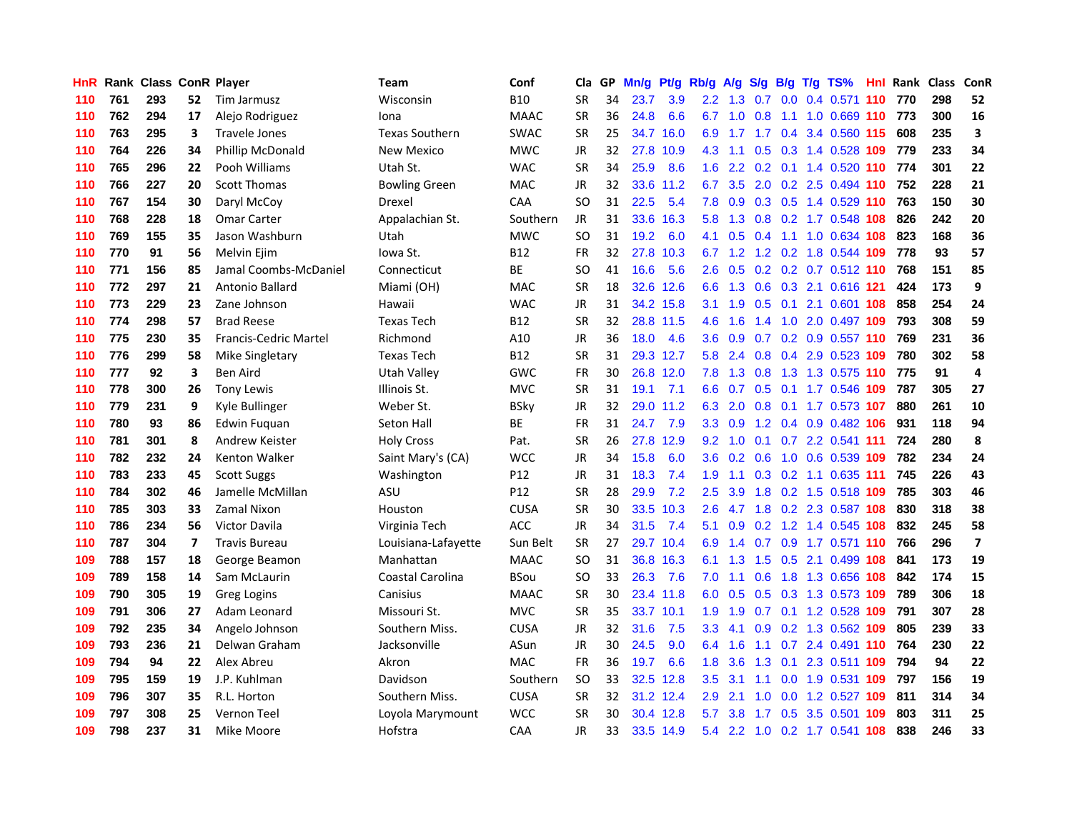| HnR. |     | <b>Rank Class ConR Player</b> |     |                       | Team                  | Conf        | Cla           |    | GP Mn/g | Pt/g      | Rb/g             | <b>A/g</b>      |             |     | S/g B/g T/g TS%               | Hnl | Rank Class |     | ConR                    |
|------|-----|-------------------------------|-----|-----------------------|-----------------------|-------------|---------------|----|---------|-----------|------------------|-----------------|-------------|-----|-------------------------------|-----|------------|-----|-------------------------|
| 110  | 761 | 293                           | 52. | Tim Jarmusz           | Wisconsin             | <b>B10</b>  | <b>SR</b>     | 34 | 23.7    | 3.9       | $2.2\phantom{0}$ | 1.3             | 0.7         | 0.0 | 0.4 0.571                     | 110 | 770        | 298 | 52                      |
| 110  | 762 | 294                           | 17  | Alejo Rodriguez       | Iona                  | <b>MAAC</b> | <b>SR</b>     | 36 | 24.8    | 6.6       | 6.7              | 1.0             | 0.8         | 1.1 | 1.0 0.669 110                 |     | 773        | 300 | 16                      |
| 110  | 763 | 295                           | 3   | <b>Travele Jones</b>  | <b>Texas Southern</b> | <b>SWAC</b> | <b>SR</b>     | 25 |         | 34.7 16.0 | 6.9              | 1.7             | 1.7         |     | 0.4 3.4 0.560 115             |     | 608        | 235 | $\overline{\mathbf{3}}$ |
| 110  | 764 | 226                           | 34  | Phillip McDonald      | <b>New Mexico</b>     | <b>MWC</b>  | <b>JR</b>     | 32 |         | 27.8 10.9 | 4.3              | 1.1             |             |     | 0.5 0.3 1.4 0.528 109         |     | 779        | 233 | 34                      |
| 110  | 765 | 296                           | 22  | Pooh Williams         | Utah St.              | <b>WAC</b>  | <b>SR</b>     | 34 | 25.9    | 8.6       | 1.6              |                 |             |     | 2.2 0.2 0.1 1.4 0.520 110     |     | 774        | 301 | 22                      |
| 110  | 766 | 227                           | 20  | <b>Scott Thomas</b>   | <b>Bowling Green</b>  | <b>MAC</b>  | <b>JR</b>     | 32 |         | 33.6 11.2 | 6.7              | 3.5             |             |     | 2.0 0.2 2.5 0.494 110         |     | 752        | 228 | 21                      |
| 110  | 767 | 154                           | 30  | Daryl McCoy           | Drexel                | <b>CAA</b>  | <b>SO</b>     | 31 | 22.5    | 5.4       | 7.8              | 0.9             |             |     | 0.3 0.5 1.4 0.529 110         |     | 763        | 150 | 30                      |
| 110  | 768 | 228                           | 18  | <b>Omar Carter</b>    | Appalachian St.       | Southern    | <b>JR</b>     | 31 |         | 33.6 16.3 | 5.8              | 1.3             |             |     | 0.8 0.2 1.7 0.548 108         |     | 826        | 242 | 20                      |
| 110  | 769 | 155                           | 35  | Jason Washburn        | Utah                  | <b>MWC</b>  | <sub>SO</sub> | 31 | 19.2    | 6.0       | 4.1              | 0.5             | 0.4         | 1.1 | 1.0 0.634 108                 |     | 823        | 168 | 36                      |
| 110  | 770 | 91                            | 56  | Melvin Ejim           | lowa St.              | <b>B12</b>  | <b>FR</b>     | 32 |         | 27.8 10.3 | 6.7              | 1.2             |             |     | 1.2 0.2 1.8 0.544 109         |     | 778        | 93  | 57                      |
| 110  | 771 | 156                           | 85  | Jamal Coombs-McDaniel | Connecticut           | BE          | SO            | 41 | 16.6    | 5.6       | 2.6              | 0.5             |             |     | 0.2 0.2 0.7 0.512 110         |     | 768        | 151 | 85                      |
| 110  | 772 | 297                           | 21  | Antonio Ballard       | Miami (OH)            | <b>MAC</b>  | <b>SR</b>     | 18 |         | 32.6 12.6 | 6.6              | 1.3             | 0.6         |     | 0.3 2.1 0.616 121             |     | 424        | 173 | 9                       |
| 110  | 773 | 229                           | 23  | Zane Johnson          | Hawaii                | <b>WAC</b>  | JR            | 31 |         | 34.2 15.8 | 3.1              | 1.9             | 0.5         | 0.1 | 2.1 0.601 108                 |     | 858        | 254 | 24                      |
| 110  | 774 | 298                           | 57  | <b>Brad Reese</b>     | <b>Texas Tech</b>     | B12         | SR            | 32 |         | 28.8 11.5 | 4.6              | 1.6             | 1.4         | 1.0 | 2.0 0.497 109                 |     | 793        | 308 | 59                      |
| 110  | 775 | 230                           | 35  | Francis-Cedric Martel | Richmond              | A10         | <b>JR</b>     | 36 | 18.0    | 4.6       | 3.6              | 0.9             | 0.7         | 0.2 | 0.9 0.557 110                 |     | 769        | 231 | 36                      |
| 110  | 776 | 299                           | 58  | Mike Singletary       | <b>Texas Tech</b>     | <b>B12</b>  | <b>SR</b>     | 31 |         | 29.3 12.7 | 5.8              | 2.4             | 0.8         |     | 0.4 2.9 0.523 109             |     | 780        | 302 | 58                      |
| 110  | 777 | 92                            | 3   | Ben Aird              | Utah Valley           | <b>GWC</b>  | FR            | 30 |         | 26.8 12.0 | 7.8              |                 | $1.3 \t0.8$ |     | 1.3 1.3 0.575 110             |     | 775        | 91  | 4                       |
| 110  | 778 | 300                           | 26  | Tony Lewis            | Illinois St.          | <b>MVC</b>  | <b>SR</b>     | 31 | 19.1    | 7.1       |                  |                 |             |     | 6.6 0.7 0.5 0.1 1.7 0.546 109 |     | 787        | 305 | 27                      |
| 110  | 779 | 231                           | 9   | Kyle Bullinger        | Weber St.             | <b>BSky</b> | JR            | 32 |         | 29.0 11.2 | 6.3              | 2.0             |             |     | 0.8 0.1 1.7 0.573 107         |     | 880        | 261 | 10                      |
| 110  | 780 | 93                            | 86  | Edwin Fuguan          | Seton Hall            | ВE          | FR            | 31 | 24.7    | 7.9       |                  | $3.3 \quad 0.9$ |             |     | 1.2 0.4 0.9 0.482 106         |     | 931        | 118 | 94                      |
| 110  | 781 | 301                           | 8   | Andrew Keister        | <b>Holy Cross</b>     | Pat.        | <b>SR</b>     | 26 | 27.8    | 12.9      | 9.2              | 1.0             |             |     | 0.1 0.7 2.2 0.541 111         |     | 724        | 280 | 8                       |
| 110  | 782 | 232                           | 24  | Kenton Walker         | Saint Mary's (CA)     | <b>WCC</b>  | JR            | 34 | 15.8    | 6.0       | 3.6 <sup>°</sup> | 0.2             | 0.6         |     | 1.0 0.6 0.539 109             |     | 782        | 234 | 24                      |
| 110  | 783 | 233                           | 45  | <b>Scott Suggs</b>    | Washington            | P12         | JR            | 31 | 18.3    | 7.4       | 1.9              | 1.1             |             |     | 0.3 0.2 1.1 0.635 111         |     | 745        | 226 | 43                      |
| 110  | 784 | 302                           | 46  | Jamelle McMillan      | ASU                   | P12         | <b>SR</b>     | 28 | 29.9    | 7.2       | 2.5              | 3.9             |             |     | 1.8 0.2 1.5 0.518 109         |     | 785        | 303 | 46                      |
| 110  | 785 | 303                           | 33  | Zamal Nixon           | Houston               | <b>CUSA</b> | <b>SR</b>     | 30 |         | 33.5 10.3 | 2.6              | 4.7             |             |     | 1.8 0.2 2.3 0.587 108         |     | 830        | 318 | 38                      |
| 110  | 786 | 234                           | 56  | <b>Victor Davila</b>  | Virginia Tech         | <b>ACC</b>  | JR.           | 34 | 31.5    | 7.4       | 5.1              | 0.9             | 0.2         |     | 1.2 1.4 0.545 108             |     | 832        | 245 | 58                      |
| 110  | 787 | 304                           | 7   | <b>Travis Bureau</b>  | Louisiana-Lafayette   | Sun Belt    | <b>SR</b>     | 27 |         | 29.7 10.4 | 6.9              | 1.4             | 0.7         | 0.9 | 1.7 0.571 110                 |     | 766        | 296 | $\overline{\mathbf{z}}$ |
| 109  | 788 | 157                           | 18  | George Beamon         | Manhattan             | <b>MAAC</b> | <b>SO</b>     | 31 |         | 36.8 16.3 | 6.1              | 1.3             | 1.5         | 0.5 | 2.1 0.499 108                 |     | 841        | 173 | 19                      |
| 109  | 789 | 158                           | 14  | Sam McLaurin          | Coastal Carolina      | <b>BSou</b> | <sub>SO</sub> | 33 | 26.3    | 7.6       | 7.0              | 1.1             | 0.6         | 1.8 | 1.3 0.656 108                 |     | 842        | 174 | 15                      |
| 109  | 790 | 305                           | 19  | <b>Greg Logins</b>    | Canisius              | <b>MAAC</b> | <b>SR</b>     | 30 |         | 23.4 11.8 | 6.0              |                 |             |     | 0.5 0.5 0.3 1.3 0.573 109     |     | 789        | 306 | 18                      |
| 109  | 791 | 306                           | 27  | Adam Leonard          | Missouri St.          | <b>MVC</b>  | <b>SR</b>     | 35 |         | 33.7 10.1 | 1.9 <sup>°</sup> | 1.9             |             |     | 0.7 0.1 1.2 0.528 109         |     | 791        | 307 | 28                      |
| 109  | 792 | 235                           | 34  | Angelo Johnson        | Southern Miss.        | <b>CUSA</b> | <b>JR</b>     | 32 | 31.6    | 7.5       | 3.3 <sub>2</sub> | 4.1             |             |     | 0.9 0.2 1.3 0.562 109         |     | 805        | 239 | 33                      |
| 109  | 793 | 236                           | 21  | Delwan Graham         | Jacksonville          | ASun        | <b>JR</b>     | 30 | 24.5    | 9.0       | 6.4              | 1.6             | 1.1         |     | 0.7 2.4 0.491 110             |     | 764        | 230 | 22                      |
| 109  | 794 | 94                            | 22  | Alex Abreu            | Akron                 | MAC         | FR            | 36 | 19.7    | 6.6       | 1.8              | 3.6             | 1.3         |     | 0.1 2.3 0.511 109             |     | 794        | 94  | 22                      |
| 109  | 795 | 159                           | 19  | J.P. Kuhlman          | Davidson              | Southern    | <sub>SO</sub> | 33 |         | 32.5 12.8 | 3.5              | 3.1             | 1.1         |     | $0.0$ 1.9 $0.531$             | 109 | 797        | 156 | 19                      |
| 109  | 796 | 307                           | 35  | R.L. Horton           | Southern Miss.        | <b>CUSA</b> | <b>SR</b>     | 32 |         | 31.2 12.4 | 2.9              | 2.1             | 1.0         | 0.0 | 1.2 0.527                     | 109 | 811        | 314 | 34                      |
| 109  | 797 | 308                           | 25  | Vernon Teel           | Loyola Marymount      | <b>WCC</b>  | <b>SR</b>     | 30 | 30.4    | 12.8      | 5.7              | 3.8             | 1.7         | 0.5 | 3.5 0.501                     | 109 | 803        | 311 | 25                      |
| 109  | 798 | 237                           | 31  | Mike Moore            | Hofstra               | CAA         | <b>JR</b>     | 33 |         | 33.5 14.9 |                  |                 |             |     | 5.4 2.2 1.0 0.2 1.7 0.541 108 |     | 838        | 246 | 33                      |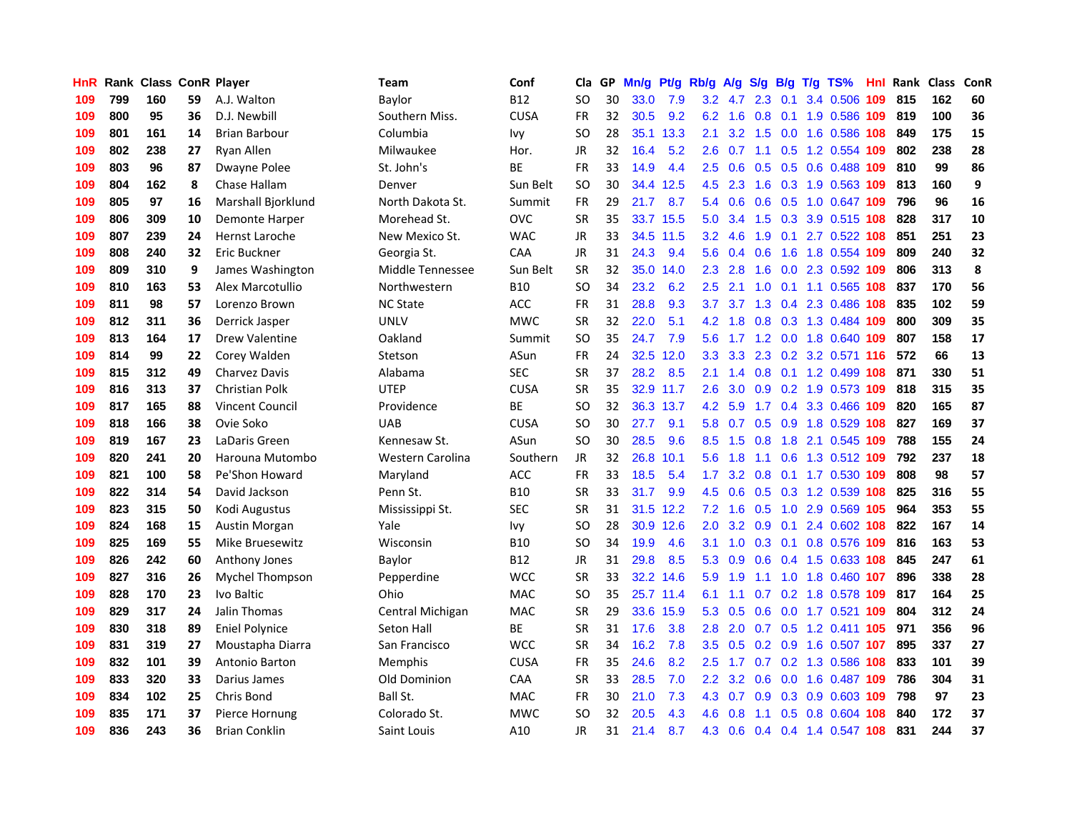| HnR. |     | Rank Class ConR Player |     |                        | Team             | Conf        | Cla       |    | GP Mn/g | Pt/g      | Rb/g A/g         |         | S/g             |     | B/g T/g TS%                   | Hnl | Rank Class |     | ConR |
|------|-----|------------------------|-----|------------------------|------------------|-------------|-----------|----|---------|-----------|------------------|---------|-----------------|-----|-------------------------------|-----|------------|-----|------|
| 109  | 799 | 160                    | 59  | A.J. Walton            | Baylor           | B12         | SO        | 30 | 33.0    | 7.9       | 3.2              | 4.7     | 2.3             | 0.1 | 3.4 0.506                     | 109 | 815        | 162 | 60   |
| 109  | 800 | 95                     | 36  | D.J. Newbill           | Southern Miss.   | <b>CUSA</b> | <b>FR</b> | 32 | 30.5    | 9.2       | 6.2              | 1.6     | 0.8             | 0.1 | 1.9 0.586                     | 109 | 819        | 100 | 36   |
| 109  | 801 | 161                    | 14  | <b>Brian Barbour</b>   | Columbia         | lvy         | SO        | 28 | 35.1    | 13.3      | 2.1              | 3.2     | 1.5             | 0.0 | 1.6 0.586 108                 |     | 849        | 175 | 15   |
| 109  | 802 | 238                    | 27  | Ryan Allen             | Milwaukee        | Hor.        | JR        | 32 | 16.4    | 5.2       | 2.6              | 0.7     |                 |     | 1.1 0.5 1.2 0.554 109         |     | 802        | 238 | 28   |
| 109  | 803 | 96                     | 87  | Dwayne Polee           | St. John's       | ВE          | FR        | 33 | 14.9    | 4.4       |                  |         |                 |     | 2.5 0.6 0.5 0.5 0.6 0.488 109 |     | 810        | 99  | 86   |
| 109  | 804 | 162                    | 8   | Chase Hallam           | Denver           | Sun Belt    | <b>SO</b> | 30 | 34.4    | 12.5      | 4.5              | 2.3     | 1.6             |     | 0.3 1.9 0.563 109             |     | 813        | 160 | 9    |
| 109  | 805 | 97                     | 16  | Marshall Bjorklund     | North Dakota St. | Summit      | <b>FR</b> | 29 | 21.7    | 8.7       |                  | 5.4 0.6 | 0.6             |     | 0.5 1.0 0.647 109             |     | 796        | 96  | 16   |
| 109  | 806 | 309                    | 10  | Demonte Harper         | Morehead St.     | <b>OVC</b>  | <b>SR</b> | 35 |         | 33.7 15.5 | 5.0              | 3.4     | 1.5             |     | 0.3 3.9 0.515 108             |     | 828        | 317 | 10   |
| 109  | 807 | 239                    | 24  | <b>Hernst Laroche</b>  | New Mexico St.   | <b>WAC</b>  | JR        | 33 |         | 34.5 11.5 | 3.2              | 4.6     | 1.9             | 0.1 | 2.7 0.522 108                 |     | 851        | 251 | 23   |
| 109  | 808 | 240                    | 32  | Eric Buckner           | Georgia St.      | CAA         | JR.       | 31 | 24.3    | 9.4       | 5.6              | 0.4     | 0.6             | 1.6 | 1.8 0.554 109                 |     | 809        | 240 | 32   |
| 109  | 809 | 310                    | 9   | James Washington       | Middle Tennessee | Sun Belt    | <b>SR</b> | 32 |         | 35.0 14.0 | $2.3^{\circ}$    | 2.8     | 1.6             |     | 0.0 2.3 0.592                 | 109 | 806        | 313 | 8    |
| 109  | 810 | 163                    | 53  | Alex Marcotullio       | Northwestern     | <b>B10</b>  | SO        | 34 | 23.2    | 6.2       | 2.5              | 2.1     | 1.0             | 0.1 | 1.1 0.565 108                 |     | 837        | 170 | 56   |
| 109  | 811 | 98                     | 57  | Lorenzo Brown          | <b>NC State</b>  | <b>ACC</b>  | FR        | 31 | 28.8    | 9.3       | 3.7              | 3.7     | 1.3             | 0.4 | 2.3 0.486                     | 108 | 835        | 102 | 59   |
| 109  | 812 | 311                    | 36  | Derrick Jasper         | <b>UNLV</b>      | <b>MWC</b>  | SR        | 32 | 22.0    | 5.1       | 4.2              | 1.8     | 0.8             |     | 0.3 1.3 0.484 109             |     | 800        | 309 | 35   |
| 109  | 813 | 164                    | 17  | <b>Drew Valentine</b>  | Oakland          | Summit      | SO        | 35 | 24.7    | 7.9       | 5.6              | 1.7     | $1.2^{\circ}$   | 0.0 | 1.8 0.640                     | 109 | 807        | 158 | 17   |
| 109  | 814 | 99                     | 22  | Corey Walden           | Stetson          | ASun        | <b>FR</b> | 24 | 32.5    | 12.0      | 3.3 <sub>1</sub> | 3.3     | 2.3             |     | 0.2 3.2 0.571 116             |     | 572        | 66  | 13   |
| 109  | 815 | 312                    | 49  | <b>Charvez Davis</b>   | Alabama          | <b>SEC</b>  | <b>SR</b> | 37 | 28.2    | 8.5       | 2.1              | 1.4     | 0.8             |     | 0.1 1.2 0.499 108             |     | 871        | 330 | 51   |
| 109  | 816 | 313                    | 37  | Christian Polk         | <b>UTEP</b>      | <b>CUSA</b> | SR        | 35 |         | 32.9 11.7 | $2.6\,$          |         |                 |     | 3.0 0.9 0.2 1.9 0.573 109     |     | 818        | 315 | 35   |
| 109  | 817 | 165                    | 88  | <b>Vincent Council</b> | Providence       | ВE          | <b>SO</b> | 32 |         | 36.3 13.7 |                  | 4.2 5.9 |                 |     | 1.7 0.4 3.3 0.466 109         |     | 820        | 165 | 87   |
| 109  | 818 | 166                    | 38  | Ovie Soko              | UAB              | <b>CUSA</b> | SO        | 30 | 27.7    | 9.1       |                  |         |                 |     | 5.8 0.7 0.5 0.9 1.8 0.529 108 |     | 827        | 169 | 37   |
| 109  | 819 | 167                    | 23  | LaDaris Green          | Kennesaw St.     | ASun        | <b>SO</b> | 30 | 28.5    | 9.6       |                  | 8.5 1.5 | 0.8             |     | 1.8 2.1 0.545 109             |     | 788        | 155 | 24   |
| 109  | 820 | 241                    | 20  | Harouna Mutombo        | Western Carolina | Southern    | JR        | 32 | 26.8    | 10.1      | 5.6              | 1.8     | 1.1             |     | 0.6 1.3 0.512 109             |     | 792        | 237 | 18   |
| 109  | 821 | 100                    | 58  | Pe'Shon Howard         | Maryland         | ACC         | <b>FR</b> | 33 | 18.5    | 5.4       | 1.7 <sub>z</sub> | 3.2     | 0.8             |     | 0.1 1.7 0.530 109             |     | 808        | 98  | 57   |
| 109  | 822 | 314                    | 54  | David Jackson          | Penn St.         | <b>B10</b>  | SR        | 33 | 31.7    | 9.9       | 4.5              | 0.6     |                 |     | 0.5 0.3 1.2 0.539 108         |     | 825        | 316 | 55   |
| 109  | 823 | 315                    | 50  | Kodi Augustus          | Mississippi St.  | <b>SEC</b>  | <b>SR</b> | 31 |         | 31.5 12.2 | 7.2              | 1.6     | 0.5             |     | 1.0 2.9 0.569 105             |     | 964        | 353 | 55   |
| 109  | 824 | 168                    | 15  | <b>Austin Morgan</b>   | Yale             | lvy         | SO        | 28 |         | 30.9 12.6 | 2.0              |         | $3.2 \quad 0.9$ | 0.1 | 2.4 0.602 108                 |     | 822        | 167 | 14   |
| 109  | 825 | 169                    | 55. | Mike Bruesewitz        | Wisconsin        | <b>B10</b>  | <b>SO</b> | 34 | 19.9    | 4.6       | 3.1              | 1.0     | 0.3             |     | 0.1 0.8 0.576 109             |     | 816        | 163 | 53   |
| 109  | 826 | 242                    | 60  | Anthony Jones          | Baylor           | B12         | JR.       | 31 | 29.8    | 8.5       | 5.3              | 0.9     | 0.6             |     | 0.4 1.5 0.633 108             |     | 845        | 247 | 61   |
| 109  | 827 | 316                    | 26  | Mychel Thompson        | Pepperdine       | <b>WCC</b>  | <b>SR</b> | 33 |         | 32.2 14.6 | 5.9              | 1.9     | 1.1             | 1.0 | 1.8 0.460 107                 |     | 896        | 338 | 28   |
| 109  | 828 | 170                    | 23  | Ivo Baltic             | Ohio             | <b>MAC</b>  | <b>SO</b> | 35 |         | 25.7 11.4 | 6.1              | 1.1     | 0.7             |     | 0.2 1.8 0.578 109             |     | 817        | 164 | 25   |
| 109  | 829 | 317                    | 24  | Jalin Thomas           | Central Michigan | <b>MAC</b>  | <b>SR</b> | 29 | 33.6    | 15.9      | 5.3              | 0.5     | 0.6             |     | 0.0 1.7 0.521 109             |     | 804        | 312 | 24   |
| 109  | 830 | 318                    | 89  | <b>Eniel Polynice</b>  | Seton Hall       | ВE          | <b>SR</b> | 31 | 17.6    | 3.8       | 2.8              |         |                 |     | 2.0 0.7 0.5 1.2 0.411 105     |     | 971        | 356 | 96   |
| 109  | 831 | 319                    | 27  | Moustapha Diarra       | San Francisco    | <b>WCC</b>  | <b>SR</b> | 34 | 16.2    | 7.8       |                  |         |                 |     | 3.5 0.5 0.2 0.9 1.6 0.507 107 |     | 895        | 337 | 27   |
| 109  | 832 | 101                    | 39  | Antonio Barton         | Memphis          | <b>CUSA</b> | <b>FR</b> | 35 | 24.6    | 8.2       | $2.5^{\circ}$    | 1.7     |                 |     | 0.7 0.2 1.3 0.586 108         |     | 833        | 101 | 39   |
| 109  | 833 | 320                    | 33  | Darius James           | Old Dominion     | CAA         | <b>SR</b> | 33 | 28.5    | 7.0       | 2.2 <sub>2</sub> | 3.2     | 0.6             |     | 0.0 1.6 0.487 109             |     | 786        | 304 | 31   |
| 109  | 834 | 102                    | 25  | Chris Bond             | Ball St.         | <b>MAC</b>  | <b>FR</b> | 30 | 21.0    | 7.3       | 4.3              | 0.7     | 0.9             | 0.3 | 0.9 0.603 109                 |     | 798        | 97  | 23   |
| 109  | 835 | 171                    | 37  | Pierce Hornung         | Colorado St.     | <b>MWC</b>  | SΟ        | 32 | 20.5    | 4.3       | 4.6              | 0.8     | 1.1             | 0.5 | 0.8 0.604                     | 108 | 840        | 172 | 37   |
| 109  | 836 | 243                    | 36  | <b>Brian Conklin</b>   | Saint Louis      | A10         | JR        | 31 | 21.4    | 8.7       | 4.3              |         |                 |     | 0.6 0.4 0.4 1.4 0.547 108     |     | 831        | 244 | 37   |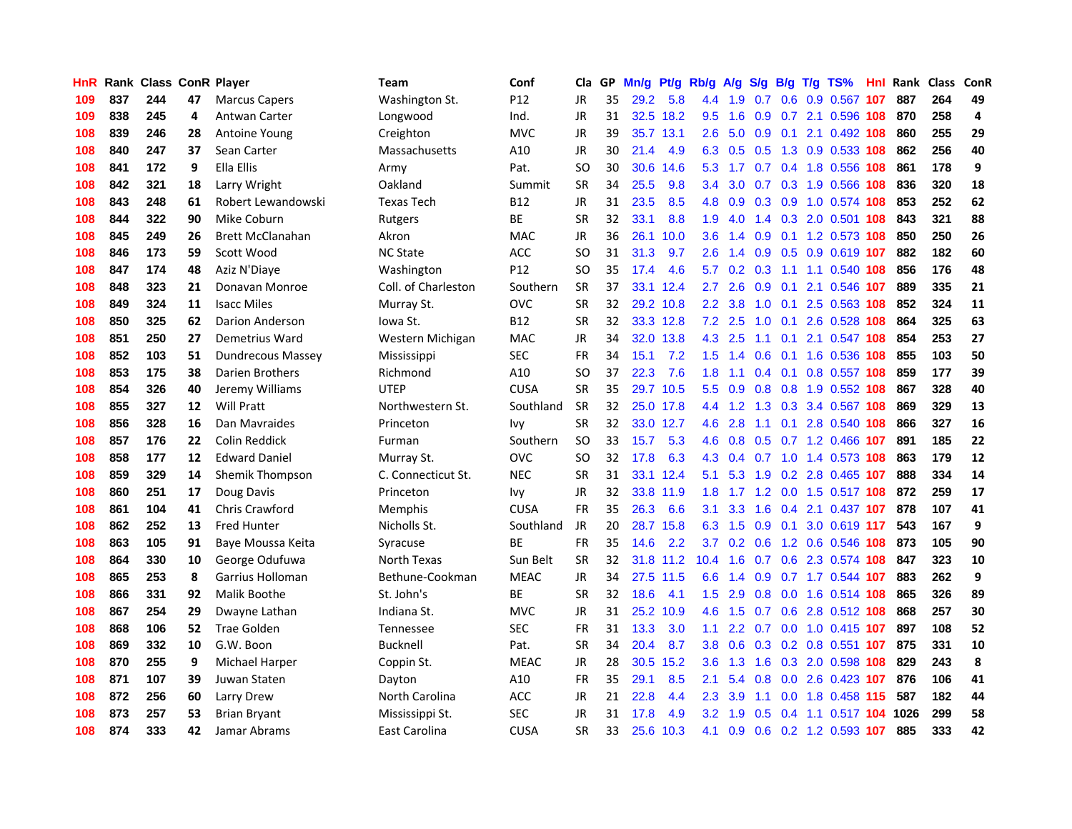| HnR |     | Rank Class ConR Player |    |                         | Team                | Conf        | Cla       |    | GP Mn/g | Pt/g      | Rb/g             | <b>A/g</b> | S/g         |     | B/g T/g TS%                   | Hnl |      | Rank Class | ConR |
|-----|-----|------------------------|----|-------------------------|---------------------|-------------|-----------|----|---------|-----------|------------------|------------|-------------|-----|-------------------------------|-----|------|------------|------|
| 109 | 837 | 244                    | 47 | <b>Marcus Capers</b>    | Washington St.      | P12         | <b>JR</b> | 35 | 29.2    | 5.8       | 4.4              | 1.9        | 0.7         | 0.6 | 0.9 0.567                     | 107 | 887  | 264        | 49   |
| 109 | 838 | 245                    | 4  | Antwan Carter           | Longwood            | Ind.        | JR        | 31 | 32.5    | 18.2      | 9.5              | 1.6        | 0.9         |     | 0.7 2.1 0.596 108             |     | 870  | 258        | 4    |
| 108 | 839 | 246                    | 28 | Antoine Young           | Creighton           | <b>MVC</b>  | JR        | 39 |         | 35.7 13.1 | 2.6              | 5.0        | 0.9         | 0.1 | 2.1 0.492 108                 |     | 860  | 255        | 29   |
| 108 | 840 | 247                    | 37 | Sean Carter             | Massachusetts       | A10         | JR        | 30 | 21.4    | 4.9       |                  |            | 6.3 0.5 0.5 |     | 1.3 0.9 0.533 108             |     | 862  | 256        | 40   |
| 108 | 841 | 172                    | 9  | Ella Ellis              | Army                | Pat.        | SO        | 30 | 30.6    | 14.6      | 5.3              | 1.7        |             |     | 0.7 0.4 1.8 0.556 108         |     | 861  | 178        | 9    |
| 108 | 842 | 321                    | 18 | Larry Wright            | Oakland             | Summit      | <b>SR</b> | 34 | 25.5    | 9.8       | $3.4^{\circ}$    | 3.0        |             |     | 0.7 0.3 1.9 0.566 108         |     | 836  | 320        | 18   |
| 108 | 843 | 248                    | 61 | Robert Lewandowski      | <b>Texas Tech</b>   | B12         | JR        | 31 | 23.5    | 8.5       | 4.8              | 0.9        |             |     | 0.3 0.9 1.0 0.574 108         |     | 853  | 252        | 62   |
| 108 | 844 | 322                    | 90 | Mike Coburn             | Rutgers             | BE          | <b>SR</b> | 32 | 33.1    | 8.8       | 1.9              | 4.0        |             |     | 1.4 0.3 2.0 0.501 108         |     | 843  | 321        | 88   |
| 108 | 845 | 249                    | 26 | <b>Brett McClanahan</b> | Akron               | <b>MAC</b>  | JR        | 36 | 26.1    | 10.0      | 3.6 <sup>°</sup> | 1.4        | 0.9         |     | 0.1 1.2 0.573 108             |     | 850  | 250        | 26   |
| 108 | 846 | 173                    | 59 | Scott Wood              | <b>NC State</b>     | <b>ACC</b>  | <b>SO</b> | 31 | 31.3    | 9.7       | $2.6^{\circ}$    | 1.4        | 0.9         | 0.5 | 0.9 0.619 107                 |     | 882  | 182        | 60   |
| 108 | 847 | 174                    | 48 | Aziz N'Diaye            | Washington          | P12         | SO        | 35 | 17.4    | 4.6       | 5.7              | 0.2        | 0.3         | 1.1 | 1.1 0.540                     | 108 | 856  | 176        | 48   |
| 108 | 848 | 323                    | 21 | Donavan Monroe          | Coll. of Charleston | Southern    | <b>SR</b> | 37 |         | 33.1 12.4 | 2.7              | 2.6        | 0.9         | 0.1 | 2.1 0.546 107                 |     | 889  | 335        | 21   |
| 108 | 849 | 324                    | 11 | <b>Isacc Miles</b>      | Murray St.          | <b>OVC</b>  | <b>SR</b> | 32 |         | 29.2 10.8 | 2.2              | 3.8        | 1.0         | 0.1 | 2.5 0.563 108                 |     | 852  | 324        | 11   |
| 108 | 850 | 325                    | 62 | Darion Anderson         | Iowa St.            | B12         | SR        | 32 |         | 33.3 12.8 | 7.2              | 2.5        | 1.0         | 0.1 | 2.6 0.528                     | 108 | 864  | 325        | 63   |
| 108 | 851 | 250                    | 27 | Demetrius Ward          | Western Michigan    | <b>MAC</b>  | JR        | 34 |         | 32.0 13.8 | 4.3              | 2.5        | 1.1         | 0.1 | 2.1 0.547 108                 |     | 854  | 253        | 27   |
| 108 | 852 | 103                    | 51 | Dundrecous Massey       | Mississippi         | <b>SEC</b>  | <b>FR</b> | 34 | 15.1    | 7.2       | 1.5              | 1.4        | 0.6         | 0.1 | 1.6 0.536 108                 |     | 855  | 103        | 50   |
| 108 | 853 | 175                    | 38 | Darien Brothers         | Richmond            | A10         | SO        | 37 | 22.3    | 7.6       | 1.8              | 1.1        | 0.4         | 0.1 | 0.8 0.557 108                 |     | 859  | 177        | 39   |
| 108 | 854 | 326                    | 40 | Jeremy Williams         | <b>UTEP</b>         | <b>CUSA</b> | <b>SR</b> | 35 |         | 29.7 10.5 | 5.5              |            |             |     | 0.9 0.8 0.8 1.9 0.552 108     |     | 867  | 328        | 40   |
| 108 | 855 | 327                    | 12 | <b>Will Pratt</b>       | Northwestern St.    | Southland   | <b>SR</b> | 32 |         | 25.0 17.8 |                  |            |             |     | 4.4 1.2 1.3 0.3 3.4 0.567 108 |     | 869  | 329        | 13   |
| 108 | 856 | 328                    | 16 | Dan Mavraides           | Princeton           | Ivy         | SR        | 32 |         | 33.0 12.7 | 4.6              | 2.8        | 1.1         |     | 0.1 2.8 0.540 108             |     | 866  | 327        | 16   |
| 108 | 857 | 176                    | 22 | Colin Reddick           | Furman              | Southern    | <b>SO</b> | 33 | 15.7    | 5.3       |                  |            |             |     | 4.6 0.8 0.5 0.7 1.2 0.466 107 |     | 891  | 185        | 22   |
| 108 | 858 | 177                    | 12 | <b>Edward Daniel</b>    | Murray St.          | <b>OVC</b>  | SO        | 32 | 17.8    | 6.3       |                  | 4.3 0.4    |             |     | 0.7 1.0 1.4 0.573 108         |     | 863  | 179        | 12   |
| 108 | 859 | 329                    | 14 | Shemik Thompson         | C. Connecticut St.  | <b>NEC</b>  | <b>SR</b> | 31 | 33.1    | 12.4      | 5.1              | 5.3        |             |     | 1.9 0.2 2.8 0.465 107         |     | 888  | 334        | 14   |
| 108 | 860 | 251                    | 17 | Doug Davis              | Princeton           | lvy         | JR        | 32 |         | 33.8 11.9 | 1.8              | 1.7        |             |     | 1.2 0.0 1.5 0.517 108         |     | 872  | 259        | 17   |
| 108 | 861 | 104                    | 41 | Chris Crawford          | Memphis             | <b>CUSA</b> | FR        | 35 | 26.3    | 6.6       | 3.1              | 3.3        | 1.6         |     | 0.4 2.1 0.437 107             |     | 878  | 107        | 41   |
| 108 | 862 | 252                    | 13 | <b>Fred Hunter</b>      | Nicholls St.        | Southland   | <b>JR</b> | 20 |         | 28.7 15.8 | 6.3              | 1.5        | 0.9         | 0.1 | 3.0 0.619 117                 |     | 543  | 167        | 9    |
| 108 | 863 | 105                    | 91 | Baye Moussa Keita       | Syracuse            | ВE          | <b>FR</b> | 35 | 14.6    | 2.2       | 3.7              | 0.2        | 0.6         |     | 1.2 0.6 0.546 108             |     | 873  | 105        | 90   |
| 108 | 864 | 330                    | 10 | George Odufuwa          | North Texas         | Sun Belt    | SR        | 32 |         | 31.8 11.2 | 10.4             | 1.6        | 0.7         |     | 0.6 2.3 0.574 108             |     | 847  | 323        | 10   |
| 108 | 865 | 253                    | 8  | Garrius Holloman        | Bethune-Cookman     | <b>MEAC</b> | <b>JR</b> | 34 |         | 27.5 11.5 | 6.6              | 1.4        | 0.9         |     | 0.7 1.7 0.544 107             |     | 883  | 262        | 9    |
| 108 | 866 | 331                    | 92 | Malik Boothe            | St. John's          | ВE          | <b>SR</b> | 32 | 18.6    | 4.1       | 1.5              | 2.9        | 0.8         |     | 0.0 1.6 0.514 108             |     | 865  | 326        | 89   |
| 108 | 867 | 254                    | 29 | Dwayne Lathan           | Indiana St.         | <b>MVC</b>  | JR        | 31 | 25.2    | 10.9      | 4.6              | 1.5        |             |     | 0.7 0.6 2.8 0.512 108         |     | 868  | 257        | 30   |
| 108 | 868 | 106                    | 52 | <b>Trae Golden</b>      | Tennessee           | <b>SEC</b>  | FR        | 31 | 13.3    | 3.0       | 1.1              |            |             |     | 2.2 0.7 0.0 1.0 0.415 107     |     | 897  | 108        | 52   |
| 108 | 869 | 332                    | 10 | G.W. Boon               | <b>Bucknell</b>     | Pat.        | <b>SR</b> | 34 | 20.4    | 8.7       | 3.8 <sup>°</sup> |            |             |     | 0.6 0.3 0.2 0.8 0.551 107     |     | 875  | 331        | 10   |
| 108 | 870 | 255                    | 9  | <b>Michael Harper</b>   | Coppin St.          | <b>MEAC</b> | JR        | 28 | 30.5    | 15.2      | 3.6 <sup>2</sup> | 1.3        | 1.6         |     | 0.3 2.0 0.598 108             |     | 829  | 243        | 8    |
| 108 | 871 | 107                    | 39 | Juwan Staten            | Dayton              | A10         | <b>FR</b> | 35 | 29.1    | 8.5       | 2.1              | 5.4        | 0.8         |     | 0.0 2.6 0.423 107             |     | 876  | 106        | 41   |
| 108 | 872 | 256                    | 60 | Larry Drew              | North Carolina      | ACC         | JR        | 21 | 22.8    | 4.4       | $2.3\phantom{0}$ | 3.9        | 1.1         |     | 0.0 1.8 0.458 115             |     | 587  | 182        | 44   |
| 108 | 873 | 257                    | 53 | <b>Brian Bryant</b>     | Mississippi St.     | <b>SEC</b>  | JR        | 31 | 17.8    | 4.9       | 3.2 <sub>2</sub> | 1.9        | 0.5         | 0.4 | 1.1 0.517                     | 104 | 1026 | 299        | 58   |
| 108 | 874 | 333                    | 42 | Jamar Abrams            | East Carolina       | <b>CUSA</b> | SR        | 33 | 25.6    | 10.3      | 4.1              |            |             |     | 0.9 0.6 0.2 1.2 0.593 107     |     | 885  | 333        | 42   |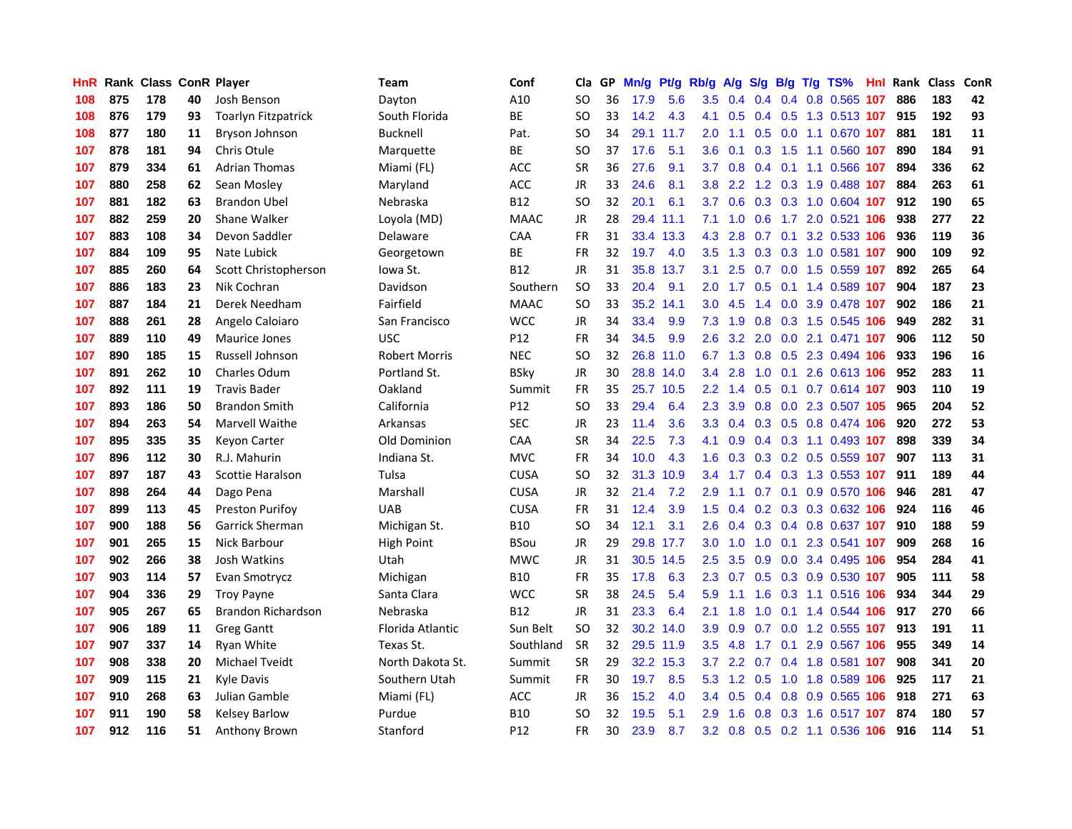| HnR |     | <b>Rank Class ConR Player</b> |    |                            | Team                 | Conf        | Cla           |    | GP Mn/g | Pt/g      | Rb/g             | A/g             |               |                 | S/g B/g T/g TS%               | Hnl | Rank Class |     | ConR |
|-----|-----|-------------------------------|----|----------------------------|----------------------|-------------|---------------|----|---------|-----------|------------------|-----------------|---------------|-----------------|-------------------------------|-----|------------|-----|------|
| 108 | 875 | 178                           | 40 | Josh Benson                | Dayton               | A10         | SO            | 36 | 17.9    | 5.6       | 3.5              | 0.4             | $0.4^{\circ}$ | 0.4             | 0.8 0.565                     | 107 | 886        | 183 | 42   |
| 108 | 876 | 179                           | 93 | <b>Toarlyn Fitzpatrick</b> | South Florida        | <b>BE</b>   | <sub>SO</sub> | 33 | 14.2    | 4.3       | 4.1              | 0.5             |               | $0.4\quad 0.5$  | 1.3 0.513 107                 |     | 915        | 192 | 93   |
| 108 | 877 | 180                           | 11 | Bryson Johnson             | <b>Bucknell</b>      | Pat.        | <b>SO</b>     | 34 |         | 29.1 11.7 | 2.0              | 1.1             | 0.5           | 0.0             | 1.1 0.670 107                 |     | 881        | 181 | 11   |
| 107 | 878 | 181                           | 94 | Chris Otule                | Marquette            | ВE          | SO            | 37 | 17.6    | 5.1       | 3.6              | 0.1             |               |                 | 0.3 1.5 1.1 0.560 107         |     | 890        | 184 | 91   |
| 107 | 879 | 334                           | 61 | <b>Adrian Thomas</b>       | Miami (FL)           | <b>ACC</b>  | <b>SR</b>     | 36 | 27.6    | 9.1       | 3.7              | 0.8             |               |                 | 0.4 0.1 1.1 0.566 107         |     | 894        | 336 | 62   |
| 107 | 880 | 258                           | 62 | Sean Mosley                | Maryland             | <b>ACC</b>  | <b>JR</b>     | 33 | 24.6    | 8.1       | 3.8 <sup>°</sup> | $2.2^{\circ}$   |               |                 | 1.2 0.3 1.9 0.488 107         |     | 884        | 263 | 61   |
| 107 | 881 | 182                           | 63 | <b>Brandon Ubel</b>        | Nebraska             | <b>B12</b>  | <b>SO</b>     | 32 | 20.1    | 6.1       | 3.7              | 0.6             |               |                 | 0.3 0.3 1.0 0.604 107         |     | 912        | 190 | 65   |
| 107 | 882 | 259                           | 20 | Shane Walker               | Loyola (MD)          | <b>MAAC</b> | <b>JR</b>     | 28 |         | 29.4 11.1 | 7.1              | 1.0             | 0.6           |                 | 1.7 2.0 0.521 106             |     | 938        | 277 | 22   |
| 107 | 883 | 108                           | 34 | Devon Saddler              | Delaware             | CAA         | <b>FR</b>     | 31 |         | 33.4 13.3 | 4.3              | 2.8             | 0.7           | 0.1             | 3.2 0.533 106                 |     | 936        | 119 | 36   |
| 107 | 884 | 109                           | 95 | Nate Lubick                | Georgetown           | ВE          | <b>FR</b>     | 32 | 19.7    | 4.0       | 3.5              | 1.3             | 0.3           |                 | 0.3 1.0 0.581 107             |     | 900        | 109 | 92   |
| 107 | 885 | 260                           | 64 | Scott Christopherson       | lowa St.             | <b>B12</b>  | <b>JR</b>     | 31 |         | 35.8 13.7 | 3.1              | 2.5             |               |                 | 0.7 0.0 1.5 0.559 107         |     | 892        | 265 | 64   |
| 107 | 886 | 183                           | 23 | Nik Cochran                | Davidson             | Southern    | <b>SO</b>     | 33 | 20.4    | 9.1       | 2.0              | 1.7             | 0.5           | 0.1             | 1.4 0.589 107                 |     | 904        | 187 | 23   |
| 107 | 887 | 184                           | 21 | Derek Needham              | Fairfield            | <b>MAAC</b> | <b>SO</b>     | 33 |         | 35.2 14.1 | 3.0              | 4.5             | 1.4           | 0.0             | 3.9 0.478                     | 107 | 902        | 186 | 21   |
| 107 | 888 | 261                           | 28 | Angelo Caloiaro            | San Francisco        | <b>WCC</b>  | JR            | 34 | 33.4    | 9.9       | 7.3              | 1.9             | 0.8           |                 | 0.3 1.5 0.545 106             |     | 949        | 282 | 31   |
| 107 | 889 | 110                           | 49 | Maurice Jones              | <b>USC</b>           | P12         | <b>FR</b>     | 34 | 34.5    | 9.9       | 2.6              | 3.2             | 2.0           | 0.0             | 2.1 0.471 107                 |     | 906        | 112 | 50   |
| 107 | 890 | 185                           | 15 | Russell Johnson            | <b>Robert Morris</b> | <b>NEC</b>  | <sub>SO</sub> | 32 |         | 26.8 11.0 |                  |                 |               |                 | 6.7 1.3 0.8 0.5 2.3 0.494 106 |     | 933        | 196 | 16   |
| 107 | 891 | 262                           | 10 | Charles Odum               | Portland St.         | <b>BSky</b> | JR            | 30 |         | 28.8 14.0 |                  | $3.4$ 2.8       |               |                 | 1.0 0.1 2.6 0.613 106         |     | 952        | 283 | 11   |
| 107 | 892 | 111                           | 19 | <b>Travis Bader</b>        | Oakland              | Summit      | <b>FR</b>     | 35 |         | 25.7 10.5 |                  | $2.2 \quad 1.4$ |               |                 | 0.5 0.1 0.7 0.614 107         |     | 903        | 110 | 19   |
| 107 | 893 | 186                           | 50 | <b>Brandon Smith</b>       | California           | P12         | <sub>SO</sub> | 33 | 29.4    | 6.4       | $2.3^{\circ}$    | 3.9             |               |                 | 0.8 0.0 2.3 0.507 105         |     | 965        | 204 | 52   |
| 107 | 894 | 263                           | 54 | Marvell Waithe             | Arkansas             | <b>SEC</b>  | JR            | 23 | 11.4    | 3.6       |                  |                 |               |                 | 3.3 0.4 0.3 0.5 0.8 0.474 106 |     | 920        | 272 | 53   |
| 107 | 895 | 335                           | 35 | <b>Keyon Carter</b>        | <b>Old Dominion</b>  | CAA         | <b>SR</b>     | 34 | 22.5    | 7.3       | 4.1              | 0.9             |               |                 | 0.4 0.3 1.1 0.493 107         |     | 898        | 339 | 34   |
| 107 | 896 | 112                           | 30 | R.J. Mahurin               | Indiana St.          | <b>MVC</b>  | <b>FR</b>     | 34 | 10.0    | 4.3       | 1.6              | 0.3             |               |                 | 0.3 0.2 0.5 0.559 107         |     | 907        | 113 | 31   |
| 107 | 897 | 187                           | 43 | Scottie Haralson           | Tulsa                | <b>CUSA</b> | <sub>SO</sub> | 32 | 31.3    | 10.9      | $3.4^{\circ}$    | 1.7             |               |                 | 0.4 0.3 1.3 0.553 107         |     | 911        | 189 | 44   |
| 107 | 898 | 264                           | 44 | Dago Pena                  | Marshall             | <b>CUSA</b> | <b>JR</b>     | 32 | 21.4    | 7.2       | 2.9              | 1.1             |               | $0.7 \quad 0.1$ | 0.9 0.570 106                 |     | 946        | 281 | 47   |
| 107 | 899 | 113                           | 45 | <b>Preston Purifov</b>     | <b>UAB</b>           | <b>CUSA</b> | <b>FR</b>     | 31 | 12.4    | 3.9       | 1.5 <sub>1</sub> | 0.4             |               |                 | 0.2 0.3 0.3 0.632 106         |     | 924        | 116 | 46   |
| 107 | 900 | 188                           | 56 | Garrick Sherman            | Michigan St.         | <b>B10</b>  | SO            | 34 | 12.1    | 3.1       | 2.6              | 0.4             |               |                 | 0.3 0.4 0.8 0.637 107         |     | 910        | 188 | 59   |
| 107 | 901 | 265                           | 15 | Nick Barbour               | High Point           | <b>BSou</b> | JR            | 29 |         | 29.8 17.7 | 3.0              | 1.0             | 1.0           | 0.1             | 2.3 0.541 107                 |     | 909        | 268 | 16   |
| 107 | 902 | 266                           | 38 | Josh Watkins               | Utah                 | <b>MWC</b>  | <b>JR</b>     | 31 |         | 30.5 14.5 | 2.5              | 3.5             | 0.9           |                 | 0.0 3.4 0.495 106             |     | 954        | 284 | 41   |
| 107 | 903 | 114                           | 57 | Evan Smotrycz              | Michigan             | <b>B10</b>  | <b>FR</b>     | 35 | 17.8    | 6.3       | $2.3^{\circ}$    | 0.7             |               |                 | 0.5 0.3 0.9 0.530 107         |     | 905        | 111 | 58   |
| 107 | 904 | 336                           | 29 | <b>Troy Payne</b>          | Santa Clara          | <b>WCC</b>  | <b>SR</b>     | 38 | 24.5    | 5.4       | 5.9              | 1.1             |               |                 | 1.6 0.3 1.1 0.516 106         |     | 934        | 344 | 29   |
| 107 | 905 | 267                           | 65 | Brandon Richardson         | Nebraska             | <b>B12</b>  | <b>JR</b>     | 31 | 23.3    | 6.4       | 2.1              | 1.8             |               |                 | 1.0 0.1 1.4 0.544 106         |     | 917        | 270 | 66   |
| 107 | 906 | 189                           | 11 | <b>Greg Gantt</b>          | Florida Atlantic     | Sun Belt    | <sub>SO</sub> | 32 |         | 30.2 14.0 | 3.9              | 0.9             |               |                 | 0.7 0.0 1.2 0.555 107         |     | 913        | 191 | 11   |
| 107 | 907 | 337                           | 14 | Ryan White                 | Texas St.            | Southland   | <b>SR</b>     | 32 |         | 29.5 11.9 | 3.5              | 4.8             | 1.7           |                 | 0.1 2.9 0.567 106             |     | 955        | 349 | 14   |
| 107 | 908 | 338                           | 20 | Michael Tveidt             | North Dakota St.     | Summit      | <b>SR</b>     | 29 |         | 32.2 15.3 | 3.7              | 2.2             | 0.7           |                 | 0.4 1.8 0.581 107             |     | 908        | 341 | 20   |
| 107 | 909 | 115                           | 21 | Kyle Davis                 | Southern Utah        | Summit      | <b>FR</b>     | 30 | 19.7    | 8.5       | 5.3              | 1.2             | 0.5           | 1.0             | 1.8 0.589 106                 |     | 925        | 117 | 21   |
| 107 | 910 | 268                           | 63 | Julian Gamble              | Miami (FL)           | ACC         | <b>JR</b>     | 36 | 15.2    | 4.0       | $3.4^{\circ}$    | 0.5             | 0.4           | 0.8             | 0.9 0.565                     | 106 | 918        | 271 | 63   |
| 107 | 911 | 190                           | 58 | Kelsey Barlow              | Purdue               | <b>B10</b>  | SO            | 32 | 19.5    | 5.1       | 2.9              | 1.6             | 0.8           | 0.3             | 1.6 0.517                     | 107 | 874        | 180 | 57   |
| 107 | 912 | 116                           | 51 | <b>Anthony Brown</b>       | Stanford             | P12         | <b>FR</b>     | 30 | 23.9    | 8.7       |                  |                 |               |                 | 3.2 0.8 0.5 0.2 1.1 0.536 106 |     | 916        | 114 | 51   |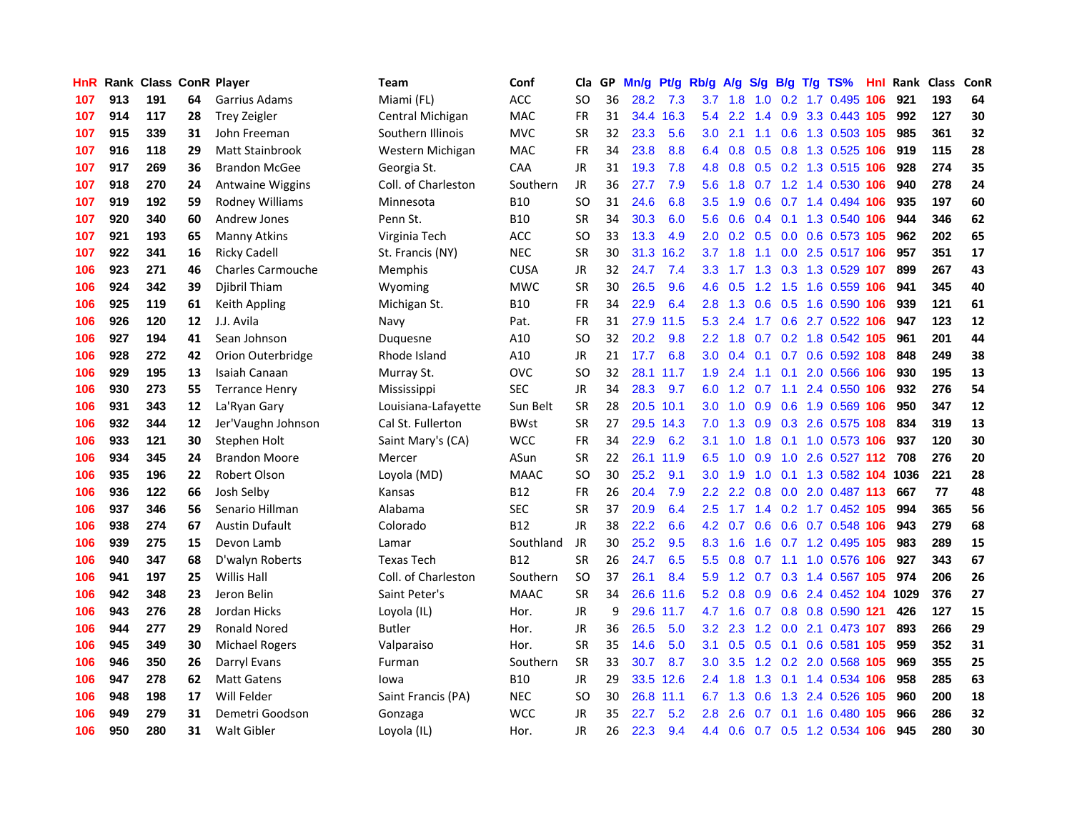| HnR I |     | Rank Class ConR Player |    |                          | Team                | Conf        | Cla           | GP. | Mn/g Pt/g |           | Rb/g A/g         |     |                 |     | S/g B/g T/g TS%                    | Hnl | Rank Class |     | <b>ConR</b> |
|-------|-----|------------------------|----|--------------------------|---------------------|-------------|---------------|-----|-----------|-----------|------------------|-----|-----------------|-----|------------------------------------|-----|------------|-----|-------------|
| 107   | 913 | 191                    | 64 | Garrius Adams            | Miami (FL)          | <b>ACC</b>  | SO            | 36  | 28.2      | 7.3       | 3.7              | 1.8 | 1.0             | 0.2 | 1.7 0.495                          | 106 | 921        | 193 | 64          |
| 107   | 914 | 117                    | 28 | <b>Trey Zeigler</b>      | Central Michigan    | <b>MAC</b>  | <b>FR</b>     | 31  |           | 34.4 16.3 | 5.4              | 2.2 | 1.4             | 0.9 | 3.3 0.443 105                      |     | 992        | 127 | 30          |
| 107   | 915 | 339                    | 31 | John Freeman             | Southern Illinois   | <b>MVC</b>  | <b>SR</b>     | 32  | 23.3      | 5.6       | 3.0              | 2.1 | 1.1             | 0.6 | 1.3 0.503 105                      |     | 985        | 361 | 32          |
| 107   | 916 | 118                    | 29 | Matt Stainbrook          | Western Michigan    | <b>MAC</b>  | FR            | 34  | 23.8      | 8.8       |                  |     |                 |     | 6.4 0.8 0.5 0.8 1.3 0.525 106      |     | 919        | 115 | 28          |
| 107   | 917 | 269                    | 36 | <b>Brandon McGee</b>     | Georgia St.         | CAA         | <b>JR</b>     | 31  | 19.3      | 7.8       | 4.8              |     |                 |     | 0.8 0.5 0.2 1.3 0.515 106          |     | 928        | 274 | 35          |
| 107   | 918 | 270                    | 24 | Antwaine Wiggins         | Coll. of Charleston | Southern    | JR            | 36  | 27.7      | 7.9       | 5.6              | 1.8 |                 |     | 0.7 1.2 1.4 0.530 106              |     | 940        | 278 | 24          |
| 107   | 919 | 192                    | 59 | Rodney Williams          | Minnesota           | <b>B10</b>  | <sub>SO</sub> | 31  | 24.6      | 6.8       | 3.5              | 1.9 |                 |     | 0.6 0.7 1.4 0.494 106              |     | 935        | 197 | 60          |
| 107   | 920 | 340                    | 60 | <b>Andrew Jones</b>      | Penn St.            | <b>B10</b>  | SR            | 34  | 30.3      | 6.0       | 5.6              | 0.6 |                 |     | 0.4 0.1 1.3 0.540 106              |     | 944        | 346 | 62          |
| 107   | 921 | 193                    | 65 | Manny Atkins             | Virginia Tech       | ACC         | <b>SO</b>     | 33  | 13.3      | 4.9       | 2.0              | 0.2 |                 |     | 0.5 0.0 0.6 0.573 105              |     | 962        | 202 | 65          |
| 107   | 922 | 341                    | 16 | <b>Ricky Cadell</b>      | St. Francis (NY)    | <b>NEC</b>  | <b>SR</b>     | 30  | 31.3      | 16.2      | 3.7              | 1.8 | 1.1             |     | 0.0 2.5 0.517 106                  |     | 957        | 351 | 17          |
| 106   | 923 | 271                    | 46 | <b>Charles Carmouche</b> | Memphis             | <b>CUSA</b> | JR            | 32  | 24.7      | 7.4       | 3.3 <sub>2</sub> | 1.7 |                 |     | 1.3 0.3 1.3 0.529 107              |     | 899        | 267 | 43          |
| 106   | 924 | 342                    | 39 | Djibril Thiam            | Wyoming             | <b>MWC</b>  | <b>SR</b>     | 30  | 26.5      | 9.6       | 4.6              | 0.5 | 1.2             | 1.5 | 1.6 0.559 106                      |     | 941        | 345 | 40          |
| 106   | 925 | 119                    | 61 | Keith Appling            | Michigan St.        | <b>B10</b>  | FR            | 34  | 22.9      | 6.4       | 2.8              | 1.3 | 0.6             | 0.5 | 1.6 0.590 106                      |     | 939        | 121 | 61          |
| 106   | 926 | 120                    | 12 | J.J. Avila               | Navy                | Pat.        | FR            | 31  |           | 27.9 11.5 | 5.3              | 2.4 | 1.7             | 0.6 | 2.7 0.522                          | 106 | 947        | 123 | 12          |
| 106   | 927 | 194                    | 41 | Sean Johnson             | Duguesne            | A10         | SO            | 32  | 20.2      | 9.8       | 2.2 <sub>2</sub> | 1.8 | 0.7             |     | 0.2 1.8 0.542 105                  |     | 961        | 201 | 44          |
| 106   | 928 | 272                    | 42 | Orion Outerbridge        | Rhode Island        | A10         | JR            | 21  | 17.7      | 6.8       | 3.0 <sub>2</sub> | 0.4 | 0.1             |     | 0.7 0.6 0.592 108                  |     | 848        | 249 | 38          |
| 106   | 929 | 195                    | 13 | Isaiah Canaan            | Murray St.          | <b>OVC</b>  | <b>SO</b>     | 32  |           | 28.1 11.7 | 1.9 <sup>°</sup> | 2.4 |                 |     | 1.1 0.1 2.0 0.566 106              |     | 930        | 195 | 13          |
| 106   | 930 | 273                    | 55 | <b>Terrance Henry</b>    | Mississippi         | <b>SEC</b>  | <b>JR</b>     | 34  | 28.3      | 9.7       | 6.0              |     | $1.2 \quad 0.7$ |     | 1.1 2.4 0.550 106                  |     | 932        | 276 | 54          |
| 106   | 931 | 343                    | 12 | La'Ryan Gary             | Louisiana-Lafayette | Sun Belt    | <b>SR</b>     | 28  |           | 20.5 10.1 | 3.0 <sub>1</sub> | 1.0 |                 |     | 0.9 0.6 1.9 0.569 106              |     | 950        | 347 | 12          |
| 106   | 932 | 344                    | 12 | Jer'Vaughn Johnson       | Cal St. Fullerton   | <b>BWst</b> | SR            | 27  |           | 29.5 14.3 | 7.0              |     |                 |     | 1.3 0.9 0.3 2.6 0.575 108          |     | 834        | 319 | 13          |
| 106   | 933 | 121                    | 30 | Stephen Holt             | Saint Mary's (CA)   | <b>WCC</b>  | FR            | 34  | 22.9      | 6.2       | 3.1              | 1.0 | 1.8             |     | 0.1 1.0 0.573 106                  |     | 937        | 120 | 30          |
| 106   | 934 | 345                    | 24 | <b>Brandon Moore</b>     | Mercer              | ASun        | <b>SR</b>     | 22  |           | 26.1 11.9 | 6.5              | 1.0 | 0.9             | 1.0 | 2.6 0.527 112                      |     | 708        | 276 | 20          |
| 106   | 935 | 196                    | 22 | Robert Olson             | Loyola (MD)         | <b>MAAC</b> | <b>SO</b>     | 30  | 25.2      | 9.1       | 3.0 <sub>1</sub> | 1.9 | 1.0             | 0.1 | 1.3 0.582 104                      |     | 1036       | 221 | 28          |
| 106   | 936 | 122                    | 66 | Josh Selby               | Kansas              | <b>B12</b>  | FR            | 26  | 20.4      | 7.9       | $2.2^{\circ}$    | 2.2 | 0.8             |     | 0.0 2.0 0.487 113                  |     | 667        | 77  | 48          |
| 106   | 937 | 346                    | 56 | Senario Hillman          | Alabama             | <b>SEC</b>  | <b>SR</b>     | 37  | 20.9      | 6.4       | 2.5              | 1.7 |                 |     | 1.4 0.2 1.7 0.452 105              |     | 994        | 365 | 56          |
| 106   | 938 | 274                    | 67 | <b>Austin Dufault</b>    | Colorado            | <b>B12</b>  | <b>JR</b>     | 38  | 22.2      | 6.6       | 4.2              | 0.7 | 0.6             |     | 0.6 0.7 0.548                      | 106 | 943        | 279 | 68          |
| 106   | 939 | 275                    | 15 | Devon Lamb               | Lamar               | Southland   | <b>JR</b>     | 30  | 25.2      | 9.5       | 8.3              | 1.6 | 1.6             |     | 0.7 1.2 0.495 105                  |     | 983        | 289 | 15          |
| 106   | 940 | 347                    | 68 | D'walyn Roberts          | <b>Texas Tech</b>   | <b>B12</b>  | <b>SR</b>     | 26  | 24.7      | 6.5       | $5.5^{\circ}$    | 0.8 | 0.7             | 1.1 | 1.0 0.576 106                      |     | 927        | 343 | 67          |
| 106   | 941 | 197                    | 25 | <b>Willis Hall</b>       | Coll. of Charleston | Southern    | <sub>SO</sub> | 37  | 26.1      | 8.4       | 5.9              | 1.2 | 0.7             |     | 0.3 1.4 0.567 105                  |     | 974        | 206 | 26          |
| 106   | 942 | 348                    | 23 | Jeron Belin              | Saint Peter's       | <b>MAAC</b> | <b>SR</b>     | 34  | 26.6      | 11.6      |                  |     |                 |     | 5.2 0.8 0.9 0.6 2.4 0.452 104 1029 |     |            | 376 | 27          |
| 106   | 943 | 276                    | 28 | Jordan Hicks             | Loyola (IL)         | Hor.        | <b>JR</b>     | 9   |           | 29.6 11.7 |                  |     |                 |     | 4.7 1.6 0.7 0.8 0.8 0.590 121      |     | 426        | 127 | 15          |
| 106   | 944 | 277                    | 29 | <b>Ronald Nored</b>      | <b>Butler</b>       | Hor.        | <b>JR</b>     | 36  | 26.5      | 5.0       | 3.2              | 2.3 |                 |     | 1.2 0.0 2.1 0.473 107              |     | 893        | 266 | 29          |
| 106   | 945 | 349                    | 30 | <b>Michael Rogers</b>    | Valparaiso          | Hor.        | <b>SR</b>     | 35  | 14.6      | 5.0       | 3.1              | 0.5 | 0.5             |     | 0.1 0.6 0.581 105                  |     | 959        | 352 | 31          |
| 106   | 946 | 350                    | 26 | Darryl Evans             | Furman              | Southern    | <b>SR</b>     | 33  | 30.7      | 8.7       | 3.0 <sub>1</sub> | 3.5 |                 |     | 1.2 0.2 2.0 0.568 105              |     | 969        | 355 | 25          |
| 106   | 947 | 278                    | 62 | <b>Matt Gatens</b>       | lowa                | <b>B10</b>  | <b>JR</b>     | 29  |           | 33.5 12.6 | 2.4              | 1.8 | 1.3             | 0.1 | 1.4 0.534 106                      |     | 958        | 285 | 63          |
| 106   | 948 | 198                    | 17 | Will Felder              | Saint Francis (PA)  | <b>NEC</b>  | <b>SO</b>     | 30  | 26.8      | 11.1      | 6.7              | 1.3 | 0.6             | 1.3 | 2.4 0.526                          | 105 | 960        | 200 | 18          |
| 106   | 949 | 279                    | 31 | Demetri Goodson          | Gonzaga             | <b>WCC</b>  | <b>JR</b>     | 35  | 22.7      | 5.2       | 2.8              | 2.6 | 0.7             | 0.1 | 1.6 0.480                          | 105 | 966        | 286 | 32          |
| 106   | 950 | 280                    | 31 | <b>Walt Gibler</b>       | Loyola (IL)         | Hor.        | <b>JR</b>     | 26  | 22.3      | 9.4       |                  |     |                 |     | 4.4 0.6 0.7 0.5 1.2 0.534 106      |     | 945        | 280 | 30          |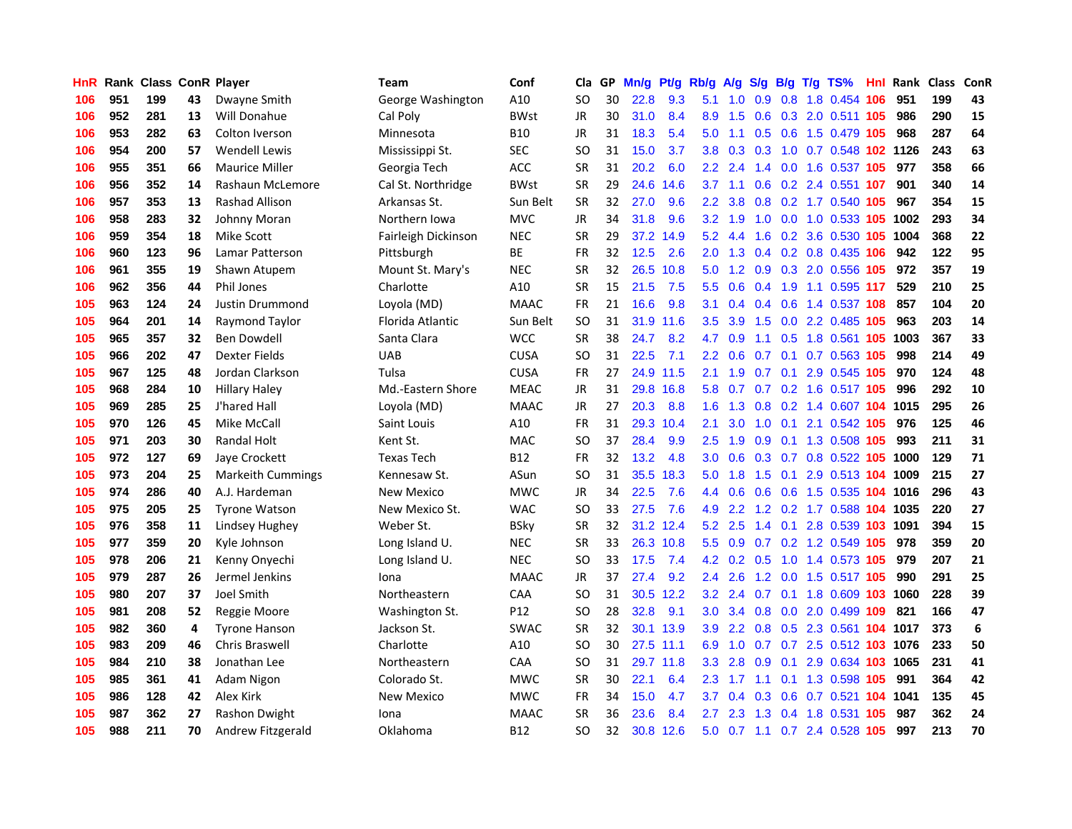| <b>HnR</b> |     | Rank Class ConR Player |    |                          | Team                | Conf        | Cla       |    | GP Mn/g | Pt/g      | Rb/g             | <b>A/g</b>      | S/g             |                 | B/g T/g TS%                        | Hnl | Rank Class |     | ConR |
|------------|-----|------------------------|----|--------------------------|---------------------|-------------|-----------|----|---------|-----------|------------------|-----------------|-----------------|-----------------|------------------------------------|-----|------------|-----|------|
| 106        | 951 | 199                    | 43 | Dwayne Smith             | George Washington   | A10         | SO        | 30 | 22.8    | 9.3       | 5.1              | 1.0             | 0.9             | 0.8             | 1.8 0.454                          | 106 | 951        | 199 | 43   |
| 106        | 952 | 281                    | 13 | Will Donahue             | Cal Poly            | <b>BWst</b> | JR        | 30 | 31.0    | 8.4       | 8.9              | 1.5             | 0.6             | 0.3             | 2.0 0.511 105                      |     | 986        | 290 | 15   |
| 106        | 953 | 282                    | 63 | Colton Iverson           | Minnesota           | <b>B10</b>  | JR        | 31 | 18.3    | 5.4       | 5.0              | 1.1             | 0.5             | 0.6             | 1.5 0.479 105                      |     | 968        | 287 | 64   |
| 106        | 954 | 200                    | 57 | <b>Wendell Lewis</b>     | Mississippi St.     | <b>SEC</b>  | SO        | 31 | 15.0    | 3.7       | 3.8 <sub>1</sub> |                 | $0.3 \quad 0.3$ |                 | 1.0 0.7 0.548 102 1126             |     |            | 243 | 63   |
| 106        | 955 | 351                    | 66 | <b>Maurice Miller</b>    | Georgia Tech        | <b>ACC</b>  | <b>SR</b> | 31 | 20.2    | 6.0       |                  | $2.2$ $2.4$     |                 |                 | 1.4 0.0 1.6 0.537 105              |     | 977        | 358 | 66   |
| 106        | 956 | 352                    | 14 | Rashaun McLemore         | Cal St. Northridge  | <b>BWst</b> | <b>SR</b> | 29 | 24.6    | 14.6      | 3.7              | 1.1             |                 |                 | 0.6 0.2 2.4 0.551 107              |     | 901        | 340 | 14   |
| 106        | 957 | 353                    | 13 | <b>Rashad Allison</b>    | Arkansas St.        | Sun Belt    | SR        | 32 | 27.0    | 9.6       | 2.2 <sub>2</sub> | 3.8             |                 |                 | 0.8 0.2 1.7 0.540 105              |     | 967        | 354 | 15   |
| 106        | 958 | 283                    | 32 | Johnny Moran             | Northern Iowa       | <b>MVC</b>  | <b>JR</b> | 34 | 31.8    | 9.6       | 3.2 <sub>2</sub> | 1.9             | 1.0             |                 | 0.0 1.0 0.533 105                  |     | 1002       | 293 | 34   |
| 106        | 959 | 354                    | 18 | <b>Mike Scott</b>        | Fairleigh Dickinson | <b>NEC</b>  | <b>SR</b> | 29 | 37.2    | 14.9      | 5.2              | 4.4             | 1.6             |                 | 0.2 3.6 0.530 105                  |     | 1004       | 368 | 22   |
| 106        | 960 | 123                    | 96 | <b>Lamar Patterson</b>   | Pittsburgh          | ВE          | <b>FR</b> | 32 | 12.5    | 2.6       | 2.0 <sub>1</sub> | 1.3             | 0.4             |                 | 0.2 0.8 0.435 106                  |     | 942        | 122 | 95   |
| 106        | 961 | 355                    | 19 | Shawn Atupem             | Mount St. Mary's    | <b>NEC</b>  | <b>SR</b> | 32 | 26.5    | 10.8      | 5.0              | 1.2             |                 |                 | 0.9 0.3 2.0 0.556                  | 105 | 972        | 357 | 19   |
| 106        | 962 | 356                    | 44 | Phil Jones               | Charlotte           | A10         | <b>SR</b> | 15 | 21.5    | 7.5       | $5.5^{\circ}$    | 0.6             | 0.4             | 1.9             | 1.1 0.595 117                      |     | 529        | 210 | 25   |
| 105        | 963 | 124                    | 24 | Justin Drummond          | Loyola (MD)         | <b>MAAC</b> | <b>FR</b> | 21 | 16.6    | 9.8       | 3.1              | 0.4             | 0.4             | 0.6             | 1.4 0.537                          | 108 | 857        | 104 | 20   |
| 105        | 964 | 201                    | 14 | Raymond Taylor           | Florida Atlantic    | Sun Belt    | SO        | 31 | 31.9    | 11.6      | 3.5              | 3.9             | 1.5             | 0.0             | 2.2 0.485                          | 105 | 963        | 203 | 14   |
| 105        | 965 | 357                    | 32 | <b>Ben Dowdell</b>       | Santa Clara         | <b>WCC</b>  | <b>SR</b> | 38 | 24.7    | 8.2       | 4.7              | 0.9             | 1.1             | 0.5             | 1.8 0.561                          | 105 | 1003       | 367 | 33   |
| 105        | 966 | 202                    | 47 | <b>Dexter Fields</b>     | <b>UAB</b>          | <b>CUSA</b> | SO        | 31 | 22.5    | 7.1       |                  | $2.2 \quad 0.6$ | 0.7             | 0.1             | 0.7 0.563 105                      |     | 998        | 214 | 49   |
| 105        | 967 | 125                    | 48 | Jordan Clarkson          | Tulsa               | <b>CUSA</b> | FR        | 27 |         | 24.9 11.5 | 2.1              | 1.9             |                 |                 | 0.7 0.1 2.9 0.545 105              |     | 970        | 124 | 48   |
| 105        | 968 | 284                    | 10 | <b>Hillary Haley</b>     | Md.-Eastern Shore   | <b>MEAC</b> | JR        | 31 |         | 29.8 16.8 |                  |                 |                 |                 | 5.8 0.7 0.7 0.2 1.6 0.517 105      |     | 996        | 292 | 10   |
| 105        | 969 | 285                    | 25 | J'hared Hall             | Loyola (MD)         | <b>MAAC</b> | JR.       | 27 | 20.3    | 8.8       | 1.6 <sup>1</sup> |                 |                 |                 | 1.3 0.8 0.2 1.4 0.607 104 1015     |     |            | 295 | 26   |
| 105        | 970 | 126                    | 45 | Mike McCall              | Saint Louis         | A10         | FR        | 31 | 29.3    | 10.4      | 2.1              | 3.0             |                 |                 | 1.0 0.1 2.1 0.542 105              |     | 976        | 125 | 46   |
| 105        | 971 | 203                    | 30 | Randal Holt              | Kent St.            | <b>MAC</b>  | SO        | 37 | 28.4    | 9.9       | $2.5\,$          | 1.9             | 0.9             |                 | 0.1 1.3 0.508 105                  |     | 993        | 211 | 31   |
| 105        | 972 | 127                    | 69 | Jaye Crockett            | <b>Texas Tech</b>   | B12         | <b>FR</b> | 32 | 13.2    | 4.8       | 3.0 <sub>2</sub> | 0.6             |                 |                 | 0.3 0.7 0.8 0.522 105              |     | 1000       | 129 | 71   |
| 105        | 973 | 204                    | 25 | <b>Markeith Cummings</b> | Kennesaw St.        | ASun        | <b>SO</b> | 31 | 35.5    | 18.3      | 5.0              | 1.8             | 1.5             | 0.1             | 2.9 0.513 104 1009                 |     |            | 215 | 27   |
| 105        | 974 | 286                    | 40 | A.J. Hardeman            | New Mexico          | <b>MWC</b>  | JR.       | 34 | 22.5    | 7.6       | 4.4              | 0.6             | 0.6             |                 | 0.6 1.5 0.535 104                  |     | 1016       | 296 | 43   |
| 105        | 975 | 205                    | 25 | <b>Tyrone Watson</b>     | New Mexico St.      | WAC         | SO        | 33 | 27.5    | 7.6       | 4.9              | 2.2             | 1.2             |                 | 0.2 1.7 0.588 104 1035             |     |            | 220 | 27   |
| 105        | 976 | 358                    | 11 | Lindsey Hughey           | Weber St.           | <b>BSky</b> | <b>SR</b> | 32 | 31.2    | 12.4      | 5.2              | 2.5             | 1.4             | 0.1             | 2.8 0.539 103                      |     | 1091       | 394 | 15   |
| 105        | 977 | 359                    | 20 | Kyle Johnson             | Long Island U.      | <b>NEC</b>  | <b>SR</b> | 33 |         | 26.3 10.8 | 5.5              | 0.9             | 0.7             |                 | 0.2 1.2 0.549 105                  |     | 978        | 359 | 20   |
| 105        | 978 | 206                    | 21 | Kenny Onyechi            | Long Island U.      | <b>NEC</b>  | SO        | 33 | 17.5    | 7.4       | 4.2              | 0.2             | 0.5             | 1.0             | 1.4 0.573 105                      |     | 979        | 207 | 21   |
| 105        | 979 | 287                    | 26 | Jermel Jenkins           | Iona                | <b>MAAC</b> | JR.       | 37 | 27.4    | 9.2       | $2.4^{\circ}$    | 2.6             |                 | $1.2 \quad 0.0$ | 1.5 0.517 105                      |     | 990        | 291 | 25   |
| 105        | 980 | 207                    | 37 | Joel Smith               | Northeastern        | CAA         | SO        | 31 |         | 30.5 12.2 |                  |                 |                 |                 | 3.2 2.4 0.7 0.1 1.8 0.609 103 1060 |     |            | 228 | 39   |
| 105        | 981 | 208                    | 52 | Reggie Moore             | Washington St.      | P12         | SO        | 28 | 32.8    | 9.1       | 3.0 <sub>1</sub> |                 |                 |                 | 3.4 0.8 0.0 2.0 0.499 109          |     | 821        | 166 | 47   |
| 105        | 982 | 360                    | 4  | <b>Tyrone Hanson</b>     | Jackson St.         | <b>SWAC</b> | <b>SR</b> | 32 |         | 30.1 13.9 | 3.9 <sup>°</sup> |                 |                 |                 | 2.2 0.8 0.5 2.3 0.561 104 1017     |     |            | 373 | 6    |
| 105        | 983 | 209                    | 46 | <b>Chris Braswell</b>    | Charlotte           | A10         | SO        | 30 |         | 27.5 11.1 | 6.9              | 1.0             |                 |                 | 0.7 0.7 2.5 0.512 103 1076         |     |            | 233 | 50   |
| 105        | 984 | 210                    | 38 | Jonathan Lee             | Northeastern        | CAA         | SO        | 31 |         | 29.7 11.8 | 3.3 <sub>1</sub> | 2.8             | 0.9             | 0.1             | 2.9 0.634 103 1065                 |     |            | 231 | 41   |
| 105        | 985 | 361                    | 41 | Adam Nigon               | Colorado St.        | <b>MWC</b>  | <b>SR</b> | 30 | 22.1    | 6.4       | $2.3\phantom{0}$ | 1.7             | 1.1             | 0.1             | 1.3 0.598                          | 105 | 991        | 364 | 42   |
| 105        | 986 | 128                    | 42 | Alex Kirk                | <b>New Mexico</b>   | <b>MWC</b>  | FR        | 34 | 15.0    | 4.7       | 3.7              | 0.4             | 0.3             | 0.6             | $0.7$ 0.521                        | 104 | 1041       | 135 | 45   |
| 105        | 987 | 362                    | 27 | Rashon Dwight            | Iona                | <b>MAAC</b> | <b>SR</b> | 36 | 23.6    | 8.4       | 2.7              | 2.3             | 1.3             | 0.4             | 1.8 0.531                          | 105 | 987        | 362 | 24   |
| 105        | 988 | 211                    | 70 | Andrew Fitzgerald        | Oklahoma            | <b>B12</b>  | <b>SO</b> | 32 |         | 30.8 12.6 | 5.0              |                 |                 |                 | 0.7 1.1 0.7 2.4 0.528 105          |     | 997        | 213 | 70   |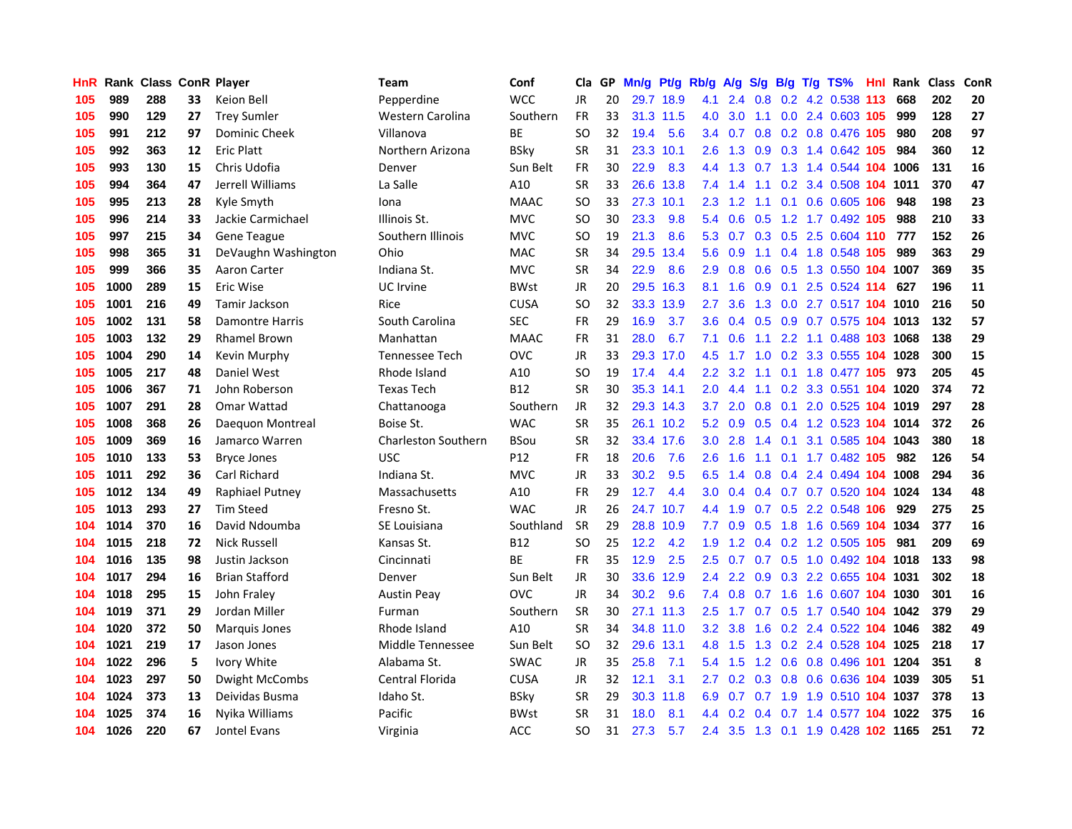| <b>HnR</b> |      |     |    | <b>Rank Class ConR Player</b> | Team                       | Conf        | Cla       |    | GP Mn/g |           | Pt/g Rb/g        | A/g             | S/g             |                | B/g T/g TS%                        | Hnl  | Rank Class |     | <b>ConR</b> |
|------------|------|-----|----|-------------------------------|----------------------------|-------------|-----------|----|---------|-----------|------------------|-----------------|-----------------|----------------|------------------------------------|------|------------|-----|-------------|
| 105        | 989  | 288 | 33 | Keion Bell                    | Pepperdine                 | <b>WCC</b>  | <b>JR</b> | 20 |         | 29.7 18.9 | 4.1              | 2.4             | 0.8             |                | 0.2 4.2 0.538                      | -113 | 668        | 202 | 20          |
| 105        | 990  | 129 | 27 | <b>Trey Sumler</b>            | Western Carolina           | Southern    | <b>FR</b> | 33 |         | 31.3 11.5 | 4.0              | 3.0             | 1.1             |                | 0.0 2.4 0.603 105                  |      | 999        | 128 | 27          |
| 105        | 991  | 212 | 97 | <b>Dominic Cheek</b>          | Villanova                  | <b>BE</b>   | SO        | 32 | 19.4    | 5.6       | $3.4^{\circ}$    | 0.7             | 0.8             |                | 0.2 0.8 0.476 105                  |      | 980        | 208 | 97          |
| 105        | 992  | 363 | 12 | <b>Eric Platt</b>             | Northern Arizona           | <b>BSkv</b> | <b>SR</b> | 31 | 23.3    | 10.1      | 2.6              |                 | $1.3 \quad 0.9$ |                | 0.3 1.4 0.642 105                  |      | 984        | 360 | 12          |
| 105        | 993  | 130 | 15 | Chris Udofia                  | Denver                     | Sun Belt    | FR        | 30 | 22.9    | 8.3       |                  |                 |                 |                | 4.4 1.3 0.7 1.3 1.4 0.544 104 1006 |      |            | 131 | 16          |
| 105        | 994  | 364 | 47 | Jerrell Williams              | La Salle                   | A10         | <b>SR</b> | 33 |         | 26.6 13.8 |                  | 7.4 1.4         |                 |                | 1.1 0.2 3.4 0.508 104 1011         |      |            | 370 | 47          |
| 105        | 995  | 213 | 28 | Kyle Smyth                    | Iona                       | <b>MAAC</b> | SO        | 33 |         | 27.3 10.1 | 2.3              |                 | $1.2 \quad 1.1$ |                | $0.1$ 0.6 0.605 106                |      | 948        | 198 | 23          |
| 105        | 996  | 214 | 33 | Jackie Carmichael             | Illinois St.               | <b>MVC</b>  | SO        | 30 | 23.3    | 9.8       | $5.4^{\circ}$    | 0.6             |                 |                | 0.5 1.2 1.7 0.492 105              |      | 988        | 210 | 33          |
| 105        | 997  | 215 | 34 | Gene Teague                   | Southern Illinois          | <b>MVC</b>  | SO        | 19 | 21.3    | 8.6       | 5.3              | 0.7             |                 |                | 0.3 0.5 2.5 0.604 110              |      | 777        | 152 | 26          |
| 105        | 998  | 365 | 31 | DeVaughn Washington           | Ohio                       | <b>MAC</b>  | <b>SR</b> | 34 | 29.5    | 13.4      | 5.6              | 0.9             |                 |                | 1.1 0.4 1.8 0.548 105              |      | 989        | 363 | 29          |
| 105        | 999  | 366 | 35 | Aaron Carter                  | Indiana St.                | <b>MVC</b>  | <b>SR</b> | 34 | 22.9    | 8.6       | 2.9              | 0.8             |                 |                | 0.6 0.5 1.3 0.550 104 1007         |      |            | 369 | 35          |
| 105        | 1000 | 289 | 15 | Eric Wise                     | <b>UC</b> Irvine           | <b>BWst</b> | JR        | 20 | 29.5    | 16.3      | 8.1              | 1.6             |                 | $0.9\quad 0.1$ | 2.5 0.524 114                      |      | 627        | 196 | 11          |
| 105        | 1001 | 216 | 49 | Tamir Jackson                 | Rice                       | <b>CUSA</b> | SO        | 32 |         | 33.3 13.9 | 2.7              | 3.6             | 1.3             |                | 0.0 2.7 0.517 104 1010             |      |            | 216 | 50          |
| 105        | 1002 | 131 | 58 | <b>Damontre Harris</b>        | South Carolina             | <b>SEC</b>  | <b>FR</b> | 29 | 16.9    | 3.7       | 3.6              | 0.4             | 0.5             |                | 0.9 0.7 0.575 104 1013             |      |            | 132 | 57          |
| 105        | 1003 | 132 | 29 | <b>Rhamel Brown</b>           | Manhattan                  | <b>MAAC</b> | FR        | 31 | 28.0    | 6.7       | 7.1              | 0.6             | 1.1             |                | 2.2 1.1 0.488 103                  |      | 1068       | 138 | 29          |
| 105        | 1004 | 290 | 14 | Kevin Murphy                  | <b>Tennessee Tech</b>      | <b>OVC</b>  | JR.       | 33 | 29.3    | 17.0      | 4.5              | 1.7             | 1.0             | 0.2            | 3.3 0.555 104 1028                 |      |            | 300 | 15          |
| 105        | 1005 | 217 | 48 | Daniel West                   | Rhode Island               | A10         | SO        | 19 | 17.4    | 4.4       | $2.2^{\circ}$    | 3.2             | 1.1             |                | 0.1 1.8 0.477 105                  |      | 973        | 205 | 45          |
| 105        | 1006 | 367 | 71 | John Roberson                 | <b>Texas Tech</b>          | <b>B12</b>  | SR        | 30 |         | 35.3 14.1 | 2.0 <sub>1</sub> | 4.4             |                 |                | 1.1 0.2 3.3 0.551 104 1020         |      |            | 374 | 72          |
| 105        | 1007 | 291 | 28 | Omar Wattad                   | Chattanooga                | Southern    | JR        | 32 |         | 29.3 14.3 | 3.7              |                 |                 |                | 2.0 0.8 0.1 2.0 0.525 104 1019     |      |            | 297 | 28          |
| 105        | 1008 | 368 | 26 | Daequon Montreal              | Boise St.                  | <b>WAC</b>  | <b>SR</b> | 35 |         | 26.1 10.2 |                  |                 |                 |                | 5.2 0.9 0.5 0.4 1.2 0.523 104 1014 |      |            | 372 | 26          |
| 105        | 1009 | 369 | 16 | Jamarco Warren                | <b>Charleston Southern</b> | BSou        | <b>SR</b> | 32 |         | 33.4 17.6 | 3.0 <sub>1</sub> | 2.8             |                 |                | 1.4 0.1 3.1 0.585 104 1043         |      |            | 380 | 18          |
| 105        | 1010 | 133 | 53 | <b>Bryce Jones</b>            | <b>USC</b>                 | P12         | FR        | 18 | 20.6    | 7.6       | $2.6^{\circ}$    | 1.6             |                 |                | 1.1 0.1 1.7 0.482 105              |      | 982        | 126 | 54          |
| 105        | 1011 | 292 | 36 | Carl Richard                  | Indiana St.                | <b>MVC</b>  | <b>JR</b> | 33 | 30.2    | 9.5       | 6.5              | 1.4             | 0.8             |                | 0.4 2.4 0.494 104 1008             |      |            | 294 | 36          |
| 105        | 1012 | 134 | 49 | Raphiael Putney               | Massachusetts              | A10         | <b>FR</b> | 29 | 12.7    | 4.4       | 3.0 <sub>1</sub> | 0.4             |                 |                | 0.4 0.7 0.7 0.520 104 1024         |      |            | 134 | 48          |
| 105        | 1013 | 293 | 27 | <b>Tim Steed</b>              | Fresno St.                 | <b>WAC</b>  | JR.       | 26 | 24.7    | 10.7      | 4.4              | 1.9             |                 |                | 0.7 0.5 2.2 0.548 106              |      | 929        | 275 | 25          |
| 104        | 1014 | 370 | 16 | David Ndoumba                 | SE Louisiana               | Southland   | <b>SR</b> | 29 |         | 28.8 10.9 | 7.7              | 0.9             | 0.5             |                | 1.8 1.6 0.569 104 1034             |      |            | 377 | 16          |
| 104        | 1015 | 218 | 72 | <b>Nick Russell</b>           | Kansas St.                 | <b>B12</b>  | <b>SO</b> | 25 | 12.2    | 4.2       | 1.9              | 1.2             |                 |                | 0.4 0.2 1.2 0.505 105              |      | 981        | 209 | 69          |
| 104        | 1016 | 135 | 98 | Justin Jackson                | Cincinnati                 | <b>BE</b>   | <b>FR</b> | 35 | 12.9    | 2.5       | 2.5              | 0.7             |                 |                | 0.7 0.5 1.0 0.492 104 1018         |      |            | 133 | 98          |
| 104        | 1017 | 294 | 16 | <b>Brian Stafford</b>         | Denver                     | Sun Belt    | <b>JR</b> | 30 | 33.6    | 12.9      | 2.4              | 2.2             | 0.9             |                | 0.3 2.2 0.655 104 1031             |      |            | 302 | 18          |
| 104        | 1018 | 295 | 15 | John Fraley                   | <b>Austin Peay</b>         | <b>OVC</b>  | JR.       | 34 | 30.2    | 9.6       | 7.4              | 0.8             | 0.7             | 1.6            | 1.6 0.607 104 1030                 |      |            | 301 | 16          |
| 104        | 1019 | 371 | 29 | Jordan Miller                 | Furman                     | Southern    | <b>SR</b> | 30 |         | 27.1 11.3 | $2.5^{\circ}$    | 1.7             |                 |                | 0.7 0.5 1.7 0.540 104 1042         |      |            | 379 | 29          |
| 104        | 1020 | 372 | 50 | Marquis Jones                 | Rhode Island               | A10         | <b>SR</b> | 34 |         | 34.8 11.0 |                  | $3.2 \quad 3.8$ |                 |                | 1.6 0.2 2.4 0.522 104 1046         |      |            | 382 | 49          |
| 104        | 1021 | 219 | 17 | Jason Jones                   | Middle Tennessee           | Sun Belt    | SO        | 32 |         | 29.6 13.1 |                  |                 |                 |                | 4.8 1.5 1.3 0.2 2.4 0.528 104 1025 |      |            | 218 | 17          |
| 104        | 1022 | 296 | 5  | Ivory White                   | Alabama St.                | <b>SWAC</b> | JR        | 35 | 25.8    | 7.1       | 5.4              | 1.5             |                 |                | 1.2 0.6 0.8 0.496 101 1204         |      |            | 351 | 8           |
| 104        | 1023 | 297 | 50 | Dwight McCombs                | Central Florida            | <b>CUSA</b> | JR        | 32 | 12.1    | 3.1       | $2.7^{\circ}$    |                 |                 |                | 0.2 0.3 0.8 0.6 0.636 104 1039     |      |            | 305 | 51          |
| 104        | 1024 | 373 | 13 | Deividas Busma                | Idaho St.                  | BSky        | <b>SR</b> | 29 | 30.3    | 11.8      | 6.9              | 0.7             |                 | $0.7$ 1.9      | 1.9 0.510 104 1037                 |      |            | 378 | 13          |
| 104        | 1025 | 374 | 16 | Nyika Williams                | Pacific                    | <b>BWst</b> | <b>SR</b> | 31 | 18.0    | 8.1       | $4.4^{\circ}$    | 0.2             | 0.4             |                | 0.7 1.4 0.577 104                  |      | 1022       | 375 | 16          |
| 104        | 1026 | 220 | 67 | Jontel Evans                  | Virginia                   | ACC         | SΟ        | 31 | 27.3    | 5.7       | $2.4^{\circ}$    |                 |                 |                | 3.5 1.3 0.1 1.9 0.428 102 1165     |      |            | 251 | 72          |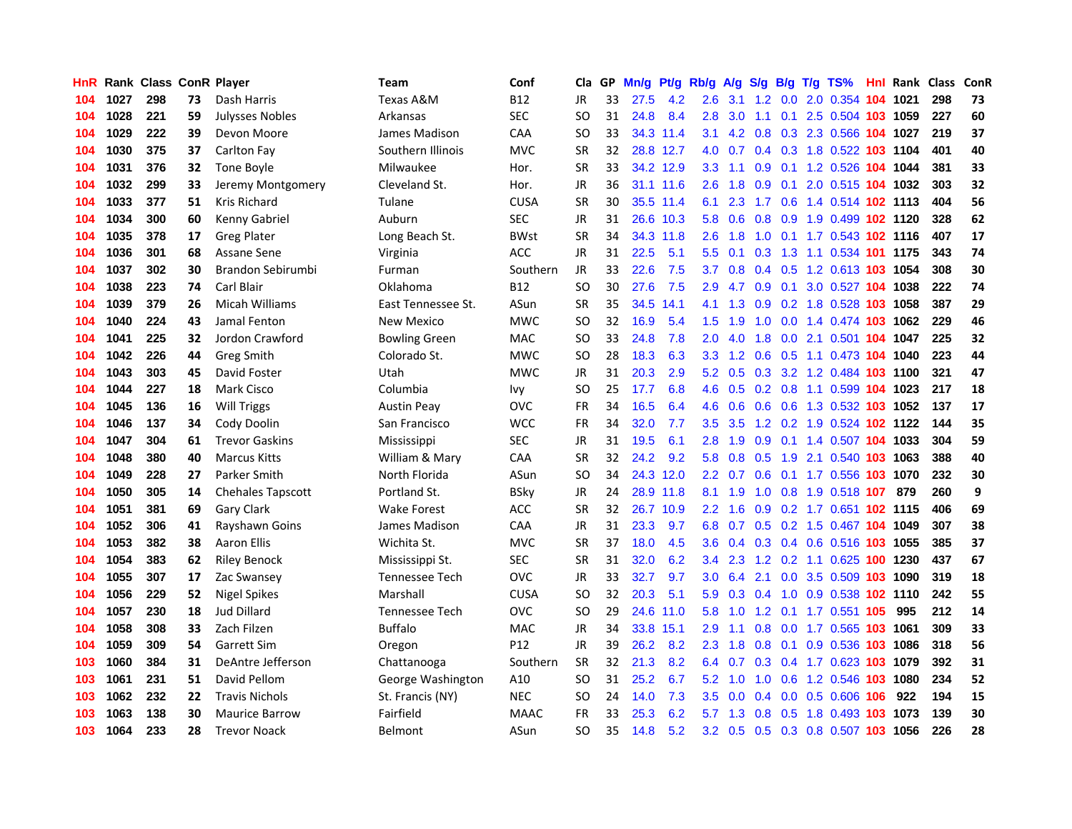| HnR. |      | <b>Rank Class ConR Player</b> |    |                          | Team                 | Conf            | Cla           |    | GP Mn/g | Pt/g      | Rb/g             | A/g             |                 |     | S/g B/g T/g TS%                    | Hnl |      | Rank Class | ConR |
|------|------|-------------------------------|----|--------------------------|----------------------|-----------------|---------------|----|---------|-----------|------------------|-----------------|-----------------|-----|------------------------------------|-----|------|------------|------|
| 104  | 1027 | 298                           | 73 | Dash Harris              | Texas A&M            | <b>B12</b>      | JR            | 33 | 27.5    | 4.2       | 2.6              | 3.1             | $1.2^{\circ}$   | 0.0 | 2.0 0.354                          | 104 | 1021 | 298        | 73   |
| 104  | 1028 | 221                           | 59 | <b>Julysses Nobles</b>   | Arkansas             | <b>SEC</b>      | <b>SO</b>     | 31 | 24.8    | 8.4       | 2.8              | 3.0             | 1.1             | 0.1 | 2.5 0.504 103 1059                 |     |      | 227        | 60   |
| 104  | 1029 | 222                           | 39 | Devon Moore              | James Madison        | <b>CAA</b>      | <b>SO</b>     | 33 |         | 34.3 11.4 | 3.1              |                 | $4.2 \quad 0.8$ |     | 0.3 2.3 0.566 104 1027             |     |      | 219        | 37   |
| 104  | 1030 | 375                           | 37 | Carlton Fay              | Southern Illinois    | <b>MVC</b>      | <b>SR</b>     | 32 |         | 28.8 12.7 | 4.0              |                 |                 |     | 0.7 0.4 0.3 1.8 0.522 103 1104     |     |      | 401        | 40   |
| 104  | 1031 | 376                           | 32 | Tone Boyle               | Milwaukee            | Hor.            | <b>SR</b>     | 33 |         | 34.2 12.9 | 3.3 <sub>2</sub> | 1.1             |                 |     | 0.9 0.1 1.2 0.526 104 1044         |     |      | 381        | 33   |
| 104  | 1032 | 299                           | 33 | Jeremy Montgomery        | Cleveland St.        | Hor.            | JR            | 36 |         | 31.1 11.6 | $2.6^{\circ}$    | 1.8             |                 |     | 0.9 0.1 2.0 0.515 104 1032         |     |      | 303        | 32   |
| 104  | 1033 | 377                           | 51 | Kris Richard             | Tulane               | <b>CUSA</b>     | <b>SR</b>     | 30 |         | 35.5 11.4 | 6.1              | 2.3             |                 |     | 1.7 0.6 1.4 0.514 102 1113         |     |      | 404        | 56   |
| 104  | 1034 | 300                           | 60 | Kenny Gabriel            | Auburn               | <b>SEC</b>      | <b>JR</b>     | 31 |         | 26.6 10.3 | 5.8              | 0.6             | 0.8             |     | 0.9 1.9 0.499 102 1120             |     |      | 328        | 62   |
| 104  | 1035 | 378                           | 17 | <b>Greg Plater</b>       | Long Beach St.       | <b>BWst</b>     | <b>SR</b>     | 34 |         | 34.3 11.8 | 2.6              | 1.8             | 1.0             | 0.1 | 1.7 0.543 102 1116                 |     |      | 407        | 17   |
| 104  | 1036 | 301                           | 68 | Assane Sene              | Virginia             | <b>ACC</b>      | <b>JR</b>     | 31 | 22.5    | 5.1       | 5.5              | 0.1             | 0.3             |     | 1.3 1.1 0.534 101 1175             |     |      | 343        | 74   |
| 104  | 1037 | 302                           | 30 | Brandon Sebirumbi        | Furman               | Southern        | JR            | 33 | 22.6    | 7.5       | 3.7              | 0.8             |                 |     | 0.4 0.5 1.2 0.613 103 1054         |     |      | 308        | 30   |
| 104  | 1038 | 223                           | 74 | Carl Blair               | Oklahoma             | <b>B12</b>      | <b>SO</b>     | 30 | 27.6    | 7.5       | 2.9              | 4.7             | 0.9             | 0.1 | 3.0 0.527 104 1038                 |     |      | 222        | 74   |
| 104  | 1039 | 379                           | 26 | Micah Williams           | East Tennessee St.   | ASun            | <b>SR</b>     | 35 | 34.5    | 14.1      | 4.1              | 1.3             | 0.9             |     | $0.2$ 1.8 0.528                    | 103 | 1058 | 387        | 29   |
| 104  | 1040 | 224                           | 43 | Jamal Fenton             | New Mexico           | <b>MWC</b>      | SO            | 32 | 16.9    | 5.4       | $1.5^{\circ}$    | 1.9             | 1.0             | 0.0 | 1.4 0.474 103                      |     | 1062 | 229        | 46   |
| 104  | 1041 | 225                           | 32 | Jordon Crawford          | <b>Bowling Green</b> | <b>MAC</b>      | <sub>SO</sub> | 33 | 24.8    | 7.8       | 2.0              | 4.0             | 1.8             | 0.0 | 2.1 0.501 104 1047                 |     |      | 225        | 32   |
| 104  | 1042 | 226                           | 44 | <b>Greg Smith</b>        | Colorado St.         | <b>MWC</b>      | <b>SO</b>     | 28 | 18.3    | 6.3       | 3.3 <sub>2</sub> |                 | $1.2 \quad 0.6$ | 0.5 | 1.1 0.473 104 1040                 |     |      | 223        | 44   |
| 104  | 1043 | 303                           | 45 | David Foster             | Utah                 | <b>MWC</b>      | JR            | 31 | 20.3    | 2.9       |                  |                 |                 |     | 5.2 0.5 0.3 3.2 1.2 0.484 103 1100 |     |      | 321        | 47   |
| 104  | 1044 | 227                           | 18 | <b>Mark Cisco</b>        | Columbia             | Ivy             | SO            | 25 | 17.7    | 6.8       | 4.6              |                 |                 |     | 0.5 0.2 0.8 1.1 0.599 104 1023     |     |      | 217        | 18   |
| 104  | 1045 | 136                           | 16 | <b>Will Triggs</b>       | Austin Peay          | <b>OVC</b>      | FR            | 34 | 16.5    | 6.4       | 4.6              | 0.6             |                 |     | 0.6 0.6 1.3 0.532 103 1052         |     |      | 137        | 17   |
| 104  | 1046 | 137                           | 34 | Cody Doolin              | San Francisco        | <b>WCC</b>      | FR            | 34 | 32.0    | 7.7       | $3.5^{\circ}$    | 3.5             |                 |     | 1.2 0.2 1.9 0.524 102 1122         |     |      | 144        | 35   |
| 104  | 1047 | 304                           | 61 | <b>Trevor Gaskins</b>    | Mississippi          | <b>SEC</b>      | <b>JR</b>     | 31 | 19.5    | 6.1       | 2.8              | 1.9             | 0.9             |     | 0.1 1.4 0.507 104 1033             |     |      | 304        | 59   |
| 104  | 1048 | 380                           | 40 | <b>Marcus Kitts</b>      | William & Mary       | CAA             | <b>SR</b>     | 32 | 24.2    | 9.2       | 5.8              | 0.8             | 0.5             |     | 1.9 2.1 0.540 103 1063             |     |      | 388        | 40   |
| 104  | 1049 | 228                           | 27 | Parker Smith             | North Florida        | ASun            | <sub>SO</sub> | 34 |         | 24.3 12.0 |                  | $2.2 \quad 0.7$ | 0.6             |     | 0.1 1.7 0.556 103 1070             |     |      | 232        | 30   |
| 104  | 1050 | 305                           | 14 | <b>Chehales Tapscott</b> | Portland St.         | <b>BSky</b>     | JR            | 24 |         | 28.9 11.8 | 8.1              | 1.9             | 1.0             |     | 0.8 1.9 0.518 107                  |     | 879  | 260        | 9    |
| 104  | 1051 | 381                           | 69 | Gary Clark               | Wake Forest          | ACC             | <b>SR</b>     | 32 |         | 26.7 10.9 | $2.2^{\circ}$    | 1.6             | 0.9             |     | 0.2 1.7 0.651 102 1115             |     |      | 406        | 69   |
| 104  | 1052 | 306                           | 41 | Rayshawn Goins           | James Madison        | CAA             | <b>JR</b>     | 31 | 23.3    | 9.7       | 6.8              | 0.7             | 0.5             |     | 0.2 1.5 0.467 104 1049             |     |      | 307        | 38   |
| 104  | 1053 | 382                           | 38 | Aaron Ellis              | Wichita St.          | <b>MVC</b>      | SR            | 37 | 18.0    | 4.5       | 3.6              | 0.4             | 0.3             |     | 0.4 0.6 0.516 103 1055             |     |      | 385        | 37   |
| 104  | 1054 | 383                           | 62 | <b>Riley Benock</b>      | Mississippi St.      | <b>SEC</b>      | <b>SR</b>     | 31 | 32.0    | 6.2       | $3.4^{\circ}$    | 2.3             | 1.2             |     | 0.2 1.1 0.625 100                  |     | 1230 | 437        | 67   |
| 104  | 1055 | 307                           | 17 | Zac Swansey              | Tennessee Tech       | <b>OVC</b>      | JR            | 33 | 32.7    | 9.7       | 3.0              | 6.4             | 2.1             |     | 0.0 3.5 0.509 103 1090             |     |      | 319        | 18   |
| 104  | 1056 | 229                           | 52 | Nigel Spikes             | Marshall             | <b>CUSA</b>     | <b>SO</b>     | 32 | 20.3    | 5.1       | 5.9              |                 |                 |     | 0.3 0.4 1.0 0.9 0.538 102 1110     |     |      | 242        | 55   |
| 104  | 1057 | 230                           | 18 | <b>Jud Dillard</b>       | Tennessee Tech       | <b>OVC</b>      | SO            | 29 |         | 24.6 11.0 | 5.8              | 1.0             |                 |     | 1.2 0.1 1.7 0.551 105              |     | 995  | 212        | 14   |
| 104  | 1058 | 308                           | 33 | Zach Filzen              | <b>Buffalo</b>       | <b>MAC</b>      | <b>JR</b>     | 34 |         | 33.8 15.1 | 2.9              | 1.1             |                 |     | 0.8 0.0 1.7 0.565 103 1061         |     |      | 309        | 33   |
| 104  | 1059 | 309                           | 54 | <b>Garrett Sim</b>       | Oregon               | P <sub>12</sub> | <b>JR</b>     | 39 | 26.2    | 8.2       | $2.3^{\circ}$    | 1.8             |                 |     | 0.8 0.1 0.9 0.536 103              |     | 1086 | 318        | 56   |
| 103  | 1060 | 384                           | 31 | DeAntre Jefferson        | Chattanooga          | Southern        | <b>SR</b>     | 32 | 21.3    | 8.2       | 6.4              | 0.7             |                 |     | 0.3 0.4 1.7 0.623 103 1079         |     |      | 392        | 31   |
| 103  | 1061 | 231                           | 51 | David Pellom             | George Washington    | A10             | <b>SO</b>     | 31 | 25.2    | 6.7       | 5.2              | 1.0             | 1.0             |     | 0.6 1.2 0.546 103                  |     | 1080 | 234        | 52   |
| 103  | 1062 | 232                           | 22 | <b>Travis Nichols</b>    | St. Francis (NY)     | <b>NEC</b>      | <b>SO</b>     | 24 | 14.0    | 7.3       | 3.5              | 0.0             | 0.4             | 0.0 | 0.5 0.606                          | 106 | 922  | 194        | 15   |
| 103  | 1063 | 138                           | 30 | <b>Maurice Barrow</b>    | Fairfield            | MAAC            | FR            | 33 | 25.3    | 6.2       | 5.7              | 1.3             | 0.8             | 0.5 | 1.8 0.493                          | 103 | 1073 | 139        | 30   |
| 103  | 1064 | 233                           | 28 | <b>Trevor Noack</b>      | Belmont              | ASun            | <b>SO</b>     | 35 | 14.8    | 5.2       |                  |                 |                 |     | 3.2 0.5 0.5 0.3 0.8 0.507 103 1056 |     |      | 226        | 28   |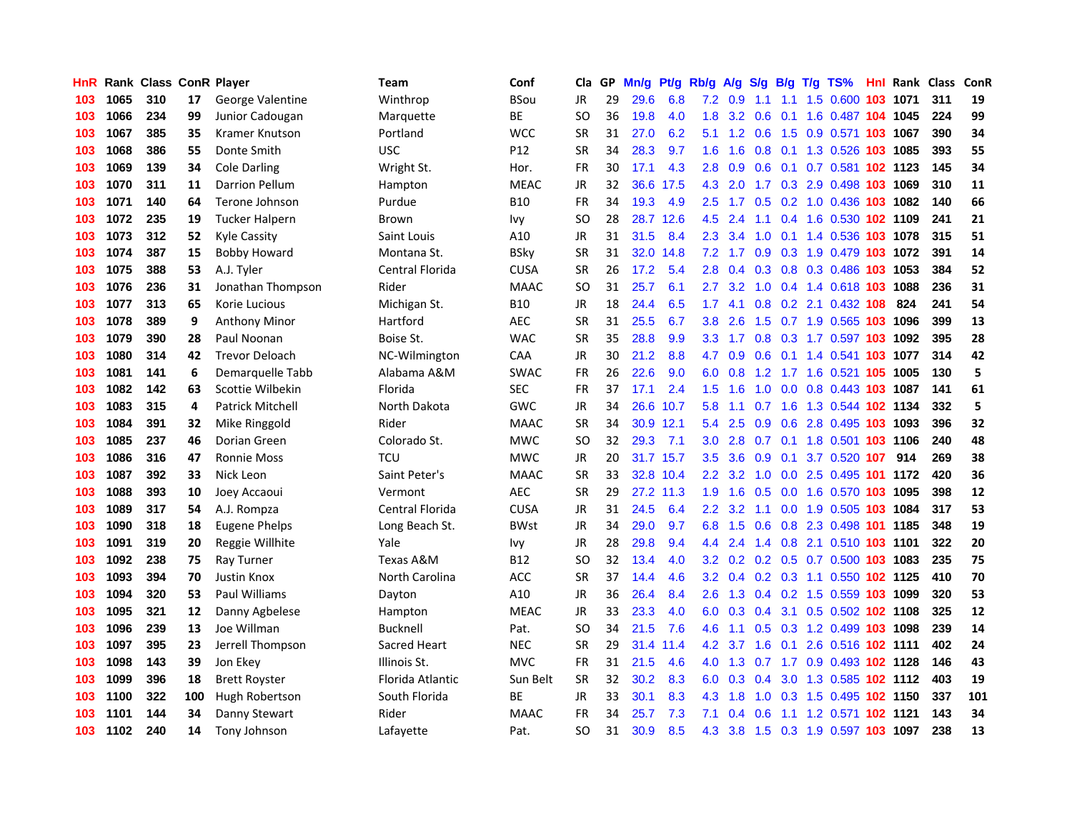| HnR. |      | <b>Rank Class ConR Player</b> |     |                       | Team             | Conf            | Cla           |    | GP Mn/g | Pt/g      | Rb/g             | A/g             | <b>S/g</b>      |     | B/g T/g TS%                        | Hnl | Rank Class |     | ConR |
|------|------|-------------------------------|-----|-----------------------|------------------|-----------------|---------------|----|---------|-----------|------------------|-----------------|-----------------|-----|------------------------------------|-----|------------|-----|------|
| 103  | 1065 | 310                           | 17  | George Valentine      | Winthrop         | <b>BSou</b>     | JR            | 29 | 29.6    | 6.8       | 7.2              | 0.9             | 1.1             | 1.1 | 1.5 0.600                          | 103 | 1071       | 311 | 19   |
| 103  | 1066 | 234                           | 99  | Junior Cadougan       | Marquette        | BE              | SO            | 36 | 19.8    | 4.0       | 1.8              | 3.2             | 0.6             | 0.1 | 1.6 0.487 104 1045                 |     |            | 224 | 99   |
| 103  | 1067 | 385                           | 35  | Kramer Knutson        | Portland         | <b>WCC</b>      | <b>SR</b>     | 31 | 27.0    | 6.2       | 5.1              |                 | $1.2 \quad 0.6$ | 1.5 | 0.9 0.571 103 1067                 |     |            | 390 | 34   |
| 103  | 1068 | 386                           | 55  | Donte Smith           | USC              | P <sub>12</sub> | <b>SR</b>     | 34 | 28.3    | 9.7       | 1.6 <sup>°</sup> | 1.6             |                 |     | 0.8 0.1 1.3 0.526 103 1085         |     |            | 393 | 55   |
| 103  | 1069 | 139                           | 34  | <b>Cole Darling</b>   | Wright St.       | Hor.            | <b>FR</b>     | 30 | 17.1    | 4.3       | 2.8              | 0.9             |                 |     | 0.6 0.1 0.7 0.581 102 1123         |     |            | 145 | 34   |
| 103  | 1070 | 311                           | 11  | Darrion Pellum        | Hampton          | <b>MEAC</b>     | <b>JR</b>     | 32 |         | 36.6 17.5 | 4.3              | 2.0             |                 |     | 1.7 0.3 2.9 0.498 103 1069         |     |            | 310 | 11   |
| 103  | 1071 | 140                           | 64  | Terone Johnson        | Purdue           | <b>B10</b>      | FR            | 34 | 19.3    | 4.9       | $2.5\,$          | 1.7             |                 |     | $0.5$ 0.2 1.0 0.436 103 1082       |     |            | 140 | 66   |
| 103  | 1072 | 235                           | 19  | <b>Tucker Halpern</b> | <b>Brown</b>     | Ivy             | <b>SO</b>     | 28 |         | 28.7 12.6 | 4.5              | 2.4             | 1.1             |     | 0.4 1.6 0.530 102 1109             |     |            | 241 | 21   |
| 103  | 1073 | 312                           | 52  | Kyle Cassity          | Saint Louis      | A10             | JR            | 31 | 31.5    | 8.4       | 2.3              | 3.4             | 1.0             | 0.1 | 1.4 0.536 103 1078                 |     |            | 315 | 51   |
| 103  | 1074 | 387                           | 15  | <b>Bobby Howard</b>   | Montana St.      | <b>BSky</b>     | <b>SR</b>     | 31 | 32.0    | 14.8      | 7.2              | 1.7             | 0.9             |     | 0.3 1.9 0.479 103 1072             |     |            | 391 | 14   |
| 103  | 1075 | 388                           | 53  | A.J. Tyler            | Central Florida  | <b>CUSA</b>     | <b>SR</b>     | 26 | 17.2    | 5.4       | 2.8              | 0.4             | 0.3             |     | 0.8 0.3 0.486 103 1053             |     |            | 384 | 52   |
| 103  | 1076 | 236                           | 31  | Jonathan Thompson     | Rider            | <b>MAAC</b>     | <sub>SO</sub> | 31 | 25.7    | 6.1       | 2.7              | 3.2             | 1.0             |     | 0.4 1.4 0.618 103                  |     | 1088       | 236 | 31   |
| 103  | 1077 | 313                           | 65  | Korie Lucious         | Michigan St.     | <b>B10</b>      | <b>JR</b>     | 18 | 24.4    | 6.5       | 1.7 <sup>2</sup> | 4.1             | 0.8             | 0.2 | 2.1 0.432 108                      |     | 824        | 241 | 54   |
| 103  | 1078 | 389                           | 9   | <b>Anthony Minor</b>  | Hartford         | <b>AEC</b>      | <b>SR</b>     | 31 | 25.5    | 6.7       | 3.8              | 2.6             | 1.5             |     | $0.7$ 1.9 $0.565$                  | 103 | 1096       | 399 | 13   |
| 103  | 1079 | 390                           | 28  | Paul Noonan           | Boise St.        | <b>WAC</b>      | <b>SR</b>     | 35 | 28.8    | 9.9       | 3.3 <sub>1</sub> | 1.7             | 0.8             | 0.3 | 1.7 0.597 103                      |     | 1092       | 395 | 28   |
| 103  | 1080 | 314                           | 42  | <b>Trevor Deloach</b> | NC-Wilmington    | <b>CAA</b>      | JR            | 30 | 21.2    | 8.8       | 4.7              | 0.9             | 0.6             |     | 0.1 1.4 0.541 <b>103 1077</b>      |     |            | 314 | 42   |
| 103  | 1081 | 141                           | 6   | Demarquelle Tabb      | Alabama A&M      | <b>SWAC</b>     | FR            | 26 | 22.6    | 9.0       |                  | $6.0 \quad 0.8$ |                 |     | 1.2 1.7 1.6 0.521 105 1005         |     |            | 130 | 5    |
| 103  | 1082 | 142                           | 63  | Scottie Wilbekin      | Florida          | <b>SEC</b>      | <b>FR</b>     | 37 | 17.1    | 2.4       | 1.5              | 1.6             |                 |     | 1.0 0.0 0.8 0.443 103 1087         |     |            | 141 | 61   |
| 103  | 1083 | 315                           | 4   | Patrick Mitchell      | North Dakota     | <b>GWC</b>      | <b>JR</b>     | 34 | 26.6    | 10.7      | 5.8              | 1.1             |                 |     | 0.7 1.6 1.3 0.544 102 1134         |     |            | 332 | 5    |
| 103  | 1084 | 391                           | 32  | Mike Ringgold         | Rider            | <b>MAAC</b>     | <b>SR</b>     | 34 |         | 30.9 12.1 | $5.4^{\circ}$    | 2.5             | 0.9             |     | 0.6 2.8 0.495 103 1093             |     |            | 396 | 32   |
| 103  | 1085 | 237                           | 46  | Dorian Green          | Colorado St.     | <b>MWC</b>      | SO            | 32 | 29.3    | 7.1       | 3.0 <sub>1</sub> | 2.8             |                 |     | 0.7 0.1 1.8 0.501 103 1106         |     |            | 240 | 48   |
| 103  | 1086 | 316                           | 47  | <b>Ronnie Moss</b>    | <b>TCU</b>       | <b>MWC</b>      | JR            | 20 |         | 31.7 15.7 | $3.5\,$          | 3.6             | 0.9             | 0.1 | 3.7 0.520 107                      |     | 914        | 269 | 38   |
| 103  | 1087 | 392                           | 33  | Nick Leon             | Saint Peter's    | <b>MAAC</b>     | <b>SR</b>     | 33 |         | 32.8 10.4 | $2.2^{\circ}$    | 3.2             | 1.0             |     | 0.0 2.5 0.495 101 1172             |     |            | 420 | 36   |
| 103  | 1088 | 393                           | 10  | Joey Accaoui          | Vermont          | <b>AEC</b>      | <b>SR</b>     | 29 |         | 27.2 11.3 | 1.9              | 1.6             | 0.5             |     | 0.0 1.6 0.570 103 1095             |     |            | 398 | 12   |
| 103  | 1089 | 317                           | 54  | A.J. Rompza           | Central Florida  | <b>CUSA</b>     | JR            | 31 | 24.5    | 6.4       | 2.2              | 3.2             | 1.1             | 0.0 | 1.9 0.505 103 1084                 |     |            | 317 | 53   |
| 103  | 1090 | 318                           | 18  | Eugene Phelps         | Long Beach St.   | <b>BWst</b>     | JR            | 34 | 29.0    | 9.7       | 6.8              | 1.5             | 0.6             | 0.8 | 2.3 0.498 101                      |     | 1185       | 348 | 19   |
| 103  | 1091 | 319                           | 20  | Reggie Willhite       | Yale             | Ivy             | JR            | 28 | 29.8    | 9.4       | $4.4^{\circ}$    | 2.4             | 1.4             | 0.8 | 2.1 0.510 103 1101                 |     |            | 322 | 20   |
| 103  | 1092 | 238                           | 75  | Ray Turner            | Texas A&M        | <b>B12</b>      | <b>SO</b>     | 32 | 13.4    | 4.0       | 3.2              | 0.2             |                 |     | 0.2 0.5 0.7 0.500 103 1083         |     |            | 235 | 75   |
| 103  | 1093 | 394                           | 70  | <b>Justin Knox</b>    | North Carolina   | ACC             | <b>SR</b>     | 37 | 14.4    | 4.6       |                  |                 |                 |     | 3.2 0.4 0.2 0.3 1.1 0.550 102 1125 |     |            | 410 | 70   |
| 103  | 1094 | 320                           | 53  | <b>Paul Williams</b>  | Dayton           | A10             | <b>JR</b>     | 36 | 26.4    | 8.4       | 2.6 <sup>°</sup> |                 |                 |     | 1.3 0.4 0.2 1.5 0.559 103 1099     |     |            | 320 | 53   |
| 103  | 1095 | 321                           | 12  | Danny Agbelese        | Hampton          | <b>MEAC</b>     | <b>JR</b>     | 33 | 23.3    | 4.0       | 6.0              |                 |                 |     | 0.3 0.4 3.1 0.5 0.502 102 1108     |     |            | 325 | 12   |
| 103  | 1096 | 239                           | 13  | Joe Willman           | <b>Bucknell</b>  | Pat.            | SO            | 34 | 21.5    | 7.6       | 4.6              | 1.1             |                 |     | 0.5 0.3 1.2 0.499 103 1098         |     |            | 239 | 14   |
| 103  | 1097 | 395                           | 23  | Jerrell Thompson      | Sacred Heart     | <b>NEC</b>      | SR            | 29 | 31.4    | 11.4      | 4.2              | 3.7             | 1.6             |     | 0.1 2.6 0.516 102 1111             |     |            | 402 | 24   |
| 103  | 1098 | 143                           | 39  | Jon Ekey              | Illinois St.     | <b>MVC</b>      | <b>FR</b>     | 31 | 21.5    | 4.6       | 4.0              | 1.3             | 0.7             |     | 1.7 0.9 0.493 102 1128             |     |            | 146 | 43   |
| 103  | 1099 | 396                           | 18  | <b>Brett Royster</b>  | Florida Atlantic | Sun Belt        | <b>SR</b>     | 32 | 30.2    | 8.3       | 6.0              | 0.3             | 0.4             | 3.0 | 1.3 0.585 102 1112                 |     |            | 403 | 19   |
| 103  | 1100 | 322                           | 100 | Hugh Robertson        | South Florida    | ВE              | JR            | 33 | 30.1    | 8.3       | 4.3              | 1.8             | 1.0             |     | 0.3 1.5 0.495 102 1150             |     |            | 337 | 101  |
| 103  | 1101 | 144                           | 34  | Danny Stewart         | Rider            | <b>MAAC</b>     | <b>FR</b>     | 34 | 25.7    | 7.3       | 7.1              | 0.4             | 0.6             | 1.1 | 1.2 0.571                          |     | 102 1121   | 143 | 34   |
| 103  | 1102 | 240                           | 14  | Tony Johnson          | Lafayette        | Pat.            | SO.           | 31 | 30.9    | 8.5       | 4.3              | 3.8             |                 |     | 1.5 0.3 1.9 0.597 103 1097         |     |            | 238 | 13   |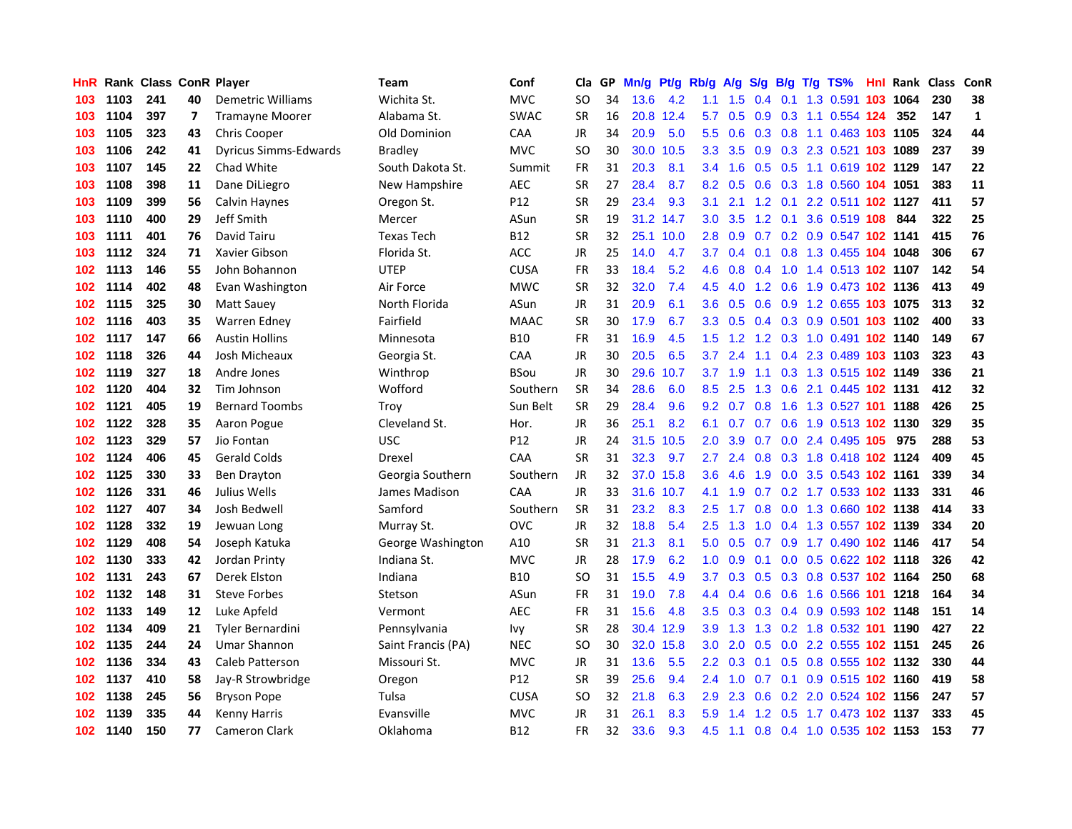| HnR |      | <b>Rank Class ConR Player</b> |    |                              | Team               | Conf        | Cla       |    | GP Mn/g | Pt/g      | Rb/g             | <b>A/g</b> | <b>S/g</b> |                 | B/g T/g TS%                        | Hnl |      | Rank Class | ConR         |
|-----|------|-------------------------------|----|------------------------------|--------------------|-------------|-----------|----|---------|-----------|------------------|------------|------------|-----------------|------------------------------------|-----|------|------------|--------------|
| 103 | 1103 | 241                           | 40 | Demetric Williams            | Wichita St.        | <b>MVC</b>  | SO        | 34 | 13.6    | 4.2       | 1.1              | 1.5        | 0.4        | 0.1             | 1.3 0.591                          | 103 | 1064 | 230        | 38           |
| 103 | 1104 | 397                           | 7  | <b>Tramayne Moorer</b>       | Alabama St.        | <b>SWAC</b> | <b>SR</b> | 16 | 20.8    | 12.4      | 5.7              | 0.5        | 0.9        | 0.3             | 1.1 0.554 124                      |     | 352  | 147        | $\mathbf{1}$ |
| 103 | 1105 | 323                           | 43 | Chris Cooper                 | Old Dominion       | CAA         | <b>JR</b> | 34 | 20.9    | 5.0       | 5.5 <sub>1</sub> | 0.6        |            | $0.3 \quad 0.8$ | 1.1 0.463 103 1105                 |     |      | 324        | 44           |
| 103 | 1106 | 242                           | 41 | <b>Dyricus Simms-Edwards</b> | <b>Bradley</b>     | <b>MVC</b>  | SO        | 30 | 30.0    | 10.5      | 3.3              | 3.5        |            |                 | 0.9 0.3 2.3 0.521 103 1089         |     |      | 237        | 39           |
| 103 | 1107 | 145                           | 22 | Chad White                   | South Dakota St.   | Summit      | FR        | 31 | 20.3    | 8.1       | $3.4^{\circ}$    |            |            |                 | 1.6 0.5 0.5 1.1 0.619 102 1129     |     |      | 147        | 22           |
| 103 | 1108 | 398                           | 11 | Dane DiLiegro                | New Hampshire      | <b>AEC</b>  | SR        | 27 | 28.4    | 8.7       | 8.2              |            |            |                 | 0.5 0.6 0.3 1.8 0.560 104 1051     |     |      | 383        | 11           |
| 103 | 1109 | 399                           | 56 | Calvin Haynes                | Oregon St.         | P12         | <b>SR</b> | 29 | 23.4    | 9.3       | 3.1              | 2.1        |            |                 | 1.2 0.1 2.2 0.511 102 1127         |     |      | 411        | 57           |
| 103 | 1110 | 400                           | 29 | Jeff Smith                   | Mercer             | ASun        | SR        | 19 |         | 31.2 14.7 | 3.0 <sub>1</sub> | 3.5        |            |                 | 1.2 0.1 3.6 0.519 108              |     | 844  | 322        | 25           |
| 103 | 1111 | 401                           | 76 | David Tairu                  | <b>Texas Tech</b>  | B12         | <b>SR</b> | 32 |         | 25.1 10.0 | 2.8              | 0.9        |            |                 | 0.7 0.2 0.9 0.547 102 1141         |     |      | 415        | 76           |
| 103 | 1112 | 324                           | 71 | Xavier Gibson                | Florida St.        | <b>ACC</b>  | JR        | 25 | 14.0    | 4.7       | 3.7              | 0.4        | 0.1        |                 | 0.8 1.3 0.455 104 1048             |     |      | 306        | 67           |
| 102 | 1113 | 146                           | 55 | John Bohannon                | <b>UTEP</b>        | <b>CUSA</b> | FR        | 33 | 18.4    | 5.2       | 4.6              | 0.8        | 0.4        |                 | 1.0 1.4 0.513 102 1107             |     |      | 142        | 54           |
| 102 | 1114 | 402                           | 48 | Evan Washington              | Air Force          | <b>MWC</b>  | <b>SR</b> | 32 | 32.0    | 7.4       | 4.5              | 4.0        |            |                 | 1.2 0.6 1.9 0.473 102 1136         |     |      | 413        | 49           |
| 102 | 1115 | 325                           | 30 | Matt Sauey                   | North Florida      | ASun        | JR        | 31 | 20.9    | 6.1       | 3.6 <sup>2</sup> | 0.5        | 0.6        |                 | 0.9 1.2 0.655 103 1075             |     |      | 313        | 32           |
| 102 | 1116 | 403                           | 35 | Warren Edney                 | Fairfield          | <b>MAAC</b> | SR        | 30 | 17.9    | 6.7       | 3.3 <sub>1</sub> | 0.5        |            |                 | 0.4 0.3 0.9 0.501 103 1102         |     |      | 400        | 33           |
| 102 | 1117 | 147                           | 66 | <b>Austin Hollins</b>        | Minnesota          | <b>B10</b>  | FR        | 31 | 16.9    | 4.5       | 1.5 <sub>1</sub> | 1.2        | 1.2        |                 | 0.3 1.0 0.491 102 1140             |     |      | 149        | 67           |
| 102 | 1118 | 326                           | 44 | Josh Micheaux                | Georgia St.        | CAA         | <b>JR</b> | 30 | 20.5    | 6.5       | 3.7              | 2.4        | 1.1        |                 | 0.4 2.3 0.489 103 1103             |     |      | 323        | 43           |
| 102 | 1119 | 327                           | 18 | Andre Jones                  | Winthrop           | BSou        | JR        | 30 | 29.6    | 10.7      | 3.7              | 1.9        | 1.1        |                 | 0.3 1.3 0.515 102 1149             |     |      | 336        | 21           |
| 102 | 1120 | 404                           | 32 | Tim Johnson                  | Wofford            | Southern    | <b>SR</b> | 34 | 28.6    | 6.0       | 8.5              | 2.5        | 1.3        |                 | 0.6 2.1 0.445 102 1131             |     |      | 412        | 32           |
| 102 | 1121 | 405                           | 19 | <b>Bernard Toombs</b>        | Troy               | Sun Belt    | <b>SR</b> | 29 | 28.4    | 9.6       |                  |            |            |                 | 9.2 0.7 0.8 1.6 1.3 0.527 101 1188 |     |      | 426        | 25           |
| 102 | 1122 | 328                           | 35 | Aaron Pogue                  | Cleveland St.      | Hor.        | JR        | 36 | 25.1    | 8.2       | 6.1              |            |            |                 | 0.7 0.7 0.6 1.9 0.513 102 1130     |     |      | 329        | 35           |
| 102 | 1123 | 329                           | 57 | Jio Fontan                   | <b>USC</b>         | P12         | JR        | 24 | 31.5    | 10.5      | 2.0 <sub>1</sub> | 3.9        |            |                 | 0.7 0.0 2.4 0.495 105              |     | 975  | 288        | 53           |
| 102 | 1124 | 406                           | 45 | <b>Gerald Colds</b>          | Drexel             | CAA         | SR        | 31 | 32.3    | 9.7       | $2.7^{\circ}$    | 2.4        | 0.8        |                 | 0.3 1.8 0.418 102 1124             |     |      | 409        | 45           |
| 102 | 1125 | 330                           | 33 | <b>Ben Drayton</b>           | Georgia Southern   | Southern    | <b>JR</b> | 32 | 37.0    | 15.8      | 3.6              | 4.6        | 1.9        |                 | 0.0 3.5 0.543 102 1161             |     |      | 339        | 34           |
| 102 | 1126 | 331                           | 46 | Julius Wells                 | James Madison      | CAA         | <b>JR</b> | 33 | 31.6    | 10.7      | 4.1              | 1.9        | 0.7        |                 | 0.2 1.7 0.533 102 1133             |     |      | 331        | 46           |
| 102 | 1127 | 407                           | 34 | Josh Bedwell                 | Samford            | Southern    | <b>SR</b> | 31 | 23.2    | 8.3       | $2.5^{\circ}$    | 1.7        | 0.8        |                 | 0.0 1.3 0.660 102 1138             |     |      | 414        | 33           |
| 102 | 1128 | 332                           | 19 | Jewuan Long                  | Murray St.         | <b>OVC</b>  | JR        | 32 | 18.8    | 5.4       | $2.5^{\circ}$    | 1.3        | 1.0        |                 | 0.4 1.3 0.557 102 1139             |     |      | 334        | 20           |
| 102 | 1129 | 408                           | 54 | Joseph Katuka                | George Washington  | A10         | <b>SR</b> | 31 | 21.3    | 8.1       | 5.0              | 0.5        | 0.7        | 0.9             | 1.7 0.490 102 1146                 |     |      | 417        | 54           |
| 102 | 1130 | 333                           | 42 | Jordan Printy                | Indiana St.        | <b>MVC</b>  | JR        | 28 | 17.9    | 6.2       | 1.0 <sub>1</sub> | 0.9        | 0.1        |                 | 0.0 0.5 0.622 102 1118             |     |      | 326        | 42           |
| 102 | 1131 | 243                           | 67 | Derek Elston                 | Indiana            | B10         | SO        | 31 | 15.5    | 4.9       | 3.7              | 0.3        | 0.5        | 0.3             | 0.8 0.537 102 1164                 |     |      | 250        | 68           |
| 102 | 1132 | 148                           | 31 | <b>Steve Forbes</b>          | Stetson            | ASun        | <b>FR</b> | 31 | 19.0    | 7.8       | 4.4              | 0.4        | 0.6        | 0.6             | 1.6 0.566 101 1218                 |     |      | 164        | 34           |
| 102 | 1133 | 149                           | 12 | Luke Apfeld                  | Vermont            | <b>AEC</b>  | <b>FR</b> | 31 | 15.6    | 4.8       | 3.5              | 0.3        |            |                 | 0.3 0.4 0.9 0.593 102 1148         |     |      | 151        | 14           |
| 102 | 1134 | 409                           | 21 | <b>Tyler Bernardini</b>      | Pennsylvania       | lvy         | <b>SR</b> | 28 |         | 30.4 12.9 | 3.9 <sup>°</sup> | 1.3        |            |                 | 1.3 0.2 1.8 0.532 101 1190         |     |      | 427        | 22           |
| 102 | 1135 | 244                           | 24 | <b>Umar Shannon</b>          | Saint Francis (PA) | <b>NEC</b>  | SO        | 30 | 32.0    | 15.8      | 3.0 <sub>1</sub> |            |            |                 | 2.0 0.5 0.0 2.2 0.555 102 1151     |     |      | 245        | 26           |
| 102 | 1136 | 334                           | 43 | Caleb Patterson              | Missouri St.       | <b>MVC</b>  | JR        | 31 | 13.6    | 5.5       |                  |            |            |                 | 2.2 0.3 0.1 0.5 0.8 0.555 102 1132 |     |      | 330        | 44           |
| 102 | 1137 | 410                           | 58 | Jay-R Strowbridge            | Oregon             | P12         | <b>SR</b> | 39 | 25.6    | 9.4       | 2.4              | 1.0        | 0.7        |                 | 0.1 0.9 0.515 102 1160             |     |      | 419        | 58           |
| 102 | 1138 | 245                           | 56 | <b>Bryson Pope</b>           | Tulsa              | <b>CUSA</b> | SO        | 32 | 21.8    | 6.3       | 2.9              | 2.3        | 0.6        |                 | 0.2 2.0 0.524 102 1156             |     |      | 247        | 57           |
| 102 | 1139 | 335                           | 44 | <b>Kenny Harris</b>          | Evansville         | <b>MVC</b>  | JR        | 31 | 26.1    | 8.3       | 5.9              | 1.4        |            |                 | 1.2 0.5 1.7 0.473 102 1137         |     |      | 333        | 45           |
| 102 | 1140 | 150                           | 77 | Cameron Clark                | Oklahoma           | B12         | FR        | 32 | 33.6    | 9.3       | 4.5              | 1.1        |            |                 | 0.8 0.4 1.0 0.535 102 1153         |     |      | 153        | 77           |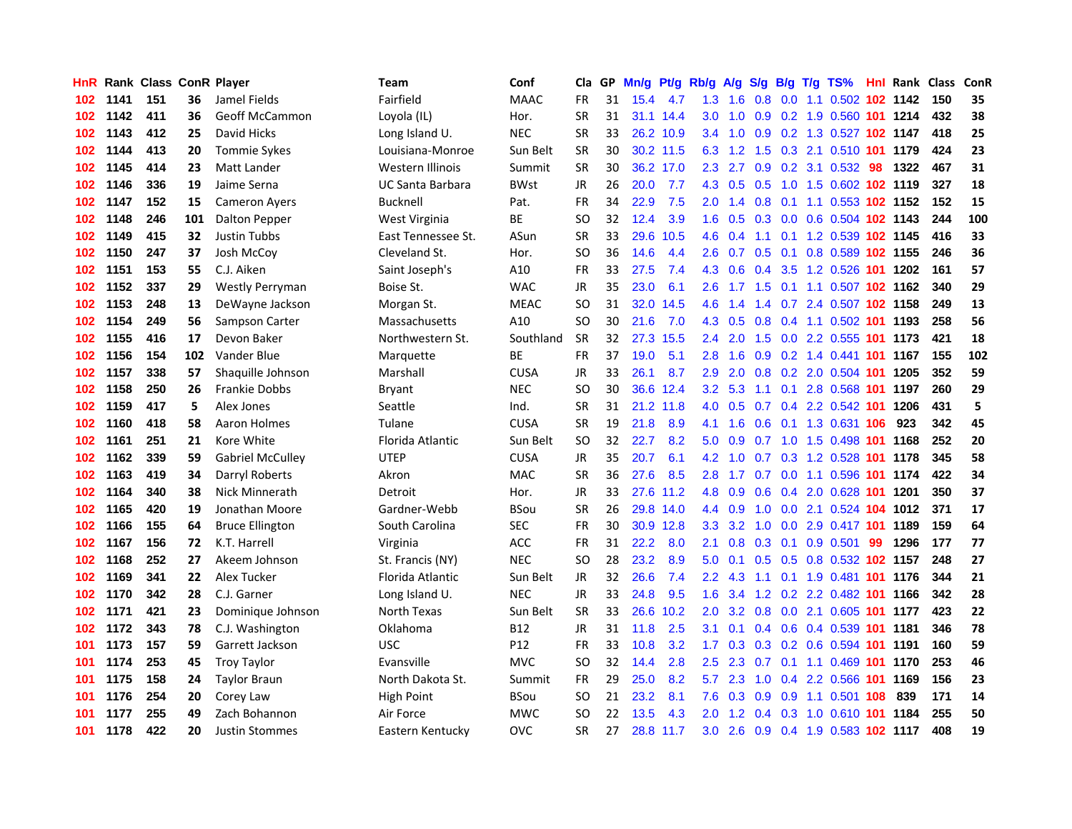| HnR. |      | Rank Class ConR Player |     |                         | Team               | Conf        | Cla           | GP. | Mn/g Pt/g |           | Rb/g A/g         |                 |               |     | S/g B/g T/g TS%                    |    | <b>Hnl Rank Class</b> |     | ConR |
|------|------|------------------------|-----|-------------------------|--------------------|-------------|---------------|-----|-----------|-----------|------------------|-----------------|---------------|-----|------------------------------------|----|-----------------------|-----|------|
| 102  | 1141 | 151                    | 36  | Jamel Fields            | Fairfield          | <b>MAAC</b> | FR            | 31  | 15.4      | 4.7       | 1.3 <sub>1</sub> | 1.6             | 0.8           | 0.0 | 1.1 0.502 102 1142                 |    |                       | 150 | 35   |
| 102  | 1142 | 411                    | 36  | Geoff McCammon          | Loyola (IL)        | Hor.        | <b>SR</b>     | 31  |           | 31.1 14.4 | 3.0              | 1.0             | 0.9           | 0.2 | 1.9 0.560 101 1214                 |    |                       | 432 | 38   |
| 102  | 1143 | 412                    | 25  | David Hicks             | Long Island U.     | <b>NEC</b>  | <b>SR</b>     | 33  |           | 26.2 10.9 | 3.4              | 1.0             | 0.9           |     | 0.2 1.3 0.527 102 1147             |    |                       | 418 | 25   |
| 102  | 1144 | 413                    | 20  | <b>Tommie Sykes</b>     | Louisiana-Monroe   | Sun Belt    | <b>SR</b>     | 30  |           | 30.2 11.5 | 6.3              | 1.2             | 1.5           |     | 0.3 2.1 0.510 101 1179             |    |                       | 424 | 23   |
| 102  | 1145 | 414                    | 23  | Matt Lander             | Western Illinois   | Summit      | <b>SR</b>     | 30  |           | 36.2 17.0 | 2.3              | 2.7             |               |     | 0.9 0.2 3.1 0.532 98               |    | 1322                  | 467 | 31   |
| 102  | 1146 | 336                    | 19  | Jaime Serna             | UC Santa Barbara   | <b>BWst</b> | <b>JR</b>     | 26  | 20.0      | 7.7       |                  |                 |               |     | 4.3 0.5 0.5 1.0 1.5 0.602 102 1119 |    |                       | 327 | 18   |
| 102  | 1147 | 152                    | 15  | <b>Cameron Ayers</b>    | <b>Bucknell</b>    | Pat.        | FR            | 34  | 22.9      | 7.5       | 2.0 <sub>2</sub> | 1.4             |               |     | 0.8 0.1 1.1 0.553 102 1152         |    |                       | 152 | 15   |
| 102  | 1148 | 246                    | 101 | Dalton Pepper           | West Virginia      | <b>BE</b>   | <b>SO</b>     | 32  | 12.4      | 3.9       | 1.6 <sup>1</sup> | 0.5             |               |     | 0.3 0.0 0.6 0.504 102 1143         |    |                       | 244 | 100  |
| 102  | 1149 | 415                    | 32  | Justin Tubbs            | East Tennessee St. | ASun        | <b>SR</b>     | 33  | 29.6      | 10.5      | 4.6              | 0.4             |               |     | 1.1 0.1 1.2 0.539 102 1145         |    |                       | 416 | 33   |
| 102  | 1150 | 247                    | 37  | Josh McCoy              | Cleveland St.      | Hor.        | <sub>SO</sub> | 36  | 14.6      | 4.4       | 2.6              | 0.7             | 0.5           | 0.1 | 0.8 0.589 102 1155                 |    |                       | 246 | 36   |
| 102  | 1151 | 153                    | 55  | C.J. Aiken              | Saint Joseph's     | A10         | <b>FR</b>     | 33  | 27.5      | 7.4       | 4.3              | 0.6             | 0.4           |     | 3.5 1.2 0.526 101 1202             |    |                       | 161 | 57   |
| 102  | 1152 | 337                    | 29  | <b>Westly Perryman</b>  | Boise St.          | <b>WAC</b>  | <b>JR</b>     | 35  | 23.0      | 6.1       | 2.6              | 1.7             |               |     | 1.5 0.1 1.1 0.507 102 1162         |    |                       | 340 | 29   |
| 102  | 1153 | 248                    | 13  | DeWayne Jackson         | Morgan St.         | <b>MEAC</b> | <b>SO</b>     | 31  | 32.0      | 14.5      | 4.6              | 1.4             | $1.4^{\circ}$ | 0.7 | 2.4 0.507 102 1158                 |    |                       | 249 | 13   |
| 102  | 1154 | 249                    | 56  | Sampson Carter          | Massachusetts      | A10         | <b>SO</b>     | 30  | 21.6      | 7.0       | 4.3              | 0.5             | 0.8           |     | 0.4 1.1 0.502 101                  |    | 1193                  | 258 | 56   |
| 102  | 1155 | 416                    | 17  | Devon Baker             | Northwestern St.   | Southland   | <b>SR</b>     | 32  | 27.3      | 15.5      | 2.4              | 2.0             | 1.5           | 0.0 | 2.2 0.555 101                      |    | 1173                  | 421 | 18   |
| 102  | 1156 | 154                    | 102 | Vander Blue             | Marquette          | <b>BE</b>   | <b>FR</b>     | 37  | 19.0      | 5.1       | 2.8              | 1.6             | 0.9           |     | 0.2 1.4 0.441 101                  |    | 1167                  | 155 | 102  |
| 102  | 1157 | 338                    | 57  | Shaquille Johnson       | Marshall           | <b>CUSA</b> | JR            | 33  | 26.1      | 8.7       | 2.9              | 2.0             | 0.8           |     | 0.2 2.0 0.504 101                  |    | 1205                  | 352 | 59   |
| 102  | 1158 | 250                    | 26  | <b>Frankie Dobbs</b>    | <b>Bryant</b>      | <b>NEC</b>  | <b>SO</b>     | 30  |           | 36.6 12.4 |                  | $3.2\quad 5.3$  |               |     | 1.1 0.1 2.8 0.568 101 1197         |    |                       | 260 | 29   |
| 102  | 1159 | 417                    | 5   | Alex Jones              | Seattle            | Ind.        | <b>SR</b>     | 31  |           | 21.2 11.8 |                  |                 |               |     | 4.0 0.5 0.7 0.4 2.2 0.542 101      |    | 1206                  | 431 | 5    |
| 102  | 1160 | 418                    | 58  | Aaron Holmes            | Tulane             | <b>CUSA</b> | <b>SR</b>     | 19  | 21.8      | 8.9       |                  | $4.1 \quad 1.6$ |               |     | 0.6 0.1 1.3 0.631 106              |    | 923                   | 342 | 45   |
| 102  | 1161 | 251                    | 21  | Kore White              | Florida Atlantic   | Sun Belt    | <b>SO</b>     | 32  | 22.7      | 8.2       | 5.0              | 0.9             |               |     | 0.7 1.0 1.5 0.498 101              |    | 1168                  | 252 | 20   |
| 102  | 1162 | 339                    | 59  | <b>Gabriel McCulley</b> | <b>UTEP</b>        | <b>CUSA</b> | <b>JR</b>     | 35  | 20.7      | 6.1       | 4.2              | 1.0             |               |     | 0.7 0.3 1.2 0.528 101              |    | 1178                  | 345 | 58   |
| 102  | 1163 | 419                    | 34  | Darryl Roberts          | Akron              | <b>MAC</b>  | <b>SR</b>     | 36  | 27.6      | 8.5       | 2.8 <sub>1</sub> | 1.7             |               |     | 0.7 0.0 1.1 0.596 101              |    | 1174                  | 422 | 34   |
| 102  | 1164 | 340                    | 38  | Nick Minnerath          | Detroit            | Hor.        | <b>JR</b>     | 33  | 27.6      | 11.2      | 4.8              | 0.9             | 0.6           |     | 0.4 2.0 0.628 101                  |    | 1201                  | 350 | 37   |
| 102  | 1165 | 420                    | 19  | Jonathan Moore          | Gardner-Webb       | <b>BSou</b> | <b>SR</b>     | 26  |           | 29.8 14.0 | 4.4              | 0.9             | 1.0           |     | 0.0 2.1 0.524 104 1012             |    |                       | 371 | 17   |
| 102  | 1166 | 155                    | 64  | <b>Bruce Ellington</b>  | South Carolina     | <b>SEC</b>  | <b>FR</b>     | 30  |           | 30.9 12.8 | 3.3 <sub>2</sub> | 3.2             | 1.0           |     | 0.0 2.9 0.417 101                  |    | 1189                  | 159 | 64   |
| 102  | 1167 | 156                    | 72  | K.T. Harrell            | Virginia           | ACC         | FR            | 31  | 22.2      | 8.0       | 2.1              | 0.8             | 0.3           | 0.1 | 0.9 0.501                          | 99 | 1296                  | 177 | 77   |
| 102  | 1168 | 252                    | 27  | Akeem Johnson           | St. Francis (NY)   | <b>NEC</b>  | <b>SO</b>     | 28  | 23.2      | 8.9       | 5.0              | 0.1             | 0.5           |     | 0.5 0.8 0.532 102 1157             |    |                       | 248 | 27   |
| 102  | 1169 | 341                    | 22  | Alex Tucker             | Florida Atlantic   | Sun Belt    | <b>JR</b>     | 32  | 26.6      | 7.4       | 2.2              | 4.3             | 1.1           | 0.1 | 1.9 0.481 101                      |    | 1176                  | 344 | 21   |
| 102  | 1170 | 342                    | 28  | C.J. Garner             | Long Island U.     | <b>NEC</b>  | <b>JR</b>     | 33  | 24.8      | 9.5       | 1.6              | 3.4             |               |     | 1.2 0.2 2.2 0.482 101              |    | 1166                  | 342 | 28   |
| 102  | 1171 | 421                    | 23  | Dominique Johnson       | North Texas        | Sun Belt    | <b>SR</b>     | 33  | 26.6      | 10.2      | 2.0 <sub>1</sub> | 3.2             | 0.8           |     | 0.0 2.1 0.605 101 1177             |    |                       | 423 | 22   |
| 102  | 1172 | 343                    | 78  | C.J. Washington         | Oklahoma           | <b>B12</b>  | <b>JR</b>     | 31  | 11.8      | 2.5       | 3.1              | 0.1             |               |     | 0.4 0.6 0.4 0.539 101 1181         |    |                       | 346 | 78   |
| 101  | 1173 | 157                    | 59  | Garrett Jackson         | <b>USC</b>         | P12         | FR            | 33  | 10.8      | 3.2       |                  |                 |               |     | 1.7 0.3 0.3 0.2 0.6 0.594 101 1191 |    |                       | 160 | 59   |
| 101  | 1174 | 253                    | 45  | <b>Troy Taylor</b>      | Evansville         | <b>MVC</b>  | <b>SO</b>     | 32  | 14.4      | 2.8       | $2.5^{\circ}$    | 2.3             | 0.7           |     | 0.1 1.1 0.469 101 1170             |    |                       | 253 | 46   |
| 101  | 1175 | 158                    | 24  | <b>Taylor Braun</b>     | North Dakota St.   | Summit      | FR            | 29  | 25.0      | 8.2       | 5.7              | 2.3             | 1.0           |     | 0.4 2.2 0.566 101                  |    | 1169                  | 156 | 23   |
| 101  | 1176 | 254                    | 20  | Corey Law               | High Point         | <b>BSou</b> | SO            | 21  | 23.2      | 8.1       | 7.6              | 0.3             | 0.9           | 0.9 | 1.1 0.501 108                      |    | 839                   | 171 | 14   |
| 101  | 1177 | 255                    | 49  | Zach Bohannon           | Air Force          | <b>MWC</b>  | <b>SO</b>     | 22  | 13.5      | 4.3       | 2.0              | 1.2             | 0.4           | 0.3 | 1.0 0.610 101                      |    | 1184                  | 255 | 50   |
| 101  | 1178 | 422                    | 20  | <b>Justin Stommes</b>   | Eastern Kentucky   | <b>OVC</b>  | SR            | 27  |           | 28.8 11.7 | 3.0 <sub>1</sub> | 2.6             |               |     | 0.9 0.4 1.9 0.583 102 1117         |    |                       | 408 | 19   |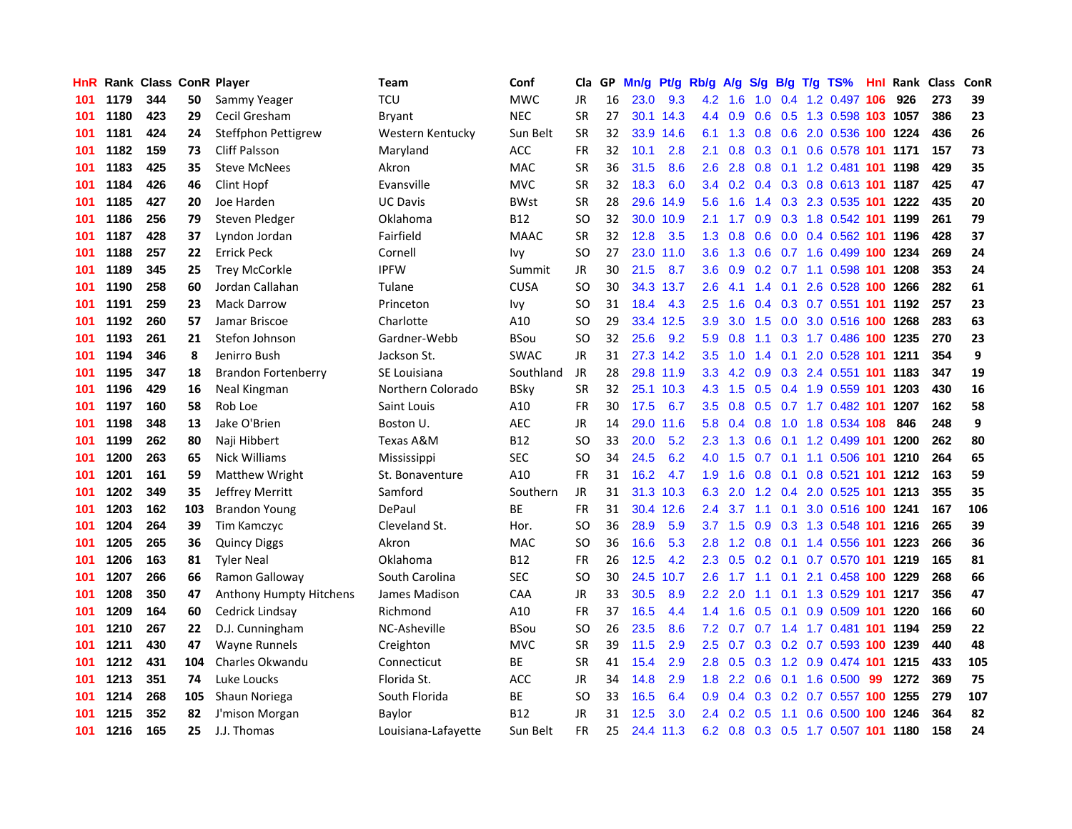| HnR |      | <b>Rank Class ConR Player</b> |     |                                | Team                | Conf        | Cla       |    | GP Mn/g Pt/g |           | Rb/g             | A/g             |               |                 | S/g B/g T/g TS%                           | Hnl |      | Rank Class | ConR |
|-----|------|-------------------------------|-----|--------------------------------|---------------------|-------------|-----------|----|--------------|-----------|------------------|-----------------|---------------|-----------------|-------------------------------------------|-----|------|------------|------|
| 101 | 1179 | 344                           | 50  | Sammy Yeager                   | TCU                 | <b>MWC</b>  | JR        | 16 | 23.0         | 9.3       | 4.2              | 1.6             | 1.0           | 0.4             | 1.2 0.497                                 | 106 | 926  | 273        | 39   |
| 101 | 1180 | 423                           | 29  | Cecil Gresham                  | Bryant              | <b>NEC</b>  | <b>SR</b> | 27 |              | 30.1 14.3 | $4.4^{\circ}$    | 0.9             | 0.6           | 0.5             | 1.3 0.598 103 1057                        |     |      | 386        | 23   |
| 101 | 1181 | 424                           | 24  | Steffphon Pettigrew            | Western Kentucky    | Sun Belt    | <b>SR</b> | 32 |              | 33.9 14.6 | 6.1              | 1.3             | 0.8           | 0.6             | 2.0 0.536 100 1224                        |     |      | 436        | 26   |
| 101 | 1182 | 159                           | 73  | <b>Cliff Palsson</b>           | Maryland            | ACC         | FR        | 32 | 10.1         | 2.8       | 2.1              | 0.8             |               | $0.3 \quad 0.1$ | 0.6 0.578 101 1171                        |     |      | 157        | 73   |
| 101 | 1183 | 425                           | 35  | <b>Steve McNees</b>            | Akron               | <b>MAC</b>  | <b>SR</b> | 36 | 31.5         | 8.6       | 2.6              | 2.8             |               |                 | 0.8 0.1 1.2 0.481 101 1198                |     |      | 429        | 35   |
| 101 | 1184 | 426                           | 46  | Clint Hopf                     | Evansville          | <b>MVC</b>  | <b>SR</b> | 32 | 18.3         | 6.0       |                  |                 |               |                 | 3.4 0.2 0.4 0.3 0.8 0.613 <b>101 1187</b> |     |      | 425        | 47   |
| 101 | 1185 | 427                           | 20  | Joe Harden                     | <b>UC Davis</b>     | <b>BWst</b> | <b>SR</b> | 28 |              | 29.6 14.9 |                  | $5.6$ 1.6       |               |                 | 1.4 0.3 2.3 0.535 101 1222                |     |      | 435        | 20   |
| 101 | 1186 | 256                           | 79  | Steven Pledger                 | Oklahoma            | B12         | <b>SO</b> | 32 |              | 30.0 10.9 | 2.1              | 1.7             |               |                 | 0.9 0.3 1.8 0.542 101 1199                |     |      | 261        | 79   |
| 101 | 1187 | 428                           | 37  | Lyndon Jordan                  | Fairfield           | <b>MAAC</b> | <b>SR</b> | 32 | 12.8         | 3.5       |                  | $1.3 \quad 0.8$ | 0.6           |                 | 0.0 0.4 0.562 101                         |     | 1196 | 428        | 37   |
| 101 | 1188 | 257                           | 22  | <b>Errick Peck</b>             | Cornell             | Ivy         | SO.       | 27 | 23.0         | 11.0      | 3.6 <sup>°</sup> | 1.3             | 0.6           |                 | 0.7 1.6 0.499 100                         |     | 1234 | 269        | 24   |
| 101 | 1189 | 345                           | 25  | <b>Trey McCorkle</b>           | <b>IPFW</b>         | Summit      | JR        | 30 | 21.5         | 8.7       | 3.6              | 0.9             |               |                 | 0.2 0.7 1.1 0.598 101                     |     | 1208 | 353        | 24   |
| 101 | 1190 | 258                           | 60  | Jordan Callahan                | Tulane              | <b>CUSA</b> | <b>SO</b> | 30 |              | 34.3 13.7 | 2.6              | 4.1             | 1.4           | 0.1             | 2.6 0.528 100 1266                        |     |      | 282        | 61   |
| 101 | 1191 | 259                           | 23  | <b>Mack Darrow</b>             | Princeton           | Ivy         | SO.       | 31 | 18.4         | 4.3       | 2.5              | 1.6             | $0.4^{\circ}$ |                 | 0.3 0.7 0.551 101                         |     | 1192 | 257        | 23   |
| 101 | 1192 | 260                           | 57  | Jamar Briscoe                  | Charlotte           | A10         | <b>SO</b> | 29 |              | 33.4 12.5 | 3.9              | 3.0             | 1.5           | 0.0             | 3.0 0.516 100                             |     | 1268 | 283        | 63   |
| 101 | 1193 | 261                           | 21  | Stefon Johnson                 | Gardner-Webb        | <b>BSou</b> | <b>SO</b> | 32 | 25.6         | 9.2       | 5.9              | 0.8             | 1.1           | 0.3             | 1.7 0.486 100                             |     | 1235 | 270        | 23   |
| 101 | 1194 | 346                           | 8   | Jenirro Bush                   | Jackson St.         | <b>SWAC</b> | JR        | 31 |              | 27.3 14.2 | 3.5              | 1.0             | 1.4           | 0.1             | 2.0 0.528 101                             |     | 1211 | 354        | 9    |
| 101 | 1195 | 347                           | 18  | <b>Brandon Fortenberry</b>     | SE Louisiana        | Southland   | JR        | 28 |              | 29.8 11.9 | 3.3 <sub>2</sub> |                 | 4.2 0.9       |                 | 0.3 2.4 0.551 101                         |     | 1183 | 347        | 19   |
| 101 | 1196 | 429                           | 16  | Neal Kingman                   | Northern Colorado   | <b>BSky</b> | <b>SR</b> | 32 |              | 25.1 10.3 |                  | $4.3 \quad 1.5$ |               |                 | 0.5 0.4 1.9 0.559 101 1203                |     |      | 430        | 16   |
| 101 | 1197 | 160                           | 58  | Rob Loe                        | Saint Louis         | A10         | FR        | 30 | 17.5         | 6.7       |                  |                 |               |                 | 3.5 0.8 0.5 0.7 1.7 0.482 101 1207        |     |      | 162        | 58   |
| 101 | 1198 | 348                           | 13  | Jake O'Brien                   | Boston U.           | <b>AEC</b>  | JR        | 14 | 29.0         | 11.6      |                  | $5.8\quad 0.4$  |               |                 | 0.8 1.0 1.8 0.534 108                     |     | 846  | 248        | 9    |
| 101 | 1199 | 262                           | 80  | Naji Hibbert                   | Texas A&M           | <b>B12</b>  | SO.       | 33 | 20.0         | 5.2       |                  | $2.3 \quad 1.3$ | 0.6           |                 | 0.1 1.2 0.499 101                         |     | 1200 | 262        | 80   |
| 101 | 1200 | 263                           | 65  | Nick Williams                  | Mississippi         | <b>SEC</b>  | SO.       | 34 | 24.5         | 6.2       | 4.0              | 1.5             |               |                 | 0.7 0.1 1.1 0.506 101 1210                |     |      | 264        | 65   |
| 101 | 1201 | 161                           | 59  | Matthew Wright                 | St. Bonaventure     | A10         | FR        | 31 | 16.2         | 4.7       | 1.9              | 1.6             | 0.8           | 0.1             | 0.8 0.521 101                             |     | 1212 | 163        | 59   |
| 101 | 1202 | 349                           | 35  | Jeffrey Merritt                | Samford             | Southern    | JR        | 31 |              | 31.3 10.3 | 6.3              | 2.0             |               |                 | 1.2 0.4 2.0 0.525 101                     |     | 1213 | 355        | 35   |
| 101 | 1203 | 162                           | 103 | <b>Brandon Young</b>           | DePaul              | <b>BE</b>   | <b>FR</b> | 31 |              | 30.4 12.6 | $2.4^{\circ}$    | 3.7             |               | $1.1 \quad 0.1$ | 3.0 0.516 100 1241                        |     |      | 167        | 106  |
| 101 | 1204 | 264                           | 39  | Tim Kamczyc                    | Cleveland St.       | Hor.        | SO.       | 36 | 28.9         | 5.9       | 3.7              | 1.5             | 0.9           |                 | 0.3 1.3 0.548 101 1216                    |     |      | 265        | 39   |
| 101 | 1205 | 265                           | 36  | <b>Quincy Diggs</b>            | Akron               | <b>MAC</b>  | <b>SO</b> | 36 | 16.6         | 5.3       | 2.8              | 1.2             |               |                 | 0.8 0.1 1.4 0.556 101 1223                |     |      | 266        | 36   |
| 101 | 1206 | 163                           | 81  | <b>Tyler Neal</b>              | Oklahoma            | <b>B12</b>  | <b>FR</b> | 26 | 12.5         | 4.2       | 2.3              | 0.5             |               |                 | 0.2 0.1 0.7 0.570 101 1219                |     |      | 165        | 81   |
| 101 | 1207 | 266                           | 66  | Ramon Galloway                 | South Carolina      | <b>SEC</b>  | SO.       | 30 | 24.5         | 10.7      | 2.6              | 1.7             | 1.1           | 0.1             | 2.1 0.458 100                             |     | 1229 | 268        | 66   |
| 101 | 1208 | 350                           | 47  | <b>Anthony Humpty Hitchens</b> | James Madison       | CAA         | JR        | 33 | 30.5         | 8.9       | $2.2^{\circ}$    | 2.0             | 1.1           | 0.1             | 1.3 0.529 101                             |     | 1217 | 356        | 47   |
| 101 | 1209 | 164                           | 60  | Cedrick Lindsay                | Richmond            | A10         | <b>FR</b> | 37 | 16.5         | 4.4       | $1.4^{\circ}$    | 1.6             | 0.5           | 0.1             | 0.9 0.509 101 1220                        |     |      | 166        | 60   |
| 101 | 1210 | 267                           | 22  | D.J. Cunningham                | NC-Asheville        | <b>BSou</b> | <b>SO</b> | 26 | 23.5         | 8.6       |                  | $7.2\quad 0.7$  |               |                 | 0.7 1.4 1.7 0.481 101 1194                |     |      | 259        | 22   |
| 101 | 1211 | 430                           | 47  | <b>Wayne Runnels</b>           | Creighton           | <b>MVC</b>  | <b>SR</b> | 39 | 11.5         | 2.9       |                  | $2.5\quad 0.7$  |               |                 | 0.3 0.2 0.7 0.593 100 1239                |     |      | 440        | 48   |
| 101 | 1212 | 431                           | 104 | Charles Okwandu                | Connecticut         | BE          | <b>SR</b> | 41 | 15.4         | 2.9       |                  | $2.8\quad 0.5$  |               |                 | 0.3 1.2 0.9 0.474 101 1215                |     |      | 433        | 105  |
| 101 | 1213 | 351                           | 74  | Luke Loucks                    | Florida St.         | <b>ACC</b>  | JR        | 34 | 14.8         | 2.9       | 1.8              | $2.2^{\circ}$   | 0.6           |                 | $0.1$ 1.6 0.500                           | -99 | 1272 | 369        | 75   |
| 101 | 1214 | 268                           | 105 | Shaun Noriega                  | South Florida       | ВE          | <b>SO</b> | 33 | 16.5         | 6.4       | 0.9              | 0.4             |               |                 | 0.3 0.2 0.7 0.557 100 1255                |     |      | 279        | 107  |
| 101 | 1215 | 352                           | 82  | J'mison Morgan                 | Baylor              | <b>B12</b>  | JR        | 31 | 12.5         | 3.0       |                  | $2.4\quad 0.2$  | 0.5           | 1.1             | 0.6 0.500                                 | 100 | 1246 | 364        | 82   |
| 101 | 1216 | 165                           | 25  | J.J. Thomas                    | Louisiana-Lafayette | Sun Belt    | FR        | 25 |              | 24.4 11.3 |                  |                 |               |                 | 6.2 0.8 0.3 0.5 1.7 0.507 101 1180        |     |      | 158        | 24   |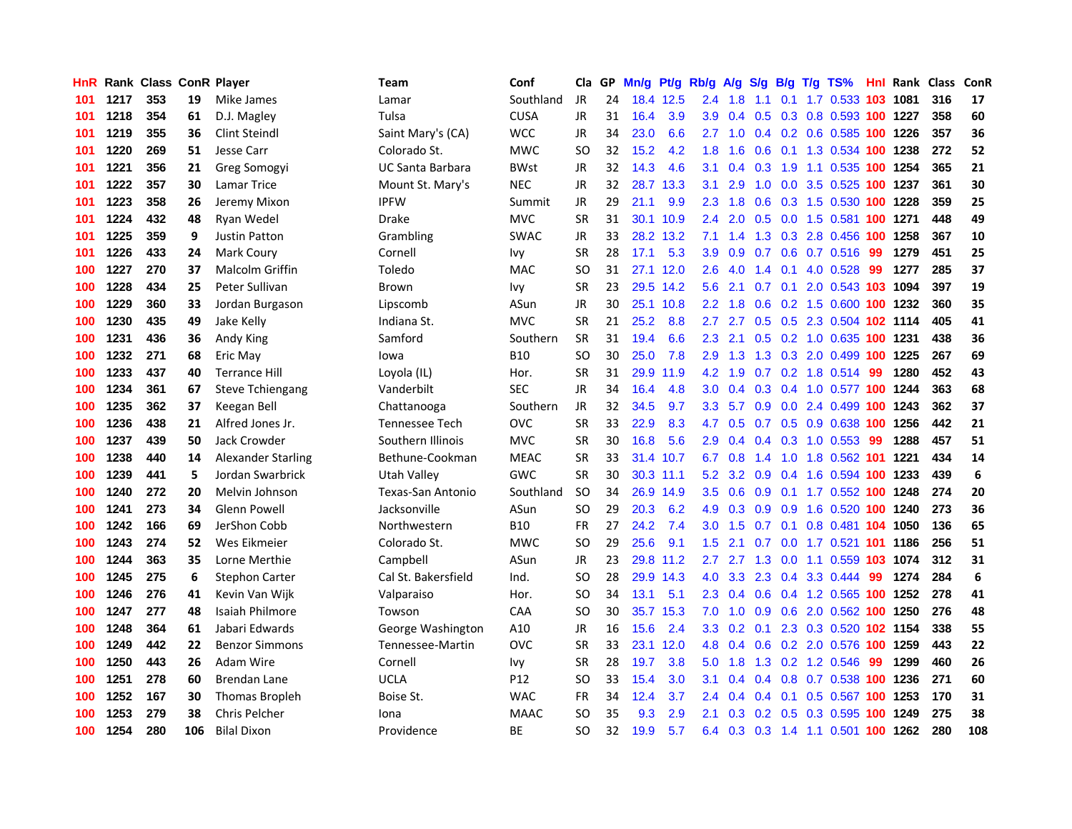| HnR. |      | <b>Rank Class ConR Player</b> |     |                           | Team                | Conf        | Cla           | GP. | Mn/g Pt/g |           | Rb/g             | <b>A/g</b> | <b>S/g</b>                |                 | B/g T/g TS%                        | Hnl |      | Rank Class | ConR |
|------|------|-------------------------------|-----|---------------------------|---------------------|-------------|---------------|-----|-----------|-----------|------------------|------------|---------------------------|-----------------|------------------------------------|-----|------|------------|------|
| 101  | 1217 | 353                           | 19  | Mike James                | Lamar               | Southland   | JR            | 24  |           | 18.4 12.5 | $2.4^{\circ}$    | 1.8        | 1.1                       | 0.1             | 1.7 0.533                          | 103 | 1081 | 316        | 17   |
| 101  | 1218 | 354                           | 61  | D.J. Magley               | Tulsa               | <b>CUSA</b> | <b>JR</b>     | 31  | 16.4      | 3.9       | 3.9              | 0.4        | 0.5                       | 0.3             | 0.8 0.593 100                      |     | 1227 | 358        | 60   |
| 101  | 1219 | 355                           | 36  | <b>Clint Steindl</b>      | Saint Mary's (CA)   | <b>WCC</b>  | <b>JR</b>     | 34  | 23.0      | 6.6       | 2.7              | 1.0        |                           | $0.4 \quad 0.2$ | 0.6 0.585 100                      |     | 1226 | 357        | 36   |
| 101  | 1220 | 269                           | 51  | Jesse Carr                | Colorado St.        | <b>MWC</b>  | <sub>SO</sub> | 32  | 15.2      | 4.2       | 1.8              | 1.6        | 0.6                       | 0.1             | 1.3 0.534 100 1238                 |     |      | 272        | 52   |
| 101  | 1221 | 356                           | 21  | Greg Somogyi              | UC Santa Barbara    | <b>BWst</b> | <b>JR</b>     | 32  | 14.3      | 4.6       | 3.1              |            | $0.4 \quad 0.3$           | 1.9             | 1.1 0.535 100 1254                 |     |      | 365        | 21   |
| 101  | 1222 | 357                           | 30  | Lamar Trice               | Mount St. Mary's    | <b>NEC</b>  | <b>JR</b>     | 32  |           | 28.7 13.3 | 3.1              | 2.9        | 1.0                       |                 | 0.0 3.5 0.525 100 1237             |     |      | 361        | 30   |
| 101  | 1223 | 358                           | 26  | Jeremy Mixon              | <b>IPFW</b>         | Summit      | JR            | 29  | 21.1      | 9.9       | 2.3              | 1.8        | 0.6                       |                 | $0.3$ 1.5 0.530 100                |     | 1228 | 359        | 25   |
| 101  | 1224 | 432                           | 48  | Ryan Wedel                | <b>Drake</b>        | <b>MVC</b>  | <b>SR</b>     | 31  |           | 30.1 10.9 | $2.4^{\circ}$    | 2.0        | 0.5                       |                 | 0.0 1.5 0.581 <b>100 1271</b>      |     |      | 448        | 49   |
| 101  | 1225 | 359                           | 9   | <b>Justin Patton</b>      | Grambling           | <b>SWAC</b> | <b>JR</b>     | 33  |           | 28.2 13.2 | 7.1              | 1.4        |                           |                 | 1.3 0.3 2.8 0.456 100              |     | 1258 | 367        | 10   |
| 101  | 1226 | 433                           | 24  | Mark Coury                | Cornell             | Ivy         | <b>SR</b>     | 28  | 17.1      | 5.3       | 3.9              | 0.9        | 0.7                       | 0.6             | $0.7$ 0.516                        | 99  | 1279 | 451        | 25   |
| 100  | 1227 | 270                           | 37  | <b>Malcolm Griffin</b>    | Toledo              | <b>MAC</b>  | <b>SO</b>     | 31  |           | 27.1 12.0 | 2.6              | 4.0        | 1.4                       | 0.1             | 4.0 0.528                          | -99 | 1277 | 285        | 37   |
| 100  | 1228 | 434                           | 25  | Peter Sullivan            | <b>Brown</b>        | Ivy         | SR            | 23  |           | 29.5 14.2 | 5.6              | 2.1        | 0.7                       | 0.1             | 2.0 0.543 103 1094                 |     |      | 397        | 19   |
| 100  | 1229 | 360                           | 33  | Jordan Burgason           | Lipscomb            | ASun        | <b>JR</b>     | 30  |           | 25.1 10.8 | $2.2^{\circ}$    | 1.8        | 0.6                       |                 | 0.2 1.5 0.600 100 1232             |     |      | 360        | 35   |
| 100  | 1230 | 435                           | 49  | Jake Kelly                | Indiana St.         | <b>MVC</b>  | <b>SR</b>     | 21  | 25.2      | 8.8       | 2.7              | 2.7        | 0.5                       | 0.5             | 2.3 0.504 102 1114                 |     |      | 405        | 41   |
| 100  | 1231 | 436                           | 36  | Andy King                 | Samford             | Southern    | <b>SR</b>     | 31  | 19.4      | 6.6       | 2.3              | 2.1        | 0.5                       |                 | 0.2 1.0 0.635 100                  |     | 1231 | 438        | 36   |
| 100  | 1232 | 271                           | 68  | Eric May                  | lowa                | <b>B10</b>  | SO            | 30  | 25.0      | 7.8       | 2.9              | 1.3        | 1.3                       | 0.3             | 2.0 0.499 100                      |     | 1225 | 267        | 69   |
| 100  | 1233 | 437                           | 40  | <b>Terrance Hill</b>      | Loyola (IL)         | Hor.        | <b>SR</b>     | 31  | 29.9      | 11.9      | 4.2              | 1.9        | 0.7                       |                 | $0.2$ 1.8 $0.514$                  | -99 | 1280 | 452        | 43   |
| 100  | 1234 | 361                           | 67  | <b>Steve Tchiengang</b>   | Vanderbilt          | <b>SEC</b>  | JR            | 34  | 16.4      | 4.8       | 3.0 <sub>1</sub> |            |                           |                 | 0.4 0.3 0.4 1.0 0.577 100 1244     |     |      | 363        | 68   |
| 100  | 1235 | 362                           | 37  | Keegan Bell               | Chattanooga         | Southern    | JR            | 32  | 34.5      | 9.7       |                  |            |                           |                 | 3.3 5.7 0.9 0.0 2.4 0.499 100 1243 |     |      | 362        | 37   |
| 100  | 1236 | 438                           | 21  | Alfred Jones Jr.          | Tennessee Tech      | <b>OVC</b>  | <b>SR</b>     | 33  | 22.9      | 8.3       | 4.7              | 0.5        |                           |                 | 0.7 0.5 0.9 0.638 100              |     | 1256 | 442        | 21   |
| 100  | 1237 | 439                           | 50  | Jack Crowder              | Southern Illinois   | <b>MVC</b>  | <b>SR</b>     | 30  | 16.8      | 5.6       | 2.9              | 0.4        |                           |                 | 0.4 0.3 1.0 0.553 99               |     | 1288 | 457        | 51   |
| 100  | 1238 | 440                           | 14  | <b>Alexander Starling</b> | Bethune-Cookman     | <b>MEAC</b> | <b>SR</b>     | 33  |           | 31.4 10.7 | 6.7              | 0.8        | $1.4^{\circ}$             |                 | 1.0 1.8 0.562 101                  |     | 1221 | 434        | 14   |
| 100  | 1239 | 441                           | 5   | Jordan Swarbrick          | Utah Valley         | <b>GWC</b>  | <b>SR</b>     | 30  |           | 30.3 11.1 | 5.2              | 3.2        |                           |                 | 0.9 0.4 1.6 0.594 100 1233         |     |      | 439        | 6    |
| 100  | 1240 | 272                           | 20  | Melvin Johnson            | Texas-San Antonio   | Southland   | <sub>SO</sub> | 34  |           | 26.9 14.9 | 3.5              | 0.6        | 0.9                       | 0.1             | 1.7 0.552 100 1248                 |     |      | 274        | 20   |
| 100  | 1241 | 273                           | 34  | <b>Glenn Powell</b>       | Jacksonville        | ASun        | SO            | 29  | 20.3      | 6.2       | 4.9              | 0.3        | 0.9                       |                 | 0.9 1.6 0.520 100 1240             |     |      | 273        | 36   |
| 100  | 1242 | 166                           | 69  | JerShon Cobb              | Northwestern        | <b>B10</b>  | FR            | 27  | 24.2      | 7.4       | 3.0              | 1.5        | 0.7                       | 0.1             | 0.8 0.481 104 1050                 |     |      | 136        | 65   |
| 100  | 1243 | 274                           | 52  | Wes Eikmeier              | Colorado St.        | <b>MWC</b>  | SO            | 29  | 25.6      | 9.1       | $1.5^{\circ}$    | 2.1        | 0.7                       | 0.0             | 1.7 0.521 101                      |     | 1186 | 256        | 51   |
| 100  | 1244 | 363                           | 35  | Lorne Merthie             | Campbell            | ASun        | JR            | 23  |           | 29.8 11.2 | 2.7              | 2.7        | 1.3                       | 0.0             | 1.1 0.559 103                      |     | 1074 | 312        | 31   |
| 100  | 1245 | 275                           | 6   | <b>Stephon Carter</b>     | Cal St. Bakersfield | Ind.        | <sub>SO</sub> | 28  |           | 29.9 14.3 | 4.0              | 3.3        | 2.3                       | 0.4             | 3.3 0.444                          | 99  | 1274 | 284        | 6    |
| 100  | 1246 | 276                           | 41  | Kevin Van Wijk            | Valparaiso          | Hor.        | SO            | 34  | 13.1      | 5.1       | $2.3^{\circ}$    | 0.4        | 0.6                       |                 | 0.4 1.2 0.565 100                  |     | 1252 | 278        | 41   |
| 100  | 1247 | 277                           | 48  | <b>Isaiah Philmore</b>    | Towson              | <b>CAA</b>  | <sub>SO</sub> | 30  |           | 35.7 15.3 | 7.0              | 1.0        | 0.9                       | 0.6             | 2.0 0.562 100 1250                 |     |      | 276        | 48   |
| 100  | 1248 | 364                           | 61  | Jabari Edwards            | George Washington   | A10         | JR            | 16  | 15.6      | 2.4       |                  |            | $3.3 \quad 0.2 \quad 0.1$ |                 | 2.3 0.3 0.520 102 1154             |     |      | 338        | 55   |
| 100  | 1249 | 442                           | 22  | <b>Benzor Simmons</b>     | Tennessee-Martin    | <b>OVC</b>  | <b>SR</b>     | 33  |           | 23.1 12.0 |                  | 4.8 0.4    |                           |                 | 0.6 0.2 2.0 0.576 100 1259         |     |      | 443        | 22   |
| 100  | 1250 | 443                           | 26  | <b>Adam Wire</b>          | Cornell             | <b>Ivy</b>  | <b>SR</b>     | 28  | 19.7      | 3.8       | 5.0              | 1.8        |                           |                 | 1.3 0.2 1.2 0.546                  | -99 | 1299 | 460        | 26   |
| 100  | 1251 | 278                           | 60  | Brendan Lane              | <b>UCLA</b>         | P12         | SO            | 33  | 15.4      | 3.0       | 3.1              | 0.4        |                           |                 | 0.4 0.8 0.7 0.538 100 1236         |     |      | 271        | 60   |
| 100  | 1252 | 167                           | 30  | Thomas Bropleh            | Boise St.           | <b>WAC</b>  | <b>FR</b>     | 34  | 12.4      | 3.7       | 2.4              | 0.4        | $0.4^{\circ}$             | 0.1             | 0.5 0.567                          | 100 | 1253 | 170        | 31   |
| 100  | 1253 | 279                           | 38  | Chris Pelcher             | Iona                | <b>MAAC</b> | <b>SO</b>     | 35  | 9.3       | 2.9       | 2.1              | 0.3        | 0.2                       | 0.5             | 0.3 0.595                          | 100 | 1249 | 275        | 38   |
| 100  | 1254 | 280                           | 106 | <b>Bilal Dixon</b>        | Providence          | ВE          | SO            | 32  | 19.9      | 5.7       |                  |            |                           |                 | 6.4 0.3 0.3 1.4 1.1 0.501 100 1262 |     |      | 280        | 108  |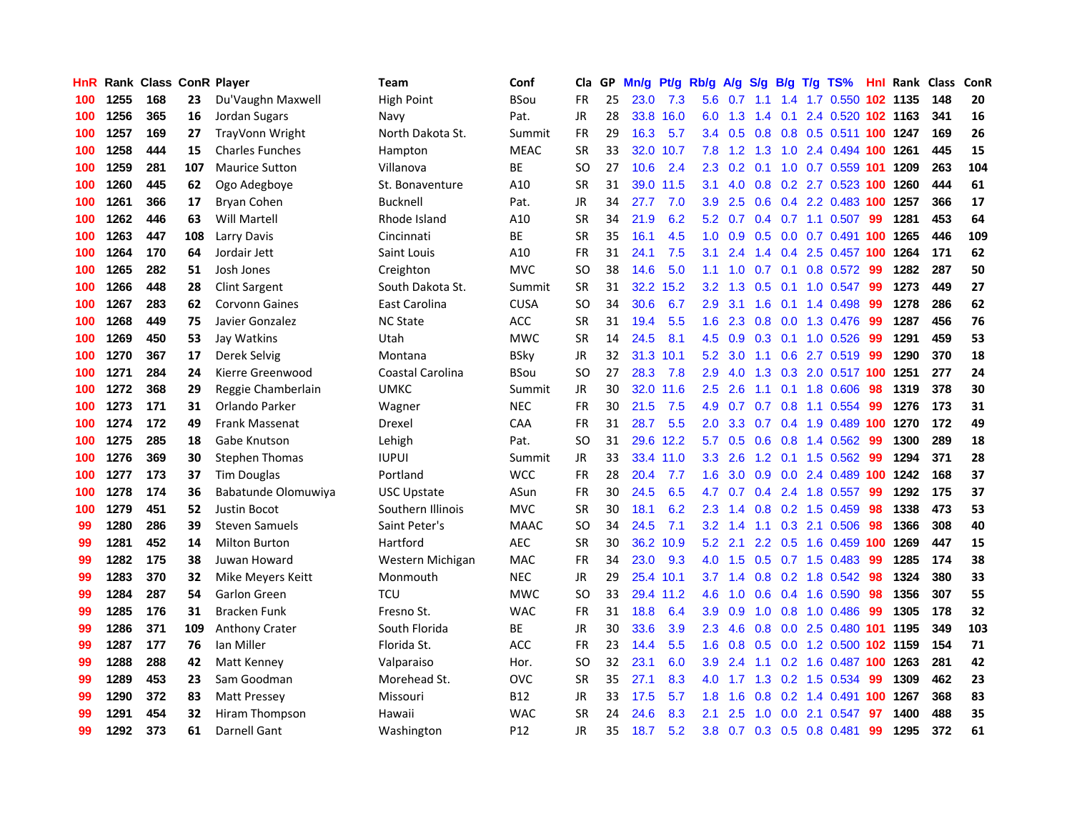| HnR |      | <b>Rank Class ConR Player</b> |     |                        | Team               | Conf            | Cla           |    | GP Mn/g | Pt/g      | Rb/g             | <b>A/g</b>        | <b>S/g</b>    |     | B/g T/g TS%                        |     | <b>Hnl Rank Class</b> |     | ConR |
|-----|------|-------------------------------|-----|------------------------|--------------------|-----------------|---------------|----|---------|-----------|------------------|-------------------|---------------|-----|------------------------------------|-----|-----------------------|-----|------|
| 100 | 1255 | 168                           | 23  | Du'Vaughn Maxwell      | <b>High Point</b>  | <b>BSou</b>     | FR            | 25 | 23.0    | 7.3       | 5.6              | 0.7               | 1.1           | 1.4 | 1.7 0.550                          | 102 | 1135                  | 148 | 20   |
| 100 | 1256 | 365                           | 16  | Jordan Sugars          | Navy               | Pat.            | <b>JR</b>     | 28 | 33.8    | 16.0      | 6.0              | 1.3               | 1.4           | 0.1 | 2.4 0.520 102 1163                 |     |                       | 341 | 16   |
| 100 | 1257 | 169                           | 27  | TrayVonn Wright        | North Dakota St.   | Summit          | <b>FR</b>     | 29 | 16.3    | 5.7       | 3.4              | 0.5               | 0.8           | 0.8 | 0.5 0.511 100 1247                 |     |                       | 169 | 26   |
| 100 | 1258 | 444                           | 15  | <b>Charles Funches</b> | Hampton            | <b>MEAC</b>     | <b>SR</b>     | 33 | 32.0    | 10.7      | 7.8              | 1.2               | 1.3           |     | 1.0 2.4 0.494 100 1261             |     |                       | 445 | 15   |
| 100 | 1259 | 281                           | 107 | <b>Maurice Sutton</b>  | Villanova          | <b>BE</b>       | SO            | 27 | 10.6    | 2.4       |                  | $2.3 \t0.2 \t0.1$ |               |     | 1.0 0.7 0.559 101                  |     | 1209                  | 263 | 104  |
| 100 | 1260 | 445                           | 62  | Ogo Adegboye           | St. Bonaventure    | A10             | <b>SR</b>     | 31 |         | 39.0 11.5 | 3.1              | 4.0               |               |     | 0.8 0.2 2.7 0.523 100              |     | 1260                  | 444 | 61   |
| 100 | 1261 | 366                           | 17  | <b>Bryan Cohen</b>     | <b>Bucknell</b>    | Pat.            | <b>JR</b>     | 34 | 27.7    | 7.0       | 3.9              | 2.5               |               |     | 0.6 0.4 2.2 0.483 100              |     | 1257                  | 366 | 17   |
| 100 | 1262 | 446                           | 63  | Will Martell           | Rhode Island       | A10             | <b>SR</b>     | 34 | 21.9    | 6.2       | 5.2              | 0.7               |               |     | 0.4 0.7 1.1 0.507                  | 99  | 1281                  | 453 | 64   |
| 100 | 1263 | 447                           | 108 | Larry Davis            | Cincinnati         | ВE              | <b>SR</b>     | 35 | 16.1    | 4.5       | 1.0              | 0.9               | 0.5           |     | $0.0$ 0.7 0.491                    | 100 | 1265                  | 446 | 109  |
| 100 | 1264 | 170                           | 64  | Jordair Jett           | Saint Louis        | A10             | <b>FR</b>     | 31 | 24.1    | 7.5       | 3.1              | 2.4               | 1.4           |     | 0.4 2.5 0.457 100                  |     | 1264                  | 171 | 62   |
| 100 | 1265 | 282                           | 51  | Josh Jones             | Creighton          | <b>MVC</b>      | SO            | 38 | 14.6    | 5.0       | 1.1              | 1.0               | 0.7           | 0.1 | 0.8 0.572                          | -99 | 1282                  | 287 | 50   |
| 100 | 1266 | 448                           | 28  | <b>Clint Sargent</b>   | South Dakota St.   | Summit          | <b>SR</b>     | 31 |         | 32.2 15.2 | 3.2              | 1.3               | 0.5           | 0.1 | 1.0 0.547                          | 99  | 1273                  | 449 | 27   |
| 100 | 1267 | 283                           | 62  | <b>Corvonn Gaines</b>  | East Carolina      | <b>CUSA</b>     | SO            | 34 | 30.6    | 6.7       | 2.9              | 3.1               | 1.6           | 0.1 | 1.4 0.498                          | 99  | 1278                  | 286 | 62   |
| 100 | 1268 | 449                           | 75  | Javier Gonzalez        | <b>NC State</b>    | <b>ACC</b>      | <b>SR</b>     | 31 | 19.4    | 5.5       | 1.6              | 2.3               | 0.8           | 0.0 | 1.3 0.476                          | -99 | 1287                  | 456 | 76   |
| 100 | 1269 | 450                           | 53  | Jay Watkins            | Utah               | <b>MWC</b>      | <b>SR</b>     | 14 | 24.5    | 8.1       | 4.5              | 0.9               | 0.3           | 0.1 | 1.0 0.526                          | -99 | 1291                  | 459 | 53   |
| 100 | 1270 | 367                           | 17  | Derek Selvig           | Montana            | <b>BSky</b>     | <b>JR</b>     | 32 | 31.3    | 10.1      | 5.2              | 3.0               | 1.1           | 0.6 | 2.7 0.519                          | -99 | 1290                  | 370 | 18   |
| 100 | 1271 | 284                           | 24  | Kierre Greenwood       | Coastal Carolina   | <b>BSou</b>     | <sub>SO</sub> | 27 | 28.3    | 7.8       | 2.9              | 4.0               | 1.3           |     | 0.3 2.0 0.517 100 1251             |     |                       | 277 | 24   |
| 100 | 1272 | 368                           | 29  | Reggie Chamberlain     | UMKC               | Summit          | JR            | 30 | 32.0    | 11.6      | $2.5\,$          | 2.6               | 1.1           | 0.1 | 1.8 0.606                          | 98  | 1319                  | 378 | 30   |
| 100 | 1273 | 171                           | 31  | Orlando Parker         | Wagner             | <b>NEC</b>      | FR            | 30 | 21.5    | 7.5       | 4.9              | 0.7               |               |     | $0.7$ 0.8 1.1 0.554                | -99 | 1276                  | 173 | 31   |
| 100 | 1274 | 172                           | 49  | <b>Frank Massenat</b>  | Drexel             | <b>CAA</b>      | FR            | 31 | 28.7    | 5.5       | $2.0^{\circ}$    | 3.3               |               |     | 0.7 0.4 1.9 0.489 100              |     | 1270                  | 172 | 49   |
| 100 | 1275 | 285                           | 18  | Gabe Knutson           | Lehigh             | Pat.            | <sub>SO</sub> | 31 |         | 29.6 12.2 | 5.7              | 0.5               | 0.6           |     | 0.8 1.4 0.562                      | -99 | 1300                  | 289 | 18   |
| 100 | 1276 | 369                           | 30  | <b>Stephen Thomas</b>  | <b>IUPUI</b>       | Summit          | JR            | 33 |         | 33.4 11.0 | 3.3              | 2.6               |               |     | 1.2 0.1 1.5 0.562                  | -99 | 1294                  | 371 | 28   |
| 100 | 1277 | 173                           | 37  | <b>Tim Douglas</b>     | Portland           | <b>WCC</b>      | <b>FR</b>     | 28 | 20.4    | 7.7       | 1.6              | 3.0               | 0.9           |     | 0.0 2.4 0.489 100                  |     | 1242                  | 168 | 37   |
| 100 | 1278 | 174                           | 36  | Babatunde Olomuwiya    | <b>USC Upstate</b> | ASun            | <b>FR</b>     | 30 | 24.5    | 6.5       | 4.7              | 0.7               |               |     | 0.4 2.4 1.8 0.557                  | -99 | 1292                  | 175 | 37   |
| 100 | 1279 | 451                           | 52  | Justin Bocot           | Southern Illinois  | <b>MVC</b>      | <b>SR</b>     | 30 | 18.1    | 6.2       | $2.3\phantom{0}$ | 1.4               |               |     | 0.8 0.2 1.5 0.459                  | 98  | 1338                  | 473 | 53   |
| 99  | 1280 | 286                           | 39  | <b>Steven Samuels</b>  | Saint Peter's      | <b>MAAC</b>     | <b>SO</b>     | 34 | 24.5    | 7.1       | 3.2              | 1.4               | 1.1           | 0.3 | 2.1 0.506                          | 98  | 1366                  | 308 | 40   |
| 99  | 1281 | 452                           | 14  | <b>Milton Burton</b>   | Hartford           | <b>AEC</b>      | <b>SR</b>     | 30 |         | 36.2 10.9 | 5.2              | 2.1               | $2.2^{\circ}$ | 0.5 | 1.6 0.459 100                      |     | 1269                  | 447 | 15   |
| 99  | 1282 | 175                           | 38  | Juwan Howard           | Western Michigan   | <b>MAC</b>      | <b>FR</b>     | 34 | 23.0    | 9.3       | 4.0              | 1.5               | 0.5           |     | $0.7$ 1.5 0.483                    | -99 | 1285                  | 174 | 38   |
| 99  | 1283 | 370                           | 32  | Mike Meyers Keitt      | Monmouth           | <b>NEC</b>      | <b>JR</b>     | 29 | 25.4    | 10.1      | 3.7              | 1.4               | 0.8           | 0.2 | 1.8 0.542                          | 98  | 1324                  | 380 | 33   |
| 99  | 1284 | 287                           | 54  | <b>Garlon Green</b>    | <b>TCU</b>         | <b>MWC</b>      | <sub>SO</sub> | 33 | 29.4    | 11.2      | 4.6              | 1.0               | 0.6           |     | 0.4 1.6 0.590                      | 98  | 1356                  | 307 | 55   |
| 99  | 1285 | 176                           | 31  | <b>Bracken Funk</b>    | Fresno St.         | <b>WAC</b>      | <b>FR</b>     | 31 | 18.8    | 6.4       | 3.9              | 0.9               | 1.0           | 0.8 | 1.0 0.486                          | -99 | 1305                  | 178 | 32   |
| 99  | 1286 | 371                           | 109 | <b>Anthony Crater</b>  | South Florida      | BE              | <b>JR</b>     | 30 | 33.6    | 3.9       | $2.3^{\circ}$    | 4.6               |               |     | 0.8 0.0 2.5 0.480 101 1195         |     |                       | 349 | 103  |
| 99  | 1287 | 177                           | 76  | lan Miller             | Florida St.        | ACC             | <b>FR</b>     | 23 | 14.4    | 5.5       |                  |                   |               |     | 1.6 0.8 0.5 0.0 1.2 0.500 102 1159 |     |                       | 154 | 71   |
| 99  | 1288 | 288                           | 42  | Matt Kenney            | Valparaiso         | Hor.            | <b>SO</b>     | 32 | 23.1    | 6.0       | 3.9 <sup>°</sup> | 2.4               | 1.1           |     | 0.2 1.6 0.487 100 1263             |     |                       | 281 | 42   |
| 99  | 1289 | 453                           | 23  | Sam Goodman            | Morehead St.       | <b>OVC</b>      | SR            | 35 | 27.1    | 8.3       | 4.0              | 1.7               | 1.3           |     | 0.2 1.5 0.534                      | 99  | 1309                  | 462 | 23   |
| 99  | 1290 | 372                           | 83  | <b>Matt Pressey</b>    | Missouri           | <b>B12</b>      | <b>JR</b>     | 33 | 17.5    | 5.7       | 1.8              | 1.6               | 0.8           |     | $0.2$ 1.4 $0.491$                  | 100 | 1267                  | 368 | 83   |
| 99  | 1291 | 454                           | 32  | Hiram Thompson         | Hawaii             | <b>WAC</b>      | <b>SR</b>     | 24 | 24.6    | 8.3       | 2.1              | 2.5               | 1.0           | 0.0 | 2.1 0.547                          | 97  | 1400                  | 488 | 35   |
| 99  | 1292 | 373                           | 61  | Darnell Gant           | Washington         | P <sub>12</sub> | JR            | 35 | 18.7    | 5.2       | 3.8 <sup>°</sup> |                   |               |     | 0.7 0.3 0.5 0.8 0.481              | 99  | 1295                  | 372 | 61   |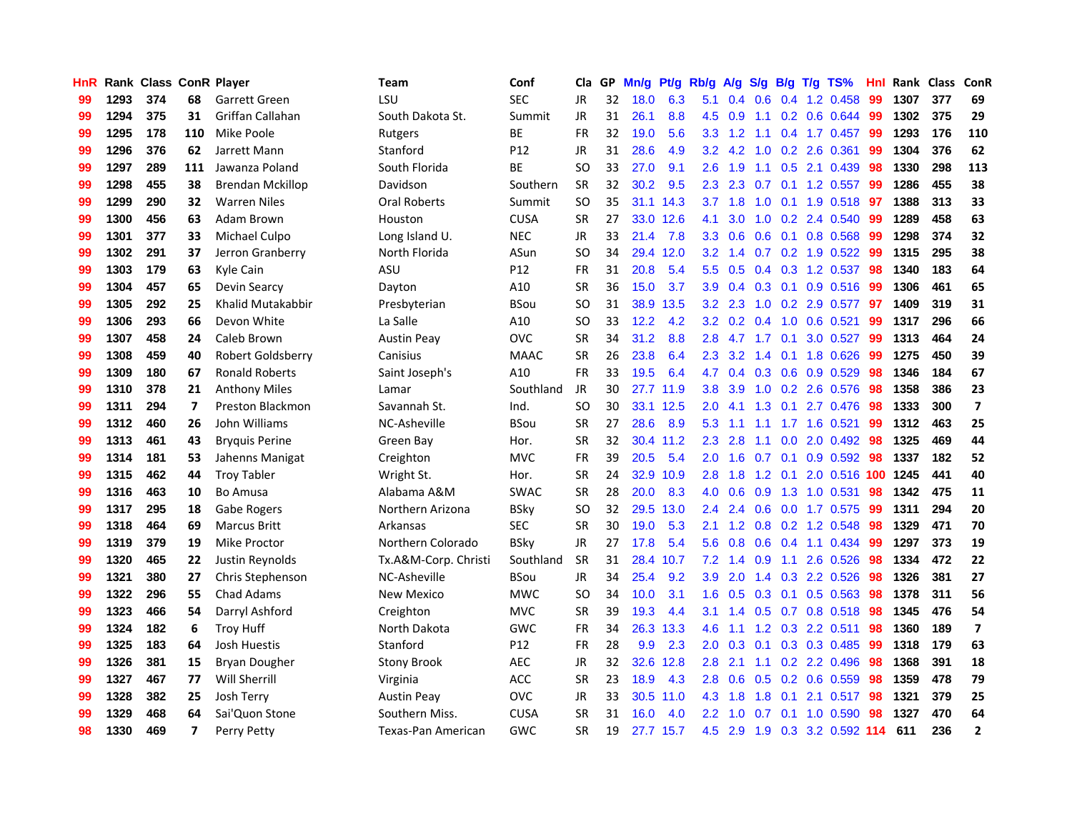| HnR |      | Rank Class ConR Player |     |                         | Team                 | Conf        | Cla       |    | GP Mn/g | Pt/g Rb/g |                  | A/g                                  |               |                 | S/g B/g T/g TS%           | Hnl | Rank Class |     | ConR                    |
|-----|------|------------------------|-----|-------------------------|----------------------|-------------|-----------|----|---------|-----------|------------------|--------------------------------------|---------------|-----------------|---------------------------|-----|------------|-----|-------------------------|
| 99  | 1293 | 374                    | 68  | Garrett Green           | LSU                  | <b>SEC</b>  | JR        | 32 | 18.0    | 6.3       | 5.1              | 0.4                                  | 0.6           | 0.4             | 1.2 0.458                 | 99  | 1307       | 377 | 69                      |
| 99  | 1294 | 375                    | 31  | Griffan Callahan        | South Dakota St.     | Summit      | <b>JR</b> | 31 | 26.1    | 8.8       | 4.5              | 0.9                                  | 1.1           | 0.2             | 0.6 0.644                 | -99 | 1302       | 375 | 29                      |
| 99  | 1295 | 178                    | 110 | Mike Poole              | Rutgers              | ВE          | <b>FR</b> | 32 | 19.0    | 5.6       | 3.3 <sub>1</sub> | 1.2                                  | 1.1           |                 | 0.4 1.7 0.457             | -99 | 1293       | 176 | 110                     |
| 99  | 1296 | 376                    | 62  | Jarrett Mann            | Stanford             | P12         | JR        | 31 | 28.6    | 4.9       |                  | $3.2$ 4.2                            | 1.0           |                 | 0.2 2.6 0.361             | -99 | 1304       | 376 | 62                      |
| 99  | 1297 | 289                    | 111 | Jawanza Poland          | South Florida        | BE          | SO.       | 33 | 27.0    | 9.1       | $2.6^{\circ}$    | 1.9                                  |               |                 | 1.1 0.5 2.1 0.439         | -98 | 1330       | 298 | 113                     |
| 99  | 1298 | 455                    | 38  | <b>Brendan Mckillop</b> | Davidson             | Southern    | <b>SR</b> | 32 | 30.2    | 9.5       | $2.3\phantom{0}$ | 2.3                                  | 0.7           |                 | $0.1$ 1.2 0.557           | -99 | 1286       | 455 | 38                      |
| 99  | 1299 | 290                    | 32  | <b>Warren Niles</b>     | <b>Oral Roberts</b>  | Summit      | <b>SO</b> | 35 |         | 31.1 14.3 |                  | $3.7$ 1.8                            |               |                 | 1.0 0.1 1.9 0.518         | 97  | 1388       | 313 | 33                      |
| 99  | 1300 | 456                    | 63  | Adam Brown              | Houston              | <b>CUSA</b> | <b>SR</b> | 27 |         | 33.0 12.6 | 4.1              | 3.0                                  |               |                 | 1.0 0.2 2.4 0.540         | 99  | 1289       | 458 | 63                      |
| 99  | 1301 | 377                    | 33  | Michael Culpo           | Long Island U.       | <b>NEC</b>  | JR        | 33 | 21.4    | 7.8       | 3.3 <sub>2</sub> | 0.6                                  |               |                 | 0.6 0.1 0.8 0.568         | 99  | 1298       | 374 | 32                      |
| 99  | 1302 | 291                    | 37  | Jerron Granberry        | North Florida        | ASun        | <b>SO</b> | 34 | 29.4    | 12.0      | $3.2\phantom{0}$ | $\mathbf{A}$<br>$\blacktriangleleft$ |               |                 | $0.7$ $0.2$ 1.9 $0.522$   | -99 | 1315       | 295 | 38                      |
| 99  | 1303 | 179                    | 63  | Kyle Cain               | ASU                  | P12         | FR        | 31 | 20.8    | 5.4       | 5.5              | 0.5                                  |               |                 | 0.4 0.3 1.2 0.537         | 98  | 1340       | 183 | 64                      |
| 99  | 1304 | 457                    | 65  | Devin Searcy            | Dayton               | A10         | <b>SR</b> | 36 | 15.0    | 3.7       | 3.9              | 0.4                                  |               | $0.3 \quad 0.1$ | $0.9$ $0.516$             | -99 | 1306       | 461 | 65                      |
| 99  | 1305 | 292                    | 25  | Khalid Mutakabbir       | Presbyterian         | <b>BSou</b> | <b>SO</b> | 31 |         | 38.9 13.5 | 3.2              | 2.3                                  | 1.0           | 0.2             | 2.9 0.577                 | 97  | 1409       | 319 | 31                      |
| 99  | 1306 | 293                    | 66  | Devon White             | La Salle             | A10         | SO.       | 33 | 12.2    | 4.2       | 3.2 <sub>2</sub> | 0.2                                  | $0.4^{\circ}$ | 1.0             | $0.6$ 0.521               | -99 | 1317       | 296 | 66                      |
| 99  | 1307 | 458                    | 24  | Caleb Brown             | <b>Austin Peav</b>   | <b>OVC</b>  | <b>SR</b> | 34 | 31.2    | 8.8       | 2.8              | 4.7                                  | 1.7           | 0.1             | 3.0 0.527                 | -99 | 1313       | 464 | 24                      |
| 99  | 1308 | 459                    | 40  | Robert Goldsberry       | Canisius             | <b>MAAC</b> | <b>SR</b> | 26 | 23.8    | 6.4       | 2.3              | 3.2                                  | 1.4           | 0.1             | 1.8 0.626                 | -99 | 1275       | 450 | 39                      |
| 99  | 1309 | 180                    | 67  | <b>Ronald Roberts</b>   | Saint Joseph's       | A10         | <b>FR</b> | 33 | 19.5    | 6.4       | 4.7              | 0.4                                  |               |                 | 0.3 0.6 0.9 0.529         | -98 | 1346       | 184 | 67                      |
| 99  | 1310 | 378                    | 21  | <b>Anthony Miles</b>    | Lamar                | Southland   | JR        | 30 |         | 27.7 11.9 | 3.8              | 3.9                                  |               |                 | 1.0 0.2 2.6 0.576         | -98 | 1358       | 386 | 23                      |
| 99  | 1311 | 294                    | 7   | Preston Blackmon        | Savannah St.         | Ind.        | SO.       | 30 |         | 33.1 12.5 | $2.0^{\circ}$    | 4.1                                  |               |                 | 1.3 0.1 2.7 0.476 98      |     | 1333       | 300 | $\overline{7}$          |
| 99  | 1312 | 460                    | 26  | John Williams           | NC-Asheville         | <b>BSou</b> | <b>SR</b> | 27 | 28.6    | 8.9       | 5.3              | 1.1                                  |               |                 | 1.1 1.7 1.6 0.521         | -99 | 1312       | 463 | 25                      |
| 99  | 1313 | 461                    | 43  | <b>Bryquis Perine</b>   | Green Bay            | Hor.        | <b>SR</b> | 32 |         | 30.4 11.2 | $2.3\phantom{0}$ | 2.8                                  | 1.1           |                 | $0.0$ 2.0 $0.492$         | 98  | 1325       | 469 | 44                      |
| 99  | 1314 | 181                    | 53  | Jahenns Manigat         | Creighton            | <b>MVC</b>  | FR        | 39 | 20.5    | 5.4       | 2.0              | 1.6                                  | 0.7           |                 | $0.1$ 0.9 0.592           | -98 | 1337       | 182 | 52                      |
| 99  | 1315 | 462                    | 44  | <b>Troy Tabler</b>      | Wright St.           | Hor.        | <b>SR</b> | 24 | 32.9    | 10.9      | 2.8              | 1.8                                  |               | $1.2 \quad 0.1$ | 2.0 0.516 100             |     | 1245       | 441 | 40                      |
| 99  | 1316 | 463                    | 10  | Bo Amusa                | Alabama A&M          | <b>SWAC</b> | <b>SR</b> | 28 | 20.0    | 8.3       | 4.0              | 0.6                                  | 0.9           |                 | 1.3 1.0 0.531             | 98  | 1342       | 475 | 11                      |
| 99  | 1317 | 295                    | 18  | Gabe Rogers             | Northern Arizona     | <b>BSky</b> | SO        | 32 |         | 29.5 13.0 | $2.4^{\circ}$    | 2.4                                  |               |                 | 0.6 0.0 1.7 0.575         | -99 | 1311       | 294 | 20                      |
| 99  | 1318 | 464                    | 69  | <b>Marcus Britt</b>     | Arkansas             | <b>SEC</b>  | <b>SR</b> | 30 | 19.0    | 5.3       | 2.1              | 1.2                                  |               |                 | 0.8 0.2 1.2 0.548         | 98  | 1329       | 471 | 70                      |
| 99  | 1319 | 379                    | 19  | Mike Proctor            | Northern Colorado    | <b>BSky</b> | JR.       | 27 | 17.8    | 5.4       | 5.6              | 0.8                                  | 0.6           |                 | 0.4 1.1 0.434             | -99 | 1297       | 373 | 19                      |
| 99  | 1320 | 465                    | 22  | Justin Reynolds         | Tx.A&M-Corp. Christi | Southland   | <b>SR</b> | 31 |         | 28.4 10.7 | 7.2              | 1.4                                  | 0.9           | 1.1             | 2.6 0.526                 | 98  | 1334       | 472 | 22                      |
| 99  | 1321 | 380                    | 27  | Chris Stephenson        | NC-Asheville         | <b>BSou</b> | <b>JR</b> | 34 | 25.4    | 9.2       | 3.9              | 2.0                                  |               | $1.4 \quad 0.3$ | 2.2 0.526                 | 98  | 1326       | 381 | 27                      |
| 99  | 1322 | 296                    | 55  | <b>Chad Adams</b>       | <b>New Mexico</b>    | <b>MWC</b>  | <b>SO</b> | 34 | 10.0    | 3.1       | 1.6              | 0.5                                  |               | $0.3 \quad 0.1$ | $0.5$ 0.563               | 98  | 1378       | 311 | 56                      |
| 99  | 1323 | 466                    | 54  | Darryl Ashford          | Creighton            | <b>MVC</b>  | <b>SR</b> | 39 | 19.3    | 4.4       | 3.1              | 1.4                                  |               |                 | 0.5 0.7 0.8 0.518         | -98 | 1345       | 476 | 54                      |
| 99  | 1324 | 182                    | 6   | <b>Troy Huff</b>        | North Dakota         | <b>GWC</b>  | <b>FR</b> | 34 |         | 26.3 13.3 | 4.6              | 1.1                                  |               |                 | 1.2 0.3 2.2 0.511         | -98 | 1360       | 189 | $\overline{\mathbf{z}}$ |
| 99  | 1325 | 183                    | 64  | Josh Huestis            | Stanford             | P12         | <b>FR</b> | 28 | 9.9     | 2.3       | 2.0 <sub>1</sub> | 0.3                                  |               |                 | $0.1$ $0.3$ $0.3$ $0.485$ | -99 | 1318       | 179 | 63                      |
| 99  | 1326 | 381                    | 15  | <b>Bryan Dougher</b>    | Stony Brook          | <b>AEC</b>  | <b>JR</b> | 32 |         | 32.6 12.8 | 2.8              | 2.1                                  |               |                 | 1.1 0.2 2.2 0.496         | 98  | 1368       | 391 | 18                      |
| 99  | 1327 | 467                    | 77  | <b>Will Sherrill</b>    | Virginia             | <b>ACC</b>  | <b>SR</b> | 23 | 18.9    | 4.3       | 2.8              | 0.6                                  |               |                 | $0.5$ 0.2 0.6 0.559       | 98  | 1359       | 478 | 79                      |
| 99  | 1328 | 382                    | 25  | Josh Terry              | <b>Austin Peay</b>   | <b>OVC</b>  | <b>JR</b> | 33 |         | 30.5 11.0 | 4.3              | 1.8                                  | 1.8           | 0.1             | 2.1 0.517                 | 98  | 1321       | 379 | 25                      |
| 99  | 1329 | 468                    | 64  | Sai'Quon Stone          | Southern Miss.       | <b>CUSA</b> | <b>SR</b> | 31 | 16.0    | 4.0       | $2.2^{\circ}$    | 1.0                                  | 0.7           | 0.1             | 1.0 0.590                 | 98  | 1327       | 470 | 64                      |
| 98  | 1330 | 469                    | 7   | Perry Petty             | Texas-Pan American   | GWC         | <b>SR</b> | 19 |         | 27.7 15.7 | 4.5              | 2.9                                  |               |                 | 1.9 0.3 3.2 0.592 114     |     | 611        | 236 | $\overline{2}$          |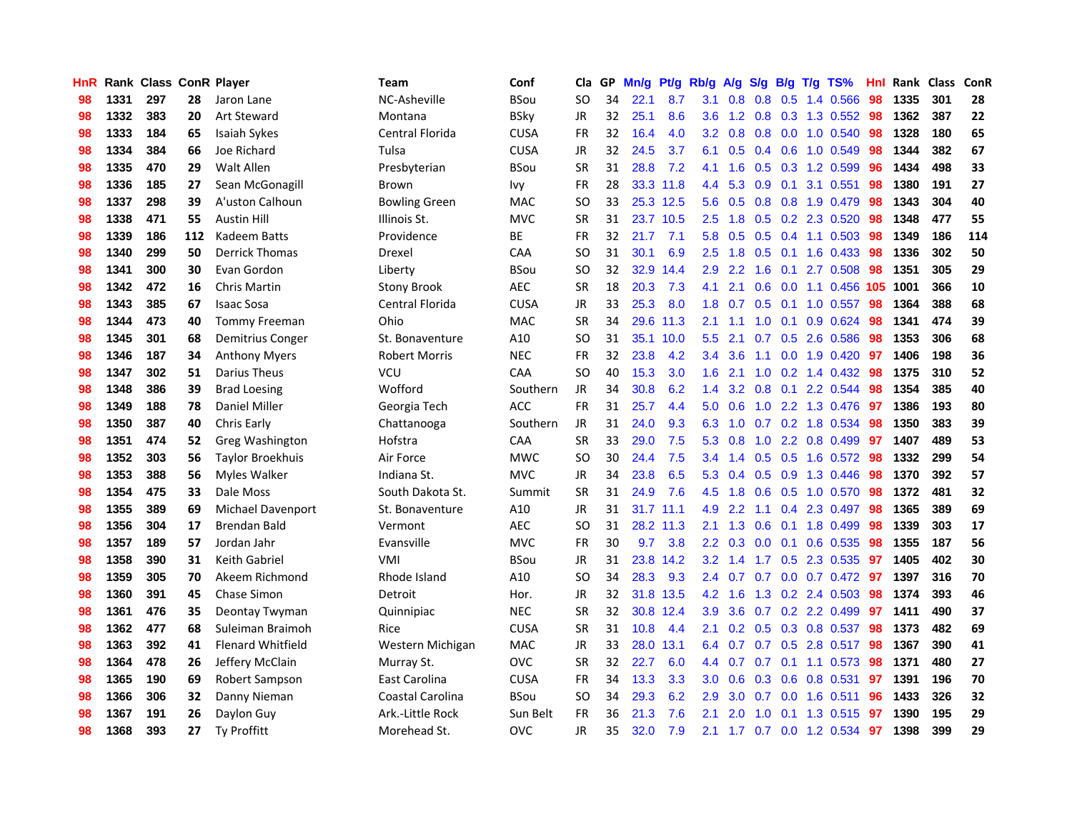| <b>HnR</b> |      | Rank Class ConR Player |     |                          | Team                 | Conf        | Cla       |    | GP Mn/g |           | Pt/g Rb/g        |                |                  |                 | A/g S/g B/g T/g TS%       | Hnl |      | Rank Class | ConR |
|------------|------|------------------------|-----|--------------------------|----------------------|-------------|-----------|----|---------|-----------|------------------|----------------|------------------|-----------------|---------------------------|-----|------|------------|------|
| 98         | 1331 | 297                    | 28  | Jaron Lane               | NC-Asheville         | BSou        | SO.       | 34 | 22.1    | 8.7       | 3.1              | 0.8            | 0.8              | 0.5             | 1.4 0.566                 | 98  | 1335 | 301        | 28   |
| 98         | 1332 | 383                    | 20  | <b>Art Steward</b>       | Montana              | <b>BSky</b> | <b>JR</b> | 32 | 25.1    | 8.6       | 3.6              | 1.2            | 0.8              | 0.3             | 1.3 0.552                 | 98  | 1362 | 387        | 22   |
| 98         | 1333 | 184                    | 65  | <b>Isaiah Sykes</b>      | Central Florida      | <b>CUSA</b> | <b>FR</b> | 32 | 16.4    | 4.0       | 3.2              | 0.8            | 0.8              | 0.0             | 1.0 0.540                 | 98  | 1328 | 180        | 65   |
| 98         | 1334 | 384                    | 66  | Joe Richard              | Tulsa                | <b>CUSA</b> | JR        | 32 | 24.5    | 3.7       | 6.1              | 0.5            |                  |                 | 0.4 0.6 1.0 0.549         | 98  | 1344 | 382        | 67   |
| 98         | 1335 | 470                    | 29  | <b>Walt Allen</b>        | Presbyterian         | <b>BSou</b> | <b>SR</b> | 31 | 28.8    | 7.2       | 4.1              | 1.6            |                  |                 | $0.5$ 0.3 1.2 0.599       | 96  | 1434 | 498        | 33   |
| 98         | 1336 | 185                    | 27  | Sean McGonagill          | Brown                | Ivy         | <b>FR</b> | 28 |         | 33.3 11.8 | 4.4              | 5.3            |                  |                 | 0.9 0.1 3.1 0.551         | 98  | 1380 | 191        | 27   |
| 98         | 1337 | 298                    | 39  | A'uston Calhoun          | <b>Bowling Green</b> | <b>MAC</b>  | <b>SO</b> | 33 |         | 25.3 12.5 | 5.6              | 0.5            |                  |                 | 0.8 0.8 1.9 0.479         | 98  | 1343 | 304        | 40   |
| 98         | 1338 | 471                    | 55  | <b>Austin Hill</b>       | Illinois St.         | <b>MVC</b>  | <b>SR</b> | 31 |         | 23.7 10.5 | 2.5              | 1.8            |                  |                 | 0.5 0.2 2.3 0.520         | 98  | 1348 | 477        | 55   |
| 98         | 1339 | 186                    | 112 | Kadeem Batts             | Providence           | BE          | <b>FR</b> | 32 | 21.7    | 7.1       | 5.8              | 0.5            |                  |                 | 0.5 0.4 1.1 0.503         | 98  | 1349 | 186        | 114  |
| 98         | 1340 | 299                    | 50  | <b>Derrick Thomas</b>    | Drexel               | <b>CAA</b>  | <b>SO</b> | 31 | 30.1    | 6.9       | 2.5              | 1.8            | 0.5              | 0.1             | 1.6 0.433                 | 98  | 1336 | 302        | 50   |
| 98         | 1341 | 300                    | 30  | Evan Gordon              | Liberty              | <b>BSou</b> | <b>SO</b> | 32 |         | 32.9 14.4 | 2.9              | 2.2            | 1.6              | 0.1             | 2.7 0.508                 | 98  | 1351 | 305        | 29   |
| 98         | 1342 | 472                    | 16  | Chris Martin             | <b>Stony Brook</b>   | <b>AEC</b>  | <b>SR</b> | 18 | 20.3    | 7.3       | 4.1              | 2.1            | 0.6 <sub>0</sub> | 0.0             | 1.1 0.456 105             |     | 1001 | 366        | 10   |
| 98         | 1343 | 385                    | 67  | <b>Isaac Sosa</b>        | Central Florida      | <b>CUSA</b> | JR        | 33 | 25.3    | 8.0       | 1.8              | 0.7            | 0.5              | 0.1             | 1.0 0.557                 | 98  | 1364 | 388        | 68   |
| 98         | 1344 | 473                    | 40  | <b>Tommy Freeman</b>     | Ohio                 | <b>MAC</b>  | <b>SR</b> | 34 |         | 29.6 11.3 | 2.1              | 1.1            | 1.0              | 0.1             | 0.9 0.624                 | 98  | 1341 | 474        | 39   |
| 98         | 1345 | 301                    | 68  | Demitrius Conger         | St. Bonaventure      | A10         | SO.       | 31 |         | 35.1 10.0 | 5.5              | 2.1            | 0.7              | 0.5             | 2.6 0.586                 | 98  | 1353 | 306        | 68   |
| 98         | 1346 | 187                    | 34  | <b>Anthony Myers</b>     | Robert Morris        | <b>NEC</b>  | <b>FR</b> | 32 | 23.8    | 4.2       | 3.4              | 3.6            | 1.1              | 0.0             | 1.9 0.420                 | -97 | 1406 | 198        | 36   |
| 98         | 1347 | 302                    | 51  | Darius Theus             | <b>VCU</b>           | CAA         | <b>SO</b> | 40 | 15.3    | 3.0       | 1.6              | 2.1            |                  |                 | $1.0$ 0.2 1.4 0.432       | -98 | 1375 | 310        | 52   |
| 98         | 1348 | 386                    | 39  | <b>Brad Loesing</b>      | Wofford              | Southern    | JR        | 34 | 30.8    | 6.2       | $1.4^{\circ}$    | 3.2            |                  |                 | 0.8 0.1 2.2 0.544         | -98 | 1354 | 385        | 40   |
| 98         | 1349 | 188                    | 78  | Daniel Miller            | Georgia Tech         | <b>ACC</b>  | <b>FR</b> | 31 | 25.7    | 4.4       |                  | $5.0\quad 0.6$ |                  |                 | 1.0 2.2 1.3 0.476 97      |     | 1386 | 193        | 80   |
| 98         | 1350 | 387                    | 40  | Chris Early              | Chattanooga          | Southern    | JR.       | 31 | 24.0    | 9.3       | 6.3              | 1.0            |                  |                 | $0.7$ $0.2$ 1.8 $0.534$   | 98  | 1350 | 383        | 39   |
| 98         | 1351 | 474                    | 52  | Greg Washington          | Hofstra              | CAA         | <b>SR</b> | 33 | 29.0    | 7.5       | 5.3              | 0.8            |                  |                 | 1.0 2.2 0.8 0.499         | 97  | 1407 | 489        | 53   |
| 98         | 1352 | 303                    | 56  | <b>Taylor Broekhuis</b>  | Air Force            | <b>MWC</b>  | <b>SO</b> | 30 | 24.4    | 7.5       | 3.4              | 1.4            |                  |                 | 0.5 0.5 1.6 0.572         | 98  | 1332 | 299        | 54   |
| 98         | 1353 | 388                    | 56  | Myles Walker             | Indiana St.          | <b>MVC</b>  | <b>JR</b> | 34 | 23.8    | 6.5       | 5.3              | 0.4            |                  | $0.5 \quad 0.9$ | 1.3 0.446                 | 98  | 1370 | 392        | 57   |
| 98         | 1354 | 475                    | 33  | Dale Moss                | South Dakota St.     | Summit      | <b>SR</b> | 31 | 24.9    | 7.6       | 4.5              | 1.8            |                  |                 | $0.6$ $0.5$ 1.0 $0.570$   | -98 | 1372 | 481        | 32   |
| 98         | 1355 | 389                    | 69  | Michael Davenport        | St. Bonaventure      | A10         | <b>JR</b> | 31 |         | 31.7 11.1 | 4.9              | 2.2            |                  |                 | 1.1 0.4 2.3 0.497         | 98  | 1365 | 389        | 69   |
| 98         | 1356 | 304                    | 17  | <b>Brendan Bald</b>      | Vermont              | <b>AEC</b>  | SO.       | 31 |         | 28.2 11.3 | 2.1              | 1.3            | 0.6              |                 | 0.1 1.8 0.499             | 98  | 1339 | 303        | 17   |
| 98         | 1357 | 189                    | 57  | Jordan Jahr              | Evansville           | <b>MVC</b>  | <b>FR</b> | 30 | 9.7     | 3.8       | 2.2              | 0.3            | 0.0 <sub>1</sub> | 0.1             | 0.6 0.535                 | 98  | 1355 | 187        | 56   |
| 98         | 1358 | 390                    | 31  | Keith Gabriel            | VMI                  | <b>BSou</b> | JR        | 31 |         | 23.8 14.2 | 3.2 <sub>2</sub> | 1.4            | 1.7              | 0.5             | 2.3 0.535                 | 97  | 1405 | 402        | 30   |
| 98         | 1359 | 305                    | 70  | Akeem Richmond           | Rhode Island         | A10         | <b>SO</b> | 34 | 28.3    | 9.3       | 2.4              | 0.7            | 0.7              | 0.0             | $0.7$ 0.472               | 97  | 1397 | 316        | 70   |
| 98         | 1360 | 391                    | 45  | <b>Chase Simon</b>       | Detroit              | Hor.        | <b>JR</b> | 32 |         | 31.8 13.5 | 4.2              | 1.6            |                  |                 | 1.3 0.2 2.4 0.503         | 98  | 1374 | 393        | 46   |
| 98         | 1361 | 476                    | 35  | Deontay Twyman           | Quinnipiac           | <b>NEC</b>  | <b>SR</b> | 32 |         | 30.8 12.4 | 3.9              | 3.6            |                  |                 | 0.7 0.2 2.2 0.499         | 97  | 1411 | 490        | 37   |
| 98         | 1362 | 477                    | 68  | Suleiman Braimoh         | Rice                 | <b>CUSA</b> | <b>SR</b> | 31 | 10.8    | 4.4       | 2.1              | 0.2            |                  |                 | 0.5 0.3 0.8 0.537         | 98  | 1373 | 482        | 69   |
| 98         | 1363 | 392                    | 41  | <b>Flenard Whitfield</b> | Western Michigan     | MAC         | JR        | 33 |         | 28.0 13.1 |                  | 6.4 0.7        |                  |                 | $0.7$ $0.5$ $2.8$ $0.517$ | -98 | 1367 | 390        | 41   |
| 98         | 1364 | 478                    | 26  | Jeffery McClain          | Murray St.           | <b>OVC</b>  | <b>SR</b> | 32 | 22.7    | 6.0       | 4.4              | 0.7            | 0.7              |                 | $0.1$ 1.1 0.573           | 98  | 1371 | 480        | 27   |
| 98         | 1365 | 190                    | 69  | Robert Sampson           | East Carolina        | <b>CUSA</b> | FR        | 34 | 13.3    | 3.3       | 3.0              | 0.6            |                  |                 | 0.3 0.6 0.8 0.531         | 97  | 1391 | 196        | 70   |
| 98         | 1366 | 306                    | 32  | Danny Nieman             | Coastal Carolina     | <b>BSou</b> | <b>SO</b> | 34 | 29.3    | 6.2       | 2.9              | 3.0            | 0.7              | 0.0             | 1.6 0.511                 | 96  | 1433 | 326        | 32   |
| 98         | 1367 | 191                    | 26  | Daylon Guy               | Ark.-Little Rock     | Sun Belt    | <b>FR</b> | 36 | 21.3    | 7.6       | 2.1              | 2.0            | 1.0              | 0.1             | 1.3 0.515                 | 97  | 1390 | 195        | 29   |
| 98         | 1368 | 393                    | 27  | Ty Proffitt              | Morehead St.         | <b>OVC</b>  | JR        | 35 | 32.0    | 7.9       | 2.1              |                |                  |                 | 1.7 0.7 0.0 1.2 0.534     | 97  | 1398 | 399        | 29   |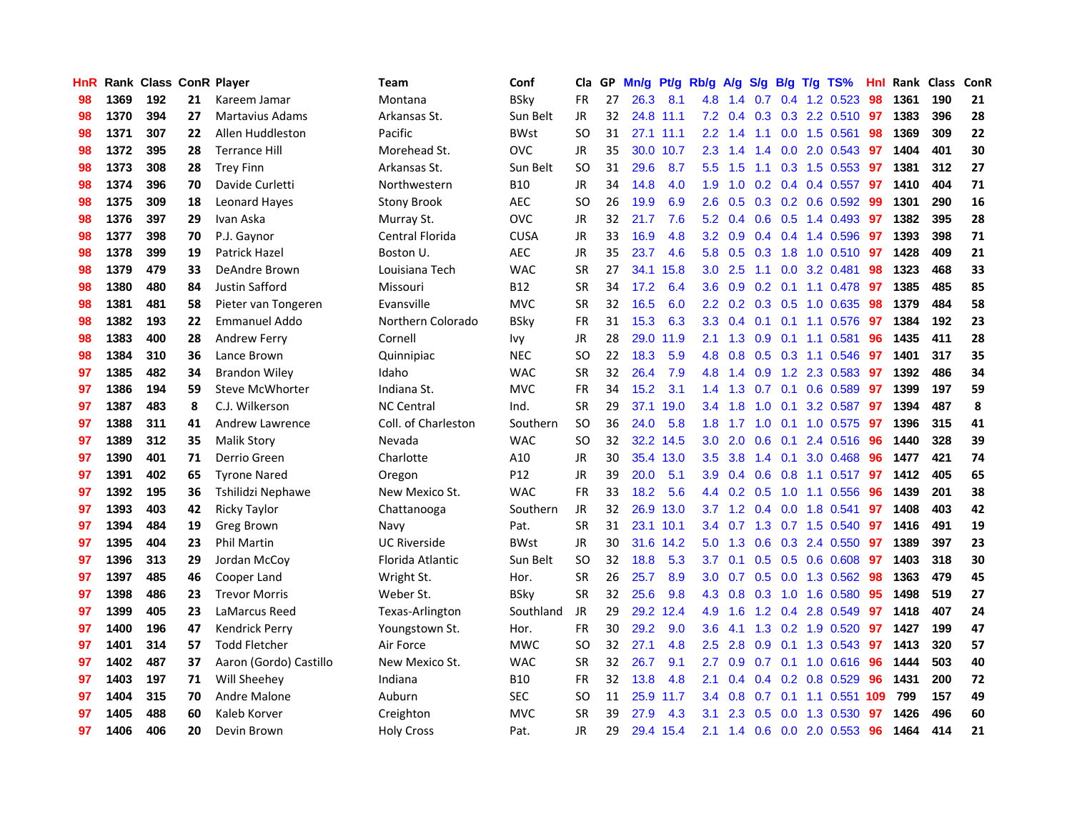| HnR |      |     |    | <b>Rank Class ConR Player</b> | <b>Team</b>         | Conf        | Cla       | GP | Mn/g Pt/g Rb/g A/g S/g B/g T/g TS% |           |                  |           |     |                 |                           | Hnl | Rank Class |     | ConR |
|-----|------|-----|----|-------------------------------|---------------------|-------------|-----------|----|------------------------------------|-----------|------------------|-----------|-----|-----------------|---------------------------|-----|------------|-----|------|
| 98  | 1369 | 192 | 21 | Kareem Jamar                  | Montana             | <b>BSky</b> | <b>FR</b> | 27 | 26.3                               | 8.1       | 4.8              | 1.4       | 0.7 | 0.4             | 1.2 0.523                 | 98  | 1361       | 190 | 21   |
| 98  | 1370 | 394 | 27 | Martavius Adams               | Arkansas St.        | Sun Belt    | <b>JR</b> | 32 |                                    | 24.8 11.1 | 7.2              | 0.4       | 0.3 | 0.3             | 2.2 0.510                 | 97  | 1383       | 396 | 28   |
| 98  | 1371 | 307 | 22 | Allen Huddleston              | Pacific             | <b>BWst</b> | <b>SO</b> | 31 |                                    | 27.1 11.1 | $2.2^{\circ}$    | 1.4       | 1.1 | 0.0             | 1.5 0.561                 | 98  | 1369       | 309 | 22   |
| 98  | 1372 | 395 | 28 | <b>Terrance Hill</b>          | Morehead St.        | <b>OVC</b>  | JR        | 35 |                                    | 30.0 10.7 | 2.3              | 1.4       | 1.4 |                 | 0.0 2.0 0.543             | 97  | 1404       | 401 | 30   |
| 98  | 1373 | 308 | 28 | <b>Trey Finn</b>              | Arkansas St.        | Sun Belt    | <b>SO</b> | 31 | 29.6                               | 8.7       | 5.5              | 1.5       |     |                 | 1.1 0.3 1.5 0.553         | -97 | 1381       | 312 | 27   |
| 98  | 1374 | 396 | 70 | Davide Curletti               | Northwestern        | <b>B10</b>  | JR        | 34 | 14.8                               | 4.0       | 1.9              | 1.0       |     |                 | $0.2$ 0.4 0.4 0.557       | 97  | 1410       | 404 | 71   |
| 98  | 1375 | 309 | 18 | <b>Leonard Hayes</b>          | <b>Stony Brook</b>  | AEC         | <b>SO</b> | 26 | 19.9                               | 6.9       | $2.6\,$          | 0.5       |     |                 | $0.3$ $0.2$ $0.6$ $0.592$ | -99 | 1301       | 290 | 16   |
| 98  | 1376 | 397 | 29 | Ivan Aska                     | Murray St.          | <b>OVC</b>  | <b>JR</b> | 32 | 21.7                               | 7.6       | 5.2 <sub>2</sub> | 0.4       |     |                 | $0.6$ $0.5$ 1.4 $0.493$   | 97  | 1382       | 395 | 28   |
| 98  | 1377 | 398 | 70 | P.J. Gaynor                   | Central Florida     | <b>CUSA</b> | <b>JR</b> | 33 | 16.9                               | 4.8       | 3.2              | 0.9       |     |                 | 0.4 0.4 1.4 0.596         | 97  | 1393       | 398 | 71   |
| 98  | 1378 | 399 | 19 | <b>Patrick Hazel</b>          | Boston U.           | <b>AEC</b>  | JR        | 35 | 23.7                               | 4.6       | 5.8              | 0.5       | 0.3 |                 | 1.8 1.0 0.510             | 97  | 1428       | 409 | 21   |
| 98  | 1379 | 479 | 33 | DeAndre Brown                 | Louisiana Tech      | <b>WAC</b>  | <b>SR</b> | 27 |                                    | 34.1 15.8 | 3.0 <sub>2</sub> | 2.5       | 1.1 | 0.0             | 3.2 0.481                 | 98  | 1323       | 468 | 33   |
| 98  | 1380 | 480 | 84 | Justin Safford                | Missouri            | <b>B12</b>  | <b>SR</b> | 34 | 17.2                               | 6.4       | 3.6 <sup>2</sup> | 0.9       | 0.2 |                 | $0.1$ 1.1 0.478           | 97  | 1385       | 485 | 85   |
| 98  | 1381 | 481 | 58 | Pieter van Tongeren           | Evansville          | <b>MVC</b>  | <b>SR</b> | 32 | 16.5                               | 6.0       | 2.2              | 0.2       |     | $0.3 \quad 0.5$ | 1.0 0.635                 | 98  | 1379       | 484 | 58   |
| 98  | 1382 | 193 | 22 | Emmanuel Addo                 | Northern Colorado   | <b>BSky</b> | <b>FR</b> | 31 | 15.3                               | 6.3       | 3.3              | 0.4       | 0.1 |                 | $0.1$ 1.1 0.576           | 97  | 1384       | 192 | 23   |
| 98  | 1383 | 400 | 28 | Andrew Ferry                  | Cornell             | <b>Ivy</b>  | JR        | 28 |                                    | 29.0 11.9 | 2.1              | 1.3       | 0.9 | 0.1             | 1.1 0.581                 | 96  | 1435       | 411 | 28   |
| 98  | 1384 | 310 | 36 | Lance Brown                   | Quinnipiac          | <b>NEC</b>  | <b>SO</b> | 22 | 18.3                               | 5.9       | 4.8              | 0.8       |     | $0.5 \quad 0.3$ | 1.1 0.546                 | 97  | 1401       | 317 | 35   |
| 97  | 1385 | 482 | 34 | <b>Brandon Wiley</b>          | Idaho               | <b>WAC</b>  | <b>SR</b> | 32 | 26.4                               | 7.9       | 4.8              | 1.4       |     |                 | 0.9 1.2 2.3 0.583         | 97  | 1392       | 486 | 34   |
| 97  | 1386 | 194 | 59 | <b>Steve McWhorter</b>        | Indiana St.         | <b>MVC</b>  | <b>FR</b> | 34 | 15.2                               | 3.1       |                  | $1.4$ 1.3 |     |                 | 0.7 0.1 0.6 0.589         | -97 | 1399       | 197 | 59   |
| 97  | 1387 | 483 | 8  | C.J. Wilkerson                | <b>NC Central</b>   | Ind.        | <b>SR</b> | 29 |                                    | 37.1 19.0 | 3.4              | 1.8       |     |                 | 1.0 0.1 3.2 0.587         | 97  | 1394       | 487 | 8    |
| 97  | 1388 | 311 | 41 | Andrew Lawrence               | Coll. of Charleston | Southern    | <b>SO</b> | 36 | 24.0                               | 5.8       | 1.8              | 1.7       |     |                 | 1.0 0.1 1.0 0.575         | 97  | 1396       | 315 | 41   |
| 97  | 1389 | 312 | 35 | <b>Malik Story</b>            | Nevada              | <b>WAC</b>  | SO.       | 32 |                                    | 32.2 14.5 | 3.0 <sub>1</sub> | 2.0       | 0.6 |                 | $0.1$ 2.4 0.516           | -96 | 1440       | 328 | 39   |
| 97  | 1390 | 401 | 71 | Derrio Green                  | Charlotte           | A10         | <b>JR</b> | 30 |                                    | 35.4 13.0 | 3.5              | 3.8       |     | $1.4 \quad 0.1$ | 3.0 0.468                 | 96  | 1477       | 421 | 74   |
| 97  | 1391 | 402 | 65 | <b>Tyrone Nared</b>           | Oregon              | P12         | <b>JR</b> | 39 | 20.0                               | 5.1       | 3.9              | 0.4       |     |                 | 0.6 0.8 1.1 0.517         | -97 | 1412       | 405 | 65   |
| 97  | 1392 | 195 | 36 | Tshilidzi Nephawe             | New Mexico St.      | <b>WAC</b>  | <b>FR</b> | 33 | 18.2                               | 5.6       | 4.4              | 0.2       | 0.5 |                 | 1.0 1.1 0.556             | 96  | 1439       | 201 | 38   |
| 97  | 1393 | 403 | 42 | <b>Ricky Taylor</b>           | Chattanooga         | Southern    | JR        | 32 |                                    | 26.9 13.0 | 3.7 <sup>2</sup> | 1.2       |     |                 | 0.4 0.0 1.8 0.541         | 97  | 1408       | 403 | 42   |
| 97  | 1394 | 484 | 19 | Greg Brown                    | Navy                | Pat.        | <b>SR</b> | 31 |                                    | 23.1 10.1 | 3.4              | 0.7       |     |                 | 1.3 0.7 1.5 0.540         | 97  | 1416       | 491 | 19   |
| 97  | 1395 | 404 | 23 | <b>Phil Martin</b>            | <b>UC Riverside</b> | <b>BWst</b> | JR        | 30 |                                    | 31.6 14.2 | 5.0              | 1.3       | 0.6 | 0.3             | 2.4 0.550                 | 97  | 1389       | 397 | 23   |
| 97  | 1396 | 313 | 29 | Jordan McCoy                  | Florida Atlantic    | Sun Belt    | <b>SO</b> | 32 | 18.8                               | 5.3       | 3.7              | 0.1       |     |                 | 0.5 0.5 0.6 0.608         | 97  | 1403       | 318 | 30   |
| 97  | 1397 | 485 | 46 | Cooper Land                   | Wright St.          | Hor.        | <b>SR</b> | 26 | 25.7                               | 8.9       | 3.0              | 0.7       |     | $0.5\quad 0.0$  | 1.3 0.562                 | 98  | 1363       | 479 | 45   |
| 97  | 1398 | 486 | 23 | <b>Trevor Morris</b>          | Weber St.           | <b>BSky</b> | <b>SR</b> | 32 | 25.6                               | 9.8       | 4.3              | 0.8       | 0.3 | 1.0             | 1.6 0.580                 | -95 | 1498       | 519 | 27   |
| 97  | 1399 | 405 | 23 | LaMarcus Reed                 | Texas-Arlington     | Southland   | JR        | 29 |                                    | 29.2 12.4 | 4.9              | 1.6       |     |                 | 1.2 0.4 2.8 0.549         | 97  | 1418       | 407 | 24   |
| 97  | 1400 | 196 | 47 | Kendrick Perry                | Youngstown St.      | Hor.        | <b>FR</b> | 30 | 29.2                               | 9.0       | 3.6              | 4.1       |     |                 | 1.3 0.2 1.9 0.520         | 97  | 1427       | 199 | 47   |
| 97  | 1401 | 314 | 57 | <b>Todd Fletcher</b>          | Air Force           | <b>MWC</b>  | <b>SO</b> | 32 | 27.1                               | 4.8       | $2.5\,$          | 2.8       |     |                 | 0.9 0.1 1.3 0.543         | 97  | 1413       | 320 | 57   |
| 97  | 1402 | 487 | 37 | Aaron (Gordo) Castillo        | New Mexico St.      | <b>WAC</b>  | <b>SR</b> | 32 | 26.7                               | 9.1       | 2.7              | 0.9       |     |                 | $0.7$ $0.1$ $1.0$ $0.616$ | 96  | 1444       | 503 | 40   |
| 97  | 1403 | 197 | 71 | Will Sheehey                  | Indiana             | <b>B10</b>  | <b>FR</b> | 32 | 13.8                               | 4.8       | 2.1              | 0.4       |     |                 | $0.4$ 0.2 0.8 0.529       | 96  | 1431       | 200 | 72   |
| 97  | 1404 | 315 | 70 | Andre Malone                  | Auburn              | <b>SEC</b>  | <b>SO</b> | 11 | 25.9                               | 11.7      | 3.4              | 0.8       | 0.7 | 0.1             | 1.1 0.551                 | 109 | 799        | 157 | 49   |
| 97  | 1405 | 488 | 60 | Kaleb Korver                  | Creighton           | <b>MVC</b>  | <b>SR</b> | 39 | 27.9                               | 4.3       | 3.1              | 2.3       | 0.5 | 0.0             | 1.3 0.530                 | 97  | 1426       | 496 | 60   |
| 97  | 1406 | 406 | 20 | Devin Brown                   | <b>Holy Cross</b>   | Pat.        | <b>JR</b> | 29 |                                    | 29.4 15.4 | 2.1              | 1.4       |     |                 | 0.6 0.0 2.0 0.553         | 96  | 1464       | 414 | 21   |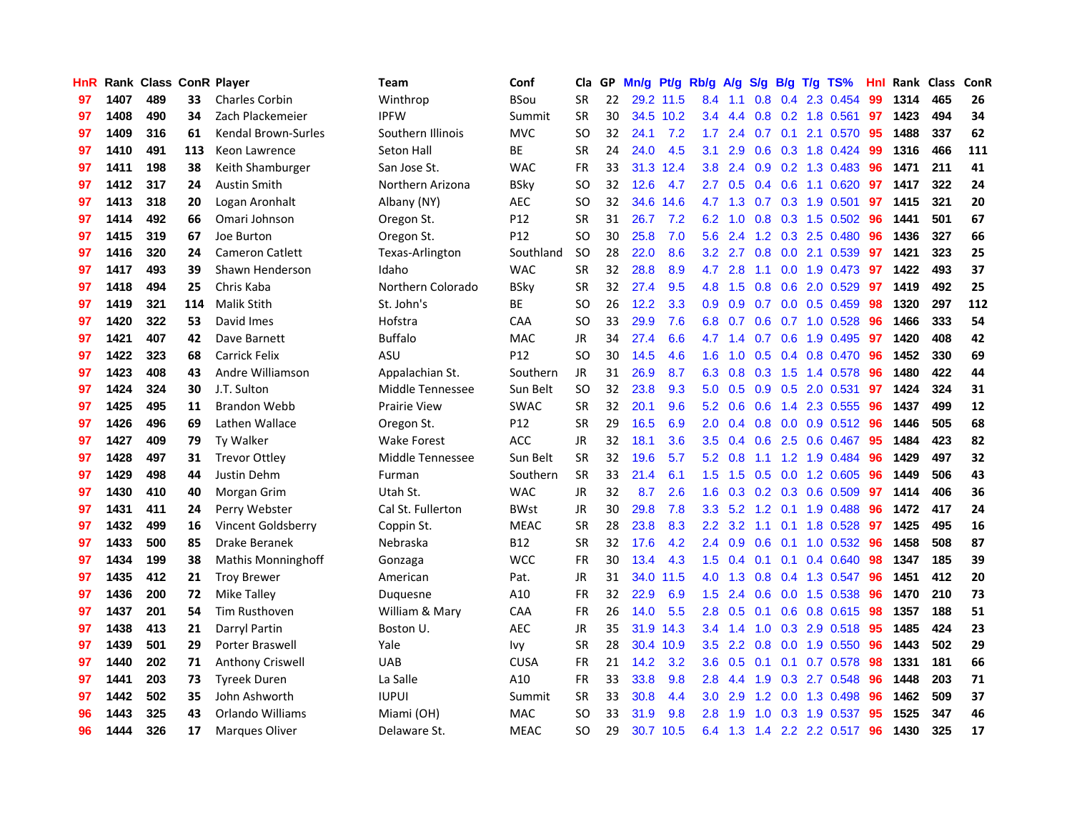| HnR |      | Rank Class ConR Player |     |                           | <b>Team</b>         | Conf        | Cla       |    | GP Mn/g Pt/g Rb/g A/g |           |                  |                 |     |            | S/g B/g T/g TS%           | Hnl | Rank Class |     | <b>ConR</b> |
|-----|------|------------------------|-----|---------------------------|---------------------|-------------|-----------|----|-----------------------|-----------|------------------|-----------------|-----|------------|---------------------------|-----|------------|-----|-------------|
| 97  | 1407 | 489                    | 33  | <b>Charles Corbin</b>     | Winthrop            | <b>BSou</b> | <b>SR</b> | 22 |                       | 29.2 11.5 | 8.4              | 1.1             | 0.8 | 0.4        | 2.3 0.454                 | 99  | 1314       | 465 | 26          |
| 97  | 1408 | 490                    | 34  | Zach Plackemeier          | <b>IPFW</b>         | Summit      | <b>SR</b> | 30 |                       | 34.5 10.2 | 3.4              | 4.4             | 0.8 |            | $0.2$ 1.8 $0.561$         | 97  | 1423       | 494 | 34          |
| 97  | 1409 | 316                    | 61  | Kendal Brown-Surles       | Southern Illinois   | <b>MVC</b>  | <b>SO</b> | 32 | 24.1                  | 7.2       | 1.7              | 2.4             | 0.7 | 0.1        | 2.1 0.570                 | 95  | 1488       | 337 | 62          |
| 97  | 1410 | 491                    | 113 | Keon Lawrence             | Seton Hall          | ВE          | <b>SR</b> | 24 | 24.0                  | 4.5       | 3.1              | 2.9             | 0.6 |            | 0.3 1.8 0.424             | -99 | 1316       | 466 | 111         |
| 97  | 1411 | 198                    | 38  | Keith Shamburger          | San Jose St.        | <b>WAC</b>  | <b>FR</b> | 33 |                       | 31.3 12.4 | 3.8 <sup>°</sup> | 2.4             |     |            | 0.9 0.2 1.3 0.483         | -96 | 1471       | 211 | 41          |
| 97  | 1412 | 317                    | 24  | <b>Austin Smith</b>       | Northern Arizona    | <b>BSky</b> | <b>SO</b> | 32 | 12.6                  | 4.7       | $2.7^{\circ}$    | 0.5             |     |            | $0.4$ 0.6 1.1 0.620       | 97  | 1417       | 322 | 24          |
| 97  | 1413 | 318                    | 20  | Logan Aronhalt            | Albany (NY)         | <b>AEC</b>  | SO.       | 32 | 34.6                  | 14.6      |                  | 4.7 1.3         |     |            | $0.7$ $0.3$ 1.9 $0.501$   | 97  | 1415       | 321 | 20          |
| 97  | 1414 | 492                    | 66  | Omari Johnson             | Oregon St.          | P12         | <b>SR</b> | 31 | 26.7                  | 7.2       | 6.2              | 1.0             |     |            | $0.8$ 0.3 1.5 0.502       | 96  | 1441       | 501 | 67          |
| 97  | 1415 | 319                    | 67  | Joe Burton                | Oregon St.          | P12         | <b>SO</b> | 30 | 25.8                  | 7.0       | 5.6              | 2.4             |     |            | 1.2 0.3 2.5 0.480         | 96  | 1436       | 327 | 66          |
| 97  | 1416 | 320                    | 24  | <b>Cameron Catlett</b>    | Texas-Arlington     | Southland   | <b>SO</b> | 28 | 22.0                  | 8.6       | 3.2 <sub>2</sub> | 2.7             | 0.8 |            | 0.0 2.1 0.539             | 97  | 1421       | 323 | 25          |
| 97  | 1417 | 493                    | 39  | Shawn Henderson           | Idaho               | <b>WAC</b>  | <b>SR</b> | 32 | 28.8                  | 8.9       | 4.7              | 2.8             | 1.1 |            | 0.0 1.9 0.473             | 97  | 1422       | 493 | 37          |
| 97  | 1418 | 494                    | 25  | Chris Kaba                | Northern Colorado   | <b>BSky</b> | <b>SR</b> | 32 | 27.4                  | 9.5       |                  | 4.8 1.5         |     | $0.8\ 0.6$ | 2.0 0.529                 | -97 | 1419       | 492 | 25          |
| 97  | 1419 | 321                    | 114 | <b>Malik Stith</b>        | St. John's          | BE          | SO.       | 26 | 12.2                  | 3.3       | 0.9              | 0.9             | 0.7 | 0.0        | 0.5 0.459                 | 98  | 1320       | 297 | 112         |
| 97  | 1420 | 322                    | 53  | David Imes                | Hofstra             | CAA         | <b>SO</b> | 33 | 29.9                  | 7.6       | 6.8              | 0.7             | 0.6 |            | $0.7$ 1.0 0.528           | 96  | 1466       | 333 | 54          |
| 97  | 1421 | 407                    | 42  | Dave Barnett              | <b>Buffalo</b>      | <b>MAC</b>  | <b>JR</b> | 34 | 27.4                  | 6.6       | 4.7              | 1.4             | 0.7 | 0.6        | 1.9 0.495                 | 97  | 1420       | 408 | 42          |
| 97  | 1422 | 323                    | 68  | <b>Carrick Felix</b>      | ASU                 | P12         | <b>SO</b> | 30 | 14.5                  | 4.6       | 1.6              | 1.0             | 0.5 | 0.4        | 0.8 0.470                 | 96  | 1452       | 330 | 69          |
| 97  | 1423 | 408                    | 43  | Andre Williamson          | Appalachian St.     | Southern    | <b>JR</b> | 31 | 26.9                  | 8.7       | 6.3              | 0.8             | 0.3 | 1.5        | 1.4 0.578                 | -96 | 1480       | 422 | 44          |
| 97  | 1424 | 324                    | 30  | J.T. Sulton               | Middle Tennessee    | Sun Belt    | SO.       | 32 | 23.8                  | 9.3       |                  | $5.0\quad 0.5$  |     |            | 0.9 0.5 2.0 0.531         | 97  | 1424       | 324 | 31          |
| 97  | 1425 | 495                    | 11  | <b>Brandon Webb</b>       | <b>Prairie View</b> | <b>SWAC</b> | <b>SR</b> | 32 | 20.1                  | 9.6       |                  | $5.2 \quad 0.6$ |     |            | 0.6 1.4 2.3 0.555         | 96  | 1437       | 499 | 12          |
| 97  | 1426 | 496                    | 69  | Lathen Wallace            | Oregon St.          | P12         | <b>SR</b> | 29 | 16.5                  | 6.9       | 2.0 <sub>1</sub> | 0.4             |     |            | $0.8$ 0.0 0.9 0.512       | -96 | 1446       | 505 | 68          |
| 97  | 1427 | 409                    | 79  | <b>Ty Walker</b>          | <b>Wake Forest</b>  | <b>ACC</b>  | <b>JR</b> | 32 | 18.1                  | 3.6       | 3.5              | 0.4             |     |            | $0.6$ 2.5 0.6 0.467       | -95 | 1484       | 423 | 82          |
| 97  | 1428 | 497                    | 31  | <b>Trevor Ottley</b>      | Middle Tennessee    | Sun Belt    | SR        | 32 | 19.6                  | 5.7       | 5.2              | 0.8             | 1.1 |            | 1.2 1.9 0.484             | 96  | 1429       | 497 | 32          |
| 97  | 1429 | 498                    | 44  | Justin Dehm               | Furman              | Southern    | <b>SR</b> | 33 | 21.4                  | 6.1       | 1.5              | 1.5             |     |            | 0.5 0.0 1.2 0.605         | 96  | 1449       | 506 | 43          |
| 97  | 1430 | 410                    | 40  | Morgan Grim               | Utah St.            | <b>WAC</b>  | JR        | 32 | 8.7                   | 2.6       | 1.6              | 0.3             |     |            | $0.2$ $0.3$ $0.6$ $0.509$ | 97  | 1414       | 406 | 36          |
| 97  | 1431 | 411                    | 24  | Perry Webster             | Cal St. Fullerton   | <b>BWst</b> | JR        | 30 | 29.8                  | 7.8       | 3.3 <sub>2</sub> | 5.2             |     |            | 1.2 0.1 1.9 0.488         | 96  | 1472       | 417 | 24          |
| 97  | 1432 | 499                    | 16  | Vincent Goldsberry        | Coppin St.          | <b>MEAC</b> | <b>SR</b> | 28 | 23.8                  | 8.3       | $2.2^{\circ}$    | 3.2             | 1.1 | 0.1        | 1.8 0.528                 | -97 | 1425       | 495 | 16          |
| 97  | 1433 | 500                    | 85  | Drake Beranek             | Nebraska            | <b>B12</b>  | <b>SR</b> | 32 | 17.6                  | 4.2       | 2.4              | 0.9             | 0.6 |            | $0.1$ 1.0 $0.532$         | 96  | 1458       | 508 | 87          |
| 97  | 1434 | 199                    | 38  | <b>Mathis Monninghoff</b> | Gonzaga             | <b>WCC</b>  | <b>FR</b> | 30 | 13.4                  | 4.3       | 1.5              | 0.4             | 0.1 | 0.1        | 0.4 0.640                 | 98  | 1347       | 185 | 39          |
| 97  | 1435 | 412                    | 21  | <b>Troy Brewer</b>        | American            | Pat.        | <b>JR</b> | 31 | 34.0                  | 11.5      | 4.0              | 1.3             | 0.8 | 0.4        | 1.3 0.547                 | 96  | 1451       | 412 | 20          |
| 97  | 1436 | 200                    | 72  | Mike Talley               | Duguesne            | A10         | <b>FR</b> | 32 | 22.9                  | 6.9       | 1.5              | 2.4             | 0.6 | 0.0        | 1.5 0.538                 | -96 | 1470       | 210 | 73          |
| 97  | 1437 | 201                    | 54  | <b>Tim Rusthoven</b>      | William & Mary      | <b>CAA</b>  | <b>FR</b> | 26 | 14.0                  | 5.5       | 2.8              | 0.5             |     |            | $0.1$ 0.6 0.8 0.615       | -98 | 1357       | 188 | 51          |
| 97  | 1438 | 413                    | 21  | Darryl Partin             | Boston U.           | <b>AEC</b>  | <b>JR</b> | 35 |                       | 31.9 14.3 |                  | 3.4 1.4         |     |            | 1.0 0.3 2.9 0.518         | -95 | 1485       | 424 | 23          |
| 97  | 1439 | 501                    | 29  | Porter Braswell           | Yale                | lvy         | <b>SR</b> | 28 |                       | 30.4 10.9 | 3.5              | 2.2             |     |            | 0.8 0.0 1.9 0.550         | 96  | 1443       | 502 | 29          |
| 97  | 1440 | 202                    | 71  | Anthony Criswell          | <b>UAB</b>          | <b>CUSA</b> | <b>FR</b> | 21 | 14.2                  | 3.2       | 3.6              | 0.5             | 0.1 |            | $0.1$ 0.7 0.578           | 98  | 1331       | 181 | 66          |
| 97  | 1441 | 203                    | 73  | <b>Tyreek Duren</b>       | La Salle            | A10         | <b>FR</b> | 33 | 33.8                  | 9.8       | 2.8              | 4.4             | 1.9 |            | 0.3 2.7 0.548             | 96  | 1448       | 203 | 71          |
| 97  | 1442 | 502                    | 35  | John Ashworth             | <b>IUPUI</b>        | Summit      | <b>SR</b> | 33 | 30.8                  | 4.4       | 3.0              | 2.9             | 1.2 | 0.0        | 1.3 0.498                 | 96  | 1462       | 509 | 37          |
| 96  | 1443 | 325                    | 43  | Orlando Williams          | Miami (OH)          | <b>MAC</b>  | <b>SO</b> | 33 | 31.9                  | 9.8       | 2.8              | 1.9             | 1.0 | 0.3        | 1.9 0.537                 | 95  | 1525       | 347 | 46          |
| 96  | 1444 | 326                    | 17  | <b>Marques Oliver</b>     | Delaware St.        | <b>MEAC</b> | SO        | 29 |                       | 30.7 10.5 |                  |                 |     |            | 6.4 1.3 1.4 2.2 2.2 0.517 | 96  | 1430       | 325 | 17          |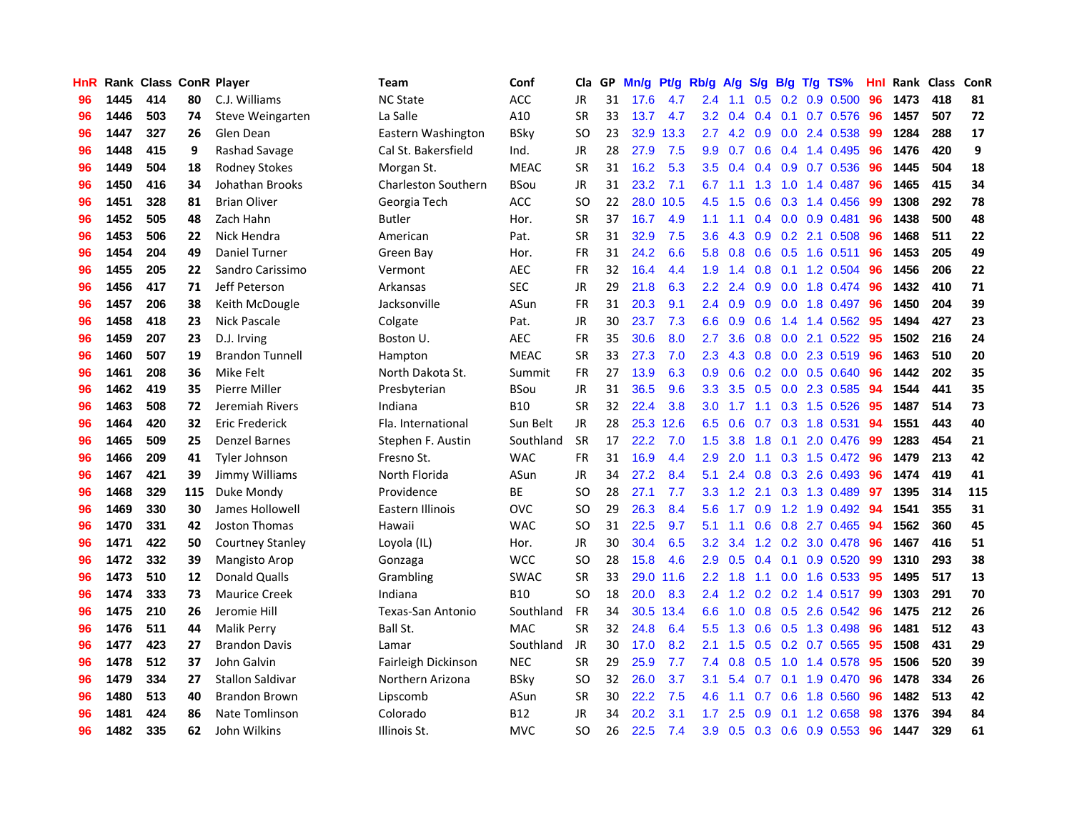| <b>HnR</b> |      | Rank Class ConR Player |     |                         | <b>Team</b>                | Conf        | Cla       |    | GP Mn/g Pt/g Rb/g A/g |           |                  |                 |                  |                 | S/g B/g T/g TS%           | Hnl | Rank Class |     | ConR |
|------------|------|------------------------|-----|-------------------------|----------------------------|-------------|-----------|----|-----------------------|-----------|------------------|-----------------|------------------|-----------------|---------------------------|-----|------------|-----|------|
| 96         | 1445 | 414                    | 80  | C.J. Williams           | <b>NC State</b>            | ACC         | JR        | 31 | 17.6                  | 4.7       | 2.4              | 1.1             | 0.5              | 0.2             | 0.9 0.500                 | 96  | 1473       | 418 | 81   |
| 96         | 1446 | 503                    | 74  | Steve Weingarten        | La Salle                   | A10         | <b>SR</b> | 33 | 13.7                  | 4.7       | $3.2\phantom{0}$ | 0.4             |                  | $0.4 \quad 0.1$ | 0.7 0.576                 | 96  | 1457       | 507 | 72   |
| 96         | 1447 | 327                    | 26  | Glen Dean               | Eastern Washington         | <b>BSky</b> | <b>SO</b> | 23 | 32.9                  | 13.3      | 2.7              | 4.2             | 0.9              | 0.0             | 2.4 0.538                 | 99  | 1284       | 288 | 17   |
| 96         | 1448 | 415                    | 9   | Rashad Savage           | Cal St. Bakersfield        | Ind.        | JR        | 28 | 27.9                  | 7.5       | 9.9              | 0.7             |                  |                 | 0.6 0.4 1.4 0.495         | -96 | 1476       | 420 | 9    |
| 96         | 1449 | 504                    | 18  | <b>Rodney Stokes</b>    | Morgan St.                 | <b>MEAC</b> | <b>SR</b> | 31 | 16.2                  | 5.3       |                  | $3.5 \quad 0.4$ |                  |                 | 0.4 0.9 0.7 0.536         | -96 | 1445       | 504 | 18   |
| 96         | 1450 | 416                    | 34  | Johathan Brooks         | <b>Charleston Southern</b> | <b>BSou</b> | JR        | 31 | 23.2                  | 7.1       | 6.7              | 1.1             |                  | $1.3 \quad 1.0$ | 1.4 0.487                 | 96  | 1465       | 415 | 34   |
| 96         | 1451 | 328                    | 81  | <b>Brian Oliver</b>     | Georgia Tech               | <b>ACC</b>  | <b>SO</b> | 22 |                       | 28.0 10.5 | 4.5              | 1.5             |                  |                 | $0.6$ $0.3$ 1.4 $0.456$   | -99 | 1308       | 292 | 78   |
| 96         | 1452 | 505                    | 48  | Zach Hahn               | Butler                     | Hor.        | <b>SR</b> | 37 | 16.7                  | 4.9       | 1.1              | 1.1             |                  |                 | $0.4$ 0.0 0.9 0.481       | 96  | 1438       | 500 | 48   |
| 96         | 1453 | 506                    | 22  | Nick Hendra             | American                   | Pat.        | <b>SR</b> | 31 | 32.9                  | 7.5       | 3.6              | 4.3             |                  |                 | 0.9 0.2 2.1 0.508         | 96  | 1468       | 511 | 22   |
| 96         | 1454 | 204                    | 49  | Daniel Turner           | Green Bay                  | Hor.        | <b>FR</b> | 31 | 24.2                  | 6.6       | 5.8              | 0.8             |                  | $0.6$ 0.5       | 1.6 0.511                 | 96  | 1453       | 205 | 49   |
| 96         | 1455 | 205                    | 22  | Sandro Carissimo        | Vermont                    | <b>AEC</b>  | FR        | 32 | 16.4                  | 4.4       | 1.9              | 1.4             | 0.8              | 0.1             | 1.2 0.504                 | 96  | 1456       | 206 | 22   |
| 96         | 1456 | 417                    | 71  | Jeff Peterson           | Arkansas                   | <b>SEC</b>  | JR        | 29 | 21.8                  | 6.3       | $2.2\phantom{0}$ | 2.4             | 0.9              | 0.0             | 1.8 0.474                 | 96  | 1432       | 410 | 71   |
| 96         | 1457 | 206                    | 38  | Keith McDougle          | Jacksonville               | ASun        | <b>FR</b> | 31 | 20.3                  | 9.1       | 2.4              | 0.9             | 0.9 <sub>0</sub> | 0.0             | 1.8 0.497                 | 96  | 1450       | 204 | 39   |
| 96         | 1458 | 418                    | 23  | Nick Pascale            | Colgate                    | Pat.        | JR        | 30 | 23.7                  | 7.3       | 6.6              | 0.9             | 0.6              | 1.4             | 1.4 0.562                 | 95  | 1494       | 427 | 23   |
| 96         | 1459 | 207                    | 23  | D.J. Irving             | Boston U.                  | AEC         | <b>FR</b> | 35 | 30.6                  | 8.0       | 2.7              | 3.6             | 0.8              | 0.0             | 2.1 0.522                 | 95  | 1502       | 216 | 24   |
| 96         | 1460 | 507                    | 19  | <b>Brandon Tunnell</b>  | Hampton                    | <b>MEAC</b> | <b>SR</b> | 33 | 27.3                  | 7.0       | 2.3              | 4.3             | 0.8              | 0.0             | 2.3 0.519                 | 96  | 1463       | 510 | 20   |
| 96         | 1461 | 208                    | 36  | Mike Felt               | North Dakota St.           | Summit      | <b>FR</b> | 27 | 13.9                  | 6.3       | 0.9              | 0.6             |                  |                 | 0.2 0.0 0.5 0.640         | -96 | 1442       | 202 | 35   |
| 96         | 1462 | 419                    | 35  | Pierre Miller           | Presbyterian               | <b>BSou</b> | JR        | 31 | 36.5                  | 9.6       | 3.3 <sub>2</sub> | 3.5             |                  |                 | 0.5 0.0 2.3 0.585         | 94  | 1544       | 441 | 35   |
| 96         | 1463 | 508                    | 72  | Jeremiah Rivers         | Indiana                    | <b>B10</b>  | <b>SR</b> | 32 | 22.4                  | 3.8       |                  | $3.0 \quad 1.7$ |                  |                 | 1.1 0.3 1.5 0.526         | -95 | 1487       | 514 | 73   |
| 96         | 1464 | 420                    | 32  | Eric Frederick          | Fla. International         | Sun Belt    | JR        | 28 |                       | 25.3 12.6 | 6.5              | 0.6             |                  |                 | $0.7$ $0.3$ 1.8 $0.531$   | 94  | 1551       | 443 | 40   |
| 96         | 1465 | 509                    | 25  | <b>Denzel Barnes</b>    | Stephen F. Austin          | Southland   | <b>SR</b> | 17 | 22.2                  | 7.0       | 1.5              | 3.8             | 1.8              |                 | $0.1$ 2.0 0.476           | -99 | 1283       | 454 | 21   |
| 96         | 1466 | 209                    | 41  | <b>Tyler Johnson</b>    | Fresno St.                 | <b>WAC</b>  | FR        | 31 | 16.9                  | 4.4       | 2.9              | 2.0             | 1.1              |                 | 0.3 1.5 0.472             | 96  | 1479       | 213 | 42   |
| 96         | 1467 | 421                    | 39  | Jimmy Williams          | North Florida              | ASun        | <b>JR</b> | 34 | 27.2                  | 8.4       | 5.1              | 2.4             |                  |                 | $0.8$ $0.3$ 2.6 0.493     | 96  | 1474       | 419 | 41   |
| 96         | 1468 | 329                    | 115 | Duke Mondy              | Providence                 | ВE          | <b>SO</b> | 28 | 27.1                  | 7.7       | 3.3              | 1.2             | 2.1              |                 | 0.3 1.3 0.489             | 97  | 1395       | 314 | 115  |
| 96         | 1469 | 330                    | 30  | James Hollowell         | Eastern Illinois           | <b>OVC</b>  | SO        | 29 | 26.3                  | 8.4       | 5.6              | 1.7             | 0.9              |                 | 1.2 1.9 0.492             | -94 | 1541       | 355 | 31   |
| 96         | 1470 | 331                    | 42  | Joston Thomas           | Hawaii                     | <b>WAC</b>  | <b>SO</b> | 31 | 22.5                  | 9.7       | 5.1              | 1.1             | 0.6 <sub>0</sub> | 0.8             | 2.7 0.465                 | -94 | 1562       | 360 | 45   |
| 96         | 1471 | 422                    | 50  | Courtney Stanley        | Loyola (IL)                | Hor.        | <b>JR</b> | 30 | 30.4                  | 6.5       | 3.2 <sub>2</sub> | 3.4             |                  | $1.2 \quad 0.2$ | 3.0 0.478                 | -96 | 1467       | 416 | 51   |
| 96         | 1472 | 332                    | 39  | Mangisto Arop           | Gonzaga                    | <b>WCC</b>  | <b>SO</b> | 28 | 15.8                  | 4.6       | 2.9              | 0.5             |                  | $0.4 \quad 0.1$ | 0.9 0.520                 | -99 | 1310       | 293 | 38   |
| 96         | 1473 | 510                    | 12  | Donald Qualls           | Grambling                  | <b>SWAC</b> | <b>SR</b> | 33 | 29.0                  | 11.6      | 2.2 <sub>2</sub> | 1.8             | 1.1              | 0.0             | 1.6 0.533                 | -95 | 1495       | 517 | 13   |
| 96         | 1474 | 333                    | 73  | <b>Maurice Creek</b>    | Indiana                    | <b>B10</b>  | <b>SO</b> | 18 | 20.0                  | 8.3       | 2.4              | 1.2             |                  | $0.2 \quad 0.2$ | 1.4 0.517                 | -99 | 1303       | 291 | 70   |
| 96         | 1475 | 210                    | 26  | Jeromie Hill            | <b>Texas-San Antonio</b>   | Southland   | <b>FR</b> | 34 | 30.5                  | 13.4      | 6.6              | 1.0             | 0.8              |                 | 0.5 2.6 0.542             | 96  | 1475       | 212 | 26   |
| 96         | 1476 | 511                    | 44  | <b>Malik Perry</b>      | Ball St.                   | <b>MAC</b>  | <b>SR</b> | 32 | 24.8                  | 6.4       | 5.5              | 1.3             |                  |                 | $0.6$ $0.5$ 1.3 0.498     | -96 | 1481       | 512 | 43   |
| 96         | 1477 | 423                    | 27  | <b>Brandon Davis</b>    | Lamar                      | Southland   | JR        | 30 | 17.0                  | 8.2       | 2.1              | 1.5             |                  |                 | $0.5$ $0.2$ $0.7$ $0.565$ | -95 | 1508       | 431 | 29   |
| 96         | 1478 | 512                    | 37  | John Galvin             | Fairleigh Dickinson        | <b>NEC</b>  | <b>SR</b> | 29 | 25.9                  | 7.7       | 7.4              | 0.8             | 0.5              | 1.0             | 1.4 0.578                 | -95 | 1506       | 520 | 39   |
| 96         | 1479 | 334                    | 27  | <b>Stallon Saldivar</b> | Northern Arizona           | <b>BSkv</b> | <b>SO</b> | 32 | 26.0                  | 3.7       | 3.1              | 5.4             | 0.7              |                 | $0.1$ 1.9 $0.470$         | 96  | 1478       | 334 | 26   |
| 96         | 1480 | 513                    | 40  | <b>Brandon Brown</b>    | Lipscomb                   | ASun        | <b>SR</b> | 30 | 22.2                  | 7.5       | 4.6              | 1.1             | 0.7              | 0.6             | 1.8 0.560                 | 96  | 1482       | 513 | 42   |
| 96         | 1481 | 424                    | 86  | Nate Tomlinson          | Colorado                   | B12         | <b>JR</b> | 34 | 20.2                  | 3.1       | 1.7              | 2.5             | 0.9              | 0.1             | 1.2 0.658                 | 98  | 1376       | 394 | 84   |
| 96         | 1482 | 335                    | 62  | John Wilkins            | Illinois St.               | <b>MVC</b>  | SO.       | 26 | 22.5                  | 7.4       | 3.9              | 0.5             |                  |                 | $0.3$ 0.6 0.9 0.553       | 96  | 1447       | 329 | 61   |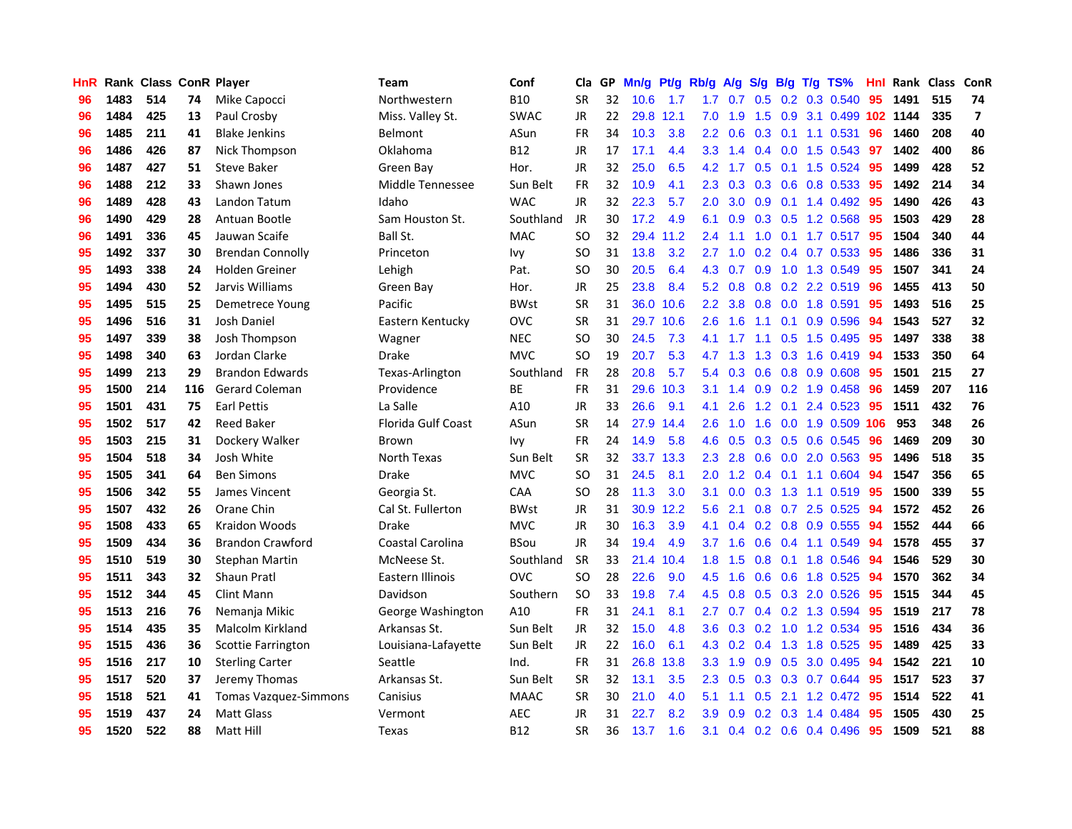| HnR. |      |     |     | Rank Class ConR Player       | Team                      | Conf        | Cla       | GP. | Mn/g Pt/g Rb/g A/g S/g B/g T/g TS% |           |                  |         |                  |                |                           | Hnl | Rank Class |     | <b>ConR</b>              |
|------|------|-----|-----|------------------------------|---------------------------|-------------|-----------|-----|------------------------------------|-----------|------------------|---------|------------------|----------------|---------------------------|-----|------------|-----|--------------------------|
| 96   | 1483 | 514 | 74  | Mike Capocci                 | Northwestern              | <b>B10</b>  | <b>SR</b> | 32  | 10.6                               | 1.7       | 1.7              | 0.7     | 0.5              | 0.2            | 0.3 0.540                 | 95  | 1491       | 515 | 74                       |
| 96   | 1484 | 425 | 13  | Paul Crosby                  | Miss. Valley St.          | <b>SWAC</b> | <b>JR</b> | 22  |                                    | 29.8 12.1 | 7.0              | 1.9     | 1.5              | 0.9            | 3.1 0.499 102 1144        |     |            | 335 | $\overline{\phantom{a}}$ |
| 96   | 1485 | 211 | 41  | <b>Blake Jenkins</b>         | Belmont                   | ASun        | <b>FR</b> | 34  | 10.3                               | 3.8       | $2.2\phantom{0}$ | 0.6     | 0.3              | 0.1            | 1.1 0.531                 | 96  | 1460       | 208 | 40                       |
| 96   | 1486 | 426 | 87  | Nick Thompson                | Oklahoma                  | <b>B12</b>  | <b>JR</b> | 17  | 17.1                               | 4.4       | 3.3 <sub>2</sub> | 1.4     |                  | $0.4\quad 0.0$ | 1.5 0.543                 | -97 | 1402       | 400 | 86                       |
| 96   | 1487 | 427 | 51  | <b>Steve Baker</b>           | Green Bay                 | Hor.        | JR        | 32  | 25.0                               | 6.5       | 4.2              | 1.7     |                  |                | 0.5 0.1 1.5 0.524         | -95 | 1499       | 428 | 52                       |
| 96   | 1488 | 212 | 33  | Shawn Jones                  | Middle Tennessee          | Sun Belt    | <b>FR</b> | 32  | 10.9                               | 4.1       | $2.3\phantom{0}$ | 0.3     |                  |                | $0.3$ $0.6$ $0.8$ $0.533$ | -95 | 1492       | 214 | 34                       |
| 96   | 1489 | 428 | 43  | Landon Tatum                 | Idaho                     | <b>WAC</b>  | <b>JR</b> | 32  | 22.3                               | 5.7       | 2.0 <sub>1</sub> | 3.0     |                  |                | $0.9$ 0.1 1.4 0.492       | 95  | 1490       | 426 | 43                       |
| 96   | 1490 | 429 | 28  | Antuan Bootle                | Sam Houston St.           | Southland   | JR        | 30  | 17.2                               | 4.9       | 6.1              | 0.9     |                  |                | $0.3$ $0.5$ 1.2 $0.568$   | 95  | 1503       | 429 | 28                       |
| 96   | 1491 | 336 | 45  | Jauwan Scaife                | Ball St.                  | <b>MAC</b>  | <b>SO</b> | 32  |                                    | 29.4 11.2 | 2.4              | 1.1     | 1.0              |                | $0.1$ 1.7 0.517           | 95  | 1504       | 340 | 44                       |
| 95   | 1492 | 337 | 30  | <b>Brendan Connolly</b>      | Princeton                 | <b>Ivy</b>  | <b>SO</b> | 31  | 13.8                               | 3.2       | 2.7              | 1.0     |                  |                | 0.2 0.4 0.7 0.533         | 95  | 1486       | 336 | 31                       |
| 95   | 1493 | 338 | 24  | Holden Greiner               | Lehigh                    | Pat.        | <b>SO</b> | 30  | 20.5                               | 6.4       | 4.3              | 0.7     | 0.9 <sup>°</sup> |                | 1.0 1.3 0.549             | 95  | 1507       | 341 | 24                       |
| 95   | 1494 | 430 | 52  | Jarvis Williams              | Green Bay                 | Hor.        | JR        | 25  | 23.8                               | 8.4       | 5.2              | 0.8     |                  |                | 0.8 0.2 2.2 0.519         | 96  | 1455       | 413 | 50                       |
| 95   | 1495 | 515 | 25  | Demetrece Young              | Pacific                   | <b>BWst</b> | <b>SR</b> | 31  |                                    | 36.0 10.6 | $2.2^{\circ}$    | 3.8     |                  | $0.8\ 0.0$     | 1.8 0.591                 | 95  | 1493       | 516 | 25                       |
| 95   | 1496 | 516 | 31  | Josh Daniel                  | Eastern Kentucky          | <b>OVC</b>  | <b>SR</b> | 31  |                                    | 29.7 10.6 | 2.6              | 1.6     | 1.1              | 0.1            | 0.9 0.596                 | 94  | 1543       | 527 | 32                       |
| 95   | 1497 | 339 | 38  | Josh Thompson                | Wagner                    | <b>NEC</b>  | <b>SO</b> | 30  | 24.5                               | 7.3       | 4.1              | 1.7     | 1.1              | 0.5            | 1.5 0.495                 | 95  | 1497       | 338 | 38                       |
| 95   | 1498 | 340 | 63  | Jordan Clarke                | <b>Drake</b>              | <b>MVC</b>  | <b>SO</b> | 19  | 20.7                               | 5.3       | 4.7              | 1.3     | 1.3              | 0.3            | 1.6 0.419                 | 94  | 1533       | 350 | 64                       |
| 95   | 1499 | 213 | 29  | <b>Brandon Edwards</b>       | Texas-Arlington           | Southland   | <b>FR</b> | 28  | 20.8                               | 5.7       | 5.4              | 0.3     | 0.6              | 0.8            | 0.9 0.608                 | -95 | 1501       | 215 | 27                       |
| 95   | 1500 | 214 | 116 | <b>Gerard Coleman</b>        | Providence                | ВE          | <b>FR</b> | 31  |                                    | 29.6 10.3 | 3.1              | 1.4     |                  |                | $0.9$ $0.2$ 1.9 $0.458$   | -96 | 1459       | 207 | 116                      |
| 95   | 1501 | 431 | 75  | <b>Earl Pettis</b>           | La Salle                  | A10         | <b>JR</b> | 33  | 26.6                               | 9.1       | 4.1              | 2.6     |                  |                | 1.2 0.1 2.4 0.523         | -95 | 1511       | 432 | 76                       |
| 95   | 1502 | 517 | 42  | <b>Reed Baker</b>            | <b>Florida Gulf Coast</b> | ASun        | <b>SR</b> | 14  |                                    | 27.9 14.4 | 2.6              | 1.0     |                  |                | 1.6 0.0 1.9 0.509 106     |     | 953        | 348 | 26                       |
| 95   | 1503 | 215 | 31  | Dockery Walker               | Brown                     | Ivy         | <b>FR</b> | 24  | 14.9                               | 5.8       | 4.6              | 0.5     |                  |                | 0.3 0.5 0.6 0.545         | 96  | 1469       | 209 | 30                       |
| 95   | 1504 | 518 | 34  | Josh White                   | North Texas               | Sun Belt    | <b>SR</b> | 32  |                                    | 33.7 13.3 | $2.3^{\circ}$    | 2.8     |                  |                | 0.6 0.0 2.0 0.563         | 95  | 1496       | 518 | 35                       |
| 95   | 1505 | 341 | 64  | <b>Ben Simons</b>            | <b>Drake</b>              | <b>MVC</b>  | <b>SO</b> | 31  | 24.5                               | 8.1       | 2.0              | 1.2     |                  |                | $0.4$ 0.1 1.1 0.604       | -94 | 1547       | 356 | 65                       |
| 95   | 1506 | 342 | 55  | James Vincent                | Georgia St.               | CAA         | <b>SO</b> | 28  | 11.3                               | 3.0       | 3.1              | 0.0     | 0.3              |                | 1.3 1.1 0.519             | 95  | 1500       | 339 | 55                       |
| 95   | 1507 | 432 | 26  | Orane Chin                   | Cal St. Fullerton         | <b>BWst</b> | JR        | 31  |                                    | 30.9 12.2 | 5.6              | 2.1     |                  |                | 0.8 0.7 2.5 0.525         | 94  | 1572       | 452 | 26                       |
| 95   | 1508 | 433 | 65  | Kraidon Woods                | <b>Drake</b>              | <b>MVC</b>  | <b>JR</b> | 30  | 16.3                               | 3.9       | 4.1              | 0.4     |                  |                | $0.2$ $0.8$ $0.9$ $0.555$ | 94  | 1552       | 444 | 66                       |
| 95   | 1509 | 434 | 36  | <b>Brandon Crawford</b>      | Coastal Carolina          | <b>BSou</b> | JR.       | 34  | 19.4                               | 4.9       | 3.7 <sup>2</sup> | 1.6     | 0.6              | 0.4            | 1.1 0.549                 | 94  | 1578       | 455 | 37                       |
| 95   | 1510 | 519 | 30  | Stephan Martin               | McNeese St.               | Southland   | <b>SR</b> | 33  |                                    | 21.4 10.4 | 1.8              | 1.5     | 0.8              |                | $0.1$ 1.8 $0.546$         | -94 | 1546       | 529 | 30                       |
| 95   | 1511 | 343 | 32  | Shaun Pratl                  | Eastern Illinois          | <b>OVC</b>  | <b>SO</b> | 28  | 22.6                               | 9.0       | 4.5              | 1.6     | 0.6              | 0.6            | 1.8 0.525                 | 94  | 1570       | 362 | 34                       |
| 95   | 1512 | 344 | 45  | Clint Mann                   | Davidson                  | Southern    | <b>SO</b> | 33  | 19.8                               | 7.4       | 4.5              | 0.8     |                  |                | 0.5 0.3 2.0 0.526         | 95  | 1515       | 344 | 45                       |
| 95   | 1513 | 216 | 76  | Nemanja Mikic                | George Washington         | A10         | <b>FR</b> | 31  | 24.1                               | 8.1       | $2.7^{\circ}$    | 0.7     |                  |                | 0.4 0.2 1.3 0.594         | 95  | 1519       | 217 | 78                       |
| 95   | 1514 | 435 | 35  | Malcolm Kirkland             | Arkansas St.              | Sun Belt    | JR        | 32  | 15.0                               | 4.8       | 3.6 <sup>2</sup> | 0.3     |                  |                | 0.2 1.0 1.2 0.534         | -95 | 1516       | 434 | 36                       |
| 95   | 1515 | 436 | 36  | Scottie Farrington           | Louisiana-Lafayette       | Sun Belt    | <b>JR</b> | 22  | 16.0                               | 6.1       |                  | 4.3 0.2 |                  |                | 0.4 1.3 1.8 0.525         | -95 | 1489       | 425 | 33                       |
| 95   | 1516 | 217 | 10  | <b>Sterling Carter</b>       | Seattle                   | Ind.        | <b>FR</b> | 31  | 26.8                               | 13.8      | 3.3              | 1.9     | 0.9 <sup>°</sup> | 0.5            | 3.0 0.495                 | 94  | 1542       | 221 | 10                       |
| 95   | 1517 | 520 | 37  | Jeremy Thomas                | Arkansas St.              | Sun Belt    | <b>SR</b> | 32  | 13.1                               | 3.5       | 2.3              | 0.5     |                  |                | 0.3 0.3 0.7 0.644         | 95  | 1517       | 523 | 37                       |
| 95   | 1518 | 521 | 41  | <b>Tomas Vazquez-Simmons</b> | Canisius                  | <b>MAAC</b> | <b>SR</b> | 30  | 21.0                               | 4.0       | 5.1              | 1.1     | 0.5              | 2.1            | 1.2 0.472                 | 95  | 1514       | 522 | 41                       |
| 95   | 1519 | 437 | 24  | <b>Matt Glass</b>            | Vermont                   | AEC         | <b>JR</b> | 31  | 22.7                               | 8.2       | 3.9              | 0.9     | 0.2              | 0.3            | 1.4 0.484                 | 95  | 1505       | 430 | 25                       |
| 95   | 1520 | 522 | 88  | Matt Hill                    | Texas                     | <b>B12</b>  | <b>SR</b> | 36  | 13.7                               | 1.6       | 3.1              |         |                  |                | $0.4$ 0.2 0.6 0.4 0.496   | 95  | 1509       | 521 | 88                       |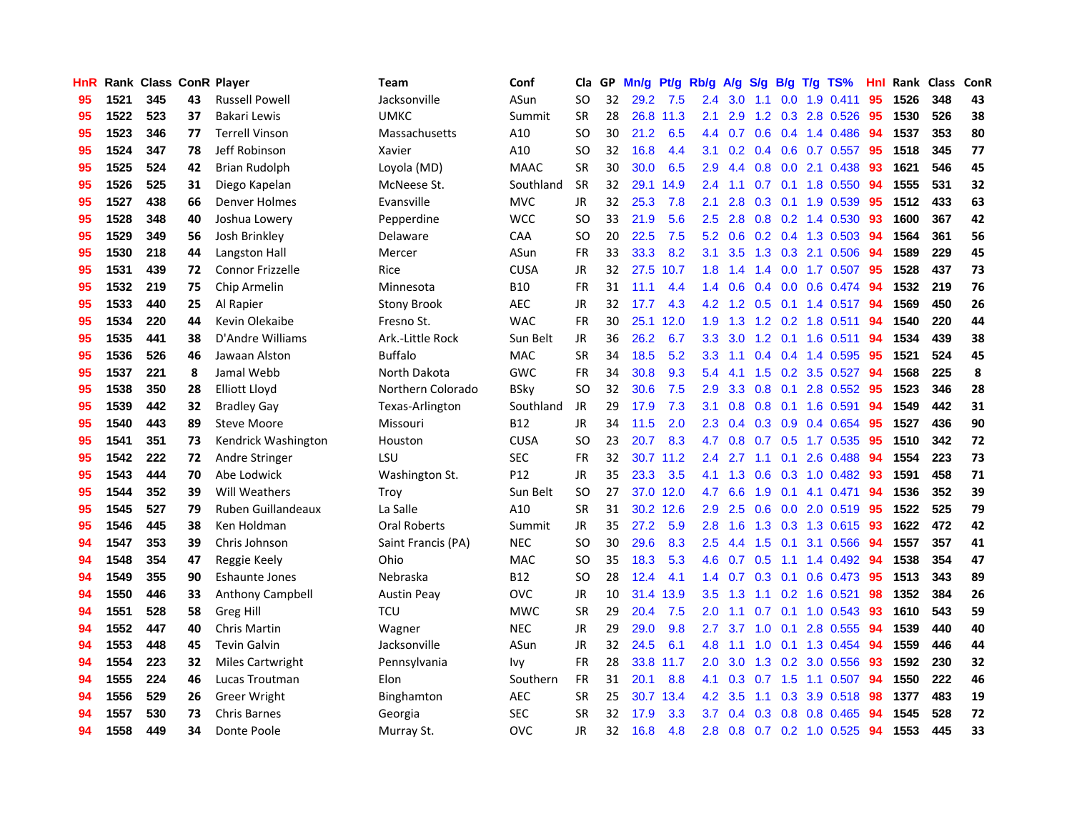| HnR |      | Rank Class ConR Player |    |                           | Team                | Conf        | Cla       |    | GP Mn/g Pt/g Rb/g A/g S/g |           |               |                                      |     |                 | B/g T/g TS%         | Hnl | Rank Class |     | ConR |
|-----|------|------------------------|----|---------------------------|---------------------|-------------|-----------|----|---------------------------|-----------|---------------|--------------------------------------|-----|-----------------|---------------------|-----|------------|-----|------|
| 95  | 1521 | 345                    | 43 | <b>Russell Powell</b>     | Jacksonville        | ASun        | SO.       | 32 | 29.2                      | 7.5       | 2.4           | 3.0                                  | 1.1 | 0.0             | 1.9 0.411           | 95  | 1526       | 348 | 43   |
| 95  | 1522 | 523                    | 37 | Bakari Lewis              | <b>UMKC</b>         | Summit      | <b>SR</b> | 28 |                           | 26.8 11.3 | 2.1           | 2.9                                  | 1.2 | 0.3             | 2.8 0.526           | 95  | 1530       | 526 | 38   |
| 95  | 1523 | 346                    | 77 | <b>Terrell Vinson</b>     | Massachusetts       | A10         | SO.       | 30 | 21.2                      | 6.5       | 4.4           | 0.7                                  |     | $0.6 \quad 0.4$ | 1.4 0.486           | 94  | 1537       | 353 | 80   |
| 95  | 1524 | 347                    | 78 | Jeff Robinson             | Xavier              | A10         | <b>SO</b> | 32 | 16.8                      | 4.4       | 3.1           | 0.2                                  |     |                 | 0.4 0.6 0.7 0.557   | 95  | 1518       | 345 | 77   |
| 95  | 1525 | 524                    | 42 | <b>Brian Rudolph</b>      | Loyola (MD)         | <b>MAAC</b> | <b>SR</b> | 30 | 30.0                      | 6.5       | 2.9           | 4.4                                  |     |                 | 0.8 0.0 2.1 0.438   | 93  | 1621       | 546 | 45   |
| 95  | 1526 | 525                    | 31 | Diego Kapelan             | McNeese St.         | Southland   | <b>SR</b> | 32 |                           | 29.1 14.9 | 2.4           | 1.1                                  |     |                 | $0.7$ 0.1 1.8 0.550 | 94  | 1555       | 531 | 32   |
| 95  | 1527 | 438                    | 66 | Denver Holmes             | Evansville          | <b>MVC</b>  | JR        | 32 | 25.3                      | 7.8       | 2.1           | 2.8                                  |     |                 | $0.3$ 0.1 1.9 0.539 | 95  | 1512       | 433 | 63   |
| 95  | 1528 | 348                    | 40 | Joshua Lowery             | Pepperdine          | <b>WCC</b>  | SO.       | 33 | 21.9                      | 5.6       | 2.5           | 2.8                                  |     |                 | $0.8$ 0.2 1.4 0.530 | 93  | 1600       | 367 | 42   |
| 95  | 1529 | 349                    | 56 | Josh Brinkley             | Delaware            | CAA         | <b>SO</b> | 20 | 22.5                      | 7.5       | 5.2           | 0.6                                  |     |                 | 0.2 0.4 1.3 0.503   | 94  | 1564       | 361 | 56   |
| 95  | 1530 | 218                    | 44 | Langston Hall             | Mercer              | ASun        | FR        | 33 | 33.3                      | 8.2       | 3.1           | 3.5                                  |     |                 | 1.3 0.3 2.1 0.506   | 94  | 1589       | 229 | 45   |
| 95  | 1531 | 439                    | 72 | Connor Frizzelle          | Rice                | <b>CUSA</b> | JR        | 32 |                           | 27.5 10.7 | 1.8           | 1.4                                  | 1.4 |                 | 0.0 1.7 0.507       | 95  | 1528       | 437 | 73   |
| 95  | 1532 | 219                    | 75 | Chip Armelin              | Minnesota           | <b>B10</b>  | <b>FR</b> | 31 | 11.1                      | 4.4       | 1.4           | 0.6                                  |     | $0.4\quad 0.0$  | 0.6 0.474           | 94  | 1532       | 219 | 76   |
| 95  | 1533 | 440                    | 25 | Al Rapier                 | <b>Stony Brook</b>  | <b>AEC</b>  | JR        | 32 | 17.7                      | 4.3       | 4.2           | $\mathbf{2}$<br>$\blacktriangleleft$ | 0.5 |                 | $0.1$ 1.4 0.517     | 94  | 1569       | 450 | 26   |
| 95  | 1534 | 220                    | 44 | Kevin Olekaibe            | Fresno St.          | <b>WAC</b>  | <b>FR</b> | 30 |                           | 25.1 12.0 | 1.9           | 1.3                                  |     | $1.2 \quad 0.2$ | 1.8 0.511           | -94 | 1540       | 220 | 44   |
| 95  | 1535 | 441                    | 38 | D'Andre Williams          | Ark.-Little Rock    | Sun Belt    | <b>JR</b> | 36 | 26.2                      | 6.7       | 3.3           | 3.0                                  | 1.2 | 0.1             | 1.6 0.511           | 94  | 1534       | 439 | 38   |
| 95  | 1536 | 526                    | 46 | Jawaan Alston             | <b>Buffalo</b>      | <b>MAC</b>  | <b>SR</b> | 34 | 18.5                      | 5.2       | 3.3           | 1.1                                  |     |                 | $0.4$ 0.4 1.4 0.595 | -95 | 1521       | 524 | 45   |
| 95  | 1537 | 221                    | 8  | Jamal Webb                | North Dakota        | <b>GWC</b>  | FR        | 34 | 30.8                      | 9.3       | 5.4           | 4.1                                  |     |                 | 1.5 0.2 3.5 0.527   | 94  | 1568       | 225 | 8    |
| 95  | 1538 | 350                    | 28 | <b>Elliott Lloyd</b>      | Northern Colorado   | <b>BSky</b> | <b>SO</b> | 32 | 30.6                      | 7.5       | 2.9           | 3.3                                  |     |                 | $0.8$ 0.1 2.8 0.552 | -95 | 1523       | 346 | 28   |
| 95  | 1539 | 442                    | 32 | <b>Bradley Gay</b>        | Texas-Arlington     | Southland   | JR        | 29 | 17.9                      | 7.3       | 3.1           | 0.8                                  |     |                 | 0.8 0.1 1.6 0.591   | 94  | 1549       | 442 | 31   |
| 95  | 1540 | 443                    | 89 | <b>Steve Moore</b>        | Missouri            | <b>B12</b>  | JR        | 34 | 11.5                      | 2.0       | $2.3\,$       | 0.4                                  |     |                 | $0.3$ 0.9 0.4 0.654 | 95  | 1527       | 436 | 90   |
| 95  | 1541 | 351                    | 73 | Kendrick Washington       | Houston             | <b>CUSA</b> | <b>SO</b> | 23 | 20.7                      | 8.3       | 4.7           | 0.8                                  |     |                 | 0.7 0.5 1.7 0.535   | 95  | 1510       | 342 | 72   |
| 95  | 1542 | 222                    | 72 | Andre Stringer            | LSU                 | <b>SEC</b>  | <b>FR</b> | 32 |                           | 30.7 11.2 | 2.4           | 2.7                                  | 1.1 | 0.1             | 2.6 0.488           | 94  | 1554       | 223 | 73   |
| 95  | 1543 | 444                    | 70 | Abe Lodwick               | Washington St.      | P12         | <b>JR</b> | 35 | 23.3                      | 3.5       | 4.1           | 1.3                                  |     |                 | 0.6 0.3 1.0 0.482   | 93  | 1591       | 458 | 71   |
| 95  | 1544 | 352                    | 39 | Will Weathers             | Trov                | Sun Belt    | SO        | 27 |                           | 37.0 12.0 | 4.7           | 6.6                                  | 1.9 | 0.1             | 4.1 0.471           | 94  | 1536       | 352 | 39   |
| 95  | 1545 | 527                    | 79 | <b>Ruben Guillandeaux</b> | La Salle            | A10         | <b>SR</b> | 31 |                           | 30.2 12.6 | 2.9           | 2.5                                  | 0.6 | 0.0             | 2.0 0.519           | -95 | 1522       | 525 | 79   |
| 95  | 1546 | 445                    | 38 | Ken Holdman               | <b>Oral Roberts</b> | Summit      | <b>JR</b> | 35 | 27.2                      | 5.9       | 2.8           | 1.6                                  |     | $1.3 \quad 0.3$ | 1.3 0.615           | 93  | 1622       | 472 | 42   |
| 94  | 1547 | 353                    | 39 | Chris Johnson             | Saint Francis (PA)  | <b>NEC</b>  | SO        | 30 | 29.6                      | 8.3       | 2.5           | 4.4                                  | 1.5 | 0.1             | 3.1 0.566           | 94  | 1557       | 357 | 41   |
| 94  | 1548 | 354                    | 47 | Reggie Keely              | Ohio                | <b>MAC</b>  | <b>SO</b> | 35 | 18.3                      | 5.3       | 4.6           | 0.7                                  | 0.5 |                 | 1.1 1.4 0.492       | 94  | 1538       | 354 | 47   |
| 94  | 1549 | 355                    | 90 | <b>Eshaunte Jones</b>     | Nebraska            | <b>B12</b>  | <b>SO</b> | 28 | 12.4                      | 4.1       | 1.4           | 0.7                                  |     | $0.3 \quad 0.1$ | 0.6 0.473           | -95 | 1513       | 343 | 89   |
| 94  | 1550 | 446                    | 33 | Anthony Campbell          | <b>Austin Peay</b>  | <b>OVC</b>  | JR        | 10 |                           | 31.4 13.9 | 3.5           | 1.3                                  | 1.1 |                 | $0.2$ 1.6 0.521     | -98 | 1352       | 384 | 26   |
| 94  | 1551 | 528                    | 58 | Greg Hill                 | <b>TCU</b>          | <b>MWC</b>  | <b>SR</b> | 29 | 20.4                      | 7.5       | 2.0           | 1.1                                  | 0.7 |                 | $0.1$ 1.0 0.543     | -93 | 1610       | 543 | 59   |
| 94  | 1552 | 447                    | 40 | <b>Chris Martin</b>       | Wagner              | <b>NEC</b>  | <b>JR</b> | 29 | 29.0                      | 9.8       | 2.7           | 3.7                                  |     |                 | 1.0 0.1 2.8 0.555   | 94  | 1539       | 440 | 40   |
| 94  | 1553 | 448                    | 45 | <b>Tevin Galvin</b>       | Jacksonville        | ASun        | <b>JR</b> | 32 | 24.5                      | 6.1       | 4.8           | 1.1                                  |     |                 | 1.0 0.1 1.3 0.454   | 94  | 1559       | 446 | 44   |
| 94  | 1554 | 223                    | 32 | <b>Miles Cartwright</b>   | Pennsylvania        | Ivy         | FR        | 28 |                           | 33.8 11.7 | $2.0^{\circ}$ | 3.0                                  |     |                 | 1.3 0.2 3.0 0.556   | 93  | 1592       | 230 | 32   |
| 94  | 1555 | 224                    | 46 | Lucas Troutman            | Elon                | Southern    | <b>FR</b> | 31 | 20.1                      | 8.8       | 4.1           | 0.3                                  | 0.7 | 1.5             | 1.1 0.507           | 94  | 1550       | 222 | 46   |
| 94  | 1556 | 529                    | 26 | <b>Greer Wright</b>       | <b>Binghamton</b>   | AEC         | <b>SR</b> | 25 | 30.7                      | 13.4      | 4.2           | 3.5                                  | 1.1 | 0.3             | 3.9 0.518           | 98  | 1377       | 483 | 19   |
| 94  | 1557 | 530                    | 73 | <b>Chris Barnes</b>       | Georgia             | <b>SEC</b>  | <b>SR</b> | 32 | 17.9                      | 3.3       | 3.7           | 0.4                                  | 0.3 | 0.8             | 0.8 0.465           | 94  | 1545       | 528 | 72   |
| 94  | 1558 | 449                    | 34 | Donte Poole               | Murray St.          | <b>OVC</b>  | <b>JR</b> | 32 | 16.8                      | 4.8       |               | $2.8\quad 0.8$                       |     |                 | 0.7 0.2 1.0 0.525   | 94  | 1553       | 445 | 33   |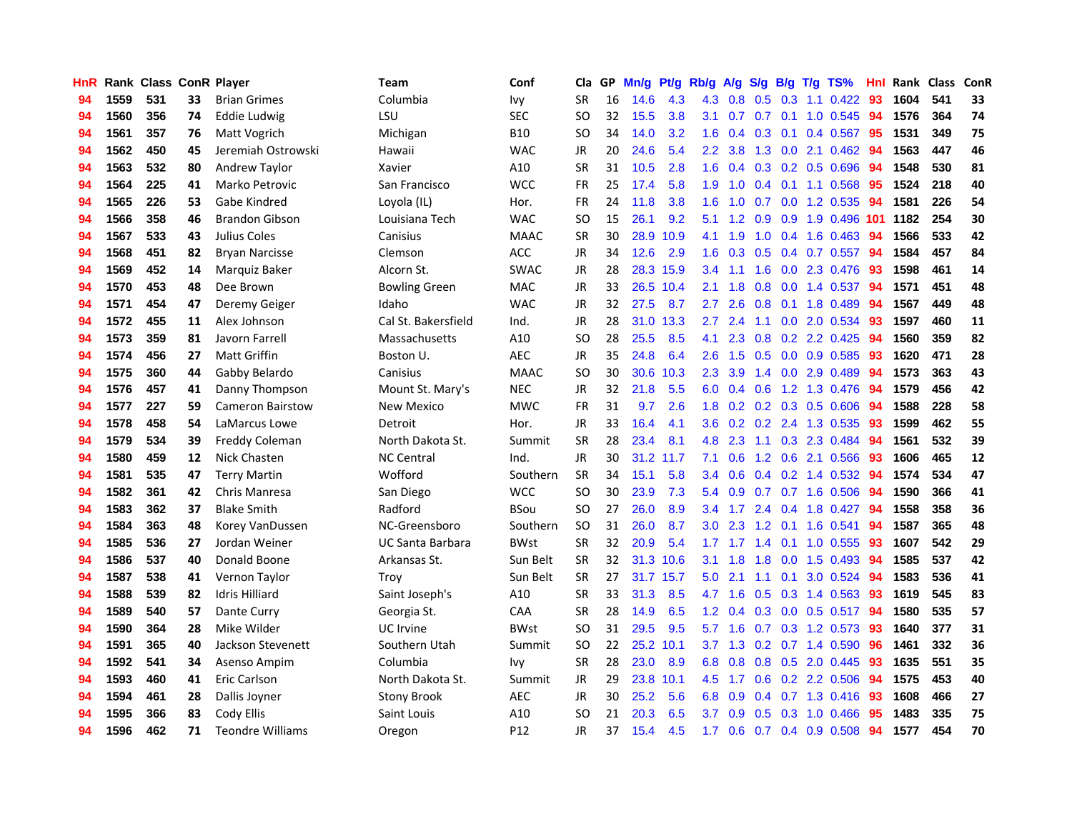| HnR |      |     |    | Rank Class ConR Player  | <b>Team</b>             | Conf            | Cla           |    | GP Mn/g | Pt/g Rb/g A/g S/g B/g T/g TS% |                  |                 |     |     |                           | Hnl | Rank Class |     | ConR |
|-----|------|-----|----|-------------------------|-------------------------|-----------------|---------------|----|---------|-------------------------------|------------------|-----------------|-----|-----|---------------------------|-----|------------|-----|------|
| 94  | 1559 | 531 | 33 | <b>Brian Grimes</b>     | Columbia                | Ivy             | <b>SR</b>     | 16 | 14.6    | 4.3                           | 4.3              | 0.8             | 0.5 | 0.3 | $1.1 \quad 0.422$         | 93  | 1604       | 541 | 33   |
| 94  | 1560 | 356 | 74 | Eddie Ludwig            | LSU                     | <b>SEC</b>      | <sub>SO</sub> | 32 | 15.5    | 3.8                           | 3.1              | 0.7             | 0.7 | 0.1 | 1.0 0.545                 | 94  | 1576       | 364 | 74   |
| 94  | 1561 | 357 | 76 | Matt Vogrich            | Michigan                | <b>B10</b>      | <b>SO</b>     | 34 | 14.0    | 3.2                           | 1.6              | 0.4             | 0.3 | 0.1 | 0.4 0.567                 | -95 | 1531       | 349 | 75   |
| 94  | 1562 | 450 | 45 | Jeremiah Ostrowski      | Hawaii                  | <b>WAC</b>      | JR            | 20 | 24.6    | 5.4                           | 2.2 <sub>2</sub> | 3.8             |     |     | 1.3 0.0 2.1 0.462         | 94  | 1563       | 447 | 46   |
| 94  | 1563 | 532 | 80 | Andrew Taylor           | Xavier                  | A10             | <b>SR</b>     | 31 | 10.5    | 2.8                           |                  | $1.6 \quad 0.4$ |     |     | $0.3$ $0.2$ $0.5$ $0.696$ | 94  | 1548       | 530 | 81   |
| 94  | 1564 | 225 | 41 | Marko Petrovic          | San Francisco           | <b>WCC</b>      | <b>FR</b>     | 25 | 17.4    | 5.8                           | 1.9 <sup>°</sup> | 1.0             |     |     | $0.4$ 0.1 1.1 0.568       | 95  | 1524       | 218 | 40   |
| 94  | 1565 | 226 | 53 | Gabe Kindred            | Loyola (IL)             | Hor.            | <b>FR</b>     | 24 | 11.8    | 3.8                           | 1.6              | 1.0             | 0.7 |     | 0.0 1.2 0.535             | -94 | 1581       | 226 | 54   |
| 94  | 1566 | 358 | 46 | <b>Brandon Gibson</b>   | Louisiana Tech          | <b>WAC</b>      | <sub>SO</sub> | 15 | 26.1    | 9.2                           | 5.1              | 1.2             | 0.9 |     | 0.9 1.9 0.496 101         |     | 1182       | 254 | 30   |
| 94  | 1567 | 533 | 43 | Julius Coles            | Canisius                | <b>MAAC</b>     | <b>SR</b>     | 30 | 28.9    | 10.9                          | 4.1              | 1.9             | 1.0 |     | 0.4 1.6 0.463             | 94  | 1566       | 533 | 42   |
| 94  | 1568 | 451 | 82 | <b>Bryan Narcisse</b>   | Clemson                 | <b>ACC</b>      | <b>JR</b>     | 34 | 12.6    | 2.9                           | 1.6              | 0.3             | 0.5 |     | 0.4 0.7 0.557             | 94  | 1584       | 457 | 84   |
| 94  | 1569 | 452 | 14 | Marquiz Baker           | Alcorn St.              | <b>SWAC</b>     | JR            | 28 |         | 28.3 15.9                     | 3.4              | 1.1             | 1.6 |     | 0.0 2.3 0.476             | 93  | 1598       | 461 | 14   |
| 94  | 1570 | 453 | 48 | Dee Brown               | <b>Bowling Green</b>    | MAC             | JR            | 33 |         | 26.5 10.4                     | 2.1              | 1.8             | 0.8 | 0.0 | 1.4 0.537                 | 94  | 1571       | 451 | 48   |
| 94  | 1571 | 454 | 47 | Deremy Geiger           | Idaho                   | <b>WAC</b>      | <b>JR</b>     | 32 | 27.5    | 8.7                           | 2.7              | 2.6             | 0.8 | 0.1 | 1.8 0.489                 | 94  | 1567       | 449 | 48   |
| 94  | 1572 | 455 | 11 | Alex Johnson            | Cal St. Bakersfield     | Ind.            | JR            | 28 |         | 31.0 13.3                     | 2.7              | 2.4             | 1.1 | 0.0 | 2.0 0.534                 | 93  | 1597       | 460 | 11   |
| 94  | 1573 | 359 | 81 | Javorn Farrell          | Massachusetts           | A10             | <b>SO</b>     | 28 | 25.5    | 8.5                           | 4.1              | 2.3             | 0.8 | 0.2 | 2.2 0.425                 | 94  | 1560       | 359 | 82   |
| 94  | 1574 | 456 | 27 | <b>Matt Griffin</b>     | Boston U.               | <b>AEC</b>      | <b>JR</b>     | 35 | 24.8    | 6.4                           | 2.6              | 1.5             | 0.5 | 0.0 | 0.9 0.585                 | -93 | 1620       | 471 | 28   |
| 94  | 1575 | 360 | 44 | Gabby Belardo           | Canisius                | <b>MAAC</b>     | <b>SO</b>     | 30 | 30.6    | 10.3                          | $2.3\phantom{0}$ | 3.9             |     |     | 1.4 0.0 2.9 0.489         | 94  | 1573       | 363 | 43   |
| 94  | 1576 | 457 | 41 | Danny Thompson          | Mount St. Mary's        | <b>NEC</b>      | JR            | 32 | 21.8    | 5.5                           |                  | $6.0 \quad 0.4$ |     |     | 0.6 1.2 1.3 0.476         | -94 | 1579       | 456 | 42   |
| 94  | 1577 | 227 | 59 | <b>Cameron Bairstow</b> | New Mexico              | <b>MWC</b>      | <b>FR</b>     | 31 | 9.7     | 2.6                           |                  | $1.8 \quad 0.2$ |     |     | 0.2 0.3 0.5 0.606         | 94  | 1588       | 228 | 58   |
| 94  | 1578 | 458 | 54 | LaMarcus Lowe           | Detroit                 | Hor.            | JR            | 33 | 16.4    | 4.1                           |                  |                 |     |     | 3.6 0.2 0.2 2.4 1.3 0.535 | 93  | 1599       | 462 | 55   |
| 94  | 1579 | 534 | 39 | Freddy Coleman          | North Dakota St.        | Summit          | <b>SR</b>     | 28 | 23.4    | 8.1                           | 4.8              | 2.3             |     |     | 1.1 0.3 2.3 0.484         | 94  | 1561       | 532 | 39   |
| 94  | 1580 | 459 | 12 | Nick Chasten            | <b>NC Central</b>       | Ind.            | JR            | 30 |         | 31.2 11.7                     | 7.1              | 0.6             |     |     | 1.2 0.6 2.1 0.566         | 93  | 1606       | 465 | 12   |
| 94  | 1581 | 535 | 47 | <b>Terry Martin</b>     | Wofford                 | Southern        | <b>SR</b>     | 34 | 15.1    | 5.8                           | 3.4              | 0.6             |     |     | $0.4$ 0.2 1.4 0.532       | 94  | 1574       | 534 | 47   |
| 94  | 1582 | 361 | 42 | Chris Manresa           | San Diego               | <b>WCC</b>      | <b>SO</b>     | 30 | 23.9    | 7.3                           | 5.4              | 0.9             |     |     | $0.7$ $0.7$ 1.6 0.506     | -94 | 1590       | 366 | 41   |
| 94  | 1583 | 362 | 37 | <b>Blake Smith</b>      | Radford                 | <b>BSou</b>     | <b>SO</b>     | 27 | 26.0    | 8.9                           | 3.4              | 1.7             |     |     | 2.4 0.4 1.8 0.427         | 94  | 1558       | 358 | 36   |
| 94  | 1584 | 363 | 48 | Korey VanDussen         | NC-Greensboro           | Southern        | <b>SO</b>     | 31 | 26.0    | 8.7                           | 3.0              | 2.3             | 1.2 | 0.1 | 1.6 0.541                 | 94  | 1587       | 365 | 48   |
| 94  | 1585 | 536 | 27 | Jordan Weiner           | <b>UC Santa Barbara</b> | <b>BWst</b>     | <b>SR</b>     | 32 | 20.9    | 5.4                           | 1.7 <sub>2</sub> | 1.7             | 1.4 | 0.1 | 1.0 0.555                 | 93  | 1607       | 542 | 29   |
| 94  | 1586 | 537 | 40 | Donald Boone            | Arkansas St.            | Sun Belt        | <b>SR</b>     | 32 |         | 31.3 10.6                     | 3.1              | 1.8             | 1.8 | 0.0 | 1.5 0.493                 | 94  | 1585       | 537 | 42   |
| 94  | 1587 | 538 | 41 | Vernon Taylor           | Trov                    | Sun Belt        | <b>SR</b>     | 27 |         | 31.7 15.7                     | 5.0              | 2.1             | 1.1 | 0.1 | 3.0 0.524                 | 94  | 1583       | 536 | 41   |
| 94  | 1588 | 539 | 82 | <b>Idris Hilliard</b>   | Saint Joseph's          | A10             | <b>SR</b>     | 33 | 31.3    | 8.5                           | 4.7              | 1.6             | 0.5 | 0.3 | 1.4 0.563                 | 93  | 1619       | 545 | 83   |
| 94  | 1589 | 540 | 57 | Dante Curry             | Georgia St.             | CAA             | <b>SR</b>     | 28 | 14.9    | 6.5                           | 1.2 <sub>1</sub> | 0.4             |     |     | 0.3 0.0 0.5 0.517         | 94  | 1580       | 535 | 57   |
| 94  | 1590 | 364 | 28 | Mike Wilder             | UC Irvine               | <b>BWst</b>     | <b>SO</b>     | 31 | 29.5    | 9.5                           | 5.7              | 1.6             |     |     | $0.7$ $0.3$ 1.2 $0.573$   | -93 | 1640       | 377 | 31   |
| 94  | 1591 | 365 | 40 | Jackson Stevenett       | Southern Utah           | Summit          | <b>SO</b>     | 22 |         | 25.2 10.1                     | 3.7              | 1.3             |     |     | $0.2$ 0.7 1.4 0.590       | 96  | 1461       | 332 | 36   |
| 94  | 1592 | 541 | 34 | Asenso Ampim            | Columbia                | Ivy             | <b>SR</b>     | 28 | 23.0    | 8.9                           | 6.8              | 0.8             |     |     | 0.8 0.5 2.0 0.445         | 93  | 1635       | 551 | 35   |
| 94  | 1593 | 460 | 41 | Eric Carlson            | North Dakota St.        | Summit          | JR            | 29 |         | 23.8 10.1                     | 4.5              | 1.7             |     |     | $0.6$ $0.2$ $2.2$ $0.506$ | 94  | 1575       | 453 | 40   |
| 94  | 1594 | 461 | 28 | Dallis Joyner           | <b>Stony Brook</b>      | <b>AEC</b>      | <b>JR</b>     | 30 | 25.2    | 5.6                           | 6.8              | 0.9             |     |     | $0.4$ 0.7 1.3 0.416       | 93  | 1608       | 466 | 27   |
| 94  | 1595 | 366 | 83 | Cody Ellis              | Saint Louis             | A10             | SO.           | 21 | 20.3    | 6.5                           | 3.7              | 0.9             | 0.5 | 0.3 | 1.0 0.466                 | 95  | 1483       | 335 | 75   |
| 94  | 1596 | 462 | 71 | <b>Teondre Williams</b> | Oregon                  | P <sub>12</sub> | JR            | 37 | 15.4    | 4.5                           | 1.7 <sub>z</sub> | 0.6             |     |     | $0.7$ $0.4$ $0.9$ $0.508$ | 94  | 1577       | 454 | 70   |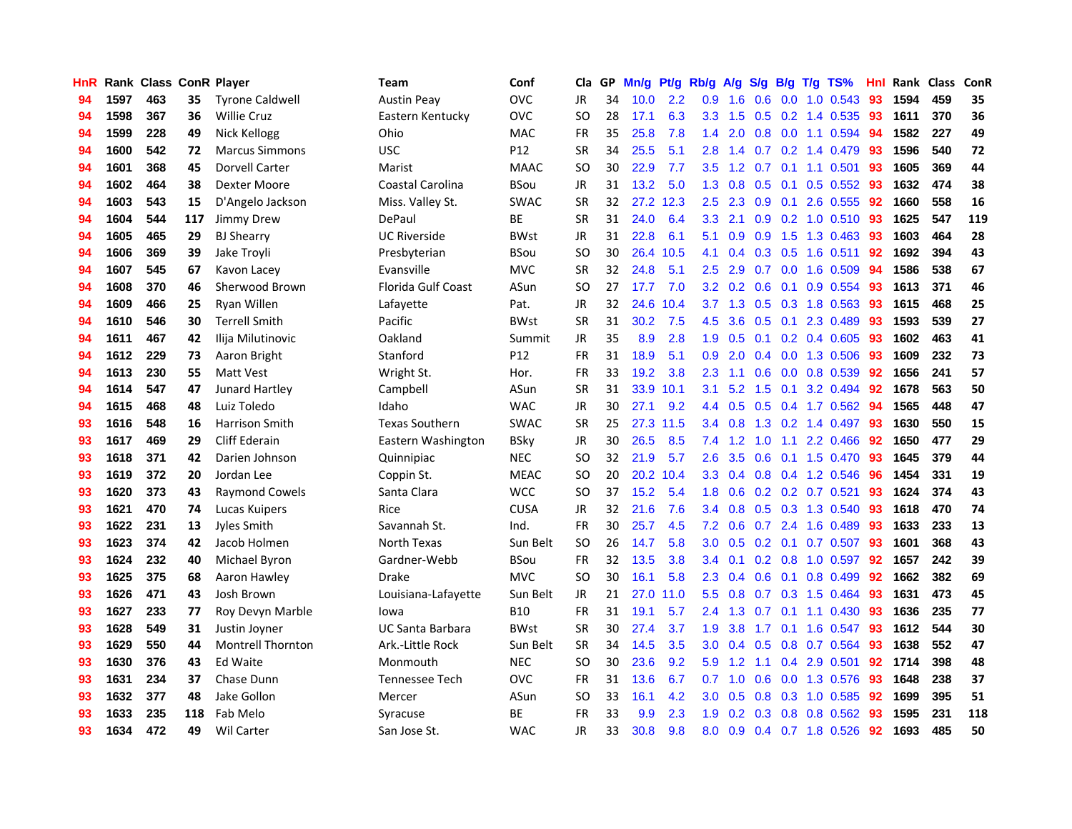| <b>HnR</b> |      | Rank Class ConR Player |     |                          | Team                      | Conf        | Cla       |    | GP Mn/g Pt/g Rb/g A/g |           |                  |                 |     |                 | S/g B/g T/g TS%           | Hnl | Rank Class |     | ConR |
|------------|------|------------------------|-----|--------------------------|---------------------------|-------------|-----------|----|-----------------------|-----------|------------------|-----------------|-----|-----------------|---------------------------|-----|------------|-----|------|
| 94         | 1597 | 463                    | 35  | <b>Tyrone Caldwell</b>   | <b>Austin Peav</b>        | <b>OVC</b>  | JR        | 34 | 10.0                  | 2.2       | 0.9              | 1.6             | 0.6 | 0.0             | 1.0 0.543                 | 93  | 1594       | 459 | 35   |
| 94         | 1598 | 367                    | 36  | <b>Willie Cruz</b>       | Eastern Kentucky          | <b>OVC</b>  | <b>SO</b> | 28 | 17.1                  | 6.3       | 3.3              | 1.5             | 0.5 | 0.2             | 1.4 0.535                 | 93  | 1611       | 370 | 36   |
| 94         | 1599 | 228                    | 49  | Nick Kellogg             | Ohio                      | <b>MAC</b>  | <b>FR</b> | 35 | 25.8                  | 7.8       | 1.4              | 2.0             | 0.8 | 0.0             | 1.1 0.594                 | 94  | 1582       | 227 | 49   |
| 94         | 1600 | 542                    | 72  | <b>Marcus Simmons</b>    | <b>USC</b>                | P12         | <b>SR</b> | 34 | 25.5                  | 5.1       | 2.8              | 1.4             |     |                 | 0.7 0.2 1.4 0.479         | 93  | 1596       | 540 | 72   |
| 94         | 1601 | 368                    | 45  | <b>Dorvell Carter</b>    | Marist                    | <b>MAAC</b> | SO.       | 30 | 22.9                  | 7.7       |                  |                 |     |                 | 3.5 1.2 0.7 0.1 1.1 0.501 | -93 | 1605       | 369 | 44   |
| 94         | 1602 | 464                    | 38  | Dexter Moore             | <b>Coastal Carolina</b>   | <b>BSou</b> | JR        | 31 | 13.2                  | 5.0       | 1.3 <sup>°</sup> | 0.8             |     |                 | $0.5$ 0.1 0.5 0.552       | -93 | 1632       | 474 | 38   |
| 94         | 1603 | 543                    | 15  | D'Angelo Jackson         | Miss. Valley St.          | <b>SWAC</b> | <b>SR</b> | 32 |                       | 27.2 12.3 | $2.5^{\circ}$    | 2.3             |     |                 | $0.9$ $0.1$ 2.6 0.555     | 92  | 1660       | 558 | 16   |
| 94         | 1604 | 544                    | 117 | Jimmy Drew               | DePaul                    | ВE          | <b>SR</b> | 31 | 24.0                  | 6.4       | 3.3 <sub>2</sub> | 2.1             |     |                 | $0.9$ $0.2$ 1.0 $0.510$   | 93  | 1625       | 547 | 119  |
| 94         | 1605 | 465                    | 29  | <b>BJ Shearry</b>        | <b>UC Riverside</b>       | <b>BWst</b> | JR        | 31 | 22.8                  | 6.1       | 5.1              | 0.9             | 0.9 |                 | 1.5 1.3 0.463             | 93  | 1603       | 464 | 28   |
| 94         | 1606 | 369                    | 39  | Jake Troyli              | Presbyterian              | <b>BSou</b> | <b>SO</b> | 30 | 26.4                  | 10.5      | 4.1              | 0.4             |     | $0.3 \quad 0.5$ | 1.6 0.511                 | 92  | 1692       | 394 | 43   |
| 94         | 1607 | 545                    | 67  | Kavon Lacey              | Evansville                | <b>MVC</b>  | <b>SR</b> | 32 | 24.8                  | 5.1       | $2.5\,$          | 2.9             | 0.7 |                 | 0.0 1.6 0.509             | -94 | 1586       | 538 | 67   |
| 94         | 1608 | 370                    | 46  | Sherwood Brown           | <b>Florida Gulf Coast</b> | ASun        | <b>SO</b> | 27 | 17.7                  | 7.0       | 3.2              | 0.2             | 0.6 | 0.1             | 0.9 0.554                 | 93  | 1613       | 371 | 46   |
| 94         | 1609 | 466                    | 25  | Ryan Willen              | Lafayette                 | Pat.        | <b>JR</b> | 32 | 24.6                  | 10.4      | 3.7              | 1.3             | 0.5 | 0.3             | 1.8 0.563                 | 93  | 1615       | 468 | 25   |
| 94         | 1610 | 546                    | 30  | <b>Terrell Smith</b>     | Pacific                   | <b>BWst</b> | <b>SR</b> | 31 | 30.2                  | 7.5       | 4.5              | 3.6             | 0.5 | 0.1             | 2.3 0.489                 | 93  | 1593       | 539 | 27   |
| 94         | 1611 | 467                    | 42  | Ilija Milutinovic        | Oakland                   | Summit      | <b>JR</b> | 35 | 8.9                   | 2.8       | 1.9              | 0.5             | 0.1 |                 | 0.2 0.4 0.605             | 93  | 1602       | 463 | 41   |
| 94         | 1612 | 229                    | 73  | Aaron Bright             | Stanford                  | P12         | <b>FR</b> | 31 | 18.9                  | 5.1       | 0.9              | 2.0             |     | $0.4\quad 0.0$  | 1.3 0.506                 | -93 | 1609       | 232 | 73   |
| 94         | 1613 | 230                    | 55  | <b>Matt Vest</b>         | Wright St.                | Hor.        | <b>FR</b> | 33 | 19.2                  | 3.8       | $2.3\phantom{0}$ | 1.1             |     |                 | 0.6 0.0 0.8 0.539         | 92  | 1656       | 241 | 57   |
| 94         | 1614 | 547                    | 47  | Junard Hartley           | Campbell                  | ASun        | <b>SR</b> | 31 |                       | 33.9 10.1 | 3.1              | 5.2             |     | $1.5$ 0.1       | 3.2 0.494                 | 92  | 1678       | 563 | 50   |
| 94         | 1615 | 468                    | 48  | Luiz Toledo              | Idaho                     | <b>WAC</b>  | JR        | 30 | 27.1                  | 9.2       |                  | 4.4 0.5         |     |                 | 0.5 0.4 1.7 0.562         | -94 | 1565       | 448 | 47   |
| 93         | 1616 | 548                    | 16  | Harrison Smith           | <b>Texas Southern</b>     | <b>SWAC</b> | <b>SR</b> | 25 |                       | 27.3 11.5 |                  | $3.4 \quad 0.8$ |     |                 | 1.3 0.2 1.4 0.497         | 93  | 1630       | 550 | 15   |
| 93         | 1617 | 469                    | 29  | <b>Cliff Ederain</b>     | Eastern Washington        | <b>BSkv</b> | <b>JR</b> | 30 | 26.5                  | 8.5       |                  | $7.4$ 1.2       | 1.0 |                 | $1.1$ 2.2 0.466           | 92  | 1650       | 477 | 29   |
| 93         | 1618 | 371                    | 42  | Darien Johnson           | Quinnipiac                | <b>NEC</b>  | <b>SO</b> | 32 | 21.9                  | 5.7       | 2.6              | 3.5             |     |                 | 0.6 0.1 1.5 0.470         | 93  | 1645       | 379 | 44   |
| 93         | 1619 | 372                    | 20  | Jordan Lee               | Coppin St.                | <b>MEAC</b> | <b>SO</b> | 20 |                       | 20.2 10.4 | 3.3 <sub>2</sub> | 0.4             |     |                 | 0.8 0.4 1.2 0.546         | 96  | 1454       | 331 | 19   |
| 93         | 1620 | 373                    | 43  | <b>Raymond Cowels</b>    | Santa Clara               | <b>WCC</b>  | <b>SO</b> | 37 | 15.2                  | 5.4       | 1.8              | 0.6             |     |                 | $0.2$ $0.2$ $0.7$ $0.521$ | 93  | 1624       | 374 | 43   |
| 93         | 1621 | 470                    | 74  | Lucas Kuipers            | Rice                      | <b>CUSA</b> | <b>JR</b> | 32 | 21.6                  | 7.6       | $3.4^{\circ}$    | 0.8             |     |                 | 0.5 0.3 1.3 0.540         | -93 | 1618       | 470 | 74   |
| 93         | 1622 | 231                    | 13  | Jyles Smith              | Savannah St.              | Ind.        | <b>FR</b> | 30 | 25.7                  | 4.5       | 7.2              | 0.6             | 0.7 | 2.4             | 1.6 0.489                 | 93  | 1633       | 233 | 13   |
| 93         | 1623 | 374                    | 42  | Jacob Holmen             | North Texas               | Sun Belt    | SO.       | 26 | 14.7                  | 5.8       | 3.0              | 0.5             |     | $0.2 \quad 0.1$ | 0.7 0.507                 | 93  | 1601       | 368 | 43   |
| 93         | 1624 | 232                    | 40  | <b>Michael Byron</b>     | Gardner-Webb              | <b>BSou</b> | <b>FR</b> | 32 | 13.5                  | 3.8       | 3.4              | 0.1             |     |                 | $0.2$ 0.8 1.0 0.597       | 92  | 1657       | 242 | 39   |
| 93         | 1625 | 375                    | 68  | Aaron Hawley             | <b>Drake</b>              | <b>MVC</b>  | <b>SO</b> | 30 | 16.1                  | 5.8       | 2.3              | 0.4             | 0.6 | 0.1             | 0.8 0.499                 | 92  | 1662       | 382 | 69   |
| 93         | 1626 | 471                    | 43  | Josh Brown               | Louisiana-Lafayette       | Sun Belt    | <b>JR</b> | 21 | 27.0                  | 11.0      | 5.5              | 0.8             | 0.7 |                 | 0.3 1.5 0.464             | -93 | 1631       | 473 | 45   |
| 93         | 1627 | 233                    | 77  | Roy Devyn Marble         | lowa                      | <b>B10</b>  | <b>FR</b> | 31 | 19.1                  | 5.7       | 2.4              | 1.3             | 0.7 | 0.1             | 1.1 0.430                 | -93 | 1636       | 235 | 77   |
| 93         | 1628 | 549                    | 31  | Justin Joyner            | <b>UC Santa Barbara</b>   | <b>BWst</b> | <b>SR</b> | 30 | 27.4                  | 3.7       | 1.9 <sup>°</sup> | 3.8             |     |                 | 1.7 0.1 1.6 0.547         | 93  | 1612       | 544 | 30   |
| 93         | 1629 | 550                    | 44  | <b>Montrell Thornton</b> | Ark .- Little Rock        | Sun Belt    | <b>SR</b> | 34 | 14.5                  | 3.5       | 3.0 <sub>1</sub> | 0.4             |     |                 | 0.5 0.8 0.7 0.564         | 93  | 1638       | 552 | 47   |
| 93         | 1630 | 376                    | 43  | <b>Ed Waite</b>          | Monmouth                  | <b>NEC</b>  | <b>SO</b> | 30 | 23.6                  | 9.2       | 5.9              | 1.2             |     |                 | 1.1 0.4 2.9 0.501         | 92  | 1714       | 398 | 48   |
| 93         | 1631 | 234                    | 37  | Chase Dunn               | Tennessee Tech            | <b>OVC</b>  | FR        | 31 | 13.6                  | 6.7       | 0.7              | 1.0             | 0.6 |                 | 0.0 1.3 0.576             | 93  | 1648       | 238 | 37   |
| 93         | 1632 | 377                    | 48  | Jake Gollon              | Mercer                    | ASun        | <b>SO</b> | 33 | 16.1                  | 4.2       | 3.0 <sub>1</sub> | 0.5             | 0.8 |                 | 0.3 1.0 0.585             | 92  | 1699       | 395 | 51   |
| 93         | 1633 | 235                    | 118 | Fab Melo                 | Syracuse                  | BE          | <b>FR</b> | 33 | 9.9                   | 2.3       | 1.9              | 0.2             | 0.3 | 0.8             | 0.8 0.562                 | 93  | 1595       | 231 | 118  |
| 93         | 1634 | 472                    | 49  | <b>Wil Carter</b>        | San Jose St.              | <b>WAC</b>  | JR        | 33 | 30.8                  | 9.8       | 8.0              | 0.9             |     |                 | 0.4 0.7 1.8 0.526         | 92  | 1693       | 485 | 50   |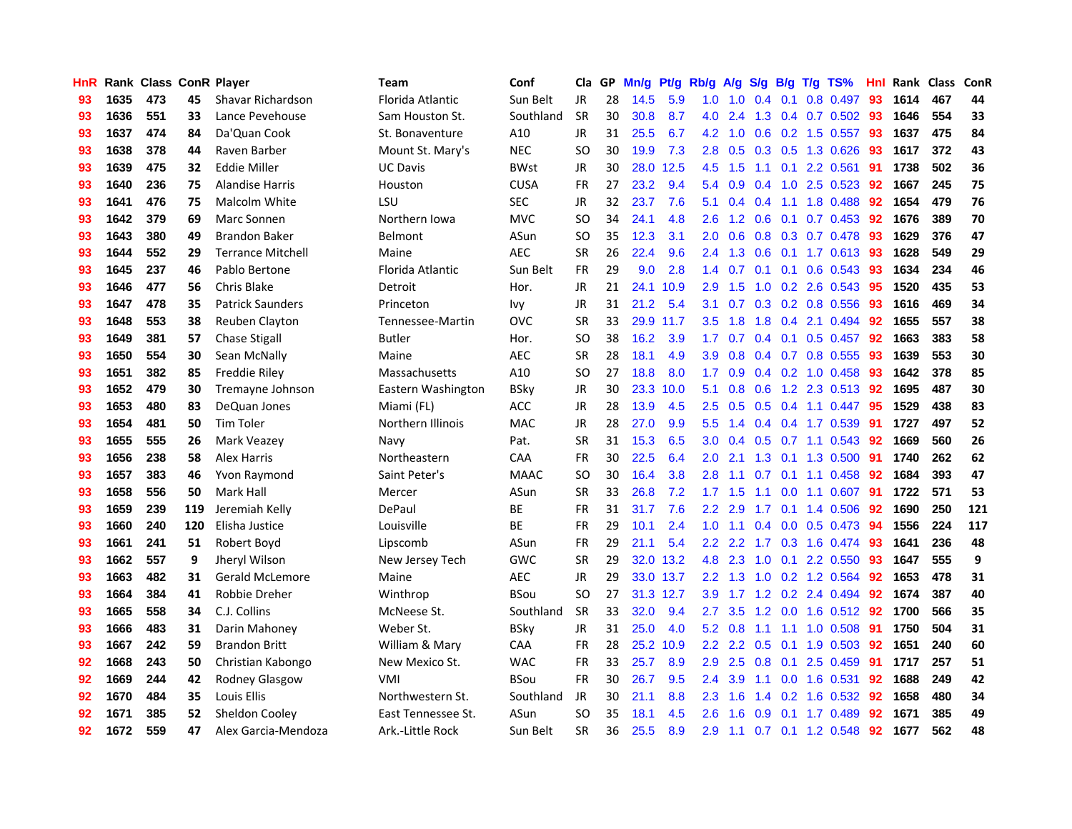| <b>HnR</b> |      | Rank Class ConR Player |     |                          | <b>Team</b>        | Conf        | Cla       |    | GP Mn/g Pt/g |           | Rb/g             | A/g             |     |                 | S/g B/g T/g TS%       | Hnl |      | Rank Class | <b>ConR</b> |
|------------|------|------------------------|-----|--------------------------|--------------------|-------------|-----------|----|--------------|-----------|------------------|-----------------|-----|-----------------|-----------------------|-----|------|------------|-------------|
| 93         | 1635 | 473                    | 45  | Shavar Richardson        | Florida Atlantic   | Sun Belt    | <b>JR</b> | 28 | 14.5         | 5.9       | 1.0              | 1.0             | 0.4 | 0.1             | 0.8 0.497             | 93  | 1614 | 467        | 44          |
| 93         | 1636 | 551                    | 33  | Lance Pevehouse          | Sam Houston St.    | Southland   | <b>SR</b> | 30 | 30.8         | 8.7       | 4.0              | 2.4             | 1.3 |                 | 0.4 0.7 0.502         | 93  | 1646 | 554        | 33          |
| 93         | 1637 | 474                    | 84  | Da'Quan Cook             | St. Bonaventure    | A10         | <b>JR</b> | 31 | 25.5         | 6.7       | 4.2              | 1.0             | 0.6 | 0.2             | 1.5 0.557             | 93  | 1637 | 475        | 84          |
| 93         | 1638 | 378                    | 44  | Raven Barber             | Mount St. Mary's   | <b>NEC</b>  | <b>SO</b> | 30 | 19.9         | 7.3       | 2.8              | 0.5             |     | $0.3 \quad 0.5$ | 1.3 0.626             | 93  | 1617 | 372        | 43          |
| 93         | 1639 | 475                    | 32  | <b>Eddie Miller</b>      | <b>UC Davis</b>    | <b>BWst</b> | JR        | 30 | 28.0         | 12.5      | 4.5              | 1.5             |     |                 | 1.1 0.1 2.2 0.561     | -91 | 1738 | 502        | 36          |
| 93         | 1640 | 236                    | 75  | <b>Alandise Harris</b>   | Houston            | <b>CUSA</b> | <b>FR</b> | 27 | 23.2         | 9.4       |                  | $5.4\quad 0.9$  |     |                 | $0.4$ 1.0 2.5 0.523   | 92  | 1667 | 245        | 75          |
| 93         | 1641 | 476                    | 75  | Malcolm White            | LSU                | <b>SEC</b>  | JR        | 32 | 23.7         | 7.6       | 5.1              | 0.4             | 0.4 |                 | 1.1 1.8 0.488         | 92  | 1654 | 479        | 76          |
| 93         | 1642 | 379                    | 69  | Marc Sonnen              | Northern Iowa      | <b>MVC</b>  | <b>SO</b> | 34 | 24.1         | 4.8       | $2.6^{\circ}$    | 1.2             | 0.6 |                 | $0.1$ 0.7 0.453       | 92  | 1676 | 389        | 70          |
| 93         | 1643 | 380                    | 49  | <b>Brandon Baker</b>     | Belmont            | ASun        | <b>SO</b> | 35 | 12.3         | 3.1       | 2.0              | 0.6             |     |                 | 0.8 0.3 0.7 0.478     | 93  | 1629 | 376        | 47          |
| 93         | 1644 | 552                    | 29  | <b>Terrance Mitchell</b> | Maine              | <b>AEC</b>  | <b>SR</b> | 26 | 22.4         | 9.6       | $2.4^{\circ}$    | 1.3             | 0.6 | 0.1             | 1.7 0.613             | 93  | 1628 | 549        | 29          |
| 93         | 1645 | 237                    | 46  | Pablo Bertone            | Florida Atlantic   | Sun Belt    | <b>FR</b> | 29 | 9.0          | 2.8       | 1.4              | 0.7             | 0.1 | 0.1             | 0.6 0.543             | 93  | 1634 | 234        | 46          |
| 93         | 1646 | 477                    | 56  | Chris Blake              | Detroit            | Hor.        | JR        | 21 |              | 24.1 10.9 | 2.9              | 1.5             |     |                 | 1.0 0.2 2.6 0.543     | 95  | 1520 | 435        | 53          |
| 93         | 1647 | 478                    | 35  | <b>Patrick Saunders</b>  | Princeton          | lvy.        | JR        | 31 | 21.2         | 5.4       | 3.1              | 0.7             |     |                 | $0.3$ 0.2 0.8 0.556   | 93  | 1616 | 469        | 34          |
| 93         | 1648 | 553                    | 38  | Reuben Clayton           | Tennessee-Martin   | <b>OVC</b>  | <b>SR</b> | 33 |              | 29.9 11.7 | 3.5              | 1.8             | 1.8 | 0.4             | 2.1 0.494             | 92  | 1655 | 557        | 38          |
| 93         | 1649 | 381                    | 57  | <b>Chase Stigall</b>     | Butler             | Hor.        | <b>SO</b> | 38 | 16.2         | 3.9       | 1.7              | 0.7             | 0.4 | 0.1             | $0.5$ 0.457           | 92  | 1663 | 383        | 58          |
| 93         | 1650 | 554                    | 30  | Sean McNally             | Maine              | <b>AEC</b>  | <b>SR</b> | 28 | 18.1         | 4.9       | 3.9              | 0.8             |     |                 | 0.4 0.7 0.8 0.555     | 93  | 1639 | 553        | 30          |
| 93         | 1651 | 382                    | 85  | Freddie Riley            | Massachusetts      | A10         | <b>SO</b> | 27 | 18.8         | 8.0       | 1.7 <sup>2</sup> | 0.9             |     |                 | $0.4$ 0.2 1.0 0.458   | -93 | 1642 | 378        | 85          |
| 93         | 1652 | 479                    | 30  | Tremayne Johnson         | Eastern Washington | <b>BSky</b> | JR        | 30 | 23.3         | 10.0      | 5.1              | 0.8             | 0.6 |                 | 1.2 2.3 0.513         | -92 | 1695 | 487        | 30          |
| 93         | 1653 | 480                    | 83  | DeQuan Jones             | Miami (FL)         | <b>ACC</b>  | JR        | 28 | 13.9         | 4.5       |                  | $2.5\quad 0.5$  |     |                 | 0.5 0.4 1.1 0.447 95  |     | 1529 | 438        | 83          |
| 93         | 1654 | 481                    | 50  | <b>Tim Toler</b>         | Northern Illinois  | MAC         | JR        | 28 | 27.0         | 9.9       | 5.5 <sub>1</sub> | 1.4             |     |                 | 0.4 0.4 1.7 0.539 91  |     | 1727 | 497        | 52          |
| 93         | 1655 | 555                    | 26  | Mark Veazey              | Navy               | Pat.        | <b>SR</b> | 31 | 15.3         | 6.5       | 3.0 <sub>1</sub> | 0.4             |     |                 | $0.5$ 0.7 1.1 0.543   | 92  | 1669 | 560        | 26          |
| 93         | 1656 | 238                    | 58  | <b>Alex Harris</b>       | Northeastern       | CAA         | FR        | 30 | 22.5         | 6.4       | 2.0              | 2.1             |     |                 | 1.3 0.1 1.3 0.500     | -91 | 1740 | 262        | 62          |
| 93         | 1657 | 383                    | 46  | Yvon Raymond             | Saint Peter's      | <b>MAAC</b> | <b>SO</b> | 30 | 16.4         | 3.8       | 2.8              | 1.1             | 0.7 |                 | $0.1$ 1.1 0.458       | 92  | 1684 | 393        | 47          |
| 93         | 1658 | 556                    | 50  | Mark Hall                | Mercer             | ASun        | <b>SR</b> | 33 | 26.8         | 7.2       | 1.7              | 1.5             | 1.1 |                 | $0.0$ 1.1 $0.607$     | 91  | 1722 | 571        | 53          |
| 93         | 1659 | 239                    | 119 | Jeremiah Kelly           | DePaul             | ВE          | <b>FR</b> | 31 | 31.7         | 7.6       | $2.2\phantom{0}$ | 2.9             | 1.7 | 0.1             | 1.4 0.506             | 92  | 1690 | 250        | 121         |
| 93         | 1660 | 240                    | 120 | Elisha Justice           | Louisville         | <b>BE</b>   | <b>FR</b> | 29 | 10.1         | 2.4       | 1.0              | 1.1             | 0.4 |                 | $0.0$ 0.5 0.473       | -94 | 1556 | 224        | 117         |
| 93         | 1661 | 241                    | 51  | Robert Boyd              | Lipscomb           | ASun        | <b>FR</b> | 29 | 21.1         | 5.4       | $2.2^{\circ}$    | 2.2             | 1.7 |                 | $0.3$ 1.6 0.474       | 93  | 1641 | 236        | 48          |
| 93         | 1662 | 557                    | 9   | Jheryl Wilson            | New Jersey Tech    | GWC         | <b>SR</b> | 29 |              | 32.0 13.2 | 4.8              | 2.3             | 1.0 | 0.1             | 2.2 0.550             | -93 | 1647 | 555        | 9           |
| 93         | 1663 | 482                    | 31  | <b>Gerald McLemore</b>   | Maine              | <b>AEC</b>  | <b>JR</b> | 29 |              | 33.0 13.7 | 2.2              | 1.3             | 1.0 |                 | 0.2 1.2 0.564         | 92  | 1653 | 478        | 31          |
| 93         | 1664 | 384                    | 41  | Robbie Dreher            | Winthrop           | <b>BSou</b> | <b>SO</b> | 27 |              | 31.3 12.7 | 3.9              | 1.7             |     |                 | 1.2 0.2 2.4 0.494     | 92  | 1674 | 387        | 40          |
| 93         | 1665 | 558                    | 34  | C.J. Collins             | McNeese St.        | Southland   | <b>SR</b> | 33 | 32.0         | 9.4       | 2.7              | 3.5             |     | $1.2 \ 0.0$     | 1.6 0.512             | 92  | 1700 | 566        | 35          |
| 93         | 1666 | 483                    | 31  | Darin Mahoney            | Weber St.          | <b>BSky</b> | JR        | 31 | 25.0         | 4.0       |                  | $5.2 \quad 0.8$ | 1.1 | 1.1             | 1.0 0.508             | -91 | 1750 | 504        | 31          |
| 93         | 1667 | 242                    | 59  | <b>Brandon Britt</b>     | William & Mary     | CAA         | FR        | 28 |              | 25.2 10.9 | $2.2^{\circ}$    |                 |     |                 | 2.2 0.5 0.1 1.9 0.503 | 92  | 1651 | 240        | 60          |
| 92         | 1668 | 243                    | 50  | Christian Kabongo        | New Mexico St.     | <b>WAC</b>  | <b>FR</b> | 33 | 25.7         | 8.9       | 2.9              | 2.5             |     | $0.8\quad 0.1$  | 2.5 0.459             | -91 | 1717 | 257        | 51          |
| 92         | 1669 | 244                    | 42  | <b>Rodney Glasgow</b>    | VMI                | <b>BSou</b> | FR        | 30 | 26.7         | 9.5       | $2.4^{\circ}$    | 3.9             | 1.1 |                 | $0.0$ 1.6 $0.531$     | 92  | 1688 | 249        | 42          |
| 92         | 1670 | 484                    | 35  | Louis Ellis              | Northwestern St.   | Southland   | JR        | 30 | 21.1         | 8.8       | 2.3              | 1.6             | 1.4 | 0.2             | 1.6 0.532             | 92  | 1658 | 480        | 34          |
| 92         | 1671 | 385                    | 52  | Sheldon Cooley           | East Tennessee St. | ASun        | SO.       | 35 | 18.1         | 4.5       | 2.6              | 1.6             | 0.9 | 0.1             | 1.7 0.489             | 92  | 1671 | 385        | 49          |
| 92         | 1672 | 559                    | 47  | Alex Garcia-Mendoza      | Ark.-Little Rock   | Sun Belt    | <b>SR</b> | 36 | 25.5         | 8.9       | 2.9              | 1.1             |     |                 | $0.7$ 0.1 1.2 0.548   | 92  | 1677 | 562        | 48          |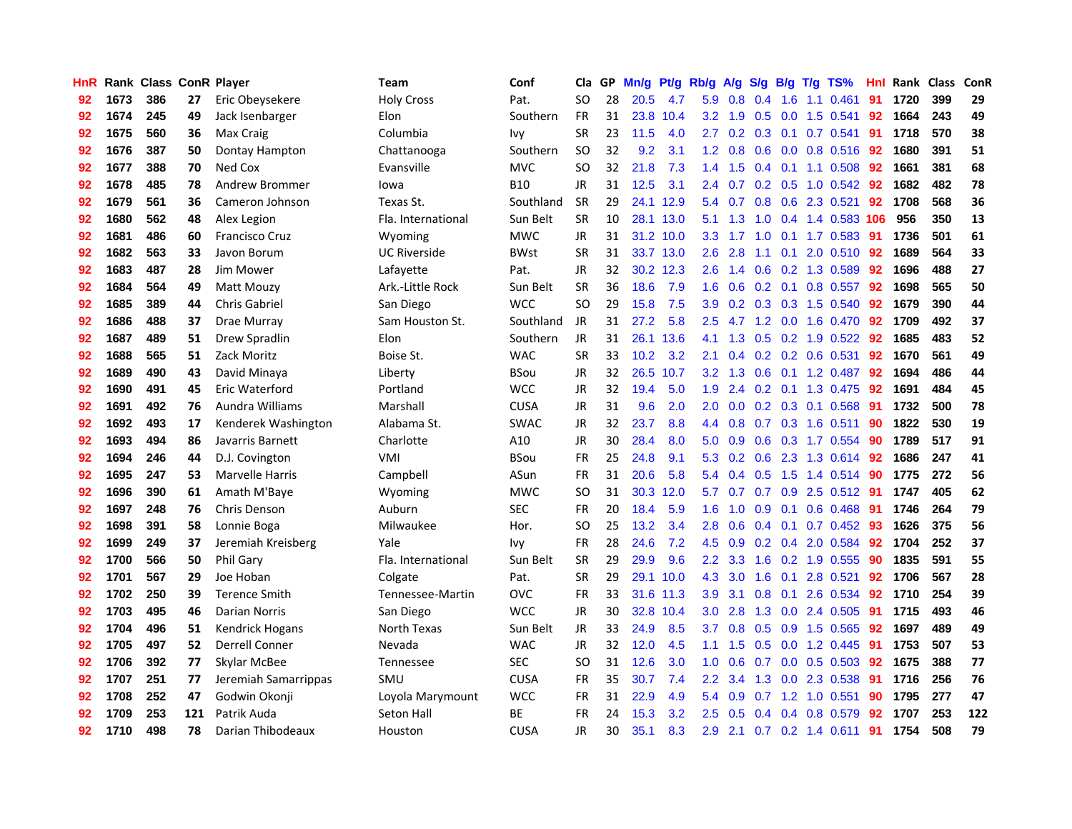| <b>HnR</b> |      | Rank Class ConR Player |     |                        | <b>Team</b>         | Conf        | Cla       |     | GP Mn/g Pt/g Rb/g |           |                  | A/g             |     |                 | S/g B/g T/g TS%           | Hnl | Rank Class |     | ConR |
|------------|------|------------------------|-----|------------------------|---------------------|-------------|-----------|-----|-------------------|-----------|------------------|-----------------|-----|-----------------|---------------------------|-----|------------|-----|------|
| 92         | 1673 | 386                    | 27  | Eric Obeysekere        | <b>Holy Cross</b>   | Pat.        | SO.       | 28  | 20.5              | 4.7       | 5.9              | 0.8             | 0.4 | 1.6             | 1.1 0.461                 | 91  | 1720       | 399 | 29   |
| 92         | 1674 | 245                    | 49  | Jack Isenbarger        | Elon                | Southern    | <b>FR</b> | 31  | 23.8              | 10.4      | 3.2 <sub>2</sub> | 1.9             | 0.5 | 0.0             | 1.5 0.541                 | 92  | 1664       | 243 | 49   |
| 92         | 1675 | 560                    | 36  | Max Craig              | Columbia            | Ivy         | <b>SR</b> | 23  | $11.5$            | 4.0       | 2.7              | 0.2             |     | $0.3 \quad 0.1$ | $0.7$ 0.541               | 91  | 1718       | 570 | 38   |
| 92         | 1676 | 387                    | 50  | Dontay Hampton         | Chattanooga         | Southern    | <b>SO</b> | 32  | 9.2               | 3.1       |                  | $1.2 \quad 0.8$ |     |                 | 0.6 0.0 0.8 0.516         | -92 | 1680       | 391 | 51   |
| 92         | 1677 | 388                    | 70  | Ned Cox                | Evansville          | <b>MVC</b>  | SO.       | 32  | 21.8              | 7.3       |                  | $1.4$ 1.5       |     |                 | $0.4$ 0.1 1.1 0.508       | 92  | 1661       | 381 | 68   |
| 92         | 1678 | 485                    | 78  | Andrew Brommer         | lowa                | <b>B10</b>  | JR        | 31  | 12.5              | 3.1       | $2.4^{\circ}$    | 0.7             |     |                 | $0.2$ $0.5$ 1.0 $0.542$   | 92  | 1682       | 482 | 78   |
| 92         | 1679 | 561                    | 36  | Cameron Johnson        | Texas St.           | Southland   | <b>SR</b> | 29  |                   | 24.1 12.9 |                  | 5.4 0.7         |     |                 | 0.8 0.6 2.3 0.521         | 92  | 1708       | 568 | 36   |
| 92         | 1680 | 562                    | 48  | Alex Legion            | Fla. International  | Sun Belt    | <b>SR</b> | 10  |                   | 28.1 13.0 | 5.1              | 1.3             | 1.0 |                 | 0.4 1.4 0.583 106         |     | 956        | 350 | 13   |
| 92         | 1681 | 486                    | 60  | <b>Francisco Cruz</b>  | Wyoming             | <b>MWC</b>  | JR        | 31  |                   | 31.2 10.0 | 3.3 <sub>2</sub> | 1.7             | 1.0 |                 | $0.1$ 1.7 $0.583$         | 91  | 1736       | 501 | 61   |
| 92         | 1682 | 563                    | 33  | Javon Borum            | <b>UC Riverside</b> | <b>BWst</b> | <b>SR</b> | 31  |                   | 33.7 13.0 | 2.6              | 2.8             | 1.1 | 0.1             | 2.0 0.510                 | 92  | 1689       | 564 | 33   |
| 92         | 1683 | 487                    | 28  | Jim Mower              | Lafayette           | Pat.        | JR        | 32  |                   | 30.2 12.3 | 2.6              | 1.4             |     |                 | 0.6 0.2 1.3 0.589         | 92  | 1696       | 488 | 27   |
| 92         | 1684 | 564                    | 49  | Matt Mouzy             | Ark .- Little Rock  | Sun Belt    | <b>SR</b> | 36  | 18.6              | 7.9       | 1.6              | 0.6             |     | $0.2 \quad 0.1$ | $0.8$ 0.557               | 92  | 1698       | 565 | 50   |
| 92         | 1685 | 389                    | 44  | <b>Chris Gabriel</b>   | San Diego           | <b>WCC</b>  | <b>SO</b> | 29  | 15.8              | 7.5       | 3.9              | 0.2             |     | $0.3$ 0.3       | 1.5 0.540                 | 92  | 1679       | 390 | 44   |
| 92         | 1686 | 488                    | 37  | Drae Murray            | Sam Houston St.     | Southland   | JR        | 31  | 27.2              | 5.8       | 2.5              | 4.7             |     | $1.2 \quad 0.0$ | 1.6 0.470                 | 92  | 1709       | 492 | 37   |
| 92         | 1687 | 489                    | 51  | Drew Spradlin          | Elon                | Southern    | JR        | 31  |                   | 26.1 13.6 | 4.1              | 1.3             | 0.5 | 0.2             | 1.9 0.522                 | 92  | 1685       | 483 | 52   |
| 92         | 1688 | 565                    | 51  | Zack Moritz            | Boise St.           | <b>WAC</b>  | <b>SR</b> | 33  | 10.2              | 3.2       | 2.1              | 0.4             |     | $0.2 \quad 0.2$ | 0.6 0.531                 | 92  | 1670       | 561 | 49   |
| 92         | 1689 | 490                    | 43  | David Minaya           | Liberty             | <b>BSou</b> | <b>JR</b> | 32  | 26.5              | 10.7      |                  | $3.2 \quad 1.3$ |     |                 | 0.6 0.1 1.2 0.487         | -92 | 1694       | 486 | 44   |
| 92         | 1690 | 491                    | 45  | Eric Waterford         | Portland            | <b>WCC</b>  | JR        | 32  | 19.4              | 5.0       |                  | $1.9$ 2.4       |     |                 | 0.2 0.1 1.3 0.475         | -92 | 1691       | 484 | 45   |
| 92         | 1691 | 492                    | 76  | Aundra Williams        | Marshall            | <b>CUSA</b> | JR        | 31  | 9.6               | 2.0       | $2.0^{\circ}$    | 0.0             |     |                 | $0.2$ $0.3$ $0.1$ $0.568$ | -91 | 1732       | 500 | 78   |
| 92         | 1692 | 493                    | 17  | Kenderek Washington    | Alabama St.         | <b>SWAC</b> | JR        | 32  | 23.7              | 8.8       |                  | 4.4 0.8         |     |                 | $0.7$ $0.3$ 1.6 $0.511$   | -90 | 1822       | 530 | 19   |
| 92         | 1693 | 494                    | 86  | Javarris Barnett       | Charlotte           | A10         | <b>JR</b> | 30  | 28.4              | 8.0       | 5.0              | 0.9             |     |                 | 0.6 0.3 1.7 0.554         | -90 | 1789       | 517 | 91   |
| 92         | 1694 | 246                    | 44  | D.J. Covington         | <b>VMI</b>          | <b>BSou</b> | FR        | 25  | 24.8              | 9.1       | 5.3              | 0.2             |     |                 | 0.6 2.3 1.3 0.614         | 92  | 1686       | 247 | 41   |
| 92         | 1695 | 247                    | 53  | Marvelle Harris        | Campbell            | ASun        | <b>FR</b> | 31  | 20.6              | 5.8       | 5.4              | 0.4             | 0.5 | 1.5             | 1.4 0.514                 | -90 | 1775       | 272 | 56   |
| 92         | 1696 | 390                    | 61  | Amath M'Baye           | Wyoming             | <b>MWC</b>  | <b>SO</b> | 31  |                   | 30.3 12.0 | 5.7              | 0.7             |     |                 | 0.7 0.9 2.5 0.512 91      |     | 1747       | 405 | 62   |
| 92         | 1697 | 248                    | 76  | Chris Denson           | Auburn              | <b>SEC</b>  | FR        | 20  | 18.4              | 5.9       | 1.6              | 1.0             |     | $0.9 \quad 0.1$ | $0.6$ 0.468               | -91 | 1746       | 264 | 79   |
| 92         | 1698 | 391                    | 58  | Lonnie Boga            | Milwaukee           | Hor.        | <b>SO</b> | 25  | 13.2              | 3.4       | 2.8              | 0.6             |     | $0.4 \quad 0.1$ | $0.7$ 0.452               | -93 | 1626       | 375 | 56   |
| 92         | 1699 | 249                    | 37  | Jeremiah Kreisberg     | Yale                | lvy         | <b>FR</b> | 28  | 24.6              | 7.2       | 4.5              | 0.9             |     | $0.2 \quad 0.4$ | 2.0 0.584                 | 92  | 1704       | 252 | 37   |
| 92         | 1700 | 566                    | 50  | <b>Phil Gary</b>       | Fla. International  | Sun Belt    | <b>SR</b> | 29  | 29.9              | 9.6       | $2.2\phantom{0}$ | 3.3             | 1.6 |                 | $0.2$ 1.9 0.555           | 90  | 1835       | 591 | 55   |
| 92         | 1701 | 567                    | 29  | Joe Hoban              | Colgate             | Pat.        | <b>SR</b> | 29  |                   | 29.1 10.0 | 4.3              | 3.0             | 1.6 | 0.1             | 2.8 0.521                 | 92  | 1706       | 567 | 28   |
| 92         | 1702 | 250                    | 39  | <b>Terence Smith</b>   | Tennessee-Martin    | <b>OVC</b>  | <b>FR</b> | 33  | 31.6              | 11.3      | 3.9              | 3.1             | 0.8 | 0.1             | 2.6 0.534                 | 92  | 1710       | 254 | 39   |
| 92         | 1703 | 495                    | 46  | Darian Norris          | San Diego           | <b>WCC</b>  | JR        | 30  | 32.8              | 10.4      | 3.0              | 2.8             |     |                 | 1.3 0.0 2.4 0.505         | 91  | 1715       | 493 | 46   |
| 92         | 1704 | 496                    | 51  | <b>Kendrick Hogans</b> | North Texas         | Sun Belt    | JR        | 33  | 24.9              | 8.5       | 3.7              | 0.8             |     |                 | $0.5$ 0.9 1.5 0.565       | 92  | 1697       | 489 | 49   |
| 92         | 1705 | 497                    | 52  | <b>Derrell Conner</b>  | Nevada              | <b>WAC</b>  | <b>JR</b> | 32. | 12.0              | 4.5       | $1.1 -$          | 1.5             |     |                 | $0.5$ $0.0$ 1.2 $0.445$   | -91 | 1753       | 507 | 53   |
| 92         | 1706 | 392                    | 77  | Skylar McBee           | Tennessee           | <b>SEC</b>  | <b>SO</b> | 31  | 12.6              | 3.0       | 1.0              | 0.6             | 0.7 | 0.0             | 0.5 0.503                 | 92  | 1675       | 388 | 77   |
| 92         | 1707 | 251                    | 77  | Jeremiah Samarrippas   | SMU                 | <b>CUSA</b> | <b>FR</b> | 35  | 30.7              | 7.4       | $2.2^{\circ}$    | 3.4             | 1.3 | 0.0             | 2.3 0.538                 | 91  | 1716       | 256 | 76   |
| 92         | 1708 | 252                    | 47  | Godwin Okonji          | Loyola Marymount    | <b>WCC</b>  | <b>FR</b> | 31  | 22.9              | 4.9       | 5.4              | 0.9             | 0.7 | 1.2             | 1.0 0.551                 | 90  | 1795       | 277 | 47   |
| 92         | 1709 | 253                    | 121 | Patrik Auda            | Seton Hall          | ВE          | FR        | 24  | 15.3              | 3.2       | 2.5              | 0.5             | 0.4 | 0.4             | 0.8 0.579                 | 92  | 1707       | 253 | 122  |
| 92         | 1710 | 498                    | 78  | Darian Thibodeaux      | Houston             | <b>CUSA</b> | JR        | 30  | 35.1              | 8.3       | 2.9              | 2.1             |     |                 | $0.7$ $0.2$ 1.4 $0.611$   | -91 | 1754       | 508 | 79   |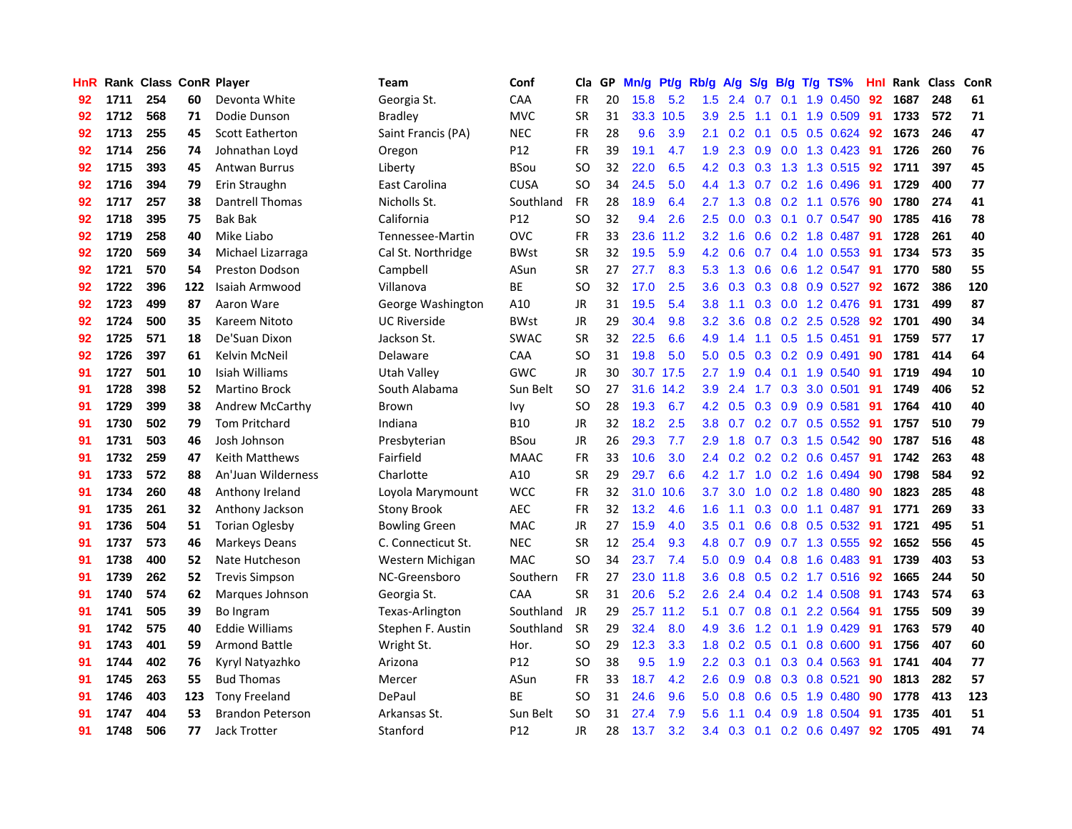| HnR |      | Rank Class ConR Player |     |                         | Team                 | Conf            | Cla       |     | GP Mn/g Pt/g Rb/g |           |                  | A/g     |                  |                 | S/g B/g T/g TS%           | Hnl  |      | Rank Class | ConR |
|-----|------|------------------------|-----|-------------------------|----------------------|-----------------|-----------|-----|-------------------|-----------|------------------|---------|------------------|-----------------|---------------------------|------|------|------------|------|
| 92  | 1711 | 254                    | 60  | Devonta White           | Georgia St.          | CAA             | <b>FR</b> | 20  | 15.8              | 5.2       | 1.5              | 2.4     | 0.7              | 0.1             | 1.9 0.450                 | 92   | 1687 | 248        | 61   |
| 92  | 1712 | 568                    | 71  | Dodie Dunson            | <b>Bradley</b>       | <b>MVC</b>      | <b>SR</b> | 31  |                   | 33.3 10.5 | 3.9              | 2.5     | 1.1              | 0.1             | 1.9 0.509                 | 91   | 1733 | 572        | 71   |
| 92  | 1713 | 255                    | 45  | <b>Scott Eatherton</b>  | Saint Francis (PA)   | <b>NEC</b>      | <b>FR</b> | 28  | 9.6               | 3.9       | 2.1              | 0.2     | 0.1              | 0.5             | $0.5$ 0.624               | 92   | 1673 | 246        | 47   |
| 92  | 1714 | 256                    | 74  | Johnathan Loyd          | Oregon               | P12             | FR        | 39  | 19.1              | 4.7       | 1.9              | 2.3     |                  |                 | 0.9 0.0 1.3 0.423         | -91  | 1726 | 260        | 76   |
| 92  | 1715 | 393                    | 45  | Antwan Burrus           | Liberty              | <b>BSou</b>     | SO.       | 32  | 22.0              | 6.5       |                  | 4.2 0.3 |                  |                 | 0.3 1.3 1.3 0.515 92      |      | 1711 | 397        | 45   |
| 92  | 1716 | 394                    | 79  | Erin Straughn           | East Carolina        | <b>CUSA</b>     | <b>SO</b> | 34  | 24.5              | 5.0       |                  | 4.4 1.3 |                  |                 | $0.7$ $0.2$ 1.6 $0.496$   | -91  | 1729 | 400        | 77   |
| 92  | 1717 | 257                    | 38  | Dantrell Thomas         | Nicholls St.         | Southland       | <b>FR</b> | 28  | 18.9              | 6.4       |                  | 2.7 1.3 |                  |                 | 0.8 0.2 1.1 0.576         | 90   | 1780 | 274        | 41   |
| 92  | 1718 | 395                    | 75  | <b>Bak Bak</b>          | California           | P12             | <b>SO</b> | 32  | 9.4               | 2.6       | 2.5              | 0.0     |                  |                 | 0.3 0.1 0.7 0.547         | 90   | 1785 | 416        | 78   |
| 92  | 1719 | 258                    | 40  | Mike Liabo              | Tennessee-Martin     | OVC             | <b>FR</b> | 33  | 23.6              | 11.2      | 3.2              | 1.6     |                  |                 | 0.6 0.2 1.8 0.487         | 91   | 1728 | 261        | 40   |
| 92  | 1720 | 569                    | 34  | Michael Lizarraga       | Cal St. Northridge   | <b>BWst</b>     | <b>SR</b> | 32  | 19.5              | 5.9       | 4.2              | 0.6     | 0.7              |                 | $0.4$ 1.0 0.553           | -91  | 1734 | 573        | 35   |
| 92  | 1721 | 570                    | 54  | <b>Preston Dodson</b>   | Campbell             | ASun            | <b>SR</b> | 27  | 27.7              | 8.3       | 5.3              | 1.3     | 0.6              | 0.6             | 1.2 0.547                 | 91   | 1770 | 580        | 55   |
| 92  | 1722 | 396                    | 122 | Isaiah Armwood          | Villanova            | BE              | <b>SO</b> | 32  | 17.0              | 2.5       | 3.6              | 0.3     |                  |                 | 0.3 0.8 0.9 0.527         | 92   | 1672 | 386        | 120  |
| 92  | 1723 | 499                    | 87  | Aaron Ware              | George Washington    | A10             | <b>JR</b> | 31  | 19.5              | 5.4       | 3.8              | 1.1     | 0.3              | 0.0             | 1.2 0.476                 | 91   | 1731 | 499        | 87   |
| 92  | 1724 | 500                    | 35  | Kareem Nitoto           | <b>UC Riverside</b>  | <b>BWst</b>     | JR        | 29  | 30.4              | 9.8       | $3.2\phantom{0}$ | 3.6     | 0.8              | 0.2             | 2.5 0.528                 | 92   | 1701 | 490        | 34   |
| 92  | 1725 | 571                    | 18  | De'Suan Dixon           | Jackson St.          | <b>SWAC</b>     | <b>SR</b> | 32  | 22.5              | 6.6       | 4.9              | 1.4     | 1.1              | 0.5             | 1.5 0.451                 | 91   | 1759 | 577        | 17   |
| 92  | 1726 | 397                    | 61  | Kelvin McNeil           | Delaware             | CAA             | <b>SO</b> | 31  | 19.8              | 5.0       | 5.0              | 0.5     |                  | $0.3 \quad 0.2$ | 0.9 0.491                 | 90   | 1781 | 414        | 64   |
| 91  | 1727 | 501                    | 10  | Isiah Williams          | <b>Utah Valley</b>   | <b>GWC</b>      | <b>JR</b> | 30  |                   | 30.7 17.5 | 2.7              | 1.9     |                  |                 | $0.4$ 0.1 1.9 0.540       | -91  | 1719 | 494        | 10   |
| 91  | 1728 | 398                    | 52  | <b>Martino Brock</b>    | South Alabama        | Sun Belt        | <b>SO</b> | 27  |                   | 31.6 14.2 | 3.9 <sub>2</sub> | 2.4     |                  |                 | 1.7 0.3 3.0 0.501         | -91  | 1749 | 406        | 52   |
| 91  | 1729 | 399                    | 38  | Andrew McCarthy         | Brown                | <b>Ivy</b>      | <b>SO</b> | 28  | 19.3              | 6.7       |                  | 4.2 0.5 |                  |                 | 0.3 0.9 0.9 0.581         | -91  | 1764 | 410        | 40   |
| 91  | 1730 | 502                    | 79  | <b>Tom Pritchard</b>    | Indiana              | <b>B10</b>      | JR        | 32. | 18.2              | 2.5       | 3.8 <sup>°</sup> | 0.7     |                  |                 | $0.2$ 0.7 0.5 0.552       | -91  | 1757 | 510        | 79   |
| 91  | 1731 | 503                    | 46  | Josh Johnson            | Presbyterian         | <b>BSou</b>     | <b>JR</b> | 26  | 29.3              | 7.7       | 2.9              | 1.8     |                  |                 | $0.7$ $0.3$ $1.5$ $0.542$ | 90   | 1787 | 516        | 48   |
| 91  | 1732 | 259                    | 47  | Keith Matthews          | Fairfield            | <b>MAAC</b>     | FR        | 33  | 10.6              | 3.0       | 2.4              | 0.2     |                  |                 | $0.2$ 0.2 0.6 0.457       | -91  | 1742 | 263        | 48   |
| 91  | 1733 | 572                    | 88  | An'Juan Wilderness      | Charlotte            | A10             | <b>SR</b> | 29  | 29.7              | 6.6       | 4.2              | 1.7     |                  |                 | 1.0 0.2 1.6 0.494         | 90   | 1798 | 584        | 92   |
| 91  | 1734 | 260                    | 48  | Anthony Ireland         | Loyola Marymount     | <b>WCC</b>      | <b>FR</b> | 32  | 31.0              | 10.6      | 3.7 <sub>2</sub> | 3.0     | 1.0              |                 | 0.2 1.8 0.480             | -90  | 1823 | 285        | 48   |
| 91  | 1735 | 261                    | 32  | Anthony Jackson         | <b>Stony Brook</b>   | <b>AEC</b>      | FR        | 32  | 13.2              | 4.6       | 1.6              | 1.1     |                  |                 | $0.3$ 0.0 1.1 0.487       | -91  | 1771 | 269        | 33   |
| 91  | 1736 | 504                    | 51  | <b>Torian Oglesby</b>   | <b>Bowling Green</b> | <b>MAC</b>      | JR        | 27  | 15.9              | 4.0       | 3.5              | 0.1     | 0.6              |                 | 0.8 0.5 0.532             | 91   | 1721 | 495        | 51   |
| 91  | 1737 | 573                    | 46  | <b>Markeys Deans</b>    | C. Connecticut St.   | <b>NEC</b>      | <b>SR</b> | 12  | 25.4              | 9.3       | 4.8              | 0.7     | 0.9 <sup>°</sup> |                 | $0.7$ 1.3 $0.555$         | 92   | 1652 | 556        | 45   |
| 91  | 1738 | 400                    | 52  | Nate Hutcheson          | Western Michigan     | <b>MAC</b>      | SO.       | 34  | 23.7              | 7.4       | 5.0              | 0.9     |                  | $0.4 \quad 0.8$ | 1.6 0.483                 | -91  | 1739 | 403        | 53   |
| 91  | 1739 | 262                    | 52  | <b>Trevis Simpson</b>   | NC-Greensboro        | Southern        | <b>FR</b> | 27  | 23.0              | 11.8      | 3.6              | 0.8     |                  | $0.5$ 0.2       | 1.7 0.516                 | 92   | 1665 | 244        | 50   |
| 91  | 1740 | 574                    | 62  | Marques Johnson         | Georgia St.          | CAA             | <b>SR</b> | 31  | 20.6              | 5.2       | 2.6              | 2.4     |                  |                 | $0.4$ 0.2 1.4 0.508       | 91   | 1743 | 574        | 63   |
| 91  | 1741 | 505                    | 39  | Bo Ingram               | Texas-Arlington      | Southland       | JR        | 29  |                   | 25.7 11.2 | 5.1              | 0.7     |                  | $0.8\quad 0.1$  | 2.2 0.564                 | -91  | 1755 | 509        | 39   |
| 91  | 1742 | 575                    | 40  | <b>Eddie Williams</b>   | Stephen F. Austin    | Southland       | <b>SR</b> | 29  | 32.4              | 8.0       | 4.9              | 3.6     |                  |                 | 1.2 0.1 1.9 0.429         | - 91 | 1763 | 579        | 40   |
| 91  | 1743 | 401                    | 59  | Armond Battle           | Wright St.           | Hor.            | SO.       | 29  | 12.3              | 3.3       | 1.8 <sup>°</sup> | 0.2     | $0.5 \quad 0.1$  |                 | 0.8 0.600                 | -91  | 1756 | 407        | 60   |
| 91  | 1744 | 402                    | 76  | Kyryl Natyazhko         | Arizona              | P12             | <b>SO</b> | 38  | 9.5               | 1.9       | $2.2^{\circ}$    | 0.3     |                  |                 | $0.1$ $0.3$ $0.4$ $0.563$ | -91  | 1741 | 404        | 77   |
| 91  | 1745 | 263                    | 55  | <b>Bud Thomas</b>       | Mercer               | ASun            | FR        | 33  | 18.7              | 4.2       | 2.6              | 0.9     | 0.8              |                 | 0.3 0.8 0.521             | 90   | 1813 | 282        | 57   |
| 91  | 1746 | 403                    | 123 | Tony Freeland           | DePaul               | <b>BE</b>       | <b>SO</b> | 31  | 24.6              | 9.6       | 5.0              | 0.8     | 0.6              | 0.5             | 1.9 0.480                 | 90   | 1778 | 413        | 123  |
| 91  | 1747 | 404                    | 53  | <b>Brandon Peterson</b> | Arkansas St.         | Sun Belt        | <b>SO</b> | 31  | 27.4              | 7.9       | 5.6              | 1.1     | 0.4              | 0.9             | 1.8 0.504                 | 91   | 1735 | 401        | 51   |
| 91  | 1748 | 506                    | 77  | Jack Trotter            | Stanford             | P <sub>12</sub> | JR        | 28  | 13.7              | 3.2       | $3.4^{\circ}$    | 0.3     |                  |                 | $0.1$ 0.2 0.6 0.497       | 92   | 1705 | 491        | 74   |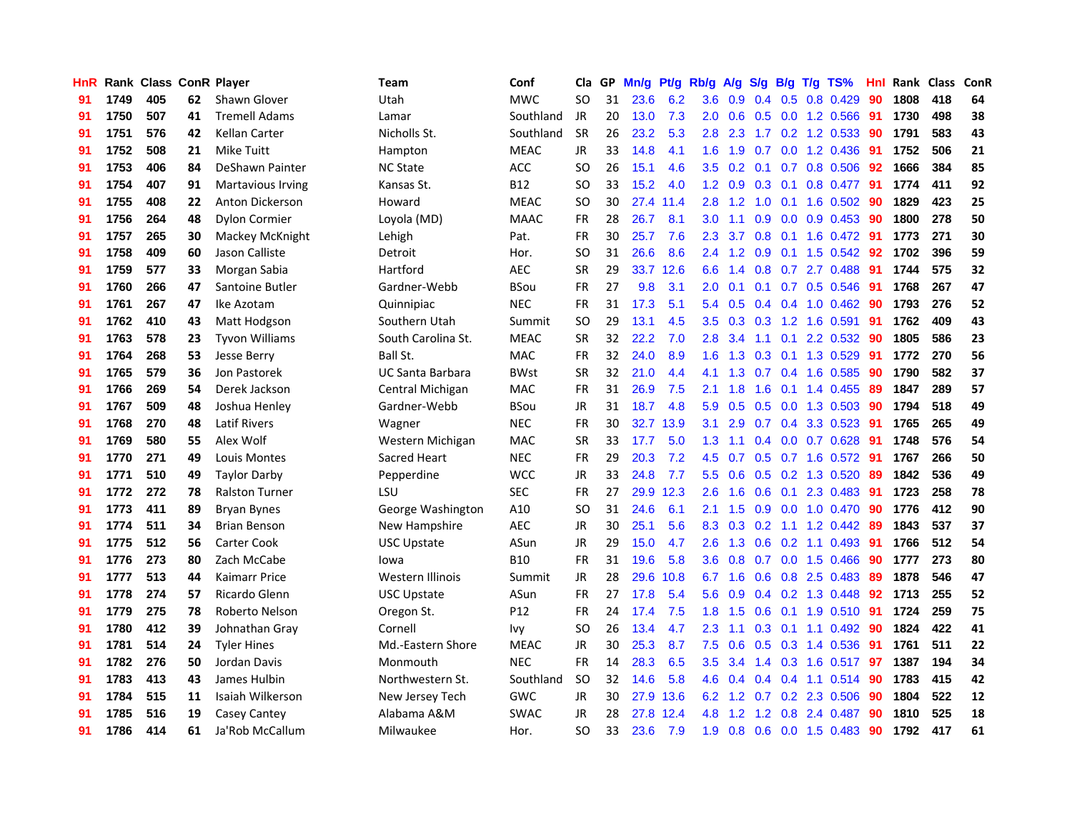| HnR |      | Rank Class ConR Player |    |                          | Team                    | Conf        | Cla       |    | GP Mn/g Pt/g Rb/g |           |                  |                                 |                  |                 | A/g S/g B/g T/g TS%       | Hnl | Rank Class |     | ConR |
|-----|------|------------------------|----|--------------------------|-------------------------|-------------|-----------|----|-------------------|-----------|------------------|---------------------------------|------------------|-----------------|---------------------------|-----|------------|-----|------|
| 91  | 1749 | 405                    | 62 | Shawn Glover             | Utah                    | <b>MWC</b>  | SO.       | 31 | 23.6              | 6.2       | 3.6              | 0.9                             | 0.4              | 0.5             | 0.8 0.429                 | 90  | 1808       | 418 | 64   |
| 91  | 1750 | 507                    | 41 | <b>Tremell Adams</b>     | Lamar                   | Southland   | JR        | 20 | 13.0              | 7.3       | 2.0              | 0.6                             | 0.5              | 0.0             | 1.2 0.566                 | 91  | 1730       | 498 | 38   |
| 91  | 1751 | 576                    | 42 | <b>Kellan Carter</b>     | Nicholls St.            | Southland   | <b>SR</b> | 26 | 23.2              | 5.3       | 2.8              | 2.3                             | 1.7              | 0.2             | 1.2 0.533                 | -90 | 1791       | 583 | 43   |
| 91  | 1752 | 508                    | 21 | <b>Mike Tuitt</b>        | Hampton                 | <b>MEAC</b> | JR        | 33 | 14.8              | 4.1       | 1.6              | 1.9                             | 0.7              |                 | $0.0$ 1.2 $0.436$         | -91 | 1752       | 506 | 21   |
| 91  | 1753 | 406                    | 84 | DeShawn Painter          | <b>NC State</b>         | <b>ACC</b>  | SO.       | 26 | 15.1              | 4.6       |                  | $3.5 \quad 0.2$                 |                  |                 | 0.1 0.7 0.8 0.506         | 92  | 1666       | 384 | 85   |
| 91  | 1754 | 407                    | 91 | <b>Martavious Irving</b> | Kansas St.              | <b>B12</b>  | SO.       | 33 | 15.2              | 4.0       | 1.2 <sub>2</sub> | 0.9                             |                  |                 | $0.3$ 0.1 0.8 0.477       | -91 | 1774       | 411 | 92   |
| 91  | 1755 | 408                    | 22 | Anton Dickerson          | Howard                  | <b>MEAC</b> | <b>SO</b> | 30 |                   | 27.4 11.4 | 2.8 <sup>°</sup> | 1.2                             |                  |                 | 1.0 0.1 1.6 0.502         | -90 | 1829       | 423 | 25   |
| 91  | 1756 | 264                    | 48 | <b>Dylon Cormier</b>     | Loyola (MD)             | <b>MAAC</b> | FR        | 28 | 26.7              | 8.1       | 3.0              | 1.1                             | 0.9 <sub>0</sub> |                 | 0.0 0.9 0.453             | 90  | 1800       | 278 | 50   |
| 91  | 1757 | 265                    | 30 | Mackey McKnight          | Lehigh                  | Pat.        | <b>FR</b> | 30 | 25.7              | 7.6       | 2.3              | 3.7                             | 0.8              | 0.1             | 1.6 0.472                 | 91  | 1773       | 271 | 30   |
| 91  | 1758 | 409                    | 60 | Jason Calliste           | Detroit                 | Hor.        | SO.       | 31 | 26.6              | 8.6       | 2.4              | 1.2                             | 0.9              |                 | $0.1$ 1.5 0.542           | 92  | 1702       | 396 | 59   |
| 91  | 1759 | 577                    | 33 | Morgan Sabia             | Hartford                | <b>AEC</b>  | <b>SR</b> | 29 |                   | 33.7 12.6 | 6.6              | 1.4                             | 0.8              |                 | 0.7 2.7 0.488             | -91 | 1744       | 575 | 32   |
| 91  | 1760 | 266                    | 47 | Santoine Butler          | Gardner-Webb            | <b>BSou</b> | <b>FR</b> | 27 | 9.8               | 3.1       | 2.0              | 0.1                             | 0.1              |                 | 0.7 0.5 0.546             | -91 | 1768       | 267 | 47   |
| 91  | 1761 | 267                    | 47 | Ike Azotam               | Quinnipiac              | <b>NEC</b>  | <b>FR</b> | 31 | 17.3              | 5.1       | 5.4              | 0.5                             |                  | $0.4 \quad 0.4$ | 1.0 0.462                 | 90  | 1793       | 276 | 52   |
| 91  | 1762 | 410                    | 43 | Matt Hodgson             | Southern Utah           | Summit      | <b>SO</b> | 29 | 13.1              | 4.5       | 3.5              | 0.3                             | 0.3              |                 | 1.2 1.6 0.591             | -91 | 1762       | 409 | 43   |
| 91  | 1763 | 578                    | 23 | <b>Tyvon Williams</b>    | South Carolina St.      | <b>MEAC</b> | <b>SR</b> | 32 | 22.2              | 7.0       | 2.8              | 3.4                             | 1.1              | 0.1             | 2.2 0.532                 | -90 | 1805       | 586 | 23   |
| 91  | 1764 | 268                    | 53 | Jesse Berry              | Ball St.                | <b>MAC</b>  | <b>FR</b> | 32 | 24.0              | 8.9       | 1.6              | 1.3                             | 0.3              | 0.1             | 1.3 0.529                 | -91 | 1772       | 270 | 56   |
| 91  | 1765 | 579                    | 36 | Jon Pastorek             | <b>UC Santa Barbara</b> | <b>BWst</b> | <b>SR</b> | 32 | 21.0              | 4.4       | 4.1              | 1.3                             | 0.7              |                 | $0.4$ 1.6 0.585           | 90  | 1790       | 582 | 37   |
| 91  | 1766 | 269                    | 54 | Derek Jackson            | Central Michigan        | <b>MAC</b>  | <b>FR</b> | 31 | 26.9              | 7.5       | 2.1              | 1.8                             | 1.6              | 0.1             | 1.4 0.455                 | -89 | 1847       | 289 | 57   |
| 91  | 1767 | 509                    | 48 | Joshua Henley            | Gardner-Webb            | <b>BSou</b> | JR        | 31 | 18.7              | 4.8       |                  | $5.9$ 0.5                       |                  |                 | $0.5$ 0.0 1.3 0.503       | -90 | 1794       | 518 | 49   |
| 91  | 1768 | 270                    | 48 | <b>Latif Rivers</b>      | Wagner                  | <b>NEC</b>  | <b>FR</b> | 30 |                   | 32.7 13.9 | 3.1              | 2.9                             |                  |                 | $0.7$ $0.4$ $3.3$ $0.523$ | -91 | 1765       | 265 | 49   |
| 91  | 1769 | 580                    | 55 | Alex Wolf                | Western Michigan        | <b>MAC</b>  | <b>SR</b> | 33 | 17.7              | 5.0       | 1.3              | 1.1                             |                  |                 | $0.4$ 0.0 0.7 0.628       | -91 | 1748       | 576 | 54   |
| 91  | 1770 | 271                    | 49 | Louis Montes             | Sacred Heart            | <b>NEC</b>  | FR        | 29 | 20.3              | 7.2       | 4.5              | 0.7                             |                  |                 | $0.5$ 0.7 1.6 0.572       | -91 | 1767       | 266 | 50   |
| 91  | 1771 | 510                    | 49 | <b>Taylor Darby</b>      | Pepperdine              | <b>WCC</b>  | <b>JR</b> | 33 | 24.8              | 7.7       | 5.5              | 0.6                             |                  |                 | $0.5$ $0.2$ 1.3 $0.520$   | 89  | 1842       | 536 | 49   |
| 91  | 1772 | 272                    | 78 | <b>Ralston Turner</b>    | LSU                     | <b>SEC</b>  | <b>FR</b> | 27 | 29.9              | 12.3      | 2.6              | 1.6                             | 0.6              | 0.1             | 2.3 0.483                 | -91 | 1723       | 258 | 78   |
| 91  | 1773 | 411                    | 89 | <b>Bryan Bynes</b>       | George Washington       | A10         | SO        | 31 | 24.6              | 6.1       | 2.1              | 1.5                             |                  |                 | 0.9 0.0 1.0 0.470         | -90 | 1776       | 412 | 90   |
| 91  | 1774 | 511                    | 34 | <b>Brian Benson</b>      | New Hampshire           | <b>AEC</b>  | JR        | 30 | 25.1              | 5.6       | 8.3              | 0.3                             | 0.2              | 1.1             | 1.2 0.442                 | -89 | 1843       | 537 | 37   |
| 91  | 1775 | 512                    | 56 | Carter Cook              | <b>USC Upstate</b>      | ASun        | JR        | 29 | 15.0              | 4.7       | 2.6              | 1.3                             | 0.6              |                 | $0.2$ 1.1 $0.493$         | 91  | 1766       | 512 | 54   |
| 91  | 1776 | 273                    | 80 | Zach McCabe              | lowa                    | <b>B10</b>  | <b>FR</b> | 31 | 19.6              | 5.8       | 3.6              | 0.8                             | 0.7              | 0.0             | 1.5 0.466                 | -90 | 1777       | 273 | 80   |
| 91  | 1777 | 513                    | 44 | Kaimarr Price            | Western Illinois        | Summit      | <b>JR</b> | 28 | 29.6              | 10.8      | 6.7              | 1.6                             | 0.6              | 0.8             | 2.5 0.483                 | 89  | 1878       | 546 | 47   |
| 91  | 1778 | 274                    | 57 | Ricardo Glenn            | <b>USC Upstate</b>      | ASun        | <b>FR</b> | 27 | 17.8              | 5.4       | 5.6              | 0.9                             |                  |                 | $0.4$ 0.2 1.3 0.448       | 92  | 1713       | 255 | 52   |
| 91  | 1779 | 275                    | 78 | Roberto Nelson           | Oregon St.              | P12         | <b>FR</b> | 24 | 17.4              | 7.5       | 1.8              | 1.5                             | 0.6              | 0.1             | 1.9 0.510                 | -91 | 1724       | 259 | 75   |
| 91  | 1780 | 412                    | 39 | Johnathan Gray           | Cornell                 | Ivv         | <b>SO</b> | 26 | 13.4              | 4.7       | 2.3              | 1.1                             |                  |                 | $0.3$ 0.1 1.1 0.492       | -90 | 1824       | 422 | 41   |
| 91  | 1781 | 514                    | 24 | <b>Tyler Hines</b>       | Md.-Eastern Shore       | <b>MEAC</b> | JR        | 30 | 25.3              | 8.7       | 7.5              | 0.6                             |                  |                 | $0.5$ 0.3 1.4 0.536       | -91 | 1761       | 511 | 22   |
| 91  | 1782 | 276                    | 50 | Jordan Davis             | Monmouth                | <b>NEC</b>  | <b>FR</b> | 14 | 28.3              | 6.5       | $3.5\,$          | 3.4                             |                  |                 | 1.4 0.3 1.6 0.517         | 97  | 1387       | 194 | 34   |
| 91  | 1783 | 413                    | 43 | James Hulbin             | Northwestern St.        | Southland   | <b>SO</b> | 32 | 14.6              | 5.8       | 4.6              | 0.4                             |                  |                 | $0.4$ 0.4 1.1 0.514       | 90  | 1783       | 415 | 42   |
| 91  | 1784 | 515                    | 11 | Isaiah Wilkerson         | New Jersey Tech         | <b>GWC</b>  | <b>JR</b> | 30 | 27.9              | 13.6      | 6.2              | 1.2                             |                  |                 | 0.7 0.2 2.3 0.506         | 90  | 1804       | 522 | 12   |
| 91  | 1785 | 516                    | 19 | Casey Cantey             | Alabama A&M             | <b>SWAC</b> | JR        | 28 | 27.8              | 12.4      | 4.8              | $\cdot$<br>$\blacktriangleleft$ | 1.2              | 0.8             | 2.4 0.487                 | 90  | 1810       | 525 | 18   |
| 91  | 1786 | 414                    | 61 | Ja'Rob McCallum          | Milwaukee               | Hor.        | SO.       | 33 | 23.6              | 7.9       | 1.9              | 0.8                             |                  |                 | $0.6$ $0.0$ 1.5 $0.483$   | 90  | 1792       | 417 | 61   |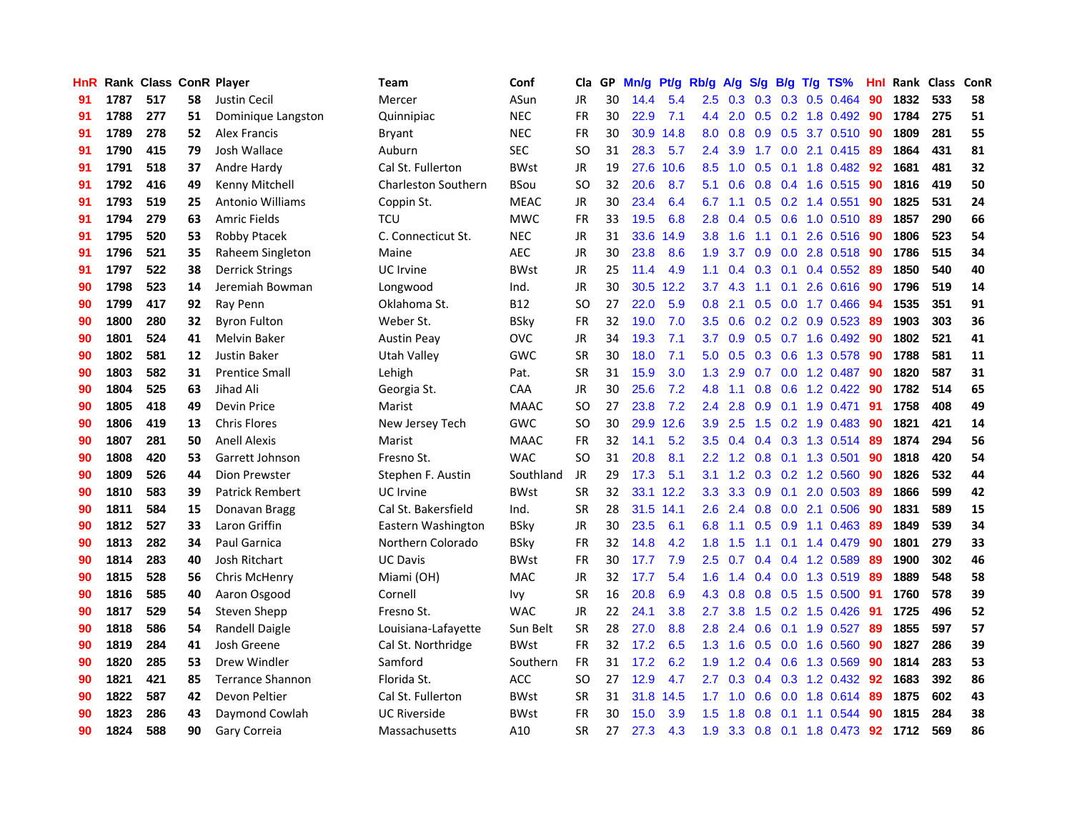| HnR |      | Rank Class ConR Player |    |                         | <b>Team</b>                | Conf        | Cla       |    | GP Mn/g Pt/g Rb/g |           |                  | A/g |                  |                 | S/g B/g T/g TS%           | Hnl | Rank Class |     | ConR |
|-----|------|------------------------|----|-------------------------|----------------------------|-------------|-----------|----|-------------------|-----------|------------------|-----|------------------|-----------------|---------------------------|-----|------------|-----|------|
| 91  | 1787 | 517                    | 58 | Justin Cecil            | Mercer                     | ASun        | JR        | 30 | 14.4              | 5.4       | $2.5\,$          | 0.3 | 0.3              | 0.3             | 0.5 0.464                 | 90  | 1832       | 533 | 58   |
| 91  | 1788 | 277                    | 51 | Dominique Langston      | Quinnipiac                 | <b>NEC</b>  | <b>FR</b> | 30 | 22.9              | 7.1       | 4.4              | 2.0 | 0.5              | 0.2             | 1.8 0.492                 | -90 | 1784       | 275 | 51   |
| 91  | 1789 | 278                    | 52 | Alex Francis            | Bryant                     | <b>NEC</b>  | <b>FR</b> | 30 | 30.9              | 14.8      | 0.8              | 0.8 |                  | $0.9\quad 0.5$  | 3.7 0.510                 | -90 | 1809       | 281 | 55   |
| 91  | 1790 | 415                    | 79 | Josh Wallace            | Auburn                     | <b>SEC</b>  | <b>SO</b> | 31 | 28.3              | 5.7       | 2.4              | 3.9 |                  |                 | 1.7 0.0 2.1 0.415         | -89 | 1864       | 431 | 81   |
| 91  | 1791 | 518                    | 37 | Andre Hardy             | Cal St. Fullerton          | <b>BWst</b> | JR        | 19 |                   | 27.6 10.6 | 8.5              | 1.0 |                  |                 | 0.5 0.1 1.8 0.482 92      |     | 1681       | 481 | 32   |
| 91  | 1792 | 416                    | 49 | Kenny Mitchell          | <b>Charleston Southern</b> | <b>BSou</b> | SO.       | 32 | 20.6              | 8.7       | 5.1              | 0.6 |                  |                 | $0.8$ 0.4 1.6 0.515       | -90 | 1816       | 419 | 50   |
| 91  | 1793 | 519                    | 25 | Antonio Williams        | Coppin St.                 | <b>MEAC</b> | JR        | 30 | 23.4              | 6.4       | 6.7              | 1.1 |                  |                 | $0.5$ 0.2 1.4 0.551       | 90  | 1825       | 531 | 24   |
| 91  | 1794 | 279                    | 63 | Amric Fields            | TCU                        | <b>MWC</b>  | <b>FR</b> | 33 | 19.5              | 6.8       | 2.8              | 0.4 |                  |                 | $0.5$ $0.6$ 1.0 $0.510$   | 89  | 1857       | 290 | 66   |
| 91  | 1795 | 520                    | 53 | Robby Ptacek            | C. Connecticut St.         | <b>NEC</b>  | <b>JR</b> | 31 | 33.6              | 14.9      | 3.8              | 1.6 | 1.1              | 0.1             | 2.6 0.516                 | 90  | 1806       | 523 | 54   |
| 91  | 1796 | 521                    | 35 | Raheem Singleton        | Maine                      | <b>AEC</b>  | <b>JR</b> | 30 | 23.8              | 8.6       | 1.9              | 3.7 | 0.9 <sup>°</sup> |                 | 0.0 2.8 0.518             | -90 | 1786       | 515 | 34   |
| 91  | 1797 | 522                    | 38 | <b>Derrick Strings</b>  | UC Irvine                  | <b>BWst</b> | JR        | 25 | 11.4              | 4.9       | 1.1              | 0.4 |                  | $0.3 \quad 0.1$ | 0.4 0.552                 | -89 | 1850       | 540 | 40   |
| 90  | 1798 | 523                    | 14 | Jeremiah Bowman         | Longwood                   | Ind.        | <b>JR</b> | 30 |                   | 30.5 12.2 | 3.7              | 4.3 | 1.1              | 0.1             | 2.6 0.616                 | 90  | 1796       | 519 | 14   |
| 90  | 1799 | 417                    | 92 | Ray Penn                | Oklahoma St.               | <b>B12</b>  | <b>SO</b> | 27 | 22.0              | 5.9       | 0.8              | 2.1 | 0.5              | 0.0             | 1.7 0.466                 | 94  | 1535       | 351 | 91   |
| 90  | 1800 | 280                    | 32 | <b>Byron Fulton</b>     | Weber St.                  | <b>BSky</b> | <b>FR</b> | 32 | 19.0              | 7.0       | 3.5              | 0.6 |                  |                 | $0.2$ $0.2$ $0.9$ $0.523$ | -89 | 1903       | 303 | 36   |
| 90  | 1801 | 524                    | 41 | <b>Melvin Baker</b>     | <b>Austin Peay</b>         | OVC         | <b>JR</b> | 34 | 19.3              | 7.1       | 3.7              | 0.9 | 0.5              |                 | 0.7 1.6 0.492             | 90  | 1802       | 521 | 41   |
| 90  | 1802 | 581                    | 12 | Justin Baker            | Utah Valley                | <b>GWC</b>  | <b>SR</b> | 30 | 18.0              | 7.1       | 5.0              | 0.5 |                  | $0.3 \quad 0.6$ | 1.3 0.578                 | -90 | 1788       | 581 | 11   |
| 90  | 1803 | 582                    | 31 | <b>Prentice Small</b>   | Lehigh                     | Pat.        | <b>SR</b> | 31 | 15.9              | 3.0       | 1.3              | 2.9 |                  |                 | 0.7 0.0 1.2 0.487         | -90 | 1820       | 587 | 31   |
| 90  | 1804 | 525                    | 63 | Jihad Ali               | Georgia St.                | <b>CAA</b>  | JR        | 30 | 25.6              | 7.2       | 4.8              | 1.1 |                  |                 | $0.8$ 0.6 1.2 0.422       | -90 | 1782       | 514 | 65   |
| 90  | 1805 | 418                    | 49 | Devin Price             | Marist                     | <b>MAAC</b> | SO.       | 27 | 23.8              | 7.2       | $2.4^{\circ}$    | 2.8 |                  |                 | $0.9$ 0.1 1.9 0.471       | 91  | 1758       | 408 | 49   |
| 90  | 1806 | 419                    | 13 | Chris Flores            | New Jersey Tech            | <b>GWC</b>  | <b>SO</b> | 30 |                   | 29.9 12.6 | 3.9 <sup>°</sup> | 2.5 |                  |                 | 1.5 0.2 1.9 0.483         | -90 | 1821       | 421 | 14   |
| 90  | 1807 | 281                    | 50 | <b>Anell Alexis</b>     | Marist                     | <b>MAAC</b> | <b>FR</b> | 32 | 14.1              | 5.2       | 3.5              | 0.4 |                  |                 | $0.4$ 0.3 1.3 0.514       | -89 | 1874       | 294 | 56   |
| 90  | 1808 | 420                    | 53 | Garrett Johnson         | Fresno St.                 | <b>WAC</b>  | <b>SO</b> | 31 | 20.8              | 8.1       | 2.2 <sub>2</sub> | 1.2 |                  |                 | 0.8 0.1 1.3 0.501         | 90  | 1818       | 420 | 54   |
| 90  | 1809 | 526                    | 44 | Dion Prewster           | Stephen F. Austin          | Southland   | JR        | 29 | 17.3              | 5.1       | 3.1              | 1.2 |                  |                 | 0.3 0.2 1.2 0.560         | -90 | 1826       | 532 | 44   |
| 90  | 1810 | 583                    | 39 | <b>Patrick Rembert</b>  | UC Irvine                  | <b>BWst</b> | <b>SR</b> | 32 |                   | 33.1 12.2 | 3.3              | 3.3 |                  | $0.9\quad 0.1$  | 2.0 0.503                 | -89 | 1866       | 599 | 42   |
| 90  | 1811 | 584                    | 15 | Donavan Bragg           | Cal St. Bakersfield        | Ind.        | <b>SR</b> | 28 | 31.5 14.1         |           | 2.6              | 2.4 |                  |                 | 0.8 0.0 2.1 0.506         | 90  | 1831       | 589 | 15   |
| 90  | 1812 | 527                    | 33 | Laron Griffin           | Eastern Washington         | <b>BSky</b> | <b>JR</b> | 30 | 23.5              | 6.1       | 6.8              | 1.1 | 0.5              | 0.9             | $1.1 \quad 0.463$         | 89  | 1849       | 539 | 34   |
| 90  | 1813 | 282                    | 34 | Paul Garnica            | Northern Colorado          | <b>BSky</b> | <b>FR</b> | 32 | 14.8              | 4.2       | 1.8              | 1.5 | 1.1              |                 | $0.1$ 1.4 $0.479$         | 90  | 1801       | 279 | 33   |
| 90  | 1814 | 283                    | 40 | Josh Ritchart           | <b>UC Davis</b>            | <b>BWst</b> | <b>FR</b> | 30 | 17.7              | 7.9       | 2.5              | 0.7 |                  |                 | 0.4 0.4 1.2 0.589         | -89 | 1900       | 302 | 46   |
| 90  | 1815 | 528                    | 56 | Chris McHenry           | Miami (OH)                 | <b>MAC</b>  | <b>JR</b> | 32 | 17.7              | 5.4       | 1.6              | 1.4 |                  | $0.4 \quad 0.0$ | 1.3 0.519                 | -89 | 1889       | 548 | 58   |
| 90  | 1816 | 585                    | 40 | Aaron Osgood            | Cornell                    | lvy         | <b>SR</b> | 16 | 20.8              | 6.9       | 4.3              | 0.8 |                  |                 | 0.8 0.5 1.5 0.500 91      |     | 1760       | 578 | 39   |
| 90  | 1817 | 529                    | 54 | Steven Shepp            | Fresno St.                 | <b>WAC</b>  | JR        | 22 | 24.1              | 3.8       | $2.7^{\circ}$    | 3.8 |                  |                 | 1.5 0.2 1.5 0.426         | -91 | 1725       | 496 | 52   |
| 90  | 1818 | 586                    | 54 | Randell Daigle          | Louisiana-Lafayette        | Sun Belt    | <b>SR</b> | 28 | 27.0              | 8.8       | 2.8              | 2.4 |                  |                 | $0.6$ $0.1$ $1.9$ $0.527$ | -89 | 1855       | 597 | 57   |
| 90  | 1819 | 284                    | 41 | Josh Greene             | Cal St. Northridge         | <b>BWst</b> | <b>FR</b> | 32 | 17.2              | 6.5       | 1.3              | 1.6 |                  |                 | 0.5 0.0 1.6 0.560         | 90  | 1827       | 286 | 39   |
| 90  | 1820 | 285                    | 53 | Drew Windler            | Samford                    | Southern    | FR        | 31 | 17.2              | 6.2       | 1.9              | 1.2 |                  | $0.4\quad 0.6$  | 1.3 0.569                 | 90  | 1814       | 283 | 53   |
| 90  | 1821 | 421                    | 85 | <b>Terrance Shannon</b> | Florida St.                | ACC         | <b>SO</b> | 27 | 12.9              | 4.7       | 2.7              | 0.3 |                  |                 | 0.4 0.3 1.2 0.432         | 92  | 1683       | 392 | 86   |
| 90  | 1822 | 587                    | 42 | Devon Peltier           | Cal St. Fullerton          | <b>BWst</b> | <b>SR</b> | 31 | 31.8              | 14.5      | 1.7              | 1.0 | 0.6              | 0.0             | 1.8 0.614                 | 89  | 1875       | 602 | 43   |
| 90  | 1823 | 286                    | 43 | Daymond Cowlah          | <b>UC Riverside</b>        | <b>BWst</b> | FR        | 30 | 15.0              | 3.9       | 1.5              | 1.8 | 0.8              | 0.1             | 1.1 0.544                 | 90  | 1815       | 284 | 38   |
| 90  | 1824 | 588                    | 90 | Gary Correia            | Massachusetts              | A10         | <b>SR</b> | 27 | 27.3              | 4.3       | 1.9              | 3.3 |                  |                 | 0.8 0.1 1.8 0.473         | 92  | 1712       | 569 | 86   |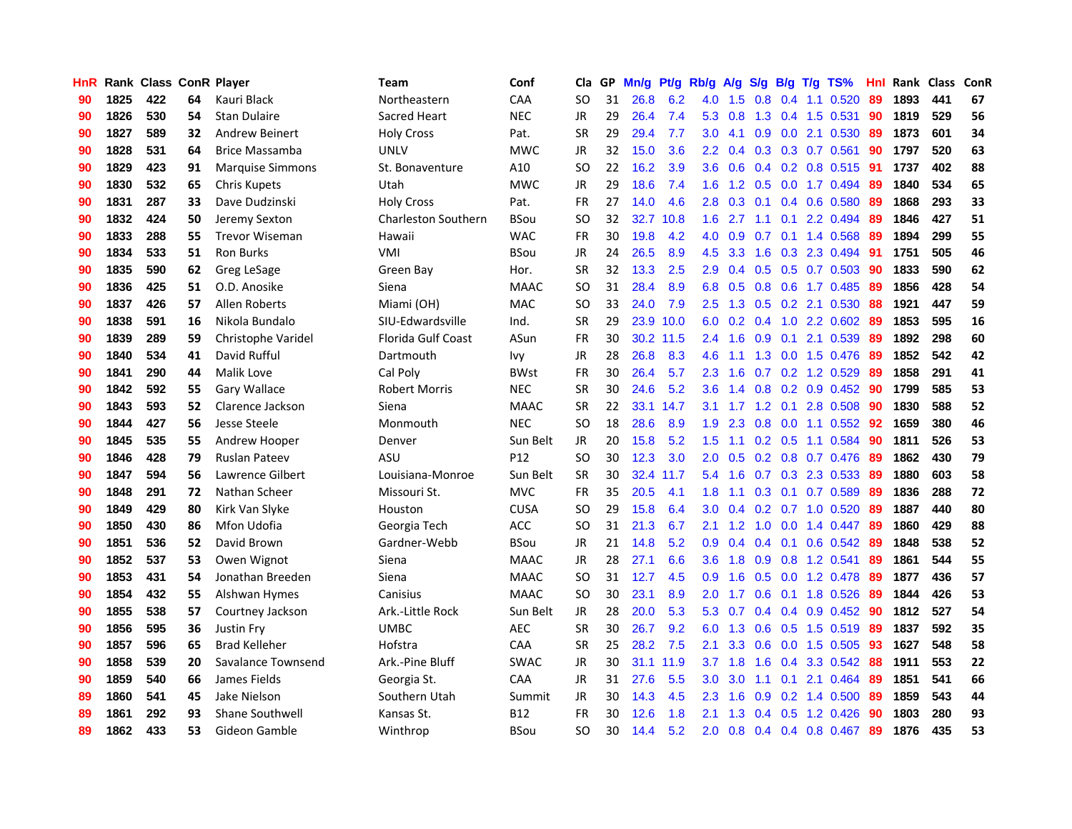| HnR |      | Rank Class ConR Player |    |                         | Team                       | Conf            | Cla       |    | GP Mn/g Pt/g Rb/g |           |                  | A/g         |                  |                 | S/g B/g T/g TS%           | Hnl | Rank Class |     | ConR |
|-----|------|------------------------|----|-------------------------|----------------------------|-----------------|-----------|----|-------------------|-----------|------------------|-------------|------------------|-----------------|---------------------------|-----|------------|-----|------|
| 90  | 1825 | 422                    | 64 | Kauri Black             | Northeastern               | CAA             | <b>SO</b> | 31 | 26.8              | 6.2       | 4.0              | 1.5         | 0.8              | 0.4             | 1.1 0.520                 | 89  | 1893       | 441 | 67   |
| 90  | 1826 | 530                    | 54 | <b>Stan Dulaire</b>     | Sacred Heart               | <b>NEC</b>      | <b>JR</b> | 29 | 26.4              | 7.4       | 5.3              | 0.8         | 1.3              | 0.4             | 1.5 0.531                 | 90  | 1819       | 529 | 56   |
| 90  | 1827 | 589                    | 32 | <b>Andrew Beinert</b>   | <b>Holy Cross</b>          | Pat.            | <b>SR</b> | 29 | 29.4              | 7.7       | 3.0              | 4.1         | 0.9 <sup>°</sup> | 0.0             | 2.1 0.530                 | -89 | 1873       | 601 | 34   |
| 90  | 1828 | 531                    | 64 | Brice Massamba          | <b>UNLV</b>                | <b>MWC</b>      | <b>JR</b> | 32 | 15.0              | 3.6       | $2.2^{\circ}$    | 0.4         |                  |                 | 0.3 0.3 0.7 0.561         | 90  | 1797       | 520 | 63   |
| 90  | 1829 | 423                    | 91 | <b>Marquise Simmons</b> | St. Bonaventure            | A10             | <b>SO</b> | 22 | 16.2              | 3.9       | 3.6 <sup>2</sup> | 0.6         |                  |                 | 0.4 0.2 0.8 0.515 91      |     | 1737       | 402 | 88   |
| 90  | 1830 | 532                    | 65 | <b>Chris Kupets</b>     | Utah                       | <b>MWC</b>      | <b>JR</b> | 29 | 18.6              | 7.4       |                  | $1.6 \t1.2$ |                  |                 | 0.5 0.0 1.7 0.494         | -89 | 1840       | 534 | 65   |
| 90  | 1831 | 287                    | 33 | Dave Dudzinski          | <b>Holy Cross</b>          | Pat.            | <b>FR</b> | 27 | 14.0              | 4.6       | 2.8 <sup>°</sup> | 0.3         |                  |                 | $0.1$ $0.4$ $0.6$ $0.580$ | 89  | 1868       | 293 | 33   |
| 90  | 1832 | 424                    | 50 | Jeremy Sexton           | <b>Charleston Southern</b> | BSou            | <b>SO</b> | 32 | 32.7              | 10.8      | 1.6              | 2.7         | 1.1              | 0.1             | 2.2 0.494                 | 89  | 1846       | 427 | 51   |
| 90  | 1833 | 288                    | 55 | <b>Trevor Wiseman</b>   | Hawaii                     | <b>WAC</b>      | <b>FR</b> | 30 | 19.8              | 4.2       | 4.0              | 0.9         | 0.7              |                 | 0.1 1.4 0.568             | 89  | 1894       | 299 | 55   |
| 90  | 1834 | 533                    | 51 | <b>Ron Burks</b>        | VMI                        | <b>BSou</b>     | <b>JR</b> | 24 | 26.5              | 8.9       | 4.5              | 3.3         | 1.6              |                 | 0.3 2.3 0.494             | 91  | 1751       | 505 | 46   |
| 90  | 1835 | 590                    | 62 | Greg LeSage             | Green Bay                  | Hor.            | <b>SR</b> | 32 | 13.3              | 2.5       | 2.9              | 0.4         |                  |                 | 0.5 0.5 0.7 0.503         | -90 | 1833       | 590 | 62   |
| 90  | 1836 | 425                    | 51 | O.D. Anosike            | Siena                      | <b>MAAC</b>     | SO.       | 31 | 28.4              | 8.9       | 6.8              | 0.5         |                  | $0.8\quad 0.6$  | 1.7 0.485                 | 89  | 1856       | 428 | 54   |
| 90  | 1837 | 426                    | 57 | Allen Roberts           | Miami (OH)                 | <b>MAC</b>      | <b>SO</b> | 33 | 24.0              | 7.9       | $2.5^{\circ}$    | 1.3         | 0.5              | 0.2             | 2.1 0.530                 | 88  | 1921       | 447 | 59   |
| 90  | 1838 | 591                    | 16 | Nikola Bundalo          | SIU-Edwardsville           | Ind.            | <b>SR</b> | 29 |                   | 23.9 10.0 | 6.0              | 0.2         | 0.4              | 1.0             | 2.2 0.602                 | -89 | 1853       | 595 | 16   |
| 90  | 1839 | 289                    | 59 | Christophe Varidel      | <b>Florida Gulf Coast</b>  | ASun            | <b>FR</b> | 30 |                   | 30.2 11.5 | 2.4              | 1.6         | 0.9              | 0.1             | 2.1 0.539                 | 89  | 1892       | 298 | 60   |
| 90  | 1840 | 534                    | 41 | David Rufful            | Dartmouth                  | lvy             | JR        | 28 | 26.8              | 8.3       | 4.6              | 1.1         |                  |                 | 1.3 0.0 1.5 0.476         | -89 | 1852       | 542 | 42   |
| 90  | 1841 | 290                    | 44 | Malik Love              | Cal Poly                   | <b>BWst</b>     | FR        | 30 | 26.4              | 5.7       | 2.3              | 1.6         |                  |                 | $0.7$ $0.2$ 1.2 $0.529$   | -89 | 1858       | 291 | 41   |
| 90  | 1842 | 592                    | 55 | Gary Wallace            | <b>Robert Morris</b>       | <b>NEC</b>      | <b>SR</b> | 30 | 24.6              | 5.2       | 3.6 <sup>2</sup> | 1.4         |                  |                 | $0.8$ 0.2 0.9 0.452       | -90 | 1799       | 585 | 53   |
| 90  | 1843 | 593                    | 52 | Clarence Jackson        | Siena                      | <b>MAAC</b>     | <b>SR</b> | 22 |                   | 33.1 14.7 | 3.1              | 1.7         |                  |                 | 1.2 0.1 2.8 0.508         | 90  | 1830       | 588 | 52   |
| 90  | 1844 | 427                    | 56 | Jesse Steele            | Monmouth                   | <b>NEC</b>      | <b>SO</b> | 18 | 28.6              | 8.9       | 1.9              | 2.3         |                  |                 | $0.8$ 0.0 1.1 0.552       | 92  | 1659       | 380 | 46   |
| 90  | 1845 | 535                    | 55 | Andrew Hooper           | Denver                     | Sun Belt        | JR        | 20 | 15.8              | 5.2       | $1.5^{\circ}$    | 1.1         |                  |                 | 0.2 0.5 1.1 0.584         | 90  | 1811       | 526 | 53   |
| 90  | 1846 | 428                    | 79 | <b>Ruslan Pateev</b>    | ASU                        | P <sub>12</sub> | <b>SO</b> | 30 | 12.3              | 3.0       | 2.0              | 0.5         |                  |                 | 0.2 0.8 0.7 0.476         | 89  | 1862       | 430 | 79   |
| 90  | 1847 | 594                    | 56 | Lawrence Gilbert        | Louisiana-Monroe           | Sun Belt        | <b>SR</b> | 30 | 32.4              | 11.7      | 5.4              | 1.6         |                  |                 | 0.7 0.3 2.3 0.533         | -89 | 1880       | 603 | 58   |
| 90  | 1848 | 291                    | 72 | Nathan Scheer           | Missouri St.               | <b>MVC</b>      | <b>FR</b> | 35 | 20.5              | 4.1       | 1.8              | 1.1         |                  | $0.3 \quad 0.1$ | 0.7 0.589                 | -89 | 1836       | 288 | 72   |
| 90  | 1849 | 429                    | 80 | Kirk Van Slyke          | Houston                    | <b>CUSA</b>     | <b>SO</b> | 29 | 15.8              | 6.4       | 3.0              | 0.4         |                  |                 | $0.2$ 0.7 1.0 0.520       | -89 | 1887       | 440 | 80   |
| 90  | 1850 | 430                    | 86 | Mfon Udofia             | Georgia Tech               | ACC             | <b>SO</b> | 31 | 21.3              | 6.7       | 2.1              | 1.2         | 1.0              | 0.0             | 1.4 0.447                 | 89  | 1860       | 429 | 88   |
| 90  | 1851 | 536                    | 52 | David Brown             | Gardner-Webb               | <b>BSou</b>     | <b>JR</b> | 21 | 14.8              | 5.2       | 0.9              | 0.4         |                  | $0.4 \quad 0.1$ | $0.6$ $0.542$             | 89  | 1848       | 538 | 52   |
| 90  | 1852 | 537                    | 53 | Owen Wignot             | Siena                      | <b>MAAC</b>     | JR        | 28 | 27.1              | 6.6       | 3.6              | 1.8         |                  | $0.9\quad 0.8$  | 1.2 0.541                 | 89  | 1861       | 544 | 55   |
| 90  | 1853 | 431                    | 54 | Jonathan Breeden        | Siena                      | <b>MAAC</b>     | <b>SO</b> | 31 | 12.7              | 4.5       | 0.9              | 1.6         |                  | $0.5 \quad 0.0$ | 1.2 0.478                 | -89 | 1877       | 436 | 57   |
| 90  | 1854 | 432                    | 55 | Alshwan Hymes           | Canisius                   | <b>MAAC</b>     | SO.       | 30 | 23.1              | 8.9       | 2.0              | 1.7         |                  |                 | $0.6$ $0.1$ 1.8 $0.526$   | -89 | 1844       | 426 | 53   |
| 90  | 1855 | 538                    | 57 | Courtney Jackson        | Ark .- Little Rock         | Sun Belt        | JR        | 28 | 20.0              | 5.3       |                  | 5.3 0.7     |                  |                 | $0.4$ 0.4 0.9 0.452       | -90 | 1812       | 527 | 54   |
| 90  | 1856 | 595                    | 36 | <b>Justin Fry</b>       | <b>UMBC</b>                | <b>AEC</b>      | <b>SR</b> | 30 | 26.7              | 9.2       | 6.0              | 1.3         |                  |                 | $0.6$ $0.5$ 1.5 $0.519$   | -89 | 1837       | 592 | 35   |
| 90  | 1857 | 596                    | 65 | <b>Brad Kelleher</b>    | Hofstra                    | CAA             | <b>SR</b> | 25 | 28.2              | 7.5       | 2.1              | 3.3         | 0.6              |                 | 0.0 1.5 0.505             | 93  | 1627       | 548 | 58   |
| 90  | 1858 | 539                    | 20 | Savalance Townsend      | Ark.-Pine Bluff            | <b>SWAC</b>     | JR        | 30 |                   | 31.1 11.9 | 3.7              | 1.8         | 1.6              |                 | 0.4 3.3 0.542             | 88  | 1911       | 553 | 22   |
| 90  | 1859 | 540                    | 66 | James Fields            | Georgia St.                | CAA             | <b>JR</b> | 31 | 27.6              | 5.5       | 3.0              | 3.0         | 1.1              | 0.1             | 2.1 0.464                 | 89  | 1851       | 541 | 66   |
| 89  | 1860 | 541                    | 45 | Jake Nielson            | Southern Utah              | Summit          | JR        | 30 | 14.3              | 4.5       | 2.3              | 1.6         | 0.9              |                 | $0.2$ 1.4 $0.500$         | -89 | 1859       | 543 | 44   |
| 89  | 1861 | 292                    | 93 | <b>Shane Southwell</b>  | Kansas St.                 | B12             | FR        | 30 | 12.6              | 1.8       | 2.1              | 1.3         | 0.4              | 0.5             | 1.2 0.426                 | 90  | 1803       | 280 | 93   |
| 89  | 1862 | 433                    | 53 | Gideon Gamble           | Winthrop                   | <b>BSou</b>     | <b>SO</b> | 30 | 14.4              | 5.2       | 2.0              | 0.8         |                  |                 | 0.4 0.4 0.8 0.467         | -89 | 1876       | 435 | 53   |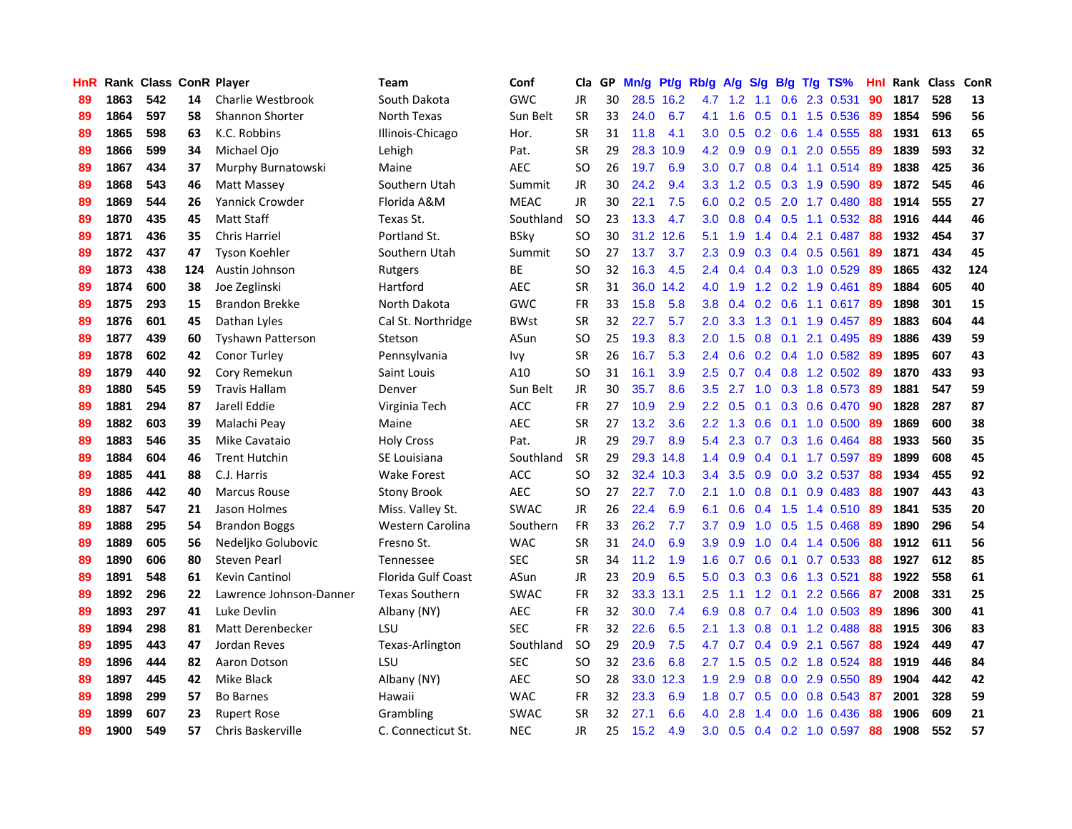| HnR |      | Rank Class ConR Player |     |                          | Team                      | Conf        | Cla       | GP. | Mn/g Pt/g Rb/g A/g S/g B/g T/g TS% |           |                  |                  |     |                 |                         | Hnl | Rank Class |     | <b>ConR</b> |
|-----|------|------------------------|-----|--------------------------|---------------------------|-------------|-----------|-----|------------------------------------|-----------|------------------|------------------|-----|-----------------|-------------------------|-----|------------|-----|-------------|
| 89  | 1863 | 542                    | 14  | Charlie Westbrook        | South Dakota              | <b>GWC</b>  | JR        | 30  |                                    | 28.5 16.2 | 4.7              | $1.2^{\circ}$    | 1.1 | 0.6             | 2.3 0.531               | 90  | 1817       | 528 | 13          |
| 89  | 1864 | 597                    | 58  | <b>Shannon Shorter</b>   | North Texas               | Sun Belt    | <b>SR</b> | 33  | 24.0                               | 6.7       | 4.1              | 1.6              | 0.5 |                 | $0.1$ 1.5 0.536         | -89 | 1854       | 596 | 56          |
| 89  | 1865 | 598                    | 63  | K.C. Robbins             | Illinois-Chicago          | Hor.        | <b>SR</b> | 31  | 11.8                               | 4.1       | 3.0              | 0.5              | 0.2 | 0.6             | 1.4 0.555               | 88  | 1931       | 613 | 65          |
| 89  | 1866 | 599                    | 34  | Michael Ojo              | Lehigh                    | Pat.        | <b>SR</b> | 29  | 28.3                               | 10.9      | 4.2              | 0.9              |     |                 | 0.9 0.1 2.0 0.555       | -89 | 1839       | 593 | 32          |
| 89  | 1867 | 434                    | 37  | Murphy Burnatowski       | Maine                     | <b>AEC</b>  | <b>SO</b> | 26  | 19.7                               | 6.9       |                  | $3.0\quad 0.7$   |     |                 | $0.8$ 0.4 1.1 0.514     | -89 | 1838       | 425 | 36          |
| 89  | 1868 | 543                    | 46  | Matt Massey              | Southern Utah             | Summit      | <b>JR</b> | 30  | 24.2                               | 9.4       | 3.3 <sup>°</sup> | 1.2              |     |                 | 0.5 0.3 1.9 0.590       | -89 | 1872       | 545 | 46          |
| 89  | 1869 | 544                    | 26  | <b>Yannick Crowder</b>   | Florida A&M               | <b>MEAC</b> | <b>JR</b> | 30  | 22.1                               | 7.5       | 6.0              | 0.2              |     |                 | 0.5 2.0 1.7 0.480       | 88  | 1914       | 555 | 27          |
| 89  | 1870 | 435                    | 45  | <b>Matt Staff</b>        | Texas St.                 | Southland   | <b>SO</b> | 23  | 13.3                               | 4.7       | 3.0 <sub>1</sub> | 0.8              |     |                 | $0.4$ $0.5$ 1.1 $0.532$ | 88  | 1916       | 444 | 46          |
| 89  | 1871 | 436                    | 35  | <b>Chris Harriel</b>     | Portland St.              | <b>BSky</b> | <b>SO</b> | 30  |                                    | 31.2 12.6 | 5.1              | 1.9              |     |                 | 1.4 0.4 2.1 0.487       | 88  | 1932       | 454 | 37          |
| 89  | 1872 | 437                    | 47  | <b>Tyson Koehler</b>     | Southern Utah             | Summit      | <b>SO</b> | 27  | 13.7                               | 3.7       | 2.3              | 0.9              |     |                 | 0.3 0.4 0.5 0.561       | 89  | 1871       | 434 | 45          |
| 89  | 1873 | 438                    | 124 | Austin Johnson           | Rutgers                   | <b>BE</b>   | <b>SO</b> | 32  | 16.3                               | 4.5       | $2.4\,$          | 0.4              |     |                 | $0.4$ 0.3 1.0 0.529     | 89  | 1865       | 432 | 124         |
| 89  | 1874 | 600                    | 38  | Joe Zeglinski            | Hartford                  | AEC         | <b>SR</b> | 31  |                                    | 36.0 14.2 | 4.0              | 1.9              |     |                 | 1.2 0.2 1.9 0.461       | -89 | 1884       | 605 | 40          |
| 89  | 1875 | 293                    | 15  | <b>Brandon Brekke</b>    | North Dakota              | <b>GWC</b>  | <b>FR</b> | 33  | 15.8                               | 5.8       | 3.8              | 0.4              | 0.2 | 0.6             | 1.1 0.617               | -89 | 1898       | 301 | 15          |
| 89  | 1876 | 601                    | 45  | Dathan Lyles             | Cal St. Northridge        | <b>BWst</b> | <b>SR</b> | 32  | 22.7                               | 5.7       | 2.0              | 3.3 <sub>2</sub> | 1.3 |                 | $0.1$ 1.9 $0.457$       | -89 | 1883       | 604 | 44          |
| 89  | 1877 | 439                    | 60  | <b>Tyshawn Patterson</b> | Stetson                   | ASun        | <b>SO</b> | 25  | 19.3                               | 8.3       | 2.0              | 1.5              | 0.8 | 0.1             | 2.1 0.495               | 89  | 1886       | 439 | 59          |
| 89  | 1878 | 602                    | 42  | Conor Turley             | Pennsylvania              | <b>Ivy</b>  | <b>SR</b> | 26  | 16.7                               | 5.3       | 2.4              | 0.6              |     |                 | $0.2$ $0.4$ 1.0 $0.582$ | -89 | 1895       | 607 | 43          |
| 89  | 1879 | 440                    | 92  | Cory Remekun             | Saint Louis               | A10         | <b>SO</b> | 31  | 16.1                               | 3.9       | 2.5              | 0.7              |     | $0.4 \quad 0.8$ | 1.2 0.502               | -89 | 1870       | 433 | 93          |
| 89  | 1880 | 545                    | 59  | <b>Travis Hallam</b>     | Denver                    | Sun Belt    | JR        | 30  | 35.7                               | 8.6       | $3.5^{\circ}$    | 2.7              |     |                 | 1.0 0.3 1.8 0.573       | -89 | 1881       | 547 | 59          |
| 89  | 1881 | 294                    | 87  | Jarell Eddie             | Virginia Tech             | <b>ACC</b>  | <b>FR</b> | 27  | 10.9                               | 2.9       |                  | $2.2 \quad 0.5$  |     |                 | 0.1 0.3 0.6 0.470 90    |     | 1828       | 287 | 87          |
| 89  | 1882 | 603                    | 39  | Malachi Peay             | Maine                     | <b>AEC</b>  | <b>SR</b> | 27  | 13.2                               | 3.6       |                  | $2.2 \quad 1.3$  |     |                 | $0.6$ 0.1 1.0 0.500     | -89 | 1869       | 600 | 38          |
| 89  | 1883 | 546                    | 35  | Mike Cavataio            | <b>Holy Cross</b>         | Pat.        | JR        | 29  | 29.7                               | 8.9       | $5.4^{\circ}$    | 2.3              |     |                 | $0.7$ $0.3$ 1.6 $0.464$ | 88  | 1933       | 560 | 35          |
| 89  | 1884 | 604                    | 46  | <b>Trent Hutchin</b>     | SE Louisiana              | Southland   | <b>SR</b> | 29  |                                    | 29.3 14.8 | 1.4              | 0.9              |     |                 | $0.4$ 0.1 1.7 0.597     | -89 | 1899       | 608 | 45          |
| 89  | 1885 | 441                    | 88  | C.J. Harris              | <b>Wake Forest</b>        | ACC         | <b>SO</b> | 32  |                                    | 32.4 10.3 | 3.4              | 3.5              |     |                 | 0.9 0.0 3.2 0.537       | -88 | 1934       | 455 | 92          |
| 89  | 1886 | 442                    | 40  | <b>Marcus Rouse</b>      | <b>Stony Brook</b>        | <b>AEC</b>  | <b>SO</b> | 27  | 22.7                               | 7.0       | 2.1              | 1.0              | 0.8 | 0.1             | 0.9 0.483               | 88  | 1907       | 443 | 43          |
| 89  | 1887 | 547                    | 21  | Jason Holmes             | Miss. Valley St.          | <b>SWAC</b> | JR        | 26  | 22.4                               | 6.9       | 6.1              | 0.6              | 0.4 |                 | 1.5 1.4 0.510           | -89 | 1841       | 535 | 20          |
| 89  | 1888 | 295                    | 54  | <b>Brandon Boggs</b>     | Western Carolina          | Southern    | <b>FR</b> | 33  | 26.2                               | 7.7       | 3.7              | 0.9              |     | $1.0 \t 0.5$    | 1.5 0.468               | -89 | 1890       | 296 | 54          |
| 89  | 1889 | 605                    | 56  | Nedeljko Golubovic       | Fresno St.                | <b>WAC</b>  | <b>SR</b> | 31  | 24.0                               | 6.9       | 3.9              | 0.9              | 1.0 | 0.4             | 1.4 0.506               | 88  | 1912       | 611 | 56          |
| 89  | 1890 | 606                    | 80  | Steven Pearl             | Tennessee                 | <b>SEC</b>  | <b>SR</b> | 34  | 11.2                               | 1.9       | 1.6              | 0.7              | 0.6 | 0.1             | 0.7 0.533               | 88  | 1927       | 612 | 85          |
| 89  | 1891 | 548                    | 61  | <b>Kevin Cantinol</b>    | <b>Florida Gulf Coast</b> | ASun        | <b>JR</b> | 23  | 20.9                               | 6.5       | 5.0              | 0.3              | 0.3 | 0.6             | 1.3 0.521               | 88  | 1922       | 558 | 61          |
| 89  | 1892 | 296                    | 22  | Lawrence Johnson-Danner  | <b>Texas Southern</b>     | <b>SWAC</b> | <b>FR</b> | 32  | 33.3                               | 13.1      | 2.5              | 1.1              |     | $1.2 \quad 0.1$ | 2.2 0.566               | 87  | 2008       | 331 | 25          |
| 89  | 1893 | 297                    | 41  | Luke Devlin              | Albany (NY)               | <b>AEC</b>  | <b>FR</b> | 32  | 30.0                               | 7.4       | 6.9              | 0.8              | 0.7 |                 | $0.4$ 1.0 0.503         | -89 | 1896       | 300 | 41          |
| 89  | 1894 | 298                    | 81  | Matt Derenbecker         | LSU                       | <b>SEC</b>  | <b>FR</b> | 32  | 22.6                               | 6.5       | 2.1              | 1.3              |     |                 | 0.8 0.1 1.2 0.488       | 88  | 1915       | 306 | 83          |
| 89  | 1895 | 443                    | 47  | Jordan Reves             | Texas-Arlington           | Southland   | <b>SO</b> | 29  | 20.9                               | 7.5       | 4.7              | 0.7              |     |                 | 0.4 0.9 2.1 0.567       | 88  | 1924       | 449 | 47          |
| 89  | 1896 | 444                    | 82  | Aaron Dotson             | LSU                       | <b>SEC</b>  | <b>SO</b> | 32  | 23.6                               | 6.8       | 2.7              | 1.5              |     |                 | $0.5$ 0.2 1.8 0.524     | 88  | 1919       | 446 | 84          |
| 89  | 1897 | 445                    | 42  | Mike Black               | Albany (NY)               | <b>AEC</b>  | <b>SO</b> | 28  |                                    | 33.0 12.3 | 1.9              | 2.9              | 0.8 | 0.0             | 2.9 0.550               | 89  | 1904       | 442 | 42          |
| 89  | 1898 | 299                    | 57  | <b>Bo Barnes</b>         | Hawaii                    | <b>WAC</b>  | <b>FR</b> | 32  | 23.3                               | 6.9       | 1.8              | 0.7              | 0.5 | 0.0             | 0.8 0.543               | -87 | 2001       | 328 | 59          |
| 89  | 1899 | 607                    | 23  | <b>Rupert Rose</b>       | Grambling                 | <b>SWAC</b> | <b>SR</b> | 32  | 27.1                               | 6.6       | 4.0              | 2.8              | 1.4 | 0.0             | 1.6 0.436               | 88  | 1906       | 609 | 21          |
| 89  | 1900 | 549                    | 57  | Chris Baskerville        | C. Connecticut St.        | <b>NEC</b>  | JR        | 25  | 15.2                               | 4.9       | 3.0 <sub>1</sub> | 0.5              |     |                 | $0.4$ 0.2 1.0 0.597     | 88  | 1908       | 552 | 57          |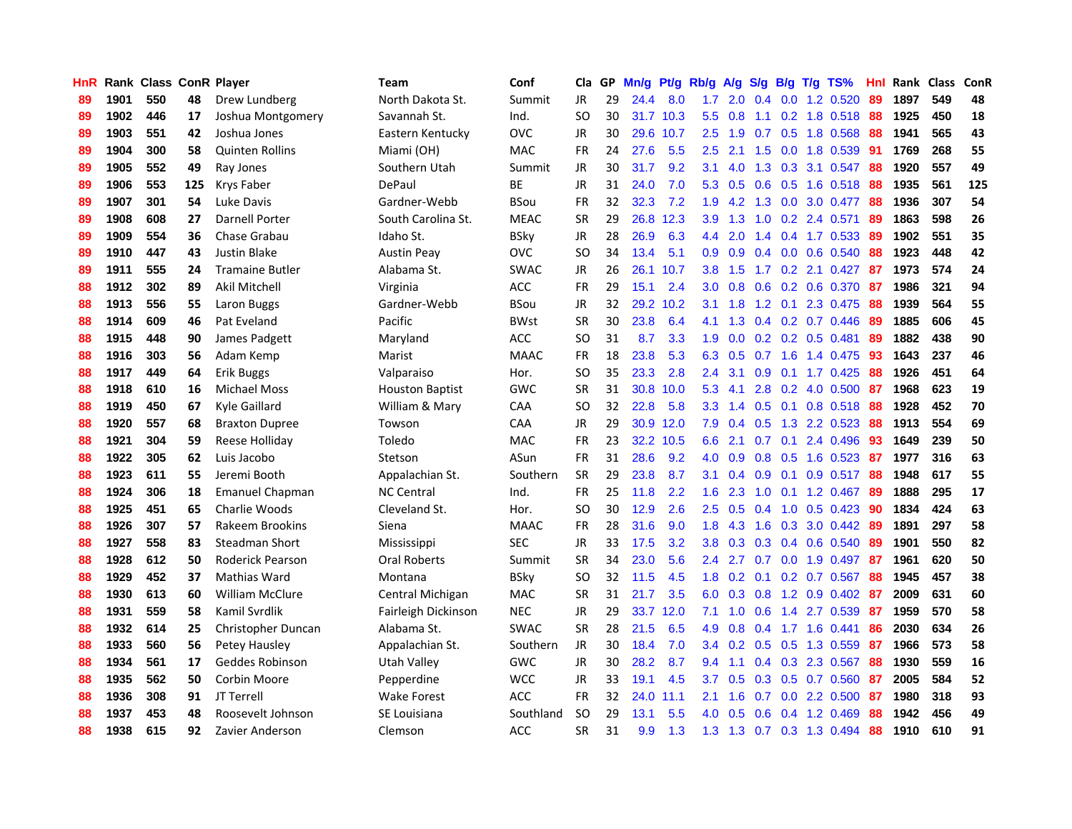| <b>HnR</b> |      | Rank Class ConR Player |     |                         | <b>Team</b>            | Conf        | Cla       |    | GP Mn/g Pt/g |           | Rb/g             | A/g             |               |     | S/g B/g T/g TS%           | Hnl | Rank Class |     | ConR |
|------------|------|------------------------|-----|-------------------------|------------------------|-------------|-----------|----|--------------|-----------|------------------|-----------------|---------------|-----|---------------------------|-----|------------|-----|------|
| 89         | 1901 | 550                    | 48  | Drew Lundberg           | North Dakota St.       | Summit      | JR        | 29 | 24.4         | 8.0       | 1.7              | 2.0             | 0.4           | 0.0 | 1.2 0.520                 | 89  | 1897       | 549 | 48   |
| 89         | 1902 | 446                    | 17  | Joshua Montgomery       | Savannah St.           | Ind.        | SO.       | 30 |              | 31.7 10.3 | 5.5              | 0.8             | 1.1           | 0.2 | 1.8 0.518                 | 88  | 1925       | 450 | 18   |
| 89         | 1903 | 551                    | 42  | Joshua Jones            | Eastern Kentucky       | <b>OVC</b>  | <b>JR</b> | 30 | 29.6         | 10.7      | 2.5              | 1.9             | 0.7           | 0.5 | 1.8 0.568                 | 88  | 1941       | 565 | 43   |
| 89         | 1904 | 300                    | 58  | <b>Quinten Rollins</b>  | Miami (OH)             | <b>MAC</b>  | <b>FR</b> | 24 | 27.6         | 5.5       | 2.5              | 2.1             | 1.5           | 0.0 | 1.8 0.539                 | -91 | 1769       | 268 | 55   |
| 89         | 1905 | 552                    | 49  | Ray Jones               | Southern Utah          | Summit      | JR        | 30 | 31.7         | 9.2       | 3.1              | 4.0             |               |     | 1.3 0.3 3.1 0.547         | 88  | 1920       | 557 | 49   |
| 89         | 1906 | 553                    | 125 | Krys Faber              | DePaul                 | <b>BE</b>   | JR        | 31 | 24.0         | 7.0       |                  | $5.3 \quad 0.5$ |               |     | $0.6$ $0.5$ 1.6 $0.518$   | -88 | 1935       | 561 | 125  |
| 89         | 1907 | 301                    | 54  | Luke Davis              | Gardner-Webb           | <b>BSou</b> | FR        | 32 | 32.3         | 7.2       | 1.9              | 4.2             |               |     | 1.3 0.0 3.0 0.477         | -88 | 1936       | 307 | 54   |
| 89         | 1908 | 608                    | 27  | <b>Darnell Porter</b>   | South Carolina St.     | <b>MEAC</b> | <b>SR</b> | 29 |              | 26.8 12.3 | 3.9              | 1.3             |               |     | 1.0 0.2 2.4 0.571         | -89 | 1863       | 598 | 26   |
| 89         | 1909 | 554                    | 36  | Chase Grabau            | Idaho St.              | <b>BSky</b> | JR        | 28 | 26.9         | 6.3       | $4.4^{\circ}$    | 2.0             | $1.4^{\circ}$ |     | 0.4 1.7 0.533             | 89  | 1902       | 551 | 35   |
| 89         | 1910 | 447                    | 43  | Justin Blake            | <b>Austin Peay</b>     | <b>OVC</b>  | <b>SO</b> | 34 | 13.4         | 5.1       | 0.9              | 0.9             |               |     | 0.4 0.0 0.6 0.540         | 88  | 1923       | 448 | 42   |
| 89         | 1911 | 555                    | 24  | <b>Tramaine Butler</b>  | Alabama St.            | <b>SWAC</b> | JR        | 26 | 26.1         | 10.7      | 3.8 <sub>2</sub> | 1.5             |               |     | 1.7 0.2 2.1 0.427         | -87 | 1973       | 574 | 24   |
| 88         | 1912 | 302                    | 89  | Akil Mitchell           | Virginia               | <b>ACC</b>  | <b>FR</b> | 29 | 15.1         | 2.4       | 3.0 <sub>2</sub> | 0.8             |               |     | 0.6 0.2 0.6 0.370         | -87 | 1986       | 321 | 94   |
| 88         | 1913 | 556                    | 55  | Laron Buggs             | Gardner-Webb           | BSou        | <b>JR</b> | 32 |              | 29.2 10.2 | 3.1              | 1.8             | 1.2           | 0.1 | 2.3 0.475                 | 88  | 1939       | 564 | 55   |
| 88         | 1914 | 609                    | 46  | Pat Eveland             | Pacific                | <b>BWst</b> | <b>SR</b> | 30 | 23.8         | 6.4       | 4.1              | 1.3             |               |     | $0.4$ 0.2 0.7 0.446       | 89  | 1885       | 606 | 45   |
| 88         | 1915 | 448                    | 90  | James Padgett           | Maryland               | <b>ACC</b>  | <b>SO</b> | 31 | 8.7          | 3.3       | 1.9              | 0.0             | 0.2           |     | $0.2$ 0.5 0.481           | 89  | 1882       | 438 | 90   |
| 88         | 1916 | 303                    | 56  | Adam Kemp               | Marist                 | <b>MAAC</b> | <b>FR</b> | 18 | 23.8         | 5.3       | 6.3              | 0.5             | 0.7           | 1.6 | 1.4 0.475                 | 93  | 1643       | 237 | 46   |
| 88         | 1917 | 449                    | 64  | <b>Erik Buggs</b>       | Valparaiso             | Hor.        | SO.       | 35 | 23.3         | 2.8       | $2.4^{\circ}$    | 3.1             | 0.9           | 0.1 | 1.7 0.425                 | -88 | 1926       | 451 | 64   |
| 88         | 1918 | 610                    | 16  | <b>Michael Moss</b>     | <b>Houston Baptist</b> | GWC         | <b>SR</b> | 31 | 30.8         | 10.0      | 5.3              | 4.1             | 2.8           |     | 0.2 4.0 0.500             | -87 | 1968       | 623 | 19   |
| 88         | 1919 | 450                    | 67  | Kyle Gaillard           | William & Mary         | CAA         | SO.       | 32 | 22.8         | 5.8       |                  | $3.3 \quad 1.4$ |               |     | 0.5 0.1 0.8 0.518         | -88 | 1928       | 452 | 70   |
| 88         | 1920 | 557                    | 68  | <b>Braxton Dupree</b>   | Towson                 | CAA         | JR        | 29 |              | 30.9 12.0 | 7.9              | 0.4             |               |     | $0.5$ 1.3 2.2 0.523       | 88  | 1913       | 554 | 69   |
| 88         | 1921 | 304                    | 59  | Reese Holliday          | Toledo                 | <b>MAC</b>  | FR        | 23 |              | 32.2 10.5 | 6.6              | 2.1             |               |     | $0.7$ $0.1$ 2.4 $0.496$   | 93  | 1649       | 239 | 50   |
| 88         | 1922 | 305                    | 62  | Luis Jacobo             | Stetson                | ASun        | FR        | 31 | 28.6         | 9.2       | 4.0              | 0.9             |               |     | $0.8$ $0.5$ 1.6 0.523     | -87 | 1977       | 316 | 63   |
| 88         | 1923 | 611                    | 55  | Jeremi Booth            | Appalachian St.        | Southern    | <b>SR</b> | 29 | 23.8         | 8.7       | 3.1              | 0.4             | 0.9           | 0.1 | 0.9 0.517                 | 88  | 1948       | 617 | 55   |
| 88         | 1924 | 306                    | 18  | <b>Emanuel Chapman</b>  | <b>NC Central</b>      | Ind.        | <b>FR</b> | 25 | 11.8         | 2.2       | 1.6              | 2.3             | 1.0           | 0.1 | 1.2 0.467                 | -89 | 1888       | 295 | 17   |
| 88         | 1925 | 451                    | 65  | Charlie Woods           | Cleveland St.          | Hor.        | <b>SO</b> | 30 | 12.9         | 2.6       | 2.5              | 0.5             | 0.4           |     | $1.0$ 0.5 0.423           | 90  | 1834       | 424 | 63   |
| 88         | 1926 | 307                    | 57  | Rakeem Brookins         | Siena                  | <b>MAAC</b> | <b>FR</b> | 28 | 31.6         | 9.0       | 1.8              | 4.3             | 1.6           | 0.3 | 3.0 0.442                 | -89 | 1891       | 297 | 58   |
| 88         | 1927 | 558                    | 83  | <b>Steadman Short</b>   | Mississippi            | <b>SEC</b>  | JR        | 33 | 17.5         | 3.2       | 3.8              | 0.3             | 0.3           | 0.4 | 0.6 0.540                 | 89  | 1901       | 550 | 82   |
| 88         | 1928 | 612                    | 50  | <b>Roderick Pearson</b> | <b>Oral Roberts</b>    | Summit      | <b>SR</b> | 34 | 23.0         | 5.6       | $2.4^{\circ}$    | 2.7             | 0.7           | 0.0 | 1.9 0.497                 | 87  | 1961       | 620 | 50   |
| 88         | 1929 | 452                    | 37  | Mathias Ward            | Montana                | <b>BSky</b> | <b>SO</b> | 32 | 11.5         | 4.5       | 1.8              | 0.2             | 0.1           |     | 0.2 0.7 0.567             | 88  | 1945       | 457 | 38   |
| 88         | 1930 | 613                    | 60  | <b>William McClure</b>  | Central Michigan       | <b>MAC</b>  | <b>SR</b> | 31 | 21.7         | 3.5       | 6.0              | 0.3             | 0.8           | 1.2 | $0.9$ $0.402$             | 87  | 2009       | 631 | 60   |
| 88         | 1931 | 559                    | 58  | Kamil Svrdlik           | Fairleigh Dickinson    | <b>NEC</b>  | JR        | 29 | 33.7         | 12.0      | 7.1              | 1.0             | 0.6           |     | 1.4 2.7 0.539             | -87 | 1959       | 570 | 58   |
| 88         | 1932 | 614                    | 25  | Christopher Duncan      | Alabama St.            | <b>SWAC</b> | <b>SR</b> | 28 | 21.5         | 6.5       | 4.9              | 0.8             | 0.4           |     | 1.7 1.6 0.441             | 86  | 2030       | 634 | 26   |
| 88         | 1933 | 560                    | 56  | Petey Hausley           | Appalachian St.        | Southern    | JR        | 30 | 18.4         | 7.0       |                  |                 |               |     | 3.4 0.2 0.5 0.5 1.3 0.559 | -87 | 1966       | 573 | 58   |
| 88         | 1934 | 561                    | 17  | Geddes Robinson         | Utah Valley            | GWC         | JR        | 30 | 28.2         | 8.7       | 9.4              | 1.1             |               |     | $0.4$ $0.3$ 2.3 $0.567$   | 88  | 1930       | 559 | 16   |
| 88         | 1935 | 562                    | 50  | Corbin Moore            | Pepperdine             | <b>WCC</b>  | JR        | 33 | 19.1         | 4.5       | 3.7              | 0.5             |               |     | 0.3 0.5 0.7 0.560         | 87  | 2005       | 584 | 52   |
| 88         | 1936 | 308                    | 91  | JT Terrell              | <b>Wake Forest</b>     | <b>ACC</b>  | <b>FR</b> | 32 | 24.0         | 11.1      | 2.1              | 1.6             | 0.7           |     | $0.0$ 2.2 $0.500$         | 87  | 1980       | 318 | 93   |
| 88         | 1937 | 453                    | 48  | Roosevelt Johnson       | SE Louisiana           | Southland   | <b>SO</b> | 29 | 13.1         | 5.5       | 4.0              | 0.5             | 0.6           | 0.4 | 1.2 0.469                 | 88  | 1942       | 456 | 49   |
| 88         | 1938 | 615                    | 92  | Zavier Anderson         | Clemson                | <b>ACC</b>  | <b>SR</b> | 31 | 9.9          | 1.3       |                  | $1.3$ $1.3$     |               |     | 0.7 0.3 1.3 0.494         | 88  | 1910       | 610 | 91   |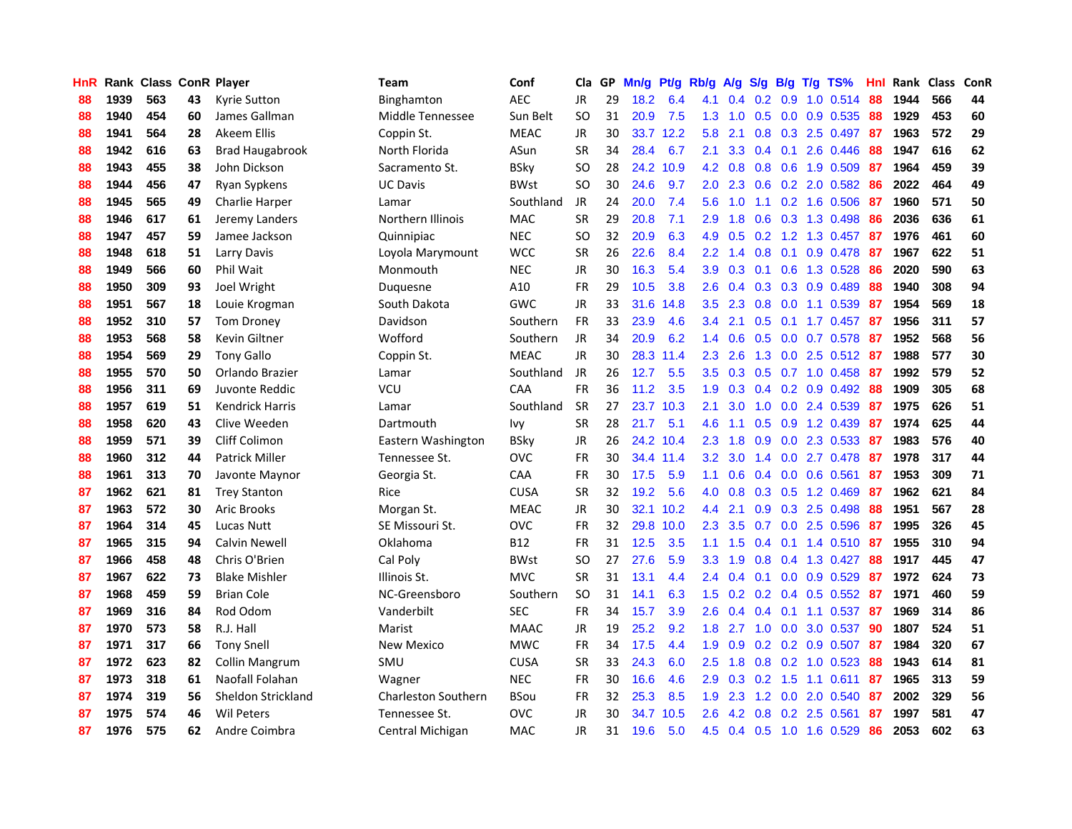| <b>HnR</b> |      | <b>Rank Class ConR Player</b> |    |                        | Team                       | Conf        | Cla       |    | GP Mn/g Pt/g |           | Rb/g             | A/g                                   |                  |                 | S/g B/g T/g TS%            | Hnl | Rank Class |     | ConR |
|------------|------|-------------------------------|----|------------------------|----------------------------|-------------|-----------|----|--------------|-----------|------------------|---------------------------------------|------------------|-----------------|----------------------------|-----|------------|-----|------|
| 88         | 1939 | 563                           | 43 | Kyrie Sutton           | Binghamton                 | <b>AEC</b>  | JR        | 29 | 18.2         | 6.4       | 4.1              | 0.4                                   | 0.2              | 0.9             | $1.0$ 0.514                | 88  | 1944       | 566 | 44   |
| 88         | 1940 | 454                           | 60 | James Gallman          | Middle Tennessee           | Sun Belt    | <b>SO</b> | 31 | 20.9         | 7.5       | 1.3              | 1.0                                   | 0.5              | 0.0             | 0.9 0.535                  | 88  | 1929       | 453 | 60   |
| 88         | 1941 | 564                           | 28 | Akeem Ellis            | Coppin St.                 | <b>MEAC</b> | JR        | 30 | 33.7         | 12.2      | 5.8              | 2.1                                   | 0.8 <sub>0</sub> | 0.3             | 2.5 0.497                  | -87 | 1963       | 572 | 29   |
| 88         | 1942 | 616                           | 63 | <b>Brad Haugabrook</b> | North Florida              | ASun        | <b>SR</b> | 34 | 28.4         | 6.7       | 2.1              | 3.3                                   |                  | $0.4$ 0.1       | 2.6 0.446                  | 88  | 1947       | 616 | 62   |
| 88         | 1943 | 455                           | 38 | John Dickson           | Sacramento St.             | <b>BSky</b> | SO.       | 28 |              | 24.2 10.9 |                  | $4.2 \quad 0.8$                       |                  |                 | 0.8 0.6 1.9 0.509          | -87 | 1964       | 459 | 39   |
| 88         | 1944 | 456                           | 47 | Ryan Sypkens           | UC Davis                   | <b>BWst</b> | SO.       | 30 | 24.6         | 9.7       | 2.0 <sub>1</sub> | 2.3                                   |                  |                 | $0.6$ $0.2$ $2.0$ $0.582$  | 86  | 2022       | 464 | 49   |
| 88         | 1945 | 565                           | 49 | Charlie Harper         | Lamar                      | Southland   | JR        | 24 | 20.0         | 7.4       | 5.6              | 1.0                                   |                  |                 | 1.1 0.2 1.6 0.506          | 87  | 1960       | 571 | 50   |
| 88         | 1946 | 617                           | 61 | Jeremy Landers         | Northern Illinois          | MAC         | <b>SR</b> | 29 | 20.8         | 7.1       | 2.9              | 1.8                                   |                  |                 | 0.6 0.3 1.3 0.498          | 86  | 2036       | 636 | 61   |
| 88         | 1947 | 457                           | 59 | Jamee Jackson          | Quinnipiac                 | <b>NEC</b>  | <b>SO</b> | 32 | 20.9         | 6.3       | 4.9              | 0.5                                   | 0.2              |                 | 1.2 1.3 0.457              | -87 | 1976       | 461 | 60   |
| 88         | 1948 | 618                           | 51 | Larry Davis            | Loyola Marymount           | <b>WCC</b>  | <b>SR</b> | 26 | 22.6         | 8.4       | $2.2^{\circ}$    | $\blacktriangleleft$<br>$\mathcal{A}$ | 0.8              | 0.1             | 0.9 0.478                  | -87 | 1967       | 622 | 51   |
| 88         | 1949 | 566                           | 60 | Phil Wait              | Monmouth                   | <b>NEC</b>  | JR        | 30 | 16.3         | 5.4       | 3.9              | 0.3                                   | 0.1              |                 | 0.6 1.3 0.528              | 86  | 2020       | 590 | 63   |
| 88         | 1950 | 309                           | 93 | Joel Wright            | Duquesne                   | A10         | FR        | 29 | 10.5         | 3.8       | 2.6              | 0.4                                   |                  |                 | 0.3 0.3 0.9 0.489          | 88  | 1940       | 308 | 94   |
| 88         | 1951 | 567                           | 18 | Louie Krogman          | South Dakota               | <b>GWC</b>  | <b>JR</b> | 33 | 31.6         | 14.8      | 3.5              | 2.3                                   | 0.8              | 0.0             | 1.1 0.539                  | 87  | 1954       | 569 | 18   |
| 88         | 1952 | 310                           | 57 | Tom Droney             | Davidson                   | Southern    | <b>FR</b> | 33 | 23.9         | 4.6       | 3.4              | 2.1                                   | 0.5              |                 | $0.1$ 1.7 0.457            | 87  | 1956       | 311 | 57   |
| 88         | 1953 | 568                           | 58 | <b>Kevin Giltner</b>   | Wofford                    | Southern    | <b>JR</b> | 34 | 20.9         | 6.2       | $1.4^{\circ}$    | 0.6                                   | 0.5              |                 | 0.0 0.7 0.578              | 87  | 1952       | 568 | 56   |
| 88         | 1954 | 569                           | 29 | <b>Tony Gallo</b>      | Coppin St.                 | <b>MEAC</b> | <b>JR</b> | 30 | 28.3         | 11.4      | 2.3              | 2.6                                   | 1.3              | 0.0             | $2.5$ 0.512                | -87 | 1988       | 577 | 30   |
| 88         | 1955 | 570                           | 50 | Orlando Brazier        | Lamar                      | Southland   | JR        | 26 | 12.7         | 5.5       | 3.5              | 0.3                                   |                  |                 | $0.5$ 0.7 1.0 0.458        | -87 | 1992       | 579 | 52   |
| 88         | 1956 | 311                           | 69 | Juvonte Reddic         | VCU                        | CAA         | <b>FR</b> | 36 | 11.2         | 3.5       | 1.9              |                                       |                  |                 | $0.3$ 0.4 0.2 0.9 0.492    | -88 | 1909       | 305 | 68   |
| 88         | 1957 | 619                           | 51 | <b>Kendrick Harris</b> | Lamar                      | Southland   | <b>SR</b> | 27 |              | 23.7 10.3 | 2.1              | 3.0                                   |                  |                 | 1.0 0.0 2.4 0.539 87       |     | 1975       | 626 | 51   |
| 88         | 1958 | 620                           | 43 | Clive Weeden           | Dartmouth                  | Ivy         | <b>SR</b> | 28 | 21.7         | 5.1       | 4.6              | $-1.1$                                |                  |                 | $0.5$ $0.9$ 1.2 $0.439$ 87 |     | 1974       | 625 | 44   |
| 88         | 1959 | 571                           | 39 | Cliff Colimon          | Eastern Washington         | <b>BSky</b> | JR        | 26 |              | 24.2 10.4 | 2.3              | 1.8                                   |                  |                 | $0.9$ $0.0$ 2.3 $0.533$    | -87 | 1983       | 576 | 40   |
| 88         | 1960 | 312                           | 44 | <b>Patrick Miller</b>  | Tennessee St.              | <b>OVC</b>  | <b>FR</b> | 30 |              | 34.4 11.4 | $3.2\,$          | 3.0                                   |                  |                 | 1.4 0.0 2.7 0.478          | -87 | 1978       | 317 | 44   |
| 88         | 1961 | 313                           | 70 | Javonte Maynor         | Georgia St.                | CAA         | FR        | 30 | 17.5         | 5.9       | 1.1              | 0.6                                   |                  |                 | $0.4$ 0.0 0.6 0.561        | 87  | 1953       | 309 | 71   |
| 87         | 1962 | 621                           | 81 | <b>Trey Stanton</b>    | Rice                       | <b>CUSA</b> | <b>SR</b> | 32 | 19.2         | 5.6       | 4.0              | 0.8                                   |                  |                 | 0.3 0.5 1.2 0.469          | -87 | 1962       | 621 | 84   |
| 87         | 1963 | 572                           | 30 | <b>Aric Brooks</b>     | Morgan St.                 | <b>MEAC</b> | JR        | 30 |              | 32.1 10.2 | $4.4^{\circ}$    | 2.1                                   |                  |                 | $0.9$ $0.3$ 2.5 0.498      | 88  | 1951       | 567 | 28   |
| 87         | 1964 | 314                           | 45 | Lucas Nutt             | SE Missouri St.            | OVC         | <b>FR</b> | 32 |              | 29.8 10.0 | 2.3              | 3.5                                   |                  |                 | 0.7 0.0 2.5 0.596          | -87 | 1995       | 326 | 45   |
| 87         | 1965 | 315                           | 94 | <b>Calvin Newell</b>   | Oklahoma                   | <b>B12</b>  | <b>FR</b> | 31 | 12.5         | 3.5       | 1.1              | 1.5                                   | 0.4              |                 | $0.1$ 1.4 0.510            | -87 | 1955       | 310 | 94   |
| 87         | 1966 | 458                           | 48 | Chris O'Brien          | Cal Poly                   | <b>BWst</b> | SO.       | 27 | 27.6         | 5.9       | 3.3 <sub>2</sub> | 1.9                                   | 0.8              |                 | 0.4 1.3 0.427              | 88  | 1917       | 445 | 47   |
| 87         | 1967 | 622                           | 73 | <b>Blake Mishler</b>   | Illinois St.               | <b>MVC</b>  | <b>SR</b> | 31 | 13.1         | 4.4       | $2.4^{\circ}$    | 0.4                                   | 0.1              | 0.0             | 0.9 0.529                  | 87  | 1972       | 624 | 73   |
| 87         | 1968 | 459                           | 59 | <b>Brian Cole</b>      | NC-Greensboro              | Southern    | <b>SO</b> | 31 | 14.1         | 6.3       | $1.5^{\circ}$    | 0.2                                   |                  | $0.2 \quad 0.4$ | 0.5 0.552                  | -87 | 1971       | 460 | 59   |
| 87         | 1969 | 316                           | 84 | Rod Odom               | Vanderbilt                 | <b>SEC</b>  | <b>FR</b> | 34 | 15.7         | 3.9       | 2.6              | 0.4                                   | $0.4 \quad 0.1$  |                 | 1.1 0.537                  | -87 | 1969       | 314 | 86   |
| 87         | 1970 | 573                           | 58 | R.J. Hall              | Marist                     | <b>MAAC</b> | JR        | 19 | 25.2         | 9.2       | 1.8              | 2.7                                   |                  |                 | 1.0 0.0 3.0 0.537          | -90 | 1807       | 524 | 51   |
| 87         | 1971 | 317                           | 66 | <b>Tony Snell</b>      | New Mexico                 | <b>MWC</b>  | <b>FR</b> | 34 | 17.5         | 4.4       | 1.9              | 0.9                                   |                  |                 | $0.2$ 0.2 0.9 0.507        | -87 | 1984       | 320 | 67   |
| 87         | 1972 | 623                           | 82 | <b>Collin Mangrum</b>  | SMU                        | <b>CUSA</b> | <b>SR</b> | 33 | 24.3         | 6.0       | $2.5^{\circ}$    | 1.8                                   |                  |                 | $0.8$ 0.2 1.0 0.523        | 88  | 1943       | 614 | 81   |
| 87         | 1973 | 318                           | 61 | Naofall Folahan        | Wagner                     | <b>NEC</b>  | <b>FR</b> | 30 | 16.6         | 4.6       | 2.9              | 0.3                                   | 0.2              | 1.5             | 1.1 0.611                  | 87  | 1965       | 313 | 59   |
| 87         | 1974 | 319                           | 56 | Sheldon Strickland     | <b>Charleston Southern</b> | BSou        | FR        | 32 | 25.3         | 8.5       | 1.9              | 2.3                                   | 1.2              | 0.0             | 2.0 0.540                  | 87  | 2002       | 329 | 56   |
| 87         | 1975 | 574                           | 46 | <b>Wil Peters</b>      | Tennessee St.              | <b>OVC</b>  | JR        | 30 | 34.7         | 10.5      | 2.6              | 4.2                                   | 0.8              |                 | 0.2 2.5 0.561              | 87  | 1997       | 581 | 47   |
| 87         | 1976 | 575                           | 62 | Andre Coimbra          | Central Michigan           | <b>MAC</b>  | JR        | 31 | 19.6         | 5.0       | 4.5              | 0.4                                   |                  |                 | 0.5 1.0 1.6 0.529          | 86  | 2053       | 602 | 63   |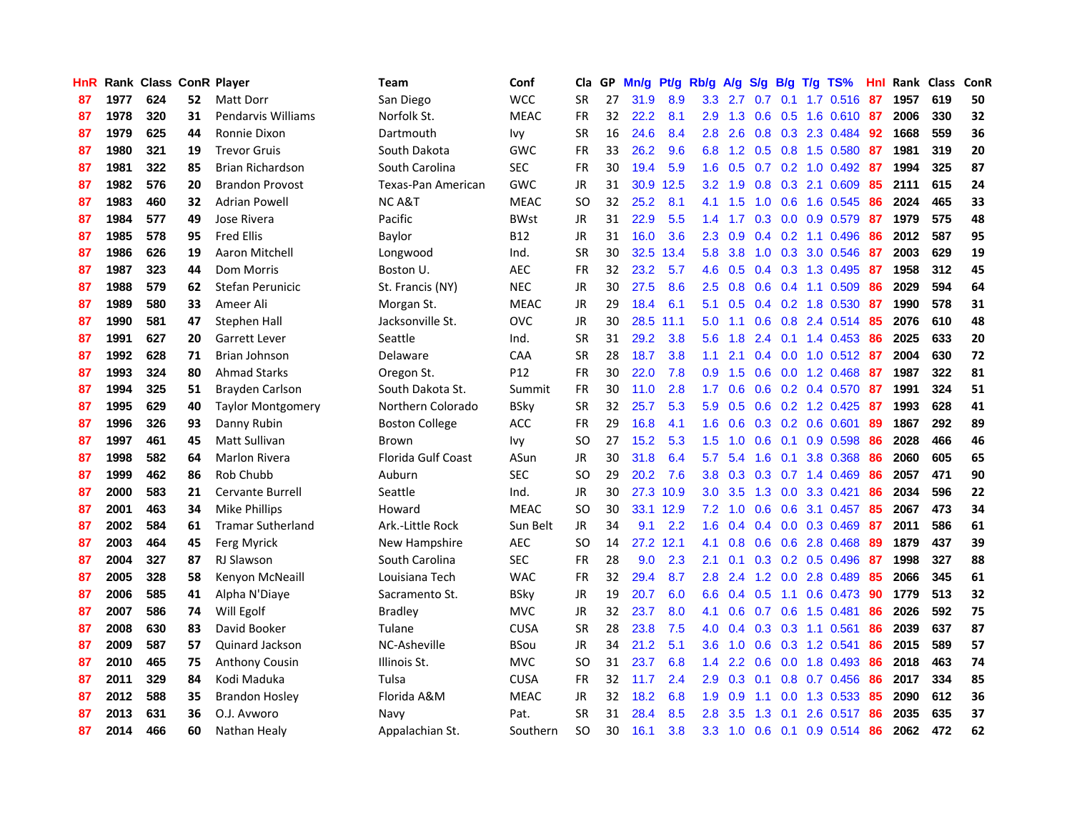| <b>HnR</b> |      | Rank Class ConR Player |    |                           | Team                      | Conf        | Cla       |    | GP Mn/g |           | Pt/g Rb/g        | A/g             |               |                 | S/g B/g T/g TS%           | Hnl | Rank Class |     | ConR |
|------------|------|------------------------|----|---------------------------|---------------------------|-------------|-----------|----|---------|-----------|------------------|-----------------|---------------|-----------------|---------------------------|-----|------------|-----|------|
| 87         | 1977 | 624                    | 52 | Matt Dorr                 | San Diego                 | <b>WCC</b>  | <b>SR</b> | 27 | 31.9    | 8.9       | 3.3              | 2.7             | 0.7           | 0.1             | 1.7 0.516                 | 87  | 1957       | 619 | 50   |
| 87         | 1978 | 320                    | 31 | <b>Pendarvis Williams</b> | Norfolk St.               | <b>MEAC</b> | <b>FR</b> | 32 | 22.2    | 8.1       | 2.9              | 1.3             | 0.6           | 0.5             | 1.6 0.610                 | -87 | 2006       | 330 | 32   |
| 87         | 1979 | 625                    | 44 | Ronnie Dixon              | Dartmouth                 | Ivy         | <b>SR</b> | 16 | 24.6    | 8.4       | 2.8              | 2.6             | 0.8           |                 | 0.3 2.3 0.484             | 92  | 1668       | 559 | 36   |
| 87         | 1980 | 321                    | 19 | <b>Trevor Gruis</b>       | South Dakota              | <b>GWC</b>  | <b>FR</b> | 33 | 26.2    | 9.6       |                  | 6.8 1.2         |               |                 | 0.5 0.8 1.5 0.580         | 87  | 1981       | 319 | 20   |
| 87         | 1981 | 322                    | 85 | Brian Richardson          | South Carolina            | <b>SEC</b>  | <b>FR</b> | 30 | 19.4    | 5.9       | 1.6              | 0.5             |               |                 | $0.7$ $0.2$ $1.0$ $0.492$ | -87 | 1994       | 325 | 87   |
| 87         | 1982 | 576                    | 20 | <b>Brandon Provost</b>    | Texas-Pan American        | <b>GWC</b>  | JR        | 31 |         | 30.9 12.5 | 3.2              | 1.9             |               |                 | 0.8 0.3 2.1 0.609         | 85  | 2111       | 615 | 24   |
| 87         | 1983 | 460                    | 32 | <b>Adrian Powell</b>      | <b>NCA&amp;T</b>          | <b>MEAC</b> | <b>SO</b> | 32 | 25.2    | 8.1       | 4.1              | 1.5             | 1.0           |                 | 0.6 1.6 0.545             | 86  | 2024       | 465 | 33   |
| 87         | 1984 | 577                    | 49 | Jose Rivera               | Pacific                   | BWst        | <b>JR</b> | 31 | 22.9    | 5.5       | 1.4              | 1.7             |               |                 | 0.3 0.0 0.9 0.579         | 87  | 1979       | 575 | 48   |
| 87         | 1985 | 578                    | 95 | <b>Fred Ellis</b>         | Baylor                    | B12         | <b>JR</b> | 31 | 16.0    | 3.6       | 2.3              | 0.9             |               |                 | $0.4$ 0.2 1.1 0.496       | 86  | 2012       | 587 | 95   |
| 87         | 1986 | 626                    | 19 | Aaron Mitchell            | Longwood                  | Ind.        | <b>SR</b> | 30 | 32.5    | 13.4      | 5.8              | 3.8             |               |                 | 1.0 0.3 3.0 0.546         | -87 | 2003       | 629 | 19   |
| 87         | 1987 | 323                    | 44 | Dom Morris                | Boston U.                 | <b>AEC</b>  | <b>FR</b> | 32 | 23.2    | 5.7       | 4.6              | 0.5             |               |                 | 0.4 0.3 1.3 0.495         | -87 | 1958       | 312 | 45   |
| 87         | 1988 | 579                    | 62 | Stefan Perunicic          | St. Francis (NY)          | <b>NEC</b>  | JR        | 30 | 27.5    | 8.6       | 2.5              | 0.8             |               |                 | $0.6$ $0.4$ 1.1 $0.509$   | 86  | 2029       | 594 | 64   |
| 87         | 1989 | 580                    | 33 | Ameer Ali                 | Morgan St.                | <b>MEAC</b> | <b>JR</b> | 29 | 18.4    | 6.1       | 5.1              | 0.5             |               |                 | $0.4$ 0.2 1.8 0.530       | -87 | 1990       | 578 | 31   |
| 87         | 1990 | 581                    | 47 | Stephen Hall              | Jacksonville St.          | <b>OVC</b>  | <b>JR</b> | 30 |         | 28.5 11.1 | 5.0              | 1.1             | 0.6           | 0.8             | 2.4 0.514                 | 85  | 2076       | 610 | 48   |
| 87         | 1991 | 627                    | 20 | Garrett Lever             | Seattle                   | Ind.        | <b>SR</b> | 31 | 29.2    | 3.8       | 5.6              | 1.8             | $2.4^{\circ}$ |                 | $0.1$ 1.4 $0.453$         | 86  | 2025       | 633 | 20   |
| 87         | 1992 | 628                    | 71 | Brian Johnson             | Delaware                  | <b>CAA</b>  | <b>SR</b> | 28 | 18.7    | 3.8       | 1.1              | 2.1             |               | $0.4 \quad 0.0$ | $1.0 \t0.512$             | -87 | 2004       | 630 | 72   |
| 87         | 1993 | 324                    | 80 | <b>Ahmad Starks</b>       | Oregon St.                | P12         | <b>FR</b> | 30 | 22.0    | 7.8       | 0.9              | 1.5             |               |                 | $0.6$ $0.0$ 1.2 $0.468$   | -87 | 1987       | 322 | 81   |
| 87         | 1994 | 325                    | 51 | Brayden Carlson           | South Dakota St.          | Summit      | FR        | 30 | 11.0    | 2.8       | 1.7 <sub>z</sub> | 0.6             |               |                 | 0.6 0.2 0.4 0.570 87      |     | 1991       | 324 | 51   |
| 87         | 1995 | 629                    | 40 | <b>Taylor Montgomery</b>  | Northern Colorado         | <b>BSky</b> | <b>SR</b> | 32 | 25.7    | 5.3       | 5.9              | 0.5             |               |                 | $0.6$ $0.2$ 1.2 $0.425$   | -87 | 1993       | 628 | 41   |
| 87         | 1996 | 326                    | 93 | Danny Rubin               | <b>Boston College</b>     | <b>ACC</b>  | <b>FR</b> | 29 | 16.8    | 4.1       | 1.6              | 0.6             |               |                 | 0.3 0.2 0.6 0.601         | -89 | 1867       | 292 | 89   |
| 87         | 1997 | 461                    | 45 | Matt Sullivan             | <b>Brown</b>              | Ivv         | <b>SO</b> | 27 | 15.2    | 5.3       | 1.5 <sub>1</sub> | 1.0             |               |                 | $0.6$ $0.1$ $0.9$ $0.598$ | 86  | 2028       | 466 | 46   |
| 87         | 1998 | 582                    | 64 | Marlon Rivera             | <b>Florida Gulf Coast</b> | ASun        | JR        | 30 | 31.8    | 6.4       | 5.7              | 5.4             | 1.6           | 0.1             | 3.8 0.368                 | 86  | 2060       | 605 | 65   |
| 87         | 1999 | 462                    | 86 | Rob Chubb                 | Auburn                    | <b>SEC</b>  | <b>SO</b> | 29 | 20.2    | 7.6       | 3.8              | 0.3             |               |                 | $0.3$ 0.7 1.4 0.469       | 86  | 2057       | 471 | 90   |
| 87         | 2000 | 583                    | 21 | Cervante Burrell          | Seattle                   | Ind.        | JR        | 30 |         | 27.3 10.9 | 3.0              | 3.5             |               |                 | 1.3 0.0 3.3 0.421         | 86  | 2034       | 596 | 22   |
| 87         | 2001 | 463                    | 34 | Mike Phillips             | Howard                    | <b>MEAC</b> | SO.       | 30 |         | 33.1 12.9 | 7.2              | 1.0             | 0.6           | 0.6             | 3.1 0.457                 | -85 | 2067       | 473 | 34   |
| 87         | 2002 | 584                    | 61 | <b>Tramar Sutherland</b>  | Ark .- Little Rock        | Sun Belt    | <b>JR</b> | 34 | 9.1     | 2.2       | 1.6              | 0.4             |               | $0.4 \quad 0.0$ | 0.3 0.469                 | -87 | 2011       | 586 | 61   |
| 87         | 2003 | 464                    | 45 | Ferg Myrick               | New Hampshire             | <b>AEC</b>  | <b>SO</b> | 14 |         | 27.2 12.1 | 4.1              | 0.8             | 0.6           | 0.6             | 2.8 0.468                 | -89 | 1879       | 437 | 39   |
| 87         | 2004 | 327                    | 87 | RJ Slawson                | South Carolina            | <b>SEC</b>  | <b>FR</b> | 28 | 9.0     | 2.3       | 2.1              | 0.1             |               |                 | 0.3 0.2 0.5 0.496         | -87 | 1998       | 327 | 88   |
| 87         | 2005 | 328                    | 58 | Kenyon McNeaill           | Louisiana Tech            | <b>WAC</b>  | <b>FR</b> | 32 | 29.4    | 8.7       | 2.8              | 2.4             |               | $1.2 \quad 0.0$ | 2.8 0.489                 | 85  | 2066       | 345 | 61   |
| 87         | 2006 | 585                    | 41 | Alpha N'Diaye             | Sacramento St.            | <b>BSky</b> | JR        | 19 | 20.7    | 6.0       | 6.6              | 0.4             | 0.5           | 1.1             | $0.6$ 0.473               | -90 | 1779       | 513 | 32   |
| 87         | 2007 | 586                    | 74 | Will Egolf                | <b>Bradley</b>            | <b>MVC</b>  | JR        | 32 | 23.7    | 8.0       | 4.1              | 0.6             |               |                 | 0.7 0.6 1.5 0.481         | 86  | 2026       | 592 | 75   |
| 87         | 2008 | 630                    | 83 | David Booker              | Tulane                    | <b>CUSA</b> | <b>SR</b> | 28 | 23.8    | 7.5       | 4.0              | 0.4             |               |                 | $0.3$ $0.3$ 1.1 $0.561$   | 86  | 2039       | 637 | 87   |
| 87         | 2009 | 587                    | 57 | Quinard Jackson           | NC-Asheville              | <b>BSou</b> | <b>JR</b> | 34 | 21.2    | 5.1       | $3.6^{\circ}$    | 1.0             |               |                 | 0.6 0.3 1.2 0.541         | 86  | 2015       | 589 | 57   |
| 87         | 2010 | 465                    | 75 | Anthony Cousin            | Illinois St.              | <b>MVC</b>  | <b>SO</b> | 31 | 23.7    | 6.8       | $1.4^{\circ}$    | 2.2             | 0.6           |                 | $0.0$ 1.8 $0.493$         | 86  | 2018       | 463 | 74   |
| 87         | 2011 | 329                    | 84 | Kodi Maduka               | Tulsa                     | <b>CUSA</b> | <b>FR</b> | 32 | 11.7    | 2.4       | 2.9              | 0.3             | 0.1           |                 | 0.8 0.7 0.456             | 86  | 2017       | 334 | 85   |
| 87         | 2012 | 588                    | 35 | <b>Brandon Hosley</b>     | Florida A&M               | <b>MEAC</b> | <b>JR</b> | 32 | 18.2    | 6.8       | 1.9              | 0.9             | 1.1           | 0.0             | 1.3 0.533                 | 85  | 2090       | 612 | 36   |
| 87         | 2013 | 631                    | 36 | O.J. Avworo               | Navy                      | Pat.        | <b>SR</b> | 31 | 28.4    | 8.5       | 2.8              | 3.5             | 1.3           | 0.1             | 2.6 0.517                 | 86  | 2035       | 635 | 37   |
| 87         | 2014 | 466                    | 60 | Nathan Healy              | Appalachian St.           | Southern    | <b>SO</b> | 30 | 16.1    | 3.8       |                  | $3.3 \quad 1.0$ |               |                 | 0.6 0.1 0.9 0.514 86      |     | 2062       | 472 | 62   |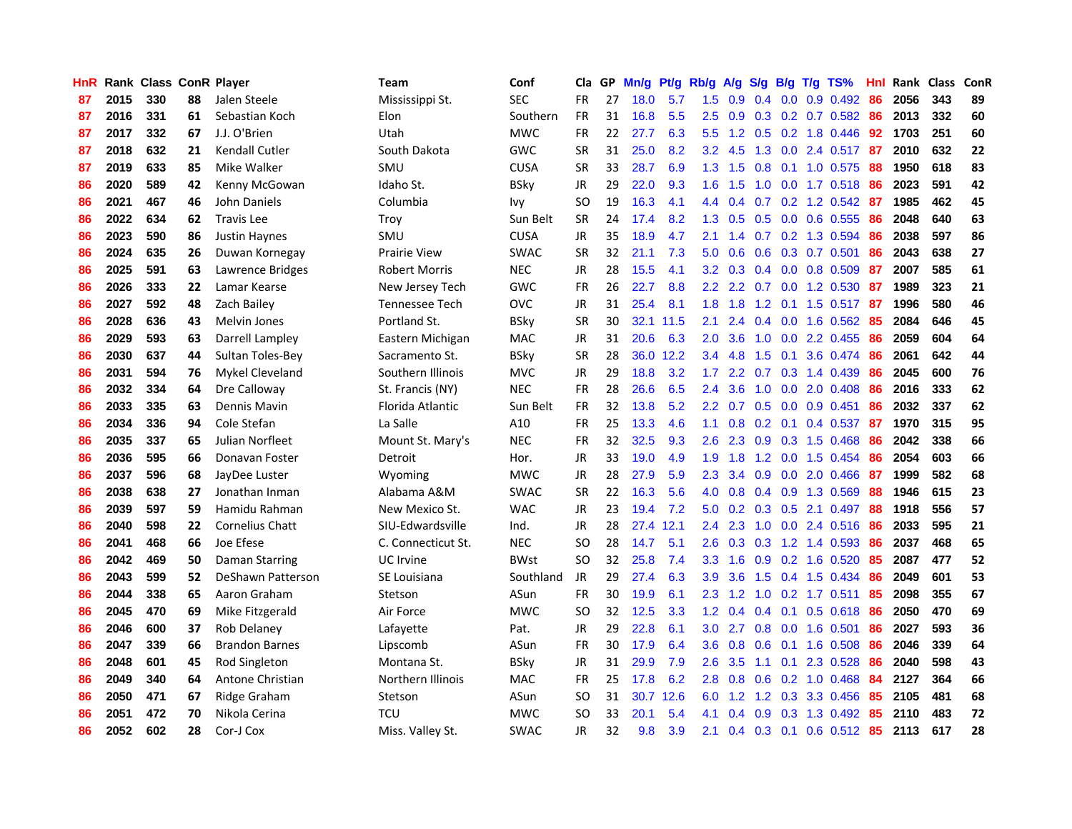| HnR |      | Rank Class ConR Player |    |                        | Team                 | Conf        | Cla       |    | GP Mn/g Pt/g Rb/g |           |                  | A/g             |               |                 | S/g B/g T/g TS%           | Hnl | Rank Class |     | ConR |
|-----|------|------------------------|----|------------------------|----------------------|-------------|-----------|----|-------------------|-----------|------------------|-----------------|---------------|-----------------|---------------------------|-----|------------|-----|------|
| 87  | 2015 | 330                    | 88 | Jalen Steele           | Mississippi St.      | <b>SEC</b>  | <b>FR</b> | 27 | 18.0              | 5.7       | 1.5              | 0.9             | $0.4^{\circ}$ | 0.0             | 0.9 0.492                 | 86  | 2056       | 343 | 89   |
| 87  | 2016 | 331                    | 61 | Sebastian Koch         | Elon                 | Southern    | <b>FR</b> | 31 | 16.8              | 5.5       | 2.5              | 0.9             |               |                 | $0.3$ $0.2$ $0.7$ $0.582$ | 86  | 2013       | 332 | 60   |
| 87  | 2017 | 332                    | 67 | J.J. O'Brien           | Utah                 | <b>MWC</b>  | <b>FR</b> | 22 | 27.7              | 6.3       | 5.5              | 1.2             |               | $0.5 \quad 0.2$ | 1.8 0.446                 | 92  | 1703       | 251 | 60   |
| 87  | 2018 | 632                    | 21 | Kendall Cutler         | South Dakota         | <b>GWC</b>  | <b>SR</b> | 31 | 25.0              | 8.2       |                  | $3.2$ 4.5       |               |                 | 1.3 0.0 2.4 0.517         | 87  | 2010       | 632 | 22   |
| 87  | 2019 | 633                    | 85 | Mike Walker            | SMU                  | <b>CUSA</b> | <b>SR</b> | 33 | 28.7              | 6.9       |                  | $1.3$ $1.5$     |               |                 | 0.8 0.1 1.0 0.575         | -88 | 1950       | 618 | 83   |
| 86  | 2020 | 589                    | 42 | Kenny McGowan          | Idaho St.            | <b>BSky</b> | JR        | 29 | 22.0              | 9.3       |                  | $1.6$ 1.5       |               |                 | 1.0 0.0 1.7 0.518         | -86 | 2023       | 591 | 42   |
| 86  | 2021 | 467                    | 46 | John Daniels           | Columbia             | Ivy         | <b>SO</b> | 19 | 16.3              | 4.1       |                  | 4.4 0.4         |               |                 | $0.7$ $0.2$ 1.2 $0.542$   | 87  | 1985       | 462 | 45   |
| 86  | 2022 | 634                    | 62 | <b>Travis Lee</b>      | Troy                 | Sun Belt    | <b>SR</b> | 24 | 17.4              | 8.2       | 1.3              | 0.5             | 0.5           |                 | 0.0 0.6 0.555             | 86  | 2048       | 640 | 63   |
| 86  | 2023 | 590                    | 86 | Justin Haynes          | SMU                  | <b>CUSA</b> | JR        | 35 | 18.9              | 4.7       | 2.1              | 1.4             |               |                 | 0.7 0.2 1.3 0.594         | 86  | 2038       | 597 | 86   |
| 86  | 2024 | 635                    | 26 | Duwan Kornegay         | <b>Prairie View</b>  | <b>SWAC</b> | <b>SR</b> | 32 | 21.1              | 7.3       | 5.0              | 0.6             | 0.6           |                 | 0.3 0.7 0.501             | 86  | 2043       | 638 | 27   |
| 86  | 2025 | 591                    | 63 | Lawrence Bridges       | <b>Robert Morris</b> | <b>NEC</b>  | JR        | 28 | 15.5              | 4.1       | $3.2\phantom{0}$ | 0.3             |               |                 | $0.4$ 0.0 0.8 0.509       | 87  | 2007       | 585 | 61   |
| 86  | 2026 | 333                    | 22 | Lamar Kearse           | New Jersey Tech      | <b>GWC</b>  | <b>FR</b> | 26 | 22.7              | 8.8       | 2.2 <sub>2</sub> | 2.2             | 0.7           | 0.0             | 1.2 0.530                 | -87 | 1989       | 323 | 21   |
| 86  | 2027 | 592                    | 48 | Zach Bailey            | Tennessee Tech       | <b>OVC</b>  | <b>JR</b> | 31 | 25.4              | 8.1       | 1.8              | 1.8             | 1.2           | 0.1             | $1.5$ 0.517               | -87 | 1996       | 580 | 46   |
| 86  | 2028 | 636                    | 43 | <b>Melvin Jones</b>    | Portland St.         | <b>BSky</b> | <b>SR</b> | 30 |                   | 32.1 11.5 | 2.1              | 2.4             | 0.4           | 0.0             | 1.6 0.562                 | 85  | 2084       | 646 | 45   |
| 86  | 2029 | 593                    | 63 | Darrell Lampley        | Eastern Michigan     | <b>MAC</b>  | JR        | 31 | 20.6              | 6.3       | 2.0              | 3.6             | 1.0           | 0.0             | 2.2 0.455                 | 86  | 2059       | 604 | 64   |
| 86  | 2030 | 637                    | 44 | Sultan Toles-Bey       | Sacramento St.       | <b>BSky</b> | <b>SR</b> | 28 | 36.0              | 12.2      | 3.4              | 4.8             | 1.5           | 0.1             | 3.6 0.474                 | -86 | 2061       | 642 | 44   |
| 86  | 2031 | 594                    | 76 | Mykel Cleveland        | Southern Illinois    | <b>MVC</b>  | JR        | 29 | 18.8              | 3.2       | 1.7 <sub>z</sub> | $2.2^{\circ}$   |               |                 | $0.7$ 0.3 1.4 0.439       | -86 | 2045       | 600 | 76   |
| 86  | 2032 | 334                    | 64 | Dre Calloway           | St. Francis (NY)     | <b>NEC</b>  | FR        | 28 | 26.6              | 6.5       | $2.4^{\circ}$    | 3.6             |               |                 | 1.0 0.0 2.0 0.408         | -86 | 2016       | 333 | 62   |
| 86  | 2033 | 335                    | 63 | Dennis Mavin           | Florida Atlantic     | Sun Belt    | <b>FR</b> | 32 | 13.8              | 5.2       | 2.2 <sub>2</sub> | 0.7             |               |                 | $0.5$ 0.0 0.9 0.451       | 86  | 2032       | 337 | 62   |
| 86  | 2034 | 336                    | 94 | Cole Stefan            | La Salle             | A10         | <b>FR</b> | 25 | 13.3              | 4.6       | 1.1              | 0.8             |               |                 | 0.2 0.1 0.4 0.537         | 87  | 1970       | 315 | 95   |
| 86  | 2035 | 337                    | 65 | Julian Norfleet        | Mount St. Mary's     | <b>NEC</b>  | <b>FR</b> | 32 | 32.5              | 9.3       | $2.6\,$          | 2.3             |               |                 | $0.9$ $0.3$ 1.5 $0.468$   | 86  | 2042       | 338 | 66   |
| 86  | 2036 | 595                    | 66 | Donavan Foster         | Detroit              | Hor.        | JR        | 33 | 19.0              | 4.9       | 1.9              | 1.8             |               |                 | 1.2 0.0 1.5 0.454         | 86  | 2054       | 603 | 66   |
| 86  | 2037 | 596                    | 68 | JayDee Luster          | Wyoming              | <b>MWC</b>  | <b>JR</b> | 28 | 27.9              | 5.9       | 2.3              | 3.4             |               |                 | $0.9$ $0.0$ $2.0$ $0.466$ | -87 | 1999       | 582 | 68   |
| 86  | 2038 | 638                    | 27 | Jonathan Inman         | Alabama A&M          | <b>SWAC</b> | <b>SR</b> | 22 | 16.3              | 5.6       | 4.0              | 0.8             |               |                 | 0.4 0.9 1.3 0.569         | 88  | 1946       | 615 | 23   |
| 86  | 2039 | 597                    | 59 | Hamidu Rahman          | New Mexico St.       | <b>WAC</b>  | JR        | 23 | 19.4              | 7.2       | 5.0              | 0.2             |               |                 | 0.3 0.5 2.1 0.497         | 88  | 1918       | 556 | 57   |
| 86  | 2040 | 598                    | 22 | <b>Cornelius Chatt</b> | SIU-Edwardsville     | Ind.        | <b>JR</b> | 28 | 27.4              | 12.1      | 2.4              | 2.3             | 1.0           | 0.0             | 2.4 0.516                 | 86  | 2033       | 595 | 21   |
| 86  | 2041 | 468                    | 66 | Joe Efese              | C. Connecticut St.   | <b>NEC</b>  | <b>SO</b> | 28 | 14.7              | 5.1       | 2.6              | 0.3             | 0.3           |                 | 1.2 1.4 0.593             | 86  | 2037       | 468 | 65   |
| 86  | 2042 | 469                    | 50 | Daman Starring         | UC Irvine            | <b>BWst</b> | <b>SO</b> | 32 | 25.8              | 7.4       | 3.3 <sub>2</sub> | 1.6             | 0.9           | 0.2             | 1.6 0.520                 | 85  | 2087       | 477 | 52   |
| 86  | 2043 | 599                    | 52 | DeShawn Patterson      | SE Louisiana         | Southland   | JR        | 29 | 27.4              | 6.3       | 3.9              | 3.6             | 1.5           | 0.4             | 1.5 0.434                 | 86  | 2049       | 601 | 53   |
| 86  | 2044 | 338                    | 65 | Aaron Graham           | Stetson              | ASun        | <b>FR</b> | 30 | 19.9              | 6.1       | 2.3              | 1.2             |               |                 | 1.0 0.2 1.7 0.511         | 85  | 2098       | 355 | 67   |
| 86  | 2045 | 470                    | 69 | Mike Fitzgerald        | Air Force            | <b>MWC</b>  | <b>SO</b> | 32 | 12.5              | 3.3       |                  | $1.2 \quad 0.4$ |               | $0.4$ 0.1       | $0.5$ $0.618$             | -86 | 2050       | 470 | 69   |
| 86  | 2046 | 600                    | 37 | Rob Delanev            | Lafayette            | Pat.        | JR        | 29 | 22.8              | 6.1       |                  | $3.0$ 2.7       |               |                 | $0.8$ 0.0 1.6 0.501       | -86 | 2027       | 593 | 36   |
| 86  | 2047 | 339                    | 66 | <b>Brandon Barnes</b>  | Lipscomb             | ASun        | <b>FR</b> | 30 | 17.9              | 6.4       | $3.6^{\circ}$    | 0.8             |               |                 | $0.6$ $0.1$ 1.6 0.508     | 86  | 2046       | 339 | 64   |
| 86  | 2048 | 601                    | 45 | Rod Singleton          | Montana St.          | <b>BSky</b> | JR        | 31 | 29.9              | 7.9       | 2.6              | 3.5             | 1.1           |                 | 0.1 2.3 0.528             | 86  | 2040       | 598 | 43   |
| 86  | 2049 | 340                    | 64 | Antone Christian       | Northern Illinois    | <b>MAC</b>  | <b>FR</b> | 25 | 17.8              | 6.2       | 2.8              | 0.8             | 0.6           |                 | 0.2 1.0 0.468             | 84  | 2127       | 364 | 66   |
| 86  | 2050 | 471                    | 67 | Ridge Graham           | Stetson              | ASun        | <b>SO</b> | 31 |                   | 30.7 12.6 | 6.0              | 1.2             | 1.2           |                 | 0.3 3.3 0.456             | 85  | 2105       | 481 | 68   |
| 86  | 2051 | 472                    | 70 | Nikola Cerina          | TCU                  | <b>MWC</b>  | <b>SO</b> | 33 | 20.1              | 5.4       | 4.1              | 0.4             | 0.9           | 0.3             | 1.3 0.492                 | 85  | 2110       | 483 | 72   |
| 86  | 2052 | 602                    | 28 | Cor-J Cox              | Miss. Valley St.     | <b>SWAC</b> | <b>JR</b> | 32 | 9.8               | 3.9       | 2.1              |                 |               |                 | 0.4 0.3 0.1 0.6 0.512 85  |     | 2113       | 617 | 28   |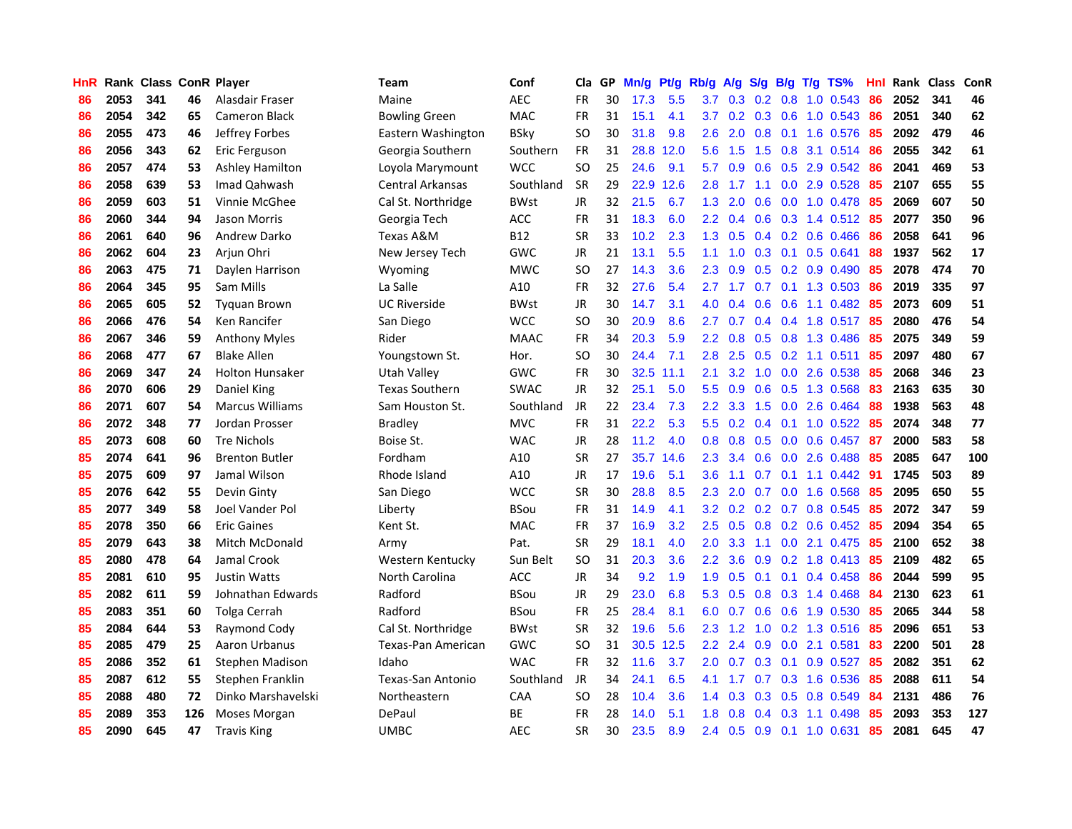| HnR |      | <b>Rank Class ConR Player</b> |     |                        | Team                  | Conf        | Cla       |    | GP Mn/g Pt/g |           | Rb/g             | A/g       |     |                 | S/g B/g T/g TS%           | Hnl |      | Rank Class | ConR |
|-----|------|-------------------------------|-----|------------------------|-----------------------|-------------|-----------|----|--------------|-----------|------------------|-----------|-----|-----------------|---------------------------|-----|------|------------|------|
| 86  | 2053 | 341                           | 46  | Alasdair Fraser        | Maine                 | <b>AEC</b>  | FR        | 30 | 17.3         | 5.5       | 3.7              | 0.3       | 0.2 | 0.8             | 1.0 0.543                 | 86  | 2052 | 341        | 46   |
| 86  | 2054 | 342                           | 65  | <b>Cameron Black</b>   | Bowling Green         | <b>MAC</b>  | <b>FR</b> | 31 | 15.1         | 4.1       | 3.7              | 0.2       | 0.3 | 0.6             | $1.0 \t0.543$             | 86  | 2051 | 340        | 62   |
| 86  | 2055 | 473                           | 46  | Jeffrey Forbes         | Eastern Washington    | <b>BSky</b> | <b>SO</b> | 30 | 31.8         | 9.8       | 2.6              | 2.0       | 0.8 | 0.1             | 1.6 0.576                 | 85  | 2092 | 479        | 46   |
| 86  | 2056 | 343                           | 62  | Eric Ferguson          | Georgia Southern      | Southern    | FR        | 31 |              | 28.8 12.0 | 5.6              | 1.5       |     |                 | 1.5 0.8 3.1 0.514         | 86  | 2055 | 342        | 61   |
| 86  | 2057 | 474                           | 53  | <b>Ashley Hamilton</b> | Loyola Marymount      | <b>WCC</b>  | SO.       | 25 | 24.6         | 9.1       | 5.7              | 0.9       |     |                 | 0.6 0.5 2.9 0.542         | 86  | 2041 | 469        | 53   |
| 86  | 2058 | 639                           | 53  | Imad Qahwash           | Central Arkansas      | Southland   | <b>SR</b> | 29 | 22.9         | 12.6      | 2.8              | 1.7       | 1.1 |                 | $0.0$ 2.9 $0.528$         | 85  | 2107 | 655        | 55   |
| 86  | 2059 | 603                           | 51  | Vinnie McGhee          | Cal St. Northridge    | <b>BWst</b> | JR        | 32 | 21.5         | 6.7       | 1.3              | 2.0       | 0.6 |                 | $0.0$ 1.0 0.478           | 85  | 2069 | 607        | 50   |
| 86  | 2060 | 344                           | 94  | Jason Morris           | Georgia Tech          | ACC         | FR        | 31 | 18.3         | 6.0       | $2.2^{\circ}$    | 0.4       | 0.6 |                 | $0.3$ 1.4 0.512           | 85  | 2077 | 350        | 96   |
| 86  | 2061 | 640                           | 96  | Andrew Darko           | Texas A&M             | <b>B12</b>  | <b>SR</b> | 33 | 10.2         | 2.3       | 1.3              | 0.5       |     |                 | $0.4$ 0.2 0.6 0.466       | 86  | 2058 | 641        | 96   |
| 86  | 2062 | 604                           | 23  | Arjun Ohri             | New Jersey Tech       | GWC         | JR        | 21 | 13.1         | 5.5       | 1.1              | 1.0       |     | $0.3 \quad 0.1$ | 0.5 0.641                 | 88  | 1937 | 562        | 17   |
| 86  | 2063 | 475                           | 71  | Daylen Harrison        | Wyoming               | <b>MWC</b>  | SO.       | 27 | 14.3         | 3.6       | 2.3              | 0.9       |     |                 | $0.5$ 0.2 0.9 0.490       | 85  | 2078 | 474        | 70   |
| 86  | 2064 | 345                           | 95  | Sam Mills              | La Salle              | A10         | FR        | 32 | 27.6         | 5.4       | 2.7              | 1.7       | 0.7 | 0.1             | 1.3 0.503                 | 86  | 2019 | 335        | 97   |
| 86  | 2065 | 605                           | 52  | <b>Tyguan Brown</b>    | <b>UC Riverside</b>   | <b>BWst</b> | JR        | 30 | 14.7         | 3.1       | 4.0              | 0.4       | 0.6 | 0.6             | 1.1 0.482                 | 85  | 2073 | 609        | 51   |
| 86  | 2066 | 476                           | 54  | Ken Rancifer           | San Diego             | <b>WCC</b>  | <b>SO</b> | 30 | 20.9         | 8.6       | 2.7              | 0.7       |     | $0.4 \quad 0.4$ | 1.8 0.517                 | 85  | 2080 | 476        | 54   |
| 86  | 2067 | 346                           | 59  | <b>Anthony Myles</b>   | Rider                 | <b>MAAC</b> | FR        | 34 | 20.3         | 5.9       | $2.2\phantom{0}$ | 0.8       | 0.5 | 0.8             | 1.3 0.486                 | 85  | 2075 | 349        | 59   |
| 86  | 2068 | 477                           | 67  | <b>Blake Allen</b>     | Youngstown St.        | Hor.        | <b>SO</b> | 30 | 24.4         | 7.1       | 2.8              | 2.5       | 0.5 | 0.2             | 1.1 0.511                 | 85  | 2097 | 480        | 67   |
| 86  | 2069 | 347                           | 24  | <b>Holton Hunsaker</b> | Utah Valley           | GWC         | <b>FR</b> | 30 | 32.5         | 11.1      | 2.1              | 3.2       | 1.0 | 0.0             | 2.6 0.538                 | -85 | 2068 | 346        | 23   |
| 86  | 2070 | 606                           | 29  | Daniel King            | <b>Texas Southern</b> | <b>SWAC</b> | JR        | 32 | 25.1         | 5.0       | 5.5 <sub>1</sub> | 0.9       |     | $0.6$ 0.5       | 1.3 0.568                 | 83  | 2163 | 635        | 30   |
| 86  | 2071 | 607                           | 54  | <b>Marcus Williams</b> | Sam Houston St.       | Southland   | JR        | 22 | 23.4         | 7.3       |                  | $2.2$ 3.3 |     |                 | 1.5 0.0 2.6 0.464         | 88  | 1938 | 563        | 48   |
| 86  | 2072 | 348                           | 77  | Jordan Prosser         | Bradley               | <b>MVC</b>  | <b>FR</b> | 31 | 22.2         | 5.3       |                  |           |     |                 | 5.5 0.2 0.4 0.1 1.0 0.522 | -85 | 2074 | 348        | 77   |
| 85  | 2073 | 608                           | 60  | <b>Tre Nichols</b>     | Boise St.             | <b>WAC</b>  | JR        | 28 | 11.2         | 4.0       | 0.8              | 0.8       |     |                 | $0.5$ $0.0$ $0.6$ $0.457$ | -87 | 2000 | 583        | 58   |
| 85  | 2074 | 641                           | 96  | <b>Brenton Butler</b>  | Fordham               | A10         | <b>SR</b> | 27 |              | 35.7 14.6 | $2.3^{\circ}$    | 3.4       |     |                 | 0.6 0.0 2.6 0.488         | 85  | 2085 | 647        | 100  |
| 85  | 2075 | 609                           | 97  | Jamal Wilson           | Rhode Island          | A10         | JR        | 17 | 19.6         | 5.1       | 3.6              | 1.1       |     |                 | $0.7$ $0.1$ $1.1$ $0.442$ | 91  | 1745 | 503        | 89   |
| 85  | 2076 | 642                           | 55  | Devin Ginty            | San Diego             | <b>WCC</b>  | <b>SR</b> | 30 | 28.8         | 8.5       | 2.3              | 2.0       | 0.7 | 0.0             | 1.6 0.568                 | 85  | 2095 | 650        | 55   |
| 85  | 2077 | 349                           | 58  | Joel Vander Pol        | Liberty               | <b>BSou</b> | <b>FR</b> | 31 | 14.9         | 4.1       | 3.2 <sub>2</sub> | 0.2       |     |                 | $0.2$ 0.7 0.8 0.545       | 85  | 2072 | 347        | 59   |
| 85  | 2078 | 350                           | 66  | <b>Eric Gaines</b>     | Kent St.              | MAC         | FR        | 37 | 16.9         | 3.2       | 2.5              | 0.5       |     |                 | $0.8$ 0.2 0.6 0.452       | -85 | 2094 | 354        | 65   |
| 85  | 2079 | 643                           | 38  | <b>Mitch McDonald</b>  | Army                  | Pat.        | <b>SR</b> | 29 | 18.1         | 4.0       | 2.0              | 3.3       | 1.1 | 0.0             | 2.1 0.475                 | 85  | 2100 | 652        | 38   |
| 85  | 2080 | 478                           | 64  | Jamal Crook            | Western Kentucky      | Sun Belt    | SO.       | 31 | 20.3         | 3.6       | $2.2\phantom{0}$ | 3.6       | 0.9 |                 | 0.2 1.8 0.413             | 85  | 2109 | 482        | 65   |
| 85  | 2081 | 610                           | 95  | Justin Watts           | North Carolina        | <b>ACC</b>  | JR        | 34 | 9.2          | 1.9       | 1.9              | 0.5       | 0.1 | 0.1             | 0.4 0.458                 | 86  | 2044 | 599        | 95   |
| 85  | 2082 | 611                           | 59  | Johnathan Edwards      | Radford               | <b>BSou</b> | JR        | 29 | 23.0         | 6.8       | 5.3              | 0.5       | 0.8 | 0.3             | 1.4 0.468                 | 84  | 2130 | 623        | 61   |
| 85  | 2083 | 351                           | 60  | <b>Tolga Cerrah</b>    | Radford               | <b>BSou</b> | <b>FR</b> | 25 | 28.4         | 8.1       | 6.0              | 0.7       | 0.6 | 0.6             | 1.9 0.530                 | 85  | 2065 | 344        | 58   |
| 85  | 2084 | 644                           | 53  | Raymond Cody           | Cal St. Northridge    | <b>BWst</b> | <b>SR</b> | 32 | 19.6         | 5.6       | 2.3              | 1.2       |     |                 | 1.0 0.2 1.3 0.516         | 85  | 2096 | 651        | 53   |
| 85  | 2085 | 479                           | 25  | Aaron Urbanus          | Texas-Pan American    | GWC         | SO        | 31 |              | 30.5 12.5 | $2.2^{\circ}$    | 2.4       |     |                 | $0.9$ $0.0$ 2.1 $0.581$   | 83  | 2200 | 501        | 28   |
| 85  | 2086 | 352                           | 61  | Stephen Madison        | Idaho                 | <b>WAC</b>  | <b>FR</b> | 32 | 11.6         | 3.7       | $2.0^{\circ}$    | 0.7       |     | $0.3 \quad 0.1$ | 0.9 0.527                 | 85  | 2082 | 351        | 62   |
| 85  | 2087 | 612                           | 55  | Stephen Franklin       | Texas-San Antonio     | Southland   | JR        | 34 | 24.1         | 6.5       | 4.1              | 1.7       |     |                 | $0.7$ $0.3$ 1.6 $0.536$   | 85  | 2088 | 611        | 54   |
| 85  | 2088 | 480                           | 72  | Dinko Marshavelski     | Northeastern          | CAA         | <b>SO</b> | 28 | 10.4         | 3.6       | 1.4 <sup>°</sup> | 0.3       | 0.3 | 0.5             | 0.8 0.549                 | 84  | 2131 | 486        | 76   |
| 85  | 2089 | 353                           | 126 | Moses Morgan           | DePaul                | <b>BE</b>   | <b>FR</b> | 28 | 14.0         | 5.1       | 1.8              | 0.8       |     | $0.4$ 0.3       | 1.1 0.498                 | 85  | 2093 | 353        | 127  |
| 85  | 2090 | 645                           | 47  | <b>Travis King</b>     | <b>UMBC</b>           | AEC         | <b>SR</b> | 30 | 23.5         | 8.9       | 2.4              | 0.5       |     |                 | 0.9 0.1 1.0 0.631         | 85  | 2081 | 645        | 47   |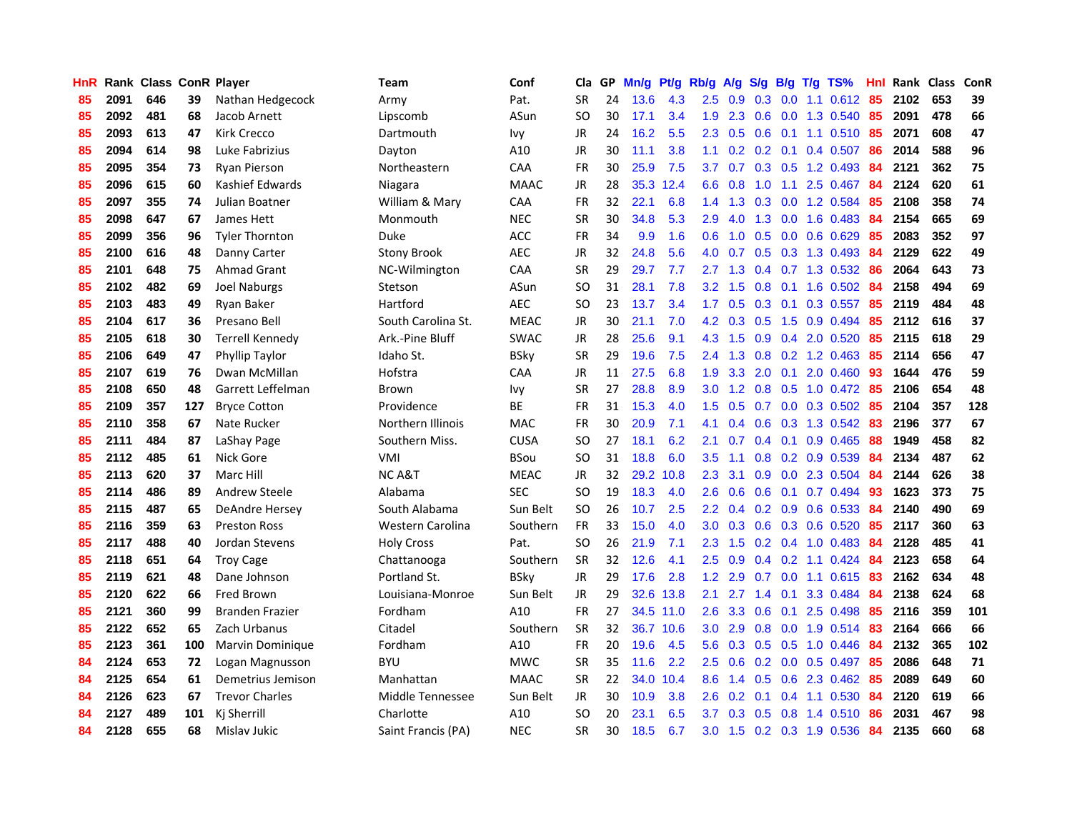| <b>HnR</b> |      | Rank Class ConR Player |     |                        | Team               | Conf        | Cla       |    | GP Mn/g | Pt/g Rb/g |                  | A/g             |                         |                 | $S/g$ B/g T/g TS%         | Hnl | Rank Class |     | ConR |
|------------|------|------------------------|-----|------------------------|--------------------|-------------|-----------|----|---------|-----------|------------------|-----------------|-------------------------|-----------------|---------------------------|-----|------------|-----|------|
| 85         | 2091 | 646                    | 39  | Nathan Hedgecock       | Army               | Pat.        | <b>SR</b> | 24 | 13.6    | 4.3       | 2.5              | 0.9             | $0.3 \quad 0.0$         |                 | 1.1 0.612                 | 85  | 2102       | 653 | 39   |
| 85         | 2092 | 481                    | 68  | Jacob Arnett           | Lipscomb           | ASun        | <b>SO</b> | 30 | 17.1    | 3.4       | 1.9              | 2.3             |                         | $0.6\quad 0.0$  | 1.3 0.540                 | 85  | 2091       | 478 | 66   |
| 85         | 2093 | 613                    | 47  | <b>Kirk Crecco</b>     | Dartmouth          | lvy         | JR        | 24 | 16.2    | 5.5       | $2.3^{\circ}$    | 0.5             | $0.6$ 0.1               |                 | 1.1 0.510 85              |     | 2071       | 608 | 47   |
| 85         | 2094 | 614                    | 98  | Luke Fabrizius         | Dayton             | A10         | JR        | 30 | 11.1    | 3.8       |                  |                 | $1.1 \t0.2 \t0.2 \t0.1$ |                 | $0.4$ 0.507               | -86 | 2014       | 588 | 96   |
| 85         | 2095 | 354                    | 73  | <b>Ryan Pierson</b>    | Northeastern       | CAA         | <b>FR</b> | 30 | 25.9    | 7.5       | 3.7              | 0.7             |                         |                 | $0.3$ $0.5$ 1.2 0.493     | -84 | 2121       | 362 | 75   |
| 85         | 2096 | 615                    | 60  | Kashief Edwards        | Niagara            | <b>MAAC</b> | JR        | 28 |         | 35.3 12.4 | 6.6              | 0.8             | 1.0                     |                 | $1.1$ 2.5 0.467           | 84  | 2124       | 620 | 61   |
| 85         | 2097 | 355                    | 74  | Julian Boatner         | William & Mary     | CAA         | <b>FR</b> | 32 | 22.1    | 6.8       | $1.4^{\circ}$    | 1.3             |                         |                 | 0.3 0.0 1.2 0.584         | 85  | 2108       | 358 | 74   |
| 85         | 2098 | 647                    | 67  | James Hett             | Monmouth           | <b>NEC</b>  | <b>SR</b> | 30 | 34.8    | 5.3       | 2.9              | 4.0             | 1.3                     |                 | $0.0$ 1.6 0.483           | 84  | 2154       | 665 | 69   |
| 85         | 2099 | 356                    | 96  | <b>Tyler Thornton</b>  | <b>Duke</b>        | ACC         | <b>FR</b> | 34 | 9.9     | 1.6       | 0.6              | 1.0             | 0.5                     |                 | 0.0 0.6 0.629             | 85  | 2083       | 352 | 97   |
| 85         | 2100 | 616                    | 48  | Danny Carter           | <b>Stony Brook</b> | <b>AEC</b>  | <b>JR</b> | 32 | 24.8    | 5.6       | 4.0              | 0.7             |                         |                 | 0.5 0.3 1.3 0.493         | 84  | 2129       | 622 | 49   |
| 85         | 2101 | 648                    | 75  | <b>Ahmad Grant</b>     | NC-Wilmington      | CAA         | <b>SR</b> | 29 | 29.7    | 7.7       | 2.7              | 1.3             |                         |                 | 0.4 0.7 1.3 0.532         | 86  | 2064       | 643 | 73   |
| 85         | 2102 | 482                    | 69  | <b>Joel Naburgs</b>    | Stetson            | ASun        | SO.       | 31 | 28.1    | 7.8       | $3.2\phantom{0}$ | 1.5             | 0.8                     | 0.1             | 1.6 0.502                 | 84  | 2158       | 494 | 69   |
| 85         | 2103 | 483                    | 49  | Ryan Baker             | Hartford           | <b>AEC</b>  | <b>SO</b> | 23 | 13.7    | 3.4       | 1.7              | 0.5             | 0.3                     | 0.1             | 0.3 0.557                 | 85  | 2119       | 484 | 48   |
| 85         | 2104 | 617                    | 36  | Presano Bell           | South Carolina St. | <b>MEAC</b> | <b>JR</b> | 30 | 21.1    | 7.0       | 4.2 <sub>1</sub> | 0.3             | 0.5                     | 1.5             | 0.9 0.494                 | 85  | 2112       | 616 | 37   |
| 85         | 2105 | 618                    | 30  | <b>Terrell Kennedy</b> | Ark.-Pine Bluff    | <b>SWAC</b> | JR        | 28 | 25.6    | 9.1       | 4.3              | 1.5             | 0.9                     | 0.4             | 2.0 0.520                 | 85  | 2115       | 618 | 29   |
| 85         | 2106 | 649                    | 47  | Phyllip Taylor         | Idaho St.          | <b>BSky</b> | <b>SR</b> | 29 | 19.6    | 7.5       | 2.4              | 1.3             |                         |                 | $0.8$ $0.2$ 1.2 $0.463$   | -85 | 2114       | 656 | 47   |
| 85         | 2107 | 619                    | 76  | Dwan McMillan          | Hofstra            | <b>CAA</b>  | JR        | 11 | 27.5    | 6.8       | 1.9 <sup>°</sup> |                 |                         |                 | 3.3 2.0 0.1 2.0 0.460 93  |     | 1644       | 476 | 59   |
| 85         | 2108 | 650                    | 48  | Garrett Leffelman      | Brown              | <b>Ivy</b>  | <b>SR</b> | 27 | 28.8    | 8.9       |                  | $3.0 \quad 1.2$ |                         |                 | 0.8 0.5 1.0 0.472 85      |     | 2106       | 654 | 48   |
| 85         | 2109 | 357                    | 127 | <b>Bryce Cotton</b>    | Providence         | ВE          | <b>FR</b> | 31 | 15.3    | 4.0       | 1.5              | 0.5             |                         |                 | 0.7 0.0 0.3 0.502         | 85  | 2104       | 357 | 128  |
| 85         | 2110 | 358                    | 67  | Nate Rucker            | Northern Illinois  | <b>MAC</b>  | <b>FR</b> | 30 | 20.9    | 7.1       | 4.1              | 0.4             |                         |                 | 0.6 0.3 1.3 0.542         | -83 | 2196       | 377 | 67   |
| 85         | 2111 | 484                    | 87  | LaShay Page            | Southern Miss.     | <b>CUSA</b> | <b>SO</b> | 27 | 18.1    | 6.2       | 2.1              | 0.7             |                         |                 | $0.4$ 0.1 0.9 0.465       | 88  | 1949       | 458 | 82   |
| 85         | 2112 | 485                    | 61  | Nick Gore              | <b>VMI</b>         | <b>BSou</b> | <b>SO</b> | 31 | 18.8    | 6.0       | 3.5              | 1.1             |                         |                 | 0.8 0.2 0.9 0.539         | 84  | 2134       | 487 | 62   |
| 85         | 2113 | 620                    | 37  | Marc Hill              | NC A&T             | <b>MEAC</b> | JR        | 32 |         | 29.2 10.8 | 2.3              | 3.1             |                         |                 | 0.9 0.0 2.3 0.504         | 84  | 2144       | 626 | 38   |
| 85         | 2114 | 486                    | 89  | Andrew Steele          | Alabama            | <b>SEC</b>  | SO.       | 19 | 18.3    | 4.0       | 2.6              | 0.6             |                         | $0.6 \quad 0.1$ | 0.7 0.494                 | 93  | 1623       | 373 | 75   |
| 85         | 2115 | 487                    | 65  | DeAndre Hersey         | South Alabama      | Sun Belt    | SO.       | 26 | 10.7    | 2.5       | 2.2 <sub>2</sub> | 0.4             |                         |                 | $0.2$ $0.9$ $0.6$ $0.533$ | -84 | 2140       | 490 | 69   |
| 85         | 2116 | 359                    | 63  | <b>Preston Ross</b>    | Western Carolina   | Southern    | <b>FR</b> | 33 | 15.0    | 4.0       | 3.0              | 0.3             |                         |                 | 0.6 0.3 0.6 0.520         | -85 | 2117       | 360 | 63   |
| 85         | 2117 | 488                    | 40  | Jordan Stevens         | <b>Holy Cross</b>  | Pat.        | <b>SO</b> | 26 | 21.9    | 7.1       | 2.3              | 1.5             |                         |                 | $0.2$ 0.4 1.0 0.483       | 84  | 2128       | 485 | 41   |
| 85         | 2118 | 651                    | 64  | <b>Troy Cage</b>       | Chattanooga        | Southern    | <b>SR</b> | 32 | 12.6    | 4.1       | $2.5\,$          | 0.9             |                         |                 | $0.4$ 0.2 1.1 0.424       | 84  | 2123       | 658 | 64   |
| 85         | 2119 | 621                    | 48  | Dane Johnson           | Portland St.       | <b>BSky</b> | <b>JR</b> | 29 | 17.6    | 2.8       | $1.2^{\circ}$    | 2.9             | 0.7                     | 0.0             | 1.1 0.615                 | 83  | 2162       | 634 | 48   |
| 85         | 2120 | 622                    | 66  | <b>Fred Brown</b>      | Louisiana-Monroe   | Sun Belt    | <b>JR</b> | 29 | 32.6    | 13.8      | 2.1              | 2.7             | $1.4 \quad 0.1$         |                 | 3.3 0.484                 | -84 | 2138       | 624 | 68   |
| 85         | 2121 | 360                    | 99  | <b>Branden Frazier</b> | Fordham            | A10         | <b>FR</b> | 27 |         | 34.5 11.0 | 2.6              | 3.3             | 0.6                     | 0.1             | 2.5 0.498                 | 85  | 2116       | 359 | 101  |
| 85         | 2122 | 652                    | 65  | Zach Urbanus           | Citadel            | Southern    | <b>SR</b> | 32 |         | 36.7 10.6 | 3.0 <sub>1</sub> | 2.9             |                         |                 | 0.8 0.0 1.9 0.514         | 83  | 2164       | 666 | 66   |
| 85         | 2123 | 361                    | 100 | Marvin Dominique       | Fordham            | A10         | <b>FR</b> | 20 | 19.6    | 4.5       | 5.6              | 0.3             |                         |                 | $0.5$ 0.5 1.0 0.446       | -84 | 2132       | 365 | 102  |
| 84         | 2124 | 653                    | 72  | Logan Magnusson        | <b>BYU</b>         | <b>MWC</b>  | <b>SR</b> | 35 | 11.6    | 2.2       | $2.5\,$          | 0.6             |                         |                 | $0.2$ 0.0 0.5 0.497       | 85  | 2086       | 648 | 71   |
| 84         | 2125 | 654                    | 61  | Demetrius Jemison      | Manhattan          | <b>MAAC</b> | <b>SR</b> | 22 |         | 34.0 10.4 | 8.6              | 1.4             |                         |                 | 0.5 0.6 2.3 0.462         | 85  | 2089       | 649 | 60   |
| 84         | 2126 | 623                    | 67  | <b>Trevor Charles</b>  | Middle Tennessee   | Sun Belt    | JR        | 30 | 10.9    | 3.8       | 2.6              | 0.2             | 0.1                     |                 | 0.4 1.1 0.530             | 84  | 2120       | 619 | 66   |
| 84         | 2127 | 489                    | 101 | Ki Sherrill            | Charlotte          | A10         | <b>SO</b> | 20 | 23.1    | 6.5       | 3.7              | 0.3             | 0.5                     | 0.8             | 1.4 0.510                 | 86  | 2031       | 467 | 98   |
| 84         | 2128 | 655                    | 68  | Mislav Jukic           | Saint Francis (PA) | <b>NEC</b>  | <b>SR</b> | 30 | 18.5    | 6.7       |                  | $3.0 \quad 1.5$ |                         |                 | $0.2$ $0.3$ 1.9 0.536     | 84  | 2135       | 660 | 68   |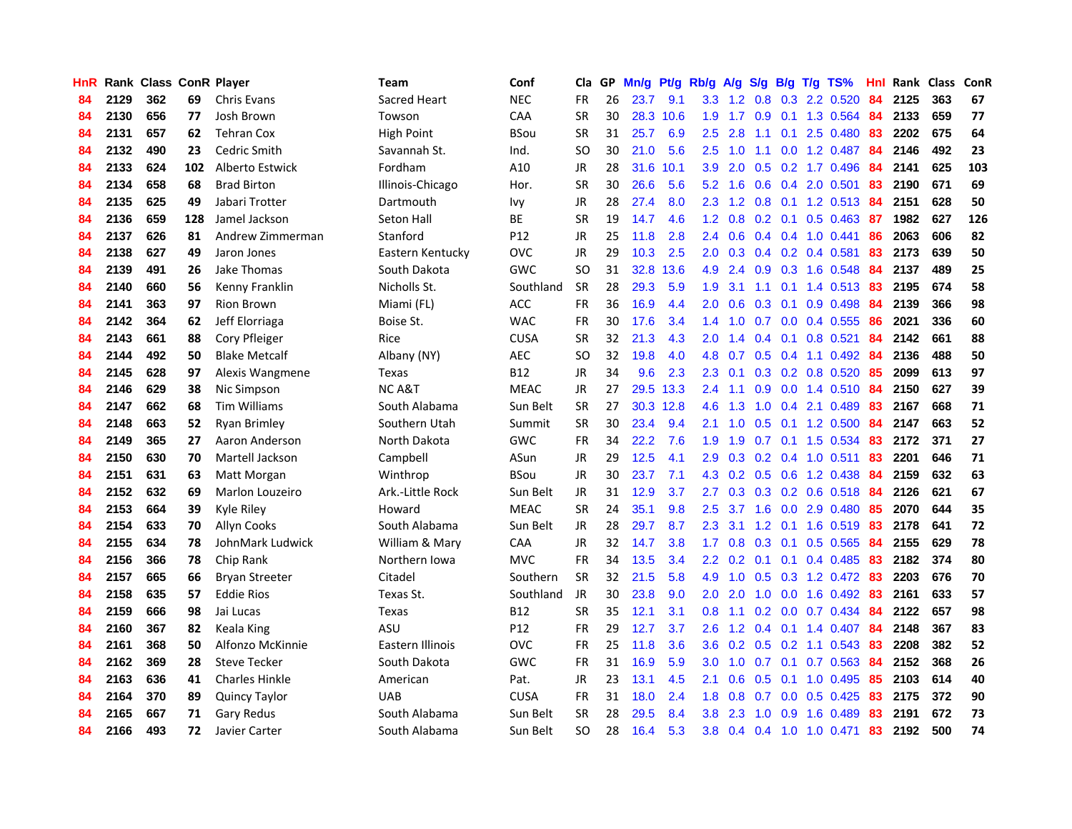| <b>HnR</b> |      | <b>Rank Class ConR Player</b> |     |                       | <b>Team</b>       | Conf        | Cla       |    | GP Mn/g Pt/g Rb/g |           |                  | A/g             |     |                 | S/g B/g T/g TS%           | Hnl | Rank Class |     | ConR |
|------------|------|-------------------------------|-----|-----------------------|-------------------|-------------|-----------|----|-------------------|-----------|------------------|-----------------|-----|-----------------|---------------------------|-----|------------|-----|------|
| 84         | 2129 | 362                           | 69  | <b>Chris Evans</b>    | Sacred Heart      | <b>NEC</b>  | FR        | 26 | 23.7              | 9.1       | 3.3              | $1.2^{\circ}$   | 0.8 | 0.3             | 2.2 0.520                 | 84  | 2125       | 363 | 67   |
| 84         | 2130 | 656                           | 77  | Josh Brown            | Towson            | CAA         | <b>SR</b> | 30 | 28.3              | 10.6      | 1.9              | 1.7             | 0.9 | 0.1             | 1.3 0.564                 | 84  | 2133       | 659 | 77   |
| 84         | 2131 | 657                           | 62  | <b>Tehran Cox</b>     | <b>High Point</b> | <b>BSou</b> | <b>SR</b> | 31 | 25.7              | 6.9       | 2.5              | 2.8             | 1.1 | 0.1             | 2.5 0.480                 | -83 | 2202       | 675 | 64   |
| 84         | 2132 | 490                           | 23  | Cedric Smith          | Savannah St.      | Ind.        | SO.       | 30 | 21.0              | 5.6       | 2.5              | 1.0             | 1.1 |                 | 0.0 1.2 0.487             | 84  | 2146       | 492 | 23   |
| 84         | 2133 | 624                           | 102 | Alberto Estwick       | Fordham           | A10         | JR        | 28 |                   | 31.6 10.1 | 3.9              | 2.0             |     |                 | $0.5$ 0.2 1.7 0.496       | -84 | 2141       | 625 | 103  |
| 84         | 2134 | 658                           | 68  | <b>Brad Birton</b>    | Illinois-Chicago  | Hor.        | <b>SR</b> | 30 | 26.6              | 5.6       |                  | $5.2 \quad 1.6$ |     |                 | $0.6$ $0.4$ 2.0 $0.501$   | 83  | 2190       | 671 | 69   |
| 84         | 2135 | 625                           | 49  | Jabari Trotter        | Dartmouth         | Ivy         | JR        | 28 | 27.4              | 8.0       |                  |                 |     |                 | 2.3 1.2 0.8 0.1 1.2 0.513 | 84  | 2151       | 628 | 50   |
| 84         | 2136 | 659                           | 128 | Jamel Jackson         | Seton Hall        | BE          | <b>SR</b> | 19 | 14.7              | 4.6       | 1.2 <sub>1</sub> | 0.8             |     |                 | 0.2 0.1 0.5 0.463         | -87 | 1982       | 627 | 126  |
| 84         | 2137 | 626                           | 81  | Andrew Zimmerman      | Stanford          | P12         | JR        | 25 | 11.8              | 2.8       | 2.4              | 0.6             |     |                 | $0.4$ 0.4 1.0 0.441       | 86  | 2063       | 606 | 82   |
| 84         | 2138 | 627                           | 49  | Jaron Jones           | Eastern Kentucky  | <b>OVC</b>  | JR        | 29 | 10.3              | 2.5       | 2.0              | 0.3             |     |                 | $0.4$ 0.2 0.4 0.581       | 83  | 2173       | 639 | 50   |
| 84         | 2139 | 491                           | 26  | Jake Thomas           | South Dakota      | <b>GWC</b>  | <b>SO</b> | 31 |                   | 32.8 13.6 | 4.9              | 2.4             |     |                 | 0.9 0.3 1.6 0.548         | 84  | 2137       | 489 | 25   |
| 84         | 2140 | 660                           | 56  | Kenny Franklin        | Nicholls St.      | Southland   | <b>SR</b> | 28 | 29.3              | 5.9       | 1.9              | 3.1             | 1.1 | 0.1             | 1.4 0.513                 | 83  | 2195       | 674 | 58   |
| 84         | 2141 | 363                           | 97  | <b>Rion Brown</b>     | Miami (FL)        | <b>ACC</b>  | <b>FR</b> | 36 | 16.9              | 4.4       | 2.0              | 0.6             | 0.3 | 0.1             | 0.9 0.498                 | 84  | 2139       | 366 | 98   |
| 84         | 2142 | 364                           | 62  | Jeff Elorriaga        | Boise St.         | <b>WAC</b>  | FR        | 30 | 17.6              | 3.4       | $1.4^{\circ}$    | 1.0             | 0.7 | 0.0             | 0.4 0.555                 | 86  | 2021       | 336 | 60   |
| 84         | 2143 | 661                           | 88  | Cory Pfleiger         | Rice              | <b>CUSA</b> | <b>SR</b> | 32 | 21.3              | 4.3       | 2.0              | 1.4             | 0.4 | 0.1             | 0.8 0.521                 | 84  | 2142       | 661 | 88   |
| 84         | 2144 | 492                           | 50  | <b>Blake Metcalf</b>  | Albany (NY)       | <b>AEC</b>  | <b>SO</b> | 32 | 19.8              | 4.0       | 4.8              | 0.7             |     |                 | $0.5$ 0.4 1.1 0.492       | -84 | 2136       | 488 | 50   |
| 84         | 2145 | 628                           | 97  | Alexis Wangmene       | Texas             | <b>B12</b>  | JR        | 34 | 9.6               | 2.3       | 2.3              | 0.1             |     |                 | $0.3$ 0.2 0.8 0.520       | -85 | 2099       | 613 | 97   |
| 84         | 2146 | 629                           | 38  | Nic Simpson           | <b>NCA&amp;T</b>  | <b>MEAC</b> | JR        | 27 |                   | 29.5 13.3 | $2.4^{\circ}$    | $-1.1$          |     |                 | 0.9 0.0 1.4 0.510 84      |     | 2150       | 627 | 39   |
| 84         | 2147 | 662                           | 68  | <b>Tim Williams</b>   | South Alabama     | Sun Belt    | <b>SR</b> | 27 |                   | 30.3 12.8 | 4.6              | 1.3             |     |                 | 1.0 0.4 2.1 0.489         | 83  | 2167       | 668 | 71   |
| 84         | 2148 | 663                           | 52  | Ryan Brimley          | Southern Utah     | Summit      | <b>SR</b> | 30 | 23.4              | 9.4       | 2.1              | 1.0             |     |                 | $0.5$ 0.1 1.2 0.500       | -84 | 2147       | 663 | 52   |
| 84         | 2149 | 365                           | 27  | Aaron Anderson        | North Dakota      | GWC         | FR        | 34 | 22.2              | 7.6       | 1.9              | 1.9             |     |                 | 0.7 0.1 1.5 0.534         | 83  | 2172       | 371 | 27   |
| 84         | 2150 | 630                           | 70  | Martell Jackson       | Campbell          | ASun        | JR        | 29 | 12.5              | 4.1       | 2.9              | 0.3             |     |                 | 0.2 0.4 1.0 0.511         | 83  | 2201       | 646 | 71   |
| 84         | 2151 | 631                           | 63  | Matt Morgan           | Winthrop          | <b>BSou</b> | JR        | 30 | 23.7              | 7.1       | 4.3              |                 |     |                 | 0.2 0.5 0.6 1.2 0.438     | -84 | 2159       | 632 | 63   |
| 84         | 2152 | 632                           | 69  | Marlon Louzeiro       | Ark.-Little Rock  | Sun Belt    | JR        | 31 | 12.9              | 3.7       | 2.7              | 0.3             |     |                 | 0.3 0.2 0.6 0.518         | -84 | 2126       | 621 | 67   |
| 84         | 2153 | 664                           | 39  | Kyle Riley            | Howard            | <b>MEAC</b> | <b>SR</b> | 24 | 35.1              | 9.8       | 2.5              | 3.7             |     |                 | 1.6 0.0 2.9 0.480         | -85 | 2070       | 644 | 35   |
| 84         | 2154 | 633                           | 70  | <b>Allyn Cooks</b>    | South Alabama     | Sun Belt    | <b>JR</b> | 28 | 29.7              | 8.7       | 2.3              | 3.1             | 1.2 | 0.1             | 1.6 0.519                 | 83  | 2178       | 641 | 72   |
| 84         | 2155 | 634                           | 78  | JohnMark Ludwick      | William & Mary    | CAA         | <b>JR</b> | 32 | 14.7              | 3.8       | 1.7              | 0.8             | 0.3 | 0.1             | $0.5$ 0.565               | 84  | 2155       | 629 | 78   |
| 84         | 2156 | 366                           | 78  | Chip Rank             | Northern Iowa     | <b>MVC</b>  | FR        | 34 | 13.5              | 3.4       | $2.2\phantom{0}$ | 0.2             | 0.1 | 0.1             | $0.4$ 0.485               | 83  | 2182       | 374 | 80   |
| 84         | 2157 | 665                           | 66  | <b>Bryan Streeter</b> | Citadel           | Southern    | <b>SR</b> | 32 | 21.5              | 5.8       | 4.9              | 1.0             |     |                 | $0.5$ $0.3$ 1.2 $0.472$   | -83 | 2203       | 676 | 70   |
| 84         | 2158 | 635                           | 57  | <b>Eddie Rios</b>     | Texas St.         | Southland   | JR        | 30 | 23.8              | 9.0       | 2.0 <sub>1</sub> | 2.0             |     |                 | 1.0 0.0 1.6 0.492 83      |     | 2161       | 633 | 57   |
| 84         | 2159 | 666                           | 98  | Jai Lucas             | Texas             | <b>B12</b>  | <b>SR</b> | 35 | 12.1              | 3.1       | 0.8 <sub>0</sub> | 1.1             |     |                 | $0.2$ 0.0 0.7 0.434       | -84 | 2122       | 657 | 98   |
| 84         | 2160 | 367                           | 82  | Keala King            | ASU               | P12         | <b>FR</b> | 29 | 12.7              | 3.7       | 2.6              |                 |     |                 | 1.2 0.4 0.1 1.4 0.407     | -84 | 2148       | 367 | 83   |
| 84         | 2161 | 368                           | 50  | Alfonzo McKinnie      | Eastern Illinois  | <b>OVC</b>  | <b>FR</b> | 25 | 11.8              | 3.6       | 3.6              |                 |     |                 | 0.2 0.5 0.2 1.1 0.543     | 83  | 2208       | 382 | 52   |
| 84         | 2162 | 369                           | 28  | <b>Steve Tecker</b>   | South Dakota      | GWC         | FR        | 31 | 16.9              | 5.9       | 3.0 <sub>2</sub> | 1.0             |     |                 | 0.7 0.1 0.7 0.563         | 84  | 2152       | 368 | 26   |
| 84         | 2163 | 636                           | 41  | <b>Charles Hinkle</b> | American          | Pat.        | JR        | 23 | 13.1              | 4.5       | 2.1              | 0.6             |     | $0.5 \quad 0.1$ | 1.0 0.495                 | 85  | 2103       | 614 | 40   |
| 84         | 2164 | 370                           | 89  | <b>Quincy Taylor</b>  | <b>UAB</b>        | <b>CUSA</b> | <b>FR</b> | 31 | 18.0              | 2.4       | 1.8              | 0.8             | 0.7 | 0.0             | $0.5$ 0.425               | 83  | 2175       | 372 | 90   |
| 84         | 2165 | 667                           | 71  | Gary Redus            | South Alabama     | Sun Belt    | <b>SR</b> | 28 | 29.5              | 8.4       | 3.8              | 2.3             | 1.0 | 0.9             | 1.6 0.489                 | 83  | 2191       | 672 | 73   |
| 84         | 2166 | 493                           | 72  | Javier Carter         | South Alabama     | Sun Belt    | <b>SO</b> | 28 | 16.4              | 5.3       |                  |                 |     |                 | 3.8 0.4 0.4 1.0 1.0 0.471 | 83  | 2192       | 500 | 74   |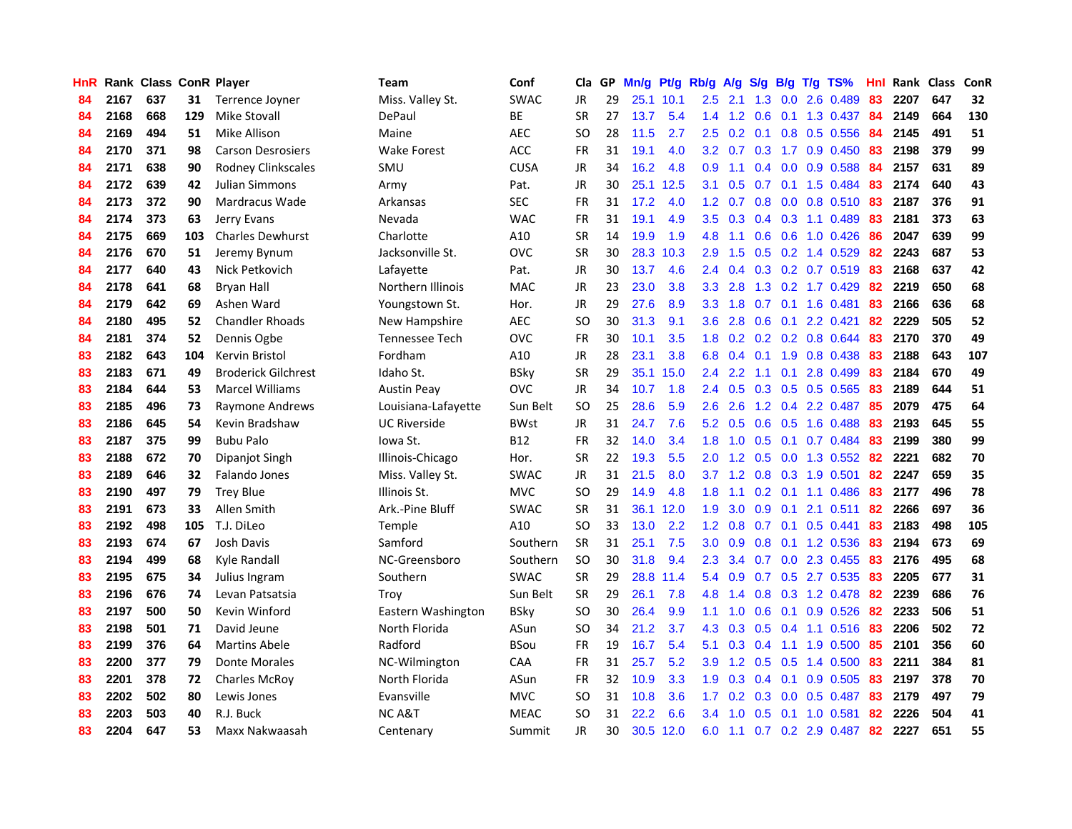| <b>HnR</b> |      | Rank Class ConR Player |     |                            | Team                | Conf        | Cla       |    | GP Mn/g Pt/g |           | Rb/g             | A/g             |                 |                 | S/g B/g T/g TS%           | Hnl | Rank Class |     | ConR |
|------------|------|------------------------|-----|----------------------------|---------------------|-------------|-----------|----|--------------|-----------|------------------|-----------------|-----------------|-----------------|---------------------------|-----|------------|-----|------|
| 84         | 2167 | 637                    | 31  | Terrence Joyner            | Miss. Valley St.    | <b>SWAC</b> | JR        | 29 |              | 25.1 10.1 | $2.5\,$          | 2.1             | 1.3             | 0.0             | 2.6 0.489                 | 83  | 2207       | 647 | 32   |
| 84         | 2168 | 668                    | 129 | <b>Mike Stovall</b>        | DePaul              | <b>BE</b>   | <b>SR</b> | 27 | 13.7         | 5.4       |                  | $1.4$ 1.2       | 0.6             | 0.1             | 1.3 0.437                 | 84  | 2149       | 664 | 130  |
| 84         | 2169 | 494                    | 51  | Mike Allison               | Maine               | <b>AEC</b>  | SO.       | 28 | 11.5         | 2.7       | 2.5              | 0.2             | 0.1             | 0.8             | 0.5 0.556                 | 84  | 2145       | 491 | 51   |
| 84         | 2170 | 371                    | 98  | <b>Carson Desrosiers</b>   | <b>Wake Forest</b>  | ACC         | <b>FR</b> | 31 | 19.1         | 4.0       |                  |                 |                 |                 | 3.2 0.7 0.3 1.7 0.9 0.450 | -83 | 2198       | 379 | 99   |
| 84         | 2171 | 638                    | 90  | Rodney Clinkscales         | SMU                 | <b>CUSA</b> | JR        | 34 | 16.2         | 4.8       | 0.9              | 1.1             |                 |                 | $0.4$ 0.0 0.9 0.588       | 84  | 2157       | 631 | 89   |
| 84         | 2172 | 639                    | 42  | Julian Simmons             | Army                | Pat.        | JR        | 30 |              | 25.1 12.5 | 3.1              | 0.5             |                 |                 | 0.7 0.1 1.5 0.484         | 83  | 2174       | 640 | 43   |
| 84         | 2173 | 372                    | 90  | Mardracus Wade             | Arkansas            | <b>SEC</b>  | <b>FR</b> | 31 | 17.2         | 4.0       | 1.2 <sub>1</sub> | 0.7             |                 |                 | $0.8$ 0.0 0.8 0.510       | 83  | 2187       | 376 | 91   |
| 84         | 2174 | 373                    | 63  | Jerry Evans                | Nevada              | <b>WAC</b>  | <b>FR</b> | 31 | 19.1         | 4.9       | 3.5              | 0.3             |                 |                 | $0.4$ 0.3 1.1 0.489       | 83  | 2181       | 373 | 63   |
| 84         | 2175 | 669                    | 103 | <b>Charles Dewhurst</b>    | Charlotte           | A10         | <b>SR</b> | 14 | 19.9         | 1.9       | 4.8              | 1.1             | 0.6             | 0.6             | 1.0 0.426                 | 86  | 2047       | 639 | 99   |
| 84         | 2176 | 670                    | 51  | Jeremy Bynum               | Jacksonville St.    | <b>OVC</b>  | <b>SR</b> | 30 | 28.3         | 10.3      | 2.9              | 1.5             |                 |                 | 0.5 0.2 1.4 0.529         | 82  | 2243       | 687 | 53   |
| 84         | 2177 | 640                    | 43  | Nick Petkovich             | Lafayette           | Pat.        | JR        | 30 | 13.7         | 4.6       | 2.4              | 0.4             |                 |                 | 0.3 0.2 0.7 0.519         | 83  | 2168       | 637 | 42   |
| 84         | 2178 | 641                    | 68  | <b>Bryan Hall</b>          | Northern Illinois   | <b>MAC</b>  | JR        | 23 | 23.0         | 3.8       | 3.3 <sub>2</sub> | 2.8             |                 |                 | 1.3 0.2 1.7 0.429         | 82  | 2219       | 650 | 68   |
| 84         | 2179 | 642                    | 69  | Ashen Ward                 | Youngstown St.      | Hor.        | JR        | 29 | 27.6         | 8.9       |                  | $3.3 \quad 1.8$ | 0.7             |                 | $0.1$ 1.6 $0.481$         | 83  | 2166       | 636 | 68   |
| 84         | 2180 | 495                    | 52  | <b>Chandler Rhoads</b>     | New Hampshire       | <b>AEC</b>  | SO.       | 30 | 31.3         | 9.1       | 3.6              | 2.8             | 0.6             | 0.1             | 2.2 0.421                 | 82  | 2229       | 505 | 52   |
| 84         | 2181 | 374                    | 52  | Dennis Ogbe                | Tennessee Tech      | <b>OVC</b>  | <b>FR</b> | 30 | 10.1         | 3.5       | 1.8              | 0.2             | $0.2 \quad 0.2$ |                 | 0.8 0.644                 | 83  | 2170       | 370 | 49   |
| 83         | 2182 | 643                    | 104 | <b>Kervin Bristol</b>      | Fordham             | A10         | JR        | 28 | 23.1         | 3.8       | 6.8              | 0.4             | 0.1             | 1.9             | 0.8 0.438                 | 83  | 2188       | 643 | 107  |
| 83         | 2183 | 671                    | 49  | <b>Broderick Gilchrest</b> | Idaho St.           | <b>BSky</b> | <b>SR</b> | 29 | 35.1         | 15.0      |                  | $2.4$ 2.2       |                 | $1.1 \quad 0.1$ | 2.8 0.499                 | 83  | 2184       | 670 | 49   |
| 83         | 2184 | 644                    | 53  | <b>Marcel Williams</b>     | <b>Austin Peav</b>  | <b>OVC</b>  | JR        | 34 | 10.7         | 1.8       |                  |                 |                 |                 | 2.4 0.5 0.3 0.5 0.5 0.565 | 83  | 2189       | 644 | 51   |
| 83         | 2185 | 496                    | 73  | Raymone Andrews            | Louisiana-Lafayette | Sun Belt    | <b>SO</b> | 25 | 28.6         | 5.9       | $2.6^{\circ}$    | 2.6             |                 |                 | 1.2 0.4 2.2 0.487         | 85  | 2079       | 475 | 64   |
| 83         | 2186 | 645                    | 54  | Kevin Bradshaw             | <b>UC Riverside</b> | <b>BWst</b> | JR        | 31 | 24.7         | 7.6       |                  | $5.2 \quad 0.5$ |                 |                 | $0.6$ $0.5$ 1.6 0.488     | 83  | 2193       | 645 | 55   |
| 83         | 2187 | 375                    | 99  | <b>Bubu Palo</b>           | Iowa St.            | <b>B12</b>  | FR        | 32 | 14.0         | 3.4       | 1.8              | 1.0             |                 |                 | 0.5 0.1 0.7 0.484         | 83  | 2199       | 380 | 99   |
| 83         | 2188 | 672                    | 70  | Dipanjot Singh             | Illinois-Chicago    | Hor.        | <b>SR</b> | 22 | 19.3         | 5.5       | 2.0              | 1.2             | 0.5             | 0.0             | 1.3 0.552                 | 82  | 2221       | 682 | 70   |
| 83         | 2189 | 646                    | 32  | Falando Jones              | Miss. Valley St.    | <b>SWAC</b> | JR        | 31 | 21.5         | 8.0       | 3.7              | 1.2             |                 |                 | 0.8 0.3 1.9 0.501         | 82  | 2247       | 659 | 35   |
| 83         | 2190 | 497                    | 79  | <b>Trey Blue</b>           | Illinois St.        | <b>MVC</b>  | SO.       | 29 | 14.9         | 4.8       | 1.8              | 1.1             |                 |                 | $0.2$ 0.1 1.1 0.486       | 83  | 2177       | 496 | 78   |
| 83         | 2191 | 673                    | 33  | Allen Smith                | Ark.-Pine Bluff     | <b>SWAC</b> | <b>SR</b> | 31 |              | 36.1 12.0 | 1.9              | 3.0             | 0.9             | 0.1             | 2.1 0.511                 | 82  | 2266       | 697 | 36   |
| 83         | 2192 | 498                    | 105 | T.J. DiLeo                 | Temple              | A10         | <b>SO</b> | 33 | 13.0         | 2.2       | 1.2              | 0.8             | 0.7             | 0.1             | 0.5 0.441                 | 83  | 2183       | 498 | 105  |
| 83         | 2193 | 674                    | 67  | Josh Davis                 | Samford             | Southern    | <b>SR</b> | 31 | 25.1         | 7.5       | 3.0              | 0.9             | 0.8             |                 | $0.1$ 1.2 $0.536$         | 83  | 2194       | 673 | 69   |
| 83         | 2194 | 499                    | 68  | Kyle Randall               | NC-Greensboro       | Southern    | <b>SO</b> | 30 | 31.8         | 9.4       | 2.3              | 3.4             | 0.7             | 0.0             | 2.3 0.455                 | 83  | 2176       | 495 | 68   |
| 83         | 2195 | 675                    | 34  | Julius Ingram              | Southern            | <b>SWAC</b> | <b>SR</b> | 29 | 28.8         | 11.4      | 5.4              | 0.9             | 0.7             |                 | 0.5 2.7 0.535             | 83  | 2205       | 677 | 31   |
| 83         | 2196 | 676                    | 74  | Levan Patsatsia            | Trov                | Sun Belt    | <b>SR</b> | 29 | 26.1         | 7.8       | 4.8              | 1.4             |                 |                 | 0.8 0.3 1.2 0.478         | 82  | 2239       | 686 | 76   |
| 83         | 2197 | 500                    | 50  | Kevin Winford              | Eastern Washington  | BSkv        | SO.       | 30 | 26.4         | 9.9       | 1.1              | 1.0             |                 |                 | 0.6 0.1 0.9 0.526         | -82 | 2233       | 506 | 51   |
| 83         | 2198 | 501                    | 71  | David Jeune                | North Florida       | ASun        | <b>SO</b> | 34 | 21.2         | 3.7       | 4.3              | 0.3             |                 |                 | $0.5$ 0.4 1.1 0.516       | 83  | 2206       | 502 | 72   |
| 83         | 2199 | 376                    | 64  | <b>Martins Abele</b>       | Radford             | <b>BSou</b> | <b>FR</b> | 19 | 16.7         | 5.4       | 5.1              | 0.3             |                 |                 | $0.4$ 1.1 1.9 0.500       | 85  | 2101       | 356 | 60   |
| 83         | 2200 | 377                    | 79  | Donte Morales              | NC-Wilmington       | CAA         | FR        | 31 | 25.7         | 5.2       | 3.9              | 1.2             |                 |                 | $0.5$ 0.5 1.4 0.500       | 83  | 2211       | 384 | 81   |
| 83         | 2201 | 378                    | 72  | <b>Charles McRoy</b>       | North Florida       | ASun        | <b>FR</b> | 32 | 10.9         | 3.3       | 1.9              | 0.3             |                 | $0.4 \quad 0.1$ | 0.9 0.505                 | 83  | 2197       | 378 | 70   |
| 83         | 2202 | 502                    | 80  | Lewis Jones                | Evansville          | <b>MVC</b>  | SO.       | 31 | 10.8         | 3.6       | 1.7              | 0.2             | 0.3             | 0.0             | 0.5 0.487                 | 83  | 2179       | 497 | 79   |
| 83         | 2203 | 503                    | 40  | R.J. Buck                  | <b>NCA&amp;T</b>    | <b>MEAC</b> | <b>SO</b> | 31 | 22.2         | 6.6       | $3.4^{\circ}$    | 1.0             | 0.5             | 0.1             | 1.0 0.581                 | 82  | 2226       | 504 | 41   |
| 83         | 2204 | 647                    | 53  | Maxx Nakwaasah             | Centenary           | Summit      | <b>JR</b> | 30 |              | 30.5 12.0 |                  |                 |                 |                 | 6.0 1.1 0.7 0.2 2.9 0.487 | 82  | 2227       | 651 | 55   |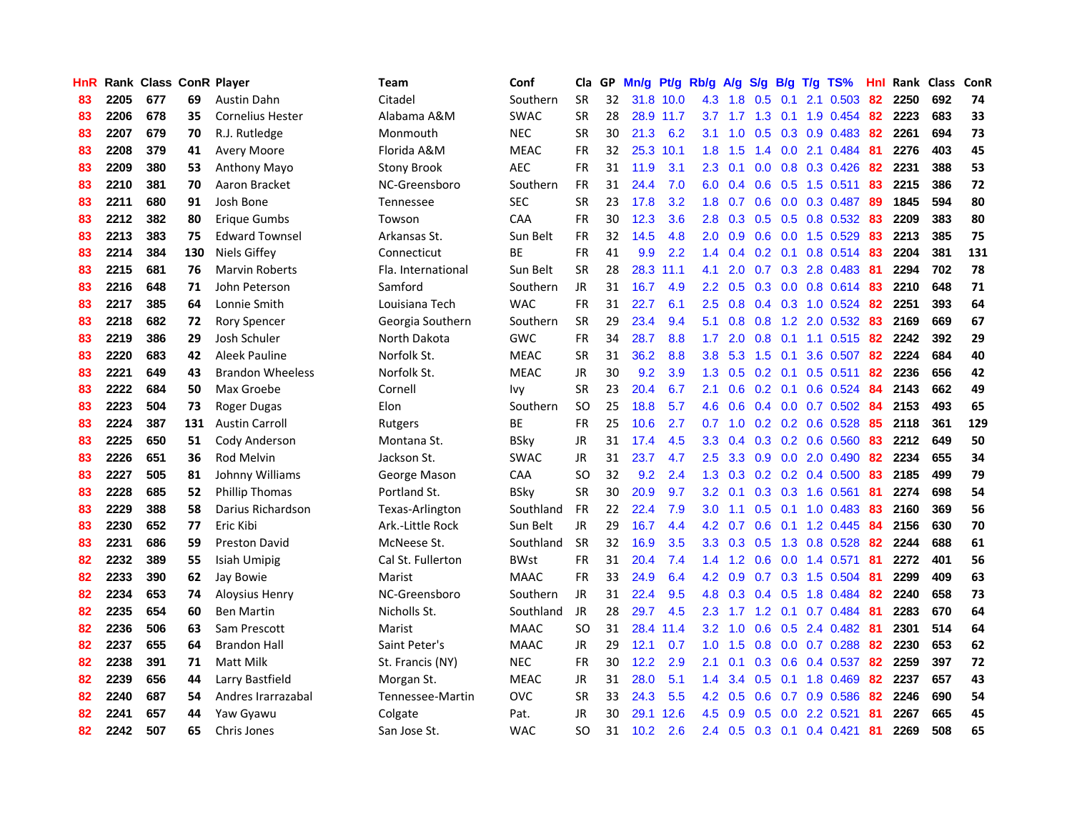| HnR |      | Rank Class ConR Player |     |                         | <b>Team</b>        | Conf        | Cla       |    | GP Mn/g Pt/g Rb/g A/g |           |                  |                 |                 |                 | S/g B/g T/g TS%           | Hnl | Rank Class |     | <b>ConR</b> |
|-----|------|------------------------|-----|-------------------------|--------------------|-------------|-----------|----|-----------------------|-----------|------------------|-----------------|-----------------|-----------------|---------------------------|-----|------------|-----|-------------|
| 83  | 2205 | 677                    | 69  | <b>Austin Dahn</b>      | Citadel            | Southern    | <b>SR</b> | 32 |                       | 31.8 10.0 | 4.3              | 1.8             | 0.5             | 0.1             | 2.1 0.503                 | 82  | 2250       | 692 | 74          |
| 83  | 2206 | 678                    | 35  | <b>Cornelius Hester</b> | Alabama A&M        | <b>SWAC</b> | <b>SR</b> | 28 |                       | 28.9 11.7 |                  | $3.7 \quad 1.7$ | 1.3             | 0.1             | 1.9 0.454                 | 82  | 2223       | 683 | 33          |
| 83  | 2207 | 679                    | 70  | R.J. Rutledge           | Monmouth           | <b>NEC</b>  | <b>SR</b> | 30 | 21.3                  | 6.2       | 3.1              | 1.0             | 0.5             | 0.3             | 0.9 0.483                 | 82  | 2261       | 694 | 73          |
| 83  | 2208 | 379                    | 41  | Avery Moore             | Florida A&M        | <b>MEAC</b> | <b>FR</b> | 32 |                       | 25.3 10.1 | 1.8              | 1.5             |                 |                 | 1.4 0.0 2.1 0.484         | -81 | 2276       | 403 | 45          |
| 83  | 2209 | 380                    | 53  | Anthony Mayo            | <b>Stony Brook</b> | <b>AEC</b>  | <b>FR</b> | 31 | 11.9                  | 3.1       | 2.3              | 0.1             |                 |                 | 0.0 0.8 0.3 0.426         | 82  | 2231       | 388 | 53          |
| 83  | 2210 | 381                    | 70  | Aaron Bracket           | NC-Greensboro      | Southern    | <b>FR</b> | 31 | 24.4                  | 7.0       |                  | $6.0 \quad 0.4$ |                 |                 | 0.6 0.5 1.5 0.511 83      |     | 2215       | 386 | 72          |
| 83  | 2211 | 680                    | 91  | Josh Bone               | Tennessee          | <b>SEC</b>  | <b>SR</b> | 23 | 17.8                  | 3.2       | 1.8              | 0.7             |                 |                 | $0.6$ $0.0$ $0.3$ $0.487$ | -89 | 1845       | 594 | 80          |
| 83  | 2212 | 382                    | 80  | Erique Gumbs            | Towson             | <b>CAA</b>  | <b>FR</b> | 30 | 12.3                  | 3.6       | 2.8 <sup>°</sup> | 0.3             |                 |                 | $0.5$ $0.5$ $0.8$ $0.532$ | 83  | 2209       | 383 | 80          |
| 83  | 2213 | 383                    | 75  | <b>Edward Townsel</b>   | Arkansas St.       | Sun Belt    | <b>FR</b> | 32 | 14.5                  | 4.8       | 2.0              | 0.9             |                 |                 | 0.6 0.0 1.5 0.529         | 83  | 2213       | 385 | 75          |
| 83  | 2214 | 384                    | 130 | Niels Giffey            | Connecticut        | ВE          | <b>FR</b> | 41 | 9.9                   | 2.2       | 1.4              | 0.4             |                 |                 | 0.2 0.1 0.8 0.514         | 83  | 2204       | 381 | 131         |
| 83  | 2215 | 681                    | 76  | <b>Marvin Roberts</b>   | Fla. International | Sun Belt    | <b>SR</b> | 28 |                       | 28.3 11.1 | 4.1              | 2.0             |                 |                 | $0.7$ $0.3$ 2.8 $0.483$   | 81  | 2294       | 702 | 78          |
| 83  | 2216 | 648                    | 71  | John Peterson           | Samford            | Southern    | JR        | 31 | 16.7                  | 4.9       | 2.2 <sub>2</sub> | 0.5             |                 |                 | 0.3 0.0 0.8 0.614         | 83  | 2210       | 648 | 71          |
| 83  | 2217 | 385                    | 64  | Lonnie Smith            | Louisiana Tech     | <b>WAC</b>  | <b>FR</b> | 31 | 22.7                  | 6.1       | $2.5\,$          | 0.8             |                 |                 | 0.4 0.3 1.0 0.524         | -82 | 2251       | 393 | 64          |
| 83  | 2218 | 682                    | 72  | <b>Rory Spencer</b>     | Georgia Southern   | Southern    | <b>SR</b> | 29 | 23.4                  | 9.4       | 5.1              | 0.8             | 0.8             | 1.2             | 2.0 0.532                 | 83  | 2169       | 669 | 67          |
| 83  | 2219 | 386                    | 29  | Josh Schuler            | North Dakota       | <b>GWC</b>  | <b>FR</b> | 34 | 28.7                  | 8.8       | 1.7              | 2.0             | 0.8             |                 | $0.1$ 1.1 0.515           | 82  | 2242       | 392 | 29          |
| 83  | 2220 | 683                    | 42  | Aleek Pauline           | Norfolk St.        | <b>MEAC</b> | <b>SR</b> | 31 | 36.2                  | 8.8       | 3.8              | 5.3             | 1.5             | 0.1             | 3.6 0.507                 | 82  | 2224       | 684 | 40          |
| 83  | 2221 | 649                    | 43  | <b>Brandon Wheeless</b> | Norfolk St.        | <b>MEAC</b> | JR        | 30 | 9.2                   | 3.9       | 1.3              | 0.5             | $0.2 \quad 0.1$ |                 | $0.5$ 0.511               | 82  | 2236       | 656 | 42          |
| 83  | 2222 | 684                    | 50  | Max Groebe              | Cornell            | Ivv         | <b>SR</b> | 23 | 20.4                  | 6.7       | 2.1              | 0.6             |                 | $0.2 \quad 0.1$ | 0.6 0.524                 | -84 | 2143       | 662 | 49          |
| 83  | 2223 | 504                    | 73  | Roger Dugas             | Elon               | Southern    | <b>SO</b> | 25 | 18.8                  | 5.7       |                  | $4.6\quad0.6$   |                 |                 | $0.4$ 0.0 0.7 0.502       | -84 | 2153       | 493 | 65          |
| 83  | 2224 | 387                    | 131 | <b>Austin Carroll</b>   | Rutgers            | ВE          | <b>FR</b> | 25 | 10.6                  | 2.7       | 0.7              | 1.0             |                 |                 | $0.2$ 0.2 0.6 0.528       | 85  | 2118       | 361 | 129         |
| 83  | 2225 | 650                    | 51  | Cody Anderson           | Montana St.        | <b>BSky</b> | JR        | 31 | 17.4                  | 4.5       | 3.3 <sub>1</sub> | 0.4             |                 |                 | $0.3$ $0.2$ $0.6$ $0.560$ | 83  | 2212       | 649 | 50          |
| 83  | 2226 | 651                    | 36  | <b>Rod Melvin</b>       | Jackson St.        | <b>SWAC</b> | JR        | 31 | 23.7                  | 4.7       | 2.5              | 3.3             |                 |                 | $0.9$ $0.0$ $2.0$ $0.490$ | 82  | 2234       | 655 | 34          |
| 83  | 2227 | 505                    | 81  | Johnny Williams         | George Mason       | CAA         | <b>SO</b> | 32 | 9.2                   | 2.4       | 1.3              | 0.3             |                 |                 | 0.2 0.2 0.4 0.500         | 83  | 2185       | 499 | 79          |
| 83  | 2228 | 685                    | 52  | Phillip Thomas          | Portland St.       | <b>BSky</b> | <b>SR</b> | 30 | 20.9                  | 9.7       | 3.2              | 0.1             |                 |                 | 0.3 0.3 1.6 0.561         | -81 | 2274       | 698 | 54          |
| 83  | 2229 | 388                    | 58  | Darius Richardson       | Texas-Arlington    | Southland   | FR        | 22 | 22.4                  | 7.9       | 3.0              | 1.1             |                 |                 | $0.5$ 0.1 1.0 0.483       | 83  | 2160       | 369 | 56          |
| 83  | 2230 | 652                    | 77  | Eric Kibi               | Ark.-Little Rock   | Sun Belt    | <b>JR</b> | 29 | 16.7                  | 4.4       | 4.2              | 0.7             |                 |                 | $0.6$ $0.1$ $1.2$ $0.445$ | 84  | 2156       | 630 | 70          |
| 83  | 2231 | 686                    | 59  | <b>Preston David</b>    | McNeese St.        | Southland   | <b>SR</b> | 32 | 16.9                  | 3.5       | 3.3 <sub>2</sub> | 0.3             | 0.5             |                 | 1.3 0.8 0.528             | 82  | 2244       | 688 | 61          |
| 82  | 2232 | 389                    | 55  | Isiah Umipig            | Cal St. Fullerton  | <b>BWst</b> | <b>FR</b> | 31 | 20.4                  | 7.4       | 1.4 <sup>2</sup> | 1.2             | 0.6             |                 | $0.0$ 1.4 $0.571$         | -81 | 2272       | 401 | 56          |
| 82  | 2233 | 390                    | 62  | Jay Bowie               | Marist             | <b>MAAC</b> | <b>FR</b> | 33 | 24.9                  | 6.4       | 4.2              | 0.9             | 0.7             | 0.3             | 1.5 0.504                 | 81  | 2299       | 409 | 63          |
| 82  | 2234 | 653                    | 74  | <b>Aloysius Henry</b>   | NC-Greensboro      | Southern    | JR        | 31 | 22.4                  | 9.5       | 4.8              | 0.3             |                 | $0.4$ 0.5       | 1.8 0.484                 | -82 | 2240       | 658 | 73          |
| 82  | 2235 | 654                    | 60  | <b>Ben Martin</b>       | Nicholls St.       | Southland   | JR        | 28 | 29.7                  | 4.5       | $2.3^{\circ}$    | 1.7             |                 | $1.2 \quad 0.1$ | 0.7 0.484                 | -81 | 2283       | 670 | 64          |
| 82  | 2236 | 506                    | 63  | Sam Prescott            | Marist             | <b>MAAC</b> | SO.       | 31 |                       | 28.4 11.4 |                  | $3.2 \quad 1.0$ |                 |                 | $0.6$ $0.5$ 2.4 $0.482$   | -81 | 2301       | 514 | 64          |
| 82  | 2237 | 655                    | 64  | <b>Brandon Hall</b>     | Saint Peter's      | <b>MAAC</b> | JR        | 29 | 12.1                  | 0.7       |                  | $1.0 \t1.5$     |                 |                 | $0.8$ 0.0 0.7 0.288       | 82  | 2230       | 653 | 62          |
| 82  | 2238 | 391                    | 71  | <b>Matt Milk</b>        | St. Francis (NY)   | <b>NEC</b>  | <b>FR</b> | 30 | 12.2                  | 2.9       | 2.1              | 0.1             |                 |                 | $0.3$ 0.6 0.4 0.537       | 82  | 2259       | 397 | 72          |
| 82  | 2239 | 656                    | 44  | Larry Bastfield         | Morgan St.         | <b>MEAC</b> | JR        | 31 | 28.0                  | 5.1       | $1.4^{\circ}$    | 3.4             |                 |                 | $0.5$ 0.1 1.8 0.469       | 82  | 2237       | 657 | 43          |
| 82  | 2240 | 687                    | 54  | Andres Irarrazabal      | Tennessee-Martin   | <b>OVC</b>  | <b>SR</b> | 33 | 24.3                  | 5.5       | 4.2              | 0.5             | 0.6             |                 | 0.7 0.9 0.586             | 82  | 2246       | 690 | 54          |
| 82  | 2241 | 657                    | 44  | Yaw Gyawu               | Colgate            | Pat.        | <b>JR</b> | 30 | 29.1                  | 12.6      | 4.5              | 0.9             | 0.5             | 0.0             | 2.2 0.521                 | 81  | 2267       | 665 | 45          |
| 82  | 2242 | 507                    | 65  | Chris Jones             | San Jose St.       | <b>WAC</b>  | SO.       | 31 | 10.2                  | 2.6       |                  | $2.4 \quad 0.5$ |                 |                 | $0.3$ 0.1 0.4 0.421       | -81 | 2269       | 508 | 65          |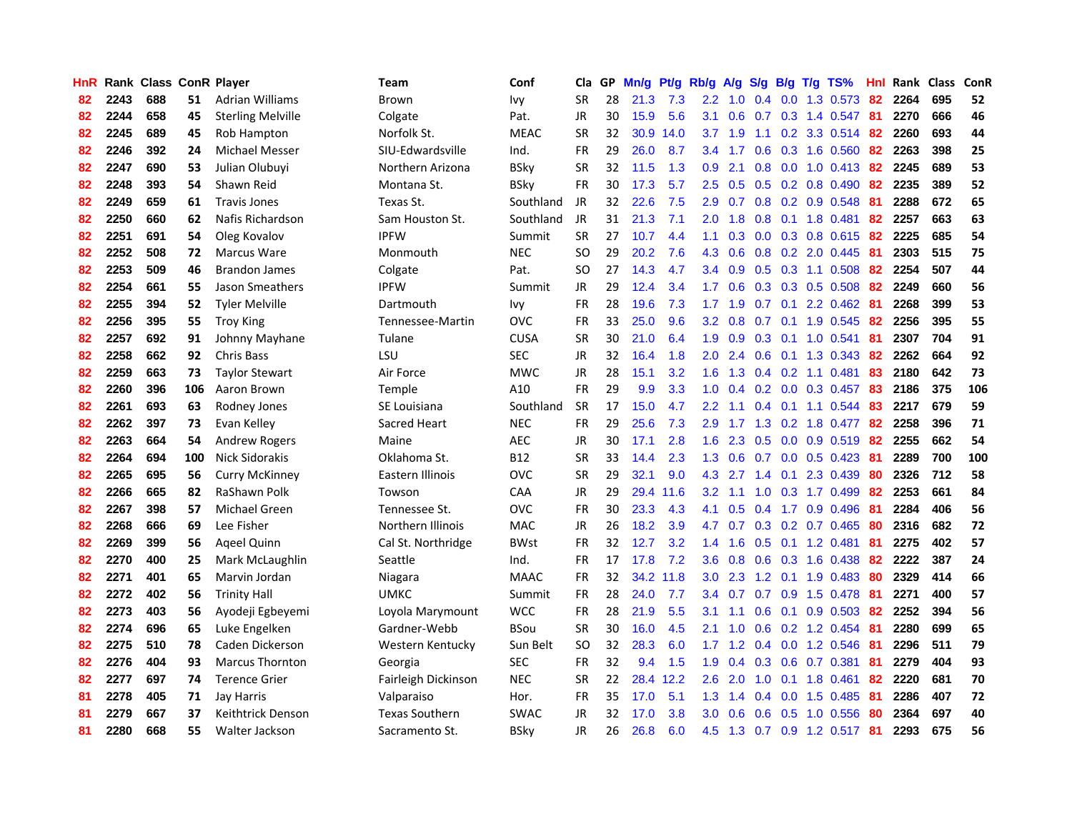| HnR |      | Rank Class ConR Player |     |                          | <b>Team</b>           | Conf        | Cla       |    | GP Mn/g Pt/g |           | Rb/g             | A/g                                  |               |                 | S/g B/g T/g TS%           | Hnl | Rank Class |     | ConR |
|-----|------|------------------------|-----|--------------------------|-----------------------|-------------|-----------|----|--------------|-----------|------------------|--------------------------------------|---------------|-----------------|---------------------------|-----|------------|-----|------|
| 82  | 2243 | 688                    | 51  | <b>Adrian Williams</b>   | Brown                 | Ivy         | <b>SR</b> | 28 | 21.3         | 7.3       | 2.2              | 1.0                                  | 0.4           | 0.0             | 1.3 0.573                 | 82  | 2264       | 695 | 52   |
| 82  | 2244 | 658                    | 45  | <b>Sterling Melville</b> | Colgate               | Pat.        | JR        | 30 | 15.9         | 5.6       | 3.1              | 0.6                                  | 0.7           | 0.3             | 1.4 0.547                 | -81 | 2270       | 666 | 46   |
| 82  | 2245 | 689                    | 45  | Rob Hampton              | Norfolk St.           | <b>MEAC</b> | <b>SR</b> | 32 | 30.9         | 14.0      | 3.7              | 1.9                                  | 1.1           |                 | 0.2 3.3 0.514             | 82  | 2260       | 693 | 44   |
| 82  | 2246 | 392                    | 24  | Michael Messer           | SIU-Edwardsville      | Ind.        | FR        | 29 | 26.0         | 8.7       |                  | $3.4$ 1.7                            |               |                 | 0.6 0.3 1.6 0.560         | 82  | 2263       | 398 | 25   |
| 82  | 2247 | 690                    | 53  | Julian Olubuyi           | Northern Arizona      | <b>BSky</b> | <b>SR</b> | 32 | 11.5         | 1.3       | 0.9 <sup>°</sup> | 2.1                                  |               |                 | 0.8 0.0 1.0 0.413 82      |     | 2245       | 689 | 53   |
| 82  | 2248 | 393                    | 54  | Shawn Reid               | Montana St.           | <b>BSky</b> | <b>FR</b> | 30 | 17.3         | 5.7       | 2.5              | 0.5                                  |               |                 | $0.5$ 0.2 0.8 0.490       | 82  | 2235       | 389 | 52   |
| 82  | 2249 | 659                    | 61  | <b>Travis Jones</b>      | Texas St.             | Southland   | JR        | 32 | 22.6         | 7.5       | 2.9              | 0.7                                  |               |                 | 0.8 0.2 0.9 0.548         | 81  | 2288       | 672 | 65   |
| 82  | 2250 | 660                    | 62  | Nafis Richardson         | Sam Houston St.       | Southland   | JR        | 31 | 21.3         | 7.1       | 2.0              | 1.8                                  | 0.8           |                 | $0.1$ 1.8 $0.481$         | 82  | 2257       | 663 | 63   |
| 82  | 2251 | 691                    | 54  | Oleg Kovalov             | <b>IPFW</b>           | Summit      | <b>SR</b> | 27 | 10.7         | 4.4       | 1.1              | 0.3                                  |               |                 | $0.0$ $0.3$ $0.8$ $0.615$ | 82  | 2225       | 685 | 54   |
| 82  | 2252 | 508                    | 72  | <b>Marcus Ware</b>       | Monmouth              | <b>NEC</b>  | <b>SO</b> | 29 | 20.2         | 7.6       | 4.3              | 0.6                                  |               |                 | $0.8$ $0.2$ $2.0$ $0.445$ | 81  | 2303       | 515 | 75   |
| 82  | 2253 | 509                    | 46  | <b>Brandon James</b>     | Colgate               | Pat.        | SO.       | 27 | 14.3         | 4.7       | $3.4^{\circ}$    | 0.9                                  |               |                 | $0.5$ $0.3$ 1.1 $0.508$   | 82  | 2254       | 507 | 44   |
| 82  | 2254 | 661                    | 55  | Jason Smeathers          | <b>IPFW</b>           | Summit      | JR        | 29 | 12.4         | 3.4       | 1.7 <sub>2</sub> | 0.6                                  |               |                 | 0.3 0.3 0.5 0.508         | 82  | 2249       | 660 | 56   |
| 82  | 2255 | 394                    | 52  | <b>Tyler Melville</b>    | Dartmouth             | Ivy         | FR        | 28 | 19.6         | 7.3       | 1.7              | 1.9                                  | 0.7           | 0.1             | 2.2 0.462                 | 81  | 2268       | 399 | 53   |
| 82  | 2256 | 395                    | 55  | <b>Troy King</b>         | Tennessee-Martin      | <b>OVC</b>  | FR        | 33 | 25.0         | 9.6       | 3.2 <sub>2</sub> | 0.8                                  | 0.7           |                 | $0.1$ 1.9 0.545           | 82  | 2256       | 395 | 55   |
| 82  | 2257 | 692                    | 91  | Johnny Mayhane           | Tulane                | <b>CUSA</b> | <b>SR</b> | 30 | 21.0         | 6.4       | 1.9              | 0.9                                  | 0.3           | 0.1             | 1.0 0.541                 | 81  | 2307       | 704 | 91   |
| 82  | 2258 | 662                    | 92  | <b>Chris Bass</b>        | LSU                   | <b>SEC</b>  | JR        | 32 | 16.4         | 1.8       | 2.0              | 2.4                                  | 0.6           | 0.1             | 1.3 0.343                 | 82  | 2262       | 664 | 92   |
| 82  | 2259 | 663                    | 73  | <b>Taylor Stewart</b>    | Air Force             | <b>MWC</b>  | JR        | 28 | 15.1         | 3.2       | 1.6              | 1.3                                  |               |                 | $0.4$ 0.2 1.1 0.481       | 83  | 2180       | 642 | 73   |
| 82  | 2260 | 396                    | 106 | Aaron Brown              | Temple                | A10         | FR        | 29 | 9.9          | 3.3       |                  |                                      |               |                 | 1.0 0.4 0.2 0.0 0.3 0.457 | 83  | 2186       | 375 | 106  |
| 82  | 2261 | 693                    | 63  | Rodney Jones             | SE Louisiana          | Southland   | <b>SR</b> | 17 | 15.0         | 4.7       | $2.2^{\circ}$    | 1.1                                  |               |                 | $0.4$ 0.1 1.1 0.544       | 83  | 2217       | 679 | 59   |
| 82  | 2262 | 397                    | 73  | Evan Kelley              | Sacred Heart          | <b>NEC</b>  | <b>FR</b> | 29 | 25.6         | 7.3       | 2.9              | 1.7                                  |               |                 | 1.3 0.2 1.8 0.477         | 82  | 2258       | 396 | 71   |
| 82  | 2263 | 664                    | 54  | <b>Andrew Rogers</b>     | Maine                 | <b>AEC</b>  | JR        | 30 | 17.1         | 2.8       | 1.6              | 2.3                                  |               |                 | $0.5$ 0.0 0.9 0.519       | 82  | 2255       | 662 | 54   |
| 82  | 2264 | 694                    | 100 | Nick Sidorakis           | Oklahoma St.          | <b>B12</b>  | <b>SR</b> | 33 | 14.4         | 2.3       | 1.3              | 0.6                                  |               |                 | $0.7$ $0.0$ $0.5$ $0.423$ | -81 | 2289       | 700 | 100  |
| 82  | 2265 | 695                    | 56  | <b>Curry McKinney</b>    | Eastern Illinois      | <b>OVC</b>  | <b>SR</b> | 29 | 32.1         | 9.0       | 4.3              | 2.7                                  |               | $1.4 \quad 0.1$ | 2.3 0.439                 | 80  | 2326       | 712 | 58   |
| 82  | 2266 | 665                    | 82  | RaShawn Polk             | Towson                | <b>CAA</b>  | JR        | 29 | 29.4         | 11.6      | 3.2 <sub>2</sub> | 1.1                                  | 1.0           |                 | $0.3$ 1.7 0.499           | 82  | 2253       | 661 | 84   |
| 82  | 2267 | 398                    | 57  | Michael Green            | Tennessee St.         | <b>OVC</b>  | FR        | 30 | 23.3         | 4.3       | 4.1              | 0.5                                  | 0.4           |                 | 1.7 0.9 0.496             | -81 | 2284       | 406 | 56   |
| 82  | 2268 | 666                    | 69  | Lee Fisher               | Northern Illinois     | <b>MAC</b>  | <b>JR</b> | 26 | 18.2         | 3.9       | 4.7              | 0.7                                  |               |                 | 0.3 0.2 0.7 0.465         | 80  | 2316       | 682 | 72   |
| 82  | 2269 | 399                    | 56  | Ageel Quinn              | Cal St. Northridge    | <b>BWst</b> | FR        | 32 | 12.7         | 3.2       | 1.4              | 1.6                                  | 0.5           |                 | $0.1$ 1.2 0.481           | 81  | 2275       | 402 | 57   |
| 82  | 2270 | 400                    | 25  | Mark McLaughlin          | Seattle               | Ind.        | FR        | 17 | 17.8         | 7.2       | 3.6              | 0.8                                  | 0.6           |                 | $0.3$ 1.6 0.438           | 82  | 2222       | 387 | 24   |
| 82  | 2271 | 401                    | 65  | Marvin Jordan            | Niagara               | <b>MAAC</b> | <b>FR</b> | 32 | 34.2         | 11.8      | 3.0              | 2.3                                  | 1.2           | 0.1             | 1.9 0.483                 | 80  | 2329       | 414 | 66   |
| 82  | 2272 | 402                    | 56  | <b>Trinity Hall</b>      | <b>UMKC</b>           | Summit      | <b>FR</b> | 28 | 24.0         | 7.7       | 3.4              | 0.7                                  | 0.7           | 0.9             | 1.5 0.478                 | -81 | 2271       | 400 | 57   |
| 82  | 2273 | 403                    | 56  | Ayodeji Egbeyemi         | Loyola Marymount      | <b>WCC</b>  | <b>FR</b> | 28 | 21.9         | 5.5       | 3.1              | 1.1                                  | 0.6           | 0.1             | 0.9 0.503                 | -82 | 2252       | 394 | 56   |
| 82  | 2274 | 696                    | 65  | Luke Engelken            | Gardner-Webb          | <b>BSou</b> | <b>SR</b> | 30 | 16.0         | 4.5       | 2.1              | 1.0                                  |               |                 | $0.6$ $0.2$ 1.2 $0.454$   | -81 | 2280       | 699 | 65   |
| 82  | 2275 | 510                    | 78  | Caden Dickerson          | Western Kentucky      | Sun Belt    | SO.       | 32 | 28.3         | 6.0       |                  | $1.7 \quad 1.2$                      |               |                 | 0.4 0.0 1.2 0.546         | -81 | 2296       | 511 | 79   |
| 82  | 2276 | 404                    | 93  | <b>Marcus Thornton</b>   | Georgia               | <b>SEC</b>  | <b>FR</b> | 32 | 9.4          | 1.5       | 1.9              | 0.4                                  |               |                 | 0.3 0.6 0.7 0.381         | 81  | 2279       | 404 | 93   |
| 82  | 2277 | 697                    | 74  | <b>Terence Grier</b>     | Fairleigh Dickinson   | <b>NEC</b>  | <b>SR</b> | 22 |              | 28.4 12.2 | 2.6              | 2.0                                  | 1.0           |                 | $0.1$ 1.8 $0.461$         | 82  | 2220       | 681 | 70   |
| 81  | 2278 | 405                    | 71  | Jay Harris               | Valparaiso            | Hor.        | <b>FR</b> | 35 | 17.0         | 5.1       | 1.3              | $\blacktriangleleft$<br>$\mathbf{A}$ | $0.4^{\circ}$ | 0.0             | 1.5 0.485                 | 81  | 2286       | 407 | 72   |
| 81  | 2279 | 667                    | 37  | Keithtrick Denson        | <b>Texas Southern</b> | <b>SWAC</b> | JR        | 32 | 17.0         | 3.8       | 3.0 <sub>2</sub> | 0.6                                  | 0.6           | 0.5             | 1.0 0.556                 | 80  | 2364       | 697 | 40   |
| 81  | 2280 | 668                    | 55  | Walter Jackson           | Sacramento St.        | <b>BSkv</b> | JR        | 26 | 26.8         | 6.0       | 4.5              | 1.3                                  |               |                 | 0.7 0.9 1.2 0.517 81      |     | 2293       | 675 | 56   |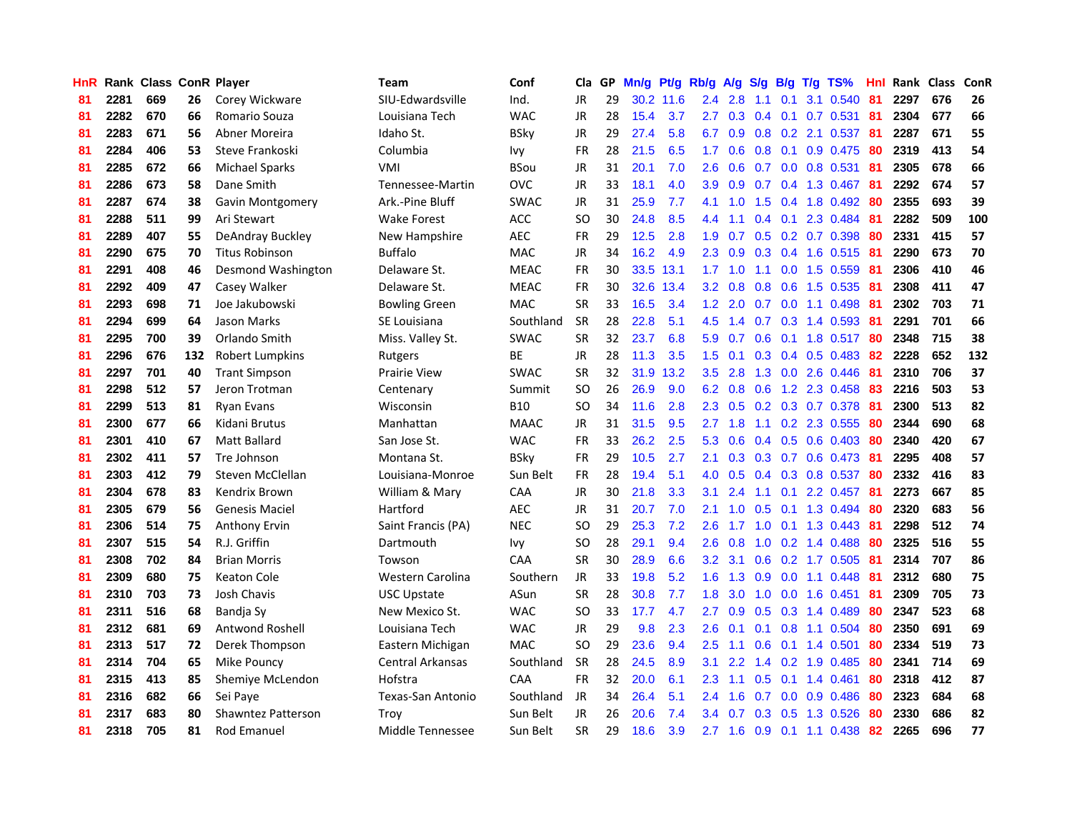| HnR |      | Rank Class ConR Player |     |                           | Team                    | Conf        | Cla       |    | GP Mn/g Pt/g Rb/g |           |                  | A/g             |                  |                 | S/g B/g T/g TS%         | Hnl  |      | Rank Class | ConR |
|-----|------|------------------------|-----|---------------------------|-------------------------|-------------|-----------|----|-------------------|-----------|------------------|-----------------|------------------|-----------------|-------------------------|------|------|------------|------|
| 81  | 2281 | 669                    | 26  | Corey Wickware            | SIU-Edwardsville        | Ind.        | <b>JR</b> | 29 |                   | 30.2 11.6 | 2.4              | 2.8             | 1.1              | 0.1             | 3.1 0.540               | 81   | 2297 | 676        | 26   |
| 81  | 2282 | 670                    | 66  | Romario Souza             | Louisiana Tech          | <b>WAC</b>  | <b>JR</b> | 28 | 15.4              | 3.7       | 2.7              | 0.3             |                  | $0.4 \quad 0.1$ | $0.7$ 0.531             | -81  | 2304 | 677        | 66   |
| 81  | 2283 | 671                    | 56  | Abner Moreira             | Idaho St.               | <b>BSky</b> | <b>JR</b> | 29 | 27.4              | 5.8       | 6.7              | 0.9             |                  | $0.8\ 0.2$      | 2.1 0.537               | 81   | 2287 | 671        | 55   |
| 81  | 2284 | 406                    | 53  | Steve Frankoski           | Columbia                | lvy         | <b>FR</b> | 28 | 21.5              | 6.5       | 1.7              | 0.6             |                  | $0.8$ 0.1       | 0.9 0.475               | -80  | 2319 | 413        | 54   |
| 81  | 2285 | 672                    | 66  | <b>Michael Sparks</b>     | <b>VMI</b>              | <b>BSou</b> | <b>JR</b> | 31 | 20.1              | 7.0       | $2.6^{\circ}$    | 0.6             |                  |                 | 0.7 0.0 0.8 0.531       | - 81 | 2305 | 678        | 66   |
| 81  | 2286 | 673                    | 58  | Dane Smith                | Tennessee-Martin        | <b>OVC</b>  | JR        | 33 | 18.1              | 4.0       | 3.9              | 0.9             |                  |                 | $0.7$ $0.4$ 1.3 $0.467$ | -81  | 2292 | 674        | 57   |
| 81  | 2287 | 674                    | 38  | Gavin Montgomery          | Ark.-Pine Bluff         | <b>SWAC</b> | JR        | 31 | 25.9              | 7.7       | 4.1              | 1.0             |                  |                 | 1.5 0.4 1.8 0.492       | 80   | 2355 | 693        | 39   |
| 81  | 2288 | 511                    | 99  | Ari Stewart               | <b>Wake Forest</b>      | <b>ACC</b>  | <b>SO</b> | 30 | 24.8              | 8.5       | 4.4              | 1.1             |                  |                 | 0.4 0.1 2.3 0.484       | 81   | 2282 | 509        | 100  |
| 81  | 2289 | 407                    | 55  | DeAndray Buckley          | New Hampshire           | <b>AEC</b>  | <b>FR</b> | 29 | 12.5              | 2.8       | 1.9              | 0.7             |                  |                 | 0.5 0.2 0.7 0.398       | 80   | 2331 | 415        | 57   |
| 81  | 2290 | 675                    | 70  | <b>Titus Robinson</b>     | <b>Buffalo</b>          | <b>MAC</b>  | JR        | 34 | 16.2              | 4.9       | $2.3\phantom{0}$ | 0.9             |                  |                 | $0.3$ $0.4$ 1.6 $0.515$ | 81   | 2290 | 673        | 70   |
| 81  | 2291 | 408                    | 46  | Desmond Washington        | Delaware St.            | <b>MEAC</b> | FR        | 30 |                   | 33.5 13.1 | 1.7              | 1.0             | 1.1              |                 | $0.0$ 1.5 $0.559$       | -81  | 2306 | 410        | 46   |
| 81  | 2292 | 409                    | 47  | Casey Walker              | Delaware St.            | <b>MEAC</b> | <b>FR</b> | 30 |                   | 32.6 13.4 | 3.2              | 0.8             |                  | $0.8\quad 0.6$  | 1.5 0.535               | -81  | 2308 | 411        | 47   |
| 81  | 2293 | 698                    | 71  | Joe Jakubowski            | <b>Bowling Green</b>    | MAC         | <b>SR</b> | 33 | 16.5              | 3.4       | 1.2              | 2.0             | 0.7              | 0.0             | 1.1 0.498               | 81   | 2302 | 703        | 71   |
| 81  | 2294 | 699                    | 64  | Jason Marks               | SE Louisiana            | Southland   | <b>SR</b> | 28 | 22.8              | 5.1       | 4.5              | 1.4             | 0.7              | 0.3             | 1.4 0.593               | 81   | 2291 | 701        | 66   |
| 81  | 2295 | 700                    | 39  | Orlando Smith             | Miss. Valley St.        | <b>SWAC</b> | <b>SR</b> | 32 | 23.7              | 6.8       | 5.9              | 0.7             | 0.6              | 0.1             | 1.8 0.517               | -80  | 2348 | 715        | 38   |
| 81  | 2296 | 676                    | 132 | Robert Lumpkins           | Rutgers                 | BE          | <b>JR</b> | 28 | 11.3              | 3.5       | 1.5              | 0.1             |                  | $0.3 \quad 0.4$ | $0.5$ 0.483             | 82   | 2228 | 652        | 132  |
| 81  | 2297 | 701                    | 40  | <b>Trant Simpson</b>      | <b>Prairie View</b>     | <b>SWAC</b> | <b>SR</b> | 32 | 31.9              | 13.2      | 3.5              | 2.8             |                  |                 | 1.3 0.0 2.6 0.446       | -81  | 2310 | 706        | 37   |
| 81  | 2298 | 512                    | 57  | Jeron Trotman             | Centenary               | Summit      | <b>SO</b> | 26 | 26.9              | 9.0       |                  | $6.2 \quad 0.8$ | 0.6              |                 | 1.2 2.3 0.458           | -83  | 2216 | 503        | 53   |
| 81  | 2299 | 513                    | 81  | Ryan Evans                | Wisconsin               | <b>B10</b>  | SO.       | 34 | 11.6              | 2.8       |                  | $2.3\quad 0.5$  |                  |                 | 0.2 0.3 0.7 0.378       | - 81 | 2300 | 513        | 82   |
| 81  | 2300 | 677                    | 66  | Kidani Brutus             | Manhattan               | <b>MAAC</b> | JR        | 31 | 31.5              | 9.5       | $2.7^{\circ}$    | 1.8             |                  |                 | 1.1 0.2 2.3 0.555       | -80  | 2344 | 690        | 68   |
| 81  | 2301 | 410                    | 67  | <b>Matt Ballard</b>       | San Jose St.            | <b>WAC</b>  | <b>FR</b> | 33 | 26.2              | 2.5       | 5.3              | 0.6             |                  |                 | $0.4$ 0.5 0.6 0.403     | -80  | 2340 | 420        | 67   |
| 81  | 2302 | 411                    | 57  | Tre Johnson               | Montana St.             | <b>BSky</b> | FR        | 29 | 10.5              | 2.7       | 2.1              | 0.3             |                  |                 | 0.3 0.7 0.6 0.473       | -81  | 2295 | 408        | 57   |
| 81  | 2303 | 412                    | 79  | Steven McClellan          | Louisiana-Monroe        | Sun Belt    | <b>FR</b> | 28 | 19.4              | 5.1       | 4.0              | 0.5             |                  |                 | 0.4 0.3 0.8 0.537       | -80  | 2332 | 416        | 83   |
| 81  | 2304 | 678                    | 83  | Kendrix Brown             | William & Mary          | CAA         | JR        | 30 | 21.8              | 3.3       | 3.1              | 2.4             | 1.1              | 0.1             | 2.2 0.457               | -81  | 2273 | 667        | 85   |
| 81  | 2305 | 679                    | 56  | <b>Genesis Maciel</b>     | Hartford                | <b>AEC</b>  | JR        | 31 | 20.7              | 7.0       | 2.1              | 1.0             |                  |                 | 0.5 0.1 1.3 0.494       | -80  | 2320 | 683        | 56   |
| 81  | 2306 | 514                    | 75  | Anthony Ervin             | Saint Francis (PA)      | <b>NEC</b>  | <b>SO</b> | 29 | 25.3              | 7.2       | 2.6              | 1.7             | 1.0              | 0.1             | 1.3 0.443               | -81  | 2298 | 512        | 74   |
| 81  | 2307 | 515                    | 54  | R.J. Griffin              | Dartmouth               | Ivy         | <b>SO</b> | 28 | 29.1              | 9.4       | 2.6              | 0.8             | 1.0              |                 | 0.2 1.4 0.488           | 80   | 2325 | 516        | 55   |
| 81  | 2308 | 702                    | 84  | <b>Brian Morris</b>       | Towson                  | CAA         | <b>SR</b> | 30 | 28.9              | 6.6       | 3.2              | 3.1             | 0.6              |                 | $0.2$ 1.7 0.505         | 81   | 2314 | 707        | 86   |
| 81  | 2309 | 680                    | 75  | <b>Keaton Cole</b>        | Western Carolina        | Southern    | <b>JR</b> | 33 | 19.8              | 5.2       | 1.6              | 1.3             | 0.9              | 0.0             | 1.1 0.448               | -81  | 2312 | 680        | 75   |
| 81  | 2310 | 703                    | 73  | <b>Josh Chavis</b>        | <b>USC Upstate</b>      | ASun        | <b>SR</b> | 28 | 30.8              | 7.7       | 1.8              | 3.0             | 1.0              | 0.0             | 1.6 0.451               | 81   | 2309 | 705        | 73   |
| 81  | 2311 | 516                    | 68  | Bandja Sy                 | New Mexico St.          | <b>WAC</b>  | <b>SO</b> | 33 | 17.7              | 4.7       | 2.7              | 0.9             |                  |                 | 0.5 0.3 1.4 0.489       | 80   | 2347 | 523        | 68   |
| 81  | 2312 | 681                    | 69  | Antwond Roshell           | Louisiana Tech          | <b>WAC</b>  | <b>JR</b> | 29 | 9.8               | 2.3       | 2.6              | 0.1             |                  |                 | $0.1$ $0.8$ 1.1 $0.504$ | 80   | 2350 | 691        | 69   |
| 81  | 2313 | 517                    | 72  | Derek Thompson            | Eastern Michigan        | <b>MAC</b>  | <b>SO</b> | 29 | 23.6              | 9.4       | $2.5\,$          | 1.1             |                  |                 | $0.6$ $0.1$ 1.4 $0.501$ | 80   | 2334 | 519        | 73   |
| 81  | 2314 | 704                    | 65  | Mike Pouncy               | <b>Central Arkansas</b> | Southland   | <b>SR</b> | 28 | 24.5              | 8.9       | 3.1              | 2.2             |                  |                 | 1.4 0.2 1.9 0.485       | 80   | 2341 | 714        | 69   |
| 81  | 2315 | 413                    | 85  | Shemiye McLendon          | Hofstra                 | CAA         | <b>FR</b> | 32 | 20.0              | 6.1       | $2.3\phantom{0}$ | 1.1             | 0.5              |                 | $0.1$ 1.4 $0.461$       | 80   | 2318 | 412        | 87   |
| 81  | 2316 | 682                    | 66  | Sei Paye                  | Texas-San Antonio       | Southland   | JR        | 34 | 26.4              | 5.1       | 2.4              | 1.6             | 0.7              | 0.0             | 0.9 0.486               | 80   | 2323 | 684        | 68   |
| 81  | 2317 | 683                    | 80  | <b>Shawntez Patterson</b> | Trov                    | Sun Belt    | JR        | 26 | 20.6              | 7.4       | 3.4              | 0.7             | 0.3 <sub>0</sub> | 0.5             | 1.3 0.526               | 80   | 2330 | 686        | 82   |
| 81  | 2318 | 705                    | 81  | Rod Emanuel               | Middle Tennessee        | Sun Belt    | <b>SR</b> | 29 | 18.6              | 3.9       |                  | $2.7 \quad 1.6$ |                  |                 | $0.9$ 0.1 1.1 0.438     | 82   | 2265 | 696        | 77   |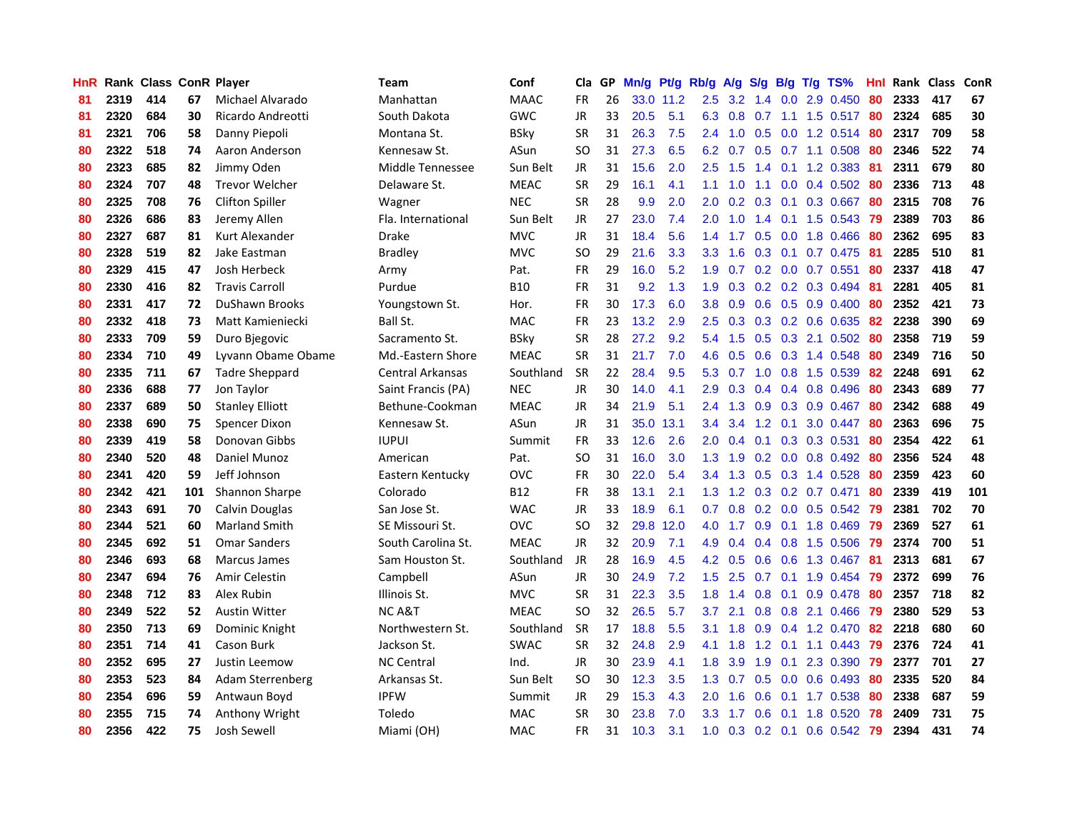| HnR |      | Rank Class ConR Player |     |                        | <b>Team</b>             | Conf        | Cla           |    | GP Mn/g Pt/g Rb/g A/g S/g B/g T/g TS% |           |                  |           |     |                 |                           | Hnl |      | Rank Class | ConR |
|-----|------|------------------------|-----|------------------------|-------------------------|-------------|---------------|----|---------------------------------------|-----------|------------------|-----------|-----|-----------------|---------------------------|-----|------|------------|------|
| 81  | 2319 | 414                    | 67  | Michael Alvarado       | Manhattan               | <b>MAAC</b> | <b>FR</b>     | 26 |                                       | 33.0 11.2 | 2.5              | 3.2       | 1.4 | 0.0             | 2.9 0.450                 | 80  | 2333 | 417        | 67   |
| 81  | 2320 | 684                    | 30  | Ricardo Andreotti      | South Dakota            | <b>GWC</b>  | <b>JR</b>     | 33 | 20.5                                  | 5.1       | 6.3              | 0.8       | 0.7 |                 | 1.1 1.5 0.517             | -80 | 2324 | 685        | 30   |
| 81  | 2321 | 706                    | 58  | Danny Piepoli          | Montana St.             | <b>BSky</b> | <b>SR</b>     | 31 | 26.3                                  | 7.5       | 2.4              | 1.0       |     | $0.5\quad 0.0$  | 1.2 0.514                 | 80  | 2317 | 709        | 58   |
| 80  | 2322 | 518                    | 74  | Aaron Anderson         | Kennesaw St.            | ASun        | <b>SO</b>     | 31 | 27.3                                  | 6.5       |                  | 6.2 0.7   |     |                 | 0.5 0.7 1.1 0.508         | 80  | 2346 | 522        | 74   |
| 80  | 2323 | 685                    | 82  | Jimmy Oden             | Middle Tennessee        | Sun Belt    | JR            | 31 | 15.6                                  | 2.0       |                  | $2.5$ 1.5 |     |                 | 1.4 0.1 1.2 0.383 81      |     | 2311 | 679        | 80   |
| 80  | 2324 | 707                    | 48  | <b>Trevor Welcher</b>  | Delaware St.            | <b>MEAC</b> | <b>SR</b>     | 29 | 16.1                                  | 4.1       | 1.1              | 1.0       |     |                 | 1.1 0.0 0.4 0.502         | 80  | 2336 | 713        | 48   |
| 80  | 2325 | 708                    | 76  | <b>Clifton Spiller</b> | Wagner                  | <b>NEC</b>  | <b>SR</b>     | 28 | 9.9                                   | 2.0       | 2.0 <sub>1</sub> | 0.2       |     |                 | 0.3 0.1 0.3 0.667         | 80  | 2315 | 708        | 76   |
| 80  | 2326 | 686                    | 83  | Jeremy Allen           | Fla. International      | Sun Belt    | <b>JR</b>     | 27 | 23.0                                  | 7.4       | 2.0              | 1.0       |     |                 | 1.4 0.1 1.5 0.543         | 79  | 2389 | 703        | 86   |
| 80  | 2327 | 687                    | 81  | Kurt Alexander         | <b>Drake</b>            | <b>MVC</b>  | <b>JR</b>     | 31 | 18.4                                  | 5.6       | 1.4              | 1.7       |     | $0.5\ 0.0$      | 1.8 0.466                 | 80  | 2362 | 695        | 83   |
| 80  | 2328 | 519                    | 82  | Jake Eastman           | <b>Bradley</b>          | <b>MVC</b>  | <b>SO</b>     | 29 | 21.6                                  | 3.3       | 3.3              | 1.6       |     | $0.3 \quad 0.1$ | 0.7 0.475                 | -81 | 2285 | 510        | 81   |
| 80  | 2329 | 415                    | 47  | Josh Herbeck           | Army                    | Pat.        | <b>FR</b>     | 29 | 16.0                                  | 5.2       | 1.9              | 0.7       |     |                 | $0.2$ $0.0$ $0.7$ $0.551$ | 80  | 2337 | 418        | 47   |
| 80  | 2330 | 416                    | 82  | <b>Travis Carroll</b>  | Purdue                  | <b>B10</b>  | <b>FR</b>     | 31 | 9.2                                   | 1.3       | 1.9              | 0.3       |     |                 | 0.2 0.2 0.3 0.494         | 81  | 2281 | 405        | 81   |
| 80  | 2331 | 417                    | 72  | <b>DuShawn Brooks</b>  | Youngstown St.          | Hor.        | <b>FR</b>     | 30 | 17.3                                  | 6.0       | 3.8              | 0.9       | 0.6 |                 | 0.5 0.9 0.400             | 80  | 2352 | 421        | 73   |
| 80  | 2332 | 418                    | 73  | Matt Kamieniecki       | Ball St.                | <b>MAC</b>  | <b>FR</b>     | 23 | 13.2                                  | 2.9       | 2.5              | 0.3       |     |                 | 0.3 0.2 0.6 0.635         | 82  | 2238 | 390        | 69   |
| 80  | 2333 | 709                    | 59  | Duro Bjegovic          | Sacramento St.          | <b>BSky</b> | <b>SR</b>     | 28 | 27.2                                  | 9.2       | 5.4              | 1.5       | 0.5 | 0.3             | 2.1 0.502                 | 80  | 2358 | 719        | 59   |
| 80  | 2334 | 710                    | 49  | Lyvann Obame Obame     | Md.-Eastern Shore       | <b>MEAC</b> | <b>SR</b>     | 31 | 21.7                                  | 7.0       | 4.6              | 0.5       | 0.6 |                 | $0.3$ 1.4 0.548           | 80  | 2349 | 716        | 50   |
| 80  | 2335 | 711                    | 67  | <b>Tadre Sheppard</b>  | <b>Central Arkansas</b> | Southland   | <b>SR</b>     | 22 | 28.4                                  | 9.5       |                  | 5.3 0.7   |     |                 | 1.0 0.8 1.5 0.539         | 82  | 2248 | 691        | 62   |
| 80  | 2336 | 688                    | 77  | Jon Taylor             | Saint Francis (PA)      | <b>NEC</b>  | <b>JR</b>     | 30 | 14.0                                  | 4.1       |                  | $2.9$ 0.3 |     |                 | $0.4$ 0.4 0.8 0.496       | 80  | 2343 | 689        | 77   |
| 80  | 2337 | 689                    | 50  | <b>Stanley Elliott</b> | Bethune-Cookman         | <b>MEAC</b> | <b>JR</b>     | 34 | 21.9                                  | 5.1       | $2.4\,$          | 1.3       |     |                 | 0.9 0.3 0.9 0.467         | 80  | 2342 | 688        | 49   |
| 80  | 2338 | 690                    | 75  | Spencer Dixon          | Kennesaw St.            | ASun        | JR            | 31 |                                       | 35.0 13.1 | $3.4^{\circ}$    | 3.4       |     |                 | 1.2 0.1 3.0 0.447         | 80  | 2363 | 696        | 75   |
| 80  | 2339 | 419                    | 58  | Donovan Gibbs          | <b>IUPUI</b>            | Summit      | <b>FR</b>     | 33 | 12.6                                  | 2.6       | 2.0 <sub>1</sub> | 0.4       |     |                 | $0.1$ $0.3$ $0.3$ $0.531$ | 80  | 2354 | 422        | 61   |
| 80  | 2340 | 520                    | 48  | Daniel Munoz           | American                | Pat.        | <b>SO</b>     | 31 | 16.0                                  | 3.0       | 1.3              | 1.9       |     |                 | $0.2$ 0.0 0.8 0.492       | 80  | 2356 | 524        | 48   |
| 80  | 2341 | 420                    | 59  | Jeff Johnson           | Eastern Kentucky        | <b>OVC</b>  | <b>FR</b>     | 30 | 22.0                                  | 5.4       | 3.4              | 1.3       |     |                 | 0.5 0.3 1.4 0.528         | 80  | 2359 | 423        | 60   |
| 80  | 2342 | 421                    | 101 | Shannon Sharpe         | Colorado                | <b>B12</b>  | <b>FR</b>     | 38 | 13.1                                  | 2.1       | 1.3              | 1.2       |     |                 | 0.3 0.2 0.7 0.471         | 80  | 2339 | 419        | 101  |
| 80  | 2343 | 691                    | 70  | Calvin Douglas         | San Jose St.            | <b>WAC</b>  | JR            | 33 | 18.9                                  | 6.1       | 0.7              | 0.8       |     |                 | 0.2 0.0 0.5 0.542         | -79 | 2381 | 702        | 70   |
| 80  | 2344 | 521                    | 60  | <b>Marland Smith</b>   | SE Missouri St.         | <b>OVC</b>  | <b>SO</b>     | 32 |                                       | 29.8 12.0 | 4.0              | 1.7       | 0.9 |                 | 0.1 1.8 0.469             | -79 | 2369 | 527        | 61   |
| 80  | 2345 | 692                    | 51  | <b>Omar Sanders</b>    | South Carolina St.      | <b>MEAC</b> | JR            | 32 | 20.9                                  | 7.1       | 4.9              | 0.4       |     |                 | $0.4$ 0.8 1.5 0.506       | -79 | 2374 | 700        | 51   |
| 80  | 2346 | 693                    | 68  | Marcus James           | Sam Houston St.         | Southland   | <b>JR</b>     | 28 | 16.9                                  | 4.5       | 4.2              | 0.5       | 0.6 | 0.6             | 1.3 0.467                 | -81 | 2313 | 681        | 67   |
| 80  | 2347 | 694                    | 76  | Amir Celestin          | Campbell                | ASun        | <b>JR</b>     | 30 | 24.9                                  | 7.2       | 1.5              | 2.5       | 0.7 | 0.1             | 1.9 0.454                 | 79  | 2372 | 699        | 76   |
| 80  | 2348 | 712                    | 83  | Alex Rubin             | Illinois St.            | <b>MVC</b>  | <b>SR</b>     | 31 | 22.3                                  | 3.5       | 1.8              | 1.4       | 0.8 | 0.1             | 0.9 0.478                 | 80  | 2357 | 718        | 82   |
| 80  | 2349 | 522                    | 52  | <b>Austin Witter</b>   | <b>NCA&amp;T</b>        | <b>MEAC</b> | <b>SO</b>     | 32 | 26.5                                  | 5.7       | 3.7              | 2.1       |     |                 | 0.8 0.8 2.1 0.466         | -79 | 2380 | 529        | 53   |
| 80  | 2350 | 713                    | 69  | Dominic Knight         | Northwestern St.        | Southland   | <b>SR</b>     | 17 | 18.8                                  | 5.5       | 3.1              | 1.8       |     |                 | 0.9 0.4 1.2 0.470 82      |     | 2218 | 680        | 60   |
| 80  | 2351 | 714                    | 41  | Cason Burk             | Jackson St.             | <b>SWAC</b> | <b>SR</b>     | 32 | 24.8                                  | 2.9       | 4.1              | 1.8       |     |                 | 1.2 0.1 1.1 0.443         | -79 | 2376 | 724        | 41   |
| 80  | 2352 | 695                    | 27  | Justin Leemow          | <b>NC Central</b>       | Ind.        | <b>JR</b>     | 30 | 23.9                                  | 4.1       | 1.8              | 3.9       | 1.9 |                 | $0.1$ 2.3 0.390           | -79 | 2377 | 701        | 27   |
| 80  | 2353 | 523                    | 84  | Adam Sterrenberg       | Arkansas St.            | Sun Belt    | <sub>SO</sub> | 30 | 12.3                                  | 3.5       | 1.3              | 0.7       |     |                 | 0.5 0.0 0.6 0.493         | 80  | 2335 | 520        | 84   |
| 80  | 2354 | 696                    | 59  | Antwaun Boyd           | <b>IPFW</b>             | Summit      | <b>JR</b>     | 29 | 15.3                                  | 4.3       | 2.0              | 1.6       | 0.6 | 0.1             | 1.7 0.538                 | 80  | 2338 | 687        | 59   |
| 80  | 2355 | 715                    | 74  | Anthony Wright         | Toledo                  | MAC         | <b>SR</b>     | 30 | 23.8                                  | 7.0       | 3.3              | 1.7       | 0.6 | 0.1             | 1.8 0.520                 | 78  | 2409 | 731        | 75   |
| 80  | 2356 | 422                    | 75  | Josh Sewell            | Miami (OH)              | MAC         | FR            | 31 | 10.3                                  | 3.1       | 1.0 <sub>1</sub> | 0.3       |     |                 | 0.2 0.1 0.6 0.542         | -79 | 2394 | 431        | 74   |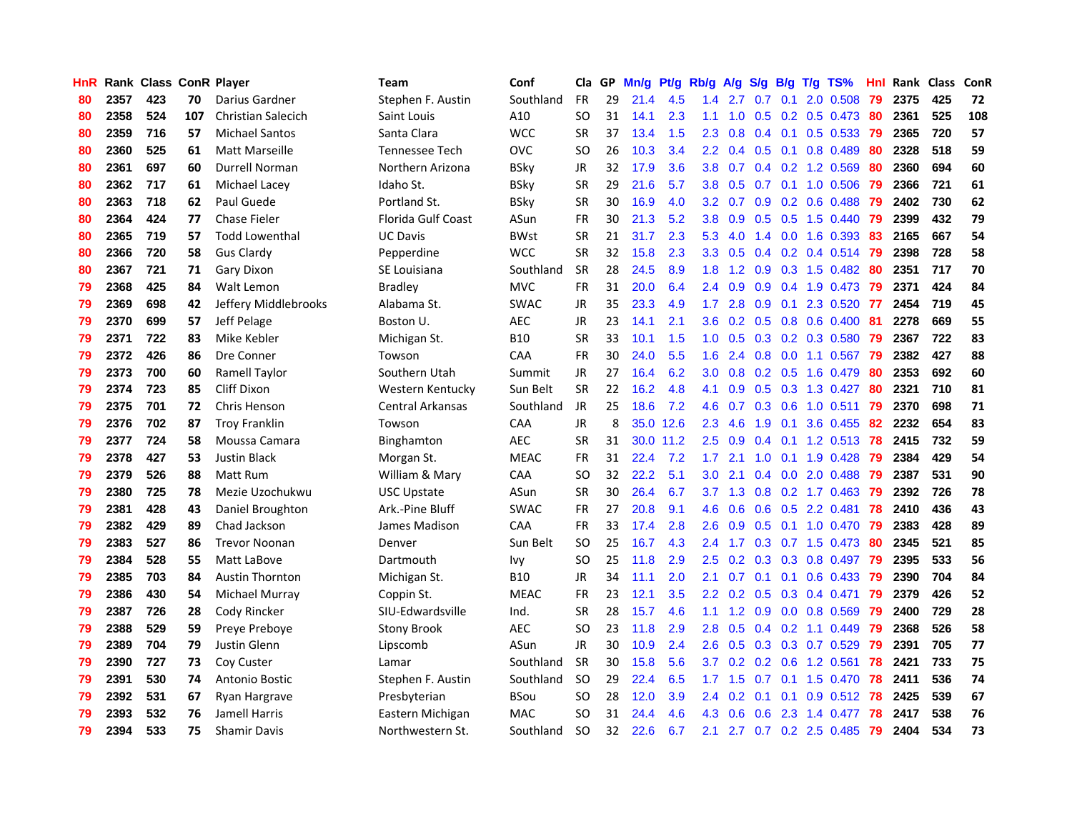| HnR |      | <b>Rank Class ConR Player</b> |     |                           | Team               | Conf        | Cla           | GP. | Mn/g | Pt/g      | Rb/g             | <b>A/g</b>      | <b>S/g</b>      |                 | B/g T/g TS%                  | Hnl | Rank Class |     | ConR |
|-----|------|-------------------------------|-----|---------------------------|--------------------|-------------|---------------|-----|------|-----------|------------------|-----------------|-----------------|-----------------|------------------------------|-----|------------|-----|------|
| 80  | 2357 | 423                           | 70  | Darius Gardner            | Stephen F. Austin  | Southland   | <b>FR</b>     | 29  | 21.4 | 4.5       | 1.4              | 2.7             | 0.7             | 0.1             | 2.0 0.508                    | 79  | 2375       | 425 | 72   |
| 80  | 2358 | 524                           | 107 | <b>Christian Salecich</b> | Saint Louis        | A10         | SO            | 31  | 14.1 | 2.3       | 1.1              | 1.0             | 0.5             | 0.2             | $0.5$ 0.473                  | 80  | 2361       | 525 | 108  |
| 80  | 2359 | 716                           | 57  | <b>Michael Santos</b>     | Santa Clara        | <b>WCC</b>  | <b>SR</b>     | 37  | 13.4 | 1.5       | 2.3              | 0.8             | 0.4             | 0.1             | 0.5 0.533                    | -79 | 2365       | 720 | 57   |
| 80  | 2360 | 525                           | 61  | <b>Matt Marseille</b>     | Tennessee Tech     | <b>OVC</b>  | <sub>SO</sub> | 26  | 10.3 | 3.4       |                  | $2.2 \quad 0.4$ | 0.5             | 0.1             | 0.8 0.489                    | 80  | 2328       | 518 | 59   |
| 80  | 2361 | 697                           | 60  | Durrell Norman            | Northern Arizona   | <b>BSky</b> | <b>JR</b>     | 32  | 17.9 | 3.6       | 3.8 <sub>2</sub> | 0.7             |                 |                 | 0.4 0.2 1.2 0.569            | 80  | 2360       | 694 | 60   |
| 80  | 2362 | 717                           | 61  | Michael Lacey             | Idaho St.          | <b>BSky</b> | <b>SR</b>     | 29  | 21.6 | 5.7       | 3.8 <sup>°</sup> | 0.5             |                 |                 | 0.7 0.1 1.0 0.506            | -79 | 2366       | 721 | 61   |
| 80  | 2363 | 718                           | 62  | Paul Guede                | Portland St.       | <b>BSky</b> | <b>SR</b>     | 30  | 16.9 | 4.0       | 3.2 <sub>1</sub> | 0.7             |                 |                 | $0.9$ 0.2 0.6 0.488          | -79 | 2402       | 730 | 62   |
| 80  | 2364 | 424                           | 77  | <b>Chase Fieler</b>       | Florida Gulf Coast | ASun        | FR            | 30  | 21.3 | 5.2       | 3.8 <sup>°</sup> | 0.9             |                 |                 | $0.5$ $0.5$ 1.5 $0.440$      | -79 | 2399       | 432 | 79   |
| 80  | 2365 | 719                           | 57  | <b>Todd Lowenthal</b>     | <b>UC Davis</b>    | <b>BWst</b> | SR            | 21  | 31.7 | 2.3       | 5.3              | 4.0             | 1.4             |                 | $0.0$ 1.6 $0.393$            | 83  | 2165       | 667 | 54   |
| 80  | 2366 | 720                           | 58  | <b>Gus Clardy</b>         | Pepperdine         | <b>WCC</b>  | <b>SR</b>     | 32  | 15.8 | 2.3       | 3.3 <sub>2</sub> | 0.5             |                 |                 | $0.4$ 0.2 0.4 0.514          | 79  | 2398       | 728 | 58   |
| 80  | 2367 | 721                           | 71  | Gary Dixon                | SE Louisiana       | Southland   | <b>SR</b>     | 28  | 24.5 | 8.9       | 1.8 <sup>°</sup> | 1.2             | 0.9             |                 | $0.3$ 1.5 0.482              | -80 | 2351       | 717 | 70   |
| 79  | 2368 | 425                           | 84  | Walt Lemon                | <b>Bradley</b>     | <b>MVC</b>  | <b>FR</b>     | 31  | 20.0 | 6.4       | $2.4^{\circ}$    | 0.9             | 0.9             |                 | 0.4 1.9 0.473                | 79  | 2371       | 424 | 84   |
| 79  | 2369 | 698                           | 42  | Jeffery Middlebrooks      | Alabama St.        | <b>SWAC</b> | JR            | 35  | 23.3 | 4.9       | 1.7 <sup>2</sup> | 2.8             | 0.9             | 0.1             | 2.3 0.520                    | -77 | 2454       | 719 | 45   |
| 79  | 2370 | 699                           | 57  | Jeff Pelage               | Boston U.          | <b>AEC</b>  | <b>JR</b>     | 23  | 14.1 | 2.1       | 3.6 <sup>°</sup> | 0.2             | 0.5             |                 | 0.8 0.6 0.400                | 81  | 2278       | 669 | 55   |
| 79  | 2371 | 722                           | 83  | Mike Kebler               | Michigan St.       | <b>B10</b>  | SR            | 33  | 10.1 | 1.5       | 1.0 <sub>1</sub> | 0.5             | 0.3             |                 | $0.2$ 0.3 0.580              | 79  | 2367       | 722 | 83   |
| 79  | 2372 | 426                           | 86  | Dre Conner                | Towson             | CAA         | <b>FR</b>     | 30  | 24.0 | 5.5       | 1.6              | 2.4             | 0.8             | 0.0             | 1.1 0.567                    | -79 | 2382       | 427 | 88   |
| 79  | 2373 | 700                           | 60  | Ramell Taylor             | Southern Utah      | Summit      | JR            | 27  | 16.4 | 6.2       | 3.0 <sub>1</sub> | 0.8             |                 | $0.2 \quad 0.5$ | 1.6 0.479                    | -80 | 2353       | 692 | 60   |
| 79  | 2374 | 723                           | 85  | Cliff Dixon               | Western Kentucky   | Sun Belt    | <b>SR</b>     | 22. | 16.2 | 4.8       | 4.1              | 0.9             |                 |                 | $0.5$ $0.3$ 1.3 $0.427$      | -80 | 2321       | 710 | 81   |
| 79  | 2375 | 701                           | 72  | Chris Henson              | Central Arkansas   | Southland   | JR            | 25  | 18.6 | 7.2       |                  |                 |                 |                 | 4.6 0.7 0.3 0.6 1.0 0.511 79 |     | 2370       | 698 | 71   |
| 79  | 2376 | 702                           | 87  | <b>Troy Franklin</b>      | Towson             | CAA         | <b>JR</b>     | 8   |      | 35.0 12.6 | $2.3^{\circ}$    | 4.6             |                 | $1.9 \quad 0.1$ | 3.6 0.455 82                 |     | 2232       | 654 | 83   |
| 79  | 2377 | 724                           | 58  | Moussa Camara             | <b>Binghamton</b>  | <b>AEC</b>  | <b>SR</b>     | 31  |      | 30.0 11.2 | $2.5^{\circ}$    | 0.9             |                 |                 | 0.4 0.1 1.2 0.513 78         |     | 2415       | 732 | 59   |
| 79  | 2378 | 427                           | 53  | <b>Justin Black</b>       | Morgan St.         | <b>MEAC</b> | FR            | 31  | 22.4 | 7.2       | 1.7 <sup>2</sup> | 2.1             | 1.0             |                 | $0.1$ 1.9 0.428              | -79 | 2384       | 429 | 54   |
| 79  | 2379 | 526                           | 88  | Matt Rum                  | William & Mary     | CAA         | <b>SO</b>     | 32  | 22.2 | 5.1       | $3.0\,$          | 2.1             |                 |                 | $0.4$ 0.0 2.0 0.488          | -79 | 2387       | 531 | 90   |
| 79  | 2380 | 725                           | 78  | Mezie Uzochukwu           | <b>USC Upstate</b> | ASun        | <b>SR</b>     | 30  | 26.4 | 6.7       | 3.7              | 1.3             | 0.8             |                 | $0.2$ 1.7 $0.463$            | -79 | 2392       | 726 | 78   |
| 79  | 2381 | 428                           | 43  | Daniel Broughton          | Ark.-Pine Bluff    | <b>SWAC</b> | FR            | 27  | 20.8 | 9.1       | 4.6              | 0.6             |                 |                 | $0.6$ $0.5$ 2.2 $0.481$      | 78  | 2410       | 436 | 43   |
| 79  | 2382 | 429                           | 89  | Chad Jackson              | James Madison      | CAA         | FR            | 33  | 17.4 | 2.8       | 2.6              | 0.9             |                 |                 | $0.5$ 0.1 1.0 0.470          | -79 | 2383       | 428 | 89   |
| 79  | 2383 | 527                           | 86  | <b>Trevor Noonan</b>      | Denver             | Sun Belt    | <b>SO</b>     | 25  | 16.7 | 4.3       | 2.4              | 1.7             |                 |                 | $0.3$ 0.7 1.5 0.473          | -80 | 2345       | 521 | 85   |
| 79  | 2384 | 528                           | 55  | Matt LaBove               | Dartmouth          | <b>Ivy</b>  | <b>SO</b>     | 25  | 11.8 | 2.9       | $2.5^{\circ}$    | 0.2             | 0.3             |                 | $0.3$ 0.8 0.497              | -79 | 2395       | 533 | 56   |
| 79  | 2385 | 703                           | 84  | <b>Austin Thornton</b>    | Michigan St.       | <b>B10</b>  | JR            | 34  | 11.1 | 2.0       | 2.1              | 0.7             | 0.1             | 0.1             | $0.6$ 0.433                  | -79 | 2390       | 704 | 84   |
| 79  | 2386 | 430                           | 54  | Michael Murray            | Coppin St.         | <b>MEAC</b> | <b>FR</b>     | 23  | 12.1 | 3.5       | 2.2 <sub>2</sub> |                 | $0.2 \quad 0.5$ |                 | 0.3 0.4 0.471                | -79 | 2379       | 426 | 52   |
| 79  | 2387 | 726                           | 28  | Cody Rincker              | SIU-Edwardsville   | Ind.        | <b>SR</b>     | 28  | 15.7 | 4.6       | 1.1              |                 | $1.2 \quad 0.9$ |                 | $0.0$ 0.8 0.569              | -79 | 2400       | 729 | 28   |
| 79  | 2388 | 529                           | 59  | Preve Prebove             | Stony Brook        | <b>AEC</b>  | SO            | 23  | 11.8 | 2.9       | 2.8              | 0.5             |                 |                 | $0.4$ 0.2 1.1 0.449          | -79 | 2368       | 526 | 58   |
| 79  | 2389 | 704                           | 79  | Justin Glenn              | Lipscomb           | ASun        | <b>JR</b>     | 30  | 10.9 | 2.4       | 2.6 <sup>°</sup> |                 |                 |                 | 0.5 0.3 0.3 0.7 0.529        | -79 | 2391       | 705 | 77   |
| 79  | 2390 | 727                           | 73  | Coy Custer                | Lamar              | Southland   | <b>SR</b>     | 30  | 15.8 | 5.6       | 3.7              |                 |                 |                 | $0.2$ 0.2 0.6 1.2 0.561      | 78  | 2421       | 733 | 75   |
| 79  | 2391 | 530                           | 74  | Antonio Bostic            | Stephen F. Austin  | Southland   | <sub>SO</sub> | 29  | 22.4 | 6.5       | 1.7 <sub>z</sub> | 1.5             | 0.7             |                 | 0.1 1.5 0.470                | 78  | 2411       | 536 | 74   |
| 79  | 2392 | 531                           | 67  | Ryan Hargrave             | Presbyterian       | <b>BSou</b> | SO            | 28  | 12.0 | 3.9       | $2.4^{\circ}$    | 0.2             | 0.1             | 0.1             | $0.9$ $0.512$                | 78  | 2425       | 539 | 67   |
| 79  | 2393 | 532                           | 76  | Jamell Harris             | Eastern Michigan   | <b>MAC</b>  | <b>SO</b>     | 31  | 24.4 | 4.6       | 4.3              | 0.6             | 0.6             | 2.3             | 1.4 0.477                    | 78  | 2417       | 538 | 76   |
| 79  | 2394 | 533                           | 75  | <b>Shamir Davis</b>       | Northwestern St.   | Southland   | SO.           | 32  | 22.6 | 6.7       | 2.1              |                 |                 |                 | 2.7 0.7 0.2 2.5 0.485        | -79 | 2404       | 534 | 73   |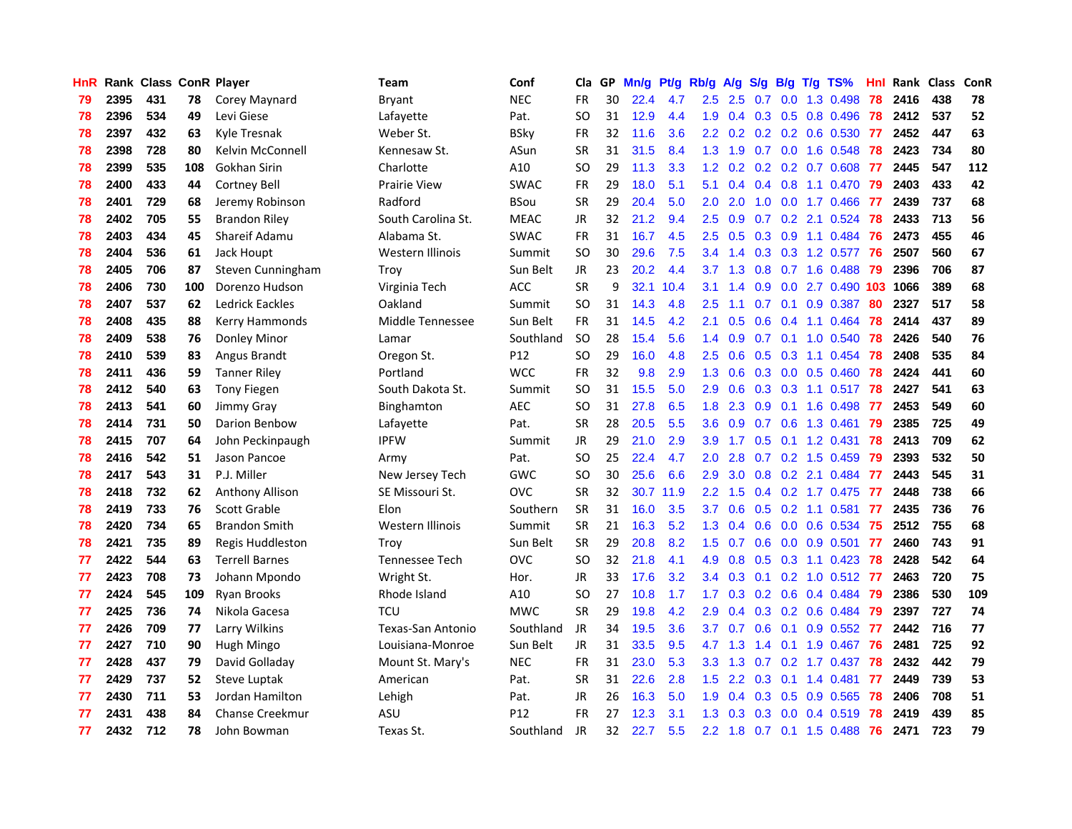| HnR. |      | Rank Class ConR Player |     |                        | <b>Team</b>        | Conf        |               |    | Cla GP Mn/g Pt/g Rb/g A/g S/g B/g T/g TS% |           |                  |                                       |                  |                 |                           | Hnl  | Rank Class |     | ConR |
|------|------|------------------------|-----|------------------------|--------------------|-------------|---------------|----|-------------------------------------------|-----------|------------------|---------------------------------------|------------------|-----------------|---------------------------|------|------------|-----|------|
| 79   | 2395 | 431                    | 78  | Corey Maynard          | Bryant             | <b>NEC</b>  | <b>FR</b>     | 30 | 22.4                                      | 4.7       | 2.5              | 2.5                                   | 0.7              | 0.0             | 1.3 0.498                 | 78   | 2416       | 438 | 78   |
| 78   | 2396 | 534                    | 49  | Levi Giese             | Lafayette          | Pat.        | <sub>SO</sub> | 31 | 12.9                                      | 4.4       | 1.9              | 0.4                                   |                  | $0.3 \quad 0.5$ | 0.8 0.496                 | 78   | 2412       | 537 | 52   |
| 78   | 2397 | 432                    | 63  | Kyle Tresnak           | Weber St.          | <b>BSky</b> | <b>FR</b>     | 32 | 11.6                                      | 3.6       | 2.2 <sub>2</sub> | 0.2                                   |                  |                 | $0.2$ $0.2$ $0.6$ $0.530$ | -77  | 2452       | 447 | 63   |
| 78   | 2398 | 728                    | 80  | Kelvin McConnell       | Kennesaw St.       | ASun        | <b>SR</b>     | 31 | 31.5                                      | 8.4       |                  | $1.3$ $1.9$                           |                  |                 | 0.7 0.0 1.6 0.548         | 78   | 2423       | 734 | 80   |
| 78   | 2399 | 535                    | 108 | Gokhan Sirin           | Charlotte          | A10         | <b>SO</b>     | 29 | 11.3                                      | 3.3       |                  | $1.2 \quad 0.2$                       |                  |                 | $0.2$ $0.2$ $0.7$ $0.608$ | - 77 | 2445       | 547 | 112  |
| 78   | 2400 | 433                    | 44  | <b>Cortney Bell</b>    | Prairie View       | <b>SWAC</b> | <b>FR</b>     | 29 | 18.0                                      | 5.1       | 5.1              | 0.4                                   |                  |                 | $0.4$ 0.8 1.1 0.470       | -79  | 2403       | 433 | 42   |
| 78   | 2401 | 729                    | 68  | Jeremy Robinson        | Radford            | <b>BSou</b> | <b>SR</b>     | 29 | 20.4                                      | 5.0       | $2.0^{\circ}$    | 2.0                                   | 1.0              |                 | $0.0$ 1.7 $0.466$         | 77   | 2439       | 737 | 68   |
| 78   | 2402 | 705                    | 55  | <b>Brandon Riley</b>   | South Carolina St. | <b>MEAC</b> | JR            | 32 | 21.2                                      | 9.4       | 2.5              | 0.9                                   |                  |                 | $0.7$ $0.2$ 2.1 $0.524$   | -78  | 2433       | 713 | 56   |
| 78   | 2403 | 434                    | 45  | Shareif Adamu          | Alabama St.        | <b>SWAC</b> | <b>FR</b>     | 31 | 16.7                                      | 4.5       | 2.5              | 0.5                                   |                  | $0.3 \quad 0.9$ | 1.1 0.484                 | -76  | 2473       | 455 | 46   |
| 78   | 2404 | 536                    | 61  | Jack Houpt             | Western Illinois   | Summit      | <b>SO</b>     | 30 | 29.6                                      | 7.5       | 3.4              | $\blacktriangleleft$<br>$\mathcal{A}$ |                  |                 | 0.3 0.3 1.2 0.577         | 76   | 2507       | 560 | 67   |
| 78   | 2405 | 706                    | 87  | Steven Cunningham      | Troy               | Sun Belt    | JR            | 23 | 20.2                                      | 4.4       | 3.7              | 1.3                                   | 0.8              |                 | 0.7 1.6 0.488             | 79   | 2396       | 706 | 87   |
| 78   | 2406 | 730                    | 100 | Dorenzo Hudson         | Virginia Tech      | ACC         | <b>SR</b>     | 9  |                                           | 32.1 10.4 | 3.1              | 1.4                                   | 0.9              | 0.0             | 2.7 0.490 103             |      | 1066       | 389 | 68   |
| 78   | 2407 | 537                    | 62  | Ledrick Eackles        | Oakland            | Summit      | SO.           | 31 | 14.3                                      | 4.8       | 2.5              | 1.1                                   | 0.7              | 0.1             | 0.9 0.387                 | 80   | 2327       | 517 | 58   |
| 78   | 2408 | 435                    | 88  | Kerry Hammonds         | Middle Tennessee   | Sun Belt    | <b>FR</b>     | 31 | 14.5                                      | 4.2       | 2.1              | 0.5                                   | 0.6              | 0.4             | 1.1 0.464                 | 78   | 2414       | 437 | 89   |
| 78   | 2409 | 538                    | 76  | Donley Minor           | Lamar              | Southland   | <b>SO</b>     | 28 | 15.4                                      | 5.6       | 1.4              | 0.9                                   | 0.7              | 0.1             | 1.0 0.540                 | 78   | 2426       | 540 | 76   |
| 78   | 2410 | 539                    | 83  | Angus Brandt           | Oregon St.         | P12         | <b>SO</b>     | 29 | 16.0                                      | 4.8       | $2.5\,$          | 0.6                                   |                  |                 | 0.5 0.3 1.1 0.454         | 78   | 2408       | 535 | 84   |
| 78   | 2411 | 436                    | 59  | <b>Tanner Riley</b>    | Portland           | <b>WCC</b>  | FR            | 32 | 9.8                                       | 2.9       |                  | $1.3 \quad 0.6$                       |                  |                 | 0.3 0.0 0.5 0.460 78      |      | 2424       | 441 | 60   |
| 78   | 2412 | 540                    | 63  | <b>Tony Fiegen</b>     | South Dakota St.   | Summit      | <b>SO</b>     | 31 | 15.5                                      | 5.0       | 2.9 <sup>°</sup> | 0.6                                   |                  |                 | 0.3 0.3 1.1 0.517 78      |      | 2427       | 541 | 63   |
| 78   | 2413 | 541                    | 60  | Jimmy Gray             | Binghamton         | <b>AEC</b>  | <b>SO</b>     | 31 | 27.8                                      | 6.5       |                  | $1.8$ 2.3                             |                  |                 | $0.9$ 0.1 1.6 0.498       | -77  | 2453       | 549 | 60   |
| 78   | 2414 | 731                    | 50  | Darion Benbow          | Lafayette          | Pat.        | <b>SR</b>     | 28 | 20.5                                      | 5.5       | $3.6^{\circ}$    | 0.9                                   |                  |                 | 0.7 0.6 1.3 0.461 79      |      | 2385       | 725 | 49   |
| 78   | 2415 | 707                    | 64  | John Peckinpaugh       | <b>IPFW</b>        | Summit      | <b>JR</b>     | 29 | 21.0                                      | 2.9       | 3.9              | 1.7                                   |                  |                 | 0.5 0.1 1.2 0.431 78      |      | 2413       | 709 | 62   |
| 78   | 2416 | 542                    | 51  | Jason Pancoe           | Army               | Pat.        | <b>SO</b>     | 25 | 22.4                                      | 4.7       | 2.0              | 2.8                                   |                  |                 | $0.7$ $0.2$ $1.5$ $0.459$ | 79   | 2393       | 532 | 50   |
| 78   | 2417 | 543                    | 31  | P.J. Miller            | New Jersey Tech    | <b>GWC</b>  | <b>SO</b>     | 30 | 25.6                                      | 6.6       | 2.9              | 3.0                                   |                  |                 | 0.8 0.2 2.1 0.484         | 77   | 2443       | 545 | 31   |
| 78   | 2418 | 732                    | 62  | <b>Anthony Allison</b> | SE Missouri St.    | <b>OVC</b>  | <b>SR</b>     | 32 |                                           | 30.7 11.9 | 2.2 <sub>2</sub> | 1.5                                   |                  |                 | 0.4 0.2 1.7 0.475         | 77   | 2448       | 738 | 66   |
| 78   | 2419 | 733                    | 76  | <b>Scott Grable</b>    | Elon               | Southern    | <b>SR</b>     | 31 | 16.0                                      | 3.5       | 3.7              | 0.6                                   |                  |                 | $0.5$ $0.2$ 1.1 $0.581$   | -77  | 2435       | 736 | 76   |
| 78   | 2420 | 734                    | 65  | <b>Brandon Smith</b>   | Western Illinois   | Summit      | <b>SR</b>     | 21 | 16.3                                      | 5.2       | 1.3              | 0.4                                   | 0.6              | 0.0             | 0.6 0.534                 | -75  | 2512       | 755 | 68   |
| 78   | 2421 | 735                    | 89  | Regis Huddleston       | Troy               | Sun Belt    | <b>SR</b>     | 29 | 20.8                                      | 8.2       | 1.5              | 0.7                                   | 0.6              | 0.0             | 0.9 0.501                 | -77  | 2460       | 743 | 91   |
| 77   | 2422 | 544                    | 63  | <b>Terrell Barnes</b>  | Tennessee Tech     | <b>OVC</b>  | <b>SO</b>     | 32 | 21.8                                      | 4.1       | 4.9              | 0.8                                   | 0.5              |                 | $0.3$ 1.1 $0.423$         | 78   | 2428       | 542 | 64   |
| 77   | 2423 | 708                    | 73  | Johann Mpondo          | Wright St.         | Hor.        | <b>JR</b>     | 33 | 17.6                                      | 3.2       | 3.4              | 0.3                                   | 0.1              |                 | $0.2$ 1.0 $0.512$ 77      |      | 2463       | 720 | 75   |
| 77   | 2424 | 545                    | 109 | Ryan Brooks            | Rhode Island       | A10         | <b>SO</b>     | 27 | 10.8                                      | 1.7       | 1.7 <sub>z</sub> | 0.3                                   |                  |                 | $0.2$ 0.6 0.4 0.484       | -79  | 2386       | 530 | 109  |
| 77   | 2425 | 736                    | 74  | Nikola Gacesa          | TCU                | <b>MWC</b>  | <b>SR</b>     | 29 | 19.8                                      | 4.2       | 2.9              | 0.4                                   |                  |                 | $0.3$ $0.2$ $0.6$ $0.484$ | -79  | 2397       | 727 | 74   |
| 77   | 2426 | 709                    | 77  | Larry Wilkins          | Texas-San Antonio  | Southland   | <b>JR</b>     | 34 | 19.5                                      | 3.6       | 3.7              | 0.7                                   |                  |                 | $0.6$ $0.1$ $0.9$ $0.552$ | -77  | 2442       | 716 | 77   |
| 77   | 2427 | 710                    | 90  | Hugh Mingo             | Louisiana-Monroe   | Sun Belt    | <b>JR</b>     | 31 | 33.5                                      | 9.5       | 4.7              | 1.3                                   |                  |                 | 1.4 0.1 1.9 0.467         | 76   | 2481       | 725 | 92   |
| 77   | 2428 | 437                    | 79  | David Golladay         | Mount St. Mary's   | <b>NEC</b>  | FR            | 31 | 23.0                                      | 5.3       | 3.3 <sub>2</sub> | 1.3                                   | 0.7              |                 | 0.2 1.7 0.437             | 78   | 2432       | 442 | 79   |
| 77   | 2429 | 737                    | 52  | Steve Luptak           | American           | Pat.        | <b>SR</b>     | 31 | 22.6                                      | 2.8       | 1.5              | 2.2                                   | 0.3              | 0.1             | 1.4 0.481                 | -77  | 2449       | 739 | 53   |
| 77   | 2430 | 711                    | 53  | Jordan Hamilton        | Lehigh             | Pat.        | JR            | 26 | 16.3                                      | 5.0       | 1.9              | 0.4                                   | 0.3              | 0.5             | 0.9 0.565                 | 78   | 2406       | 708 | 51   |
| 77   | 2431 | 438                    | 84  | Chanse Creekmur        | ASU                | P12         | FR            | 27 | 12.3                                      | 3.1       | 1.3              | 0.3                                   | 0.3 <sub>0</sub> | 0.0             | 0.4 0.519                 | 78   | 2419       | 439 | 85   |
| 77   | 2432 | 712                    | 78  | John Bowman            | Texas St.          | Southland   | <b>JR</b>     | 32 | 22.7                                      | 5.5       |                  | $2.2 \quad 1.8$                       |                  |                 | 0.7 0.1 1.5 0.488         | 76   | 2471       | 723 | 79   |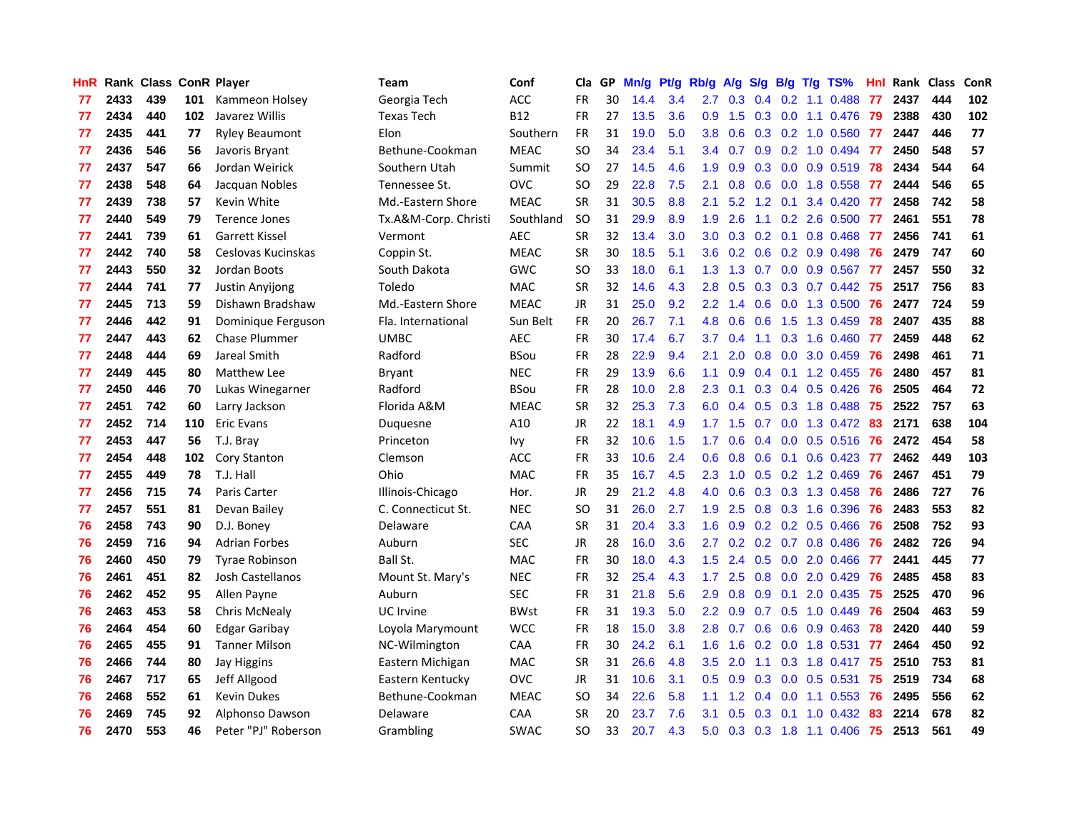| HnR |      | Rank Class ConR Player |     |                       | Team                 | Conf        | Cla       | GP. | Mn/g Pt/g Rb/g A/g |     |                  |                 |     |                 | S/g B/g T/g TS%           | Hnl  | Rank Class |     | <b>ConR</b> |
|-----|------|------------------------|-----|-----------------------|----------------------|-------------|-----------|-----|--------------------|-----|------------------|-----------------|-----|-----------------|---------------------------|------|------------|-----|-------------|
| 77  | 2433 | 439                    | 101 | Kammeon Holsey        | Georgia Tech         | <b>ACC</b>  | <b>FR</b> | 30  | 14.4               | 3.4 | 2.7              | 0.3             | 0.4 | 0.2             | 1.1 0.488                 | 77   | 2437       | 444 | 102         |
| 77  | 2434 | 440                    | 102 | Javarez Willis        | <b>Texas Tech</b>    | <b>B12</b>  | <b>FR</b> | 27  | 13.5               | 3.6 | 0.9              | 1.5             | 0.3 | 0.0             | 1.1 0.476                 | -79  | 2388       | 430 | 102         |
| 77  | 2435 | 441                    | 77  | <b>Ryley Beaumont</b> | Elon                 | Southern    | <b>FR</b> | 31  | 19.0               | 5.0 | 3.8              | 0.6             |     | $0.3 \quad 0.2$ | 1.0 0.560                 | -77  | 2447       | 446 | 77          |
| 77  | 2436 | 546                    | 56  | Javoris Bryant        | Bethune-Cookman      | <b>MEAC</b> | <b>SO</b> | 34  | 23.4               | 5.1 | 3.4              | 0.7             |     |                 | $0.9$ $0.2$ 1.0 $0.494$   | - 77 | 2450       | 548 | 57          |
| 77  | 2437 | 547                    | 66  | Jordan Weirick        | Southern Utah        | Summit      | <b>SO</b> | 27  | 14.5               | 4.6 | 1.9              | 0.9             |     |                 | 0.3 0.0 0.9 0.519 78      |      | 2434       | 544 | 64          |
| 77  | 2438 | 548                    | 64  | Jacquan Nobles        | Tennessee St.        | <b>OVC</b>  | <b>SO</b> | 29  | 22.8               | 7.5 | 2.1              | 0.8             |     |                 | 0.6 0.0 1.8 0.558         | 77   | 2444       | 546 | 65          |
| 77  | 2439 | 738                    | 57  | Kevin White           | Md.-Eastern Shore    | <b>MEAC</b> | <b>SR</b> | 31  | 30.5               | 8.8 | 2.1              | 5.2             |     | $1.2 \quad 0.1$ | 3.4 0.420 77              |      | 2458       | 742 | 58          |
| 77  | 2440 | 549                    | 79  | Terence Jones         | Tx.A&M-Corp. Christi | Southland   | <b>SO</b> | 31  | 29.9               | 8.9 | 1.9              | 2.6             |     |                 | 1.1 0.2 2.6 0.500 77      |      | 2461       | 551 | 78          |
| 77  | 2441 | 739                    | 61  | <b>Garrett Kissel</b> | Vermont              | <b>AEC</b>  | SR        | 32  | 13.4               | 3.0 | 3.0              | 0.3             |     |                 | 0.2 0.1 0.8 0.468         | 77   | 2456       | 741 | 61          |
| 77  | 2442 | 740                    | 58  | Ceslovas Kucinskas    | Coppin St.           | <b>MEAC</b> | <b>SR</b> | 30  | 18.5               | 5.1 | 3.6              | 0.2             |     |                 | $0.6$ $0.2$ $0.9$ $0.498$ | 76   | 2479       | 747 | 60          |
| 77  | 2443 | 550                    | 32  | Jordan Boots          | South Dakota         | <b>GWC</b>  | <b>SO</b> | 33  | 18.0               | 6.1 | 1.3              | 1.3             | 0.7 |                 | 0.0 0.9 0.567             | 77   | 2457       | 550 | 32          |
| 77  | 2444 | 741                    | 77  | Justin Anyijong       | Toledo               | MAC         | <b>SR</b> | 32  | 14.6               | 4.3 | 2.8              | 0.5             |     |                 | $0.3$ $0.3$ $0.7$ $0.442$ | 75   | 2517       | 756 | 83          |
| 77  | 2445 | 713                    | 59  | Dishawn Bradshaw      | Md.-Eastern Shore    | <b>MEAC</b> | <b>JR</b> | 31  | 25.0               | 9.2 | $2.2^{\circ}$    | 1.4             | 0.6 | 0.0             | 1.3 0.500                 | -76  | 2477       | 724 | 59          |
| 77  | 2446 | 442                    | 91  | Dominique Ferguson    | Fla. International   | Sun Belt    | <b>FR</b> | 20  | 26.7               | 7.1 | 4.8              | 0.6             | 0.6 | 1.5             | 1.3 0.459                 | 78   | 2407       | 435 | 88          |
| 77  | 2447 | 443                    | 62  | <b>Chase Plummer</b>  | <b>UMBC</b>          | <b>AEC</b>  | <b>FR</b> | 30  | 17.4               | 6.7 | 3.7              | 0.4             | 1.1 | 0.3             | 1.6 0.460                 | 77   | 2459       | 448 | 62          |
| 77  | 2448 | 444                    | 69  | Jareal Smith          | Radford              | <b>BSou</b> | <b>FR</b> | 28  | 22.9               | 9.4 | 2.1              | 2.0             | 0.8 | 0.0             | 3.0 0.459                 | 76   | 2498       | 461 | 71          |
| 77  | 2449 | 445                    | 80  | Matthew Lee           | <b>Bryant</b>        | <b>NEC</b>  | <b>FR</b> | 29  | 13.9               | 6.6 | 1.1              | 0.9             |     | $0.4 \quad 0.1$ | 1.2 0.455                 | -76  | 2480       | 457 | 81          |
| 77  | 2450 | 446                    | 70  | Lukas Winegarner      | Radford              | <b>BSou</b> | <b>FR</b> | 28  | 10.0               | 2.8 | $2.3^{\circ}$    | 0.1             |     |                 | $0.3$ 0.4 0.5 0.426       | 76   | 2505       | 464 | 72          |
| 77  | 2451 | 742                    | 60  | Larry Jackson         | Florida A&M          | <b>MEAC</b> | <b>SR</b> | 32  | 25.3               | 7.3 |                  | $6.0 \quad 0.4$ |     |                 | $0.5$ $0.3$ 1.8 $0.488$   | -75  | 2522       | 757 | 63          |
| 77  | 2452 | 714                    | 110 | <b>Eric Evans</b>     | Duquesne             | A10         | <b>JR</b> | 22  | 18.1               | 4.9 | 1.7 <sub>z</sub> | 1.5             |     |                 | 0.7 0.0 1.3 0.472 83      |      | 2171       | 638 | 104         |
| 77  | 2453 | 447                    | 56  | T.J. Brav             | Princeton            | <b>Ivy</b>  | <b>FR</b> | 32  | 10.6               | 1.5 | 1.7 <sup>2</sup> | 0.6             |     |                 | $0.4$ 0.0 0.5 0.516 76    |      | 2472       | 454 | 58          |
| 77  | 2454 | 448                    | 102 | Cory Stanton          | Clemson              | ACC         | <b>FR</b> | 33  | 10.6               | 2.4 | 0.6              | 0.8             |     |                 | $0.6$ $0.1$ $0.6$ $0.423$ | -77  | 2462       | 449 | 103         |
| 77  | 2455 | 449                    | 78  | T.J. Hall             | Ohio                 | <b>MAC</b>  | <b>FR</b> | 35  | 16.7               | 4.5 | $2.3\phantom{0}$ | 1.0             |     |                 | 0.5 0.2 1.2 0.469         | 76   | 2467       | 451 | 79          |
| 77  | 2456 | 715                    | 74  | Paris Carter          | Illinois-Chicago     | Hor.        | <b>JR</b> | 29  | 21.2               | 4.8 | 4.0              | 0.6             |     |                 | 0.3 0.3 1.3 0.458         | 76   | 2486       | 727 | 76          |
| 77  | 2457 | 551                    | 81  | Devan Bailey          | C. Connecticut St.   | <b>NEC</b>  | <b>SO</b> | 31  | 26.0               | 2.7 | 1.9              | 2.5             |     |                 | 0.8 0.3 1.6 0.396         | 76   | 2483       | 553 | 82          |
| 76  | 2458 | 743                    | 90  | D.J. Boney            | Delaware             | CAA         | <b>SR</b> | 31  | 20.4               | 3.3 | 1.6              | 0.9             |     |                 | $0.2$ $0.2$ $0.5$ $0.466$ | 76   | 2508       | 752 | 93          |
| 76  | 2459 | 716                    | 94  | <b>Adrian Forbes</b>  | Auburn               | <b>SEC</b>  | JR        | 28  | 16.0               | 3.6 | 2.7              | 0.2             |     | $0.2 \quad 0.7$ | 0.8 0.486                 | -76  | 2482       | 726 | 94          |
| 76  | 2460 | 450                    | 79  | <b>Tyrae Robinson</b> | Ball St.             | <b>MAC</b>  | <b>FR</b> | 30  | 18.0               | 4.3 | 1.5              | 2.4             | 0.5 | 0.0             | 2.0 0.466                 | 77   | 2441       | 445 | 77          |
| 76  | 2461 | 451                    | 82  | Josh Castellanos      | Mount St. Mary's     | <b>NEC</b>  | <b>FR</b> | 32  | 25.4               | 4.3 | 1.7              | 2.5             | 0.8 | 0.0             | 2.0 0.429                 | 76   | 2485       | 458 | 83          |
| 76  | 2462 | 452                    | 95  | Allen Payne           | Auburn               | <b>SEC</b>  | <b>FR</b> | 31  | 21.8               | 5.6 | 2.9              | 0.8             | 0.9 | 0.1             | 2.0 0.435                 | 75   | 2525       | 470 | 96          |
| 76  | 2463 | 453                    | 58  | Chris McNealy         | UC Irvine            | <b>BWst</b> | <b>FR</b> | 31  | 19.3               | 5.0 | 2.2 <sub>2</sub> | 0.9             | 0.7 | 0.5             | 1.0 0.449                 | 76   | 2504       | 463 | 59          |
| 76  | 2464 | 454                    | 60  | Edgar Garibay         | Loyola Marymount     | <b>WCC</b>  | <b>FR</b> | 18  | 15.0               | 3.8 | 2.8              | 0.7             |     |                 | $0.6$ $0.6$ $0.9$ $0.463$ | -78  | 2420       | 440 | 59          |
| 76  | 2465 | 455                    | 91  | <b>Tanner Milson</b>  | NC-Wilmington        | CAA         | <b>FR</b> | 30  | 24.2               | 6.1 | 1.6 <sup>°</sup> | 1.6             |     |                 | 0.2 0.0 1.8 0.531         | - 77 | 2464       | 450 | 92          |
| 76  | 2466 | 744                    | 80  | Jay Higgins           | Eastern Michigan     | <b>MAC</b>  | <b>SR</b> | 31  | 26.6               | 4.8 | 3.5              | 2.0             | 1.1 |                 | 0.3 1.8 0.417 75          |      | 2510       | 753 | 81          |
| 76  | 2467 | 717                    | 65  | Jeff Allgood          | Eastern Kentucky     | <b>OVC</b>  | JR        | 31  | 10.6               | 3.1 | $0.5\,$          | 0.9             | 0.3 |                 | 0.0 0.5 0.531             | -75  | 2519       | 734 | 68          |
| 76  | 2468 | 552                    | 61  | <b>Kevin Dukes</b>    | Bethune-Cookman      | <b>MEAC</b> | <b>SO</b> | 34  | 22.6               | 5.8 | 1.1              | 1.2             | 0.4 | 0.0             | 1.1 0.553                 | -76  | 2495       | 556 | 62          |
| 76  | 2469 | 745                    | 92  | Alphonso Dawson       | Delaware             | CAA         | <b>SR</b> | 20  | 23.7               | 7.6 | 3.1              | 0.5             | 0.3 | 0.1             | 1.0 0.432                 | 83   | 2214       | 678 | 82          |
| 76  | 2470 | 553                    | 46  | Peter "PJ" Roberson   | Grambling            | <b>SWAC</b> | SΟ        | 33  | 20.7               | 4.3 | 5.0              | 0.3             |     |                 | $0.3$ 1.8 1.1 0.406       | - 75 | 2513       | 561 | 49          |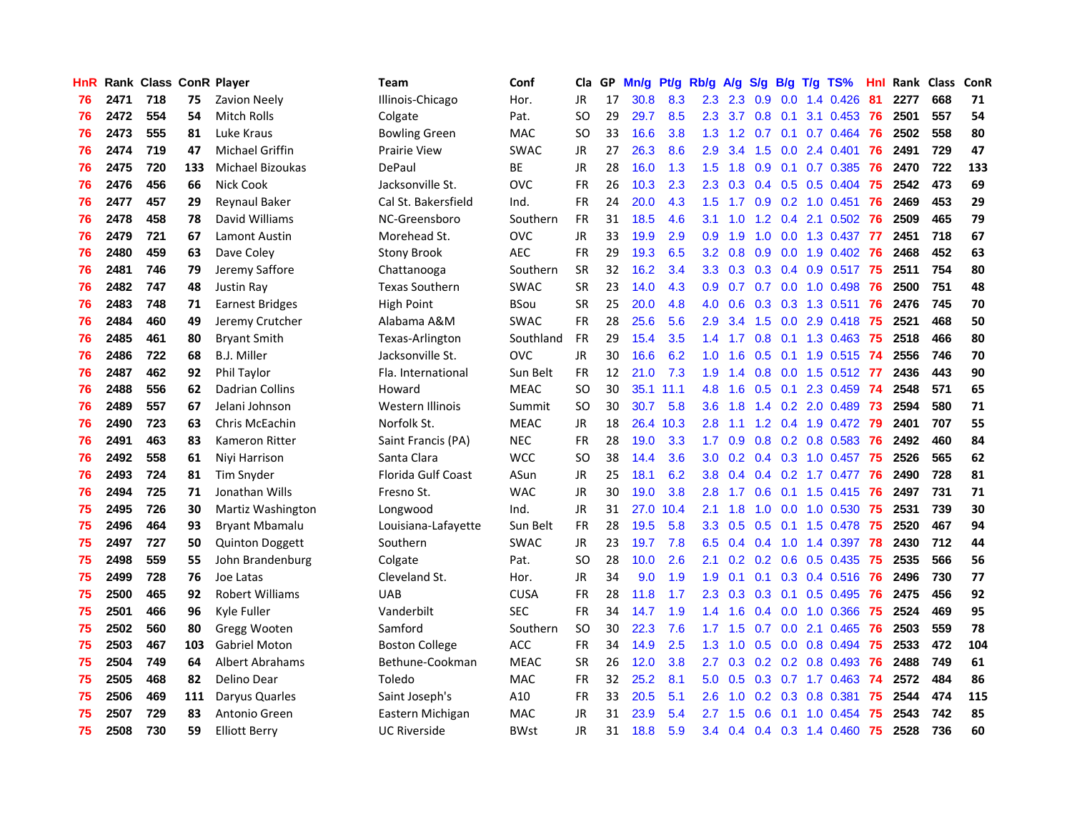| HnR. |      | Rank Class ConR Player |     |                         | Team                  | Conf        | Cla       |    | GP Mn/g Pt/g Rb/g A/g |           |                  |     |               |                 | S/g B/g T/g TS%           | Hnl  |      | Rank Class | <b>ConR</b> |
|------|------|------------------------|-----|-------------------------|-----------------------|-------------|-----------|----|-----------------------|-----------|------------------|-----|---------------|-----------------|---------------------------|------|------|------------|-------------|
| 76   | 2471 | 718                    | 75  | <b>Zavion Neely</b>     | Illinois-Chicago      | Hor.        | JR        | 17 | 30.8                  | 8.3       | 2.3              | 2.3 | 0.9           | 0.0             | 1.4 0.426                 | 81   | 2277 | 668        | 71          |
| 76   | 2472 | 554                    | 54  | <b>Mitch Rolls</b>      | Colgate               | Pat.        | <b>SO</b> | 29 | 29.7                  | 8.5       | 2.3              | 3.7 | 0.8           | 0.1             | 3.1 0.453                 | -76  | 2501 | 557        | 54          |
| 76   | 2473 | 555                    | 81  | Luke Kraus              | Bowling Green         | <b>MAC</b>  | <b>SO</b> | 33 | 16.6                  | 3.8       | 1.3              | 1.2 | 0.7           | 0.1             | 0.7 0.464                 | 76   | 2502 | 558        | 80          |
| 76   | 2474 | 719                    | 47  | <b>Michael Griffin</b>  | Prairie View          | <b>SWAC</b> | <b>JR</b> | 27 | 26.3                  | 8.6       | 2.9              | 3.4 | 1.5           |                 | $0.0$ 2.4 $0.401$         | 76   | 2491 | 729        | 47          |
| 76   | 2475 | 720                    | 133 | <b>Michael Bizoukas</b> | DePaul                | ВE          | JR        | 28 | 16.0                  | 1.3       | 1.5              | 1.8 |               |                 | 0.9 0.1 0.7 0.385         | 76   | 2470 | 722        | 133         |
| 76   | 2476 | 456                    | 66  | <b>Nick Cook</b>        | Jacksonville St.      | <b>OVC</b>  | <b>FR</b> | 26 | 10.3                  | 2.3       | $2.3^{\circ}$    | 0.3 |               |                 | $0.4$ 0.5 0.5 0.404       | -75  | 2542 | 473        | 69          |
| 76   | 2477 | 457                    | 29  | <b>Reynaul Baker</b>    | Cal St. Bakersfield   | Ind.        | <b>FR</b> | 24 | 20.0                  | 4.3       | 1.5              | 1.7 |               |                 | $0.9$ $0.2$ 1.0 $0.451$   | -76  | 2469 | 453        | 29          |
| 76   | 2478 | 458                    | 78  | David Williams          | NC-Greensboro         | Southern    | <b>FR</b> | 31 | 18.5                  | 4.6       | 3.1              | 1.0 |               |                 | 1.2 0.4 2.1 0.502         | -76  | 2509 | 465        | 79          |
| 76   | 2479 | 721                    | 67  | <b>Lamont Austin</b>    | Morehead St.          | OVC         | <b>JR</b> | 33 | 19.9                  | 2.9       | 0.9              | 1.9 | 1.0           |                 | 0.0 1.3 0.437             | - 77 | 2451 | 718        | 67          |
| 76   | 2480 | 459                    | 63  | Dave Coley              | <b>Stony Brook</b>    | <b>AEC</b>  | <b>FR</b> | 29 | 19.3                  | 6.5       | 3.2              | 0.8 | 0.9           | 0.0             | 1.9 0.402                 | 76   | 2468 | 452        | 63          |
| 76   | 2481 | 746                    | 79  | Jeremy Saffore          | Chattanooga           | Southern    | <b>SR</b> | 32 | 16.2                  | 3.4       | 3.3 <sub>1</sub> | 0.3 |               |                 | $0.3$ 0.4 0.9 0.517       | -75  | 2511 | 754        | 80          |
| 76   | 2482 | 747                    | 48  | Justin Ray              | <b>Texas Southern</b> | <b>SWAC</b> | <b>SR</b> | 23 | 14.0                  | 4.3       | 0.9              | 0.7 |               |                 | $0.7$ $0.0$ $1.0$ $0.498$ | -76  | 2500 | 751        | 48          |
| 76   | 2483 | 748                    | 71  | <b>Earnest Bridges</b>  | High Point            | <b>BSou</b> | <b>SR</b> | 25 | 20.0                  | 4.8       | 4.0              | 0.6 | 0.3           |                 | 0.3 1.3 0.511             | -76  | 2476 | 745        | 70          |
| 76   | 2484 | 460                    | 49  | Jeremy Crutcher         | Alabama A&M           | <b>SWAC</b> | <b>FR</b> | 28 | 25.6                  | 5.6       | 2.9              | 3.4 | 1.5           | 0.0             | 2.9 0.418                 | -75  | 2521 | 468        | 50          |
| 76   | 2485 | 461                    | 80  | <b>Bryant Smith</b>     | Texas-Arlington       | Southland   | FR        | 29 | 15.4                  | 3.5       | 1.4              | 1.7 | 0.8           |                 | $0.1$ 1.3 0.463           | -75  | 2518 | 466        | 80          |
| 76   | 2486 | 722                    | 68  | <b>B.J. Miller</b>      | Jacksonville St.      | <b>OVC</b>  | <b>JR</b> | 30 | 16.6                  | 6.2       | 1.0              | 1.6 | 0.5           | 0.1             | 1.9 0.515                 | 74   | 2556 | 746        | 70          |
| 76   | 2487 | 462                    | 92  | Phil Taylor             | Fla. International    | Sun Belt    | <b>FR</b> | 12 | 21.0                  | 7.3       | 1.9              | 1.4 | 0.8           | 0.0             | 1.5 0.512 77              |      | 2436 | 443        | 90          |
| 76   | 2488 | 556                    | 62  | Dadrian Collins         | Howard                | <b>MEAC</b> | <b>SO</b> | 30 |                       | 35.1 11.1 | 4.8              | 1.6 |               |                 | 0.5 0.1 2.3 0.459 74      |      | 2548 | 571        | 65          |
| 76   | 2489 | 557                    | 67  | Jelani Johnson          | Western Illinois      | Summit      | <b>SO</b> | 30 | 30.7                  | 5.8       | 3.6 <sup>°</sup> | 1.8 |               |                 | 1.4 0.2 2.0 0.489 73      |      | 2594 | 580        | 71          |
| 76   | 2490 | 723                    | 63  | <b>Chris McEachin</b>   | Norfolk St.           | <b>MEAC</b> | <b>JR</b> | 18 |                       | 26.4 10.3 | 2.8              | 1.1 |               |                 | 1.2 0.4 1.9 0.472 79      |      | 2401 | 707        | 55          |
| 76   | 2491 | 463                    | 83  | Kameron Ritter          | Saint Francis (PA)    | <b>NEC</b>  | <b>FR</b> | 28 | 19.0                  | 3.3       | 1.7 <sub>z</sub> | 0.9 |               |                 | $0.8$ $0.2$ $0.8$ $0.583$ | -76  | 2492 | 460        | 84          |
| 76   | 2492 | 558                    | 61  | Niyi Harrison           | Santa Clara           | <b>WCC</b>  | <b>SO</b> | 38 | 14.4                  | 3.6       | 3.0 <sub>1</sub> | 0.2 |               |                 | 0.4 0.3 1.0 0.457 75      |      | 2526 | 565        | 62          |
| 76   | 2493 | 724                    | 81  | Tim Snyder              | Florida Gulf Coast    | ASun        | JR        | 25 | 18.1                  | 6.2       | 3.8              | 0.4 |               |                 | 0.4 0.2 1.7 0.477 76      |      | 2490 | 728        | 81          |
| 76   | 2494 | 725                    | 71  | Jonathan Wills          | Fresno St.            | <b>WAC</b>  | <b>JR</b> | 30 | 19.0                  | 3.8       | 2.8              | 1.7 | 0.6           |                 | $0.1$ 1.5 $0.415$         | 76   | 2497 | 731        | 71          |
| 75   | 2495 | 726                    | 30  | Martiz Washington       | Longwood              | Ind.        | JR        | 31 | 27.0                  | 10.4      | 2.1              | 1.8 | 1.0           |                 | $0.0$ 1.0 0.530           | -75  | 2531 | 739        | 30          |
| 75   | 2496 | 464                    | 93  | <b>Bryant Mbamalu</b>   | Louisiana-Lafayette   | Sun Belt    | FR        | 28 | 19.5                  | 5.8       | 3.3 <sub>2</sub> | 0.5 | 0.5           |                 | $0.1$ 1.5 $0.478$         | -75  | 2520 | 467        | 94          |
| 75   | 2497 | 727                    | 50  | <b>Quinton Doggett</b>  | Southern              | <b>SWAC</b> | JR        | 23 | 19.7                  | 7.8       | 6.5              | 0.4 | $0.4^{\circ}$ | 1.0             | 1.4 0.397                 | -78  | 2430 | 712        | 44          |
| 75   | 2498 | 559                    | 55  | John Brandenburg        | Colgate               | Pat.        | <b>SO</b> | 28 | 10.0                  | 2.6       | 2.1              | 0.2 |               | $0.2 \quad 0.6$ | 0.5 0.435                 | -75  | 2535 | 566        | 56          |
| 75   | 2499 | 728                    | 76  | Joe Latas               | Cleveland St.         | Hor.        | <b>JR</b> | 34 | 9.0                   | 1.9       | 1.9              | 0.1 | 0.1           | 0.3             | 0.4 0.516                 | 76   | 2496 | 730        | 77          |
| 75   | 2500 | 465                    | 92  | <b>Robert Williams</b>  | <b>UAB</b>            | <b>CUSA</b> | <b>FR</b> | 28 | 11.8                  | 1.7       | 2.3              | 0.3 |               | $0.3 \quad 0.1$ | $0.5$ 0.495               | -76  | 2475 | 456        | 92          |
| 75   | 2501 | 466                    | 96  | Kyle Fuller             | Vanderbilt            | <b>SEC</b>  | <b>FR</b> | 34 | 14.7                  | 1.9       | 1.4              | 1.6 |               | $0.4 \quad 0.0$ | 1.0 0.366                 | 75   | 2524 | 469        | 95          |
| 75   | 2502 | 560                    | 80  | Gregg Wooten            | Samford               | Southern    | <b>SO</b> | 30 | 22.3                  | 7.6       | 1.7 <sub>z</sub> | 1.5 |               |                 | $0.7$ $0.0$ 2.1 $0.465$   | -76  | 2503 | 559        | 78          |
| 75   | 2503 | 467                    | 103 | <b>Gabriel Moton</b>    | <b>Boston College</b> | ACC         | <b>FR</b> | 34 | 14.9                  | 2.5       | 1.3              | 1.0 |               |                 | $0.5$ 0.0 0.8 0.494       | -75  | 2533 | 472        | 104         |
| 75   | 2504 | 749                    | 64  | <b>Albert Abrahams</b>  | Bethune-Cookman       | <b>MEAC</b> | <b>SR</b> | 26 | 12.0                  | 3.8       | $2.7^{\circ}$    | 0.3 |               |                 | $0.2$ $0.2$ $0.8$ $0.493$ | 76   | 2488 | 749        | 61          |
| 75   | 2505 | 468                    | 82  | Delino Dear             | Toledo                | MAC         | FR        | 32 | 25.2                  | 8.1       | 5.0              | 0.5 |               |                 | $0.3$ 0.7 1.7 0.463       | 74   | 2572 | 484        | 86          |
| 75   | 2506 | 469                    | 111 | Daryus Quarles          | Saint Joseph's        | A10         | <b>FR</b> | 33 | 20.5                  | 5.1       | 2.6              | 1.0 | 0.2           |                 | 0.3 0.8 0.381             | 75   | 2544 | 474        | 115         |
| 75   | 2507 | 729                    | 83  | Antonio Green           | Eastern Michigan      | <b>MAC</b>  | JR        | 31 | 23.9                  | 5.4       | 2.7              | 1.5 | 0.6           | 0.1             | 1.0 0.454                 | 75   | 2543 | 742        | 85          |
| 75   | 2508 | 730                    | 59  | Elliott Berry           | <b>UC Riverside</b>   | <b>BWst</b> | JR        | 31 | 18.8                  | 5.9       | 3.4              | 0.4 |               |                 | 0.4 0.3 1.4 0.460 75      |      | 2528 | 736        | 60          |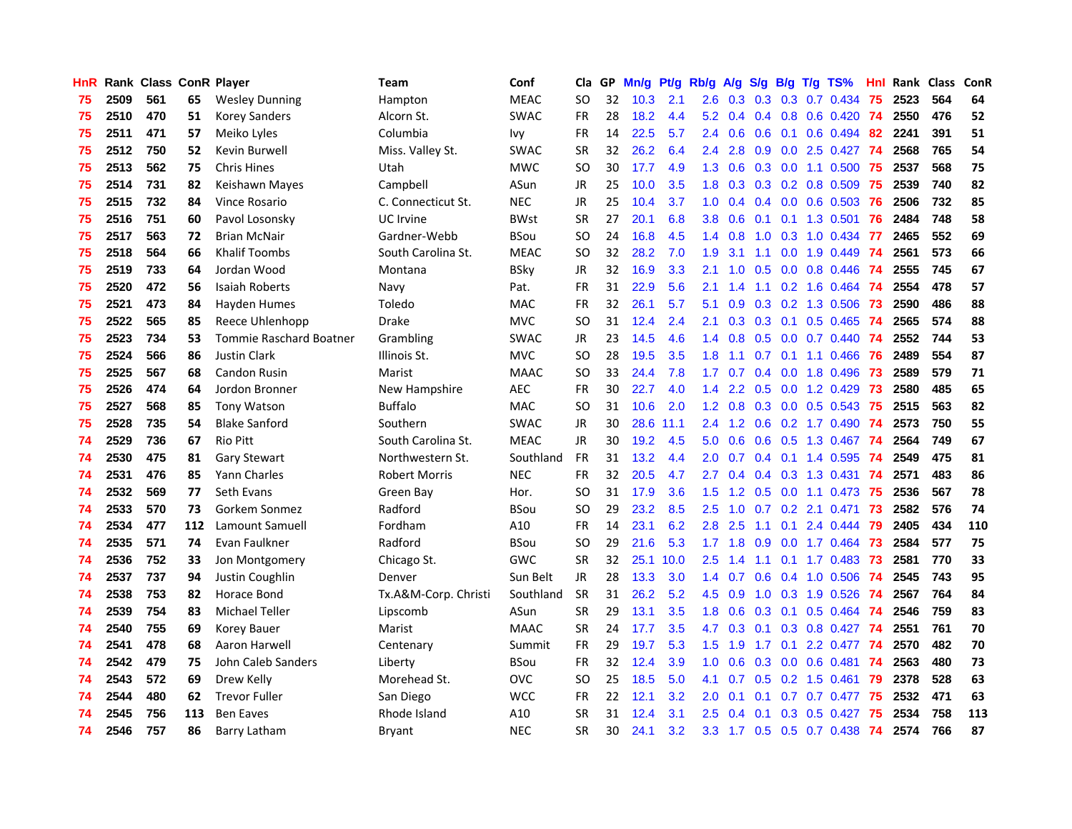| HnR |      | Rank Class ConR Player |     |                                | Team                 | Conf        | Cla       | GP. | Mn/g Pt/g |           | Rb/g             | A/g | S/g |                 | $B/g$ T/g TS%           | Hnl | Rank Class |     | ConR |
|-----|------|------------------------|-----|--------------------------------|----------------------|-------------|-----------|-----|-----------|-----------|------------------|-----|-----|-----------------|-------------------------|-----|------------|-----|------|
| 75  | 2509 | 561                    | 65  | <b>Wesley Dunning</b>          | Hampton              | <b>MEAC</b> | SO.       | 32  | 10.3      | 2.1       | 2.6              | 0.3 |     | $0.3 \quad 0.3$ | 0.7 0.434               | -75 | 2523       | 564 | 64   |
| 75  | 2510 | 470                    | 51  | <b>Korey Sanders</b>           | Alcorn St.           | <b>SWAC</b> | <b>FR</b> | 28  | 18.2      | 4.4       | 5.2              | 0.4 |     | $0.4 \quad 0.8$ | 0.6 0.420               | -74 | 2550       | 476 | 52   |
| 75  | 2511 | 471                    | 57  | Meiko Lyles                    | Columbia             | Ivy         | <b>FR</b> | 14  | 22.5      | 5.7       | 2.4              | 0.6 | 0.6 | 0.1             | $0.6$ 0.494             | 82  | 2241       | 391 | 51   |
| 75  | 2512 | 750                    | 52  | Kevin Burwell                  | Miss. Valley St.     | <b>SWAC</b> | <b>SR</b> | 32  | 26.2      | 6.4       | $2.4\,$          | 2.8 |     |                 | 0.9 0.0 2.5 0.427       | -74 | 2568       | 765 | 54   |
| 75  | 2513 | 562                    | 75  | <b>Chris Hines</b>             | Utah                 | <b>MWC</b>  | <b>SO</b> | 30  | 17.7      | 4.9       | 1.3              | 0.6 |     |                 | 0.3 0.0 1.1 0.500 75    |     | 2537       | 568 | 75   |
| 75  | 2514 | 731                    | 82  | Keishawn Mayes                 | Campbell             | ASun        | JR        | 25  | 10.0      | 3.5       | 1.8              | 0.3 |     |                 | $0.3$ 0.2 0.8 0.509     | -75 | 2539       | 740 | 82   |
| 75  | 2515 | 732                    | 84  | Vince Rosario                  | C. Connecticut St.   | <b>NEC</b>  | JR        | 25  | 10.4      | 3.7       | 1.0 <sub>1</sub> | 0.4 |     |                 | $0.4$ 0.0 0.6 0.503     | -76 | 2506       | 732 | 85   |
| 75  | 2516 | 751                    | 60  | Pavol Losonsky                 | <b>UC</b> Irvine     | <b>BWst</b> | <b>SR</b> | 27  | 20.1      | 6.8       | 3.8              | 0.6 | 0.1 |                 | $0.1$ 1.3 0.501         | 76  | 2484       | 748 | 58   |
| 75  | 2517 | 563                    | 72  | <b>Brian McNair</b>            | Gardner-Webb         | <b>BSou</b> | <b>SO</b> | 24  | 16.8      | 4.5       | 1.4              | 0.8 | 1.0 | 0.3             | 1.0 0.434               | 77  | 2465       | 552 | 69   |
| 75  | 2518 | 564                    | 66  | <b>Khalif Toombs</b>           | South Carolina St.   | <b>MEAC</b> | SO.       | 32  | 28.2      | 7.0       | 1.9              | 3.1 | 1.1 | 0.0             | 1.9 0.449               | 74  | 2561       | 573 | 66   |
| 75  | 2519 | 733                    | 64  | Jordan Wood                    | Montana              | <b>BSky</b> | <b>JR</b> | 32  | 16.9      | 3.3       | 2.1              | 1.0 | 0.5 | 0.0             | 0.8 0.446               | 74  | 2555       | 745 | 67   |
| 75  | 2520 | 472                    | 56  | Isaiah Roberts                 | Navy                 | Pat.        | FR.       | 31  | 22.9      | 5.6       | 2.1              | 1.4 | 1.1 | 0.2             | 1.6 0.464               | -74 | 2554       | 478 | 57   |
| 75  | 2521 | 473                    | 84  | Hayden Humes                   | Toledo               | <b>MAC</b>  | <b>FR</b> | 32  | 26.1      | 5.7       | 5.1              | 0.9 | 0.3 | 0.2             | 1.3 0.506               | 73  | 2590       | 486 | 88   |
| 75  | 2522 | 565                    | 85  | Reece Uhlenhopp                | Drake                | <b>MVC</b>  | <b>SO</b> | 31  | 12.4      | 2.4       | 2.1              | 0.3 | 0.3 | 0.1             | $0.5$ 0.465             | 74  | 2565       | 574 | 88   |
| 75  | 2523 | 734                    | 53  | <b>Tommie Raschard Boatner</b> | Grambling            | <b>SWAC</b> | <b>JR</b> | 23  | 14.5      | 4.6       | 1.4              | 0.8 |     | $0.5 \quad 0.0$ | $0.7$ $0.440$           | -74 | 2552       | 744 | 53   |
| 75  | 2524 | 566                    | 86  | <b>Justin Clark</b>            | Illinois St.         | <b>MVC</b>  | <b>SO</b> | 28  | 19.5      | 3.5       | 1.8              | 1.1 |     |                 | $0.7$ 0.1 1.1 0.466     | 76  | 2489       | 554 | 87   |
| 75  | 2525 | 567                    | 68  | <b>Candon Rusin</b>            | Marist               | <b>MAAC</b> | SO.       | 33  | 24.4      | 7.8       | 1.7 <sub>z</sub> | 0.7 |     |                 | $0.4$ 0.0 1.8 0.496     | -73 | 2589       | 579 | 71   |
| 75  | 2526 | 474                    | 64  | Jordon Bronner                 | New Hampshire        | <b>AEC</b>  | <b>FR</b> | 30  | 22.7      | 4.0       | 1.4              | 2.2 |     |                 | $0.5$ 0.0 1.2 0.429     | 73  | 2580       | 485 | 65   |
| 75  | 2527 | 568                    | 85  | <b>Tony Watson</b>             | <b>Buffalo</b>       | <b>MAC</b>  | SO.       | 31  | 10.6      | 2.0       | 1.2              | 0.8 |     |                 | $0.3$ 0.0 0.5 0.543     | 75  | 2515       | 563 | 82   |
| 75  | 2528 | 735                    | 54  | <b>Blake Sanford</b>           | Southern             | <b>SWAC</b> | JR        | 30  | 28.6      | 11.1      | 2.4              | 1.2 |     |                 | 0.6 0.2 1.7 0.490 74    |     | 2573       | 750 | 55   |
| 74  | 2529 | 736                    | 67  | <b>Rio Pitt</b>                | South Carolina St.   | <b>MEAC</b> | <b>JR</b> | 30  | 19.2      | 4.5       | 5.0              | 0.6 |     |                 | 0.6 0.5 1.3 0.467 74    |     | 2564       | 749 | 67   |
| 74  | 2530 | 475                    | 81  | <b>Gary Stewart</b>            | Northwestern St.     | Southland   | <b>FR</b> | 31  | 13.2      | 4.4       | 2.0              | 0.7 |     |                 | $0.4$ 0.1 1.4 0.595     | -74 | 2549       | 475 | 81   |
| 74  | 2531 | 476                    | 85  | <b>Yann Charles</b>            | <b>Robert Morris</b> | <b>NEC</b>  | <b>FR</b> | 32  | 20.5      | 4.7       | 2.7              | 0.4 |     |                 | $0.4$ 0.3 1.3 0.431     | -74 | 2571       | 483 | 86   |
| 74  | 2532 | 569                    | 77  | Seth Evans                     | Green Bay            | Hor.        | <b>SO</b> | 31  | 17.9      | 3.6       | 1.5              | 1.2 | 0.5 | 0.0             | 1.1 0.473               | -75 | 2536       | 567 | 78   |
| 74  | 2533 | 570                    | 73  | Gorkem Sonmez                  | Radford              | BSou        | <b>SO</b> | 29  | 23.2      | 8.5       | 2.5              | 1.0 | 0.7 | 0.2             | 2.1 0.471               | 73  | 2582       | 576 | 74   |
| 74  | 2534 | 477                    | 112 | Lamount Samuell                | Fordham              | A10         | FR.       | 14  | 23.1      | 6.2       | 2.8              | 2.5 | 1.1 | 0.1             | 2.4 0.444               | -79 | 2405       | 434 | 110  |
| 74  | 2535 | 571                    | 74  | Evan Faulkner                  | Radford              | BSou        | SO.       | 29  | 21.6      | 5.3       | 1.7              | 1.8 | 0.9 | 0.0             | 1.7 0.464               | -73 | 2584       | 577 | 75   |
| 74  | 2536 | 752                    | 33  | Jon Montgomery                 | Chicago St.          | <b>GWC</b>  | <b>SR</b> | 32  |           | 25.1 10.0 | 2.5              | 1.4 | 1.1 |                 | $0.1$ 1.7 $0.483$       | 73  | 2581       | 770 | 33   |
| 74  | 2537 | 737                    | 94  | Justin Coughlin                | Denver               | Sun Belt    | <b>JR</b> | 28  | 13.3      | 3.0       | 1.4              | 0.7 | 0.6 |                 | 0.4 1.0 0.506           | -74 | 2545       | 743 | 95   |
| 74  | 2538 | 753                    | 82  | Horace Bond                    | Tx.A&M-Corp. Christi | Southland   | <b>SR</b> | 31  | 26.2      | 5.2       | 4.5              | 0.9 |     |                 | 1.0 0.3 1.9 0.526       | 74  | 2567       | 764 | 84   |
| 74  | 2539 | 754                    | 83  | <b>Michael Teller</b>          | Lipscomb             | ASun        | <b>SR</b> | 29  | 13.1      | 3.5       | 1.8              | 0.6 |     |                 | $0.3$ 0.1 0.5 0.464     | -74 | 2546       | 759 | 83   |
| 74  | 2540 | 755                    | 69  | Korey Bauer                    | Marist               | <b>MAAC</b> | <b>SR</b> | 24  | 17.7      | 3.5       | 4.7              | 0.3 | 0.1 |                 | $0.3$ 0.8 0.427         | -74 | 2551       | 761 | 70   |
| 74  | 2541 | 478                    | 68  | Aaron Harwell                  | Centenary            | Summit      | <b>FR</b> | 29  | 19.7      | 5.3       | 1.5              | 1.9 | 1.7 |                 | 0.1 2.2 0.477 74        |     | 2570       | 482 | 70   |
| 74  | 2542 | 479                    | 75  | John Caleb Sanders             | Liberty              | <b>BSou</b> | FR        | 32  | 12.4      | 3.9       | 1.0 <sub>1</sub> | 0.6 | 0.3 |                 | 0.0 0.6 0.481           | -74 | 2563       | 480 | 73   |
| 74  | 2543 | 572                    | 69  | Drew Kelly                     | Morehead St.         | <b>OVC</b>  | <b>SO</b> | 25  | 18.5      | 5.0       | 4.1              | 0.7 |     |                 | $0.5$ $0.2$ 1.5 $0.461$ | -79 | 2378       | 528 | 63   |
| 74  | 2544 | 480                    | 62  | <b>Trevor Fuller</b>           | San Diego            | <b>WCC</b>  | <b>FR</b> | 22  | 12.1      | 3.2       | 2.0              | 0.1 | 0.1 |                 | $0.7$ 0.7 0.477         | 75  | 2532       | 471 | 63   |
| 74  | 2545 | 756                    | 113 | <b>Ben Eaves</b>               | Rhode Island         | A10         | <b>SR</b> | 31  | 12.4      | 3.1       | 2.5              | 0.4 | 0.1 | 0.3             | $0.5$ 0.427             | 75  | 2534       | 758 | 113  |
| 74  | 2546 | 757                    | 86  | Barry Latham                   | <b>Bryant</b>        | <b>NEC</b>  | <b>SR</b> | 30  | 24.1      | 3.2       | 3.3 <sub>2</sub> | 1.7 |     |                 | 0.5 0.5 0.7 0.438       | 74  | 2574       | 766 | 87   |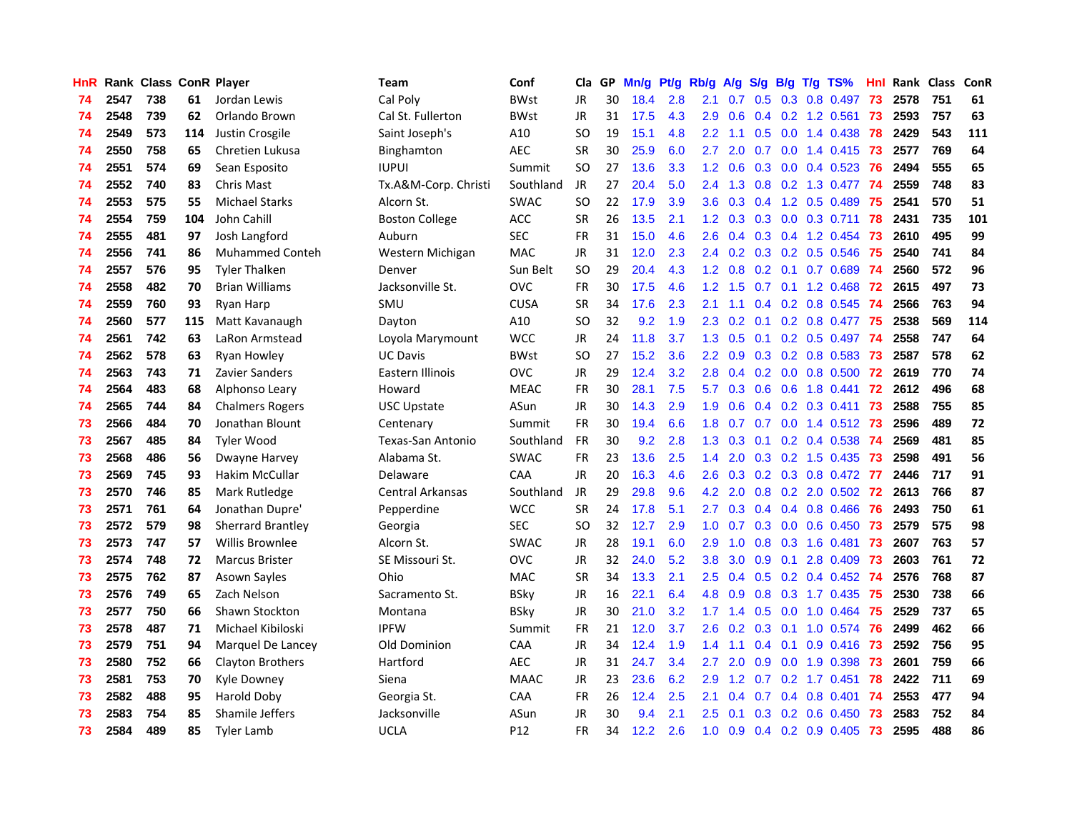| <b>HnR</b> |      | Rank Class ConR Player |     |                        | <b>Team</b>             | Conf        | Cla       |    | GP Mn/g Pt/g Rb/g A/g |     |                  |                 |                  |                 | S/g B/g T/g TS%           | Hnl  |      | Rank Class | <b>ConR</b> |
|------------|------|------------------------|-----|------------------------|-------------------------|-------------|-----------|----|-----------------------|-----|------------------|-----------------|------------------|-----------------|---------------------------|------|------|------------|-------------|
| 74         | 2547 | 738                    | 61  | Jordan Lewis           | Cal Poly                | <b>BWst</b> | JR        | 30 | 18.4                  | 2.8 | 2.1              | 0.7             | 0.5              | 0.3             | 0.8 0.497                 | 73   | 2578 | 751        | 61          |
| 74         | 2548 | 739                    | 62  | Orlando Brown          | Cal St. Fullerton       | <b>BWst</b> | <b>JR</b> | 31 | 17.5                  | 4.3 | 2.9              | 0.6             |                  | $0.4 \quad 0.2$ | 1.2 0.561                 | 73   | 2593 | 757        | 63          |
| 74         | 2549 | 573                    | 114 | Justin Crosgile        | Saint Joseph's          | A10         | <b>SO</b> | 19 | 15.1                  | 4.8 | $2.2\,$          | 1.1             | 0.5              | 0.0             | 1.4 0.438                 | 78   | 2429 | 543        | 111         |
| 74         | 2550 | 758                    | 65  | Chretien Lukusa        | Binghamton              | <b>AEC</b>  | <b>SR</b> | 30 | 25.9                  | 6.0 | 2.7              | 2.0             | 0.7              |                 | 0.0 1.4 0.415             | 73   | 2577 | 769        | 64          |
| 74         | 2551 | 574                    | 69  | Sean Esposito          | <b>IUPUI</b>            | Summit      | <b>SO</b> | 27 | 13.6                  | 3.3 |                  | $1.2 \quad 0.6$ |                  |                 | $0.3$ 0.0 0.4 0.523       | -76  | 2494 | 555        | 65          |
| 74         | 2552 | 740                    | 83  | Chris Mast             | Tx.A&M-Corp. Christi    | Southland   | JR        | 27 | 20.4                  | 5.0 |                  | $2.4$ 1.3       |                  |                 | 0.8 0.2 1.3 0.477 74      |      | 2559 | 748        | 83          |
| 74         | 2553 | 575                    | 55  | <b>Michael Starks</b>  | Alcorn St.              | <b>SWAC</b> | SO.       | 22 | 17.9                  | 3.9 | 3.6 <sup>2</sup> | 0.3             |                  |                 | $0.4$ 1.2 0.5 0.489       | -75  | 2541 | 570        | 51          |
| 74         | 2554 | 759                    | 104 | John Cahill            | <b>Boston College</b>   | <b>ACC</b>  | <b>SR</b> | 26 | 13.5                  | 2.1 | 1.2 <sub>1</sub> | 0.3             |                  |                 | $0.3$ 0.0 0.3 0.711       | -78  | 2431 | 735        | 101         |
| 74         | 2555 | 481                    | 97  | Josh Langford          | Auburn                  | <b>SEC</b>  | <b>FR</b> | 31 | 15.0                  | 4.6 | 2.6              | 0.4             |                  |                 | 0.3 0.4 1.2 0.454         | -73  | 2610 | 495        | 99          |
| 74         | 2556 | 741                    | 86  | <b>Muhammed Conteh</b> | Western Michigan        | <b>MAC</b>  | JR        | 31 | 12.0                  | 2.3 | 2.4              | 0.2             |                  |                 | 0.3 0.2 0.5 0.546         | 75   | 2540 | 741        | 84          |
| 74         | 2557 | 576                    | 95  | <b>Tyler Thalken</b>   | Denver                  | Sun Belt    | <b>SO</b> | 29 | 20.4                  | 4.3 | 1.2              | 0.8             |                  | $0.2 \quad 0.1$ | 0.7 0.689                 | 74   | 2560 | 572        | 96          |
| 74         | 2558 | 482                    | 70  | <b>Brian Williams</b>  | Jacksonville St.        | <b>OVC</b>  | <b>FR</b> | 30 | 17.5                  | 4.6 | 1.2              | 1.5             | 0.7              |                 | $0.1$ 1.2 $0.468$         | 72   | 2615 | 497        | 73          |
| 74         | 2559 | 760                    | 93  | Ryan Harp              | SMU                     | <b>CUSA</b> | <b>SR</b> | 34 | 17.6                  | 2.3 | 2.1              | 1.1             | 0.4              |                 | 0.2 0.8 0.545             | -74  | 2566 | 763        | 94          |
| 74         | 2560 | 577                    | 115 | Matt Kavanaugh         | Dayton                  | A10         | <b>SO</b> | 32 | 9.2                   | 1.9 | 2.3              | 0.2             | 0.1              |                 | 0.2 0.8 0.477             | -75  | 2538 | 569        | 114         |
| 74         | 2561 | 742                    | 63  | LaRon Armstead         | Loyola Marymount        | <b>WCC</b>  | JR        | 24 | 11.8                  | 3.7 | 1.3              | 0.5             | 0.1              |                 | 0.2 0.5 0.497             | -74  | 2558 | 747        | 64          |
| 74         | 2562 | 578                    | 63  | <b>Ryan Howley</b>     | <b>UC Davis</b>         | <b>BWst</b> | SO.       | 27 | 15.2                  | 3.6 | $2.2\,$          | 0.9             |                  |                 | $0.3$ $0.2$ $0.8$ $0.583$ | -73  | 2587 | 578        | 62          |
| 74         | 2563 | 743                    | 71  | <b>Zavier Sanders</b>  | Eastern Illinois        | <b>OVC</b>  | JR        | 29 | 12.4                  | 3.2 | 2.8              | 0.4             |                  |                 | $0.2$ $0.0$ $0.8$ $0.500$ | 72   | 2619 | 770        | 74          |
| 74         | 2564 | 483                    | 68  | Alphonso Leary         | Howard                  | <b>MEAC</b> | <b>FR</b> | 30 | 28.1                  | 7.5 | 5.7              | 0.3             |                  |                 | $0.6$ $0.6$ 1.8 $0.441$   | 72   | 2612 | 496        | 68          |
| 74         | 2565 | 744                    | 84  | <b>Chalmers Rogers</b> | <b>USC Upstate</b>      | ASun        | JR        | 30 | 14.3                  | 2.9 | 1.9 <sup>°</sup> | 0.6             |                  |                 | 0.4 0.2 0.3 0.411 73      |      | 2588 | 755        | 85          |
| 73         | 2566 | 484                    | 70  | Jonathan Blount        | Centenary               | Summit      | <b>FR</b> | 30 | 19.4                  | 6.6 |                  | $1.8\quad 0.7$  |                  |                 | 0.7 0.0 1.4 0.512 73      |      | 2596 | 489        | 72          |
| 73         | 2567 | 485                    | 84  | <b>Tyler Wood</b>      | Texas-San Antonio       | Southland   | <b>FR</b> | 30 | 9.2                   | 2.8 | 1.3              | 0.3             |                  |                 | $0.1$ $0.2$ $0.4$ $0.538$ | - 74 | 2569 | 481        | 85          |
| 73         | 2568 | 486                    | 56  | Dwayne Harvey          | Alabama St.             | <b>SWAC</b> | <b>FR</b> | 23 | 13.6                  | 2.5 | $1.4^{\circ}$    | 2.0             |                  |                 | 0.3 0.2 1.5 0.435 73      |      | 2598 | 491        | 56          |
| 73         | 2569 | 745                    | 93  | Hakim McCullar         | Delaware                | CAA         | <b>JR</b> | 20 | 16.3                  | 4.6 | 2.6              | 0.3             |                  |                 | 0.2 0.3 0.8 0.472 77      |      | 2446 | 717        | 91          |
| 73         | 2570 | 746                    | 85  | Mark Rutledge          | <b>Central Arkansas</b> | Southland   | JR        | 29 | 29.8                  | 9.6 | 4.2              | 2.0             |                  |                 | $0.8$ 0.2 2.0 0.502       | 72   | 2613 | 766        | 87          |
| 73         | 2571 | 761                    | 64  | Jonathan Dupre'        | Pepperdine              | <b>WCC</b>  | <b>SR</b> | 24 | 17.8                  | 5.1 | 2.7              | 0.3             |                  |                 | 0.4 0.4 0.8 0.466         | -76  | 2493 | 750        | 61          |
| 73         | 2572 | 579                    | 98  | Sherrard Brantley      | Georgia                 | <b>SEC</b>  | SO.       | 32 | 12.7                  | 2.9 | 1.0              | 0.7             |                  |                 | $0.3$ 0.0 0.6 0.450       | 73   | 2579 | 575        | 98          |
| 73         | 2573 | 747                    | 57  | <b>Willis Brownlee</b> | Alcorn St.              | <b>SWAC</b> | JR        | 28 | 19.1                  | 6.0 | 2.9              | 1.0             | 0.8              | 0.3             | 1.6 0.481                 | -73  | 2607 | 763        | 57          |
| 73         | 2574 | 748                    | 72  | <b>Marcus Brister</b>  | SE Missouri St.         | <b>OVC</b>  | JR        | 32 | 24.0                  | 5.2 | 3.8              | 3.0             | 0.9              | 0.1             | 2.8 0.409                 | 73   | 2603 | 761        | 72          |
| 73         | 2575 | 762                    | 87  | Asown Sayles           | Ohio                    | MAC         | <b>SR</b> | 34 | 13.3                  | 2.1 | 2.5              | 0.4             | 0.5              |                 | 0.2 0.4 0.452             | -74  | 2576 | 768        | 87          |
| 73         | 2576 | 749                    | 65  | Zach Nelson            | Sacramento St.          | <b>BSky</b> | <b>JR</b> | 16 | 22.1                  | 6.4 | 4.8              | 0.9             |                  |                 | 0.8 0.3 1.7 0.435         | 75   | 2530 | 738        | 66          |
| 73         | 2577 | 750                    | 66  | Shawn Stockton         | Montana                 | <b>BSky</b> | JR        | 30 | 21.0                  | 3.2 | 1.7 <sub>z</sub> | 1.4             |                  | $0.5 \quad 0.0$ | 1.0 0.464                 | -75  | 2529 | 737        | 65          |
| 73         | 2578 | 487                    | 71  | Michael Kibiloski      | <b>IPFW</b>             | Summit      | <b>FR</b> | 21 | 12.0                  | 3.7 | $2.6\,$          | 0.2             |                  |                 | $0.3$ 0.1 1.0 0.574       | -76  | 2499 | 462        | 66          |
| 73         | 2579 | 751                    | 94  | Marquel De Lancey      | Old Dominion            | CAA         | <b>JR</b> | 34 | 12.4                  | 1.9 | 1.4              | 1.1             |                  | $0.4 \quad 0.1$ | 0.9 0.416 73              |      | 2592 | 756        | 95          |
| 73         | 2580 | 752                    | 66  | Clayton Brothers       | Hartford                | <b>AEC</b>  | <b>JR</b> | 31 | 24.7                  | 3.4 | 2.7              | 2.0             | 0.9 <sup>°</sup> | 0.0             | 1.9 0.398                 | -73  | 2601 | 759        | 66          |
| 73         | 2581 | 753                    | 70  | Kyle Downey            | Siena                   | <b>MAAC</b> | JR        | 23 | 23.6                  | 6.2 | 2.9              | 1.2             | 0.7              |                 | $0.2$ 1.7 $0.451$         | 78   | 2422 | 711        | 69          |
| 73         | 2582 | 488                    | 95  | Harold Doby            | Georgia St.             | <b>CAA</b>  | FR        | 26 | 12.4                  | 2.5 | 2.1              | 0.4             | 0.7              | $0.4^{\circ}$   | $0.8$ 0.401               | 74   | 2553 | 477        | 94          |
| 73         | 2583 | 754                    | 85  | Shamile Jeffers        | Jacksonville            | ASun        | JR        | 30 | 9.4                   | 2.1 | 2.5              | 0.1             | 0.3 <sub>0</sub> | 0.2             | 0.6 0.450                 | -73  | 2583 | 752        | 84          |
| 73         | 2584 | 489                    | 85  | <b>Tyler Lamb</b>      | <b>UCLA</b>             | P12         | <b>FR</b> | 34 | 12.2                  | 2.6 | 1.0              | 0.9             |                  |                 | $0.4$ 0.2 0.9 0.405       | 73   | 2595 | 488        | 86          |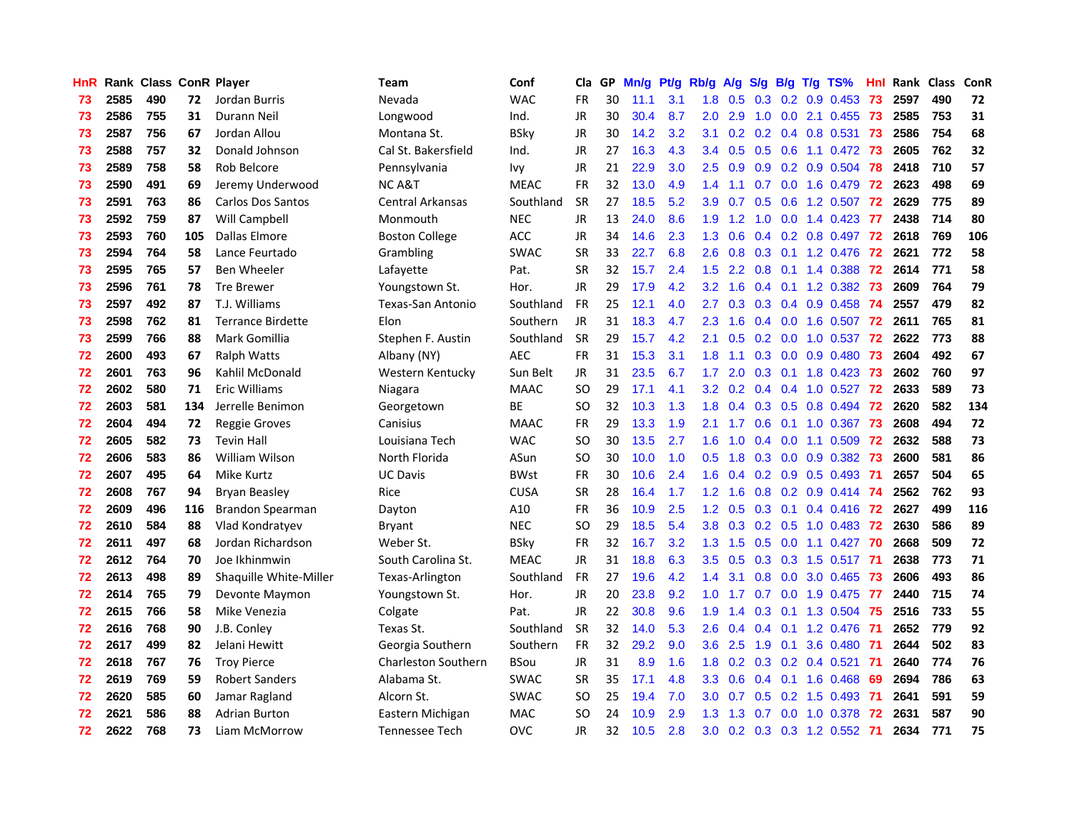| HnR |      | Rank Class ConR Player |     |                          | <b>Team</b>                | Conf        | Cla       | GP. | Mn/g Pt/g |     | Rb/g A/g S/g B/g T/g TS% |                 |     |                 |                                 | Hnl  | Rank Class |     | ConR |
|-----|------|------------------------|-----|--------------------------|----------------------------|-------------|-----------|-----|-----------|-----|--------------------------|-----------------|-----|-----------------|---------------------------------|------|------------|-----|------|
| 73  | 2585 | 490                    | 72  | Jordan Burris            | Nevada                     | <b>WAC</b>  | <b>FR</b> | 30  | 11.1      | 3.1 | 1.8                      | 0.5             | 0.3 | 0.2             | 0.9 0.453                       | 73   | 2597       | 490 | 72   |
| 73  | 2586 | 755                    | 31  | Durann Neil              | Longwood                   | Ind.        | <b>JR</b> | 30  | 30.4      | 8.7 | 2.0                      | 2.9             | 1.0 | 0.0             | 2.1 0.455                       | -73  | 2585       | 753 | 31   |
| 73  | 2587 | 756                    | 67  | Jordan Allou             | Montana St.                | <b>BSky</b> | <b>JR</b> | 30  | 14.2      | 3.2 | 3.1                      | 0.2             |     | $0.2 \quad 0.4$ | 0.8 0.531                       | -73  | 2586       | 754 | 68   |
| 73  | 2588 | 757                    | 32  | Donald Johnson           | Cal St. Bakersfield        | Ind.        | JR        | 27  | 16.3      | 4.3 | $3.4^{\circ}$            | 0.5             |     |                 | $0.5$ 0.6 1.1 0.472             | -73  | 2605       | 762 | 32   |
| 73  | 2589 | 758                    | 58  | Rob Belcore              | Pennsylvania               | Ivy         | JR        | 21  | 22.9      | 3.0 | $2.5\,$                  | 0.9             |     |                 | 0.9 0.2 0.9 0.504 78            |      | 2418       | 710 | 57   |
| 73  | 2590 | 491                    | 69  | Jeremy Underwood         | NC A&T                     | <b>MEAC</b> | <b>FR</b> | 32  | 13.0      | 4.9 | 1.4                      | 1.1             | 0.7 |                 | $0.0$ 1.6 0.479                 | -72  | 2623       | 498 | 69   |
| 73  | 2591 | 763                    | 86  | <b>Carlos Dos Santos</b> | <b>Central Arkansas</b>    | Southland   | <b>SR</b> | 27  | 18.5      | 5.2 | 3.9                      | 0.7             | 0.5 |                 | 0.6 1.2 0.507                   | -72  | 2629       | 775 | 89   |
| 73  | 2592 | 759                    | 87  | Will Campbell            | Monmouth                   | <b>NEC</b>  | <b>JR</b> | 13  | 24.0      | 8.6 | 1.9                      | 1.2             | 1.0 |                 | $0.0$ 1.4 $0.423$               | 77   | 2438       | 714 | 80   |
| 73  | 2593 | 760                    | 105 | Dallas Elmore            | <b>Boston College</b>      | ACC         | JR        | 34  | 14.6      | 2.3 | 1.3                      | 0.6             |     |                 | $0.4$ 0.2 0.8 0.497             | -72  | 2618       | 769 | 106  |
| 73  | 2594 | 764                    | 58  | Lance Feurtado           | Grambling                  | <b>SWAC</b> | <b>SR</b> | 33  | 22.7      | 6.8 | 2.6                      | 0.8             |     |                 | 0.3 0.1 1.2 0.476               | 72   | 2621       | 772 | 58   |
| 73  | 2595 | 765                    | 57  | Ben Wheeler              | Lafayette                  | Pat.        | <b>SR</b> | 32  | 15.7      | 2.4 | 1.5                      | 2.2             | 0.8 |                 | $0.1$ 1.4 0.388                 | 72   | 2614       | 771 | 58   |
| 73  | 2596 | 761                    | 78  | <b>Tre Brewer</b>        | Youngstown St.             | Hor.        | <b>JR</b> | 29  | 17.9      | 4.2 | 3.2                      | 1.6             | 0.4 |                 | $0.1$ 1.2 0.382                 | 73   | 2609       | 764 | 79   |
| 73  | 2597 | 492                    | 87  | T.J. Williams            | <b>Texas-San Antonio</b>   | Southland   | <b>FR</b> | 25  | 12.1      | 4.0 | 2.7                      | 0.3             | 0.3 | 0.4             | $0.9$ $0.458$                   | -74  | 2557       | 479 | 82   |
| 73  | 2598 | 762                    | 81  | <b>Terrance Birdette</b> | Elon                       | Southern    | <b>JR</b> | 31  | 18.3      | 4.7 | $2.3\phantom{0}$         | 1.6             | 0.4 | 0.0             | 1.6 0.507                       | 72   | 2611       | 765 | 81   |
| 73  | 2599 | 766                    | 88  | Mark Gomillia            | Stephen F. Austin          | Southland   | <b>SR</b> | 29  | 15.7      | 4.2 | 2.1                      | 0.5             | 0.2 | 0.0             | 1.0 0.537                       | 72   | 2622       | 773 | 88   |
| 72  | 2600 | 493                    | 67  | <b>Ralph Watts</b>       | Albany (NY)                | <b>AEC</b>  | <b>FR</b> | 31  | 15.3      | 3.1 | 1.8                      | 1.1             |     | $0.3 \quad 0.0$ | $0.9$ $0.480$                   | -73  | 2604       | 492 | 67   |
| 72  | 2601 | 763                    | 96  | Kahlil McDonald          | Western Kentucky           | Sun Belt    | <b>JR</b> | 31  | 23.5      | 6.7 | 1.7                      | 2.0             |     | $0.3 \quad 0.1$ | 1.8 0.423                       | -73  | 2602       | 760 | 97   |
| 72  | 2602 | 580                    | 71  | <b>Eric Williams</b>     | Niagara                    | <b>MAAC</b> | SO.       | 29  | 17.1      | 4.1 |                          | $3.2 \quad 0.2$ |     |                 | $0.4$ 0.4 1.0 0.527             | 72   | 2633       | 589 | 73   |
| 72  | 2603 | 581                    | 134 | Jerrelle Benimon         | Georgetown                 | <b>BE</b>   | SO.       | 32  | 10.3      | 1.3 | 1.8                      | 0.4             |     |                 | $0.3$ $0.5$ $0.8$ $0.494$       | - 72 | 2620       | 582 | 134  |
| 72  | 2604 | 494                    | 72  | <b>Reggie Groves</b>     | Canisius                   | <b>MAAC</b> | <b>FR</b> | 29  | 13.3      | 1.9 | 2.1                      | 1.7             |     |                 | $0.6$ 0.1 1.0 0.367             | -73  | 2608       | 494 | 72   |
| 72  | 2605 | 582                    | 73  | <b>Tevin Hall</b>        | Louisiana Tech             | <b>WAC</b>  | <b>SO</b> | 30  | 13.5      | 2.7 | 1.6                      | 1.0             |     |                 | $0.4$ 0.0 1.1 0.509             | 72   | 2632       | 588 | 73   |
| 72  | 2606 | 583                    | 86  | William Wilson           | North Florida              | ASun        | <b>SO</b> | 30  | 10.0      | 1.0 | 0.5                      | 1.8             |     |                 | 0.3 0.0 0.9 0.382               | -73  | 2600       | 581 | 86   |
| 72  | 2607 | 495                    | 64  | Mike Kurtz               | <b>UC Davis</b>            | <b>BWst</b> | <b>FR</b> | 30  | 10.6      | 2.4 | 1.6                      | 0.4             |     |                 | $0.2$ 0.9 0.5 0.493             | -71  | 2657       | 504 | 65   |
| 72  | 2608 | 767                    | 94  | <b>Bryan Beasley</b>     | Rice                       | <b>CUSA</b> | <b>SR</b> | 28  | 16.4      | 1.7 | $1.2^{\circ}$            | 1.6             |     |                 | $0.8$ $0.2$ $0.9$ $0.414$       | -74  | 2562       | 762 | 93   |
| 72  | 2609 | 496                    | 116 | Brandon Spearman         | Dayton                     | A10         | <b>FR</b> | 36  | 10.9      | 2.5 | 1.2                      | 0.5             |     | $0.3 \quad 0.1$ | 0.4 0.416                       | -72  | 2627       | 499 | 116  |
| 72  | 2610 | 584                    | 88  | Vlad Kondratyev          | Bryant                     | <b>NEC</b>  | <b>SO</b> | 29  | 18.5      | 5.4 | 3.8                      | 0.3             |     | $0.2 \quad 0.5$ | 1.0 0.483                       | 72   | 2630       | 586 | 89   |
| 72  | 2611 | 497                    | 68  | Jordan Richardson        | Weber St.                  | <b>BSky</b> | <b>FR</b> | 32  | 16.7      | 3.2 | 1.3                      | 1.5             | 0.5 | 0.0             | $1.1 \quad 0.427$               | 70   | 2668       | 509 | 72   |
| 72  | 2612 | 764                    | 70  | Joe Ikhinmwin            | South Carolina St.         | <b>MEAC</b> | JR        | 31  | 18.8      | 6.3 | 3.5                      | 0.5             | 0.3 | 0.3             | 1.5 0.517                       | -71  | 2638       | 773 | 71   |
| 72  | 2613 | 498                    | 89  | Shaquille White-Miller   | Texas-Arlington            | Southland   | <b>FR</b> | 27  | 19.6      | 4.2 | 1.4                      | 3.1             | 0.8 | 0.0             | 3.0 0.465                       | -73  | 2606       | 493 | 86   |
| 72  | 2614 | 765                    | 79  | Devonte Maymon           | Youngstown St.             | Hor.        | <b>JR</b> | 20  | 23.8      | 9.2 | 1.0                      | 1.7             | 0.7 | 0.0             | 1.9 0.475                       | -77  | 2440       | 715 | 74   |
| 72  | 2615 | 766                    | 58  | Mike Venezia             | Colgate                    | Pat.        | <b>JR</b> | 22  | 30.8      | 9.6 | 1.9                      | 1.4             |     | $0.3 \quad 0.1$ | 1.3 0.504                       | 75   | 2516       | 733 | 55   |
| 72  | 2616 | 768                    | 90  | J.B. Conley              | Texas St.                  | Southland   | <b>SR</b> | 32  | 14.0      | 5.3 | 2.6                      | 0.4             |     |                 | $0.4$ 0.1 1.2 0.476             | -71  | 2652       | 779 | 92   |
| 72  | 2617 | 499                    | 82  | Jelani Hewitt            | Georgia Southern           | Southern    | <b>FR</b> | 32  | 29.2      | 9.0 |                          | $3.6$ 2.5       |     | $1.9 \quad 0.1$ | 3.6 0.480 71                    |      | 2644       | 502 | 83   |
| 72  | 2618 | 767                    | 76  | <b>Troy Pierce</b>       | <b>Charleston Southern</b> | <b>BSou</b> | <b>JR</b> | 31  | 8.9       | 1.6 | 1.8                      | 0.2             |     |                 | $0.3$ $0.2$ $0.4$ $0.521$       | -71  | 2640       | 774 | 76   |
| 72  | 2619 | 769                    | 59  | <b>Robert Sanders</b>    | Alabama St.                | <b>SWAC</b> | <b>SR</b> | 35  | 17.1      | 4.8 | 3.3                      | 0.6             |     |                 | $0.4$ 0.1 1.6 0.468             | 69   | 2694       | 786 | 63   |
| 72  | 2620 | 585                    | 60  | Jamar Ragland            | Alcorn St.                 | <b>SWAC</b> | <b>SO</b> | 25  | 19.4      | 7.0 | 3.0                      | 0.7             | 0.5 |                 | $0.2$ 1.5 0.493                 | -71  | 2641       | 591 | 59   |
| 72  | 2621 | 586                    | 88  | <b>Adrian Burton</b>     | Eastern Michigan           | <b>MAC</b>  | <b>SO</b> | 24  | 10.9      | 2.9 | 1.3                      | 1.3             | 0.7 | 0.0             | 1.0 0.378                       | 72   | 2631       | 587 | 90   |
| 72  | 2622 | 768                    | 73  | Liam McMorrow            | Tennessee Tech             | <b>OVC</b>  | JR        | 32  | 10.5      | 2.8 | 3.0 <sub>1</sub>         |                 |     |                 | $0.2$ $0.3$ $0.3$ $1.2$ $0.552$ | -71  | 2634       | 771 | 75   |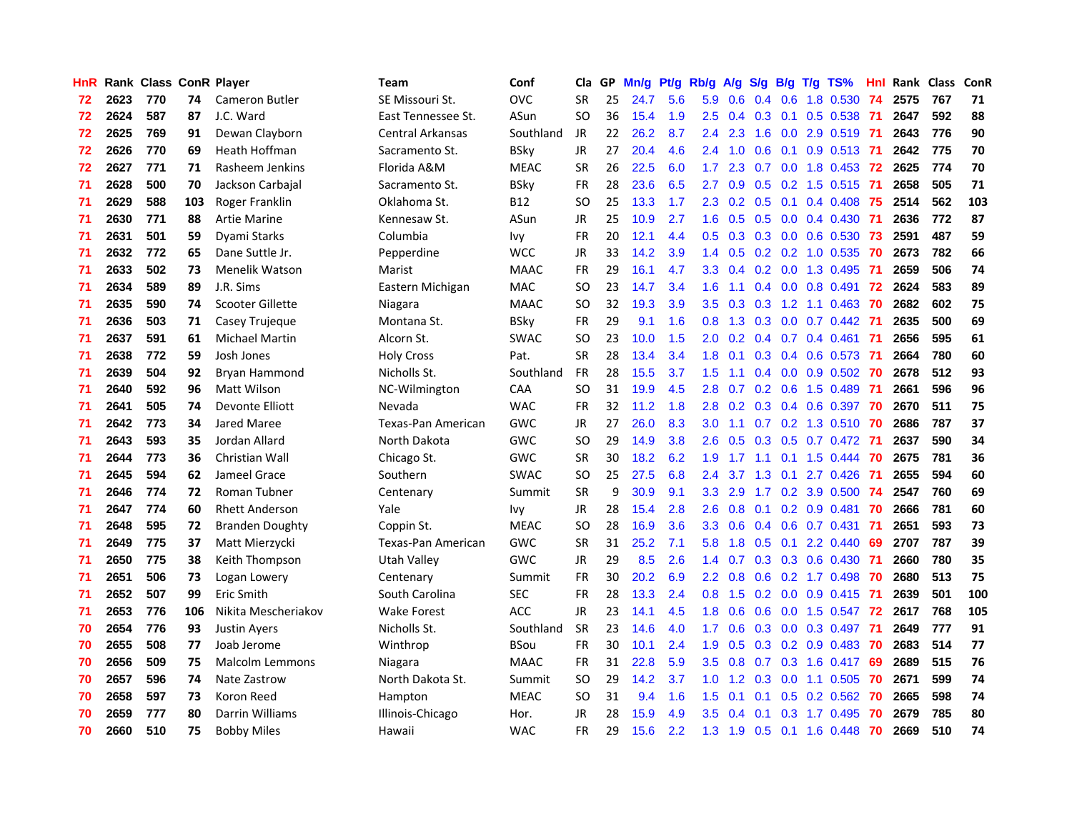| <b>HnR</b> |      | Rank Class ConR Player |     |                        | Team               | Conf        | Cla       |    | GP Mn/g Pt/g Rb/g |     |                  | A/g |     |                 | S/g B/g T/g TS%           | Hnl  |      | Rank Class | <b>ConR</b> |
|------------|------|------------------------|-----|------------------------|--------------------|-------------|-----------|----|-------------------|-----|------------------|-----|-----|-----------------|---------------------------|------|------|------------|-------------|
| 72         | 2623 | 770                    | 74  | <b>Cameron Butler</b>  | SE Missouri St.    | <b>OVC</b>  | <b>SR</b> | 25 | 24.7              | 5.6 | 5.9              | 0.6 |     | $0.4\quad 0.6$  | 1.8 0.530                 | 74   | 2575 | 767        | 71          |
| 72         | 2624 | 587                    | 87  | J.C. Ward              | East Tennessee St. | ASun        | SO.       | 36 | 15.4              | 1.9 | 2.5              | 0.4 | 0.3 | 0.1             | 0.5 0.538                 | -71  | 2647 | 592        | 88          |
| 72         | 2625 | 769                    | 91  | Dewan Clayborn         | Central Arkansas   | Southland   | <b>JR</b> | 22 | 26.2              | 8.7 | 2.4              | 2.3 | 1.6 | 0.0             | 2.9 0.519                 | -71  | 2643 | 776        | 90          |
| 72         | 2626 | 770                    | 69  | Heath Hoffman          | Sacramento St.     | <b>BSky</b> | <b>JR</b> | 27 | 20.4              | 4.6 | 2.4              | 1.0 | 0.6 | 0.1             | $0.9$ $0.513$ 71          |      | 2642 | 775        | 70          |
| 72         | 2627 | 771                    | 71  | Rasheem Jenkins        | Florida A&M        | <b>MEAC</b> | <b>SR</b> | 26 | 22.5              | 6.0 | 1.7 <sub>z</sub> | 2.3 |     |                 | 0.7 0.0 1.8 0.453 72      |      | 2625 | 774        | 70          |
| 71         | 2628 | 500                    | 70  | Jackson Carbajal       | Sacramento St.     | <b>BSky</b> | <b>FR</b> | 28 | 23.6              | 6.5 | 2.7              | 0.9 |     |                 | 0.5 0.2 1.5 0.515 71      |      | 2658 | 505        | 71          |
| 71         | 2629 | 588                    | 103 | Roger Franklin         | Oklahoma St.       | B12         | SO.       | 25 | 13.3              | 1.7 | $2.3^{\circ}$    | 0.2 |     |                 | $0.5$ 0.1 0.4 0.408       | -75  | 2514 | 562        | 103         |
| 71         | 2630 | 771                    | 88  | <b>Artie Marine</b>    | Kennesaw St.       | ASun        | JR        | 25 | 10.9              | 2.7 | 1.6 <sup>°</sup> | 0.5 |     |                 | $0.5$ 0.0 0.4 0.430       | -71  | 2636 | 772        | 87          |
| 71         | 2631 | 501                    | 59  | Dyami Starks           | Columbia           | lvy         | <b>FR</b> | 20 | 12.1              | 4.4 | 0.5              | 0.3 |     |                 | 0.3 0.0 0.6 0.530         | 73   | 2591 | 487        | 59          |
| 71         | 2632 | 772                    | 65  | Dane Suttle Jr.        | Pepperdine         | <b>WCC</b>  | JR        | 33 | 14.2              | 3.9 | 1.4              | 0.5 |     |                 | 0.2 0.2 1.0 0.535         | 70   | 2673 | 782        | 66          |
| 71         | 2633 | 502                    | 73  | <b>Menelik Watson</b>  | Marist             | <b>MAAC</b> | <b>FR</b> | 29 | 16.1              | 4.7 | 3.3 <sub>2</sub> | 0.4 |     |                 | 0.2 0.0 1.3 0.495         | -71  | 2659 | 506        | 74          |
| 71         | 2634 | 589                    | 89  | J.R. Sims              | Eastern Michigan   | MAC         | SO.       | 23 | 14.7              | 3.4 | 1.6              | 1.1 |     |                 | $0.4$ 0.0 0.8 0.491       | 72   | 2624 | 583        | 89          |
| 71         | 2635 | 590                    | 74  | Scooter Gillette       | Niagara            | <b>MAAC</b> | <b>SO</b> | 32 | 19.3              | 3.9 | 3.5              | 0.3 | 0.3 | 1.2             | 1.1 0.463                 | -70  | 2682 | 602        | 75          |
| 71         | 2636 | 503                    | 71  | Casey Trujeque         | Montana St.        | <b>BSky</b> | <b>FR</b> | 29 | 9.1               | 1.6 | 0.8              | 1.3 | 0.3 | 0.0             | $0.7$ $0.442$             | -71  | 2635 | 500        | 69          |
| 71         | 2637 | 591                    | 61  | <b>Michael Martin</b>  | Alcorn St.         | <b>SWAC</b> | <b>SO</b> | 23 | 10.0              | 1.5 | 2.0              | 0.2 |     |                 | $0.4$ 0.7 0.4 0.461       | -71  | 2656 | 595        | 61          |
| 71         | 2638 | 772                    | 59  | Josh Jones             | <b>Holy Cross</b>  | Pat.        | <b>SR</b> | 28 | 13.4              | 3.4 | 1.8              | 0.1 |     | $0.3 \quad 0.4$ | 0.6 0.573                 | -71  | 2664 | 780        | 60          |
| 71         | 2639 | 504                    | 92  | <b>Bryan Hammond</b>   | Nicholls St.       | Southland   | <b>FR</b> | 28 | 15.5              | 3.7 | 1.5              | 1.1 |     | $0.4 \quad 0.0$ | 0.9 0.502                 | -70  | 2678 | 512        | 93          |
| 71         | 2640 | 592                    | 96  | Matt Wilson            | NC-Wilmington      | <b>CAA</b>  | <b>SO</b> | 31 | 19.9              | 4.5 | 2.8              | 0.7 |     |                 | $0.2$ 0.6 1.5 0.489       | - 71 | 2661 | 596        | 96          |
| 71         | 2641 | 505                    | 74  | Devonte Elliott        | Nevada             | <b>WAC</b>  | <b>FR</b> | 32 | 11.2              | 1.8 |                  |     |     |                 | 2.8 0.2 0.3 0.4 0.6 0.397 | -70  | 2670 | 511        | 75          |
| 71         | 2642 | 773                    | 34  | Jared Maree            | Texas-Pan American | <b>GWC</b>  | <b>JR</b> | 27 | 26.0              | 8.3 | 3.0 <sub>1</sub> | 1.1 |     |                 | 0.7 0.2 1.3 0.510 70      |      | 2686 | 787        | 37          |
| 71         | 2643 | 593                    | 35  | Jordan Allard          | North Dakota       | GWC         | SO.       | 29 | 14.9              | 3.8 | 2.6              | 0.5 |     |                 | 0.3 0.5 0.7 0.472 71      |      | 2637 | 590        | 34          |
| 71         | 2644 | 773                    | 36  | Christian Wall         | Chicago St.        | <b>GWC</b>  | <b>SR</b> | 30 | 18.2              | 6.2 | 1.9              | 1.7 |     |                 | $1.1$ 0.1 1.5 0.444       | -70  | 2675 | 781        | 36          |
| 71         | 2645 | 594                    | 62  | Jameel Grace           | Southern           | <b>SWAC</b> | <b>SO</b> | 25 | 27.5              | 6.8 | 2.4              | 3.7 | 1.3 |                 | $0.1$ 2.7 $0.426$         | -71  | 2655 | 594        | 60          |
| 71         | 2646 | 774                    | 72  | <b>Roman Tubner</b>    | Centenary          | Summit      | <b>SR</b> | 9  | 30.9              | 9.1 | 3.3              | 2.9 | 1.7 |                 | $0.2$ 3.9 $0.500$         | -74  | 2547 | 760        | 69          |
| 71         | 2647 | 774                    | 60  | <b>Rhett Anderson</b>  | Yale               | Ivy         | JR        | 28 | 15.4              | 2.8 | 2.6              | 0.8 | 0.1 |                 | $0.2$ 0.9 0.481           | -70  | 2666 | 781        | 60          |
| 71         | 2648 | 595                    | 72  | <b>Branden Doughty</b> | Coppin St.         | <b>MEAC</b> | SO.       | 28 | 16.9              | 3.6 | 3.3 <sub>2</sub> | 0.6 |     |                 | $0.4$ 0.6 0.7 0.431       | -71  | 2651 | 593        | 73          |
| 71         | 2649 | 775                    | 37  | Matt Mierzycki         | Texas-Pan American | <b>GWC</b>  | <b>SR</b> | 31 | 25.2              | 7.1 | 5.8              | 1.8 | 0.5 | 0.1             | 2.2 0.440                 | 69   | 2707 | 787        | 39          |
| 71         | 2650 | 775                    | 38  | Keith Thompson         | <b>Utah Valley</b> | <b>GWC</b>  | JR        | 29 | 8.5               | 2.6 | $1.4^{\circ}$    | 0.7 | 0.3 |                 | $0.3$ 0.6 0.430           | -71  | 2660 | 780        | 35          |
| 71         | 2651 | 506                    | 73  | Logan Lowery           | Centenary          | Summit      | <b>FR</b> | 30 | 20.2              | 6.9 | $2.2\phantom{0}$ | 0.8 | 0.6 |                 | 0.2 1.7 0.498             | 70   | 2680 | 513        | 75          |
| 71         | 2652 | 507                    | 99  | Eric Smith             | South Carolina     | <b>SEC</b>  | <b>FR</b> | 28 | 13.3              | 2.4 | 0.8              | 1.5 |     | $0.2 \quad 0.0$ | 0.9 0.415                 | -71  | 2639 | 501        | 100         |
| 71         | 2653 | 776                    | 106 | Nikita Mescheriakov    | <b>Wake Forest</b> | <b>ACC</b>  | <b>JR</b> | 23 | 14.1              | 4.5 | 1.8              | 0.6 | 0.6 |                 | 0.0 1.5 0.547 72          |      | 2617 | 768        | 105         |
| 70         | 2654 | 776                    | 93  | <b>Justin Avers</b>    | Nicholls St.       | Southland   | <b>SR</b> | 23 | 14.6              | 4.0 | 1.7 <sub>2</sub> | 0.6 |     |                 | 0.3 0.0 0.3 0.497 71      |      | 2649 | 777        | 91          |
| 70         | 2655 | 508                    | 77  | Joab Jerome            | Winthrop           | <b>BSou</b> | <b>FR</b> | 30 | 10.1              | 2.4 | 1.9              | 0.5 |     |                 | $0.3$ $0.2$ $0.9$ $0.483$ | - 70 | 2683 | 514        | 77          |
| 70         | 2656 | 509                    | 75  | <b>Malcolm Lemmons</b> | Niagara            | <b>MAAC</b> | <b>FR</b> | 31 | 22.8              | 5.9 | 3.5              | 0.8 | 0.7 |                 | $0.3$ 1.6 0.417           | 69   | 2689 | 515        | 76          |
| 70         | 2657 | 596                    | 74  | Nate Zastrow           | North Dakota St.   | Summit      | <b>SO</b> | 29 | 14.2              | 3.7 | 1.0 <sub>1</sub> | 1.2 | 0.3 |                 | $0.0$ 1.1 $0.505$         | 70   | 2671 | 599        | 74          |
| 70         | 2658 | 597                    | 73  | Koron Reed             | Hampton            | MEAC        | SO.       | 31 | 9.4               | 1.6 | 1.5              | 0.1 | 0.1 | 0.5             | $0.2$ 0.562               | 70   | 2665 | 598        | 74          |
| 70         | 2659 | 777                    | 80  | Darrin Williams        | Illinois-Chicago   | Hor.        | JR        | 28 | 15.9              | 4.9 | 3.5              | 0.4 | 0.1 | 0.3             | 1.7 0.495                 | 70   | 2679 | 785        | 80          |
| 70         | 2660 | 510                    | 75  | <b>Bobby Miles</b>     | Hawaii             | <b>WAC</b>  | FR.       | 29 | 15.6              | 2.2 | 1.3 <sup>°</sup> | 1.9 |     |                 | $0.5$ 0.1 1.6 0.448       | 70   | 2669 | 510        | 74          |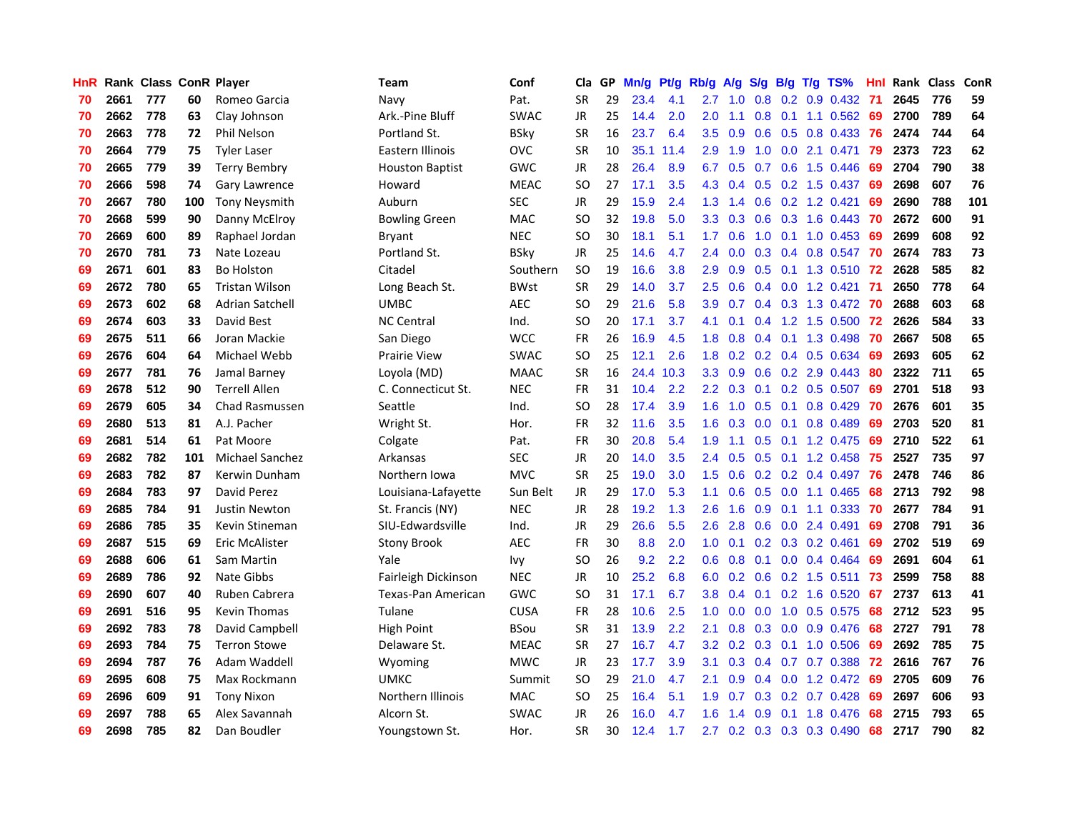| <b>HnR</b> |      | Rank Class ConR Player |     |                        | Team                   | Conf        | Cla       |    | GP Mn/g Pt/g Rb/g |           |                  | A/g                            |     |           | S/g B/g T/g TS%           | Hnl |      | Rank Class | ConR |
|------------|------|------------------------|-----|------------------------|------------------------|-------------|-----------|----|-------------------|-----------|------------------|--------------------------------|-----|-----------|---------------------------|-----|------|------------|------|
| 70         | 2661 | 777                    | 60  | Romeo Garcia           | Navy                   | Pat.        | <b>SR</b> | 29 | 23.4              | 4.1       | 2.7              | 1.0                            | 0.8 | 0.2       | 0.9 0.432                 | -71 | 2645 | 776        | 59   |
| 70         | 2662 | 778                    | 63  | Clay Johnson           | Ark.-Pine Bluff        | <b>SWAC</b> | <b>JR</b> | 25 | 14.4              | 2.0       | 2.0              | 1.1                            | 0.8 | 0.1       | 1.1 0.562                 | 69  | 2700 | 789        | 64   |
| 70         | 2663 | 778                    | 72  | Phil Nelson            | Portland St.           | <b>BSky</b> | <b>SR</b> | 16 | 23.7              | 6.4       | 3.5              | 0.9                            | 0.6 | 0.5       | 0.8 0.433                 | 76  | 2474 | 744        | 64   |
| 70         | 2664 | 779                    | 75  | <b>Tyler Laser</b>     | Eastern Illinois       | <b>OVC</b>  | <b>SR</b> | 10 |                   | 35.1 11.4 | 2.9              | 1.9                            | 1.0 |           | $0.0$ 2.1 $0.471$         | -79 | 2373 | 723        | 62   |
| 70         | 2665 | 779                    | 39  | <b>Terry Bembry</b>    | <b>Houston Baptist</b> | <b>GWC</b>  | JR        | 28 | 26.4              | 8.9       | 6.7              | 0.5                            |     |           | 0.7 0.6 1.5 0.446         | -69 | 2704 | 790        | 38   |
| 70         | 2666 | 598                    | 74  | Gary Lawrence          | Howard                 | <b>MEAC</b> | SO.       | 27 | 17.1              | 3.5       |                  | 4.3 0.4                        |     |           | $0.5$ $0.2$ 1.5 $0.437$   | 69  | 2698 | 607        | 76   |
| 70         | 2667 | 780                    | 100 | <b>Tony Neysmith</b>   | Auburn                 | <b>SEC</b>  | <b>JR</b> | 29 | 15.9              | 2.4       |                  | $1.3 \quad 1.4$                |     |           | $0.6$ $0.2$ 1.2 $0.421$   | 69  | 2690 | 788        | 101  |
| 70         | 2668 | 599                    | 90  | Danny McElroy          | <b>Bowling Green</b>   | <b>MAC</b>  | <b>SO</b> | 32 | 19.8              | 5.0       | 3.3 <sub>2</sub> | 0.3                            |     |           | 0.6 0.3 1.6 0.443         | -70 | 2672 | 600        | 91   |
| 70         | 2669 | 600                    | 89  | Raphael Jordan         | Bryant                 | <b>NEC</b>  | <b>SO</b> | 30 | 18.1              | 5.1       | 1.7              | 0.6                            | 1.0 | 0.1       | 1.0 0.453                 | 69  | 2699 | 608        | 92   |
| 70         | 2670 | 781                    | 73  | Nate Lozeau            | Portland St.           | <b>BSky</b> | JR        | 25 | 14.6              | 4.7       | 2.4              | 0.0                            |     |           | 0.3 0.4 0.8 0.547         | 70  | 2674 | 783        | 73   |
| 69         | 2671 | 601                    | 83  | <b>Bo Holston</b>      | Citadel                | Southern    | <b>SO</b> | 19 | 16.6              | 3.8       | 2.9              | 0.9                            |     |           | 0.5 0.1 1.3 0.510 72      |     | 2628 | 585        | 82   |
| 69         | 2672 | 780                    | 65  | <b>Tristan Wilson</b>  | Long Beach St.         | <b>BWst</b> | <b>SR</b> | 29 | 14.0              | 3.7       | 2.5              | 0.6                            |     |           | $0.4$ 0.0 1.2 0.421       | -71 | 2650 | 778        | 64   |
| 69         | 2673 | 602                    | 68  | <b>Adrian Satchell</b> | <b>UMBC</b>            | <b>AEC</b>  | <b>SO</b> | 29 | 21.6              | 5.8       | 3.9              | 0.7                            |     |           | 0.4 0.3 1.3 0.472         | -70 | 2688 | 603        | 68   |
| 69         | 2674 | 603                    | 33  | David Best             | <b>NC Central</b>      | Ind.        | SO.       | 20 | 17.1              | 3.7       | 4.1              | 0.1                            |     |           | $0.4$ 1.2 1.5 0.500       | 72  | 2626 | 584        | 33   |
| 69         | 2675 | 511                    | 66  | Joran Mackie           | San Diego              | <b>WCC</b>  | <b>FR</b> | 26 | 16.9              | 4.5       | 1.8              | 0.8                            |     |           | $0.4$ 0.1 1.3 0.498       | 70  | 2667 | 508        | 65   |
| 69         | 2676 | 604                    | 64  | Michael Webb           | <b>Prairie View</b>    | <b>SWAC</b> | <b>SO</b> | 25 | 12.1              | 2.6       | 1.8              | 0.2                            |     |           | 0.2 0.4 0.5 0.634         | -69 | 2693 | 605        | 62   |
| 69         | 2677 | 781                    | 76  | Jamal Barney           | Loyola (MD)            | <b>MAAC</b> | <b>SR</b> | 16 | 24.4              | 10.3      | 3.3 <sub>2</sub> | 0.9                            |     |           | $0.6$ $0.2$ $2.9$ $0.443$ | -80 | 2322 | 711        | 65   |
| 69         | 2678 | 512                    | 90  | <b>Terrell Allen</b>   | C. Connecticut St.     | <b>NEC</b>  | <b>FR</b> | 31 | 10.4              | 2.2       |                  | $2.2\quad 0.3$                 |     |           | $0.1$ $0.2$ $0.5$ $0.507$ | -69 | 2701 | 518        | 93   |
| 69         | 2679 | 605                    | 34  | <b>Chad Rasmussen</b>  | Seattle                | Ind.        | <b>SO</b> | 28 | 17.4              | 3.9       |                  | $1.6 \quad 1.0$                |     |           | $0.5$ 0.1 0.8 0.429       | -70 | 2676 | 601        | 35   |
| 69         | 2680 | 513                    | 81  | A.J. Pacher            | Wright St.             | Hor.        | <b>FR</b> | 32 | 11.6              | 3.5       |                  | $1.6 \quad 0.3$                |     |           | $0.0$ 0.1 0.8 0.489       | -69 | 2703 | 520        | 81   |
| 69         | 2681 | 514                    | 61  | Pat Moore              | Colgate                | Pat.        | <b>FR</b> | 30 | 20.8              | 5.4       | 1.9              | 1.1                            |     |           | $0.5$ 0.1 1.2 0.475       | -69 | 2710 | 522        | 61   |
| 69         | 2682 | 782                    | 101 | Michael Sanchez        | Arkansas               | <b>SEC</b>  | JR        | 20 | 14.0              | 3.5       | 2.4              | 0.5                            |     |           | 0.5 0.1 1.2 0.458         | 75  | 2527 | 735        | 97   |
| 69         | 2683 | 782                    | 87  | Kerwin Dunham          | Northern Iowa          | <b>MVC</b>  | <b>SR</b> | 25 | 19.0              | 3.0       | 1.5              | 0.6                            |     |           | $0.2$ 0.2 0.4 0.497       | 76  | 2478 | 746        | 86   |
| 69         | 2684 | 783                    | 97  | David Perez            | Louisiana-Lafayette    | Sun Belt    | JR        | 29 | 17.0              | 5.3       | 1.1              | 0.6                            |     |           | $0.5$ 0.0 1.1 0.465       | 68  | 2713 | 792        | 98   |
| 69         | 2685 | 784                    | 91  | <b>Justin Newton</b>   | St. Francis (NY)       | <b>NEC</b>  | <b>JR</b> | 28 | 19.2              | 1.3       | 2.6              | 1.6                            | 0.9 |           | $0.1$ 1.1 0.333           | 70  | 2677 | 784        | 91   |
| 69         | 2686 | 785                    | 35  | Kevin Stineman         | SIU-Edwardsville       | Ind.        | JR        | 29 | 26.6              | 5.5       | 2.6              | 2.8                            | 0.6 |           | 0.0 2.4 0.491             | 69  | 2708 | 791        | 36   |
| 69         | 2687 | 515                    | 69  | Eric McAlister         | <b>Stony Brook</b>     | <b>AEC</b>  | <b>FR</b> | 30 | 8.8               | 2.0       | 1.0              | 0.1                            |     |           | $0.2$ $0.3$ $0.2$ $0.461$ | -69 | 2702 | 519        | 69   |
| 69         | 2688 | 606                    | 61  | Sam Martin             | Yale                   | Ivy         | <b>SO</b> | 26 | 9.2               | 2.2       | 0.6              | 0.8                            |     |           | $0.1$ 0.0 0.4 0.464       | -69 | 2691 | 604        | 61   |
| 69         | 2689 | 786                    | 92  | Nate Gibbs             | Fairleigh Dickinson    | <b>NEC</b>  | JR        | 10 | 25.2              | 6.8       | 6.0              | 0.2                            |     | $0.6$ 0.2 | 1.5 0.511                 | 73  | 2599 | 758        | 88   |
| 69         | 2690 | 607                    | 40  | Ruben Cabrera          | Texas-Pan American     | <b>GWC</b>  | <b>SO</b> | 31 | 17.1              | 6.7       | 3.8              | 0.4                            | 0.1 |           | 0.2 1.6 0.520             | 67  | 2737 | 613        | 41   |
| 69         | 2691 | 516                    | 95  | <b>Kevin Thomas</b>    | Tulane                 | <b>CUSA</b> | <b>FR</b> | 28 | 10.6              | 2.5       | 1.0              | 0.0                            | 0.0 |           | 1.0 0.5 0.575             | 68  | 2712 | 523        | 95   |
| 69         | 2692 | 783                    | 78  | David Campbell         | High Point             | <b>BSou</b> | <b>SR</b> | 31 | 13.9              | 2.2       | 2.1              | 0.8                            |     |           | $0.3$ 0.0 0.9 0.476       | 68  | 2727 | 791        | 78   |
| 69         | 2693 | 784                    | 75  | <b>Terron Stowe</b>    | Delaware St.           | <b>MEAC</b> | <b>SR</b> | 27 | 16.7              | 4.7       | 3.2 <sub>2</sub> | 0.2                            |     |           | 0.3 0.1 1.0 0.506         | -69 | 2692 | 785        | 75   |
| 69         | 2694 | 787                    | 76  | Adam Waddell           | Wyoming                | <b>MWC</b>  | <b>JR</b> | 23 | 17.7              | 3.9       | 3.1              | 0.3                            |     |           | 0.4 0.7 0.7 0.388         | -72 | 2616 | 767        | 76   |
| 69         | 2695 | 608                    | 75  | Max Rockmann           | <b>UMKC</b>            | Summit      | <b>SO</b> | 29 | 21.0              | 4.7       | 2.1              | 0.9                            |     |           | $0.4$ 0.0 1.2 0.472       | 69  | 2705 | 609        | 76   |
| 69         | 2696 | 609                    | 91  | <b>Tony Nixon</b>      | Northern Illinois      | <b>MAC</b>  | SO.       | 25 | 16.4              | 5.1       | 1.9              | 0.7                            |     |           | $0.3$ $0.2$ $0.7$ $0.428$ | 69  | 2697 | 606        | 93   |
| 69         | 2697 | 788                    | 65  | Alex Savannah          | Alcorn St.             | <b>SWAC</b> | JR        | 26 | 16.0              | 4.7       | 1.6              | -1<br>$\overline{\mathcal{A}}$ | 0.9 | 0.1       | 1.8 0.476                 | 68  | 2715 | 793        | 65   |
| 69         | 2698 | 785                    | 82  | Dan Boudler            | Youngstown St.         | Hor.        | <b>SR</b> | 30 | 12.4              | 1.7       |                  |                                |     |           | 2.7 0.2 0.3 0.3 0.3 0.490 | 68  | 2717 | 790        | 82   |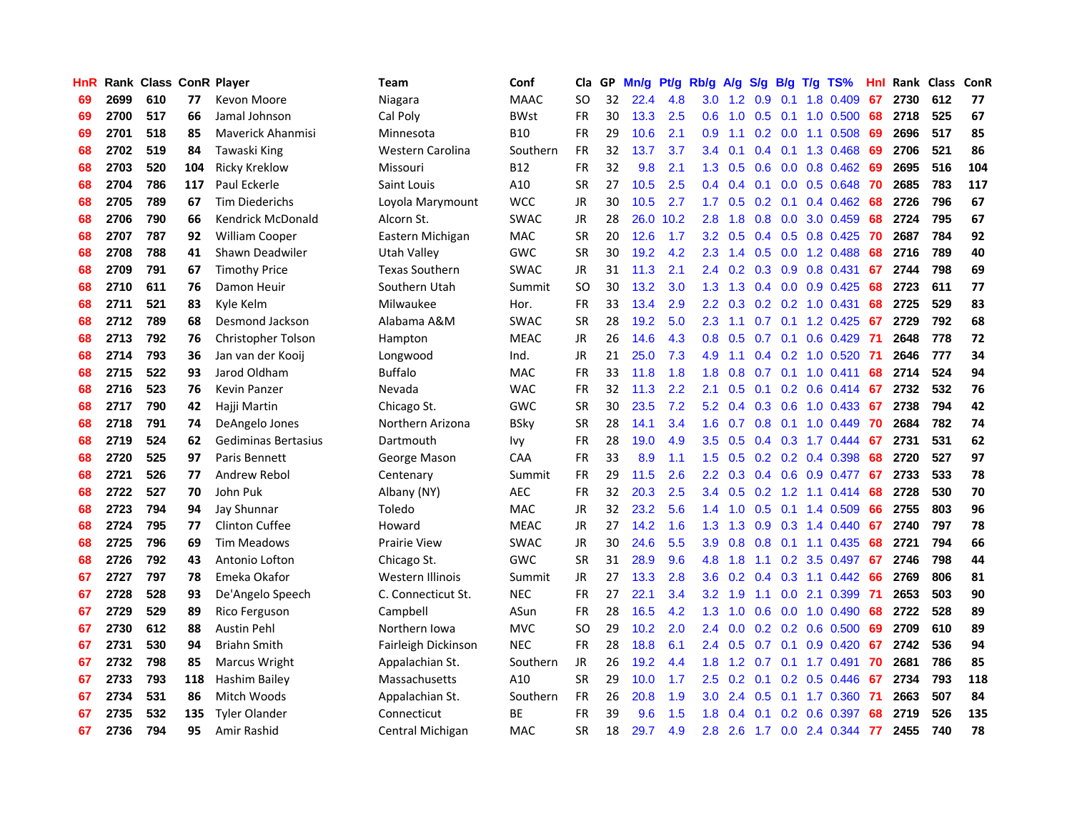| <b>HnR</b> |      | Rank Class ConR Player |     |                          | Team                  | Conf        | Cla       |    | GP Mn/g Pt/g |      | Rb/g             | A/g             |     |                  | S/g B/g T/g TS%           | Hnl | Rank Class |     | <b>ConR</b> |
|------------|------|------------------------|-----|--------------------------|-----------------------|-------------|-----------|----|--------------|------|------------------|-----------------|-----|------------------|---------------------------|-----|------------|-----|-------------|
| 69         | 2699 | 610                    | 77  | Kevon Moore              | Niagara               | <b>MAAC</b> | SO.       | 32 | 22.4         | 4.8  | 3.0              | 1.2             | 0.9 | 0.1              | 1.8 0.409                 | 67  | 2730       | 612 | 77          |
| 69         | 2700 | 517                    | 66  | Jamal Johnson            | Cal Poly              | <b>BWst</b> | <b>FR</b> | 30 | 13.3         | 2.5  | 0.6              | 1.0             | 0.5 | 0.1              | 1.0 0.500                 | 68  | 2718       | 525 | 67          |
| 69         | 2701 | 518                    | 85  | <b>Maverick Ahanmisi</b> | Minnesota             | <b>B10</b>  | <b>FR</b> | 29 | 10.6         | 2.1  | 0.9              | 1.1             | 0.2 | 0.0              | 1.1 0.508                 | 69  | 2696       | 517 | 85          |
| 68         | 2702 | 519                    | 84  | Tawaski King             | Western Carolina      | Southern    | <b>FR</b> | 32 | 13.7         | 3.7  | $3.4^{\circ}$    | 0.1             |     | $0.4 \quad 0.1$  | 1.3 0.468                 | -69 | 2706       | 521 | 86          |
| 68         | 2703 | 520                    | 104 | <b>Ricky Kreklow</b>     | Missouri              | <b>B12</b>  | FR        | 32 | 9.8          | 2.1  |                  | $1.3 \quad 0.5$ |     |                  | $0.6$ $0.0$ $0.8$ $0.462$ | 69  | 2695       | 516 | 104         |
| 68         | 2704 | 786                    | 117 | Paul Eckerle             | Saint Louis           | A10         | <b>SR</b> | 27 | 10.5         | 2.5  |                  | $0.4 \quad 0.4$ |     |                  | $0.1$ 0.0 0.5 0.648       | -70 | 2685       | 783 | 117         |
| 68         | 2705 | 789                    | 67  | <b>Tim Diederichs</b>    | Loyola Marymount      | <b>WCC</b>  | JR        | 30 | 10.5         | 2.7  | 1.7 <sub>z</sub> | 0.5             |     | $0.2 \quad 0.1$  | 0.4 0.462                 | 68  | 2726       | 796 | 67          |
| 68         | 2706 | 790                    | 66  | <b>Kendrick McDonald</b> | Alcorn St.            | <b>SWAC</b> | JR        | 28 | 26.0         | 10.2 | 2.8              | 1.8             | 0.8 |                  | $0.0$ 3.0 $0.459$         | 68  | 2724       | 795 | 67          |
| 68         | 2707 | 787                    | 92  | <b>William Cooper</b>    | Eastern Michigan      | <b>MAC</b>  | <b>SR</b> | 20 | 12.6         | 1.7  | 3.2              | 0.5             |     |                  | 0.4 0.5 0.8 0.425         | 70  | 2687       | 784 | 92          |
| 68         | 2708 | 788                    | 41  | Shawn Deadwiler          | Utah Valley           | GWC         | <b>SR</b> | 30 | 19.2         | 4.2  | 2.3              | 1.4             | 0.5 | 0.0              | 1.2 0.488                 | 68  | 2716       | 789 | 40          |
| 68         | 2709 | 791                    | 67  | <b>Timothy Price</b>     | <b>Texas Southern</b> | <b>SWAC</b> | JR        | 31 | 11.3         | 2.1  | $2.4^{\circ}$    | 0.2             |     |                  | $0.3$ $0.9$ $0.8$ $0.431$ | 67  | 2744       | 798 | 69          |
| 68         | 2710 | 611                    | 76  | Damon Heuir              | Southern Utah         | Summit      | SO.       | 30 | 13.2         | 3.0  | 1.3              | 1.3             |     |                  | $0.4$ 0.0 0.9 0.425       | 68  | 2723       | 611 | 77          |
| 68         | 2711 | 521                    | 83  | Kyle Kelm                | Milwaukee             | Hor.        | FR        | 33 | 13.4         | 2.9  | $2.2^{\circ}$    | 0.3             | 0.2 |                  | 0.2 1.0 0.431             | 68  | 2725       | 529 | 83          |
| 68         | 2712 | 789                    | 68  | Desmond Jackson          | Alabama A&M           | <b>SWAC</b> | <b>SR</b> | 28 | 19.2         | 5.0  | 2.3              | 1.1             | 0.7 | 0.1              | 1.2 0.425                 | 67  | 2729       | 792 | 68          |
| 68         | 2713 | 792                    | 76  | Christopher Tolson       | Hampton               | <b>MEAC</b> | JR        | 26 | 14.6         | 4.3  | 0.8              | 0.5             | 0.7 | 0.1              | $0.6$ $0.429$             | 71  | 2648       | 778 | 72          |
| 68         | 2714 | 793                    | 36  | Jan van der Kooij        | Longwood              | Ind.        | JR        | 21 | 25.0         | 7.3  | 4.9              | 1.1             |     | $0.4$ 0.2        | 1.0 0.520                 | -71 | 2646       | 777 | 34          |
| 68         | 2715 | 522                    | 93  | Jarod Oldham             | <b>Buffalo</b>        | <b>MAC</b>  | <b>FR</b> | 33 | 11.8         | 1.8  | 1.8              | 0.8             | 0.7 | 0.1              | $1.0 \t0.411$             | 68  | 2714       | 524 | 94          |
| 68         | 2716 | 523                    | 76  | <b>Kevin Panzer</b>      | Nevada                | <b>WAC</b>  | <b>FR</b> | 32 | 11.3         | 2.2  | 2.1              | 0.5             | 0.1 |                  | $0.2$ 0.6 0.414           | -67 | 2732       | 532 | 76          |
| 68         | 2717 | 790                    | 42  | Hajji Martin             | Chicago St.           | GWC         | <b>SR</b> | 30 | 23.5         | 7.2  |                  | $5.2 \quad 0.4$ |     |                  | 0.3 0.6 1.0 0.433 67      |     | 2738       | 794 | 42          |
| 68         | 2718 | 791                    | 74  | DeAngelo Jones           | Northern Arizona      | <b>BSky</b> | <b>SR</b> | 28 | 14.1         | 3.4  |                  | $1.6 \quad 0.7$ |     |                  | $0.8$ 0.1 1.0 0.449       | -70 | 2684       | 782 | 74          |
| 68         | 2719 | 524                    | 62  | Gediminas Bertasius      | Dartmouth             | lvy.        | <b>FR</b> | 28 | 19.0         | 4.9  | 3.5              | 0.5             |     |                  | $0.4$ 0.3 1.7 0.444       | -67 | 2731       | 531 | 62          |
| 68         | 2720 | 525                    | 97  | Paris Bennett            | George Mason          | CAA         | FR        | 33 | 8.9          | 1.1  | 1.5              | 0.5             |     |                  | $0.2$ 0.2 0.4 0.398       | 68  | 2720       | 527 | 97          |
| 68         | 2721 | 526                    | 77  | Andrew Rebol             | Centenary             | Summit      | <b>FR</b> | 29 | 11.5         | 2.6  | $2.2^{\circ}$    | 0.3             |     |                  | $0.4$ 0.6 0.9 0.477       | -67 | 2733       | 533 | 78          |
| 68         | 2722 | 527                    | 70  | John Puk                 | Albany (NY)           | <b>AEC</b>  | <b>FR</b> | 32 | 20.3         | 2.5  | 3.4              | 0.5             | 0.2 |                  | 1.2 1.1 0.414             | 68  | 2728       | 530 | 70          |
| 68         | 2723 | 794                    | 94  | Jay Shunnar              | Toledo                | MAC         | JR        | 32 | 23.2         | 5.6  | $1.4^{\circ}$    | 1.0             | 0.5 | 0.1              | 1.4 0.509                 | 66  | 2755       | 803 | 96          |
| 68         | 2724 | 795                    | 77  | <b>Clinton Cuffee</b>    | Howard                | <b>MEAC</b> | JR        | 27 | 14.2         | 1.6  | 1.3 <sub>1</sub> | 1.3             | 0.9 |                  | $0.3$ 1.4 $0.440$         | 67  | 2740       | 797 | 78          |
| 68         | 2725 | 796                    | 69  | <b>Tim Meadows</b>       | Prairie View          | <b>SWAC</b> | JR        | 30 | 24.6         | 5.5  | 3.9              | 0.8             | 0.8 | 0.1              | 1.1 0.435                 | 68  | 2721       | 794 | 66          |
| 68         | 2726 | 792                    | 43  | Antonio Lofton           | Chicago St.           | GWC         | <b>SR</b> | 31 | 28.9         | 9.6  | 4.8              | 1.8             | 1.1 | 0.2              | 3.5 0.497                 | -67 | 2746       | 798 | 44          |
| 67         | 2727 | 797                    | 78  | Emeka Okafor             | Western Illinois      | Summit      | <b>JR</b> | 27 | 13.3         | 2.8  | 3.6              | 0.2             | 0.4 | 0.3              | 1.1 0.442                 | 66  | 2769       | 806 | 81          |
| 67         | 2728 | 528                    | 93  | De'Angelo Speech         | C. Connecticut St.    | <b>NEC</b>  | <b>FR</b> | 27 | 22.1         | 3.4  | 3.2              | 1.9             | 1.1 | 0.0              | 2.1 0.399                 | -71 | 2653       | 503 | 90          |
| 67         | 2729 | 529                    | 89  | Rico Ferguson            | Campbell              | ASun        | <b>FR</b> | 28 | 16.5         | 4.2  | 1.3              | 1.0             | 0.6 | 0.0              | 1.0 0.490                 | 68  | 2722       | 528 | 89          |
| 67         | 2730 | 612                    | 88  | Austin Pehl              | Northern Iowa         | <b>MVC</b>  | SO        | 29 | 10.2         | 2.0  | $2.4^{\circ}$    | 0.0             |     |                  | $0.2$ $0.2$ $0.6$ $0.500$ | -69 | 2709       | 610 | 89          |
| 67         | 2731 | 530                    | 94  | <b>Briahn Smith</b>      | Fairleigh Dickinson   | <b>NEC</b>  | <b>FR</b> | 28 | 18.8         | 6.1  |                  | 2.4 0.5         |     |                  | $0.7$ 0.1 0.9 0.420       | 67  | 2742       | 536 | 94          |
| 67         | 2732 | 798                    | 85  | Marcus Wright            | Appalachian St.       | Southern    | JR        | 26 | 19.2         | 4.4  | 1.8 <sup>1</sup> | 1.2             | 0.7 |                  | 0.1 1.7 0.491             | -70 | 2681       | 786 | 85          |
| 67         | 2733 | 793                    | 118 | Hashim Bailey            | Massachusetts         | A10         | <b>SR</b> | 29 | 10.0         | 1.7  | $2.5^{\circ}$    | 0.2             | 0.1 |                  | $0.2$ 0.5 0.446           | 67  | 2734       | 793 | 118         |
| 67         | 2734 | 531                    | 86  | Mitch Woods              | Appalachian St.       | Southern    | <b>FR</b> | 26 | 20.8         | 1.9  | 3.0              | 2.4             | 0.5 | 0.1              | 1.7 0.360                 | -71 | 2663       | 507 | 84          |
| 67         | 2735 | 532                    | 135 | <b>Tyler Olander</b>     | Connecticut           | <b>BE</b>   | <b>FR</b> | 39 | 9.6          | 1.5  | 1.8              | 0.4             | 0.1 | 0.2 <sub>0</sub> | 0.6 0.397                 | 68  | 2719       | 526 | 135         |
| 67         | 2736 | 794                    | 95  | Amir Rashid              | Central Michigan      | MAC         | <b>SR</b> | 18 | 29.7         | 4.9  | 2.8              | 2.6             |     |                  | 1.7 0.0 2.4 0.344         | 77  | 2455       | 740 | 78          |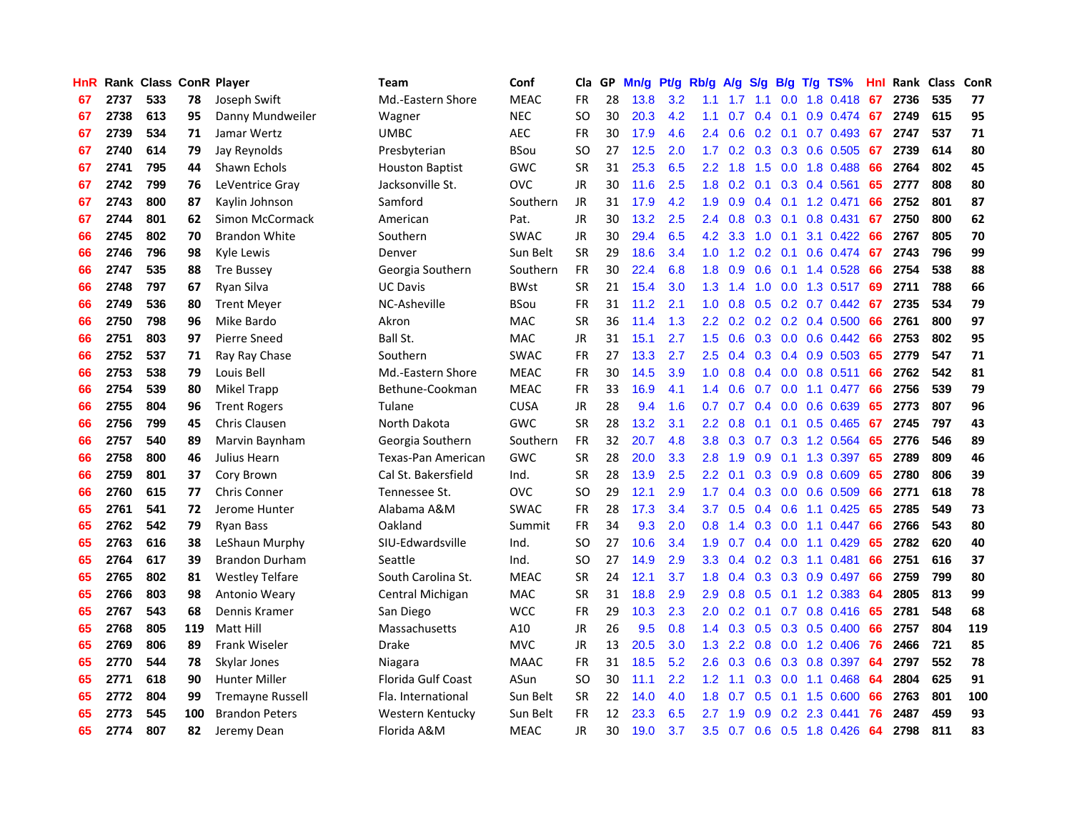| <b>HnR</b> |      | Rank Class ConR Player |     |                         | <b>Team</b>               | Conf        | Cla       |    | GP Mn/g Pt/g |     | Rb/g             | A/g             |                 |                 | S/g B/g T/g TS%           | Hnl | Rank Class |     | ConR |
|------------|------|------------------------|-----|-------------------------|---------------------------|-------------|-----------|----|--------------|-----|------------------|-----------------|-----------------|-----------------|---------------------------|-----|------------|-----|------|
| 67         | 2737 | 533                    | 78  | Joseph Swift            | Md.-Eastern Shore         | <b>MEAC</b> | FR        | 28 | 13.8         | 3.2 | 1.1              | 1.7             | 1.1             | 0.0             | 1.8 0.418                 | 67  | 2736       | 535 | 77   |
| 67         | 2738 | 613                    | 95  | Danny Mundweiler        | Wagner                    | <b>NEC</b>  | SO.       | 30 | 20.3         | 4.2 | 1.1              | 0.7             | $0.4 \quad 0.1$ |                 | 0.9 0.474                 | -67 | 2749       | 615 | 95   |
| 67         | 2739 | 534                    | 71  | Jamar Wertz             | <b>UMBC</b>               | <b>AEC</b>  | <b>FR</b> | 30 | 17.9         | 4.6 | 2.4              | 0.6             | $0.2 \quad 0.1$ |                 | 0.7 0.493                 | -67 | 2747       | 537 | 71   |
| 67         | 2740 | 614                    | 79  | Jay Reynolds            | Presbyterian              | <b>BSou</b> | SO.       | 27 | 12.5         | 2.0 | 1.7              |                 |                 |                 | 0.2 0.3 0.3 0.6 0.505     | 67  | 2739       | 614 | 80   |
| 67         | 2741 | 795                    | 44  | Shawn Echols            | <b>Houston Baptist</b>    | GWC         | <b>SR</b> | 31 | 25.3         | 6.5 |                  | $2.2 \quad 1.8$ |                 |                 | 1.5 0.0 1.8 0.488         | 66  | 2764       | 802 | 45   |
| 67         | 2742 | 799                    | 76  | LeVentrice Gray         | Jacksonville St.          | <b>OVC</b>  | JR        | 30 | 11.6         | 2.5 |                  |                 |                 |                 | 1.8 0.2 0.1 0.3 0.4 0.561 | 65  | 2777       | 808 | 80   |
| 67         | 2743 | 800                    | 87  | Kaylin Johnson          | Samford                   | Southern    | JR        | 31 | 17.9         | 4.2 | 1.9              | 0.9             |                 |                 | $0.4$ 0.1 1.2 0.471       | 66  | 2752       | 801 | 87   |
| 67         | 2744 | 801                    | 62  | Simon McCormack         | American                  | Pat.        | <b>JR</b> | 30 | 13.2         | 2.5 | $2.4^{\circ}$    | 0.8             |                 |                 | 0.3 0.1 0.8 0.431         | 67  | 2750       | 800 | 62   |
| 66         | 2745 | 802                    | 70  | <b>Brandon White</b>    | Southern                  | <b>SWAC</b> | JR        | 30 | 29.4         | 6.5 |                  | 4.2 3.3         | 1.0             | 0.1             | 3.1 0.422                 | 66  | 2767       | 805 | 70   |
| 66         | 2746 | 796                    | 98  | Kyle Lewis              | Denver                    | Sun Belt    | <b>SR</b> | 29 | 18.6         | 3.4 | 1.0 <sub>1</sub> |                 | $1.2$ 0.2 0.1   |                 | 0.6 0.474                 | 67  | 2743       | 796 | 99   |
| 66         | 2747 | 535                    | 88  | <b>Tre Bussey</b>       | Georgia Southern          | Southern    | <b>FR</b> | 30 | 22.4         | 6.8 | 1.8              | 0.9             | 0.6             |                 | $0.1$ 1.4 0.528           | 66  | 2754       | 538 | 88   |
| 66         | 2748 | 797                    | 67  | Ryan Silva              | <b>UC Davis</b>           | <b>BWst</b> | <b>SR</b> | 21 | 15.4         | 3.0 | 1.3              | 1.4             | 1.0             |                 | 0.0 1.3 0.517             | 69  | 2711       | 788 | 66   |
| 66         | 2749 | 536                    | 80  | <b>Trent Meyer</b>      | NC-Asheville              | <b>BSou</b> | <b>FR</b> | 31 | 11.2         | 2.1 | 1.0              | 0.8             | 0.5             |                 | $0.2$ 0.7 0.442           | -67 | 2735       | 534 | 79   |
| 66         | 2750 | 798                    | 96  | Mike Bardo              | Akron                     | MAC         | <b>SR</b> | 36 | 11.4         | 1.3 | $2.2\phantom{0}$ | 0.2             |                 |                 | $0.2$ 0.2 0.4 0.500       | 66  | 2761       | 800 | 97   |
| 66         | 2751 | 803                    | 97  | Pierre Sneed            | Ball St.                  | <b>MAC</b>  | JR        | 31 | 15.1         | 2.7 | 1.5              | 0.6             | 0.3             |                 | $0.0$ 0.6 0.442           | 66  | 2753       | 802 | 95   |
| 66         | 2752 | 537                    | 71  | Ray Ray Chase           | Southern                  | <b>SWAC</b> | <b>FR</b> | 27 | 13.3         | 2.7 | 2.5              | 0.4             |                 |                 | $0.3$ 0.4 0.9 0.503       | 65  | 2779       | 547 | 71   |
| 66         | 2753 | 538                    | 79  | Louis Bell              | Md.-Eastern Shore         | <b>MEAC</b> | <b>FR</b> | 30 | 14.5         | 3.9 | 1.0 <sub>1</sub> | 0.8             |                 |                 | $0.4$ 0.0 0.8 0.511       | 66  | 2762       | 542 | 81   |
| 66         | 2754 | 539                    | 80  | Mikel Trapp             | Bethune-Cookman           | <b>MEAC</b> | FR        | 33 | 16.9         | 4.1 |                  | $1.4 \quad 0.6$ |                 |                 | 0.7 0.0 1.1 0.477         | -66 | 2756       | 539 | 79   |
| 66         | 2755 | 804                    | 96  | <b>Trent Rogers</b>     | Tulane                    | <b>CUSA</b> | JR        | 28 | 9.4          | 1.6 | 0.7              | 0.7             |                 |                 | $0.4$ 0.0 0.6 0.639       | 65  | 2773       | 807 | 96   |
| 66         | 2756 | 799                    | 45  | Chris Clausen           | North Dakota              | GWC         | <b>SR</b> | 28 | 13.2         | 3.1 | $2.2^{\circ}$    | 0.8             |                 |                 | $0.1$ 0.1 0.5 0.465       | 67  | 2745       | 797 | 43   |
| 66         | 2757 | 540                    | 89  | Marvin Baynham          | Georgia Southern          | Southern    | <b>FR</b> | 32 | 20.7         | 4.8 | 3.8 <sub>1</sub> | 0.3             |                 |                 | $0.7$ $0.3$ 1.2 $0.564$   | 65  | 2776       | 546 | 89   |
| 66         | 2758 | 800                    | 46  | Julius Hearn            | Texas-Pan American        | GWC         | <b>SR</b> | 28 | 20.0         | 3.3 | 2.8              | 1.9             |                 |                 | 0.9 0.1 1.3 0.397         | 65  | 2789       | 809 | 46   |
| 66         | 2759 | 801                    | 37  | Cory Brown              | Cal St. Bakersfield       | Ind.        | <b>SR</b> | 28 | 13.9         | 2.5 | $2.2\phantom{0}$ | 0.1             |                 |                 | 0.3 0.9 0.8 0.609         | 65  | 2780       | 806 | 39   |
| 66         | 2760 | 615                    | 77  | <b>Chris Conner</b>     | Tennessee St.             | <b>OVC</b>  | SO.       | 29 | 12.1         | 2.9 | 1.7              | 0.4             |                 |                 | 0.3 0.0 0.6 0.509         | 66  | 2771       | 618 | 78   |
| 65         | 2761 | 541                    | 72  | Jerome Hunter           | Alabama A&M               | <b>SWAC</b> | FR        | 28 | 17.3         | 3.4 | 3.7              | 0.5             |                 |                 | $0.4$ 0.6 1.1 0.425       | 65  | 2785       | 549 | 73   |
| 65         | 2762 | 542                    | 79  | Ryan Bass               | Oakland                   | Summit      | <b>FR</b> | 34 | 9.3          | 2.0 | 0.8 <sub>0</sub> | 1.4             | 0.3             | 0.0             | $1.1 \quad 0.447$         | 66  | 2766       | 543 | 80   |
| 65         | 2763 | 616                    | 38  | LeShaun Murphy          | SIU-Edwardsville          | Ind.        | SO.       | 27 | 10.6         | 3.4 | 1.9              | 0.7             |                 | $0.4\quad 0.0$  | 1.1 0.429                 | 65  | 2782       | 620 | 40   |
| 65         | 2764 | 617                    | 39  | <b>Brandon Durham</b>   | Seattle                   | Ind.        | <b>SO</b> | 27 | 14.9         | 2.9 | 3.3              | 0.4             |                 |                 | $0.2$ $0.3$ 1.1 $0.481$   | 66  | 2751       | 616 | 37   |
| 65         | 2765 | 802                    | 81  | <b>Westley Telfare</b>  | South Carolina St.        | <b>MEAC</b> | <b>SR</b> | 24 | 12.1         | 3.7 | 1.8              | 0.4             |                 | $0.3 \quad 0.3$ | 0.9 0.497                 | 66  | 2759       | 799 | 80   |
| 65         | 2766 | 803                    | 98  | Antonio Weary           | Central Michigan          | MAC         | <b>SR</b> | 31 | 18.8         | 2.9 | 2.9              | 0.8             |                 |                 | $0.5$ 0.1 1.2 0.383       | -64 | 2805       | 813 | 99   |
| 65         | 2767 | 543                    | 68  | Dennis Kramer           | San Diego                 | <b>WCC</b>  | <b>FR</b> | 29 | 10.3         | 2.3 | 2.0              |                 |                 |                 | $0.2$ 0.1 0.7 0.8 0.416   | 65  | 2781       | 548 | 68   |
| 65         | 2768 | 805                    | 119 | Matt Hill               | Massachusetts             | A10         | JR        | 26 | 9.5          | 0.8 |                  |                 |                 |                 | 1.4 0.3 0.5 0.3 0.5 0.400 | 66  | 2757       | 804 | 119  |
| 65         | 2769 | 806                    | 89  | <b>Frank Wiseler</b>    | <b>Drake</b>              | <b>MVC</b>  | JR        | 13 | 20.5         | 3.0 |                  | $1.3$ 2.2       |                 |                 | $0.8$ 0.0 1.2 0.406       | -76 | 2466       | 721 | 85   |
| 65         | 2770 | 544                    | 78  | Skylar Jones            | Niagara                   | <b>MAAC</b> | <b>FR</b> | 31 | 18.5         | 5.2 | 2.6              | 0.3             | 0.6             |                 | 0.3 0.8 0.397             | 64  | 2797       | 552 | 78   |
| 65         | 2771 | 618                    | 90  | <b>Hunter Miller</b>    | <b>Florida Gulf Coast</b> | ASun        | <b>SO</b> | 30 | 11.1         | 2.2 | 1.2 <sub>2</sub> | 1.1             |                 | $0.3\ 0.0$      | 1.1 0.468                 | 64  | 2804       | 625 | 91   |
| 65         | 2772 | 804                    | 99  | <b>Tremayne Russell</b> | Fla. International        | Sun Belt    | <b>SR</b> | 22 | 14.0         | 4.0 | 1.8              | 0.7             | 0.5             | 0.1             | 1.5 0.600                 | 66  | 2763       | 801 | 100  |
| 65         | 2773 | 545                    | 100 | <b>Brandon Peters</b>   | Western Kentucky          | Sun Belt    | <b>FR</b> | 12 | 23.3         | 6.5 | 2.7              | 1.9             | 0.9             |                 | $0.2$ 2.3 0.441           | 76  | 2487       | 459 | 93   |
| 65         | 2774 | 807                    | 82  | Jeremy Dean             | Florida A&M               | <b>MEAC</b> | <b>JR</b> | 30 | 19.0         | 3.7 | 3.5              |                 |                 |                 | 0.7 0.6 0.5 1.8 0.426     | -64 | 2798       | 811 | 83   |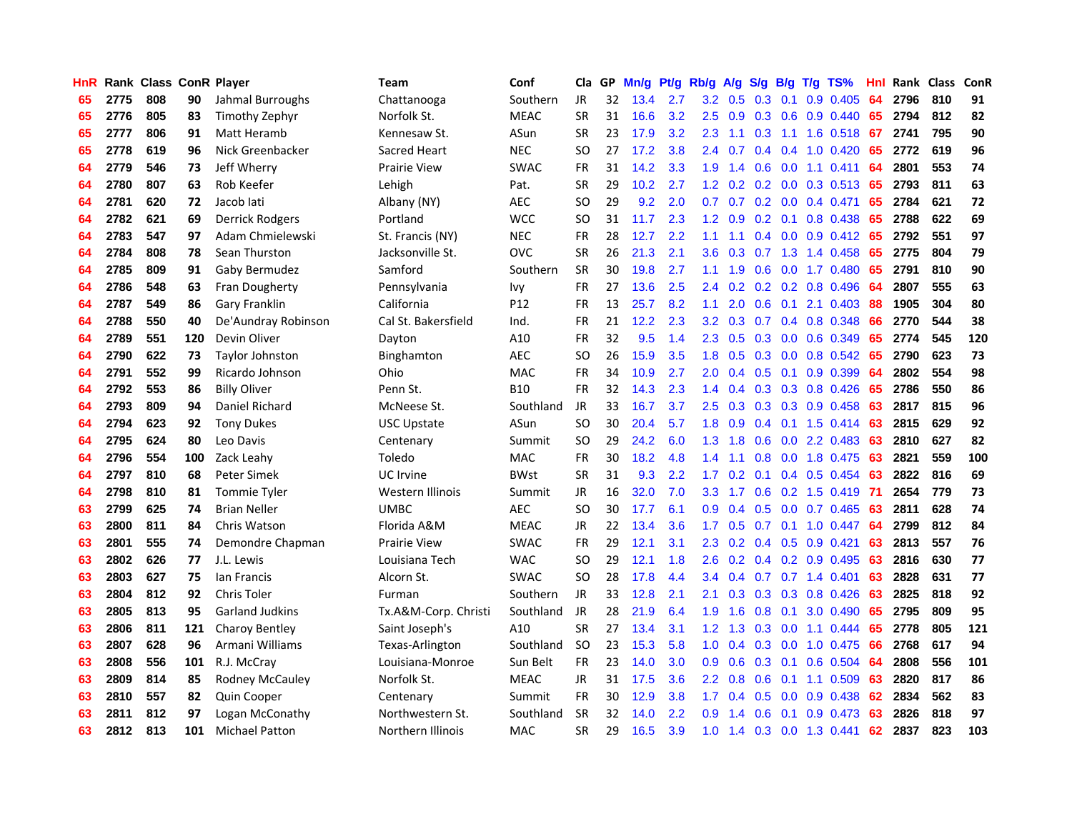| HnR |      | Rank Class ConR Player |     |                        | Team                 | Conf        | Cla       |    | GP Mn/g Pt/g Rb/g A/g |     |                  |                                |     |                 | S/g B/g T/g TS%           | Hnl | Rank Class |     | <b>ConR</b> |
|-----|------|------------------------|-----|------------------------|----------------------|-------------|-----------|----|-----------------------|-----|------------------|--------------------------------|-----|-----------------|---------------------------|-----|------------|-----|-------------|
| 65  | 2775 | 808                    | 90  | Jahmal Burroughs       | Chattanooga          | Southern    | JR        | 32 | 13.4                  | 2.7 | 3.2              | 0.5                            | 0.3 | 0.1             | 0.9 0.405                 | 64  | 2796       | 810 | 91          |
| 65  | 2776 | 805                    | 83  | Timothy Zephyr         | Norfolk St.          | <b>MEAC</b> | <b>SR</b> | 31 | 16.6                  | 3.2 | 2.5              | 0.9                            |     | $0.3 \quad 0.6$ | $0.9$ $0.440$             | 65  | 2794       | 812 | 82          |
| 65  | 2777 | 806                    | 91  | Matt Heramb            | Kennesaw St.         | ASun        | <b>SR</b> | 23 | 17.9                  | 3.2 | $2.3\phantom{0}$ | 1.1                            | 0.3 | 1.1             | 1.6 0.518                 | 67  | 2741       | 795 | 90          |
| 65  | 2778 | 619                    | 96  | Nick Greenbacker       | Sacred Heart         | <b>NEC</b>  | <b>SO</b> | 27 | 17.2                  | 3.8 | 2.4              | 0.7                            |     |                 | $0.4$ 0.4 1.0 0.420       | 65  | 2772       | 619 | 96          |
| 64  | 2779 | 546                    | 73  | Jeff Wherry            | <b>Prairie View</b>  | <b>SWAC</b> | <b>FR</b> | 31 | 14.2                  | 3.3 |                  | $1.9$ 1.4                      |     |                 | $0.6$ $0.0$ 1.1 $0.411$   | -64 | 2801       | 553 | 74          |
| 64  | 2780 | 807                    | 63  | Rob Keefer             | Lehigh               | Pat.        | <b>SR</b> | 29 | 10.2                  | 2.7 |                  | $1.2 \quad 0.2$                |     |                 | 0.2 0.0 0.3 0.513 65      |     | 2793       | 811 | 63          |
| 64  | 2781 | 620                    | 72  | Jacob lati             | Albany (NY)          | <b>AEC</b>  | SO.       | 29 | 9.2                   | 2.0 | 0.7              | 0.7                            |     |                 | $0.2$ 0.0 0.4 0.471       | 65  | 2784       | 621 | 72          |
| 64  | 2782 | 621                    | 69  | <b>Derrick Rodgers</b> | Portland             | <b>WCC</b>  | <b>SO</b> | 31 | 11.7                  | 2.3 | 1.2              | 0.9                            |     |                 | $0.2$ 0.1 0.8 0.438       | -65 | 2788       | 622 | 69          |
| 64  | 2783 | 547                    | 97  | Adam Chmielewski       | St. Francis (NY)     | <b>NEC</b>  | <b>FR</b> | 28 | 12.7                  | 2.2 | 1.1              | 1.1                            |     |                 | $0.4$ 0.0 0.9 0.412       | 65  | 2792       | 551 | 97          |
| 64  | 2784 | 808                    | 78  | Sean Thurston          | Jacksonville St.     | <b>OVC</b>  | <b>SR</b> | 26 | 21.3                  | 2.1 | 3.6              | 0.3                            | 0.7 |                 | 1.3 1.4 0.458             | 65  | 2775       | 804 | 79          |
| 64  | 2785 | 809                    | 91  | Gaby Bermudez          | Samford              | Southern    | <b>SR</b> | 30 | 19.8                  | 2.7 | 1.1              | 1.9                            | 0.6 |                 | 0.0 1.7 0.480             | 65  | 2791       | 810 | 90          |
| 64  | 2786 | 548                    | 63  | Fran Dougherty         | Pennsylvania         | Ivy         | <b>FR</b> | 27 | 13.6                  | 2.5 | 2.4              | 0.2                            |     |                 | 0.2 0.2 0.8 0.496         | 64  | 2807       | 555 | 63          |
| 64  | 2787 | 549                    | 86  | Gary Franklin          | California           | P12         | <b>FR</b> | 13 | 25.7                  | 8.2 | 1.1              | 2.0                            | 0.6 | 0.1             | 2.1 0.403                 | 88  | 1905       | 304 | 80          |
| 64  | 2788 | 550                    | 40  | De'Aundray Robinson    | Cal St. Bakersfield  | Ind.        | <b>FR</b> | 21 | 12.2                  | 2.3 | 3.2              | 0.3                            | 0.7 |                 | 0.4 0.8 0.348             | 66  | 2770       | 544 | 38          |
| 64  | 2789 | 551                    | 120 | Devin Oliver           | Dayton               | A10         | <b>FR</b> | 32 | 9.5                   | 1.4 | 2.3              | 0.5                            | 0.3 | 0.0             | 0.6 0.349                 | 65  | 2774       | 545 | 120         |
| 64  | 2790 | 622                    | 73  | <b>Taylor Johnston</b> | Binghamton           | AEC         | SO.       | 26 | 15.9                  | 3.5 | 1.8              | 0.5                            |     | $0.3 \ 0.0$     | 0.8 0.542                 | 65  | 2790       | 623 | 73          |
| 64  | 2791 | 552                    | 99  | Ricardo Johnson        | Ohio                 | <b>MAC</b>  | <b>FR</b> | 34 | 10.9                  | 2.7 | 2.0              | 0.4                            |     | $0.5 \quad 0.1$ | 0.9 0.399                 | -64 | 2802       | 554 | 98          |
| 64  | 2792 | 553                    | 86  | <b>Billy Oliver</b>    | Penn St.             | <b>B10</b>  | <b>FR</b> | 32 | 14.3                  | 2.3 |                  | $1.4 \quad 0.4$                |     |                 | $0.3$ $0.3$ $0.8$ $0.426$ | -65 | 2786       | 550 | 86          |
| 64  | 2793 | 809                    | 94  | Daniel Richard         | McNeese St.          | Southland   | JR        | 33 | 16.7                  | 3.7 |                  | $2.5 \quad 0.3$                |     |                 | 0.3 0.3 0.9 0.458         | 63  | 2817       | 815 | 96          |
| 64  | 2794 | 623                    | 92  | <b>Tony Dukes</b>      | <b>USC Upstate</b>   | ASun        | <b>SO</b> | 30 | 20.4                  | 5.7 |                  | $1.8\quad 0.9$                 |     |                 | $0.4$ 0.1 1.5 0.414       | 63  | 2815       | 629 | 92          |
| 64  | 2795 | 624                    | 80  | Leo Davis              | Centenary            | Summit      | <b>SO</b> | 29 | 24.2                  | 6.0 |                  | $1.3 \quad 1.8$                |     |                 | $0.6$ $0.0$ 2.2 $0.483$   | 63  | 2810       | 627 | 82          |
| 64  | 2796 | 554                    | 100 | Zack Leahy             | Toledo               | MAC         | <b>FR</b> | 30 | 18.2                  | 4.8 | $1.4^{\circ}$    | 1.1                            |     |                 | 0.8 0.0 1.8 0.475         | 63  | 2821       | 559 | 100         |
| 64  | 2797 | 810                    | 68  | <b>Peter Simek</b>     | UC Irvine            | <b>BWst</b> | <b>SR</b> | 31 | 9.3                   | 2.2 | 1.7 <sup>2</sup> | 0.2                            | 0.1 |                 | $0.4$ 0.5 0.454           | 63  | 2822       | 816 | 69          |
| 64  | 2798 | 810                    | 81  | <b>Tommie Tyler</b>    | Western Illinois     | Summit      | JR        | 16 | 32.0                  | 7.0 | 3.3              | 1.7                            |     |                 | $0.6$ $0.2$ 1.5 $0.419$   | -71 | 2654       | 779 | 73          |
| 63  | 2799 | 625                    | 74  | <b>Brian Neller</b>    | <b>UMBC</b>          | <b>AEC</b>  | SO.       | 30 | 17.7                  | 6.1 | 0.9              | 0.4                            |     |                 | 0.5 0.0 0.7 0.465         | 63  | 2811       | 628 | 74          |
| 63  | 2800 | 811                    | 84  | Chris Watson           | Florida A&M          | <b>MEAC</b> | JR        | 22 | 13.4                  | 3.6 | 1.7 <sub>2</sub> | 0.5                            | 0.7 |                 | $0.1$ 1.0 0.447           | 64  | 2799       | 812 | 84          |
| 63  | 2801 | 555                    | 74  | Demondre Chapman       | <b>Prairie View</b>  | <b>SWAC</b> | <b>FR</b> | 29 | 12.1                  | 3.1 | $2.3\phantom{0}$ | 0.2                            |     |                 | $0.4$ 0.5 0.9 0.421       | 63  | 2813       | 557 | 76          |
| 63  | 2802 | 626                    | 77  | J.L. Lewis             | Louisiana Tech       | <b>WAC</b>  | <b>SO</b> | 29 | 12.1                  | 1.8 | 2.6              | 0.2                            |     |                 | $0.4$ 0.2 0.9 0.495       | 63  | 2816       | 630 | 77          |
| 63  | 2803 | 627                    | 75  | lan Francis            | Alcorn St.           | <b>SWAC</b> | <b>SO</b> | 28 | 17.8                  | 4.4 | 3.4              | 0.4                            | 0.7 |                 | $0.7$ 1.4 $0.401$         | 63  | 2828       | 631 | 77          |
| 63  | 2804 | 812                    | 92  | Chris Toler            | Furman               | Southern    | JR        | 33 | 12.8                  | 2.1 | 2.1              | 0.3                            |     |                 | 0.3 0.3 0.8 0.426         | 63  | 2825       | 818 | 92          |
| 63  | 2805 | 813                    | 95  | <b>Garland Judkins</b> | Tx.A&M-Corp. Christi | Southland   | JR        | 28 | 21.9                  | 6.4 | 1.9              | 1.6                            | 0.8 | 0.1             | 3.0 0.490                 | 65  | 2795       | 809 | 95          |
| 63  | 2806 | 811                    | 121 | <b>Charoy Bentley</b>  | Saint Joseph's       | A10         | <b>SR</b> | 27 | 13.4                  | 3.1 |                  | $1.2 \quad 1.3$                |     |                 | $0.3$ 0.0 1.1 0.444       | 65  | 2778       | 805 | 121         |
| 63  | 2807 | 628                    | 96  | Armani Williams        | Texas-Arlington      | Southland   | <b>SO</b> | 23 | 15.3                  | 5.8 |                  | $1.0 \quad 0.4$                |     | $0.3 \ 0.0$     | 1.0 0.475                 | 66  | 2768       | 617 | 94          |
| 63  | 2808 | 556                    | 101 | R.J. McCray            | Louisiana-Monroe     | Sun Belt    | <b>FR</b> | 23 | 14.0                  | 3.0 | 0.9              | 0.6                            |     | $0.3 \quad 0.1$ | 0.6 0.504                 | 64  | 2808       | 556 | 101         |
| 63  | 2809 | 814                    | 85  | <b>Rodney McCauley</b> | Norfolk St.          | <b>MEAC</b> | JR        | 31 | 17.5                  | 3.6 | 2.2              | 0.8                            | 0.6 |                 | 0.1 1.1 0.509             | 63  | 2820       | 817 | 86          |
| 63  | 2810 | 557                    | 82  | Quin Cooper            | Centenary            | Summit      | <b>FR</b> | 30 | 12.9                  | 3.8 | 1.7              | 0.4                            | 0.5 | 0.0             | 0.9 0.438                 | 62  | 2834       | 562 | 83          |
| 63  | 2811 | 812                    | 97  | Logan McConathy        | Northwestern St.     | Southland   | <b>SR</b> | 32 | 14.0                  | 2.2 | 0.9              | -1<br>$\overline{\mathcal{A}}$ | 0.6 | 0.1             | 0.9 0.473                 | 63  | 2826       | 818 | 97          |
| 63  | 2812 | 813                    | 101 | <b>Michael Patton</b>  | Northern Illinois    | <b>MAC</b>  | <b>SR</b> | 29 | 16.5                  | 3.9 | 1.0 <sub>1</sub> | 1.4                            |     |                 | $0.3$ 0.0 1.3 0.441       | 62  | 2837       | 823 | 103         |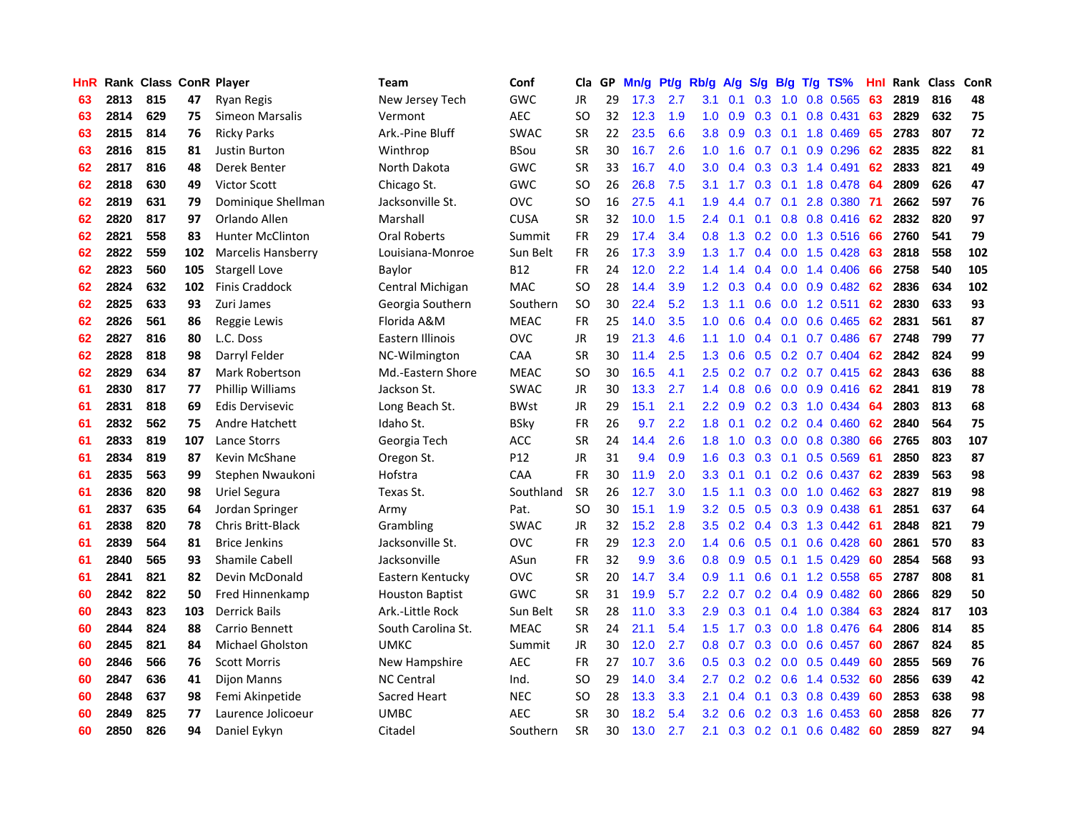| <b>HnR</b> |      | Rank Class ConR Player |     |                           | Team                   | Conf        | Cla       |    | GP Mn/g Pt/g Rb/g A/g |     |                  |                 |                  |                 | S/g B/g T/g TS%                 | Hnl | Rank Class |     | <b>ConR</b> |
|------------|------|------------------------|-----|---------------------------|------------------------|-------------|-----------|----|-----------------------|-----|------------------|-----------------|------------------|-----------------|---------------------------------|-----|------------|-----|-------------|
| 63         | 2813 | 815                    | 47  | <b>Ryan Regis</b>         | New Jersey Tech        | GWC         | JR        | 29 | 17.3                  | 2.7 | 3.1              | 0.1             | 0.3              | 1.0             | 0.8 0.565                       | 63  | 2819       | 816 | 48          |
| 63         | 2814 | 629                    | 75  | Simeon Marsalis           | Vermont                | <b>AEC</b>  | SO.       | 32 | 12.3                  | 1.9 | 1.0              | 0.9             | 0.3              | 0.1             | 0.8 0.431                       | 63  | 2829       | 632 | 75          |
| 63         | 2815 | 814                    | 76  | <b>Ricky Parks</b>        | Ark.-Pine Bluff        | <b>SWAC</b> | <b>SR</b> | 22 | 23.5                  | 6.6 | 3.8              | 0.9             | 0.3              | 0.1             | 1.8 0.469                       | 65  | 2783       | 807 | 72          |
| 63         | 2816 | 815                    | 81  | <b>Justin Burton</b>      | Winthrop               | <b>BSou</b> | <b>SR</b> | 30 | 16.7                  | 2.6 | 1.0 <sub>1</sub> | 1.6             |                  | $0.7 \quad 0.1$ | 0.9 0.296                       | 62  | 2835       | 822 | 81          |
| 62         | 2817 | 816                    | 48  | Derek Benter              | North Dakota           | <b>GWC</b>  | <b>SR</b> | 33 | 16.7                  | 4.0 | 3.0 <sub>2</sub> | 0.4             |                  |                 | 0.3 0.3 1.4 0.491               | 62  | 2833       | 821 | 49          |
| 62         | 2818 | 630                    | 49  | <b>Victor Scott</b>       | Chicago St.            | <b>GWC</b>  | SO.       | 26 | 26.8                  | 7.5 |                  | $3.1 \quad 1.7$ |                  |                 | 0.3 0.1 1.8 0.478               | -64 | 2809       | 626 | 47          |
| 62         | 2819 | 631                    | 79  | Dominique Shellman        | Jacksonville St.       | <b>OVC</b>  | SO.       | 16 | 27.5                  | 4.1 | 1.9              | 4.4             |                  |                 | 0.7 0.1 2.8 0.380 71            |     | 2662       | 597 | 76          |
| 62         | 2820 | 817                    | 97  | Orlando Allen             | Marshall               | <b>CUSA</b> | <b>SR</b> | 32 | 10.0                  | 1.5 | $2.4^{\circ}$    | 0.1             |                  |                 | $0.1$ $0.8$ $0.8$ $0.416$       | -62 | 2832       | 820 | 97          |
| 62         | 2821 | 558                    | 83  | <b>Hunter McClinton</b>   | <b>Oral Roberts</b>    | Summit      | FR        | 29 | 17.4                  | 3.4 | 0.8              | 1.3             |                  |                 | 0.2 0.0 1.3 0.516               | 66  | 2760       | 541 | 79          |
| 62         | 2822 | 559                    | 102 | <b>Marcelis Hansberry</b> | Louisiana-Monroe       | Sun Belt    | FR        | 26 | 17.3                  | 3.9 | 1.3              | 1.7             |                  |                 | 0.4 0.0 1.5 0.428               | 63  | 2818       | 558 | 102         |
| 62         | 2823 | 560                    | 105 | <b>Stargell Love</b>      | Baylor                 | <b>B12</b>  | <b>FR</b> | 24 | 12.0                  | 2.2 | $1.4^{\circ}$    | 1.4             |                  |                 | $0.4$ 0.0 1.4 0.406             | 66  | 2758       | 540 | 105         |
| 62         | 2824 | 632                    | 102 | <b>Finis Craddock</b>     | Central Michigan       | <b>MAC</b>  | SO.       | 28 | 14.4                  | 3.9 | 1.2              | 0.3             |                  |                 | $0.4$ 0.0 0.9 0.482             | 62  | 2836       | 634 | 102         |
| 62         | 2825 | 633                    | 93  | Zuri James                | Georgia Southern       | Southern    | <b>SO</b> | 30 | 22.4                  | 5.2 | 1.3              | 1.1             | 0.6 <sub>0</sub> | 0.0             | 1.2 0.511                       | 62  | 2830       | 633 | 93          |
| 62         | 2826 | 561                    | 86  | Reggie Lewis              | Florida A&M            | <b>MEAC</b> | <b>FR</b> | 25 | 14.0                  | 3.5 | 1.0              | 0.6             |                  | $0.4\quad 0.0$  | 0.6 0.465                       | 62  | 2831       | 561 | 87          |
| 62         | 2827 | 816                    | 80  | L.C. Doss                 | Eastern Illinois       | <b>OVC</b>  | <b>JR</b> | 19 | 21.3                  | 4.6 | 1.1              | 1.0             | 0.4              | 0.1             | 0.7 0.486                       | 67  | 2748       | 799 | 77          |
| 62         | 2828 | 818                    | 98  | Darryl Felder             | NC-Wilmington          | CAA         | <b>SR</b> | 30 | 11.4                  | 2.5 | 1.3              | 0.6             |                  |                 | $0.5$ $0.2$ $0.7$ $0.404$       | 62  | 2842       | 824 | 99          |
| 62         | 2829 | 634                    | 87  | Mark Robertson            | Md.-Eastern Shore      | <b>MEAC</b> | <b>SO</b> | 30 | 16.5                  | 4.1 | 2.5              | 0.2             |                  |                 | $0.7$ $0.2$ $0.7$ $0.415$       | -62 | 2843       | 636 | 88          |
| 61         | 2830 | 817                    | 77  | <b>Phillip Williams</b>   | Jackson St.            | <b>SWAC</b> | JR        | 30 | 13.3                  | 2.7 |                  | $1.4 \quad 0.8$ |                  |                 | $0.6$ $0.0$ $0.9$ $0.416$       | -62 | 2841       | 819 | 78          |
| 61         | 2831 | 818                    | 69  | <b>Edis Dervisevic</b>    | Long Beach St.         | <b>BWst</b> | JR        | 29 | 15.1                  | 2.1 |                  | $2.2 \quad 0.9$ |                  |                 | 0.2 0.3 1.0 0.434 64            |     | 2803       | 813 | 68          |
| 61         | 2832 | 562                    | 75  | Andre Hatchett            | Idaho St.              | <b>BSky</b> | <b>FR</b> | 26 | 9.7                   | 2.2 |                  | $1.8 \quad 0.1$ |                  |                 | $0.2$ 0.2 0.4 0.460             | 62  | 2840       | 564 | 75          |
| 61         | 2833 | 819                    | 107 | Lance Storrs              | Georgia Tech           | ACC         | <b>SR</b> | 24 | 14.4                  | 2.6 |                  | $1.8 \quad 1.0$ |                  |                 | $0.3$ $0.0$ $0.8$ $0.380$       | 66  | 2765       | 803 | 107         |
| 61         | 2834 | 819                    | 87  | Kevin McShane             | Oregon St.             | P12         | JR        | 31 | 9.4                   | 0.9 | 1.6              | 0.3             |                  |                 | $0.3$ 0.1 0.5 0.569             | -61 | 2850       | 823 | 87          |
| 61         | 2835 | 563                    | 99  | Stephen Nwaukoni          | Hofstra                | <b>CAA</b>  | <b>FR</b> | 30 | 11.9                  | 2.0 | 3.3 <sub>2</sub> | 0.1             |                  |                 | $0.1$ $0.2$ $0.6$ $0.437$       | 62  | 2839       | 563 | 98          |
| 61         | 2836 | 820                    | 98  | <b>Uriel Segura</b>       | Texas St.              | Southland   | <b>SR</b> | 26 | 12.7                  | 3.0 | 1.5              | 1.1             |                  |                 | 0.3 0.0 1.0 0.462               | 63  | 2827       | 819 | 98          |
| 61         | 2837 | 635                    | 64  | Jordan Springer           | Army                   | Pat.        | <b>SO</b> | 30 | 15.1                  | 1.9 | 3.2              | 0.5             |                  |                 | 0.5 0.3 0.9 0.438               | -61 | 2851       | 637 | 64          |
| 61         | 2838 | 820                    | 78  | <b>Chris Britt-Black</b>  | Grambling              | <b>SWAC</b> | <b>JR</b> | 32 | 15.2                  | 2.8 | 3.5              | 0.2             |                  |                 | $0.4$ 0.3 1.3 0.442             | -61 | 2848       | 821 | 79          |
| 61         | 2839 | 564                    | 81  | <b>Brice Jenkins</b>      | Jacksonville St.       | <b>OVC</b>  | <b>FR</b> | 29 | 12.3                  | 2.0 | $1.4^{\circ}$    | 0.6             | 0.5              | 0.1             | $0.6$ 0.428                     | -60 | 2861       | 570 | 83          |
| 61         | 2840 | 565                    | 93  | <b>Shamile Cabell</b>     | Jacksonville           | ASun        | FR        | 32 | 9.9                   | 3.6 | 0.8 <sub>0</sub> | 0.9             |                  |                 | $0.5$ 0.1 1.5 0.429             | 60  | 2854       | 568 | 93          |
| 61         | 2841 | 821                    | 82  | Devin McDonald            | Eastern Kentucky       | OVC         | <b>SR</b> | 20 | 14.7                  | 3.4 | 0.9              | 1.1             | 0.6              | 0.1             | 1.2 0.558                       | 65  | 2787       | 808 | 81          |
| 60         | 2842 | 822                    | 50  | Fred Hinnenkamp           | <b>Houston Baptist</b> | GWC         | <b>SR</b> | 31 | 19.9                  | 5.7 | $2.2\phantom{0}$ | 0.7             |                  | $0.2 \quad 0.4$ | $0.9$ $0.482$                   | 60  | 2866       | 829 | 50          |
| 60         | 2843 | 823                    | 103 | <b>Derrick Bails</b>      | Ark.-Little Rock       | Sun Belt    | <b>SR</b> | 28 | 11.0                  | 3.3 | 2.9              | 0.3             | 0.1              |                 | $0.4$ 1.0 0.384                 | 63  | 2824       | 817 | 103         |
| 60         | 2844 | 824                    | 88  | Carrio Bennett            | South Carolina St.     | <b>MEAC</b> | <b>SR</b> | 24 | 21.1                  | 5.4 |                  | $1.5$ 1.7       |                  |                 | 0.3 0.0 1.8 0.476               | -64 | 2806       | 814 | 85          |
| 60         | 2845 | 821                    | 84  | <b>Michael Gholston</b>   | <b>UMKC</b>            | Summit      | JR        | 30 | 12.0                  | 2.7 |                  | $0.8\quad 0.7$  |                  |                 | $0.3$ 0.0 0.6 0.457             | -60 | 2867       | 824 | 85          |
| 60         | 2846 | 566                    | 76  | <b>Scott Morris</b>       | New Hampshire          | <b>AEC</b>  | <b>FR</b> | 27 | 10.7                  | 3.6 | 0.5              | 0.3             |                  |                 | $0.2$ 0.0 0.5 0.449             | 60  | 2855       | 569 | 76          |
| 60         | 2847 | 636                    | 41  | <b>Dijon Manns</b>        | <b>NC Central</b>      | Ind.        | <b>SO</b> | 29 | 14.0                  | 3.4 | 2.7              | 0.2             |                  |                 | $0.2$ $0.6$ 1.4 $0.532$         | 60  | 2856       | 639 | 42          |
| 60         | 2848 | 637                    | 98  | Femi Akinpetide           | Sacred Heart           | <b>NEC</b>  | SO.       | 28 | 13.3                  | 3.3 | 2.1              | 0.4             | 0.1              |                 | $0.3$ 0.8 0.439                 | 60  | 2853       | 638 | 98          |
| 60         | 2849 | 825                    | 77  | Laurence Jolicoeur        | <b>UMBC</b>            | <b>AEC</b>  | <b>SR</b> | 30 | 18.2                  | 5.4 | 3.2 <sub>2</sub> | 0.6             | 0.2              | 0.3             | 1.6 0.453                       | 60  | 2858       | 826 | 77          |
| 60         | 2850 | 826                    | 94  | Daniel Eykyn              | Citadel                | Southern    | <b>SR</b> | 30 | 13.0                  | 2.7 | 2.1              |                 |                  |                 | $0.3$ $0.2$ $0.1$ $0.6$ $0.482$ | -60 | 2859       | 827 | 94          |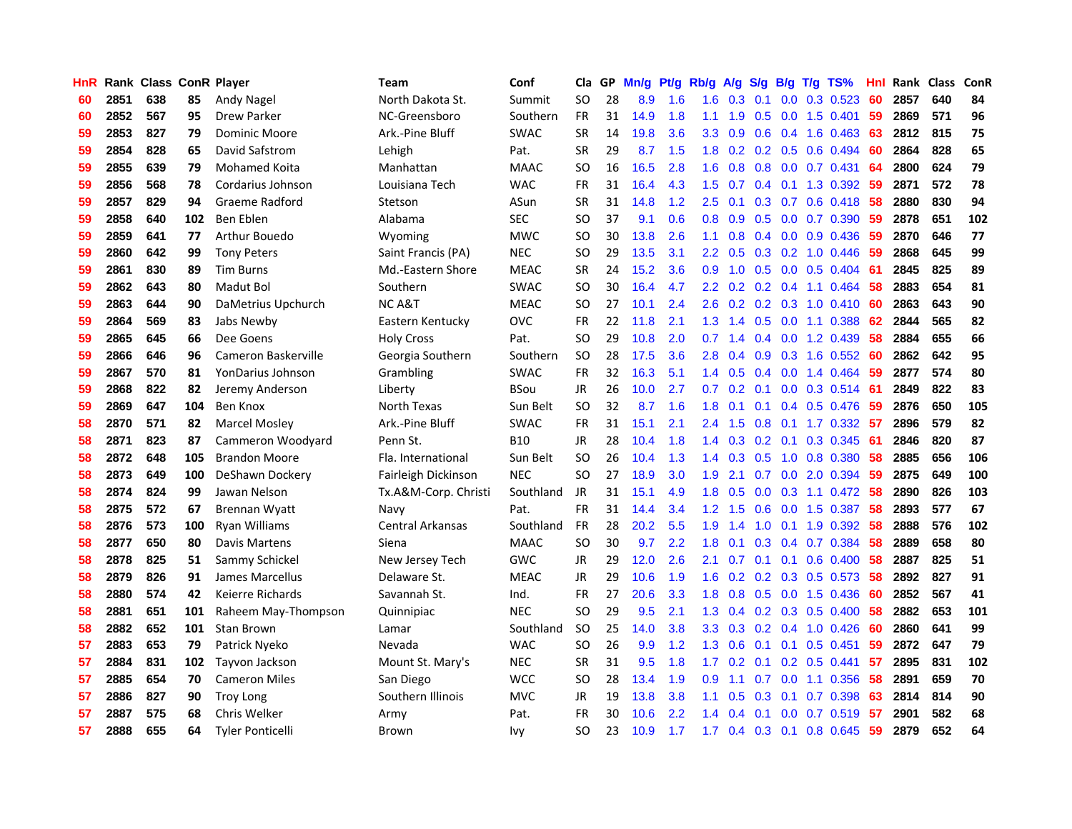| HnR |      |     |     | Rank Class ConR Player  | Team                    | Conf        | Cla           | GP. | Mn/g Pt/g |     | Rb/g A/g         |                 | <b>S/g</b> |                 | B/g T/g TS%               | Hnl |      | Rank Class | ConR |
|-----|------|-----|-----|-------------------------|-------------------------|-------------|---------------|-----|-----------|-----|------------------|-----------------|------------|-----------------|---------------------------|-----|------|------------|------|
| 60  | 2851 | 638 | 85  | Andy Nagel              | North Dakota St.        | Summit      | <b>SO</b>     | 28  | 8.9       | 1.6 | 1.6              | 0.3             | 0.1        | 0.0             | 0.3 0.523                 | 60  | 2857 | 640        | 84   |
| 60  | 2852 | 567 | 95  | <b>Drew Parker</b>      | NC-Greensboro           | Southern    | <b>FR</b>     | 31  | 14.9      | 1.8 | 1.1              | 1.9             | 0.5        | 0.0             | 1.5 0.401                 | 59  | 2869 | 571        | 96   |
| 59  | 2853 | 827 | 79  | Dominic Moore           | Ark.-Pine Bluff         | <b>SWAC</b> | <b>SR</b>     | 14  | 19.8      | 3.6 | 3.3              | 0.9             | 0.6        | 0.4             | 1.6 0.463                 | 63  | 2812 | 815        | 75   |
| 59  | 2854 | 828 | 65  | David Safstrom          | Lehigh                  | Pat.        | <b>SR</b>     | 29  | 8.7       | 1.5 | 1.8              | 0.2             |            | $0.2 \quad 0.5$ | 0.6 0.494                 | 60  | 2864 | 828        | 65   |
| 59  | 2855 | 639 | 79  | Mohamed Koita           | Manhattan               | <b>MAAC</b> | <b>SO</b>     | 16  | 16.5      | 2.8 | 1.6              | 0.8             |            |                 | $0.8$ $0.0$ $0.7$ $0.431$ | -64 | 2800 | 624        | 79   |
| 59  | 2856 | 568 | 78  | Cordarius Johnson       | Louisiana Tech          | <b>WAC</b>  | <b>FR</b>     | 31  | 16.4      | 4.3 | 1.5              | 0.7             |            |                 | $0.4$ 0.1 1.3 0.392       | -59 | 2871 | 572        | 78   |
| 59  | 2857 | 829 | 94  | Graeme Radford          | Stetson                 | ASun        | <b>SR</b>     | 31  | 14.8      | 1.2 | 2.5              | 0.1             |            |                 | $0.3$ 0.7 0.6 0.418       | 58  | 2880 | 830        | 94   |
| 59  | 2858 | 640 | 102 | Ben Eblen               | Alabama                 | <b>SEC</b>  | <b>SO</b>     | 37  | 9.1       | 0.6 | 0.8              | 0.9             |            |                 | 0.5 0.0 0.7 0.390         | 59  | 2878 | 651        | 102  |
| 59  | 2859 | 641 | 77  | Arthur Bouedo           | Wyoming                 | <b>MWC</b>  | <sub>SO</sub> | 30  | 13.8      | 2.6 | 1.1              | 0.8             |            |                 | $0.4$ 0.0 0.9 0.436       | 59  | 2870 | 646        | 77   |
| 59  | 2860 | 642 | 99  | <b>Tony Peters</b>      | Saint Francis (PA)      | <b>NEC</b>  | <b>SO</b>     | 29  | 13.5      | 3.1 | 2.2 <sub>2</sub> | 0.5             |            |                 | $0.3$ $0.2$ 1.0 $0.446$   | 59  | 2868 | 645        | 99   |
| 59  | 2861 | 830 | 89  | <b>Tim Burns</b>        | Md.-Eastern Shore       | <b>MEAC</b> | <b>SR</b>     | 24  | 15.2      | 3.6 | 0.9              | 1.0             |            |                 | $0.5$ 0.0 0.5 0.404       | -61 | 2845 | 825        | 89   |
| 59  | 2862 | 643 | 80  | Madut Bol               | Southern                | <b>SWAC</b> | <b>SO</b>     | 30  | 16.4      | 4.7 | $2.2^{\circ}$    | 0.2             |            |                 | $0.2$ 0.4 1.1 0.464       | -58 | 2883 | 654        | 81   |
| 59  | 2863 | 644 | 90  | DaMetrius Upchurch      | NC A&T                  | <b>MEAC</b> | <b>SO</b>     | 27  | 10.1      | 2.4 | 2.6              | 0.2             |            |                 | $0.2$ $0.3$ 1.0 $0.410$   | 60  | 2863 | 643        | 90   |
| 59  | 2864 | 569 | 83  | Jabs Newby              | Eastern Kentucky        | <b>OVC</b>  | <b>FR</b>     | 22  | 11.8      | 2.1 | 1.3              | 1.4             | 0.5        | 0.0             | 1.1 0.388                 | 62  | 2844 | 565        | 82   |
| 59  | 2865 | 645 | 66  | Dee Goens               | <b>Holy Cross</b>       | Pat.        | <b>SO</b>     | 29  | 10.8      | 2.0 | 0.7              | 1.4             |            | $0.4 \quad 0.0$ | 1.2 0.439                 | 58  | 2884 | 655        | 66   |
| 59  | 2866 | 646 | 96  | Cameron Baskerville     | Georgia Southern        | Southern    | <b>SO</b>     | 28  | 17.5      | 3.6 | 2.8              | 0.4             | 0.9        | 0.3             | 1.6 0.552                 | 60  | 2862 | 642        | 95   |
| 59  | 2867 | 570 | 81  | YonDarius Johnson       | Grambling               | <b>SWAC</b> | <b>FR</b>     | 32  | 16.3      | 5.1 | 1.4              | 0.5             |            | $0.4\quad 0.0$  | 1.4 0.464                 | -59 | 2877 | 574        | 80   |
| 59  | 2868 | 822 | 82  | Jeremy Anderson         | Liberty                 | <b>BSou</b> | <b>JR</b>     | 26  | 10.0      | 2.7 | 0.7              | 0.2             | 0.1        |                 | $0.0$ $0.3$ $0.514$       | -61 | 2849 | 822        | 83   |
| 59  | 2869 | 647 | 104 | Ben Knox                | North Texas             | Sun Belt    | <b>SO</b>     | 32  | 8.7       | 1.6 | 1.8              | 0.1             |            |                 | $0.1$ 0.4 0.5 0.476       | -59 | 2876 | 650        | 105  |
| 58  | 2870 | 571 | 82  | <b>Marcel Mosley</b>    | Ark.-Pine Bluff         | <b>SWAC</b> | <b>FR</b>     | 31  | 15.1      | 2.1 | $2.4^{\circ}$    | 1.5             |            |                 | 0.8 0.1 1.7 0.332 57      |     | 2896 | 579        | 82   |
| 58  | 2871 | 823 | 87  | Cammeron Woodyard       | Penn St.                | <b>B10</b>  | <b>JR</b>     | 28  | 10.4      | 1.8 | 1.4              | 0.3             |            |                 | $0.2$ 0.1 0.3 0.345       | -61 | 2846 | 820        | 87   |
| 58  | 2872 | 648 | 105 | <b>Brandon Moore</b>    | Fla. International      | Sun Belt    | <b>SO</b>     | 26  | 10.4      | 1.3 | $1.4^{\circ}$    | 0.3             | 0.5        |                 | 1.0 0.8 0.380             | 58  | 2885 | 656        | 106  |
| 58  | 2873 | 649 | 100 | DeShawn Dockery         | Fairleigh Dickinson     | <b>NEC</b>  | <b>SO</b>     | 27  | 18.9      | 3.0 | 1.9              | 2.1             |            |                 | 0.7 0.0 2.0 0.394         | 59  | 2875 | 649        | 100  |
| 58  | 2874 | 824 | 99  | Jawan Nelson            | Tx.A&M-Corp. Christi    | Southland   | JR            | 31  | 15.1      | 4.9 | 1.8              | 0.5             | 0.0        |                 | $0.3$ 1.1 $0.472$         | 58  | 2890 | 826        | 103  |
| 58  | 2875 | 572 | 67  | Brennan Wyatt           | Navy                    | Pat.        | <b>FR</b>     | 31  | 14.4      | 3.4 | $1.2^{\circ}$    | 1.5             | 0.6        |                 | $0.0$ 1.5 $0.387$         | -58 | 2893 | 577        | 67   |
| 58  | 2876 | 573 | 100 | Ryan Williams           | <b>Central Arkansas</b> | Southland   | FR            | 28  | 20.2      | 5.5 | 1.9              | 1.4             | 1.0        | 0.1             | 1.9 0.392                 | 58  | 2888 | 576        | 102  |
| 58  | 2877 | 650 | 80  | Davis Martens           | Siena                   | <b>MAAC</b> | <b>SO</b>     | 30  | 9.7       | 2.2 | 1.8              | 0.1             | 0.3        |                 | 0.4 0.7 0.384             | 58  | 2889 | 658        | 80   |
| 58  | 2878 | 825 | 51  | Sammy Schickel          | New Jersey Tech         | <b>GWC</b>  | JR            | 29  | 12.0      | 2.6 | 2.1              | 0.7             | 0.1        | 0.1             | $0.6$ 0.400               | 58  | 2887 | 825        | 51   |
| 58  | 2879 | 826 | 91  | James Marcellus         | Delaware St.            | <b>MEAC</b> | JR            | 29  | 10.6      | 1.9 | 1.6              | 0.2             | 0.2        | 0.3             | $0.5$ 0.573               | 58  | 2892 | 827        | 91   |
| 58  | 2880 | 574 | 42  | Keierre Richards        | Savannah St.            | Ind.        | <b>FR</b>     | 27  | 20.6      | 3.3 | 1.8              | 0.8             |            | $0.5\quad 0.0$  | 1.5 0.436                 | 60  | 2852 | 567        | 41   |
| 58  | 2881 | 651 | 101 | Raheem May-Thompson     | Quinnipiac              | <b>NEC</b>  | <b>SO</b>     | 29  | 9.5       | 2.1 | 1.3              | 0.4             |            | $0.2 \quad 0.3$ | $0.5$ 0.400               | 58  | 2882 | 653        | 101  |
| 58  | 2882 | 652 | 101 | <b>Stan Brown</b>       | Lamar                   | Southland   | <b>SO</b>     | 25  | 14.0      | 3.8 | 3.3 <sub>2</sub> | 0.3             |            |                 | $0.2$ 0.4 1.0 0.426       | 60  | 2860 | 641        | 99   |
| 57  | 2883 | 653 | 79  | Patrick Nyeko           | Nevada                  | <b>WAC</b>  | <b>SO</b>     | 26  | 9.9       | 1.2 |                  | $1.3 \quad 0.6$ | 0.1        |                 | $0.1$ 0.5 0.451           | -59 | 2872 | 647        | 79   |
| 57  | 2884 | 831 | 102 | Tayvon Jackson          | Mount St. Mary's        | <b>NEC</b>  | <b>SR</b>     | 31  | 9.5       | 1.8 | 1.7 <sub>z</sub> | 0.2             | 0.1        |                 | $0.2$ 0.5 0.441           | -57 | 2895 | 831        | 102  |
| 57  | 2885 | 654 | 70  | <b>Cameron Miles</b>    | San Diego               | <b>WCC</b>  | <b>SO</b>     | 28  | 13.4      | 1.9 | 0.9              | 1.1             | 0.7        | 0.0             | 1.1 0.356                 | 58  | 2891 | 659        | 70   |
| 57  | 2886 | 827 | 90  | <b>Troy Long</b>        | Southern Illinois       | <b>MVC</b>  | JR            | 19  | 13.8      | 3.8 | 1.1              | 0.5             | 0.3        | 0.1             | 0.7 0.398                 | 63  | 2814 | 814        | 90   |
| 57  | 2887 | 575 | 68  | <b>Chris Welker</b>     | Army                    | Pat.        | <b>FR</b>     | 30  | 10.6      | 2.2 | 1.4              | 0.4             | 0.1        | 0.0             | 0.7 0.519                 | 57  | 2901 | 582        | 68   |
| 57  | 2888 | 655 | 64  | <b>Tyler Ponticelli</b> | Brown                   | Ivy         | SO.           | 23  | 10.9      | 1.7 |                  |                 |            |                 | 1.7 0.4 0.3 0.1 0.8 0.645 | -59 | 2879 | 652        | 64   |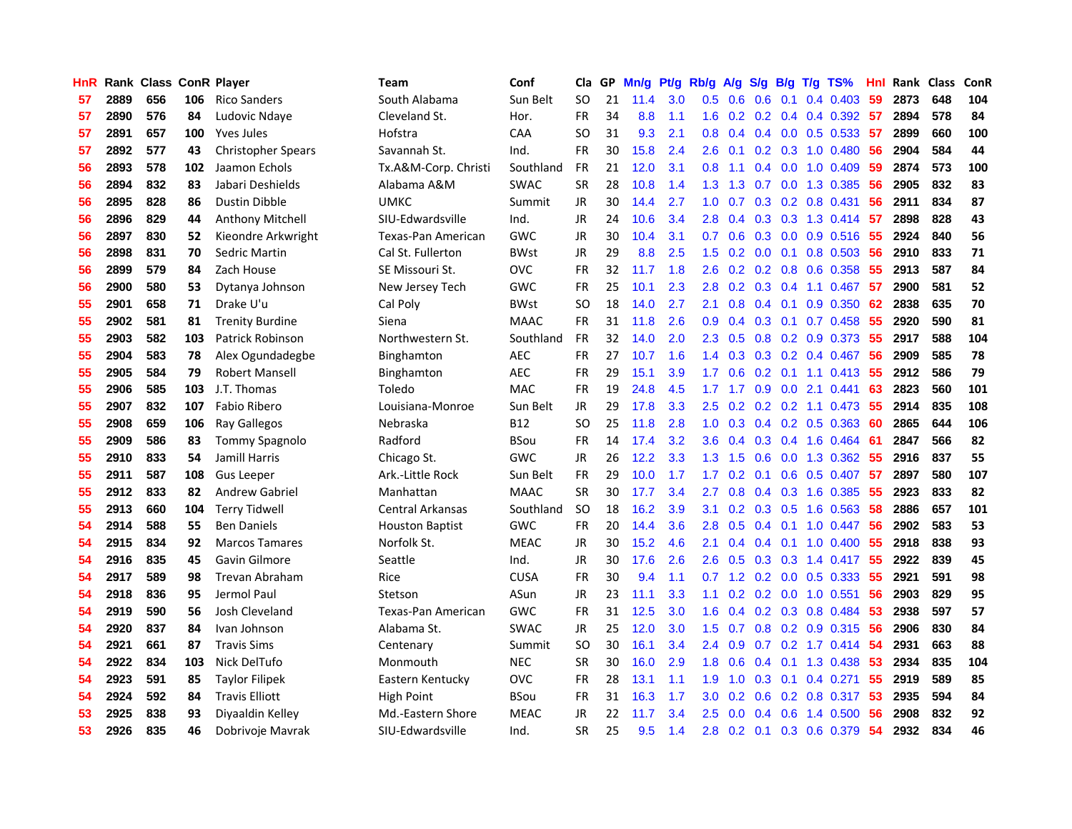| <b>HnR</b> |      | Rank Class ConR Player |     |                           | Team                   | Conf        | Cla       | GP. | Mn/g Pt/g |     | Rb/g             | A/g             |               |                 | S/g B/g T/g TS%              | Hnl | Rank Class |     | ConR |
|------------|------|------------------------|-----|---------------------------|------------------------|-------------|-----------|-----|-----------|-----|------------------|-----------------|---------------|-----------------|------------------------------|-----|------------|-----|------|
| 57         | 2889 | 656                    | 106 | <b>Rico Sanders</b>       | South Alabama          | Sun Belt    | SO.       | 21  | 11.4      | 3.0 | 0.5              | 0.6             | 0.6           | 0.1             | 0.4 0.403                    | 59  | 2873       | 648 | 104  |
| 57         | 2890 | 576                    | 84  | Ludovic Ndaye             | Cleveland St.          | Hor.        | <b>FR</b> | 34  | 8.8       | 1.1 | 1.6              | 0.2             |               |                 | $0.2$ 0.4 0.4 0.392          | -57 | 2894       | 578 | 84   |
| 57         | 2891 | 657                    | 100 | <b>Yves Jules</b>         | Hofstra                | CAA         | SO.       | 31  | 9.3       | 2.1 | 0.8              | 0.4             |               | $0.4\quad 0.0$  | 0.5 0.533                    | 57  | 2899       | 660 | 100  |
| 57         | 2892 | 577                    | 43  | <b>Christopher Spears</b> | Savannah St.           | Ind.        | <b>FR</b> | 30  | 15.8      | 2.4 | 2.6              | 0.1             |               |                 | $0.2$ $0.3$ 1.0 $0.480$      | 56  | 2904       | 584 | 44   |
| 56         | 2893 | 578                    | 102 | Jaamon Echols             | Tx.A&M-Corp. Christi   | Southland   | <b>FR</b> | 21  | 12.0      | 3.1 | 0.8              | 1.1             |               |                 | $0.4$ 0.0 1.0 0.409          | 59  | 2874       | 573 | 100  |
| 56         | 2894 | 832                    | 83  | Jabari Deshields          | Alabama A&M            | <b>SWAC</b> | <b>SR</b> | 28  | 10.8      | 1.4 |                  | $1.3 \quad 1.3$ |               |                 | 0.7 0.0 1.3 0.385            | 56  | 2905       | 832 | 83   |
| 56         | 2895 | 828                    | 86  | <b>Dustin Dibble</b>      | <b>UMKC</b>            | Summit      | JR        | 30  | 14.4      | 2.7 | 1.0 <sub>1</sub> | 0.7             |               |                 | $0.3$ $0.2$ $0.8$ $0.431$    | 56  | 2911       | 834 | 87   |
| 56         | 2896 | 829                    | 44  | Anthony Mitchell          | SIU-Edwardsville       | Ind.        | JR        | 24  | 10.6      | 3.4 | 2.8 <sub>1</sub> | 0.4             |               |                 | $0.3$ $0.3$ 1.3 $0.414$      | -57 | 2898       | 828 | 43   |
| 56         | 2897 | 830                    | 52  | Kieondre Arkwright        | Texas-Pan American     | <b>GWC</b>  | JR        | 30  | 10.4      | 3.1 | 0.7              | 0.6             |               |                 | $0.3$ 0.0 0.9 0.516          | 55  | 2924       | 840 | 56   |
| 56         | 2898 | 831                    | 70  | Sedric Martin             | Cal St. Fullerton      | <b>BWst</b> | JR        | 29  | 8.8       | 2.5 | 1.5              | 0.2             |               | $0.0 \quad 0.1$ | $0.8$ 0.503                  | 56  | 2910       | 833 | 71   |
| 56         | 2899 | 579                    | 84  | Zach House                | SE Missouri St.        | <b>OVC</b>  | <b>FR</b> | 32  | 11.7      | 1.8 | 2.6              | 0.2             |               |                 | $0.2$ 0.8 0.6 0.358          | 55  | 2913       | 587 | 84   |
| 56         | 2900 | 580                    | 53  | Dytanya Johnson           | New Jersey Tech        | GWC         | FR        | 25  | 10.1      | 2.3 | 2.8              | 0.2             |               |                 | $0.3$ 0.4 1.1 0.467          | 57  | 2900       | 581 | 52   |
| 55         | 2901 | 658                    | 71  | Drake U'u                 | Cal Poly               | <b>BWst</b> | SO.       | 18  | 14.0      | 2.7 | 2.1              | 0.8             |               | $0.4 \quad 0.1$ | 0.9 0.350                    | 62  | 2838       | 635 | 70   |
| 55         | 2902 | 581                    | 81  | <b>Trenity Burdine</b>    | Siena                  | <b>MAAC</b> | <b>FR</b> | 31  | 11.8      | 2.6 | 0.9              | 0.4             | 0.3           |                 | $0.1$ 0.7 0.458              | 55  | 2920       | 590 | 81   |
| 55         | 2903 | 582                    | 103 | Patrick Robinson          | Northwestern St.       | Southland   | FR        | 32  | 14.0      | 2.0 | 2.3              | 0.5             | 0.8           |                 | 0.2 0.9 0.373                | 55  | 2917       | 588 | 104  |
| 55         | 2904 | 583                    | 78  | Alex Ogundadegbe          | Binghamton             | <b>AEC</b>  | <b>FR</b> | 27  | 10.7      | 1.6 | 1.4              | 0.3             |               |                 | $0.3$ $0.2$ $0.4$ $0.467$    | 56  | 2909       | 585 | 78   |
| 55         | 2905 | 584                    | 79  | <b>Robert Mansell</b>     | Binghamton             | <b>AEC</b>  | FR        | 29  | 15.1      | 3.9 | 1.7 <sup>2</sup> | 0.6             |               | $0.2 \quad 0.1$ | 1.1 0.413                    | 55  | 2912       | 586 | 79   |
| 55         | 2906 | 585                    | 103 | J.T. Thomas               | Toledo                 | <b>MAC</b>  | <b>FR</b> | 19  | 24.8      | 4.5 |                  | $1.7$ 1.7       |               |                 | $0.9$ $0.0$ 2.1 $0.441$      | 63  | 2823       | 560 | 101  |
| 55         | 2907 | 832                    | 107 | <b>Fabio Ribero</b>       | Louisiana-Monroe       | Sun Belt    | JR        | 29  | 17.8      | 3.3 |                  |                 |               |                 | 2.5 0.2 0.2 0.2 1.1 0.473 55 |     | 2914       | 835 | 108  |
| 55         | 2908 | 659                    | 106 | Ray Gallegos              | Nebraska               | <b>B12</b>  | SO.       | 25  | 11.8      | 2.8 |                  | $1.0 \t0.3$     |               |                 | $0.4$ 0.2 0.5 0.363          | -60 | 2865       | 644 | 106  |
| 55         | 2909 | 586                    | 83  | <b>Tommy Spagnolo</b>     | Radford                | <b>BSou</b> | FR        | 14  | 17.4      | 3.2 | 3.6              | 0.4             |               |                 | $0.3$ $0.4$ 1.6 $0.464$      | -61 | 2847       | 566 | 82   |
| 55         | 2910 | 833                    | 54  | Jamill Harris             | Chicago St.            | GWC         | JR        | 26  | 12.2      | 3.3 | 1.3              | 1.5             |               |                 | 0.6 0.0 1.3 0.362            | 55  | 2916       | 837 | 55   |
| 55         | 2911 | 587                    | 108 | <b>Gus Leeper</b>         | Ark.-Little Rock       | Sun Belt    | <b>FR</b> | 29  | 10.0      | 1.7 | 1.7 <sup>2</sup> | 0.2             | 0.1           |                 | $0.6$ 0.5 0.407              | -57 | 2897       | 580 | 107  |
| 55         | 2912 | 833                    | 82  | <b>Andrew Gabriel</b>     | Manhattan              | <b>MAAC</b> | <b>SR</b> | 30  | 17.7      | 3.4 | 2.7              | 0.8             |               |                 | 0.4 0.3 1.6 0.385            | 55  | 2923       | 833 | 82   |
| 55         | 2913 | 660                    | 104 | <b>Terry Tidwell</b>      | Central Arkansas       | Southland   | <b>SO</b> | 18  | 16.2      | 3.9 | 3.1              | 0.2             |               |                 | 0.3 0.5 1.6 0.563            | 58  | 2886       | 657 | 101  |
| 54         | 2914 | 588                    | 55  | <b>Ben Daniels</b>        | <b>Houston Baptist</b> | <b>GWC</b>  | <b>FR</b> | 20  | 14.4      | 3.6 | 2.8              | 0.5             |               | $0.4 \quad 0.1$ | $1.0 \t0.447$                | 56  | 2902       | 583 | 53   |
| 54         | 2915 | 834                    | 92  | <b>Marcos Tamares</b>     | Norfolk St.            | <b>MEAC</b> | JR        | 30  | 15.2      | 4.6 | 2.1              | 0.4             |               |                 | $0.4$ 0.1 1.0 0.400          | -55 | 2918       | 838 | 93   |
| 54         | 2916 | 835                    | 45  | Gavin Gilmore             | Seattle                | Ind.        | JR        | 30  | 17.6      | 2.6 | 2.6              | 0.5             |               |                 | $0.3$ $0.3$ 1.4 $0.417$      | -55 | 2922       | 839 | 45   |
| 54         | 2917 | 589                    | 98  | <b>Trevan Abraham</b>     | Rice                   | <b>CUSA</b> | <b>FR</b> | 30  | 9.4       | 1.1 | 0.7              | 1.2             |               | $0.2\ 0.0$      | $0.5$ 0.333                  | 55  | 2921       | 591 | 98   |
| 54         | 2918 | 836                    | 95  | Jermol Paul               | Stetson                | ASun        | JR        | 23  | 11.1      | 3.3 | 1.1              |                 | $0.2$ 0.2 0.0 |                 | 1.0 0.551                    | 56  | 2903       | 829 | 95   |
| 54         | 2919 | 590                    | 56  | Josh Cleveland            | Texas-Pan American     | GWC         | FR        | 31  | 12.5      | 3.0 | 1.6              | 0.4             |               |                 | $0.2$ $0.3$ $0.8$ $0.484$    | 53  | 2938       | 597 | 57   |
| 54         | 2920 | 837                    | 84  | Ivan Johnson              | Alabama St.            | <b>SWAC</b> | JR        | 25  | 12.0      | 3.0 | 1.5              | 0.7             |               |                 | $0.8$ $0.2$ $0.9$ $0.315$    | -56 | 2906       | 830 | 84   |
| 54         | 2921 | 661                    | 87  | <b>Travis Sims</b>        | Centenary              | Summit      | SO        | 30  | 16.1      | 3.4 |                  | $2.4\quad 0.9$  |               |                 | $0.7$ $0.2$ 1.7 $0.414$      | -54 | 2931       | 663 | 88   |
| 54         | 2922 | 834                    | 103 | Nick DelTufo              | Monmouth               | <b>NEC</b>  | <b>SR</b> | 30  | 16.0      | 2.9 | 1.8              | 0.6             |               |                 | $0.4$ 0.1 1.3 0.438          | 53  | 2934       | 835 | 104  |
| 54         | 2923 | 591                    | 85  | <b>Taylor Filipek</b>     | Eastern Kentucky       | <b>OVC</b>  | FR        | 28  | 13.1      | 1.1 | 1.9              | 1.0             |               |                 | 0.3 0.1 0.4 0.271            | 55  | 2919       | 589 | 85   |
| 54         | 2924 | 592                    | 84  | <b>Travis Elliott</b>     | High Point             | <b>BSou</b> | <b>FR</b> | 31  | 16.3      | 1.7 | 3.0              | 0.2             | 0.6           | 0.2             | 0.8 0.317                    | 53  | 2935       | 594 | 84   |
| 53         | 2925 | 838                    | 93  | Diyaaldin Kelley          | Md.-Eastern Shore      | <b>MEAC</b> | JR        | 22  | 11.7      | 3.4 | 2.5              | 0.0             | 0.4           | 0.6             | 1.4 0.500                    | 56  | 2908       | 832 | 92   |
| 53         | 2926 | 835                    | 46  | Dobrivoje Mavrak          | SIU-Edwardsville       | Ind.        | <b>SR</b> | 25  | 9.5       | 1.4 | 2.8              |                 |               |                 | 0.2 0.1 0.3 0.6 0.379        | -54 | 2932       | 834 | 46   |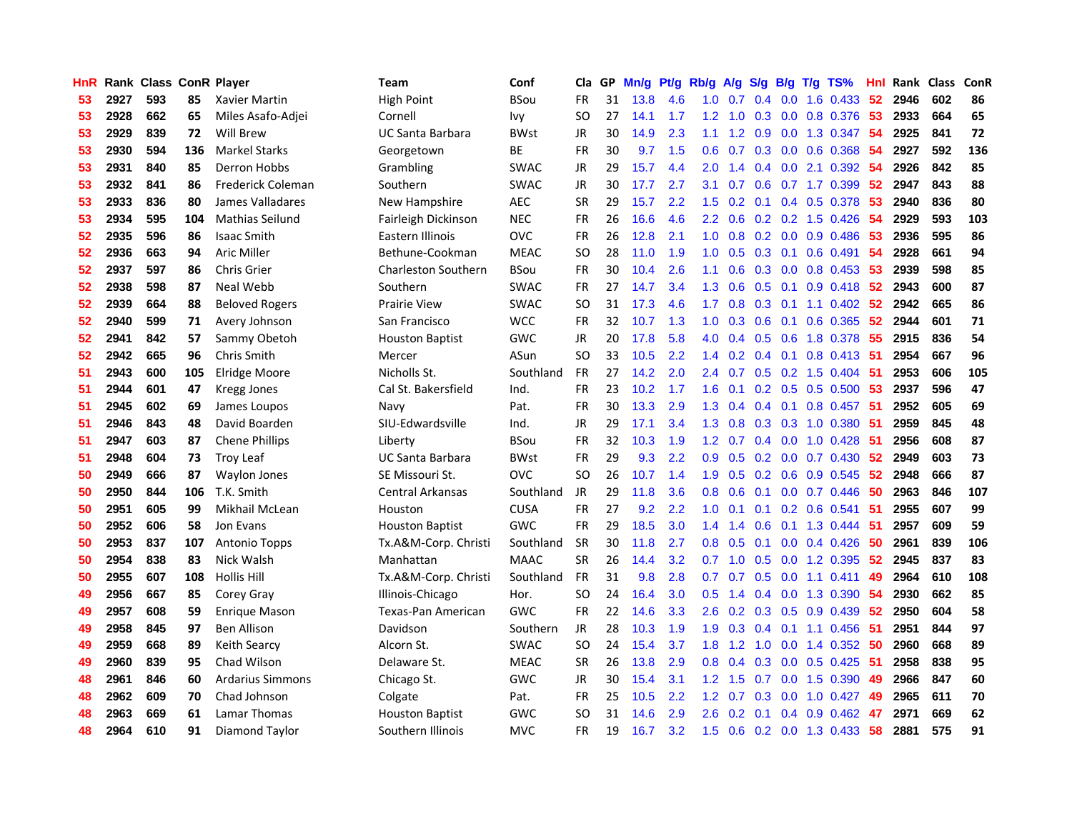| HnR              |      | Rank Class ConR Player |     |                         | Team                       | Conf        | Cla       |    | GP Mn/g | Pt/g | Rb/g             | A/g             | S/g B/g         |                 | $T/g$ TS%                       | Hnl  | Rank Class |     | <b>ConR</b> |
|------------------|------|------------------------|-----|-------------------------|----------------------------|-------------|-----------|----|---------|------|------------------|-----------------|-----------------|-----------------|---------------------------------|------|------------|-----|-------------|
| 53               | 2927 | 593                    | 85  | Xavier Martin           | High Point                 | <b>BSou</b> | <b>FR</b> | 31 | 13.8    | 4.6  | 1.0              | 0.7             | 0.4             | 0.0             | 1.6 0.433                       | 52   | 2946       | 602 | 86          |
| 53               | 2928 | 662                    | 65  | Miles Asafo-Adjei       | Cornell                    | Ivy         | <b>SO</b> | 27 | 14.1    | 1.7  | 1.2              | 1.0             |                 | $0.3 \quad 0.0$ | 0.8 0.376                       | 53   | 2933       | 664 | 65          |
| 53               | 2929 | 839                    | 72  | <b>Will Brew</b>        | <b>UC Santa Barbara</b>    | <b>BWst</b> | JR        | 30 | 14.9    | 2.3  | 1.1              |                 | $1.2 \quad 0.9$ |                 | $0.0$ 1.3 0.347                 | -54  | 2925       | 841 | 72          |
| 53               | 2930 | 594                    | 136 | <b>Markel Starks</b>    | Georgetown                 | ВE          | FR        | 30 | 9.7     | 1.5  | 0.6              |                 |                 |                 | 0.7 0.3 0.0 0.6 0.368           | -54  | 2927       | 592 | 136         |
| 53               | 2931 | 840                    | 85  | Derron Hobbs            | Grambling                  | <b>SWAC</b> | JR        | 29 | 15.7    | 4.4  | 2.0              | 1.4             |                 |                 | $0.4$ 0.0 2.1 0.392             | -54  | 2926       | 842 | 85          |
| 53               | 2932 | 841                    | 86  | Frederick Coleman       | Southern                   | <b>SWAC</b> | JR        | 30 | 17.7    | 2.7  | 3.1              | 0.7             |                 |                 | 0.6 0.7 1.7 0.399               | 52   | 2947       | 843 | 88          |
| 53               | 2933 | 836                    | 80  | James Valladares        | New Hampshire              | <b>AEC</b>  | <b>SR</b> | 29 | 15.7    | 2.2  | 1.5              | 0.2             |                 |                 | 0.1 0.4 0.5 0.378               | 53   | 2940       | 836 | 80          |
| 53               | 2934 | 595                    | 104 | Mathias Seilund         | Fairleigh Dickinson        | <b>NEC</b>  | <b>FR</b> | 26 | 16.6    | 4.6  | $2.2^{\circ}$    | 0.6             |                 |                 | $0.2$ 0.2 1.5 0.426             | 54   | 2929       | 593 | 103         |
| 52               | 2935 | 596                    | 86  | <b>Isaac Smith</b>      | Eastern Illinois           | <b>OVC</b>  | <b>FR</b> | 26 | 12.8    | 2.1  | 1.0              | 0.8             |                 |                 | 0.2 0.0 0.9 0.486               | 53   | 2936       | 595 | 86          |
| 52               | 2936 | 663                    | 94  | <b>Aric Miller</b>      | Bethune-Cookman            | <b>MEAC</b> | <b>SO</b> | 28 | 11.0    | 1.9  | 1.0              | 0.5             |                 | $0.3 \quad 0.1$ | $0.6$ 0.491                     | 54   | 2928       | 661 | 94          |
| $52\phantom{.0}$ | 2937 | 597                    | 86  | Chris Grier             | <b>Charleston Southern</b> | <b>BSou</b> | FR        | 30 | 10.4    | 2.6  | 1.1              | 0.6             |                 |                 | 0.3 0.0 0.8 0.453               | 53   | 2939       | 598 | 85          |
| 52               | 2938 | 598                    | 87  | Neal Webb               | Southern                   | <b>SWAC</b> | <b>FR</b> | 27 | 14.7    | 3.4  | 1.3              | 0.6             | 0.5             | 0.1             | 0.9 0.418                       | 52   | 2943       | 600 | 87          |
| $52\phantom{.0}$ | 2939 | 664                    | 88  | <b>Beloved Rogers</b>   | <b>Prairie View</b>        | <b>SWAC</b> | SO.       | 31 | 17.3    | 4.6  | 1.7              | 0.8             | 0.3             | 0.1             | 1.1 0.402                       | 52   | 2942       | 665 | 86          |
| 52               | 2940 | 599                    | 71  | Avery Johnson           | San Francisco              | <b>WCC</b>  | <b>FR</b> | 32 | 10.7    | 1.3  | 1.0              | 0.3             | 0.6             | 0.1             | 0.6 0.365                       | 52   | 2944       | 601 | 71          |
| 52               | 2941 | 842                    | 57  | Sammy Obetoh            | <b>Houston Baptist</b>     | <b>GWC</b>  | JR        | 20 | 17.8    | 5.8  | 4.0              | 0.4             |                 | $0.5 \quad 0.6$ | 1.8 0.378                       | 55   | 2915       | 836 | 54          |
| 52               | 2942 | 665                    | 96  | <b>Chris Smith</b>      | Mercer                     | ASun        | <b>SO</b> | 33 | 10.5    | 2.2  | $1.4^{\circ}$    | 0.2             | $0.4 \quad 0.1$ |                 | 0.8 0.413 51                    |      | 2954       | 667 | 96          |
| 51               | 2943 | 600                    | 105 | Elridge Moore           | Nicholls St.               | Southland   | <b>FR</b> | 27 | 14.2    | 2.0  |                  |                 |                 |                 | 2.4 0.7 0.5 0.2 1.5 0.404       | - 51 | 2953       | 606 | 105         |
| 51               | 2944 | 601                    | 47  | Kregg Jones             | Cal St. Bakersfield        | Ind.        | <b>FR</b> | 23 | 10.2    | 1.7  | 1.6 <sup>°</sup> | 0.1             |                 |                 | 0.2 0.5 0.5 0.500 53            |      | 2937       | 596 | 47          |
| 51               | 2945 | 602                    | 69  | James Loupos            | Navy                       | Pat.        | <b>FR</b> | 30 | 13.3    | 2.9  |                  | $1.3 \quad 0.4$ |                 |                 | 0.4 0.1 0.8 0.457 51            |      | 2952       | 605 | 69          |
| 51               | 2946 | 843                    | 48  | David Boarden           | SIU-Edwardsville           | Ind.        | JR        | 29 | 17.1    | 3.4  |                  | $1.3 \quad 0.8$ |                 |                 | 0.3 0.3 1.0 0.380 51            |      | 2959       | 845 | 48          |
| 51               | 2947 | 603                    | 87  | <b>Chene Phillips</b>   | Liberty                    | <b>BSou</b> | <b>FR</b> | 32 | 10.3    | 1.9  | 1.2 <sub>1</sub> | 0.7             |                 |                 | $0.4$ 0.0 1.0 0.428             | -51  | 2956       | 608 | 87          |
| 51               | 2948 | 604                    | 73  | <b>Troy Leaf</b>        | UC Santa Barbara           | <b>BWst</b> | <b>FR</b> | 29 | 9.3     | 2.2  | 0.9              | 0.5             |                 |                 | $0.2$ 0.0 0.7 0.430             | 52   | 2949       | 603 | 73          |
| 50               | 2949 | 666                    | 87  | <b>Waylon Jones</b>     | SE Missouri St.            | <b>OVC</b>  | <b>SO</b> | 26 | 10.7    | 1.4  | 1.9              | 0.5             |                 |                 | 0.2 0.6 0.9 0.545               | 52   | 2948       | 666 | 87          |
| 50               | 2950 | 844                    | 106 | T.K. Smith              | <b>Central Arkansas</b>    | Southland   | JR        | 29 | 11.8    | 3.6  | 0.8              | 0.6             |                 |                 | $0.1$ 0.0 0.7 0.446             | 50   | 2963       | 846 | 107         |
| 50               | 2951 | 605                    | 99  | Mikhail McLean          | Houston                    | <b>CUSA</b> | FR        | 27 | 9.2     | 2.2  | 1.0              | 0.1             |                 |                 | $0.1$ 0.2 0.6 0.541             | 51   | 2955       | 607 | 99          |
| 50               | 2952 | 606                    | 58  | Jon Evans               | <b>Houston Baptist</b>     | GWC         | FR        | 29 | 18.5    | 3.0  | 1.4              | 1.4             | 0.6             | 0.1             | 1.3 0.444                       | 51   | 2957       | 609 | 59          |
| 50               | 2953 | 837                    | 107 | <b>Antonio Topps</b>    | Tx.A&M-Corp. Christi       | Southland   | <b>SR</b> | 30 | 11.8    | 2.7  | 0.8              | 0.5             | 0.1             |                 | $0.0$ 0.4 0.426                 | 50   | 2961       | 839 | 106         |
| 50               | 2954 | 838                    | 83  | Nick Walsh              | Manhattan                  | <b>MAAC</b> | <b>SR</b> | 26 | 14.4    | 3.2  | 0.7              | 1.0             | 0.5             | 0.0             | 1.2 0.395                       | 52   | 2945       | 837 | 83          |
| 50               | 2955 | 607                    | 108 | <b>Hollis Hill</b>      | Tx.A&M-Corp. Christi       | Southland   | <b>FR</b> | 31 | 9.8     | 2.8  | 0.7              | 0.7             | 0.5             | 0.0             | $1.1 \t0.411$                   | 49   | 2964       | 610 | 108         |
| 49               | 2956 | 667                    | 85  | Corey Gray              | Illinois-Chicago           | Hor.        | SO.       | 24 | 16.4    | 3.0  | 0.5 <sub>0</sub> | 1.4             |                 | $0.4\quad 0.0$  | 1.3 0.390                       | -54  | 2930       | 662 | 85          |
| 49               | 2957 | 608                    | 59  | <b>Enrique Mason</b>    | Texas-Pan American         | GWC         | <b>FR</b> | 22 | 14.6    | 3.3  | 2.6              |                 |                 |                 | 0.2 0.3 0.5 0.9 0.439           | 52   | 2950       | 604 | 58          |
| 49               | 2958 | 845                    | 97  | <b>Ben Allison</b>      | Davidson                   | Southern    | JR        | 28 | 10.3    | 1.9  | 1.9 <sup>°</sup> |                 |                 |                 | 0.3 0.4 0.1 1.1 0.456           | -51  | 2951       | 844 | 97          |
| 49               | 2959 | 668                    | 89  | Keith Searcy            | Alcorn St.                 | <b>SWAC</b> | SO.       | 24 | 15.4    | 3.7  |                  | $1.8 \quad 1.2$ |                 |                 | 1.0 0.0 1.4 0.352               | -50  | 2960       | 668 | 89          |
| 49               | 2960 | 839                    | 95  | Chad Wilson             | Delaware St.               | <b>MEAC</b> | <b>SR</b> | 26 | 13.8    | 2.9  | 0.8 <sub>0</sub> | 0.4             |                 |                 | $0.3$ 0.0 0.5 0.425             | -51  | 2958       | 838 | 95          |
| 48               | 2961 | 846                    | 60  | <b>Ardarius Simmons</b> | Chicago St.                | GWC         | JR        | 30 | 15.4    | 3.1  | 1.2 <sub>1</sub> | 1.5             | 0.7             |                 | $0.0$ 1.5 $0.390$               | 49   | 2966       | 847 | 60          |
| 48               | 2962 | 609                    | 70  | Chad Johnson            | Colgate                    | Pat.        | FR        | 25 | 10.5    | 2.2  | 1.2              | 0.7             | 0.3             | 0.0             | 1.0 0.427                       | 49   | 2965       | 611 | 70          |
| 48               | 2963 | 669                    | 61  | Lamar Thomas            | <b>Houston Baptist</b>     | GWC         | SO.       | 31 | 14.6    | 2.9  | 2.6              | 0.2             | 0.1             | 0.4             | 0.9 0.462                       | 47   | 2971       | 669 | 62          |
| 48               | 2964 | 610                    | 91  | Diamond Taylor          | Southern Illinois          | <b>MVC</b>  | FR        | 19 | 16.7    | 3.2  | $1.5^{\circ}$    |                 |                 |                 | $0.6$ $0.2$ $0.0$ $1.3$ $0.433$ | 58   | 2881       | 575 | 91          |